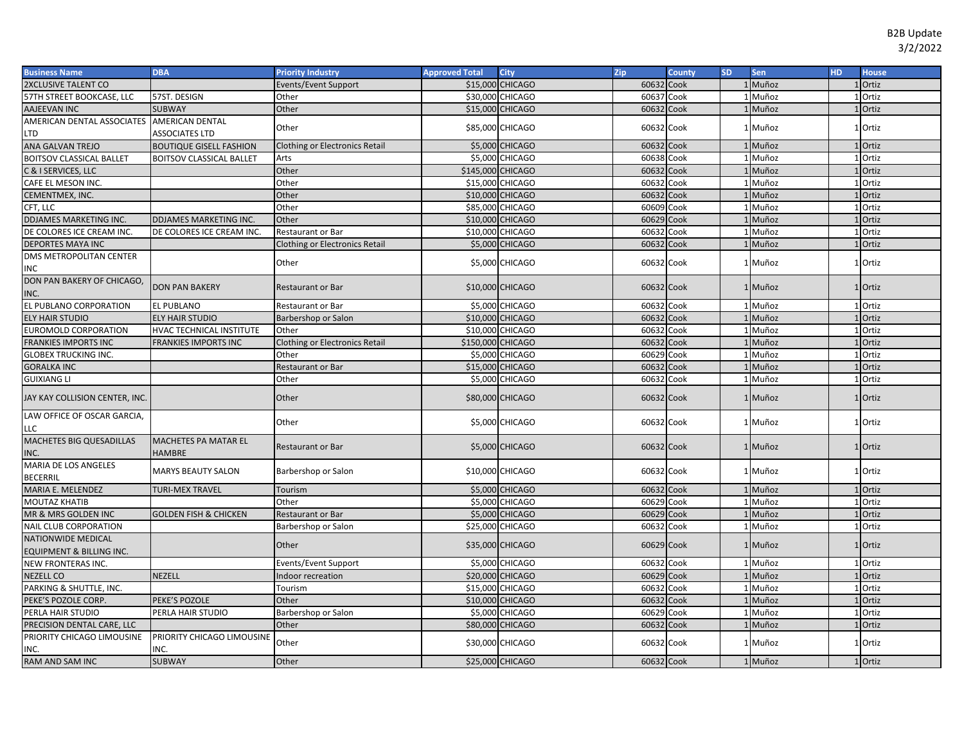| <b>Business Name</b><br><b>DBA</b><br><b>City</b><br><b>Priority Industry</b><br><b>Approved Total</b>                   | Zip        | <b>County</b><br><b>SD</b> | Sen     | HD. | <b>House</b> |
|--------------------------------------------------------------------------------------------------------------------------|------------|----------------------------|---------|-----|--------------|
| 2XCLUSIVE TALENT CO<br>\$15,000 CHICAGO<br>Events/Event Support                                                          | 60632 Cook |                            | 1 Muñoz |     | 1 Ortiz      |
| 57TH STREET BOOKCASE, LLC<br>57ST. DESIGN<br>\$30,000 CHICAGO<br>Other                                                   | 60637 Cook |                            | 1 Muñoz |     | 1 Ortiz      |
| AAJEEVAN INC<br><b>SUBWAY</b><br>Other<br>\$15,000 CHICAGO                                                               | 60632      | Cook                       | 1 Muñoz |     | 1 Ortiz      |
| AMERICAN DENTAL ASSOCIATES AMERICAN DENTAL<br>\$85,000 CHICAGO<br>Other<br><b>ASSOCIATES LTD</b><br>LTD                  | 60632 Cook |                            | Muñoz   |     | Ortiz        |
| \$5,000 CHICAGO<br><b>Clothing or Electronics Retail</b><br>ANA GALVAN TREJO<br><b>BOUTIQUE GISELL FASHION</b>           | 60632      | Cook                       | 1 Muñoz |     | <b>Ortiz</b> |
| \$5,000 CHICAGO<br>Arts<br><b>BOITSOV CLASSICAL BALLET</b><br><b>BOITSOV CLASSICAL BALLET</b>                            | 60638      | Cook                       | 1 Muñoz |     | 1 Ortiz      |
| C & I SERVICES, LLC<br>Other<br>\$145,000 CHICAGO                                                                        | 60632      | Cook                       | Muñoz   |     | Ortiz        |
| Other<br>\$15,000<br><b>CHICAGO</b><br>CAFE EL MESON INC.                                                                | 60632      | Cook                       | Muñoz   |     | Ortiz        |
| CEMENTMEX, INC.<br>Other<br>\$10,000 CHICAGO                                                                             | 60632      | Cook                       | Muñoz   |     | Ortiz        |
| Other<br>\$85,000 CHICAGO<br>CFT, LLC                                                                                    | 60609      | Cook                       | Muñoz   |     | 1 Ortiz      |
| <b>DDJAMES MARKETING INC.</b><br>\$10,000 CHICAGO<br><b>DDJAMES MARKETING INC.</b><br>Other                              | 60629      | Cook                       | Muñoz   |     | Ortiz        |
| DE COLORES ICE CREAM INC.<br>DE COLORES ICE CREAM INC<br>\$10,000 CHICAGO<br>Restaurant or Bar                           | 60632      | Cook                       | 1 Muñoz |     | Ortiz        |
| <b>DEPORTES MAYA INC</b><br><b>Clothing or Electronics Retail</b><br>\$5,000 CHICAGO                                     | 60632      | Cook                       | Muñoz   |     | Ortiz        |
| DMS METROPOLITAN CENTER<br>Other<br>\$5,000 CHICAGO<br>INC                                                               | 60632 Cook |                            | Muñoz   |     | Ortiz        |
| DON PAN BAKERY OF CHICAGO,<br><b>DON PAN BAKERY</b><br>\$10,000 CHICAGO<br><b>Restaurant or Bar</b><br>INC.              | 60632 Cook |                            | 1 Muñoz |     | 1 Ortiz      |
| EL PUBLANO CORPORATION<br>\$5,000 CHICAGO<br><b>EL PUBLANO</b><br>Restaurant or Bar                                      | 60632 Cook |                            | 1 Muñoz |     | 1 Ortiz      |
| ELY HAIR STUDIO<br><b>ELY HAIR STUDIO</b><br>\$10,000 CHICAGO<br>Barbershop or Salon                                     | 60632      | Cook                       | Muñoz   |     | Ortiz        |
| EUROMOLD CORPORATION<br>HVAC TECHNICAL INSTITUTE<br>\$10,000 CHICAGO<br>Other                                            | 60632 Cook |                            | 1 Muñoz |     | Ortiz        |
| \$150,000 CHICAGO<br><b>FRANKIES IMPORTS INC</b><br><b>FRANKIES IMPORTS INC</b><br><b>Clothing or Electronics Retail</b> | 60632 Cook |                            | 1 Muñoz |     | Ortiz        |
| \$5,000 CHICAGO<br><b>GLOBEX TRUCKING INC.</b><br>Other                                                                  | 60629 Cook |                            | 1 Muñoz |     | Ortiz        |
| \$15,000 CHICAGO<br><b>GORALKA INC</b><br>Restaurant or Bar                                                              | 60632 Cook |                            | 1 Muñoz |     | 1 Ortiz      |
| \$5,000 CHICAGO<br><b>GUIXIANG LI</b><br>Other                                                                           | 60632 Cook |                            | Muñoz   |     | Ortiz        |
| Other<br>\$80,000 CHICAGO<br>JAY KAY COLLISION CENTER, INC.                                                              | 60632 Cook |                            | 1 Muñoz |     | Ortiz        |
| LAW OFFICE OF OSCAR GARCIA,<br>\$5,000 CHICAGO<br>Other<br>LLC                                                           | 60632 Cook |                            | Muñoz   |     | Ortiz        |
| MACHETES BIG QUESADILLAS<br><b>MACHETES PA MATAR EL</b><br>\$5,000 CHICAGO<br><b>Restaurant or Bar</b><br>INC.<br>HAMBRE | 60632 Cook |                            | 1 Muñoz |     | Ortiz        |
| MARIA DE LOS ANGELES<br>\$10,000 CHICAGO<br><b>MARYS BEAUTY SALON</b><br>Barbershop or Salon<br><b>BECERRIL</b>          | 60632 Cook |                            | 1 Muñoz |     | Ortiz        |
| \$5,000 CHICAGO<br>MARIA E. MELENDEZ<br><b>TURI-MEX TRAVEL</b><br>Tourism                                                | 60632 Cook |                            | 1 Muñoz |     | 1 Ortiz      |
| <b>MOUTAZ KHATIB</b><br>Other<br>\$5,000 CHICAGO                                                                         | 60629 Cook |                            | Muñoz   |     | Ortiz        |
| <b>GOLDEN FISH &amp; CHICKEN</b><br>\$5,000 CHICAGO<br>MR & MRS GOLDEN INC<br><b>Restaurant or Bar</b>                   | 60629      | Cook                       | 1 Muñoz |     | Ortiz        |
| <b>NAIL CLUB CORPORATION</b><br>Barbershop or Salon<br>\$25,000 CHICAGO                                                  | 6063       | Cook                       | Muñoz   |     | Ortiz        |
| <b>NATIONWIDE MEDICAL</b><br>Other<br>\$35,000 CHICAGO<br>EQUIPMENT & BILLING INC.                                       | 60629 Cook |                            | 1 Muñoz |     | 1 Ortiz      |
| \$5,000 CHICAGO<br>Events/Event Support<br>NEW FRONTERAS INC.                                                            | 60632      | Cook                       | 1 Muñoz |     | Ortiz        |
| \$20,000 CHICAGO<br><b>NEZELL CO</b><br>NEZELL<br>ndoor recreation                                                       | 60629      | Cook                       | Muñoz   |     | Ortiz        |
| \$15,000 CHICAGO<br>PARKING & SHUTTLE, INC.<br>Tourism                                                                   | 60632      | Cook                       | Muñoz   |     | Ortiz        |
| Other<br>PEKE'S POZOLE CORP.<br>PEKE'S POZOLE<br>\$10,000 CHICAGO                                                        | 60632      | Cook                       | Muñoz   |     | Ortiz        |
| \$5,000 CHICAGO<br>PERLA HAIR STUDIO<br>PERLA HAIR STUDIO<br>Barbershop or Salon                                         | 60629 Cook |                            | Muñoz   |     | Ortiz        |
| PRECISION DENTAL CARE, LLC<br>Other<br>\$80,000 CHICAGO                                                                  | 60632 Cook |                            | 1 Muñoz |     | <b>Ortiz</b> |
| PRIORITY CHICAGO LIMOUSINE<br>PRIORITY CHICAGO LIMOUSINE<br>Other<br>\$30,000 CHICAGO<br>INC.<br>INC.                    | 60632 Cook |                            | Muñoz   |     | Ortiz        |
| \$25,000 CHICAGO<br><b>RAM AND SAM INC</b><br><b>SUBWAY</b><br>Other                                                     | 60632 Cook |                            | 1 Muñoz |     | 1 Ortiz      |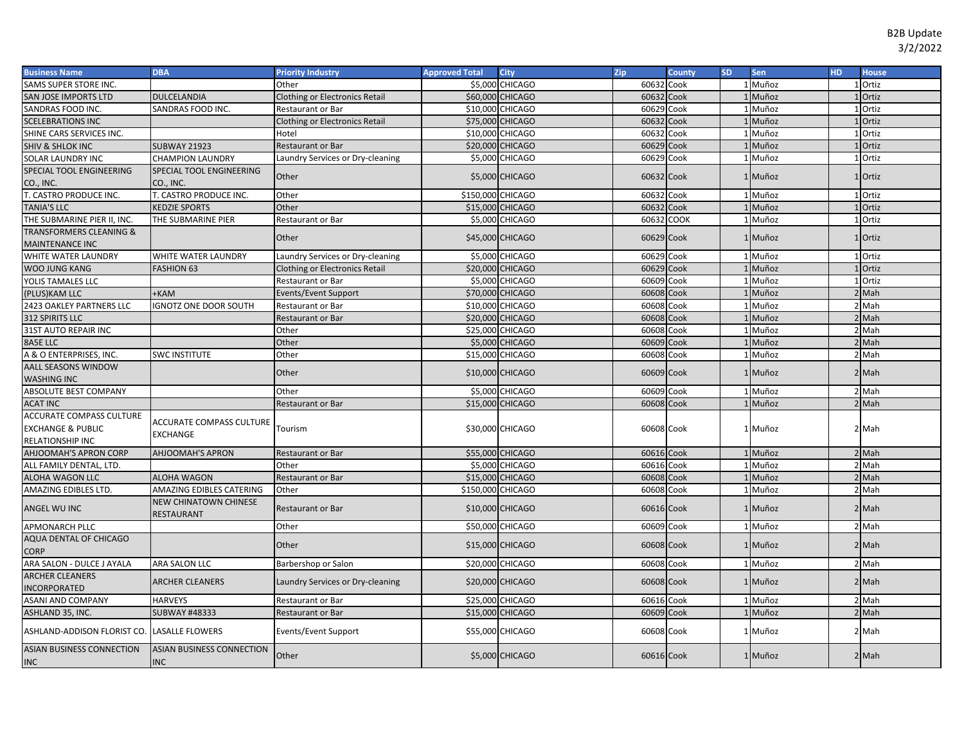| <b>Business Name</b>                                                                | <b>DBA</b>                                     | <b>Priority Industry</b>              | <b>Approved Total</b> | <b>City</b>       | Zip        | County      | <b>SD</b> | <b>Sen</b>   | HD. | <b>House</b> |
|-------------------------------------------------------------------------------------|------------------------------------------------|---------------------------------------|-----------------------|-------------------|------------|-------------|-----------|--------------|-----|--------------|
| SAMS SUPER STORE INC.                                                               |                                                | Other                                 |                       | \$5,000 CHICAGO   | 60632      | Cook        |           | 1 Muñoz      |     | 1 Ortiz      |
| SAN JOSE IMPORTS LTD                                                                | <b>DULCELANDIA</b>                             | Clothing or Electronics Retail        |                       | \$60,000 CHICAGO  | 60632      | Cook        |           | <b>Muñoz</b> |     | Ortiz        |
| SANDRAS FOOD INC.                                                                   | SANDRAS FOOD INC.                              | Restaurant or Bar                     |                       | \$10,000 CHICAGO  | 60629      | Cook        |           | 1 Muñoz      |     | 1 Ortiz      |
| <b>SCELEBRATIONS INC</b>                                                            |                                                | <b>Clothing or Electronics Retail</b> |                       | \$75,000 CHICAGO  | 60632 Cook |             |           | 1 Muñoz      |     | LOrtiz       |
| SHINE CARS SERVICES INC.                                                            |                                                | Hotel                                 |                       | \$10,000 CHICAGO  | 60632      | Cook        |           | 1 Muñoz      |     | 1 Ortiz      |
| <b>SHIV &amp; SHLOK INC</b>                                                         | <b>SUBWAY 21923</b>                            | Restaurant or Bar                     |                       | \$20,000 CHICAGO  | 60629 Cook |             |           | 1 Muñoz      |     | 1 Ortiz      |
| SOLAR LAUNDRY INC                                                                   | <b>CHAMPION LAUNDRY</b>                        | Laundry Services or Dry-cleaning      |                       | \$5,000 CHICAGO   | 60629      | Cook        |           | 1 Muñoz      |     | 1 Ortiz      |
| SPECIAL TOOL ENGINEERING<br>CO., INC.                                               | SPECIAL TOOL ENGINEERING<br>CO., INC.          | Other                                 |                       | \$5,000 CHICAGO   | 60632 Cook |             |           | 1 Muñoz      |     | 1 Ortiz      |
| T. CASTRO PRODUCE INC.                                                              | T. CASTRO PRODUCE INC.                         | Other                                 | \$150,000 CHICAGO     |                   | 60632      | Cook        |           | 1 Muñoz      |     | 1 Ortiz      |
| <b>TANIA'S LLC</b>                                                                  | <b>KEDZIE SPORTS</b>                           | Other                                 |                       | \$15,000 CHICAGO  | 60632      | Cook        |           | 1 Muñoz      |     | 1 Ortiz      |
| THE SUBMARINE PIER II, INC.                                                         | THE SUBMARINE PIER                             | <b>Restaurant or Bar</b>              |                       | \$5,000 CHICAGO   | 60632      | <b>COOK</b> |           | <b>Muñoz</b> |     | 1 Ortiz      |
| <b>TRANSFORMERS CLEANING &amp;</b><br><b>MAINTENANCE INC</b>                        |                                                | Other                                 |                       | \$45,000 CHICAGO  | 60629 Cook |             |           | 1 Muñoz      |     | 1 Ortiz      |
| WHITE WATER LAUNDRY                                                                 | WHITE WATER LAUNDRY                            | Laundry Services or Dry-cleaning      |                       | \$5,000 CHICAGO   | 60629      | Cook        |           | 1 Muñoz      |     | 1 Ortiz      |
| <b>WOO JUNG KANG</b>                                                                | <b>FASHION 63</b>                              | <b>Clothing or Electronics Retail</b> |                       | \$20,000 CHICAGO  | 60629      | Cook        |           | 1 Muñoz      |     | 1 Ortiz      |
| YOLIS TAMALES LLC                                                                   |                                                | Restaurant or Bar                     |                       | \$5,000 CHICAGO   | 60609      | Cook        |           | 1 Muñoz      |     | 1 Ortiz      |
| (PLUS)KAM LLC                                                                       | +KAM                                           | Events/Event Support                  |                       | \$70,000 CHICAGO  | 60608      | Cook        |           | 1 Muñoz      |     | 2 Mah        |
| 2423 OAKLEY PARTNERS LLC                                                            | <b>GNOTZ ONE DOOR SOUTH</b>                    | <b>Restaurant or Bar</b>              |                       | \$10,000 CHICAGO  | 60608      | Cook        |           | 1 Muñoz      |     | 2 Mah        |
| 312 SPIRITS LLC                                                                     |                                                | <b>Restaurant or Bar</b>              |                       | \$20,000 CHICAGO  | 60608      | Cook        |           | 1 Muñoz      |     | $2$ Mah      |
| 31ST AUTO REPAIR INC                                                                |                                                | Other                                 |                       | \$25,000 CHICAGO  | 60608      | Cook        |           | 1 Muñoz      |     | 2 Mah        |
| 8A5E LLC                                                                            |                                                | Other                                 |                       | \$5,000 CHICAGO   | 60609      | Cook        |           | 1 Muñoz      |     | $2$ Mah      |
| A & O ENTERPRISES, INC.                                                             | <b>SWC INSTITUTE</b>                           | Other                                 |                       | \$15,000 CHICAGO  | 60608 Cook |             |           | 1 Muñoz      |     | $2$ Mah      |
| <b>AALL SEASONS WINDOW</b>                                                          |                                                |                                       |                       |                   |            |             |           |              |     |              |
| <b>WASHING INC</b>                                                                  |                                                | Other                                 |                       | \$10,000 CHICAGO  | 60609 Cook |             |           | 1 Muñoz      |     | $2$ Mah      |
| ABSOLUTE BEST COMPANY                                                               |                                                | Other                                 |                       | \$5,000 CHICAGO   | 60609      | Cook        |           | 1 Muñoz      |     | 2 Mah        |
| <b>ACAT INC</b>                                                                     |                                                | <b>Restaurant or Bar</b>              |                       | \$15,000 CHICAGO  | 60608      | Cook        |           | 1 Muñoz      |     | 2 Mah        |
| <b>ACCURATE COMPASS CULTURE</b><br><b>EXCHANGE &amp; PUBLIC</b><br>RELATIONSHIP INC | ACCURATE COMPASS CULTURE<br><b>EXCHANGE</b>    | Tourism                               |                       | \$30,000 CHICAGO  | 60608 Cook |             |           | 1 Muñoz      |     | 2 Mah        |
| <b>AHJOOMAH'S APRON CORP</b>                                                        | <b>AHJOOMAH'S APRON</b>                        | <b>Restaurant or Bar</b>              |                       | \$55,000 CHICAGO  | 60616 Cook |             |           | 1 Muñoz      |     | $2$ Mah      |
| ALL FAMILY DENTAL, LTD.                                                             |                                                | Other                                 |                       | \$5,000 CHICAGO   | 60616      | Cook        |           | 1 Muñoz      |     | 2 Mah        |
| ALOHA WAGON LLC                                                                     | <b>ALOHA WAGON</b>                             | <b>Restaurant or Bar</b>              |                       | \$15,000 CHICAGO  | 60608      | Cook        |           | Muñoz        |     | $2$ Mah      |
| AMAZING EDIBLES LTD                                                                 | AMAZING EDIBLES CATERING                       | Other                                 |                       | \$150,000 CHICAGO | 60608      | Cook        |           | 1 Muñoz      |     | 2 Mah        |
| ANGEL WU INC                                                                        | <b>NEW CHINATOWN CHINESE</b><br>RESTAURANT     | <b>Restaurant or Bar</b>              |                       | \$10,000 CHICAGO  | 60616 Cook |             |           | 1 Muñoz      |     | $2$ Mah      |
| <b>APMONARCH PLLC</b>                                                               |                                                | Other                                 |                       | \$50,000 CHICAGO  | 60609 Cook |             |           | 1 Muñoz      |     | 2 Mah        |
| AQUA DENTAL OF CHICAGO<br><b>CORP</b>                                               |                                                | Other                                 |                       | \$15,000 CHICAGO  | 60608 Cook |             |           | 1 Muñoz      |     | $2$ Mah      |
| ARA SALON - DULCE J AYALA                                                           | ARA SALON LLC                                  | Barbershop or Salon                   |                       | \$20,000 CHICAGO  | 60608 Cook |             |           | 1 Muñoz      |     | 2 Mah        |
| <b>ARCHER CLEANERS</b><br><b>INCORPORATED</b>                                       | <b>ARCHER CLEANERS</b>                         | Laundry Services or Dry-cleaning      |                       | \$20,000 CHICAGO  | 60608 Cook |             |           | 1 Muñoz      |     | $2$ Mah      |
| <b>ASANI AND COMPANY</b>                                                            | <b>HARVEYS</b>                                 | <b>Restaurant or Bar</b>              |                       | \$25,000 CHICAGO  | 60616 Cook |             |           | 1 Muñoz      |     | 2 Mah        |
| ASHLAND 35, INC.                                                                    | <b>SUBWAY #48333</b>                           | <b>Restaurant or Bar</b>              |                       | \$15,000 CHICAGO  | 60609 Cook |             |           | 1 Muñoz      |     | $2$ Mah      |
| ASHLAND-ADDISON FLORIST CO.                                                         | <b>LASALLE FLOWERS</b>                         | Events/Event Support                  |                       | \$55,000 CHICAGO  | 60608 Cook |             |           | 1 Muñoz      |     | 2 Mah        |
| <b>ASIAN BUSINESS CONNECTION</b><br><b>INC</b>                                      | <b>ASIAN BUSINESS CONNECTION</b><br><b>INC</b> | Other                                 |                       | \$5,000 CHICAGO   | 60616 Cook |             |           | 1 Muñoz      |     | $2$ Mah      |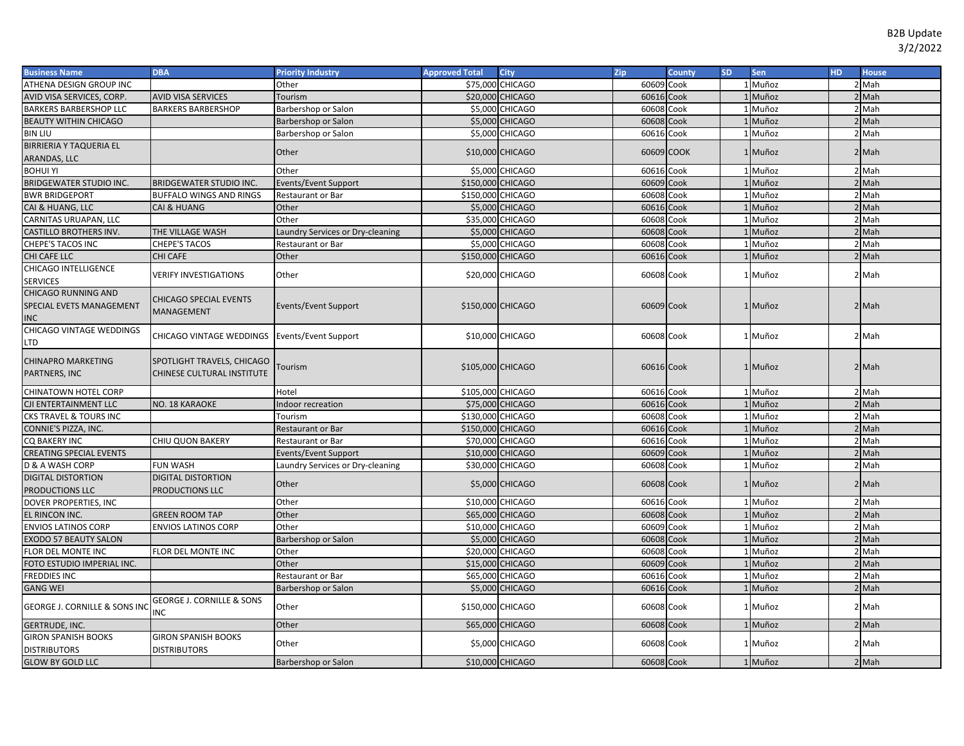| <b>Business Name</b>                     | <b>DBA</b>                                    | <b>Priority Industry</b>         | <b>Approved Total</b> | <b>City</b>      | Zip        | County     | <b>SD</b> | Sen     | H <sub>D</sub> | <b>House</b> |
|------------------------------------------|-----------------------------------------------|----------------------------------|-----------------------|------------------|------------|------------|-----------|---------|----------------|--------------|
| ATHENA DESIGN GROUP INC                  |                                               | Other                            |                       | \$75,000 CHICAGO | 60609      | Cook       |           | 1 Muñoz |                | 2 Mah        |
| AVID VISA SERVICES, CORP.                | <b>AVID VISA SERVICES</b>                     | Tourism                          |                       | \$20,000 CHICAGO | 60616      | Cook       |           | 1 Muñoz |                | $2$ Mah      |
| <b>BARKERS BARBERSHOP LLC</b>            | <b>BARKERS BARBERSHOP</b>                     | Barbershop or Salon              |                       | \$5,000 CHICAGO  | 60608      | Cook       |           | L Muñoz |                | 2 Mah        |
| <b>BEAUTY WITHIN CHICAGO</b>             |                                               | Barbershop or Salon              |                       | \$5,000 CHICAGO  | 60608      | Cook       |           | Muñoz   |                | $2$ Mah      |
| <b>BIN LIU</b>                           |                                               | Barbershop or Salon              |                       | \$5,000 CHICAGO  | 60616      | Cook       |           | 1 Muñoz |                | 2 Mah        |
| <b>BIRRIERIA Y TAQUERIA EL</b>           |                                               |                                  |                       |                  |            |            |           |         |                |              |
| ARANDAS, LLC                             |                                               | Other                            |                       | \$10,000 CHICAGO |            | 60609 COOK |           | 1 Muñoz |                | 2 Mah        |
| <b>BOHUI YI</b>                          |                                               | Other                            |                       | \$5,000 CHICAGO  | 60616 Cook |            |           | 1 Muñoz |                | 2 Mah        |
| BRIDGEWATER STUDIO INC.                  | <b>BRIDGEWATER STUDIO INC.</b>                | <b>Events/Event Support</b>      | \$150,000 CHICAGO     |                  | 60609 Cook |            |           | 1 Muñoz |                | $2$ Mah      |
| <b>BWR BRIDGEPORT</b>                    | BUFFALO WINGS AND RINGS                       | Restaurant or Bar                | \$150,000 CHICAGO     |                  | 60608      | Cook       |           | 1 Muñoz |                | 2 Mah        |
| CAI & HUANG, LLC                         | CAI & HUANG                                   | Other                            | \$5,000               | <b>CHICAGO</b>   | 60616      | Cook       |           | 1 Muñoz |                | $2$ Mah      |
| CARNITAS URUAPAN, LLC                    |                                               | Other                            |                       | \$35,000 CHICAGO | 60608      | Cook       |           | 1 Muñoz |                | 2 Mah        |
| CASTILLO BROTHERS INV.                   | THE VILLAGE WASH                              | Laundry Services or Dry-cleaning | \$5,000               | <b>CHICAGO</b>   | 60608      | Cook       |           | Muñoz   |                | $2$ Mah      |
| CHEPE'S TACOS INC                        | CHEPE'S TACOS                                 | Restaurant or Bar                |                       | \$5,000 CHICAGO  | 60608      | Cook       |           | 1 Muñoz |                | 2 Mah        |
| CHI CAFE LLC                             | CHI CAFE                                      | Other                            | \$150,000             | <b>CHICAGO</b>   | 60616      | Cook       |           | Muñoz   |                | $2$ Mah      |
| CHICAGO INTELLIGENCE                     | <b>VERIFY INVESTIGATIONS</b>                  | Other                            |                       | \$20,000 CHICAGO | 60608 Cook |            |           | 1 Muñoz |                | 2 Mah        |
| <b>SERVICES</b>                          |                                               |                                  |                       |                  |            |            |           |         |                |              |
| CHICAGO RUNNING AND                      | CHICAGO SPECIAL EVENTS                        |                                  |                       |                  |            |            |           |         |                |              |
| SPECIAL EVETS MANAGEMENT                 | <b>MANAGEMENT</b>                             | Events/Event Support             | \$150,000 CHICAGO     |                  | 60609 Cook |            |           | 1 Muñoz |                | 2 Mah        |
| <b>INC</b>                               |                                               |                                  |                       |                  |            |            |           |         |                |              |
| CHICAGO VINTAGE WEDDINGS                 | CHICAGO VINTAGE WEDDINGS Events/Event Support |                                  |                       | \$10,000 CHICAGO | 60608 Cook |            |           | 1 Muñoz |                | 2 Mah        |
| LTD                                      |                                               |                                  |                       |                  |            |            |           |         |                |              |
| CHINAPRO MARKETING                       | SPOTLIGHT TRAVELS, CHICAGO                    |                                  |                       |                  |            |            |           |         |                |              |
| PARTNERS, INC                            | CHINESE CULTURAL INSTITUTE                    | Tourism                          | \$105,000 CHICAGO     |                  | 60616 Cook |            |           | 1 Muñoz |                | 2 Mah        |
|                                          |                                               |                                  |                       |                  |            |            |           |         |                |              |
| CHINATOWN HOTEL CORP                     |                                               | Hotel                            | \$105,000 CHICAGO     |                  | 60616 Cook |            |           | 1 Muñoz |                | 2 Mah        |
| CJI ENTERTAINMENT LLC                    | NO. 18 KARAOKE                                | Indoor recreation                |                       | \$75,000 CHICAGO | 60616 Cook |            |           | 1 Muñoz |                | 2 Mah        |
| CKS TRAVEL & TOURS INC                   |                                               | Tourism                          | \$130,000 CHICAGO     |                  | 60608 Cook |            |           | 1 Muñoz |                | 2 Mah        |
| CONNIE'S PIZZA, INC.                     |                                               | Restaurant or Bar                | \$150,000 CHICAGO     |                  | 60616      | Cook       |           | 1 Muñoz |                | 2 Mah        |
| CQ BAKERY INC                            | CHIU QUON BAKERY                              | Restaurant or Bar                | \$70,000              | <b>CHICAGO</b>   | 60616      | Cook       |           | 1 Muñoz |                | 2 Mah        |
| <b>CREATING SPECIAL EVENTS</b>           |                                               | Events/Event Support             |                       | \$10,000 CHICAGO | 60609      | Cook       |           | 1 Muñoz |                | $2$ Mah      |
| D & A WASH CORP                          | <b>FUN WASH</b>                               | Laundry Services or Dry-cleaning | \$30,000              | <b>CHICAGO</b>   | 60608      | Cook       |           | 1 Muñoz |                | 2 Mah        |
| <b>DIGITAL DISTORTION</b>                | <b>DIGITAL DISTORTION</b>                     | Other                            |                       | \$5,000 CHICAGO  | 60608 Cook |            |           | 1 Muñoz |                | 2 Mah        |
| PRODUCTIONS LLC                          | PRODUCTIONS LLC                               |                                  |                       |                  |            |            |           |         |                |              |
| DOVER PROPERTIES, INC                    |                                               | Other                            |                       | \$10,000 CHICAGO | 60616      | Cook       |           | Muñoz   |                | 2 Mah        |
| EL RINCON INC.                           | <b>GREEN ROOM TAP</b>                         | Other                            |                       | \$65,000 CHICAGO | 60608      | Cook       |           | Muñoz   |                | 2 Mah        |
| <b>ENVIOS LATINOS CORP</b>               | <b>ENVIOS LATINOS CORP</b>                    | Other                            |                       | \$10,000 CHICAGO | 60609      | Cook       |           | Muñoz   |                | 2 Mah        |
| EXODO 57 BEAUTY SALON                    |                                               | Barbershop or Salon              |                       | \$5,000 CHICAGO  | 60608      | Cook       |           | Muñoz   |                | 2 Mah        |
| FLOR DEL MONTE INC                       | FLOR DEL MONTE INC                            | Other                            |                       | \$20,000 CHICAGO | 60608      | Cook       |           | 1 Muñoz |                | 2 Mah        |
| FOTO ESTUDIO IMPERIAL INC.               |                                               | Other                            |                       | \$15,000 CHICAGO | 60609      | Cook       |           | 1 Muñoz |                | $2$ Mah      |
| <b>FREDDIES INC</b>                      |                                               | <b>Restaurant or Bar</b>         |                       | \$65,000 CHICAGO | 60616      | Cook       |           | 1 Muñoz |                | 2 Mah        |
| <b>GANG WEI</b>                          |                                               | Barbershop or Salon              |                       | \$5,000 CHICAGO  | 60616 Cook |            |           | 1 Muñoz |                | $2$ Mah      |
| <b>GEORGE J. CORNILLE &amp; SONS INC</b> | <b>GEORGE J. CORNILLE &amp; SONS</b><br>INC   | Other                            | \$150,000 CHICAGO     |                  | 60608 Cook |            |           | 1 Muñoz |                | 2 Mah        |
| GERTRUDE, INC.                           |                                               | Other                            |                       | \$65,000 CHICAGO | 60608 Cook |            |           | 1 Muñoz |                | 2 Mah        |
| <b>GIRON SPANISH BOOKS</b>               | <b>GIRON SPANISH BOOKS</b>                    |                                  |                       |                  |            |            |           |         |                |              |
| <b>DISTRIBUTORS</b>                      | <b>DISTRIBUTORS</b>                           | Other                            |                       | \$5,000 CHICAGO  | 60608 Cook |            |           | 1 Muñoz |                | 2 Mah        |
| <b>GLOW BY GOLD LLC</b>                  |                                               | Barbershop or Salon              |                       | \$10,000 CHICAGO | 60608 Cook |            |           | 1 Muñoz |                | 2 Mah        |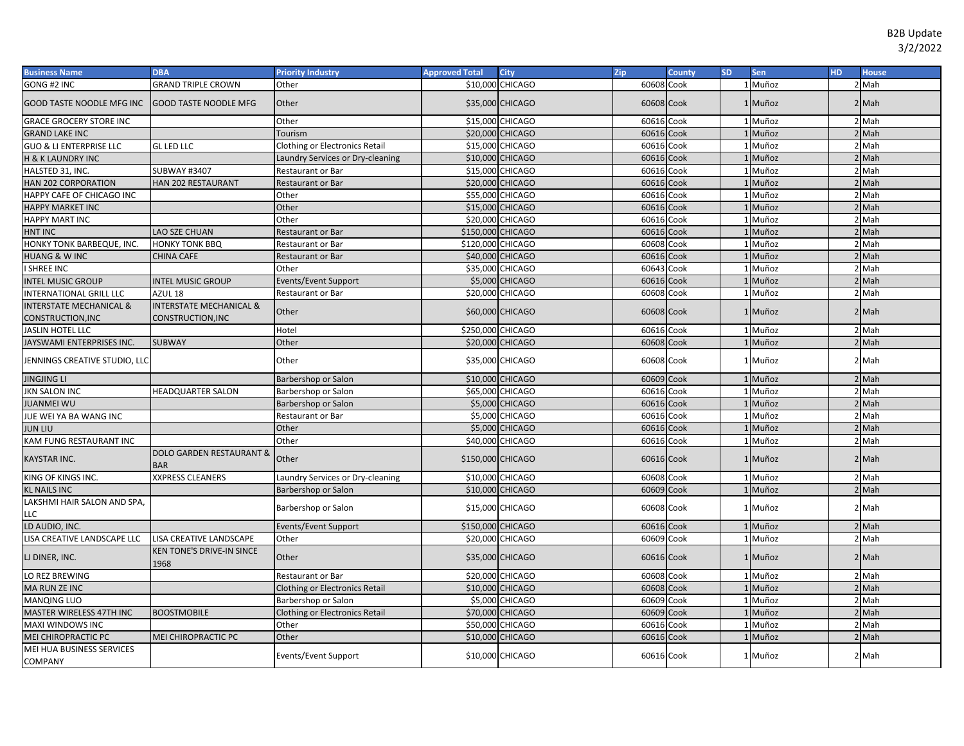| <b>Business Name</b>                        | <b>DBA</b>                                        | <b>Priority Industry</b>              | <b>Approved Total</b> | <b>City</b>      | <b>Zip</b> | <b>County</b> | <b>SD</b> | Sen     | HD. | <b>House</b>     |
|---------------------------------------------|---------------------------------------------------|---------------------------------------|-----------------------|------------------|------------|---------------|-----------|---------|-----|------------------|
| GONG #2 INC                                 | <b>GRAND TRIPLE CROWN</b>                         | Other                                 |                       | \$10,000 CHICAGO | 60608 Cook |               |           | 1 Muñoz |     | 2 Mah            |
| GOOD TASTE NOODLE MFG INC                   | <b>GOOD TASTE NOODLE MFG</b>                      | Other                                 |                       | \$35,000 CHICAGO | 60608 Cook |               |           | 1 Muñoz |     | $2$ Mah          |
| <b>GRACE GROCERY STORE INC</b>              |                                                   | Other                                 |                       | \$15,000 CHICAGO | 60616 Cook |               |           | 1 Muñoz |     | $2$ Mah          |
| <b>GRAND LAKE INC</b>                       |                                                   | Tourism                               |                       | \$20,000 CHICAGO | 60616 Cook |               |           | Muñoz   |     | $2$ Mah          |
| <b>GUO &amp; LI ENTERPRISE LLC</b>          | <b>GL LED LLC</b>                                 | Clothing or Electronics Retail        |                       | \$15,000 CHICAGO | 60616 Cook |               |           | 1 Muñoz |     | 2 Mah            |
| <b>H &amp; K LAUNDRY INC</b>                |                                                   | Laundry Services or Dry-cleaning      |                       | \$10,000 CHICAGO | 60616 Cook |               |           | Muñoz   |     | $2$ Mah          |
| HALSTED 31, INC.                            | <b>SUBWAY #3407</b>                               | Restaurant or Bar                     |                       | \$15,000 CHICAGO | 60616 Cook |               |           | 1 Muñoz |     | 2 Mah            |
| HAN 202 CORPORATION                         | HAN 202 RESTAURANT                                | Restaurant or Bar                     |                       | \$20,000 CHICAGO | 60616 Cook |               |           | 1 Muñoz |     | $2$ Mah          |
| HAPPY CAFE OF CHICAGO INC                   |                                                   | Other                                 |                       | \$55,000 CHICAGO | 60616 Cook |               |           | 1 Muñoz |     | 2 Mah            |
| HAPPY MARKET INC                            |                                                   | Other                                 |                       | \$15,000 CHICAGO | 60616      | Cook          |           | 1 Muñoz |     | $2$ Mah          |
| <b>HAPPY MART INC</b>                       |                                                   | Other                                 |                       | \$20,000 CHICAGO | 60616      | Cook          |           | 1 Muñoz |     | 2 Mah            |
| <b>HNT INC</b>                              | LAO SZE CHUAN                                     | Restaurant or Bar                     | \$150,000 CHICAGO     |                  | 60616      | Cook          |           | 1 Muñoz |     | $2$ Mah          |
| HONKY TONK BARBEQUE, INC.                   | HONKY TONK BBQ                                    | Restaurant or Bar                     | \$120,000 CHICAGO     |                  | 60608      | Cook          |           | 1 Muñoz |     | 2 Mah            |
| <b>HUANG &amp; WINC</b>                     | CHINA CAFE                                        | Restaurant or Bar                     |                       | \$40,000 CHICAGO | 60616      | Cook          |           | 1 Muñoz |     | $2$ Mah          |
| I SHREE INC                                 |                                                   | Other                                 |                       | \$35,000 CHICAGO | 60643      | Cook          |           | Muñoz   |     | 2 Mah            |
| <b>INTEL MUSIC GROUP</b>                    | <b>INTEL MUSIC GROUP</b>                          | Events/Event Support                  | \$5,000               | <b>CHICAGO</b>   | 60616      | Cook          |           | Muñoz   |     | 2 Mah            |
| <b>INTERNATIONAL GRILL LLC</b>              | AZUL <sub>18</sub>                                | <b>Restaurant or Bar</b>              |                       | \$20,000 CHICAGO | 60608      | Cook          |           | Muñoz   |     | 2 Mah            |
| <b>INTERSTATE MECHANICAL &amp;</b>          | <b>INTERSTATE MECHANICAL &amp;</b>                | Other                                 |                       | \$60,000 CHICAGO | 60608 Cook |               |           | 1 Muñoz |     | 2 Mah            |
| CONSTRUCTION, INC                           | CONSTRUCTION, INC                                 |                                       |                       |                  |            |               |           |         |     |                  |
| <b>JASLIN HOTEL LLC</b>                     |                                                   | Hotel                                 | \$250,000 CHICAGO     |                  | 60616 Cook |               |           | 1 Muñoz |     | 2 Mah            |
| JAYSWAMI ENTERPRISES INC                    | <b>SUBWAY</b>                                     | Other                                 |                       | \$20,000 CHICAGO | 60608 Cook |               |           | 1 Muñoz |     | $2$ Mah          |
| JENNINGS CREATIVE STUDIO, LLC               |                                                   | Other                                 |                       | \$35,000 CHICAGO | 60608 Cook |               |           | 1 Muñoz |     | 2 <sup>Mah</sup> |
| <b>JINGJING LI</b>                          |                                                   | Barbershop or Salon                   |                       | \$10,000 CHICAGO | 60609 Cook |               |           | 1 Muñoz |     | 2 Mah            |
| <b>JKN SALON INC</b>                        | <b>IEADQUARTER SALON</b>                          | Barbershop or Salon                   |                       | \$65,000 CHICAGO | 60616      | Cook          |           | 1 Muñoz |     | 2 Mah            |
| <b>JUANMEI WU</b>                           |                                                   | Barbershop or Salon                   |                       | \$5,000 CHICAGO  | 60616 Cook |               |           | Muñoz   |     | 2 Mah            |
| JUE WEI YA BA WANG INC                      |                                                   | Restaurant or Bar                     |                       | \$5,000 CHICAGO  | 60616 Cook |               |           | 1 Muñoz |     | 2 Mah            |
| <b>JUN LIU</b>                              |                                                   | Other                                 |                       | \$5,000 CHICAGO  | 60616 Cook |               |           | 1 Muñoz |     | 2 Mah            |
| KAM FUNG RESTAURANT INC                     |                                                   | Other                                 |                       | \$40,000 CHICAGO | 60616 Cook |               |           | 1 Muñoz |     | 2 Mah            |
| <b>KAYSTAR INC.</b>                         | <b>DOLO GARDEN RESTAURANT &amp;</b><br><b>BAR</b> | Other                                 | \$150,000 CHICAGO     |                  | 60616 Cook |               |           | 1 Muñoz |     | 2 Mah            |
| KING OF KINGS INC.                          | <b>XXPRESS CLEANERS</b>                           | Laundry Services or Dry-cleaning      |                       | \$10,000 CHICAGO | 60608 Cook |               |           | 1 Muñoz |     | 2 Mah            |
| <b>KL NAILS INC</b>                         |                                                   | Barbershop or Salon                   |                       | \$10,000 CHICAGO | 60609 Cook |               |           | 1 Muñoz |     | $2$ Mah          |
| LAKSHMI HAIR SALON AND SPA,<br>LLC          |                                                   | Barbershop or Salon                   |                       | \$15,000 CHICAGO | 60608 Cook |               |           | 1 Muñoz |     | 2 Mah            |
| LD AUDIO, INC.                              |                                                   | Events/Event Support                  | \$150,000 CHICAGO     |                  | 60616 Cook |               |           | 1 Muñoz |     | 2 Mah            |
| LISA CREATIVE LANDSCAPE LLC                 | LISA CREATIVE LANDSCAPE                           | Other                                 |                       | \$20,000 CHICAGO | 60609 Cook |               |           | 1 Muñoz |     | 2 Mah            |
| LJ DINER, INC.                              | <b>KEN TONE'S DRIVE-IN SINCE</b><br>1968          | Other                                 |                       | \$35,000 CHICAGO | 60616 Cook |               |           | 1 Muñoz |     | $2$ Mah          |
| LO REZ BREWING                              |                                                   | Restaurant or Bar                     |                       | \$20,000 CHICAGO | 60608 Cook |               |           | 1 Muñoz |     | 2 Mah            |
| <b>MA RUN ZE INC</b>                        |                                                   | <b>Clothing or Electronics Retail</b> |                       | \$10,000 CHICAGO | 60608 Cook |               |           | 1 Muñoz |     | $2$ Mah          |
| <b>MANQING LUO</b>                          |                                                   | Barbershop or Salon                   |                       | \$5,000 CHICAGO  | 60609      | Cook          |           | 1 Muñoz |     | $2$ Mah          |
| MASTER WIRELESS 47TH INC                    | <b>BOOSTMOBILE</b>                                | Clothing or Electronics Retail        |                       | \$70,000 CHICAGO | 60609 Cook |               |           | Muñoz   |     | $2$ Mah          |
| MAXI WINDOWS INC                            |                                                   | Other                                 |                       | \$50,000 CHICAGO | 60616      | Cook          |           | 1 Muñoz |     | 2 Mah            |
| MEI CHIROPRACTIC PC                         | MEI CHIROPRACTIC PC                               | Other                                 |                       | \$10,000 CHICAGO | 60616 Cook |               |           | Muñoz   |     | $2$ Mah          |
| MEI HUA BUSINESS SERVICES<br><b>COMPANY</b> |                                                   | Events/Event Support                  |                       | \$10,000 CHICAGO | 60616 Cook |               |           | 1 Muñoz |     | 2 Mah            |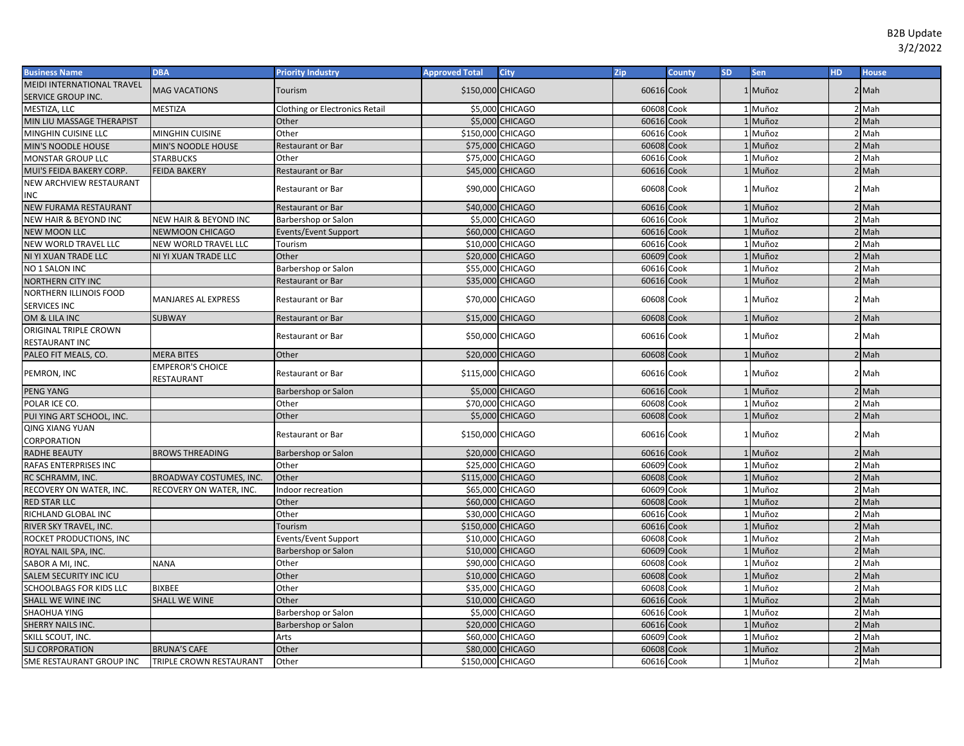| <b>Business Name</b>             | <b>DBA</b>                       | <b>Priority Industry</b>       | <b>Approved Total</b> | <b>City</b>      | Zip        | <b>County</b> | <b>SD</b> | Sen     | HD. | <b>House</b> |
|----------------------------------|----------------------------------|--------------------------------|-----------------------|------------------|------------|---------------|-----------|---------|-----|--------------|
| MEIDI INTERNATIONAL TRAVEL       | <b>MAG VACATIONS</b>             | Tourism                        | \$150,000 CHICAGO     |                  | 60616 Cook |               |           | 1 Muñoz |     | 2 Mah        |
| SERVICE GROUP INC.               |                                  |                                |                       |                  |            |               |           |         |     |              |
| MESTIZA, LLC                     | <b>MESTIZA</b>                   | Clothing or Electronics Retail |                       | \$5,000 CHICAGO  | 60608 Cook |               |           | 1 Muñoz |     | 2 Mah        |
| MIN LIU MASSAGE THERAPIST        |                                  | Other                          |                       | \$5,000 CHICAGO  | 60616 Cook |               |           | 1 Muñoz |     | 2 Mah        |
| MINGHIN CUISINE LLC              | <b>MINGHIN CUISINE</b>           | Other                          | \$150,000 CHICAGO     |                  | 60616 Cook |               |           | 1 Muñoz |     | 2 Mah        |
| <b>MIN'S NOODLE HOUSE</b>        | MIN'S NOODLE HOUSE               | <b>Restaurant or Bar</b>       |                       | \$75,000 CHICAGO | 60608 Cook |               |           | 1 Muñoz |     | 2 Mah        |
| <b>MONSTAR GROUP LLC</b>         | <b>STARBUCKS</b>                 | Other                          | \$75,000              | <b>CHICAGO</b>   | 60616      | Cook          |           | 1 Muñoz |     | 2 Mah        |
| MUI'S FEIDA BAKERY CORP.         | <b>FEIDA BAKERY</b>              | Restaurant or Bar              |                       | \$45,000 CHICAGO | 60616 Cook |               |           | Muñoz   |     | $2$ Mah      |
| NEW ARCHVIEW RESTAURANT          |                                  | Restaurant or Bar              |                       | \$90,000 CHICAGO | 60608 Cook |               |           | Muñoz   |     | 2 Mah        |
| INC                              |                                  |                                |                       |                  |            |               |           |         |     |              |
| <b>NEW FURAMA RESTAURANT</b>     |                                  | <b>Restaurant or Bar</b>       | \$40,000              | <b>CHICAGO</b>   | 60616 Cook |               |           | 1 Muñoz |     | 2 Mah        |
| <b>NEW HAIR &amp; BEYOND INC</b> | <b>NEW HAIR &amp; BEYOND INC</b> | Barbershop or Salon            | \$5,000               | <b>CHICAGO</b>   | 60616      | Cook          |           | Muñoz   |     | 2 Mah        |
| <b>NEW MOON LLC</b>              | NEWMOON CHICAGO                  | Events/Event Support           | \$60,000              | <b>CHICAGO</b>   | 60616      | Cook          |           | Muñoz   |     | Mah          |
| NEW WORLD TRAVEL LLC             | NEW WORLD TRAVEL LLC             | Tourism                        | \$10,000              | <b>CHICAGO</b>   | 60616      | Cook          |           | Muñoz   |     | 2 Mah        |
| NI YI XUAN TRADE LLC             | NI YI XUAN TRADE LLC             | Other                          |                       | \$20,000 CHICAGO | 60609      | Cook          |           | Muñoz   |     | Mah          |
| NO 1 SALON INC                   |                                  | Barbershop or Salon            |                       | \$55,000 CHICAGO | 60616      | Cook          |           | Muñoz   |     | 2 Mah        |
| <b>NORTHERN CITY INC</b>         |                                  | <b>Restaurant or Bar</b>       |                       | \$35,000 CHICAGO | 60616 Cook |               |           | Muñoz   |     | $2$ Mah      |
| NORTHERN ILLINOIS FOOD           | <b>MANJARES AL EXPRESS</b>       | <b>Restaurant or Bar</b>       |                       | \$70,000 CHICAGO | 60608 Cook |               |           | 1 Muñoz |     | 2 Mah        |
| SERVICES INC                     |                                  |                                |                       |                  |            |               |           |         |     |              |
| OM & LILA INC                    | <b>SUBWAY</b>                    | Restaurant or Bar              |                       | \$15,000 CHICAGO | 60608 Cook |               |           | 1 Muñoz |     | $2$ Mah      |
| ORIGINAL TRIPLE CROWN            |                                  | <b>Restaurant or Bar</b>       |                       | \$50,000 CHICAGO | 60616 Cook |               |           | 1 Muñoz |     | 2 Mah        |
| RESTAURANT INC                   |                                  |                                |                       |                  |            |               |           |         |     |              |
| PALEO FIT MEALS, CO.             | <b>MERA BITES</b>                | Other                          |                       | \$20,000 CHICAGO | 60608 Cook |               |           | 1 Muñoz |     | $2$ Mah      |
| PEMRON, INC                      | <b>EMPEROR'S CHOICE</b>          | Restaurant or Bar              | \$115,000 CHICAGO     |                  | 60616 Cook |               |           | 1 Muñoz |     | 2 Mah        |
|                                  | RESTAURANT                       |                                |                       |                  |            |               |           |         |     |              |
| <b>PENG YANG</b>                 |                                  | Barbershop or Salon            |                       | \$5,000 CHICAGO  | 60616 Cook |               |           | 1 Muñoz |     | $2$ Mah      |
| POLAR ICE CO.                    |                                  | Other                          |                       | \$70,000 CHICAGO | 60608 Cook |               |           | 1 Muñoz |     | 2 Mah        |
| PUI YING ART SCHOOL, INC.        |                                  | Other                          |                       | \$5,000 CHICAGO  | 60608 Cook |               |           | 1 Muñoz |     | 2 Mah        |
| <b>QING XIANG YUAN</b>           |                                  | <b>Restaurant or Bar</b>       | \$150,000 CHICAGO     |                  | 60616 Cook |               |           | 1 Muñoz |     | 2 Mah        |
| CORPORATION                      |                                  |                                |                       |                  |            |               |           |         |     |              |
| <b>RADHE BEAUTY</b>              | <b>BROWS THREADING</b>           | Barbershop or Salon            |                       | \$20,000 CHICAGO | 60616 Cook |               |           | 1 Muñoz |     | 2 Mah        |
| RAFAS ENTERPRISES INC            |                                  | Other                          |                       | \$25,000 CHICAGO | 60609      | Cook          |           | 1 Muñoz |     | 2 Mah        |
| RC SCHRAMM, INC.                 | <b>BROADWAY COSTUMES, INC</b>    | Other                          | \$115,000 CHICAGO     |                  | 60608      | Cook          |           | 1 Muñoz |     | $2$ Mah      |
| RECOVERY ON WATER, INC.          | RECOVERY ON WATER, INC.          | Indoor recreation              | \$65,000              | <b>CHICAGO</b>   | 60609      | Cook          |           | 1 Muñoz |     | $2$ Mah      |
| <b>RED STAR LLC</b>              |                                  | Other                          |                       | \$60,000 CHICAGO | 60608      | Cook          |           | Muñoz   |     | $2$ Mah      |
| RICHLAND GLOBAL INC              |                                  | Other                          | \$30,000              | <b>CHICAGO</b>   | 60616      | Cook          |           | Muñoz   |     | 2 Mah        |
| RIVER SKY TRAVEL, INC.           |                                  | Tourism                        | \$150,000 CHICAGO     |                  | 60616      | Cook          |           | Muñoz   |     | 2 Mah        |
| ROCKET PRODUCTIONS, INC          |                                  | Events/Event Support           | \$10,000              | <b>CHICAGO</b>   | 60608      | Cook          |           | Muñoz   |     | 2 Mah        |
| ROYAL NAIL SPA, INC.             |                                  | Barbershop or Salon            |                       | \$10,000 CHICAGO | 60609      | Cook          |           | Muñoz   |     | 2 Mah        |
| SABOR A MI, INC.                 | <b>NANA</b>                      | Other                          |                       | \$90,000 CHICAGO | 60608      | Cook          |           | 1 Muñoz |     | 2 Mah        |
| <b>SALEM SECURITY INC ICU</b>    |                                  | Other                          |                       | \$10,000 CHICAGO | 60608      | Cook          |           | Muñoz   |     | $2$ Mah      |
| <b>SCHOOLBAGS FOR KIDS LLC</b>   | <b>BIXBEE</b>                    | Other                          |                       | \$35,000 CHICAGO | 60608      | Cook          |           | 1 Muñoz |     | $2$ Mah      |
| SHALL WE WINE INC                | <b>SHALL WE WINE</b>             | Other                          |                       | \$10,000 CHICAGO | 60616      | Cook          |           | Muñoz   |     | $2$ Mah      |
| SHAOHUA YING                     |                                  | Barbershop or Salon            |                       | \$5,000 CHICAGO  | 60616 Cook |               |           | 1 Muñoz |     | $2$ Mah      |
| <b>SHERRY NAILS INC.</b>         |                                  | Barbershop or Salon            |                       | \$20,000 CHICAGO | 60616      | Cook          |           | 1 Muñoz |     | $2$ Mah      |
| SKILL SCOUT, INC.                |                                  | Arts                           |                       | \$60,000 CHICAGO | 60609      | Cook          |           | 1 Muñoz |     | 2 Mah        |
| <b>SLJ CORPORATION</b>           | <b>BRUNA'S CAFE</b>              | Other                          |                       | \$80,000 CHICAGO | 60608 Cook |               |           | Muñoz   |     | $2$ Mah      |
| SME RESTAURANT GROUP INC         | TRIPLE CROWN RESTAURANT          | Other                          | \$150,000 CHICAGO     |                  | 60616 Cook |               |           | 1 Muñoz |     | 2 Mah        |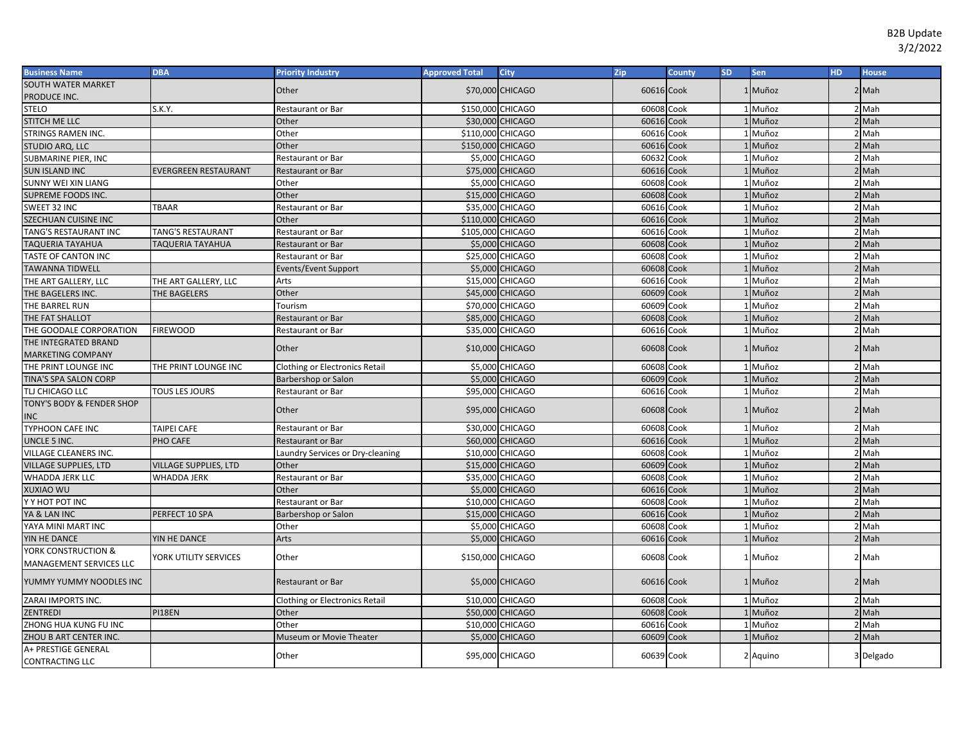| <b>Business Name</b>                   | <b>DBA</b>                  | <b>Priority Industry</b>              | <b>Approved Total</b> | <b>City</b>            | Zip        | County | <b>SD</b> | <b>Sen</b> | <b>HD</b> | <b>House</b> |
|----------------------------------------|-----------------------------|---------------------------------------|-----------------------|------------------------|------------|--------|-----------|------------|-----------|--------------|
| SOUTH WATER MARKET                     |                             | Other                                 |                       | \$70,000 CHICAGO       | 60616 Cook |        |           | 1 Muñoz    |           | $2$ Mah      |
| PRODUCE INC.                           |                             |                                       |                       |                        |            |        |           |            |           |              |
| <b>STELO</b>                           | S.K.Y.                      | Restaurant or Bar                     | \$150,000 CHICAGO     |                        | 60608 Cook |        |           | 1 Muñoz    |           | 2 Mah        |
| STITCH ME LLC                          |                             | Other                                 |                       | \$30,000 CHICAGO       | 60616 Cook |        |           | 1 Muñoz    |           | $2$ Mah      |
| STRINGS RAMEN INC.                     |                             | Other                                 | \$110,000 CHICAGO     |                        | 60616 Cook |        |           | 1 Muñoz    |           | 2 Mah        |
| STUDIO ARQ, LLC                        |                             | Other                                 | \$150,000 CHICAGO     |                        | 60616 Cook |        |           | 1 Muñoz    |           | 2 Mah        |
| SUBMARINE PIER, INC                    |                             | <b>Restaurant or Bar</b>              |                       | \$5,000 CHICAGO        | 60632 Cook |        |           | 1 Muñoz    |           | 2 Mah        |
| <b>SUN ISLAND INC</b>                  | <b>EVERGREEN RESTAURANT</b> | <b>Restaurant or Bar</b>              |                       | \$75,000 CHICAGO       | 60616 Cook |        |           | 1 Muñoz    |           | 2 Mah        |
| SUNNY WEI XIN LIANG                    |                             | Other                                 |                       | \$5,000 CHICAGO        | 60608 Cook |        |           | 1 Muñoz    |           | 2 Mah        |
| SUPREME FOODS INC.                     |                             | Other                                 |                       | \$15,000 CHICAGO       | 60608 Cook |        |           | 1 Muñoz    |           | 2 Mah        |
| SWEET 32 INC                           | TBAAR                       | Restaurant or Bar                     |                       | \$35,000 CHICAGO       | 60616      | Cook   |           | 1 Muñoz    |           | 2 Mah        |
| <b>SZECHUAN CUISINE INC</b>            |                             | Other                                 | \$110,000 CHICAGO     |                        | 60616      | Cook   |           | Muñoz      |           | $2$ Mah      |
| <b>TANG'S RESTAURANT INC</b>           | <b>TANG'S RESTAURANT</b>    | Restaurant or Bar                     | \$105,000 CHICAGO     |                        | 60616      | Cook   |           | Muñoz      |           | 2 Mah        |
| TAQUERIA TAYAHUA                       | TAQUERIA TAYAHUA            | <b>Restaurant or Bar</b>              |                       | \$5,000 CHICAGO        | 60608      | Cook   |           | Muñoz      |           | 2 Mah        |
| <b>TASTE OF CANTON INC</b>             |                             | Restaurant or Bar                     |                       | \$25,000 CHICAGO       | 60608      | Cook   |           | Muñoz      |           | 2 Mah        |
| <b>TAWANNA TIDWELL</b>                 |                             | Events/Event Support                  |                       | \$5,000 CHICAGO        | 60608      | Cook   |           | Muñoz      |           | 2 Mah        |
| THE ART GALLERY, LLC                   | THE ART GALLERY, LLC        | Arts                                  |                       | \$15,000 CHICAGO       | 60616      | Cook   |           | 1 Muñoz    |           | 2 Mah        |
| THE BAGELERS INC.                      | THE BAGELERS                | Other                                 |                       | \$45,000 CHICAGO       | 60609 Cook |        |           | Muñoz      |           | 2 Mah        |
| THE BARREL RUN                         |                             | Tourism                               |                       | \$70,000 CHICAGO       | 60609 Cook |        |           | 1 Muñoz    |           | 2 Mah        |
| THE FAT SHALLOT                        |                             | <b>Restaurant or Bar</b>              |                       | \$85,000 CHICAGO       | 60608      | Cook   |           | 1 Muñoz    |           | 2 Mah        |
| THE GOODALE CORPORATION                | <b>FIREWOOD</b>             | <b>Restaurant or Bar</b>              |                       | \$35,000 CHICAGO       | 60616 Cook |        |           | 1 Muñoz    |           | 2 Mah        |
| THE INTEGRATED BRAND                   |                             |                                       |                       |                        | 60608 Cook |        |           | 1 Muñoz    |           | $2$ Mah      |
| <b>MARKETING COMPANY</b>               |                             | Other                                 |                       | \$10,000 CHICAGO       |            |        |           |            |           |              |
| THE PRINT LOUNGE INC                   | THE PRINT LOUNGE INC        | <b>Clothing or Electronics Retail</b> |                       | \$5,000 CHICAGO        | 60608      | Cook   |           | 1 Muñoz    |           | 2 Mah        |
| TINA'S SPA SALON CORP                  |                             | Barbershop or Salon                   |                       | \$5,000 CHICAGO        | 60609 Cook |        |           | 1 Muñoz    |           | $2$ Mah      |
| TLJ CHICAGO LLC                        | <b>TOUS LES JOURS</b>       | Restaurant or Bar                     |                       | \$95,000 CHICAGO       | 60616 Cook |        |           | 1 Muñoz    |           | 2 Mah        |
| TONY'S BODY & FENDER SHOP              |                             | Other                                 |                       | \$95,000 CHICAGO       | 60608 Cook |        |           | 1 Muñoz    |           | 2 Mah        |
| <b>NC</b>                              |                             |                                       |                       |                        |            |        |           |            |           |              |
| TYPHOON CAFE INC                       | TAIPEI CAFE                 | Restaurant or Bar                     |                       | \$30,000 CHICAGO       | 60608 Cook |        |           | 1 Muñoz    |           | 2 Mah        |
| UNCLE 5 INC.                           | PHO CAFE                    | <b>Restaurant or Bar</b>              |                       | \$60,000 CHICAGO       | 60616 Cook |        |           | 1 Muñoz    |           | 2 Mah        |
| VILLAGE CLEANERS INC.                  |                             | Laundry Services or Dry-cleaning      |                       | \$10,000 CHICAGO       | 60608 Cook |        |           | 1 Muñoz    |           | 2 Mah        |
| <b>VILLAGE SUPPLIES, LTD</b>           | VILLAGE SUPPLIES, LTD       | Other                                 |                       | \$15,000 CHICAGO       | 60609 Cook |        |           | 1 Muñoz    |           | 2 Mah        |
| WHADDA JERK LLC                        | WHADDA JERK                 | Restaurant or Bar                     |                       | \$35,000 CHICAGO       | 60608 Cook |        |           | 1 Muñoz    |           | 2 Mah        |
| UW OAIXUX                              |                             | Other                                 |                       | \$5,000 CHICAGO        | 60616 Cook |        |           | 1 Muñoz    |           | 2 Mah        |
| Y Y HOT POT INC                        |                             | Restaurant or Bar                     |                       | \$10,000 CHICAGO       | 60608 Cook |        |           | 1 Muñoz    |           | 2 Mah        |
| YA & LAN INC                           | PERFECT 10 SPA              | Barbershop or Salon                   |                       | \$15,000 CHICAGO       | 60616      | Cook   |           | Muñoz      |           | 2 Mah        |
| YAYA MINI MART INC                     |                             | Other                                 |                       | \$5,000 CHICAGO        | 60608      | Cook   |           | Muñoz      |           | 2 Mah        |
| YIN HE DANCE                           | YIN HE DANCE                | Arts                                  |                       | <b>\$5,000 CHICAGO</b> | 60616      | Cook   |           | Muñoz      |           | 2 Mah        |
| YORK CONSTRUCTION &                    | YORK UTILITY SERVICES       | Other                                 | \$150,000 CHICAGO     |                        | 60608 Cook |        |           | 1 Muñoz    |           | 2 Mah        |
| MANAGEMENT SERVICES LLC                |                             |                                       |                       |                        |            |        |           |            |           |              |
| YUMMY YUMMY NOODLES INC                |                             | <b>Restaurant or Bar</b>              |                       | \$5,000 CHICAGO        | 60616 Cook |        |           | 1 Muñoz    |           | 2 Mah        |
| ZARAI IMPORTS INC.                     |                             | <b>Clothing or Electronics Retail</b> |                       | \$10,000 CHICAGO       | 60608 Cook |        |           | 1 Muñoz    |           | 2 Mah        |
| <b>ZENTREDI</b>                        | PI18EN                      | Other                                 |                       | \$50,000 CHICAGO       | 60608 Cook |        |           | 1 Muñoz    |           | $2$ Mah      |
| ZHONG HUA KUNG FU INC                  |                             | Other                                 |                       | \$10,000 CHICAGO       | 60616      | Cook   |           | 1 Muñoz    |           | $2$ Mah      |
| ZHOU B ART CENTER INC.                 |                             | Museum or Movie Theater               |                       | \$5,000 CHICAGO        | 60609 Cook |        |           | 1 Muñoz    |           | 2 Mah        |
| A+ PRESTIGE GENERAL<br>CONTRACTING LLC |                             | Other                                 |                       | \$95,000 CHICAGO       | 60639 Cook |        |           | 2 Aquino   |           | 3 Delgado    |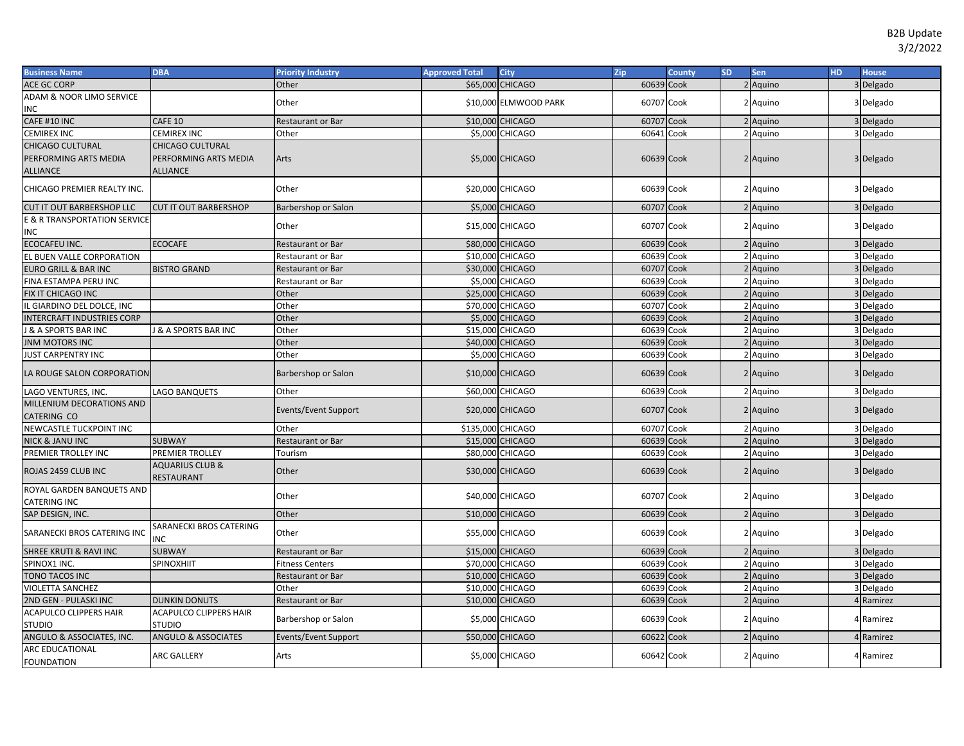| <b>Business Name</b>                | <b>DBA</b>                               | <b>Priority Industry</b> | <b>Approved Total</b> | City                   | Zip        | County | <b>SD</b> | Sen      | <b>HD</b> | <b>House</b> |
|-------------------------------------|------------------------------------------|--------------------------|-----------------------|------------------------|------------|--------|-----------|----------|-----------|--------------|
| <b>ACE GC CORP</b>                  |                                          | Other                    | \$65,000              | <b>CHICAGO</b>         | 60639 Cook |        |           | 2 Aquino |           | 3 Delgado    |
| <b>ADAM &amp; NOOR LIMO SERVICE</b> |                                          |                          |                       |                        |            |        |           |          |           |              |
| INC                                 |                                          | Other                    |                       | \$10,000 ELMWOOD PARK  | 60707 Cook |        |           | 2 Aquino |           | 3 Delgado    |
| CAFE #10 INC                        | <b>CAFE 10</b>                           | <b>Restaurant or Bar</b> |                       | \$10,000 CHICAGO       | 60707      | Cook   |           | Aquino   |           | 3 Delgado    |
| <b>CEMIREX INC</b>                  | <b>CEMIREX INC</b>                       | Other                    |                       | \$5,000 CHICAGO        | 60641      | Cook   |           | 2 Aquino |           | 3 Delgado    |
| <b>CHICAGO CULTURAL</b>             | <b>CHICAGO CULTURAL</b>                  |                          |                       |                        |            |        |           |          |           |              |
| PERFORMING ARTS MEDIA               | PERFORMING ARTS MEDIA                    | Arts                     |                       | \$5,000 CHICAGO        | 60639 Cook |        |           | 2 Aquino |           | 3 Delgado    |
| <b>ALLIANCE</b>                     | <b>ALLIANCE</b>                          |                          |                       |                        |            |        |           |          |           |              |
| CHICAGO PREMIER REALTY INC.         |                                          | Other                    |                       | \$20,000 CHICAGO       | 60639 Cook |        |           | 2 Aquino |           | 3 Delgado    |
| <b>CUT IT OUT BARBERSHOP LLC</b>    | <b>CUT IT OUT BARBERSHOP</b>             | Barbershop or Salon      |                       | \$5,000 CHICAGO        | 60707 Cook |        |           | 2 Aquino |           | 3 Delgado    |
| E & R TRANSPORTATION SERVICE        |                                          |                          |                       |                        |            |        |           |          |           |              |
| ΝC                                  |                                          | Other                    |                       | \$15,000 CHICAGO       | 60707 Cook |        |           | 2 Aquino |           | 3 Delgado    |
| ECOCAFEU INC.                       | <b>ECOCAFE</b>                           | Restaurant or Bar        |                       | \$80,000 CHICAGO       | 60639 Cook |        |           | 2 Aquino |           | 3 Delgado    |
| EL BUEN VALLE CORPORATION           |                                          | Restaurant or Bar        |                       | \$10,000 CHICAGO       | 60639 Cook |        |           | 2 Aquino |           | 3 Delgado    |
| <b>EURO GRILL &amp; BAR INC</b>     | <b>BISTRO GRAND</b>                      | <b>Restaurant or Bar</b> |                       | \$30,000 CHICAGO       | 60707      | Cook   |           | 2 Aquino |           | 3 Delgado    |
| FINA ESTAMPA PERU INC               |                                          | Restaurant or Bar        |                       | \$5,000 CHICAGO        | 60639 Cook |        |           | 2 Aquino |           | 3 Delgado    |
| FIX IT CHICAGO INC                  |                                          | Other                    |                       | \$25,000 CHICAGO       | 60639 Cook |        |           | 2 Aquino |           | 3 Delgado    |
| L GIARDINO DEL DOLCE, INC           |                                          | Other                    |                       | \$70,000 CHICAGO       | 60707 Cook |        |           | 2 Aquino |           | 3 Delgado    |
| NTERCRAFT INDUSTRIES CORP           |                                          | Other                    |                       | <b>\$5,000 CHICAGO</b> | 60639 Cook |        |           | 2 Aquino |           | 3 Delgado    |
| & A SPORTS BAR INC                  | <b>J &amp; A SPORTS BAR INC</b>          | Other                    |                       | \$15,000 CHICAGO       | 60639 Cook |        |           | 2 Aquino |           | 3 Delgado    |
| INM MOTORS INC                      |                                          | Other                    |                       | \$40,000 CHICAGO       | 60639 Cook |        |           | 2 Aquino |           | 3 Delgado    |
| <b>JUST CARPENTRY INC</b>           |                                          | Other                    |                       | \$5,000 CHICAGO        | 60639 Cook |        |           | 2 Aquino |           | 3 Delgado    |
|                                     |                                          |                          |                       |                        |            |        |           |          |           |              |
| LA ROUGE SALON CORPORATION          |                                          | Barbershop or Salon      |                       | \$10,000 CHICAGO       | 60639 Cook |        |           | 2 Aquino |           | 3 Delgado    |
| LAGO VENTURES, INC.                 | LAGO BANQUETS                            | Other                    |                       | \$60,000 CHICAGO       | 60639 Cook |        |           | 2 Aquino |           | 3 Delgado    |
| MILLENIUM DECORATIONS AND           |                                          | Events/Event Support     |                       | \$20,000 CHICAGO       | 60707 Cook |        |           | 2 Aquino |           | 3 Delgado    |
| CATERING CO                         |                                          |                          |                       |                        |            |        |           |          |           |              |
| NEWCASTLE TUCKPOINT INC             |                                          | Other                    | \$135,000 CHICAGO     |                        | 60707 Cook |        |           | 2 Aquino |           | 3 Delgado    |
| <b>NICK &amp; JANU INC</b>          | <b>SUBWAY</b>                            | <b>Restaurant or Bar</b> |                       | \$15,000 CHICAGO       | 60639 Cook |        |           | Aquino   |           | 3 Delgado    |
| PREMIER TROLLEY INC                 | PREMIER TROLLEY                          | Tourism                  |                       | \$80,000 CHICAGO       | 60639 Cook |        |           | 2 Aquino |           | 3 Delgado    |
| ROJAS 2459 CLUB INC                 | <b>AQUARIUS CLUB &amp;</b><br>RESTAURANT | Other                    |                       | \$30,000 CHICAGO       | 60639 Cook |        |           | 2 Aquino |           | 3 Delgado    |
| ROYAL GARDEN BANQUETS AND           |                                          | Other                    |                       | \$40,000 CHICAGO       | 60707 Cook |        |           | 2 Aquino |           | 3 Delgado    |
| CATERING INC                        |                                          |                          |                       |                        |            |        |           |          |           |              |
| SAP DESIGN, INC.                    |                                          | Other                    |                       | \$10,000 CHICAGO       | 60639 Cook |        |           | 2 Aquino |           | 3 Delgado    |
| SARANECKI BROS CATERING INC         | SARANECKI BROS CATERING<br>INC           | Other                    |                       | \$55,000 CHICAGO       | 60639 Cook |        |           | 2 Aguino |           | 3 Delgado    |
| SHREE KRUTI & RAVI INC              | <b>SUBWAY</b>                            | Restaurant or Bar        |                       | \$15,000 CHICAGO       | 60639 Cook |        |           | 2 Aquino |           | 3 Delgado    |
| SPINOX1 INC.                        | <b>SPINOXHIIT</b>                        | <b>Fitness Centers</b>   |                       | \$70,000 CHICAGO       | 60639 Cook |        |           | 2 Aquino |           | 3 Delgado    |
| <b>TONO TACOS INC</b>               |                                          | Restaurant or Bar        |                       | \$10,000 CHICAGO       | 60639 Cook |        |           | 2 Aquino |           | 3 Delgado    |
| VIOLETTA SANCHEZ                    |                                          | Other                    |                       | \$10,000 CHICAGO       | 60639 Cook |        |           | 2 Aquino |           | 3 Delgado    |
| 2ND GEN - PULASKI INC               | <b>DUNKIN DONUTS</b>                     | <b>Restaurant or Bar</b> |                       | \$10,000 CHICAGO       | 60639 Cook |        |           | 2 Aquino |           | 4 Ramirez    |
| ACAPULCO CLIPPERS HAIR              | ACAPULCO CLIPPERS HAIR                   |                          |                       |                        |            |        |           |          |           |              |
| <b>STUDIO</b>                       | <b>STUDIO</b>                            | Barbershop or Salon      |                       | \$5,000 CHICAGO        | 60639 Cook |        |           | 2 Aquino |           | 4 Ramirez    |
| ANGULO & ASSOCIATES, INC.           | <b>ANGULO &amp; ASSOCIATES</b>           | Events/Event Support     |                       | \$50,000 CHICAGO       | 60622 Cook |        |           | 2 Aquino |           | 4 Ramirez    |
| <b>ARC EDUCATIONAL</b>              |                                          |                          |                       |                        |            |        |           |          |           |              |
| <b>FOUNDATION</b>                   | <b>ARC GALLERY</b>                       | Arts                     |                       | \$5,000 CHICAGO        | 60642 Cook |        |           | 2 Aquino |           | 4 Ramirez    |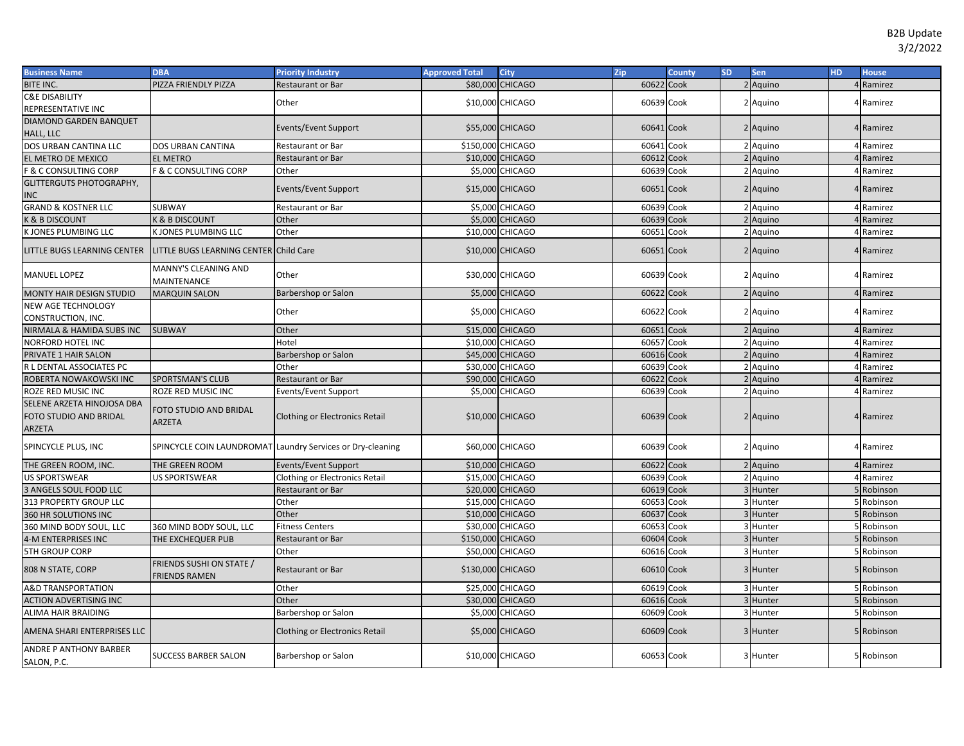| <b>Business Name</b>                                           | <b>DBA</b>                                       | <b>Priority Industry</b>                                   | <b>Approved Total</b> | City                   | Zip        | <b>County</b> | SD. | Sen      | <b>HD</b> | <b>House</b> |
|----------------------------------------------------------------|--------------------------------------------------|------------------------------------------------------------|-----------------------|------------------------|------------|---------------|-----|----------|-----------|--------------|
| BITE INC.                                                      | PIZZA FRIENDLY PIZZA                             | Restaurant or Bar                                          |                       | \$80,000 CHICAGO       | 60622 Cook |               |     | 2 Aquino |           | 4 Ramirez    |
| <b>C&amp;E DISABILITY</b>                                      |                                                  | Other                                                      |                       | \$10,000 CHICAGO       | 60639 Cook |               |     | 2 Aquino |           | 4 Ramirez    |
| REPRESENTATIVE INC                                             |                                                  |                                                            |                       |                        |            |               |     |          |           |              |
| DIAMOND GARDEN BANQUET                                         |                                                  | Events/Event Support                                       |                       | \$55,000 CHICAGO       | 60641 Cook |               |     | 2 Aquino |           | 4 Ramirez    |
| HALL, LLC                                                      |                                                  |                                                            |                       |                        |            |               |     |          |           |              |
| DOS URBAN CANTINA LLC                                          | <b>DOS URBAN CANTINA</b>                         | Restaurant or Bar                                          | \$150,000 CHICAGO     |                        | 60641 Cook |               |     | 2 Aquino |           | 4 Ramirez    |
| EL METRO DE MEXICO                                             | <b>EL METRO</b>                                  | Restaurant or Bar                                          |                       | \$10,000 CHICAGO       | 60612      | Cook          |     | 2 Aquino |           | 4 Ramirez    |
| <b>F &amp; C CONSULTING CORP</b>                               | <b>F &amp; C CONSULTING CORP</b>                 | Other                                                      |                       | \$5,000 CHICAGO        | 60639 Cook |               |     | 2 Aquino |           | 4 Ramirez    |
| <b>GLITTERGUTS PHOTOGRAPHY,</b>                                |                                                  | Events/Event Support                                       |                       | \$15,000 CHICAGO       | 60651 Cook |               |     | 2 Aquino |           | 4 Ramirez    |
| INC                                                            |                                                  |                                                            |                       |                        |            |               |     |          |           |              |
| <b>GRAND &amp; KOSTNER LLC</b>                                 | <b>SUBWAY</b>                                    | Restaurant or Bar                                          |                       | \$5,000 CHICAGO        | 60639      | Cook          |     | 2 Aquino |           | 4 Ramirez    |
| K & B DISCOUNT                                                 | <b>K &amp; B DISCOUNT</b>                        | Other                                                      |                       | \$5,000 CHICAGO        | 60639      | Cook          |     | Aquino   |           | 4 Ramirez    |
| K JONES PLUMBING LLC                                           | K JONES PLUMBING LLC                             | Other                                                      |                       | \$10,000 CHICAGO       | 60651      | Cook          |     | 2 Aquino |           | 4 Ramirez    |
| <b>LITTLE BUGS LEARNING CENTER</b>                             | LITTLE BUGS LEARNING CENTER Child Care           |                                                            |                       | \$10,000 CHICAGO       | 60651 Cook |               |     | 2 Aquino |           | 4 Ramirez    |
| <b>MANUEL LOPEZ</b>                                            | MANNY'S CLEANING AND<br>MAINTENANCE              | Other                                                      |                       | \$30,000 CHICAGO       | 60639 Cook |               |     | 2 Aquino |           | 4 Ramirez    |
| MONTY HAIR DESIGN STUDIO                                       | <b>MARQUIN SALON</b>                             | Barbershop or Salon                                        |                       | \$5,000 CHICAGO        | 60622 Cook |               |     | 2 Aquino |           | 4 Ramirez    |
| NEW AGE TECHNOLOGY                                             |                                                  | Other                                                      |                       | \$5,000 CHICAGO        | 60622 Cook |               |     | 2 Aquino |           | 4 Ramirez    |
| CONSTRUCTION, INC.                                             |                                                  |                                                            |                       |                        |            |               |     |          |           |              |
| NIRMALA & HAMIDA SUBS INC                                      | <b>SUBWAY</b>                                    | Other                                                      |                       | \$15,000 CHICAGO       | 60651 Cook |               |     | 2 Aquino |           | 4 Ramirez    |
| NORFORD HOTEL INC                                              |                                                  | Hotel                                                      |                       | \$10,000 CHICAGO       | 60657      | Cook          |     | 2 Aquino |           | 4 Ramirez    |
| PRIVATE 1 HAIR SALON                                           |                                                  | Barbershop or Salon                                        |                       | \$45,000 CHICAGO       | 60616 Cook |               |     | 2 Aquino |           | 4 Ramirez    |
| R L DENTAL ASSOCIATES PC                                       |                                                  | Other                                                      |                       | \$30,000 CHICAGO       | 60639      | Cook          |     | 2 Aquino |           | 4 Ramirez    |
| ROBERTA NOWAKOWSKI INC                                         | <b>SPORTSMAN'S CLUB</b>                          | Restaurant or Bar                                          |                       | \$90,000 CHICAGO       | 60622 Cook |               |     | 2 Aquino |           | 4 Ramirez    |
| ROZE RED MUSIC INC                                             | ROZE RED MUSIC INC                               | Events/Event Support                                       |                       | \$5,000 CHICAGO        | 60639 Cook |               |     | 2 Aquino |           | 4 Ramirez    |
| SELENE ARZETA HINOJOSA DBA<br>FOTO STUDIO AND BRIDAL<br>ARZETA | FOTO STUDIO AND BRIDAL<br><b>ARZETA</b>          | <b>Clothing or Electronics Retail</b>                      |                       | \$10,000 CHICAGO       | 60639 Cook |               |     | 2 Aquino |           | 4 Ramirez    |
| SPINCYCLE PLUS, INC                                            |                                                  | SPINCYCLE COIN LAUNDROMAT Laundry Services or Dry-cleaning |                       | \$60,000 CHICAGO       | 60639 Cook |               |     | 2 Aquino |           | 4 Ramirez    |
| THE GREEN ROOM, INC.                                           | THE GREEN ROOM                                   | Events/Event Support                                       |                       | \$10,000 CHICAGO       | 60622 Cook |               |     | 2 Aquino |           | 4 Ramirez    |
| US SPORTSWEAR                                                  | <b>US SPORTSWEAR</b>                             | <b>Clothing or Electronics Retail</b>                      |                       | \$15,000 CHICAGO       | 60639      | Cook          |     | 2 Aquino |           | 4 Ramirez    |
| 3 ANGELS SOUL FOOD LLC                                         |                                                  | Restaurant or Bar                                          |                       | \$20,000 CHICAGO       | 60619      | Cook          |     | 3 Hunter |           | 5 Robinson   |
| 313 PROPERTY GROUP LLC                                         |                                                  | Other                                                      |                       | \$15,000 CHICAGO       | 60653      | Cook          |     | 3 Hunter |           | 5 Robinson   |
| 360 HR SOLUTIONS INC                                           |                                                  | Other                                                      |                       | \$10,000 CHICAGO       | 60637      | Cook          |     | 3 Hunter |           | Robinson     |
| 360 MIND BODY SOUL, LLC                                        | 360 MIND BODY SOUL, LLC                          | <b>Fitness Centers</b>                                     |                       | \$30,000 CHICAGO       | 60653      | Cook          |     | 3 Hunter |           | 5 Robinson   |
| 4-M ENTERPRISES INC                                            | THE EXCHEQUER PUB                                | <b>Restaurant or Bar</b>                                   | \$150,000 CHICAGO     |                        | 60604      | Cook          |     | 3 Hunter |           | 5 Robinson   |
| <b>5TH GROUP CORP</b>                                          |                                                  | Other                                                      |                       | \$50,000 CHICAGO       | 60616      | Cook          |     | 3 Hunter |           | 5 Robinson   |
| 808 N STATE, CORP                                              | FRIENDS SUSHI ON STATE /<br><b>FRIENDS RAMEN</b> | <b>Restaurant or Bar</b>                                   | \$130,000 CHICAGO     |                        | 60610 Cook |               |     | 3 Hunter |           | 5 Robinson   |
| <b>A&amp;D TRANSPORTATION</b>                                  |                                                  | Other                                                      |                       | \$25,000 CHICAGO       | 60619 Cook |               |     | 3 Hunter |           | 5 Robinson   |
| <b>ACTION ADVERTISING INC</b>                                  |                                                  | Other                                                      |                       | \$30,000 CHICAGO       | 60616 Cook |               |     | 3 Hunter |           | 5 Robinson   |
| ALIMA HAIR BRAIDING                                            |                                                  | Barbershop or Salon                                        |                       | \$5,000 CHICAGO        | 60609 Cook |               |     | 3 Hunter |           | 5 Robinson   |
| AMENA SHARI ENTERPRISES LLC                                    |                                                  | <b>Clothing or Electronics Retail</b>                      |                       | <b>\$5,000 CHICAGO</b> | 60609 Cook |               |     | 3 Hunter |           | 5 Robinson   |
| ANDRE P ANTHONY BARBER<br>SALON, P.C.                          | <b>SUCCESS BARBER SALON</b>                      | Barbershop or Salon                                        |                       | \$10,000 CHICAGO       | 60653 Cook |               |     | 3 Hunter |           | 5 Robinson   |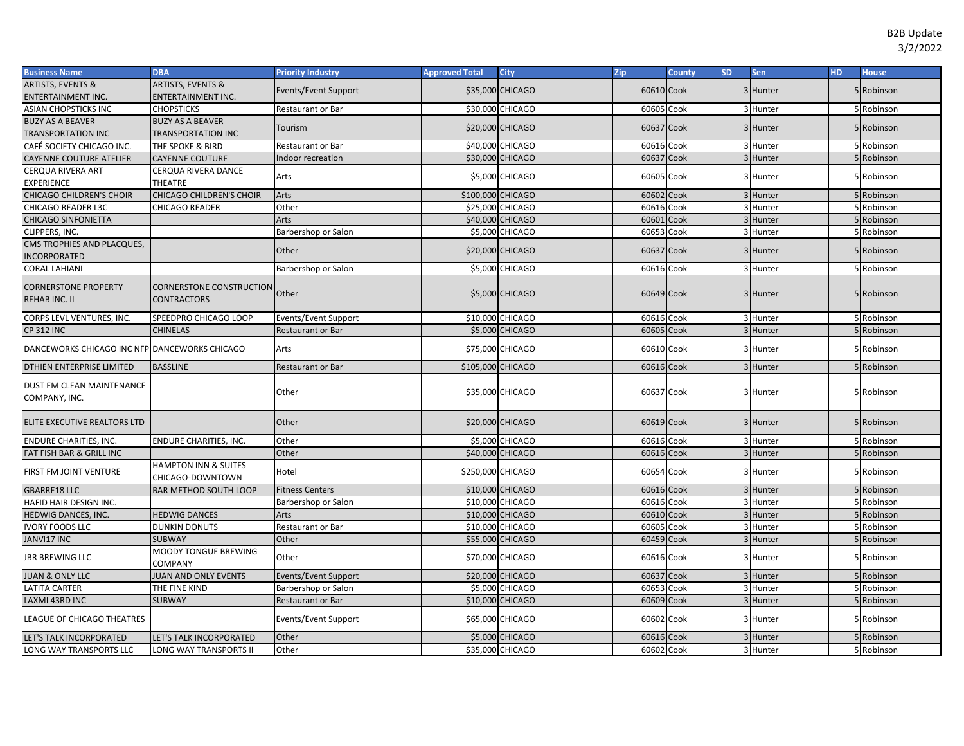| <b>ARTISTS, EVENTS &amp;</b><br><b>ARTISTS, EVENTS &amp;</b><br>Events/Event Support<br>\$35,000 CHICAGO<br>60610 Cook<br>3 Hunter<br>5 Robinson<br>ENTERTAINMENT INC.<br>ENTERTAINMENT INC.<br>\$30,000 CHICAGO<br>Cook<br>ASIAN CHOPSTICKS INC<br><b>CHOPSTICKS</b><br>60605<br>3 Hunter<br>5 Robinson<br><b>Restaurant or Bar</b><br><b>BUZY AS A BEAVER</b><br><b>BUZY AS A BEAVER</b><br>\$20,000 CHICAGO<br>60637 Cook<br>3 Hunter<br>5 Robinson<br>Tourism<br><b>TRANSPORTATION INC</b><br><b>TRANSPORTATION INC</b><br>\$40,000 CHICAGO<br>3 Hunter<br>CAFÉ SOCIETY CHICAGO INC.<br>THE SPOKE & BIRD<br>60616 Cook<br>5 Robinson<br><b>Restaurant or Bar</b><br>\$30,000 CHICAGO<br>60637<br>Cook<br>3 Hunter<br>5 Robinson<br>Indoor recreation<br><b>CAYENNE COUTURE ATELIER</b><br><b>CAYENNE COUTURE</b><br><b>CERQUA RIVERA ART</b><br>CERQUA RIVERA DANCE<br>\$5,000 CHICAGO<br>60605 Cook<br>Arts<br>3 Hunter<br>Robinson<br>THEATRE<br><b>EXPERIENCE</b><br><b>CHICAGO CHILDREN'S CHOIR</b><br>CHICAGO CHILDREN'S CHOIR<br>\$100,000 CHICAGO<br>60602<br>Cook<br>Arts<br>3 Hunter<br>5 Robinson<br>Other<br>60616<br>Cook<br>3 Hunter<br>CHICAGO READER L3C<br>CHICAGO READER<br>\$25,000 CHICAGO<br>5 Robinson | <b>Business Name</b><br><b>DBA</b> |
|---------------------------------------------------------------------------------------------------------------------------------------------------------------------------------------------------------------------------------------------------------------------------------------------------------------------------------------------------------------------------------------------------------------------------------------------------------------------------------------------------------------------------------------------------------------------------------------------------------------------------------------------------------------------------------------------------------------------------------------------------------------------------------------------------------------------------------------------------------------------------------------------------------------------------------------------------------------------------------------------------------------------------------------------------------------------------------------------------------------------------------------------------------------------------------------------------------------------------------|------------------------------------|
|                                                                                                                                                                                                                                                                                                                                                                                                                                                                                                                                                                                                                                                                                                                                                                                                                                                                                                                                                                                                                                                                                                                                                                                                                                 |                                    |
|                                                                                                                                                                                                                                                                                                                                                                                                                                                                                                                                                                                                                                                                                                                                                                                                                                                                                                                                                                                                                                                                                                                                                                                                                                 |                                    |
|                                                                                                                                                                                                                                                                                                                                                                                                                                                                                                                                                                                                                                                                                                                                                                                                                                                                                                                                                                                                                                                                                                                                                                                                                                 |                                    |
|                                                                                                                                                                                                                                                                                                                                                                                                                                                                                                                                                                                                                                                                                                                                                                                                                                                                                                                                                                                                                                                                                                                                                                                                                                 |                                    |
|                                                                                                                                                                                                                                                                                                                                                                                                                                                                                                                                                                                                                                                                                                                                                                                                                                                                                                                                                                                                                                                                                                                                                                                                                                 |                                    |
|                                                                                                                                                                                                                                                                                                                                                                                                                                                                                                                                                                                                                                                                                                                                                                                                                                                                                                                                                                                                                                                                                                                                                                                                                                 |                                    |
|                                                                                                                                                                                                                                                                                                                                                                                                                                                                                                                                                                                                                                                                                                                                                                                                                                                                                                                                                                                                                                                                                                                                                                                                                                 |                                    |
|                                                                                                                                                                                                                                                                                                                                                                                                                                                                                                                                                                                                                                                                                                                                                                                                                                                                                                                                                                                                                                                                                                                                                                                                                                 |                                    |
|                                                                                                                                                                                                                                                                                                                                                                                                                                                                                                                                                                                                                                                                                                                                                                                                                                                                                                                                                                                                                                                                                                                                                                                                                                 |                                    |
|                                                                                                                                                                                                                                                                                                                                                                                                                                                                                                                                                                                                                                                                                                                                                                                                                                                                                                                                                                                                                                                                                                                                                                                                                                 |                                    |
|                                                                                                                                                                                                                                                                                                                                                                                                                                                                                                                                                                                                                                                                                                                                                                                                                                                                                                                                                                                                                                                                                                                                                                                                                                 |                                    |
| \$40,000 CHICAGO<br>60601<br>Cook<br><b>CHICAGO SINFONIETTA</b><br>Arts<br>3 Hunter<br>5 Robinson                                                                                                                                                                                                                                                                                                                                                                                                                                                                                                                                                                                                                                                                                                                                                                                                                                                                                                                                                                                                                                                                                                                               |                                    |
| CLIPPERS, INC.<br>Barbershop or Salon<br>\$5,000 CHICAGO<br>60653<br>Cook<br>3 Hunter<br>Robinson                                                                                                                                                                                                                                                                                                                                                                                                                                                                                                                                                                                                                                                                                                                                                                                                                                                                                                                                                                                                                                                                                                                               |                                    |
| CMS TROPHIES AND PLACQUES,<br>Cook<br>Other<br>\$20,000 CHICAGO<br>60637<br>3 Hunter<br>5 Robinson                                                                                                                                                                                                                                                                                                                                                                                                                                                                                                                                                                                                                                                                                                                                                                                                                                                                                                                                                                                                                                                                                                                              |                                    |
| <b>INCORPORATED</b>                                                                                                                                                                                                                                                                                                                                                                                                                                                                                                                                                                                                                                                                                                                                                                                                                                                                                                                                                                                                                                                                                                                                                                                                             |                                    |
| Barbershop or Salon<br>\$5,000 CHICAGO<br>60616 Cook<br>3 Hunter<br>5 Robinson<br><b>CORAL LAHIANI</b>                                                                                                                                                                                                                                                                                                                                                                                                                                                                                                                                                                                                                                                                                                                                                                                                                                                                                                                                                                                                                                                                                                                          |                                    |
| <b>CORNERSTONE PROPERTY</b><br>CORNERSTONE CONSTRUCTION                                                                                                                                                                                                                                                                                                                                                                                                                                                                                                                                                                                                                                                                                                                                                                                                                                                                                                                                                                                                                                                                                                                                                                         |                                    |
| Other<br>\$5,000 CHICAGO<br>60649 Cook<br>3 Hunter<br>5 Robinson<br><b>REHAB INC. II</b><br><b>CONTRACTORS</b>                                                                                                                                                                                                                                                                                                                                                                                                                                                                                                                                                                                                                                                                                                                                                                                                                                                                                                                                                                                                                                                                                                                  |                                    |
|                                                                                                                                                                                                                                                                                                                                                                                                                                                                                                                                                                                                                                                                                                                                                                                                                                                                                                                                                                                                                                                                                                                                                                                                                                 |                                    |
| \$10,000 CHICAGO<br>60616 Cook<br>3 Hunter<br>5 Robinson<br>CORPS LEVL VENTURES, INC.<br>SPEEDPRO CHICAGO LOOP<br>Events/Event Support                                                                                                                                                                                                                                                                                                                                                                                                                                                                                                                                                                                                                                                                                                                                                                                                                                                                                                                                                                                                                                                                                          |                                    |
| Cook<br>5 Robinson<br><b>CP 312 INC</b><br><b>CHINELAS</b><br><b>Restaurant or Bar</b><br><b>\$5,000 CHICAGO</b><br>60605<br>3 Hunter                                                                                                                                                                                                                                                                                                                                                                                                                                                                                                                                                                                                                                                                                                                                                                                                                                                                                                                                                                                                                                                                                           |                                    |
| DANCEWORKS CHICAGO INC NFP DANCEWORKS CHICAGO<br>\$75,000 CHICAGO<br>60610 Cook<br>Arts<br>3 Hunter<br>5 Robinson                                                                                                                                                                                                                                                                                                                                                                                                                                                                                                                                                                                                                                                                                                                                                                                                                                                                                                                                                                                                                                                                                                               |                                    |
| DTHIEN ENTERPRISE LIMITED<br><b>BASSLINE</b><br>\$105,000 CHICAGO<br>60616 Cook<br>3 Hunter<br>5 Robinson<br>Restaurant or Bar                                                                                                                                                                                                                                                                                                                                                                                                                                                                                                                                                                                                                                                                                                                                                                                                                                                                                                                                                                                                                                                                                                  |                                    |
| <b>DUST EM CLEAN MAINTENANCE</b>                                                                                                                                                                                                                                                                                                                                                                                                                                                                                                                                                                                                                                                                                                                                                                                                                                                                                                                                                                                                                                                                                                                                                                                                |                                    |
| Other<br>\$35,000 CHICAGO<br>60637 Cook<br>3 Hunter<br>5 Robinson<br>COMPANY, INC.                                                                                                                                                                                                                                                                                                                                                                                                                                                                                                                                                                                                                                                                                                                                                                                                                                                                                                                                                                                                                                                                                                                                              |                                    |
|                                                                                                                                                                                                                                                                                                                                                                                                                                                                                                                                                                                                                                                                                                                                                                                                                                                                                                                                                                                                                                                                                                                                                                                                                                 |                                    |
| Other<br>\$20,000 CHICAGO<br>60619 Cook<br>3 Hunter<br>5 Robinson<br>ELITE EXECUTIVE REALTORS LTD                                                                                                                                                                                                                                                                                                                                                                                                                                                                                                                                                                                                                                                                                                                                                                                                                                                                                                                                                                                                                                                                                                                               |                                    |
|                                                                                                                                                                                                                                                                                                                                                                                                                                                                                                                                                                                                                                                                                                                                                                                                                                                                                                                                                                                                                                                                                                                                                                                                                                 |                                    |
| \$5,000 CHICAGO<br>60616 Cook<br><b>ENDURE CHARITIES, INC.</b><br>ENDURE CHARITIES, INC.<br>Other<br>3 Hunter<br>5 Robinson                                                                                                                                                                                                                                                                                                                                                                                                                                                                                                                                                                                                                                                                                                                                                                                                                                                                                                                                                                                                                                                                                                     |                                    |
| \$40,000 CHICAGO<br>60616 Cook<br>3 Hunter<br>5 Robinson<br>FAT FISH BAR & GRILL INC<br>Other                                                                                                                                                                                                                                                                                                                                                                                                                                                                                                                                                                                                                                                                                                                                                                                                                                                                                                                                                                                                                                                                                                                                   |                                    |
| <b>HAMPTON INN &amp; SUITES</b><br>\$250,000 CHICAGO<br>Cook<br>FIRST FM JOINT VENTURE<br>Hotel<br>60654<br>3 Hunter<br>Robinson                                                                                                                                                                                                                                                                                                                                                                                                                                                                                                                                                                                                                                                                                                                                                                                                                                                                                                                                                                                                                                                                                                |                                    |
| CHICAGO-DOWNTOWN                                                                                                                                                                                                                                                                                                                                                                                                                                                                                                                                                                                                                                                                                                                                                                                                                                                                                                                                                                                                                                                                                                                                                                                                                |                                    |
| \$10,000 CHICAGO<br>60616 Cook<br><b>GBARRE18 LLC</b><br><b>BAR METHOD SOUTH LOOP</b><br><b>Fitness Centers</b><br>3 Hunter<br>5 Robinson                                                                                                                                                                                                                                                                                                                                                                                                                                                                                                                                                                                                                                                                                                                                                                                                                                                                                                                                                                                                                                                                                       |                                    |
| HAFID HAIR DESIGN INC.<br>\$10,000 CHICAGO<br>60616 Cook<br>3 Hunter<br>5 Robinson<br>Barbershop or Salon                                                                                                                                                                                                                                                                                                                                                                                                                                                                                                                                                                                                                                                                                                                                                                                                                                                                                                                                                                                                                                                                                                                       |                                    |
| \$10,000 CHICAGO<br>60610<br>Cook<br>3 Hunter<br>HEDWIG DANCES, INC.<br><b>HEDWIG DANCES</b><br>Arts<br>5 Robinson                                                                                                                                                                                                                                                                                                                                                                                                                                                                                                                                                                                                                                                                                                                                                                                                                                                                                                                                                                                                                                                                                                              |                                    |
| <b>IVORY FOODS LLC</b><br>\$10,000 CHICAGO<br>60605<br>Cook<br>3 Hunter<br>5 Robinson<br><b>DUNKIN DONUTS</b><br>Restaurant or Bar                                                                                                                                                                                                                                                                                                                                                                                                                                                                                                                                                                                                                                                                                                                                                                                                                                                                                                                                                                                                                                                                                              |                                    |
| \$55,000 CHICAGO<br>Cook<br>3 Hunter<br>Other<br>60459<br>5 Robinson<br>JANVI17 INC<br><b>SUBWAY</b>                                                                                                                                                                                                                                                                                                                                                                                                                                                                                                                                                                                                                                                                                                                                                                                                                                                                                                                                                                                                                                                                                                                            |                                    |
| MOODY TONGUE BREWING<br>Other<br>\$70,000 CHICAGO<br>60616 Cook<br>3 Hunter<br>Robinson<br>JBR BREWING LLC<br>COMPANY                                                                                                                                                                                                                                                                                                                                                                                                                                                                                                                                                                                                                                                                                                                                                                                                                                                                                                                                                                                                                                                                                                           |                                    |
| Cook<br><b>JUAN &amp; ONLY LLC</b><br><b>JUAN AND ONLY EVENTS</b><br>\$20,000 CHICAGO<br>60637<br>5 Robinson<br>Events/Event Support<br>3 Hunter                                                                                                                                                                                                                                                                                                                                                                                                                                                                                                                                                                                                                                                                                                                                                                                                                                                                                                                                                                                                                                                                                |                                    |
| Cook<br>5 Robinson<br><b>LATITA CARTER</b><br>THE FINE KIND<br>Barbershop or Salon<br>\$5,000 CHICAGO<br>60653<br>3 Hunter                                                                                                                                                                                                                                                                                                                                                                                                                                                                                                                                                                                                                                                                                                                                                                                                                                                                                                                                                                                                                                                                                                      |                                    |
| \$10,000 CHICAGO<br>60609<br>Cook<br>LAXMI 43RD INC<br><b>SUBWAY</b><br><b>Restaurant or Bar</b><br>3 Hunter<br>5 Robinson                                                                                                                                                                                                                                                                                                                                                                                                                                                                                                                                                                                                                                                                                                                                                                                                                                                                                                                                                                                                                                                                                                      |                                    |
| \$65,000 CHICAGO<br>Cook<br>LEAGUE OF CHICAGO THEATRES<br>Events/Event Support<br>60602<br>3 Hunter<br>Robinson                                                                                                                                                                                                                                                                                                                                                                                                                                                                                                                                                                                                                                                                                                                                                                                                                                                                                                                                                                                                                                                                                                                 |                                    |
| Other<br>\$5,000 CHICAGO<br>60616 Cook<br>3 Hunter<br>5 Robinson<br>LET'S TALK INCORPORATED<br>LET'S TALK INCORPORATED                                                                                                                                                                                                                                                                                                                                                                                                                                                                                                                                                                                                                                                                                                                                                                                                                                                                                                                                                                                                                                                                                                          |                                    |
| \$35,000 CHICAGO<br>60602 Cook<br>LONG WAY TRANSPORTS LLC<br>LONG WAY TRANSPORTS II<br>Other<br>3 Hunter<br>5 Robinson                                                                                                                                                                                                                                                                                                                                                                                                                                                                                                                                                                                                                                                                                                                                                                                                                                                                                                                                                                                                                                                                                                          |                                    |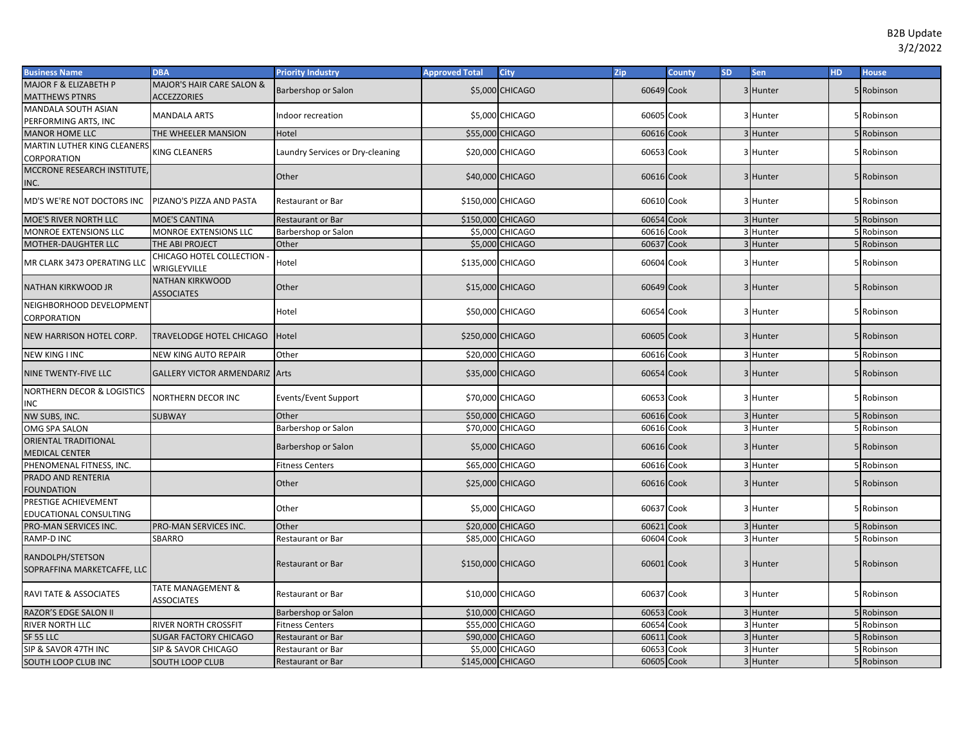| <b>Business Name</b>                            | <b>DBA</b>                                        | <b>Priority Industry</b>         | <b>Approved Total</b> | City                   | <b>Zip</b> | <b>County</b> | <b>SD</b> | Sen      | <b>HD</b> | <b>House</b> |
|-------------------------------------------------|---------------------------------------------------|----------------------------------|-----------------------|------------------------|------------|---------------|-----------|----------|-----------|--------------|
| MAJOR F & ELIZABETH P                           | MAJOR'S HAIR CARE SALON &                         | Barbershop or Salon              |                       | \$5,000 CHICAGO        | 60649 Cook |               |           | 3 Hunter |           | 5 Robinson   |
| <b>MATTHEWS PTNRS</b>                           | <b>ACCEZZORIES</b>                                |                                  |                       |                        |            |               |           |          |           |              |
| MANDALA SOUTH ASIAN                             | <b>MANDALA ARTS</b>                               | ndoor recreation                 |                       | \$5,000 CHICAGO        | 60605 Cook |               |           | 3 Hunter |           | 5 Robinson   |
| PERFORMING ARTS, INC                            |                                                   |                                  |                       |                        |            |               |           |          |           |              |
| <b>MANOR HOME LLC</b>                           | THE WHEELER MANSION                               | Hotel                            |                       | \$55,000 CHICAGO       | 60616 Cook |               |           | 3 Hunter |           | 5 Robinson   |
| MARTIN LUTHER KING CLEANERS                     | <b>(ING CLEANERS</b>                              | Laundry Services or Dry-cleaning |                       | \$20,000 CHICAGO       | 60653 Cook |               |           | 3 Hunter |           | 5 Robinson   |
| CORPORATION                                     |                                                   |                                  |                       |                        |            |               |           |          |           |              |
| MCCRONE RESEARCH INSTITUTE,                     |                                                   | Other                            |                       | \$40,000 CHICAGO       | 60616 Cook |               |           | 3 Hunter |           | 5 Robinson   |
| INC.                                            |                                                   |                                  |                       |                        |            |               |           |          |           |              |
| MD'S WE'RE NOT DOCTORS INC                      | PIZANO'S PIZZA AND PASTA                          | <b>Restaurant or Bar</b>         | \$150,000 CHICAGO     |                        | 60610 Cook |               |           | 3 Hunter |           | 5 Robinson   |
| MOE'S RIVER NORTH LLC                           | <b>MOE'S CANTINA</b>                              | <b>Restaurant or Bar</b>         | \$150,000 CHICAGO     |                        | 60654 Cook |               |           | 3 Hunter |           | 5 Robinson   |
| <b>MONROE EXTENSIONS LLC</b>                    | MONROE EXTENSIONS LLC                             | Barbershop or Salon              |                       | <b>\$5,000 CHICAGO</b> | 60616 Cook |               |           | 3 Hunter |           | 5 Robinson   |
| MOTHER-DAUGHTER LLC                             | THE ABI PROJECT                                   | Other                            |                       | \$5,000 CHICAGO        | 60637      | Cook          |           | Hunter   |           | 5 Robinson   |
| MR CLARK 3473 OPERATING LLC                     | CHICAGO HOTEL COLLECTION<br>WRIGLEYVILLE          | Hotel                            | \$135,000 CHICAGO     |                        | 60604 Cook |               |           | 3 Hunter |           | 5 Robinson   |
| NATHAN KIRKWOOD JR                              | NATHAN KIRKWOOD<br><b>ASSOCIATES</b>              | Other                            |                       | \$15,000 CHICAGO       | 60649 Cook |               |           | 3 Hunter |           | 5 Robinson   |
| NEIGHBORHOOD DEVELOPMENT<br>CORPORATION         |                                                   | Hotel                            |                       | \$50,000 CHICAGO       | 60654 Cook |               |           | 3 Hunter |           | 5 Robinson   |
| NEW HARRISON HOTEL CORP.                        | TRAVELODGE HOTEL CHICAGO                          | Hotel                            | \$250,000 CHICAGO     |                        | 60605 Cook |               |           | 3 Hunter |           | 5 Robinson   |
| <b>NEW KING I INC</b>                           | NEW KING AUTO REPAIR                              | Other                            |                       | \$20,000 CHICAGO       | 60616 Cook |               |           | 3 Hunter |           | 5 Robinson   |
| NINE TWENTY-FIVE LLC                            | GALLERY VICTOR ARMENDARIZ Arts                    |                                  |                       | \$35,000 CHICAGO       | 60654 Cook |               |           | 3 Hunter |           | 5 Robinson   |
| NORTHERN DECOR & LOGISTICS<br>INC               | NORTHERN DECOR INC                                | Events/Event Support             |                       | \$70,000 CHICAGO       | 60653 Cook |               |           | 3 Hunter |           | 5 Robinson   |
| NW SUBS, INC.                                   | <b>SUBWAY</b>                                     | Other                            |                       | \$50,000 CHICAGO       | 60616 Cook |               |           | 3 Hunter |           | 5 Robinson   |
| OMG SPA SALON                                   |                                                   | Barbershop or Salon              |                       | \$70,000 CHICAGO       | 60616 Cook |               |           | 3 Hunter |           | 5 Robinson   |
| ORIENTAL TRADITIONAL<br><b>MEDICAL CENTER</b>   |                                                   | Barbershop or Salon              |                       | \$5,000 CHICAGO        | 60616 Cook |               |           | 3 Hunter |           | 5 Robinson   |
| PHENOMENAL FITNESS, INC.                        |                                                   | <b>Fitness Centers</b>           |                       | \$65,000 CHICAGO       | 60616 Cook |               |           | 3 Hunter |           | 5 Robinson   |
| PRADO AND RENTERIA<br><b>FOUNDATION</b>         |                                                   | Other                            |                       | \$25,000 CHICAGO       | 60616 Cook |               |           | 3 Hunter |           | 5 Robinson   |
| PRESTIGE ACHIEVEMENT<br>EDUCATIONAL CONSULTING  |                                                   | Other                            |                       | \$5,000 CHICAGO        | 60637 Cook |               |           | 3 Hunter |           | 5 Robinson   |
| PRO-MAN SERVICES INC.                           | PRO-MAN SERVICES INC.                             | Other                            |                       | \$20,000 CHICAGO       | 60621      | Cook          |           | 3 Hunter |           | 5 Robinson   |
| RAMP-D INC                                      | SBARRO                                            | Restaurant or Bar                |                       | \$85,000 CHICAGO       | 60604 Cook |               |           | 3 Hunter |           | 5 Robinson   |
| RANDOLPH/STETSON<br>SOPRAFFINA MARKETCAFFE, LLC |                                                   | <b>Restaurant or Bar</b>         | \$150,000 CHICAGO     |                        | 60601 Cook |               |           | 3 Hunter |           | 5 Robinson   |
| RAVI TATE & ASSOCIATES                          | <b>TATE MANAGEMENT &amp;</b><br><b>ASSOCIATES</b> | Restaurant or Bar                |                       | \$10,000 CHICAGO       | 60637 Cook |               |           | 3 Hunter |           | 5 Robinson   |
| RAZOR'S EDGE SALON II                           |                                                   | Barbershop or Salon              |                       | \$10,000 CHICAGO       | 60653 Cook |               |           | 3 Hunter |           | 5 Robinson   |
| RIVER NORTH LLC                                 | RIVER NORTH CROSSFIT                              | <b>Fitness Centers</b>           |                       | \$55,000 CHICAGO       | 60654 Cook |               |           | 3 Hunter |           | 5 Robinson   |
| SF 55 LLC                                       | <b>SUGAR FACTORY CHICAGO</b>                      | <b>Restaurant or Bar</b>         |                       | \$90,000 CHICAGO       | 60611      | Cook          |           | 3 Hunter |           | 5 Robinson   |
| SIP & SAVOR 47TH INC                            | SIP & SAVOR CHICAGO                               | Restaurant or Bar                |                       | \$5,000 CHICAGO        | 60653      | Cook          |           | 3 Hunter |           | 5 Robinson   |
| SOUTH LOOP CLUB INC                             | <b>SOUTH LOOP CLUB</b>                            | <b>Restaurant or Bar</b>         | \$145,000 CHICAGO     |                        | 60605 Cook |               |           | 3 Hunter |           | 5 Robinson   |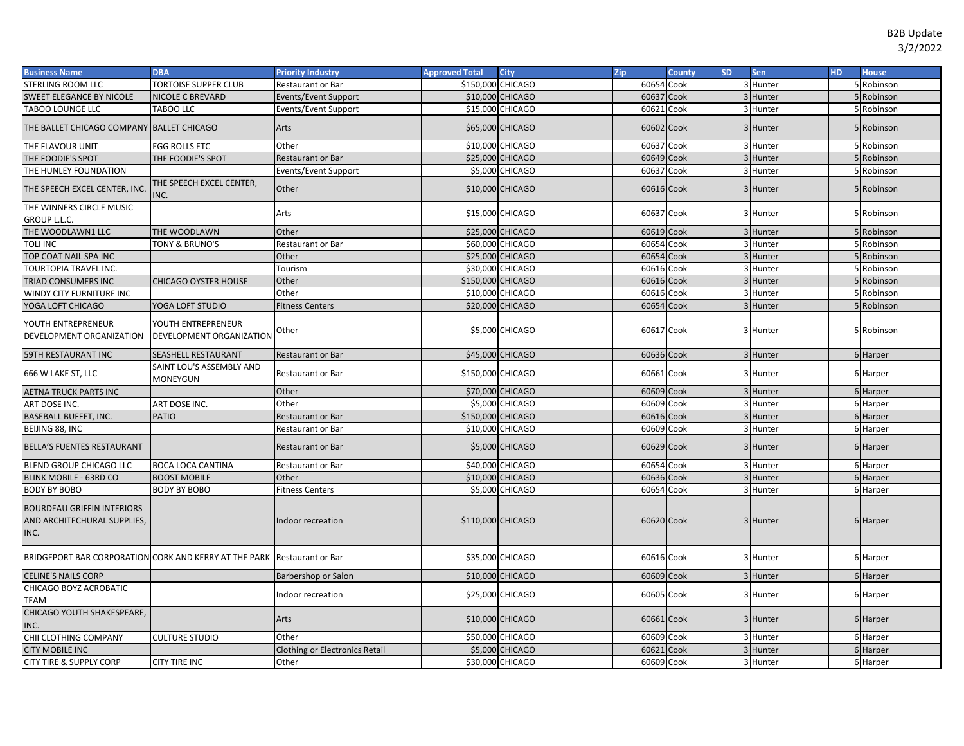| <b>Business Name</b>                                                     | <b>DBA</b>                                     | <b>Priority Industry</b>              | <b>Approved Total</b> | <b>City</b>      | Zip        | <b>County</b> | <b>SD</b> | <b>Sen</b> | HD. | <b>House</b> |
|--------------------------------------------------------------------------|------------------------------------------------|---------------------------------------|-----------------------|------------------|------------|---------------|-----------|------------|-----|--------------|
| STERLING ROOM LLC                                                        | <b>TORTOISE SUPPER CLUB</b>                    | Restaurant or Bar                     | \$150,000 CHICAGO     |                  | 60654 Cook |               |           | 3 Hunter   |     | 5 Robinson   |
| SWEET ELEGANCE BY NICOLE                                                 | <b>NICOLE C BREVARD</b>                        | Events/Event Support                  |                       | \$10,000 CHICAGO | 60637 Cook |               |           | 3 Hunter   |     | 5 Robinson   |
| TABOO LOUNGE LLC                                                         | TABOO LLC                                      | Events/Event Support                  |                       | \$15,000 CHICAGO | 60621 Cook |               |           | 3 Hunter   |     | 5 Robinson   |
| THE BALLET CHICAGO COMPANY BALLET CHICAGO                                |                                                | Arts                                  |                       | \$65,000 CHICAGO | 60602 Cook |               |           | 3 Hunter   |     | 5 Robinson   |
| THE FLAVOUR UNIT                                                         | egg rolls etc                                  | Other                                 |                       | \$10,000 CHICAGO | 60637 Cook |               |           | 3 Hunter   |     | 5 Robinson   |
| THE FOODIE'S SPOT                                                        | THE FOODIE'S SPOT                              | <b>Restaurant or Bar</b>              |                       | \$25,000 CHICAGO | 60649 Cook |               |           | 3 Hunter   |     | 5 Robinson   |
| THE HUNLEY FOUNDATION                                                    |                                                | Events/Event Support                  |                       | \$5,000 CHICAGO  | 60637 Cook |               |           | 3 Hunter   |     | 5 Robinson   |
| THE SPEECH EXCEL CENTER, INC.                                            | THE SPEECH EXCEL CENTER,<br>INC.               | Other                                 |                       | \$10,000 CHICAGO | 60616 Cook |               |           | 3 Hunter   |     | 5 Robinson   |
| THE WINNERS CIRCLE MUSIC<br>GROUP L.L.C.                                 |                                                | Arts                                  |                       | \$15,000 CHICAGO | 60637 Cook |               |           | 3 Hunter   |     | 5 Robinson   |
| THE WOODLAWN1 LLC                                                        | THE WOODLAWN                                   | Other                                 |                       | \$25,000 CHICAGO | 60619 Cook |               |           | 3 Hunter   |     | 5 Robinson   |
| <b>TOLI INC</b>                                                          | TONY & BRUNO'S                                 | Restaurant or Bar                     |                       | \$60,000 CHICAGO | 60654 Cook |               |           | 3 Hunter   |     | 5 Robinson   |
| TOP COAT NAIL SPA INC                                                    |                                                | Other                                 |                       | \$25,000 CHICAGO | 60654 Cook |               |           | 3 Hunter   |     | 5 Robinson   |
| TOURTOPIA TRAVEL INC.                                                    |                                                | Tourism                               |                       | \$30,000 CHICAGO | 60616 Cook |               |           | 3 Hunter   |     | 5 Robinson   |
| TRIAD CONSUMERS INC                                                      | CHICAGO OYSTER HOUSE                           | Other                                 | \$150,000 CHICAGO     |                  | 60616 Cook |               |           | 3 Hunter   |     | 5 Robinson   |
| WINDY CITY FURNITURE INC                                                 |                                                | Other                                 |                       | \$10,000 CHICAGO | 60616 Cook |               |           | 3 Hunter   |     | 5 Robinson   |
| YOGA LOFT CHICAGO                                                        | YOGA LOFT STUDIO                               | <b>Fitness Centers</b>                |                       | \$20,000 CHICAGO | 60654 Cook |               |           | 3 Hunter   |     | 5 Robinson   |
| YOUTH ENTREPRENEUR<br>DEVELOPMENT ORGANIZATION                           | YOUTH ENTREPRENEUR<br>DEVELOPMENT ORGANIZATION | Other                                 |                       | \$5,000 CHICAGO  | 60617 Cook |               |           | 3 Hunter   |     | 5 Robinson   |
| 59TH RESTAURANT INC                                                      | SEASHELL RESTAURANT                            | Restaurant or Bar                     |                       | \$45,000 CHICAGO | 60636 Cook |               |           | 3 Hunter   |     | 6 Harper     |
| 666 W LAKE ST, LLC                                                       | SAINT LOU'S ASSEMBLY AND<br>MONEYGUN           | Restaurant or Bar                     | \$150,000 CHICAGO     |                  | 60661 Cook |               |           | 3 Hunter   |     | 6 Harper     |
| <b>AETNA TRUCK PARTS INC</b>                                             |                                                | Other                                 |                       | \$70,000 CHICAGO | 60609 Cook |               |           | 3 Hunter   |     | 6 Harper     |
| ART DOSE INC.                                                            | ART DOSE INC.                                  | Other                                 |                       | \$5,000 CHICAGO  | 60609 Cook |               |           | 3 Hunter   |     | 6 Harper     |
| <b>BASEBALL BUFFET, INC.</b>                                             | <b>PATIO</b>                                   | <b>Restaurant or Bar</b>              | \$150,000 CHICAGO     |                  | 60616 Cook |               |           | 3 Hunter   |     | 6 Harper     |
| BEIJING 88, INC                                                          |                                                | Restaurant or Bar                     |                       | \$10,000 CHICAGO | 60609 Cook |               |           | 3 Hunter   |     | 6 Harper     |
| <b>BELLA'S FUENTES RESTAURANT</b>                                        |                                                | Restaurant or Bar                     |                       | \$5,000 CHICAGO  | 60629 Cook |               |           | 3 Hunter   |     | 6 Harper     |
| BLEND GROUP CHICAGO LLC                                                  | <b>BOCA LOCA CANTINA</b>                       | Restaurant or Bar                     |                       | \$40,000 CHICAGO | 60654 Cook |               |           | 3 Hunter   |     | 6 Harper     |
| BLINK MOBILE - 63RD CO                                                   | <b>BOOST MOBILE</b>                            | Other                                 |                       | \$10,000 CHICAGO | 60636 Cook |               |           | 3 Hunter   |     | 6 Harper     |
| <b>BODY BY BOBO</b>                                                      | <b>BODY BY BOBO</b>                            | <b>Fitness Centers</b>                |                       | \$5,000 CHICAGO  | 60654 Cook |               |           | 3 Hunter   |     | 6 Harper     |
| <b>BOURDEAU GRIFFIN INTERIORS</b><br>AND ARCHITECHURAL SUPPLIES,<br>INC. |                                                | Indoor recreation                     | \$110,000 CHICAGO     |                  | 60620 Cook |               |           | 3 Hunter   |     | 6 Harper     |
| BRIDGEPORT BAR CORPORATION CORK AND KERRY AT THE PARK Restaurant or Bar  |                                                |                                       |                       | \$35,000 CHICAGO | 60616 Cook |               |           | 3 Hunter   |     | 6 Harper     |
| <b>CELINE'S NAILS CORP</b>                                               |                                                | Barbershop or Salon                   |                       | \$10,000 CHICAGO | 60609 Cook |               |           | 3 Hunter   |     | 6 Harper     |
| CHICAGO BOYZ ACROBATIC<br>TEAM                                           |                                                | Indoor recreation                     |                       | \$25,000 CHICAGO | 60605 Cook |               |           | 3 Hunter   |     | 6 Harper     |
| CHICAGO YOUTH SHAKESPEARE,<br>INC.                                       |                                                | Arts                                  |                       | \$10,000 CHICAGO | 60661 Cook |               |           | 3 Hunter   |     | 6 Harper     |
| CHII CLOTHING COMPANY                                                    | <b>CULTURE STUDIO</b>                          | Other                                 |                       | \$50,000 CHICAGO | 60609 Cook |               |           | 3 Hunter   |     | 6 Harper     |
| <b>CITY MOBILE INC</b>                                                   |                                                | <b>Clothing or Electronics Retail</b> |                       | \$5,000 CHICAGO  | 60621 Cook |               |           | 3 Hunter   |     | 6 Harper     |
| CITY TIRE & SUPPLY CORP                                                  | <b>CITY TIRE INC</b>                           | Other                                 |                       | \$30,000 CHICAGO | 60609 Cook |               |           | 3 Hunter   |     | 6 Harper     |
|                                                                          |                                                |                                       |                       |                  |            |               |           |            |     |              |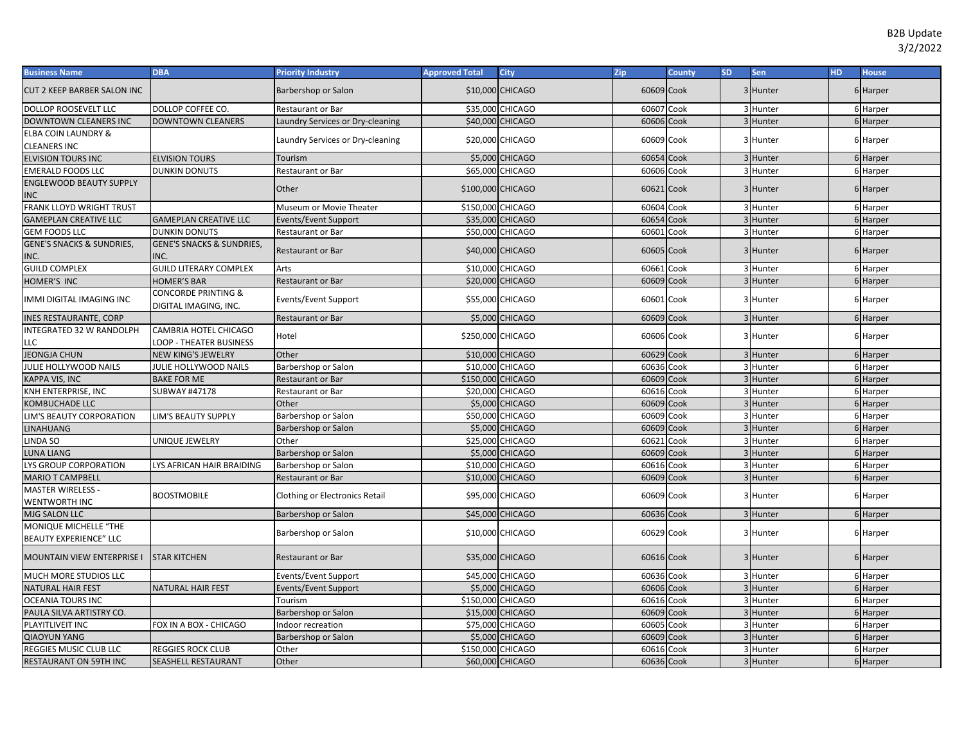| <b>Business Name</b>                                   | <b>DBA</b>                                                     | <b>Priority Industry</b>         | <b>Approved Total</b> | <b>City</b>      | Zip        | <b>County</b> | <b>SD</b> | Sen      | <b>HD</b> | <b>House</b> |
|--------------------------------------------------------|----------------------------------------------------------------|----------------------------------|-----------------------|------------------|------------|---------------|-----------|----------|-----------|--------------|
| <b>CUT 2 KEEP BARBER SALON INC</b>                     |                                                                | Barbershop or Salon              |                       | \$10,000 CHICAGO | 60609 Cook |               |           | 3 Hunter |           | 6 Harper     |
| DOLLOP ROOSEVELT LLC                                   | DOLLOP COFFEE CO.                                              | Restaurant or Bar                |                       | \$35,000 CHICAGO | 60607      | Cook          |           | 3 Hunter |           | 6 Harper     |
| DOWNTOWN CLEANERS INC                                  | <b>DOWNTOWN CLEANERS</b>                                       | Laundry Services or Dry-cleaning |                       | \$40,000 CHICAGO | 60606 Cook |               |           | 3 Hunter |           | 6 Harper     |
| <b>ELBA COIN LAUNDRY &amp;</b><br><b>CLEANERS INC</b>  |                                                                | Laundry Services or Dry-cleaning |                       | \$20,000 CHICAGO | 60609 Cook |               |           | 3 Hunter |           | 6 Harper     |
| <b>ELVISION TOURS INC</b>                              | <b>ELVISION TOURS</b>                                          | Tourism                          |                       | \$5,000 CHICAGO  | 60654 Cook |               |           | 3 Hunter |           | 6 Harper     |
| <b>EMERALD FOODS LLC</b>                               | <b>DUNKIN DONUTS</b>                                           | Restaurant or Bar                |                       | \$65,000 CHICAGO | 60606 Cook |               |           | 3 Hunter |           | 6 Harper     |
| <b>ENGLEWOOD BEAUTY SUPPLY</b>                         |                                                                |                                  |                       |                  |            |               |           |          |           |              |
| <b>INC</b>                                             |                                                                | Other                            | \$100,000 CHICAGO     |                  | 60621 Cook |               |           | 3 Hunter |           | 6 Harper     |
| FRANK LLOYD WRIGHT TRUST                               |                                                                | Museum or Movie Theater          | \$150,000 CHICAGO     |                  | 60604      | Cook          |           | 3 Hunter |           | 6 Harper     |
| <b>GAMEPLAN CREATIVE LLC</b>                           | <b>GAMEPLAN CREATIVE LLC</b>                                   | Events/Event Support             |                       | \$35,000 CHICAGO | 60654 Cook |               |           | 3 Hunter |           | 6 Harper     |
| <b>GEM FOODS LLC</b>                                   | <b>DUNKIN DONUTS</b>                                           | Restaurant or Bar                |                       | \$50,000 CHICAGO | 60601      | Cook          |           | 3 Hunter |           | 6 Harper     |
| <b>GENE'S SNACKS &amp; SUNDRIES,</b><br>INC.           | <b>GENE'S SNACKS &amp; SUNDRIES,</b><br>INC.                   | Restaurant or Bar                |                       | \$40,000 CHICAGO | 60605 Cook |               |           | 3 Hunter |           | 6 Harper     |
| <b>GUILD COMPLEX</b>                                   | <b>GUILD LITERARY COMPLEX</b>                                  | Arts                             |                       | \$10,000 CHICAGO | 60661      | Cook          |           | 3 Hunter |           | 6 Harper     |
| HOMER'S INC                                            | <b>HOMER'S BAR</b>                                             | Restaurant or Bar                |                       | \$20,000 CHICAGO | 60609 Cook |               |           | 3 Hunter |           | 6 Harper     |
| IMMI DIGITAL IMAGING INC                               | <b>CONCORDE PRINTING &amp;</b><br>DIGITAL IMAGING, INC.        | Events/Event Support             |                       | \$55,000 CHICAGO | 60601 Cook |               |           | 3 Hunter |           | 6 Harper     |
| <b>INES RESTAURANTE, CORP</b>                          |                                                                | Restaurant or Bar                |                       | \$5,000 CHICAGO  | 60609 Cook |               |           | 3 Hunter |           | 6 Harper     |
| <b>INTEGRATED 32 W RANDOLPH</b><br>LLC                 | <b>CAMBRIA HOTEL CHICAGO</b><br><b>LOOP - THEATER BUSINESS</b> | Hotel                            | \$250,000 CHICAGO     |                  | 60606 Cook |               |           | 3 Hunter |           | 6 Harper     |
| <b>JEONGJA CHUN</b>                                    | NEW KING'S JEWELRY                                             | Other                            |                       | \$10,000 CHICAGO | 60629 Cook |               |           | 3 Hunter |           | 6 Harper     |
| JULIE HOLLYWOOD NAILS                                  | JULIE HOLLYWOOD NAILS                                          | Barbershop or Salon              |                       | \$10,000 CHICAGO | 60636      | Cook          |           | 3 Hunter |           | 6 Harper     |
| KAPPA VIS, INC                                         | <b>BAKE FOR ME</b>                                             | Restaurant or Bar                | \$150,000 CHICAGO     |                  | 60609 Cook |               |           | 3 Hunter |           | 6 Harper     |
| KNH ENTERPRISE, INC                                    | <b>SUBWAY #47178</b>                                           | Restaurant or Bar                |                       | \$20,000 CHICAGO | 60616      | Cook          |           | 3 Hunter |           | 6 Harper     |
| KOMBUCHADE LLC                                         |                                                                | Other                            |                       | \$5,000 CHICAGO  | 60609 Cook |               |           | 3 Hunter |           | 6 Harper     |
| LIM'S BEAUTY CORPORATION                               | <b>LIM'S BEAUTY SUPPLY</b>                                     | Barbershop or Salon              |                       | \$50,000 CHICAGO | 60609 Cook |               |           | 3 Hunter |           | 6 Harper     |
| <b>LINAHUANG</b>                                       |                                                                | Barbershop or Salon              |                       | \$5,000 CHICAGO  | 60609 Cook |               |           | 3 Hunter |           | 6 Harper     |
| LINDA SO                                               | UNIQUE JEWELRY                                                 | Other                            |                       | \$25,000 CHICAGO | 60621      | Cook          |           | 3 Hunter |           | 6 Harper     |
| LUNA LIANG                                             |                                                                | Barbershop or Salon              |                       | \$5,000 CHICAGO  | 60609 Cook |               |           | 3 Hunter |           | 6 Harper     |
| LYS GROUP CORPORATION                                  | LYS AFRICAN HAIR BRAIDING                                      | Barbershop or Salon              |                       | \$10,000 CHICAGO | 60616      | Cook          |           | 3 Hunter |           | 6 Harper     |
| <b>MARIO T CAMPBELL</b>                                |                                                                | Restaurant or Bar                |                       | \$10,000 CHICAGO | 60609 Cook |               |           | 3 Hunter |           | 6 Harper     |
| <b>MASTER WIRELESS -</b><br>WENTWORTH INC              | <b>BOOSTMOBILE</b>                                             | Clothing or Electronics Retail   |                       | \$95,000 CHICAGO | 60609 Cook |               |           | 3 Hunter |           | 6 Harper     |
| MJG SALON LLC                                          |                                                                | Barbershop or Salon              |                       | \$45,000 CHICAGO | 60636 Cook |               |           | 3 Hunter |           | 6 Harper     |
| MONIQUE MICHELLE "THE<br><b>BEAUTY EXPERIENCE" LLC</b> |                                                                | Barbershop or Salon              |                       | \$10,000 CHICAGO | 60629 Cook |               |           | 3 Hunter |           | 6 Harper     |
| MOUNTAIN VIEW ENTERPRISE I                             | <b>STAR KITCHEN</b>                                            | <b>Restaurant or Bar</b>         |                       | \$35,000 CHICAGO | 60616 Cook |               |           | 3 Hunter |           | 6 Harper     |
| MUCH MORE STUDIOS LLC                                  |                                                                | <b>Events/Event Support</b>      |                       | \$45,000 CHICAGO | 60636 Cook |               |           | 3 Hunter |           | 6 Harper     |
| <b>NATURAL HAIR FEST</b>                               | <b>NATURAL HAIR FEST</b>                                       | Events/Event Support             |                       | \$5,000 CHICAGO  | 60606 Cook |               |           | 3 Hunter |           | 6 Harper     |
| <b>OCEANIA TOURS INC</b>                               |                                                                | Tourism                          | \$150,000 CHICAGO     |                  | 60616 Cook |               |           | 3 Hunter |           | 6 Harper     |
| PAULA SILVA ARTISTRY CO.                               |                                                                | Barbershop or Salon              |                       | \$15,000 CHICAGO | 60609 Cook |               |           | 3 Hunter |           | 6 Harper     |
| PLAYITLIVEIT INC                                       | FOX IN A BOX - CHICAGO                                         | ndoor recreation                 |                       | \$75,000 CHICAGO | 60605      | Cook          |           | 3 Hunter |           | 6 Harper     |
| <b>QIAOYUN YANG</b>                                    |                                                                | Barbershop or Salon              |                       | \$5,000 CHICAGO  | 60609      | Cook          |           | 3 Hunter |           | 6 Harper     |
| REGGIES MUSIC CLUB LLC                                 | <b>REGGIES ROCK CLUB</b>                                       | Other                            | \$150,000 CHICAGO     |                  | 60616 Cook |               |           | 3 Hunter |           | 6 Harper     |
| RESTAURANT ON 59TH INC                                 | SEASHELL RESTAURANT                                            | Other                            |                       | \$60,000 CHICAGO | 60636 Cook |               |           | 3 Hunter |           | 6 Harper     |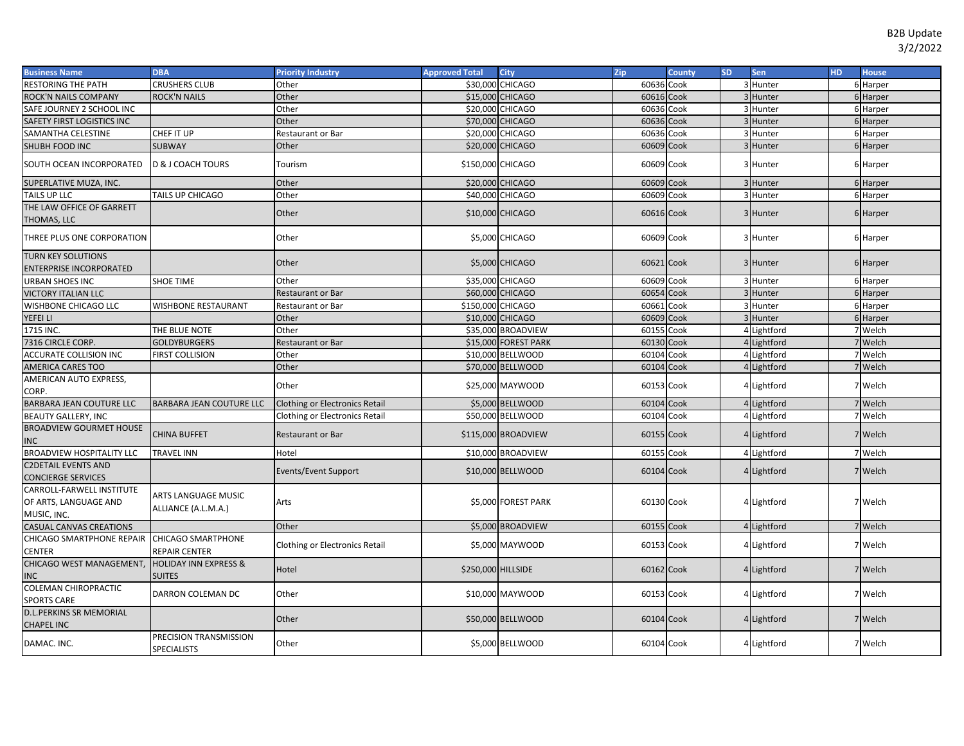| <b>Business Name</b>                                              | <b>DBA</b>                                        | <b>Priority Industry</b>              | <b>Approved Total</b>    | <b>City</b>            | Zip        | County | <b>SD</b> | Sen         | <b>HD</b> | <b>House</b> |
|-------------------------------------------------------------------|---------------------------------------------------|---------------------------------------|--------------------------|------------------------|------------|--------|-----------|-------------|-----------|--------------|
| <b>RESTORING THE PATH</b>                                         | <b>CRUSHERS CLUB</b>                              | Other                                 | \$30,000                 | <b>CHICAGO</b>         | 60636 Cook |        |           | 3 Hunter    |           | 6 Harper     |
| ROCK'N NAILS COMPANY                                              | <b>ROCK'N NAILS</b>                               | Other                                 |                          | \$15,000 CHICAGO       | 60616 Cook |        |           | 3 Hunter    |           | 6 Harper     |
| SAFE JOURNEY 2 SCHOOL INC                                         |                                                   | Other                                 |                          | \$20,000 CHICAGO       | 60636 Cook |        |           | 3 Hunter    |           | 6 Harper     |
| SAFETY FIRST LOGISTICS INC                                        |                                                   | Other                                 |                          | \$70,000 CHICAGO       | 60636 Cook |        |           | 3 Hunter    |           | 6 Harper     |
| SAMANTHA CELESTINE                                                | CHEF IT UP                                        | Restaurant or Bar                     |                          | \$20,000 CHICAGO       | 60636 Cook |        |           | 3 Hunter    |           | 6 Harper     |
| SHUBH FOOD INC                                                    | <b>SUBWAY</b>                                     | Other                                 |                          | \$20,000 CHICAGO       | 60609 Cook |        |           | 3 Hunter    |           | 6 Harper     |
| SOUTH OCEAN INCORPORATED                                          | <b>D &amp; J COACH TOURS</b>                      | Tourism                               | \$150,000 CHICAGO        |                        | 60609 Cook |        |           | 3 Hunter    |           | 6 Harper     |
| SUPERLATIVE MUZA, INC.                                            |                                                   | Other                                 |                          | \$20,000 CHICAGO       | 60609 Cook |        |           | 3 Hunter    |           | 6 Harper     |
| TAILS UP LLC                                                      | TAILS UP CHICAGO                                  | Other                                 |                          | \$40,000 CHICAGO       | 60609 Cook |        |           | 3 Hunter    |           | 6 Harper     |
| THE LAW OFFICE OF GARRETT<br>THOMAS, LLC                          |                                                   | Other                                 |                          | \$10,000 CHICAGO       | 60616 Cook |        |           | 3 Hunter    |           | 6 Harper     |
| THREE PLUS ONE CORPORATION                                        |                                                   | Other                                 |                          | \$5,000 CHICAGO        | 60609 Cook |        |           | 3 Hunter    |           | 6 Harper     |
| <b>TURN KEY SOLUTIONS</b><br>ENTERPRISE INCORPORATED              |                                                   | Other                                 |                          | <b>\$5,000 CHICAGO</b> | 60621 Cook |        |           | 3 Hunter    |           | 6 Harper     |
| URBAN SHOES INC                                                   | <b>SHOE TIME</b>                                  | Other                                 |                          | \$35,000 CHICAGO       | 60609 Cook |        |           | 3 Hunter    |           | 6 Harper     |
| <b>VICTORY ITALIAN LLC</b>                                        |                                                   | Restaurant or Bar                     |                          | \$60,000 CHICAGO       | 60654 Cook |        |           | 3 Hunter    |           | 6 Harper     |
| WISHBONE CHICAGO LLC                                              | <b>WISHBONE RESTAURANT</b>                        | <b>Restaurant or Bar</b>              | <b>\$150,000 CHICAGO</b> |                        | 60661      | Cook   |           | 3 Hunter    |           | 6 Harper     |
| YEFEI LI                                                          |                                                   | Other                                 |                          | \$10,000 CHICAGO       | 60609 Cook |        |           | 3 Hunter    |           | 6 Harper     |
| 1715 INC.                                                         | THE BLUE NOTE                                     | Other                                 |                          | \$35,000 BROADVIEW     | 60155 Cook |        |           | 4 Lightford |           | 7 Welch      |
| 7316 CIRCLE CORP.                                                 | <b>GOLDYBURGERS</b>                               | Restaurant or Bar                     |                          | \$15,000 FOREST PARK   | 60130 Cook |        |           | 4 Lightford |           | 7 Welch      |
| <b>ACCURATE COLLISION INC</b>                                     | <b>FIRST COLLISION</b>                            | Other                                 |                          | \$10,000 BELLWOOD      | 60104 Cook |        |           | 4 Lightford |           | 7 Welch      |
| <b>AMERICA CARES TOO</b>                                          |                                                   | Other                                 |                          | \$70,000 BELLWOOD      | 60104 Cook |        |           | Lightford   |           | 7 Welch      |
| AMERICAN AUTO EXPRESS,                                            |                                                   |                                       |                          |                        |            |        |           |             |           |              |
| CORP.                                                             |                                                   | Other                                 |                          | \$25,000 MAYWOOD       | 60153 Cook |        |           | 4 Lightford |           | 7 Welch      |
| BARBARA JEAN COUTURE LLC                                          | <b>BARBARA JEAN COUTURE LLC</b>                   | <b>Clothing or Electronics Retail</b> |                          | \$5,000 BELLWOOD       | 60104 Cook |        |           | 4 Lightford |           | 7 Welch      |
| <b>BEAUTY GALLERY, INC</b>                                        |                                                   | <b>Clothing or Electronics Retail</b> |                          | \$50,000 BELLWOOD      | 60104 Cook |        |           | 4 Lightford |           | 7 Welch      |
| <b>BROADVIEW GOURMET HOUSE</b><br><b>INC</b>                      | <b>CHINA BUFFET</b>                               | <b>Restaurant or Bar</b>              |                          | \$115,000 BROADVIEW    | 60155 Cook |        |           | 4 Lightford |           | 7 Welch      |
| <b>BROADVIEW HOSPITALITY LLC</b>                                  | <b>TRAVEL INN</b>                                 | Hotel                                 |                          | \$10,000 BROADVIEW     | 60155 Cook |        |           | 4 Lightford |           | 7 Welch      |
| <b>C2DETAIL EVENTS AND</b><br>CONCIERGE SERVICES                  |                                                   | Events/Event Support                  |                          | \$10,000 BELLWOOD      | 60104 Cook |        |           | 4 Lightford |           | 7 Welch      |
| CARROLL-FARWELL INSTITUTE<br>OF ARTS, LANGUAGE AND<br>MUSIC, INC. | ARTS LANGUAGE MUSIC<br>ALLIANCE (A.L.M.A.)        | Arts                                  |                          | \$5,000 FOREST PARK    | 60130 Cook |        |           | 4 Lightford |           | 7 Welch      |
| <b>CASUAL CANVAS CREATIONS</b>                                    |                                                   | Other                                 |                          | \$5,000 BROADVIEW      | 60155 Cook |        |           | 4 Lightford |           | 7 Welch      |
| CHICAGO SMARTPHONE REPAIR<br><b>CENTER</b>                        | <b>CHICAGO SMARTPHONE</b><br><b>REPAIR CENTER</b> | <b>Clothing or Electronics Retail</b> |                          | \$5,000 MAYWOOD        | 60153 Cook |        |           | 4 Lightford |           | 7 Welch      |
| CHICAGO WEST MANAGEMENT,<br><b>INC</b>                            | <b>HOLIDAY INN EXPRESS &amp;</b><br><b>SUITES</b> | Hotel                                 | \$250,000 HILLSIDE       |                        | 60162 Cook |        |           | 4 Lightford |           | 7 Welch      |
| <b>COLEMAN CHIROPRACTIC</b><br><b>SPORTS CARE</b>                 | DARRON COLEMAN DC                                 | Other                                 |                          | \$10,000 MAYWOOD       | 60153 Cook |        |           | 4 Lightford |           | 7 Welch      |
| <b>D.L.PERKINS SR MEMORIAL</b><br><b>CHAPEL INC</b>               |                                                   | Other                                 |                          | \$50,000 BELLWOOD      | 60104 Cook |        |           | 4 Lightford |           | 7 Welch      |
| DAMAC. INC.                                                       | PRECISION TRANSMISSION<br><b>SPECIALISTS</b>      | Other                                 |                          | \$5,000 BELLWOOD       | 60104 Cook |        |           | 4 Lightford |           | 7 Welch      |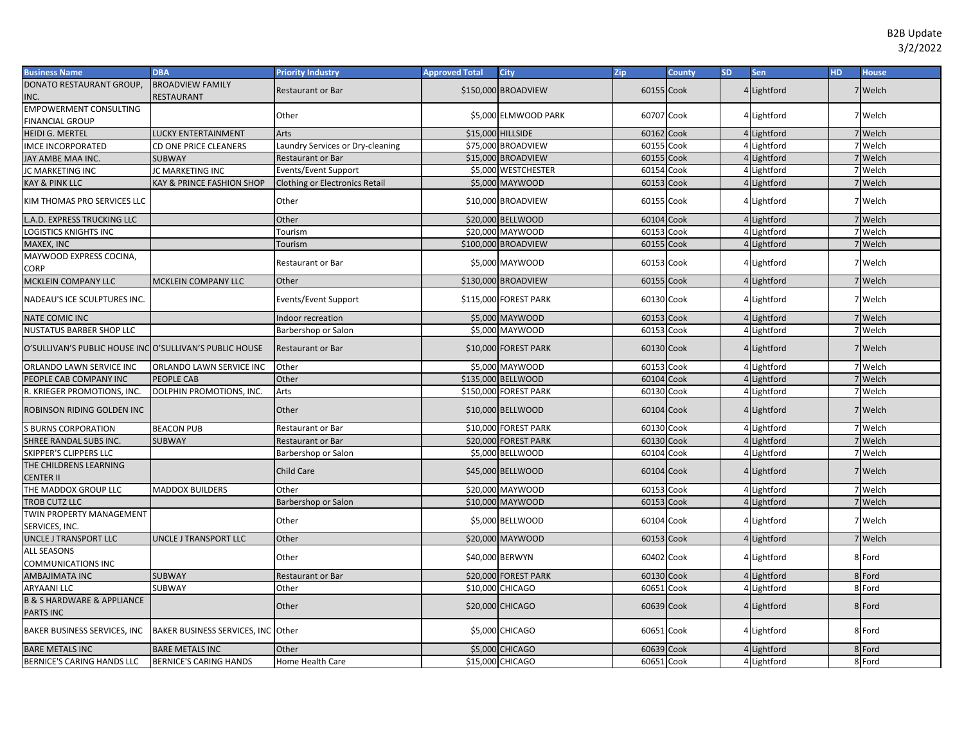| <b>Business Name</b>                                          | <b>DBA</b>                         | <b>Priority Industry</b>         | <b>Approved Total</b> | <b>City</b>           | Zip        | County | <b>SD</b> | Sen         | HD. | <b>House</b> |
|---------------------------------------------------------------|------------------------------------|----------------------------------|-----------------------|-----------------------|------------|--------|-----------|-------------|-----|--------------|
| DONATO RESTAURANT GROUP,                                      | <b>BROADVIEW FAMILY</b>            | <b>Restaurant or Bar</b>         |                       | \$150,000 BROADVIEW   | 60155 Cook |        |           | 4 Lightford |     | 7 Welch      |
| INC.                                                          | RESTAURANT                         |                                  |                       |                       |            |        |           |             |     |              |
| <b>EMPOWERMENT CONSULTING</b>                                 |                                    | Other                            |                       | \$5,000 ELMWOOD PARK  | 60707 Cook |        |           | 4 Lightford |     | 7 Welch      |
| <b>FINANCIAL GROUP</b>                                        |                                    |                                  |                       |                       |            |        |           |             |     |              |
| <b>HEIDI G. MERTEL</b>                                        | <b>LUCKY ENTERTAINMENT</b>         | Arts                             |                       | \$15,000 HILLSIDE     | 60162      | Cook   |           | 4 Lightford |     | 7 Welch      |
| IMCE INCORPORATED                                             | CD ONE PRICE CLEANERS              | Laundry Services or Dry-cleaning |                       | \$75,000 BROADVIEW    | 60155 Cook |        |           | 4 Lightford |     | 7 Welch      |
| JAY AMBE MAA INC.                                             | <b>SUBWAY</b>                      | <b>Restaurant or Bar</b>         |                       | \$15,000 BROADVIEW    | 60155      | Cook   |           | 4 Lightford |     | 7 Welch      |
| JC MARKETING INC                                              | <b>JC MARKETING INC</b>            | Events/Event Support             |                       | \$5,000 WESTCHESTER   | 60154      | Cook   |           | 4 Lightford |     | 7 Welch      |
| <b>KAY &amp; PINK LLC</b>                                     | KAY & PRINCE FASHION SHOP          | Clothing or Electronics Retail   |                       | \$5,000 MAYWOOD       | 60153      | Cook   |           | 4 Lightford |     | 7 Welch      |
| KIM THOMAS PRO SERVICES LLC                                   |                                    | Other                            |                       | \$10,000 BROADVIEW    | 60155 Cook |        |           | Lightford   |     | 7 Welch      |
| L.A.D. EXPRESS TRUCKING LLC                                   |                                    | Other                            |                       | \$20,000 BELLWOOD     | 60104      | Cook   |           | Lightford   |     | Welch        |
| <b>LOGISTICS KNIGHTS INC</b>                                  |                                    | Tourism                          |                       | \$20,000 MAYWOOD      | 60153      | Cook   |           | 4 Lightford |     | <b>Welch</b> |
| MAXEX, INC                                                    |                                    | Tourism                          |                       | \$100,000 BROADVIEW   | 60155 Cook |        |           | Lightford   |     | Welch        |
| MAYWOOD EXPRESS COCINA,<br>CORP                               |                                    | Restaurant or Bar                |                       | \$5,000 MAYWOOD       | 60153 Cook |        |           | Lightford   |     | 7 Welch      |
| MCKLEIN COMPANY LLC                                           | MCKLEIN COMPANY LLC                | Other                            |                       | \$130,000 BROADVIEW   | 60155 Cook |        |           | 4 Lightford |     | 7 Welch      |
| NADEAU'S ICE SCULPTURES INC.                                  |                                    | <b>Events/Event Support</b>      |                       | \$115,000 FOREST PARK | 60130 Cook |        |           | 4 Lightford |     | 7 Welch      |
| <b>NATE COMIC INC</b>                                         |                                    | Indoor recreation                |                       | \$5,000 MAYWOOD       | 60153 Cook |        |           | Lightford   |     | 7 Welch      |
| <b>NUSTATUS BARBER SHOP LLC</b>                               |                                    | Barbershop or Salon              |                       | \$5,000 MAYWOOD       | 60153 Cook |        |           | 4 Lightford |     | 7 Welch      |
| O'SULLIVAN'S PUBLIC HOUSE INCOO'SULLIVAN'S PUBLIC HOUSE       |                                    | <b>Restaurant or Bar</b>         |                       | \$10,000 FOREST PARK  | 60130 Cook |        |           | 4 Lightford |     | 7 Welch      |
| ORLANDO LAWN SERVICE INC                                      | ORLANDO LAWN SERVICE INC           | Other                            |                       | \$5,000 MAYWOOD       | 60153      | Cook   |           | 4 Lightford |     | 7 Welch      |
| PEOPLE CAB COMPANY INC                                        | PEOPLE CAB                         | Other                            |                       | \$135,000 BELLWOOD    | 60104 Cook |        |           | Lightford   |     | 7 Welch      |
| R. KRIEGER PROMOTIONS, INC.                                   | DOLPHIN PROMOTIONS, INC.           | Arts                             |                       | \$150,000 FOREST PARK | 60130      | Cook   |           | Lightford   |     | 7 Welch      |
| ROBINSON RIDING GOLDEN INC                                    |                                    | Other                            |                       | \$10,000 BELLWOOD     | 60104 Cook |        |           | 4 Lightford |     | 7 Welch      |
| <b>S BURNS CORPORATION</b>                                    | <b>BEACON PUB</b>                  | Restaurant or Bar                |                       | \$10,000 FOREST PARK  | 60130 Cook |        |           | 4 Lightford |     | 7 Welch      |
| SHREE RANDAL SUBS INC.                                        | <b>SUBWAY</b>                      | Restaurant or Bar                |                       | \$20,000 FOREST PARK  | 60130 Cook |        |           | 4 Lightford |     | 7 Welch      |
| SKIPPER'S CLIPPERS LLC                                        |                                    | Barbershop or Salon              |                       | \$5,000 BELLWOOD      | 60104 Cook |        |           | Lightford   |     | 7 Welch      |
| THE CHILDRENS LEARNING<br><b>CENTER II</b>                    |                                    | Child Care                       |                       | \$45,000 BELLWOOD     | 60104 Cook |        |           | 4 Lightford |     | 7 Welch      |
| THE MADDOX GROUP LLC                                          | <b>MADDOX BUILDERS</b>             | Other                            |                       | \$20,000 MAYWOOD      | 60153      | Cook   |           | 4 Lightford |     | 7 Welch      |
| <b>TROB CUTZ LLC</b>                                          |                                    | Barbershop or Salon              |                       | \$10,000 MAYWOOD      | 60153      | Cook   |           | 4 Lightford |     | 7 Welch      |
| <b>TWIN PROPERTY MANAGEMENT</b><br>SERVICES, INC.             |                                    | Other                            |                       | \$5,000 BELLWOOD      | 60104 Cook |        |           | Lightford   |     | 7 Welch      |
| UNCLE J TRANSPORT LLC                                         | UNCLE J TRANSPORT LLC              | Other                            |                       | \$20,000 MAYWOOD      | 60153 Cook |        |           | 4 Lightford |     | 7 Welch      |
| <b>ALL SEASONS</b>                                            |                                    |                                  |                       |                       |            |        |           |             |     |              |
| COMMUNICATIONS INC                                            |                                    | Other                            |                       | \$40,000 BERWYN       | 60402 Cook |        |           | Lightford   |     | 8 Ford       |
| AMBAJIMATA INC                                                | <b>SUBWAY</b>                      | Restaurant or Bar                |                       | \$20,000 FOREST PARK  | 60130 Cook |        |           | Lightford   |     | 8 Ford       |
| <b>ARYAANI LLC</b>                                            | SUBWAY                             | Other                            |                       | \$10,000 CHICAGO      | 60651      | Cook   |           | 4 Lightford |     | 8 Ford       |
| <b>B &amp; S HARDWARE &amp; APPLIANCE</b><br><b>PARTS INC</b> |                                    | Other                            |                       | \$20,000 CHICAGO      | 60639 Cook |        |           | 4 Lightford |     | 8 Ford       |
| BAKER BUSINESS SERVICES, INC                                  | BAKER BUSINESS SERVICES, INC Other |                                  |                       | \$5,000 CHICAGO       | 60651 Cook |        |           | 4 Lightford |     | 8 Ford       |
| <b>BARE METALS INC</b>                                        | <b>BARE METALS INC</b>             | Other                            |                       | \$5,000 CHICAGO       | 60639 Cook |        |           | 4 Lightford |     | 8 Ford       |
| BERNICE'S CARING HANDS LLC                                    | <b>BERNICE'S CARING HANDS</b>      | Home Health Care                 |                       | \$15,000 CHICAGO      | 60651 Cook |        |           | 4 Lightford |     | 8 Ford       |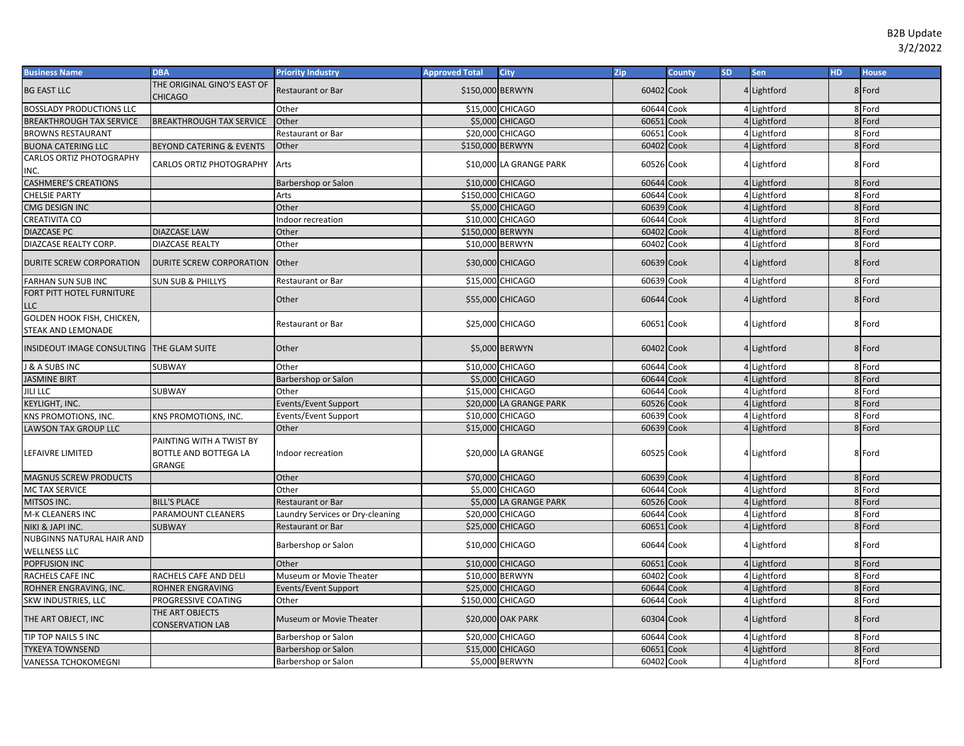| <b>Business Name</b>                             | <b>DBA</b>                                                  | <b>Priority Industry</b>         | <b>Approved Total</b> | <b>City</b>             | Zip        | County | <b>SD</b> | <b>Sen</b>  | <b>HD</b> | <b>House</b> |
|--------------------------------------------------|-------------------------------------------------------------|----------------------------------|-----------------------|-------------------------|------------|--------|-----------|-------------|-----------|--------------|
| <b>BG EAST LLC</b>                               | THE ORIGINAL GINO'S EAST OF<br>CHICAGO                      | <b>Restaurant or Bar</b>         | \$150,000 BERWYN      |                         | 60402 Cook |        |           | 4 Lightford |           | 8 Ford       |
| <b>BOSSLADY PRODUCTIONS LLC</b>                  |                                                             | Other                            |                       | \$15,000 CHICAGO        | 60644 Cook |        |           | Lightford   |           | 8 Ford       |
| <b>BREAKTHROUGH TAX SERVICE</b>                  | <b>BREAKTHROUGH TAX SERVICE</b>                             | Other                            |                       | \$5,000 CHICAGO         | 60651      | Cook   |           | Lightford   |           | 8 Ford       |
| <b>BROWNS RESTAURANT</b>                         |                                                             | Restaurant or Bar                |                       | \$20,000 CHICAGO        | 60651      | Cook   |           | 4 Lightford |           | 8 Ford       |
| <b>BUONA CATERING LLC</b>                        | <b>BEYOND CATERING &amp; EVENTS</b>                         | Other                            | \$150,000 BERWYN      |                         | 60402 Cook |        |           | 4 Lightford |           | 8 Ford       |
| CARLOS ORTIZ PHOTOGRAPHY<br>INC.                 | CARLOS ORTIZ PHOTOGRAPHY                                    | Arts                             |                       | \$10,000 LA GRANGE PARK | 60526 Cook |        |           | 4 Lightford |           | 8 Ford       |
| <b>CASHMERE'S CREATIONS</b>                      |                                                             | Barbershop or Salon              |                       | \$10,000 CHICAGO        | 60644 Cook |        |           | 4 Lightford |           | 8 Ford       |
| CHELSIE PARTY                                    |                                                             | Arts                             | \$150,000 CHICAGO     |                         | 60644 Cook |        |           | 4 Lightford |           | 8 Ford       |
| CMG DESIGN INC                                   |                                                             | Other                            |                       | \$5,000 CHICAGO         | 60639 Cook |        |           | 4 Lightford |           | 8 Ford       |
| <b>CREATIVITA CO</b>                             |                                                             | ndoor recreation                 |                       | \$10,000 CHICAGO        | 60644 Cook |        |           | 4 Lightford |           | 8 Ford       |
| <b>DIAZCASE PC</b>                               | <b>DIAZCASE LAW</b>                                         | Other                            | \$150,000 BERWYN      |                         | 60402      | Cook   |           | Lightford   |           | 8 Ford       |
| DIAZCASE REALTY CORP.                            | <b>DIAZCASE REALTY</b>                                      | Other                            |                       | \$10,000 BERWYN         | 60402 Cook |        |           | Lightford   |           | 8 Ford       |
| DURITE SCREW CORPORATION                         | DURITE SCREW CORPORATION                                    | Other                            |                       | \$30,000 CHICAGO        | 60639 Cook |        |           | Lightford   |           | 8 Ford       |
| FARHAN SUN SUB INC                               | SUN SUB & PHILLYS                                           | Restaurant or Bar                | \$15,000              | <b>CHICAGO</b>          | 60639      | Cook   |           | 4 Lightford |           | 8 Ford       |
| FORT PITT HOTEL FURNITURE<br>LLC                 |                                                             | Other                            |                       | \$55,000 CHICAGO        | 60644 Cook |        |           | 4 Lightford |           | 8 Ford       |
| GOLDEN HOOK FISH, CHICKEN,<br>STEAK AND LEMONADE |                                                             | Restaurant or Bar                |                       | \$25,000 CHICAGO        | 60651 Cook |        |           | 4 Lightford |           | 8 Ford       |
| INSIDEOUT IMAGE CONSULTING THE GLAM SUITE        |                                                             | Other                            |                       | \$5,000 BERWYN          | 60402 Cook |        |           | 4 Lightford |           | 8 Ford       |
| <b>&amp; A SUBS INC</b>                          | <b>SUBWAY</b>                                               | Other                            |                       | \$10,000 CHICAGO        | 60644 Cook |        |           | Lightford   |           | 8 Ford       |
| <b>JASMINE BIRT</b>                              |                                                             | Barbershop or Salon              |                       | \$5,000 CHICAGO         | 60644 Cook |        |           | Lightford   |           | 8 Ford       |
| <b>JILI LLC</b>                                  | SUBWAY                                                      | Other                            |                       | \$15,000 CHICAGO        | 60644 Cook |        |           | Lightford   |           | 8 Ford       |
| KEYLIGHT, INC.                                   |                                                             | Events/Event Support             |                       | \$20,000 LA GRANGE PARK | 60526 Cook |        |           | Lightford   |           | 8 Ford       |
| KNS PROMOTIONS, INC.                             | KNS PROMOTIONS, INC.                                        | Events/Event Support             |                       | \$10,000 CHICAGO        | 60639      | Cook   |           | Lightford   |           | 8 Ford       |
| LAWSON TAX GROUP LLC                             |                                                             | Other                            |                       | \$15,000 CHICAGO        | 60639 Cook |        |           | Lightford   |           | 8 Ford       |
| LEFAIVRE LIMITED                                 | PAINTING WITH A TWIST BY<br>BOTTLE AND BOTTEGA LA<br>GRANGE | Indoor recreation                |                       | \$20,000 LA GRANGE      | 60525 Cook |        |           | 4 Lightford |           | 8 Ford       |
| <b>MAGNUS SCREW PRODUCTS</b>                     |                                                             | Other                            |                       | \$70,000 CHICAGO        | 60639 Cook |        |           | 4 Lightford |           | 8 Ford       |
| MC TAX SERVICE                                   |                                                             | Other                            |                       | \$5,000 CHICAGO         | 60644 Cook |        |           | 4 Lightford |           | 8 Ford       |
| MITSOS INC.                                      | <b>BILL'S PLACE</b>                                         | <b>Restaurant or Bar</b>         |                       | \$5,000 LA GRANGE PARK  | 60526 Cook |        |           | 4 Lightford |           | 8 Ford       |
| M-K CLEANERS INC                                 | PARAMOUNT CLEANERS                                          | Laundry Services or Dry-cleaning |                       | \$20,000 CHICAGO        | 60644 Cook |        |           | 4 Lightford |           | 8 Ford       |
| NIKI & JAPI INC.                                 | SUBWAY                                                      | <b>Restaurant or Bar</b>         |                       | \$25,000 CHICAGO        | 60651      | Cook   |           | 4 Lightford |           | 8 Ford       |
| NUBGINNS NATURAL HAIR AND                        |                                                             |                                  |                       | \$10,000 CHICAGO        | 60644 Cook |        |           | Lightford   |           | 8 Ford       |
| <b>WELLNESS LLC</b>                              |                                                             | Barbershop or Salon              |                       |                         |            |        |           |             |           |              |
| POPFUSION INC                                    |                                                             | Other                            |                       | \$10,000 CHICAGO        | 60651      | Cook   |           | Lightford   |           | 8 Ford       |
| RACHELS CAFE INC                                 | RACHELS CAFE AND DELI                                       | Museum or Movie Theater          | \$10,000 BERWYN       |                         | 60402      | Cook   |           | Lightford   |           | 8 Ford       |
| ROHNER ENGRAVING, INC.                           | ROHNER ENGRAVING                                            | Events/Event Support             |                       | \$25,000 CHICAGO        | 60644      | Cook   |           | Lightford   |           | 8 Ford       |
| SKW INDUSTRIES, LLC                              | PROGRESSIVE COATING                                         | Other                            | \$150,000 CHICAGO     |                         | 60644 Cook |        |           | Lightford   |           | 8 Ford       |
| THE ART OBJECT, INC                              | THE ART OBJECTS<br><b>CONSERVATION LAB</b>                  | Museum or Movie Theater          |                       | \$20,000 OAK PARK       | 60304 Cook |        |           | Lightford   |           | 8 Ford       |
| TIP TOP NAILS 5 INC                              |                                                             | Barbershop or Salon              |                       | \$20,000 CHICAGO        | 60644 Cook |        |           | 4 Lightford |           | 8 Ford       |
| <b>TYKEYA TOWNSEND</b>                           |                                                             | Barbershop or Salon              |                       | \$15,000 CHICAGO        | 60651      | Cook   |           | Lightford   |           | 8 Ford       |
| VANESSA TCHOKOMEGNI                              |                                                             | Barbershop or Salon              |                       | \$5,000 BERWYN          | 60402 Cook |        |           | 4 Lightford |           | 8 Ford       |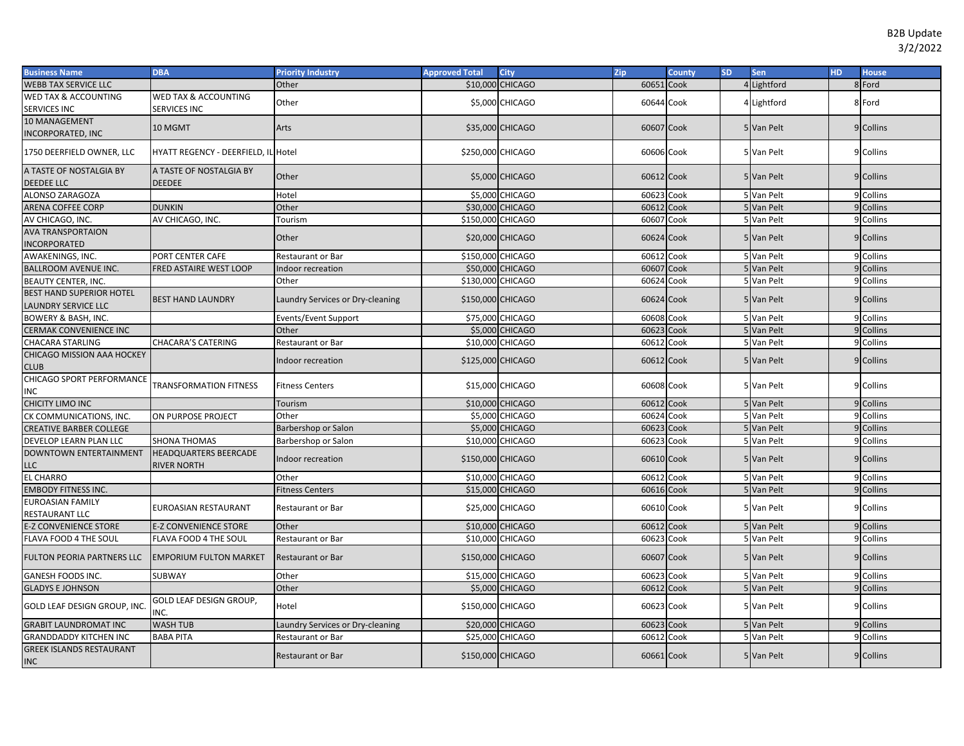| <b>Business Name</b>                                          | <b>DBA</b>                                         | <b>Priority Industry</b>         | <b>Approved Total</b> | <b>City</b>      | Zip        | <b>County</b> | SD. | Sen         | <b>HD</b> | <b>House</b> |
|---------------------------------------------------------------|----------------------------------------------------|----------------------------------|-----------------------|------------------|------------|---------------|-----|-------------|-----------|--------------|
| <b>WEBB TAX SERVICE LLC</b>                                   |                                                    | Other                            |                       | \$10,000 CHICAGO | 60651      | Cook          |     | 4 Lightford |           | 8 Ford       |
| <b>WED TAX &amp; ACCOUNTING</b><br><b>SERVICES INC</b>        | <b>WED TAX &amp; ACCOUNTING</b><br>SERVICES INC    | Other                            |                       | \$5,000 CHICAGO  | 60644 Cook |               |     | 4 Lightford |           | 8 Ford       |
| 10 MANAGEMENT<br><b>INCORPORATED, INC</b>                     | 10 MGMT                                            | Arts                             |                       | \$35,000 CHICAGO | 60607 Cook |               |     | 5 Van Pelt  |           | 9 Collins    |
| 1750 DEERFIELD OWNER, LLC                                     | <b>HYATT REGENCY - DEERFIELD, IL Hotel</b>         |                                  | \$250,000 CHICAGO     |                  | 60606 Cook |               |     | 5 Van Pelt  |           | 9 Collins    |
| A TASTE OF NOSTALGIA BY<br><b>DEEDEE LLC</b>                  | A TASTE OF NOSTALGIA BY<br><b>DEEDEE</b>           | Other                            |                       | \$5,000 CHICAGO  | 60612 Cook |               |     | 5 Van Pelt  |           | 9 Collins    |
| <b>ALONSO ZARAGOZA</b>                                        |                                                    | Hotel                            |                       | \$5,000 CHICAGO  | 60623 Cook |               |     | 5 Van Pelt  |           | 9 Collins    |
| ARENA COFFEE CORP                                             | <b>DUNKIN</b>                                      | Other                            |                       | \$30,000 CHICAGO | 60612 Cook |               |     | 5 Van Pelt  |           | 9 Collins    |
| AV CHICAGO, INC.                                              | AV CHICAGO, INC.                                   | Tourism                          | \$150,000 CHICAGO     |                  | 60607      | Cook          |     | 5 Van Pelt  |           | 9 Collins    |
| <b>AVA TRANSPORTAION</b><br><b>INCORPORATED</b>               |                                                    | Other                            |                       | \$20,000 CHICAGO | 60624 Cook |               |     | 5 Van Pelt  |           | 9 Collins    |
| AWAKENINGS, INC.                                              | PORT CENTER CAFE                                   | Restaurant or Bar                | \$150,000 CHICAGO     |                  | 60612      | Cook          |     | 5 Van Pelt  |           | 9 Collins    |
| <b>BALLROOM AVENUE INC.</b>                                   | FRED ASTAIRE WEST LOOP                             | Indoor recreation                |                       | \$50,000 CHICAGO | 60607      | Cook          |     | 5 Van Pelt  |           | 9 Collins    |
| <b>BEAUTY CENTER, INC.</b>                                    |                                                    | Other                            | \$130,000 CHICAGO     |                  | 60624 Cook |               |     | 5 Van Pelt  |           | 9 Collins    |
| <b>BEST HAND SUPERIOR HOTEL</b><br><b>LAUNDRY SERVICE LLC</b> | <b>BEST HAND LAUNDRY</b>                           | Laundry Services or Dry-cleaning | \$150,000 CHICAGO     |                  | 60624 Cook |               |     | 5 Van Pelt  |           | 9 Collins    |
| BOWERY & BASH, INC.                                           |                                                    | Events/Event Support             |                       | \$75,000 CHICAGO | 60608 Cook |               |     | 5 Van Pelt  |           | 9 Collins    |
| <b>CERMAK CONVENIENCE INC</b>                                 |                                                    | Other                            |                       | \$5,000 CHICAGO  | 60623 Cook |               |     | 5 Van Pelt  |           | 9 Collins    |
| <b>CHACARA STARLING</b>                                       | <b>CHACARA'S CATERING</b>                          | Restaurant or Bar                |                       | \$10,000 CHICAGO | 60612 Cook |               |     | 5 Van Pelt  |           | 9 Collins    |
| <b>CHICAGO MISSION AAA HOCKEY</b><br><b>CLUB</b>              |                                                    | Indoor recreation                | \$125,000 CHICAGO     |                  | 60612 Cook |               |     | 5 Van Pelt  |           | 9 Collins    |
| CHICAGO SPORT PERFORMANCE<br><b>INC</b>                       | <b>TRANSFORMATION FITNESS</b>                      | <b>Fitness Centers</b>           |                       | \$15,000 CHICAGO | 60608 Cook |               |     | 5 Van Pelt  |           | 9 Collins    |
| <b>CHICITY LIMO INC</b>                                       |                                                    | Tourism                          |                       | \$10,000 CHICAGO | 60612 Cook |               |     | 5 Van Pelt  |           | 9 Collins    |
| CK COMMUNICATIONS, INC.                                       | ON PURPOSE PROJECT                                 | Other                            |                       | \$5,000 CHICAGO  | 60624      | Cook          |     | 5 Van Pelt  |           | 9 Collins    |
| <b>CREATIVE BARBER COLLEGE</b>                                |                                                    | Barbershop or Salon              |                       | \$5,000 CHICAGO  | 60623 Cook |               |     | 5 Van Pelt  |           | 9 Collins    |
| <b>DEVELOP LEARN PLAN LLC</b>                                 | <b>SHONA THOMAS</b>                                | Barbershop or Salon              |                       | \$10,000 CHICAGO | 60623      | Cook          |     | 5 Van Pelt  |           | 9 Collins    |
| <b>DOWNTOWN ENTERTAINMENT</b><br><b>LLC</b>                   | <b>HEADQUARTERS BEERCADE</b><br><b>RIVER NORTH</b> | Indoor recreation                | \$150,000 CHICAGO     |                  | 60610 Cook |               |     | 5 Van Pelt  |           | 9 Collins    |
| <b>EL CHARRO</b>                                              |                                                    | Other                            |                       | \$10,000 CHICAGO | 60612      | Cook          |     | 5 Van Pelt  |           | 9 Collins    |
| <b>EMBODY FITNESS INC.</b>                                    |                                                    | <b>Fitness Centers</b>           |                       | \$15,000 CHICAGO | 60616 Cook |               |     | 5 Van Pelt  |           | 9 Collins    |
| <b>EUROASIAN FAMILY</b><br>RESTAURANT LLC                     | EUROASIAN RESTAURANT                               | Restaurant or Bar                |                       | \$25,000 CHICAGO | 60610 Cook |               |     | 5 Van Pelt  |           | 9 Collins    |
| <b>E-Z CONVENIENCE STORE</b>                                  | <b>E-Z CONVENIENCE STORE</b>                       | Other                            |                       | \$10,000 CHICAGO | 60612 Cook |               |     | 5 Van Pelt  |           | 9 Collins    |
| FLAVA FOOD 4 THE SOUL                                         | FLAVA FOOD 4 THE SOUL                              | <b>Restaurant or Bar</b>         |                       | \$10,000 CHICAGO | 60623 Cook |               |     | 5 Van Pelt  |           | 9 Collins    |
| <b>FULTON PEORIA PARTNERS LLC</b>                             | <b>EMPORIUM FULTON MARKET</b>                      | <b>Restaurant or Bar</b>         | \$150,000 CHICAGO     |                  | 60607 Cook |               |     | 5 Van Pelt  |           | 9 Collins    |
| <b>GANESH FOODS INC.</b>                                      | SUBWAY                                             | Other                            |                       | \$15,000 CHICAGO | 60623      | Cook          |     | 5 Van Pelt  |           | 9 Collins    |
| <b>GLADYS E JOHNSON</b>                                       |                                                    | Other                            |                       | \$5,000 CHICAGO  | 60612 Cook |               |     | 5 Van Pelt  |           | 9 Collins    |
| GOLD LEAF DESIGN GROUP, INC.                                  | GOLD LEAF DESIGN GROUP,<br>INC.                    | Hotel                            | \$150,000 CHICAGO     |                  | 60623 Cook |               |     | 5 Van Pelt  |           | 9 Collins    |
| <b>GRABIT LAUNDROMAT INC</b>                                  | <b>WASH TUB</b>                                    | Laundry Services or Dry-cleaning |                       | \$20,000 CHICAGO | 60623 Cook |               |     | 5 Van Pelt  |           | 9 Collins    |
| <b>GRANDDADDY KITCHEN INC</b>                                 | <b>BABA PITA</b>                                   | Restaurant or Bar                |                       | \$25,000 CHICAGO | 60612      | Cook          |     | 5 Van Pelt  |           | 9 Collins    |
| <b>GREEK ISLANDS RESTAURANT</b><br><b>INC</b>                 |                                                    | <b>Restaurant or Bar</b>         | \$150,000 CHICAGO     |                  | 60661 Cook |               |     | 5 Van Pelt  |           | 9 Collins    |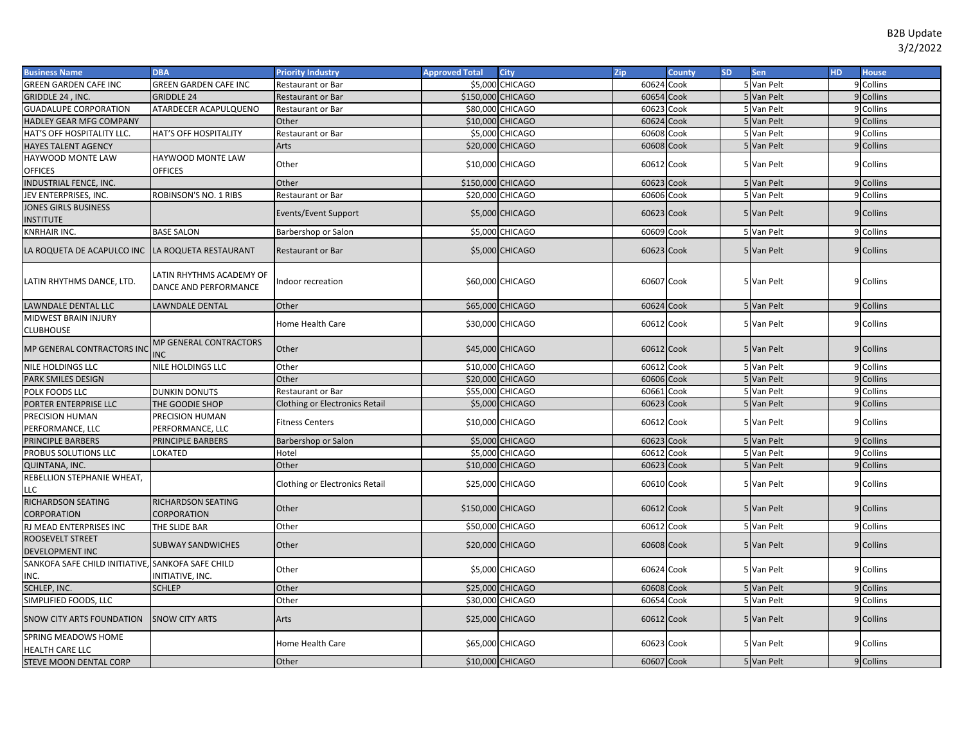| <b>Business Name</b>                                      | <b>DBA</b>                                        | <b>Priority Industry</b>              | <b>Approved Total</b> | <b>City</b>      | Zip        | County | <b>SD</b> | Sen        | <b>HD</b> | <b>House</b> |
|-----------------------------------------------------------|---------------------------------------------------|---------------------------------------|-----------------------|------------------|------------|--------|-----------|------------|-----------|--------------|
| <b>GREEN GARDEN CAFE INC</b>                              | <b>GREEN GARDEN CAFE INC</b>                      | <b>Restaurant or Bar</b>              |                       | \$5,000 CHICAGO  | 60624 Cook |        |           | 5 Van Pelt |           | 9 Collins    |
| GRIDDLE 24, INC.                                          | <b>GRIDDLE 24</b>                                 | Restaurant or Bar                     | \$150,000 CHICAGO     |                  | 60654 Cook |        |           | 5 Van Pelt |           | 9 Collins    |
| <b>GUADALUPE CORPORATION</b>                              | ATARDECER ACAPULQUENO                             | Restaurant or Bar                     |                       | \$80,000 CHICAGO | 60623      | Cook   |           | 5 Van Pelt |           | 9 Collins    |
| HADLEY GEAR MFG COMPANY                                   |                                                   | Other                                 |                       | \$10,000 CHICAGO | 60624 Cook |        |           | 5 Van Pelt |           | 9 Collins    |
| HAT'S OFF HOSPITALITY LLC.                                | HAT'S OFF HOSPITALITY                             | Restaurant or Bar                     |                       | \$5,000 CHICAGO  | 60608 Cook |        |           | 5 Van Pelt |           | 9 Collins    |
| <b>HAYES TALENT AGENCY</b>                                |                                                   | Arts                                  |                       | \$20,000 CHICAGO | 60608 Cook |        |           | 5 Van Pelt |           | 9 Collins    |
| HAYWOOD MONTE LAW                                         | HAYWOOD MONTE LAW                                 | Other                                 |                       | \$10,000 CHICAGO | 60612 Cook |        |           | 5 Van Pelt |           | 9 Collins    |
| <b>OFFICES</b>                                            | <b>OFFICES</b>                                    |                                       |                       |                  |            |        |           |            |           |              |
| <b>INDUSTRIAL FENCE, INC.</b>                             |                                                   | Other                                 | \$150,000 CHICAGO     |                  | 60623 Cook |        |           | 5 Van Pelt |           | 9 Collins    |
| JEV ENTERPRISES, INC.                                     | ROBINSON'S NO. 1 RIBS                             | <b>Restaurant or Bar</b>              |                       | \$20,000 CHICAGO | 60606 Cook |        |           | 5 Van Pelt |           | 9 Collins    |
| <b>JONES GIRLS BUSINESS</b><br><b>INSTITUTE</b>           |                                                   | Events/Event Support                  |                       | \$5,000 CHICAGO  | 60623 Cook |        |           | 5 Van Pelt |           | 9 Collins    |
| KNRHAIR INC.                                              | <b>BASE SALON</b>                                 | Barbershop or Salon                   | \$5,000               | <b>CHICAGO</b>   | 60609      | Cook   |           | 5 Van Pelt |           | 9 Collins    |
| LA ROQUETA DE ACAPULCO INC LA ROQUETA RESTAURANT          |                                                   | <b>Restaurant or Bar</b>              |                       | \$5,000 CHICAGO  | 60623 Cook |        |           | 5 Van Pelt |           | 9 Collins    |
| LATIN RHYTHMS DANCE, LTD.                                 | LATIN RHYTHMS ACADEMY OF<br>DANCE AND PERFORMANCE | Indoor recreation                     |                       | \$60,000 CHICAGO | 60607 Cook |        |           | 5 Van Pelt |           | 9 Collins    |
| LAWNDALE DENTAL LLC                                       | <b>LAWNDALE DENTAL</b>                            | Other                                 |                       | \$65,000 CHICAGO | 60624 Cook |        |           | 5 Van Pelt |           | 9 Collins    |
| MIDWEST BRAIN INJURY                                      |                                                   | Home Health Care                      |                       | \$30,000 CHICAGO | 60612 Cook |        |           | 5 Van Pelt |           | 9 Collins    |
| <b>CLUBHOUSE</b>                                          |                                                   |                                       |                       |                  |            |        |           |            |           |              |
| MP GENERAL CONTRACTORS INC                                | MP GENERAL CONTRACTORS<br><b>NC</b>               | Other                                 |                       | \$45,000 CHICAGO | 60612 Cook |        |           | 5 Van Pelt |           | 9 Collins    |
| NILE HOLDINGS LLC                                         | NILE HOLDINGS LLC                                 | Other                                 |                       | \$10,000 CHICAGO | 60612 Cook |        |           | 5 Van Pelt |           | 9 Collins    |
| PARK SMILES DESIGN                                        |                                                   | Other                                 |                       | \$20,000 CHICAGO | 60606 Cook |        |           | 5 Van Pelt |           | 9 Collins    |
| POLK FOODS LLC                                            | <b>DUNKIN DONUTS</b>                              | Restaurant or Bar                     |                       | \$55,000 CHICAGO | 60661 Cook |        |           | 5 Van Pelt |           | 9 Collins    |
| PORTER ENTERPRISE LLC                                     | THE GOODIE SHOP                                   | <b>Clothing or Electronics Retail</b> |                       | \$5,000 CHICAGO  | 60623 Cook |        |           | 5 Van Pelt |           | 9 Collins    |
| PRECISION HUMAN                                           | PRECISION HUMAN                                   | <b>Fitness Centers</b>                |                       | \$10,000 CHICAGO | 60612 Cook |        |           | 5 Van Pelt |           | 9 Collins    |
| PERFORMANCE, LLC                                          | PERFORMANCE, LLC                                  |                                       |                       |                  |            |        |           |            |           |              |
| PRINCIPLE BARBERS                                         | PRINCIPLE BARBERS                                 | Barbershop or Salon                   |                       | \$5,000 CHICAGO  | 60623 Cook |        |           | 5 Van Pelt |           | 9 Collins    |
| PROBUS SOLUTIONS LLC                                      | LOKATED                                           | Hotel                                 |                       | \$5,000 CHICAGO  | 60612 Cook |        |           | 5 Van Pelt |           | 9 Collins    |
| QUINTANA, INC.                                            |                                                   | Other                                 |                       | \$10,000 CHICAGO | 60623 Cook |        |           | 5 Van Pelt |           | 9 Collins    |
| REBELLION STEPHANIE WHEAT,<br>LLC                         |                                                   | Clothing or Electronics Retail        |                       | \$25,000 CHICAGO | 60610 Cook |        |           | 5 Van Pelt |           | 9 Collins    |
| RICHARDSON SEATING<br>CORPORATION                         | RICHARDSON SEATING<br>CORPORATION                 | Other                                 | \$150,000 CHICAGO     |                  | 60612 Cook |        |           | 5 Van Pelt |           | 9 Collins    |
| RJ MEAD ENTERPRISES INC                                   | THE SLIDE BAR                                     | Other                                 |                       | \$50,000 CHICAGO | 60612 Cook |        |           | 5 Van Pelt |           | 9 Collins    |
| <b>ROOSEVELT STREET</b><br>DEVELOPMENT INC                | <b>SUBWAY SANDWICHES</b>                          | Other                                 |                       | \$20,000 CHICAGO | 60608 Cook |        |           | 5 Van Pelt |           | 9 Collins    |
| SANKOFA SAFE CHILD INITIATIVE, SANKOFA SAFE CHILD<br>INC. | INITIATIVE, INC.                                  | Other                                 |                       | \$5,000 CHICAGO  | 60624 Cook |        |           | 5 Van Pelt |           | 9 Collins    |
| SCHLEP, INC.                                              | <b>SCHLEP</b>                                     | Other                                 |                       | \$25,000 CHICAGO | 60608 Cook |        |           | 5 Van Pelt |           | 9 Collins    |
| SIMPLIFIED FOODS, LLC                                     |                                                   | Other                                 |                       | \$30,000 CHICAGO | 60654 Cook |        |           | 5 Van Pelt |           | 9 Collins    |
| SNOW CITY ARTS FOUNDATION                                 | <b>SNOW CITY ARTS</b>                             | Arts                                  |                       | \$25,000 CHICAGO | 60612 Cook |        |           | 5 Van Pelt |           | 9 Collins    |
| SPRING MEADOWS HOME<br>HEALTH CARE LLC                    |                                                   | Home Health Care                      |                       | \$65,000 CHICAGO | 60623 Cook |        |           | 5 Van Pelt |           | 9 Collins    |
| STEVE MOON DENTAL CORP                                    |                                                   | Other                                 |                       | \$10,000 CHICAGO | 60607 Cook |        |           | 5 Van Pelt |           | 9 Collins    |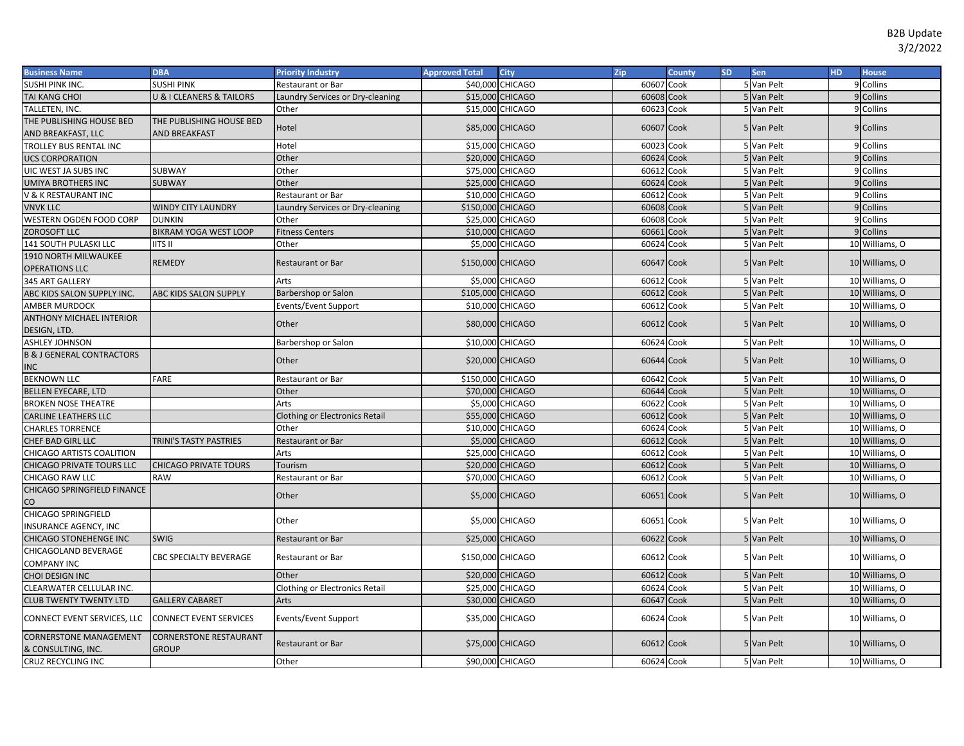| <b>Business Name</b>                          | <b>DBA</b>                    | <b>Priority Industry</b>              | <b>Approved Total</b> | <b>City</b>      | Zip        | County | <b>SD</b> | <b>Sen</b> | <b>HD</b> | <b>House</b>   |
|-----------------------------------------------|-------------------------------|---------------------------------------|-----------------------|------------------|------------|--------|-----------|------------|-----------|----------------|
| SUSHI PINK INC.                               | SUSHI PINK                    | Restaurant or Bar                     | \$40,000              | <b>CHICAGO</b>   | 60607 Cook |        |           | 5 Van Pelt |           | 9 Collins      |
| TAI KANG CHOI                                 | J & I CLEANERS & TAILORS      | Laundry Services or Dry-cleaning      |                       | \$15,000 CHICAGO | 60608 Cook |        |           | 5 Van Pelt |           | 9 Collins      |
| TALLETEN, INC.                                |                               | Other                                 |                       | \$15,000 CHICAGO | 60623 Cook |        |           | 5 Van Pelt |           | 9 Collins      |
| THE PUBLISHING HOUSE BED                      | THE PUBLISHING HOUSE BED      | Hotel                                 |                       | \$85,000 CHICAGO | 60607 Cook |        |           | 5 Van Pelt |           | 9 Collins      |
| AND BREAKFAST, LLC                            | <b>AND BREAKFAST</b>          |                                       |                       |                  |            |        |           |            |           |                |
| TROLLEY BUS RENTAL INC                        |                               | Hotel                                 |                       | \$15,000 CHICAGO | 60023 Cook |        |           | 5 Van Pelt |           | 9 Collins      |
| <b>UCS CORPORATION</b>                        |                               | Other                                 |                       | \$20,000 CHICAGO | 60624 Cook |        |           | 5 Van Pelt |           | 9 Collins      |
| UIC WEST JA SUBS INC                          | SUBWAY                        | Other                                 |                       | \$75,000 CHICAGO | 60612 Cook |        |           | 5 Van Pelt |           | 9 Collins      |
| UMIYA BROTHERS INC                            | <b>SUBWAY</b>                 | Other                                 |                       | \$25,000 CHICAGO | 60624 Cook |        |           | 5 Van Pelt |           | 9 Collins      |
| V & K RESTAURANT INC                          |                               | Restaurant or Bar                     |                       | \$10,000 CHICAGO | 60612 Cook |        |           | 5 Van Pelt |           | 9 Collins      |
| <b>VNVK LLC</b>                               | <b>WINDY CITY LAUNDRY</b>     | Laundry Services or Dry-cleaning      | \$150,000 CHICAGO     |                  | 60608      | Cook   |           | 5 Van Pelt |           | 9 Collins      |
| WESTERN OGDEN FOOD CORP                       | <b>DUNKIN</b>                 | Other                                 |                       | \$25,000 CHICAGO | 60608      | Cook   |           | 5 Van Pelt |           | 9 Collins      |
| ZOROSOFT LLC                                  | <b>BIKRAM YOGA WEST LOOP</b>  | <b>Fitness Centers</b>                |                       | \$10,000 CHICAGO | 60661      | Cook   |           | 5 Van Pelt |           | 9 Collins      |
| 141 SOUTH PULASKI LLC                         | iits II                       | Other                                 |                       | \$5,000 CHICAGO  | 60624 Cook |        |           | 5 Van Pelt |           | 10 Williams, O |
| 1910 NORTH MILWAUKEE<br><b>OPERATIONS LLC</b> | <b>REMEDY</b>                 | <b>Restaurant or Bar</b>              | \$150,000 CHICAGO     |                  | 60647 Cook |        |           | 5 Van Pelt |           | 10 Williams, O |
| 345 ART GALLERY                               |                               | Arts                                  |                       | \$5,000 CHICAGO  | 60612 Cook |        |           | 5 Van Pelt |           | 10 Williams, O |
| ABC KIDS SALON SUPPLY INC.                    | <b>ABC KIDS SALON SUPPLY</b>  | Barbershop or Salon                   | \$105,000 CHICAGO     |                  | 60612 Cook |        |           | 5 Van Pelt |           | 10 Williams, O |
| AMBER MURDOCK                                 |                               | Events/Event Support                  |                       | \$10,000 CHICAGO | 60612 Cook |        |           | 5 Van Pelt |           | 10 Williams, O |
| <b>ANTHONY MICHAEL INTERIOR</b>               |                               | Other                                 |                       | \$80,000 CHICAGO | 60612 Cook |        |           | 5 Van Pelt |           | 10 Williams, O |
| DESIGN, LTD.                                  |                               |                                       |                       |                  |            |        |           |            |           |                |
| <b>ASHLEY JOHNSON</b>                         |                               | Barbershop or Salon                   |                       | \$10,000 CHICAGO | 60624 Cook |        |           | 5 Van Pelt |           | 10 Williams, O |
| <b>B &amp; J GENERAL CONTRACTORS</b>          |                               | Other                                 |                       | \$20,000 CHICAGO | 60644 Cook |        |           | 5 Van Pelt |           | 10 Williams, O |
| <b>INC</b>                                    |                               |                                       |                       |                  |            |        |           |            |           |                |
| <b>BEKNOWN LLC</b>                            | FARE                          | Restaurant or Bar                     | \$150,000 CHICAGO     |                  | 60642 Cook |        |           | 5 Van Pelt |           | 10 Williams, O |
| <b>BELLEN EYECARE, LTD</b>                    |                               | Other                                 |                       | \$70,000 CHICAGO | 60644 Cook |        |           | 5 Van Pelt |           | 10 Williams, O |
| <b>BROKEN NOSE THEATRE</b>                    |                               | Arts                                  |                       | \$5,000 CHICAGO  | 60622 Cook |        |           | 5 Van Pelt |           | 10 Williams, O |
| CARLINE LEATHERS LLC                          |                               | <b>Clothing or Electronics Retail</b> |                       | \$55,000 CHICAGO | 60612 Cook |        |           | 5 Van Pelt |           | 10 Williams, O |
| <b>CHARLES TORRENCE</b>                       |                               | Other                                 |                       | \$10,000 CHICAGO | 60624 Cook |        |           | 5 Van Pelt |           | 10 Williams, O |
| CHEF BAD GIRL LLC                             | TRINI'S TASTY PASTRIES        | <b>Restaurant or Bar</b>              |                       | \$5,000 CHICAGO  | 60612      | Cook   |           | 5 Van Pelt |           | 10 Williams, O |
| CHICAGO ARTISTS COALITION                     |                               | Arts                                  |                       | \$25,000 CHICAGO | 60612 Cook |        |           | 5 Van Pelt |           | 10 Williams, O |
| CHICAGO PRIVATE TOURS LLC                     | <b>CHICAGO PRIVATE TOURS</b>  | Tourism                               |                       | \$20,000 CHICAGO | 60612      | Cook   |           | 5 Van Pelt |           | 10 Williams, O |
| CHICAGO RAW LLC                               | <b>RAW</b>                    | <b>Restaurant or Bar</b>              |                       | \$70,000 CHICAGO | 60612      | Cook   |           | 5 Van Pelt |           | 10 Williams, O |
| CHICAGO SPRINGFIELD FINANCE                   |                               | Other                                 |                       | \$5,000 CHICAGO  | 60651 Cook |        |           | 5 Van Pelt |           | 10 Williams, O |
| CO                                            |                               |                                       |                       |                  |            |        |           |            |           |                |
| CHICAGO SPRINGFIELD                           |                               | Other                                 |                       | \$5,000 CHICAGO  | 60651 Cook |        |           | 5 Van Pelt |           | 10 Williams, O |
| INSURANCE AGENCY, INC                         |                               |                                       |                       |                  |            |        |           |            |           |                |
| CHICAGO STONEHENGE INC                        | <b>SWIG</b>                   | <b>Restaurant or Bar</b>              |                       | \$25,000 CHICAGO | 60622 Cook |        |           | 5 Van Pelt |           | 10 Williams, O |
| CHICAGOLAND BEVERAGE<br><b>COMPANY INC</b>    | CBC SPECIALTY BEVERAGE        | <b>Restaurant or Bar</b>              | \$150,000 CHICAGO     |                  | 60612 Cook |        |           | 5 Van Pelt |           | 10 Williams, O |
| CHOI DESIGN INC                               |                               | Other                                 |                       | \$20,000 CHICAGO | 60612 Cook |        |           | 5 Van Pelt |           | 10 Williams, O |
| CLEARWATER CELLULAR INC.                      |                               | <b>Clothing or Electronics Retail</b> | \$25,000              | <b>CHICAGO</b>   | 60624 Cook |        |           | 5 Van Pelt |           | 10 Williams, O |
| <b>CLUB TWENTY TWENTY LTD</b>                 | <b>GALLERY CABARET</b>        | Arts                                  |                       | \$30,000 CHICAGO | 60647      | Cook   |           | 5 Van Pelt |           | 10 Williams, O |
| CONNECT EVENT SERVICES, LLC                   | <b>CONNECT EVENT SERVICES</b> | Events/Event Support                  |                       | \$35,000 CHICAGO | 60624 Cook |        |           | 5 Van Pelt |           | 10 Williams, O |
| CORNERSTONE MANAGEMENT                        | CORNERSTONE RESTAURANT        |                                       |                       | \$75,000 CHICAGO | 60612 Cook |        |           | 5 Van Pelt |           |                |
| & CONSULTING, INC.                            | <b>GROUP</b>                  | <b>Restaurant or Bar</b>              |                       |                  |            |        |           |            |           | 10 Williams, O |
| CRUZ RECYCLING INC                            |                               | Other                                 |                       | \$90,000 CHICAGO | 60624 Cook |        |           | 5 Van Pelt |           | 10 Williams, O |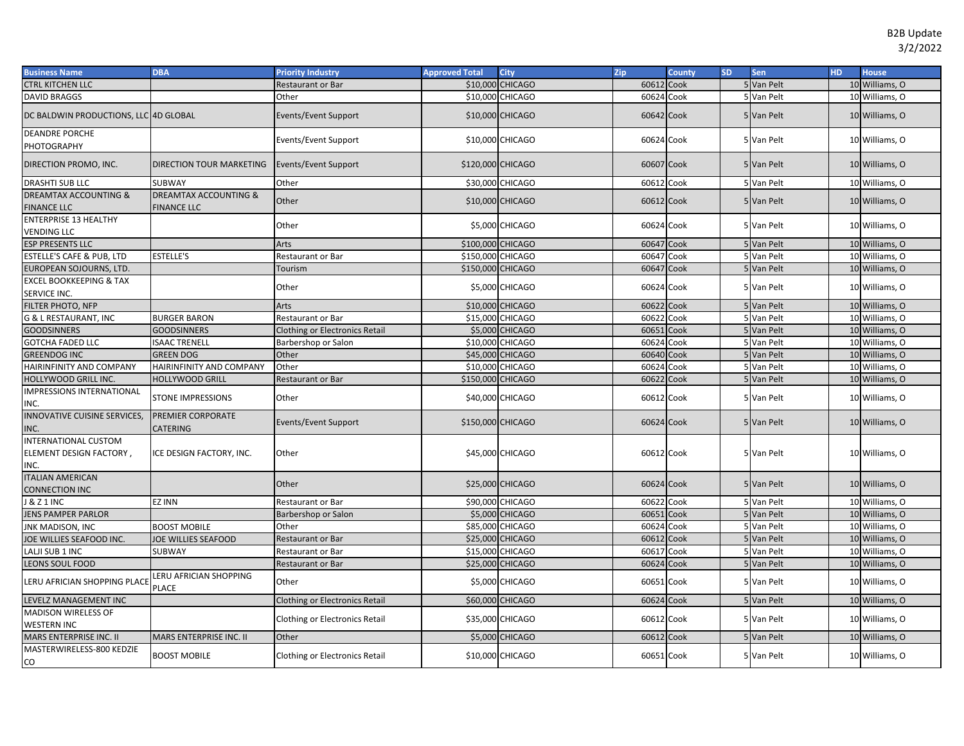| <b>Business Name</b>                                           | <b>DBA</b>                           | <b>Priority Industry</b>              | <b>Approved Total</b> | City             | Zip        | <b>County</b> | <b>SD</b> | Sen        | HD. | <b>House</b>   |
|----------------------------------------------------------------|--------------------------------------|---------------------------------------|-----------------------|------------------|------------|---------------|-----------|------------|-----|----------------|
| <b>CTRL KITCHEN LLC</b>                                        |                                      | Restaurant or Bar                     | \$10,000              | <b>CHICAGO</b>   | 60612 Cook |               |           | 5 Van Pelt |     | 10 Williams, O |
| <b>DAVID BRAGGS</b>                                            |                                      | Other                                 |                       | \$10,000 CHICAGO | 60624 Cook |               |           | 5 Van Pelt |     | 10 Williams, O |
| DC BALDWIN PRODUCTIONS, LLC 4D GLOBAL                          |                                      | Events/Event Support                  |                       | \$10,000 CHICAGO | 60642 Cook |               |           | 5 Van Pelt |     | 10 Williams, O |
| <b>DEANDRE PORCHE</b>                                          |                                      |                                       |                       |                  |            |               |           |            |     |                |
| PHOTOGRAPHY                                                    |                                      | Events/Event Support                  |                       | \$10,000 CHICAGO | 60624 Cook |               |           | 5 Van Pelt |     | 10 Williams, O |
| DIRECTION PROMO, INC.                                          | <b>DIRECTION TOUR MARKETING</b>      | <b>Events/Event Support</b>           | \$120,000 CHICAGO     |                  | 60607 Cook |               |           | 5 Van Pelt |     | 10 Williams, O |
| DRASHTI SUB LLC                                                | <b>SUBWAY</b>                        | Other                                 | \$30,000              | <b>CHICAGO</b>   | 60612 Cook |               |           | 5 Van Pelt |     | 10 Williams, O |
| DREAMTAX ACCOUNTING &                                          | DREAMTAX ACCOUNTING &                | Other                                 |                       | \$10,000 CHICAGO | 60612 Cook |               |           | 5 Van Pelt |     | 10 Williams, O |
| <b>FINANCE LLC</b>                                             | <b>FINANCE LLC</b>                   |                                       |                       |                  |            |               |           |            |     |                |
| <b>ENTERPRISE 13 HEALTHY</b><br><b>VENDING LLC</b>             |                                      | Other                                 |                       | \$5,000 CHICAGO  | 60624 Cook |               |           | 5 Van Pelt |     | 10 Williams, O |
| <b>ESP PRESENTS LLC</b>                                        |                                      | Arts                                  | \$100,000 CHICAGO     |                  | 60647 Cook |               |           | 5 Van Pelt |     | 10 Williams, O |
| ESTELLE'S CAFE & PUB, LTD                                      | <b>ESTELLE'S</b>                     | Restaurant or Bar                     | \$150,000             | <b>CHICAGO</b>   | 60647      | Cook          |           | 5 Van Pelt |     | 10 Williams, O |
| EUROPEAN SOJOURNS, LTD.                                        |                                      | Tourism                               | \$150,000 CHICAGO     |                  | 60647      | Cook          |           | 5 Van Pelt |     | 10 Williams, O |
| <b>EXCEL BOOKKEEPING &amp; TAX</b><br>SERVICE INC.             |                                      | Other                                 |                       | \$5,000 CHICAGO  | 60624 Cook |               |           | 5 Van Pelt |     | 10 Williams, O |
| FILTER PHOTO, NFP                                              |                                      | Arts                                  |                       | \$10,000 CHICAGO | 60622 Cook |               |           | 5 Van Pelt |     | 10 Williams, O |
| <b>G &amp; L RESTAURANT, INC</b>                               | <b>BURGER BARON</b>                  | Restaurant or Bar                     |                       | \$15,000 CHICAGO | 60622      | Cook          |           | 5 Van Pelt |     | 10 Williams, O |
| <b>GOODSINNERS</b>                                             | <b>GOODSINNERS</b>                   | Clothing or Electronics Retail        |                       | \$5,000 CHICAGO  | 60651      | Cook          |           | 5 Van Pelt |     | 10 Williams, O |
| <b>GOTCHA FADED LLC</b>                                        | <b>SAAC TRENELL</b>                  | Barbershop or Salon                   |                       | \$10,000 CHICAGO | 60624 Cook |               |           | 5 Van Pelt |     | 10 Williams, O |
| <b>GREENDOG INC</b>                                            | <b>GREEN DOG</b>                     | Other                                 |                       | \$45,000 CHICAGO | 60640 Cook |               |           | 5 Van Pelt |     | 10 Williams, O |
| HAIRINFINITY AND COMPANY                                       | HAIRINFINITY AND COMPANY             | Other                                 | \$10,000              | <b>CHICAGO</b>   | 60624      | Cook          |           | 5 Van Pelt |     | 10 Williams, O |
| HOLLYWOOD GRILL INC.                                           | <b>HOLLYWOOD GRILL</b>               | Restaurant or Bar                     | \$150,000 CHICAGO     |                  | 60622 Cook |               |           | 5 Van Pelt |     | 10 Williams, O |
| <b>IMPRESSIONS INTERNATIONAL</b><br>INC.                       | <b>STONE IMPRESSIONS</b>             | Other                                 |                       | \$40,000 CHICAGO | 60612 Cook |               |           | 5 Van Pelt |     | 10 Williams, O |
| INNOVATIVE CUISINE SERVICES,<br>INC.                           | PREMIER CORPORATE<br><b>CATERING</b> | Events/Event Support                  | \$150,000 CHICAGO     |                  | 60624 Cook |               |           | 5 Van Pelt |     | 10 Williams, O |
| <b>INTERNATIONAL CUSTOM</b><br>ELEMENT DESIGN FACTORY,<br>INC. | ICE DESIGN FACTORY, INC.             | Other                                 |                       | \$45,000 CHICAGO | 60612 Cook |               |           | 5 Van Pelt |     | 10 Williams, O |
| <b>ITALIAN AMERICAN</b><br>CONNECTION INC                      |                                      | Other                                 |                       | \$25,000 CHICAGO | 60624 Cook |               |           | 5 Van Pelt |     | 10 Williams, O |
| <b>J &amp; Z 1 INC</b>                                         | <b>EZ INN</b>                        | Restaurant or Bar                     |                       | \$90,000 CHICAGO | 60622 Cook |               |           | 5 Van Pelt |     | 10 Williams, O |
| <b>JENS PAMPER PARLOR</b>                                      |                                      | Barbershop or Salon                   | \$5,000               | <b>CHICAGO</b>   | 60651      | Cook          |           | 5 Van Pelt |     | 10 Williams, O |
| <b>JNK MADISON, INC</b>                                        | <b>BOOST MOBILE</b>                  | Other                                 |                       | \$85,000 CHICAGO | 60624 Cook |               |           | 5 Van Pelt |     | 10 Williams, O |
| JOE WILLIES SEAFOOD INC.                                       | <b>JOE WILLIES SEAFOOD</b>           | Restaurant or Bar                     |                       | \$25,000 CHICAGO | 60612 Cook |               |           | 5 Van Pelt |     | 10 Williams, O |
| LALJI SUB 1 INC                                                | <b>SUBWAY</b>                        | Restaurant or Bar                     |                       | \$15,000 CHICAGO | 60617      | Cook          |           | 5 Van Pelt |     | 10 Williams, O |
| <b>LEONS SOUL FOOD</b>                                         |                                      | Restaurant or Bar                     |                       | \$25,000 CHICAGO | 60624 Cook |               |           | 5 Van Pelt |     | 10 Williams, O |
| <b>LERU AFRICIAN SHOPPING PLACE</b>                            | LERU AFRICIAN SHOPPING<br>PLACE      | Other                                 |                       | \$5,000 CHICAGO  | 60651 Cook |               |           | 5 Van Pelt |     | 10 Williams, O |
| LEVELZ MANAGEMENT INC                                          |                                      | <b>Clothing or Electronics Retail</b> |                       | \$60,000 CHICAGO | 60624 Cook |               |           | 5 Van Pelt |     | 10 Williams, O |
| <b>MADISON WIRELESS OF</b>                                     |                                      |                                       |                       |                  |            |               |           |            |     |                |
| WESTERN INC                                                    |                                      | <b>Clothing or Electronics Retail</b> |                       | \$35,000 CHICAGO | 60612 Cook |               |           | 5 Van Pelt |     | 10 Williams, O |
| MARS ENTERPRISE INC. II                                        | MARS ENTERPRISE INC. II              | Other                                 |                       | \$5,000 CHICAGO  | 60612 Cook |               |           | 5 Van Pelt |     | 10 Williams, O |
| MASTERWIRELESS-800 KEDZIE<br>CO                                | <b>BOOST MOBILE</b>                  | Clothing or Electronics Retail        |                       | \$10,000 CHICAGO | 60651 Cook |               |           | 5 Van Pelt |     | 10 Williams, O |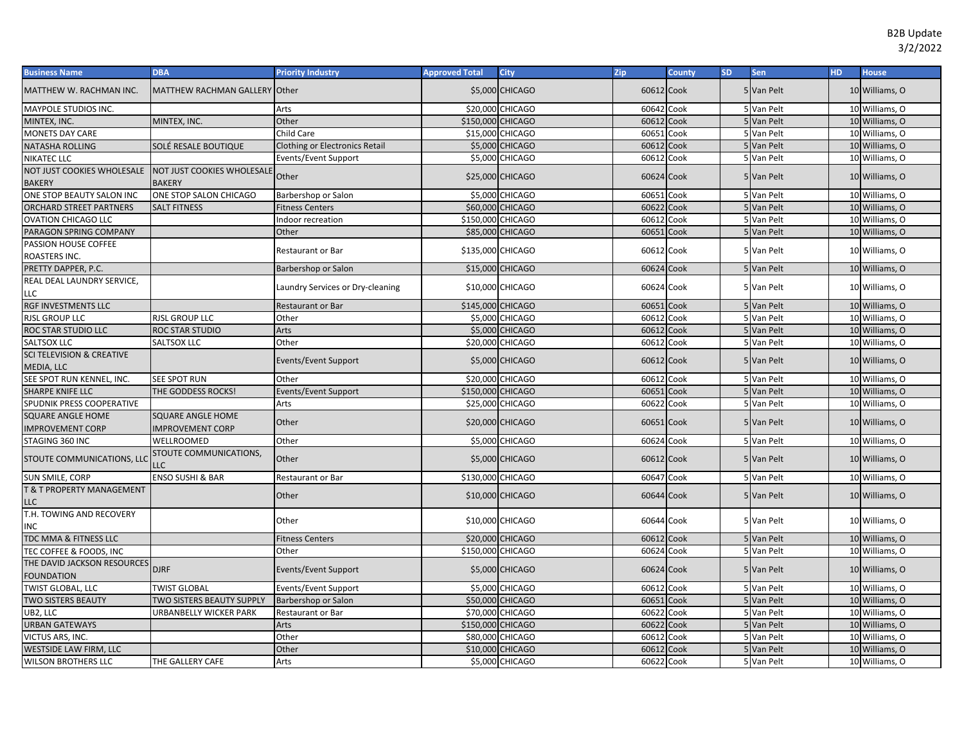| <b>Business Name</b>                        | <b>DBA</b>                                  | <b>Priority Industry</b>         | <b>Approved Total</b> | City             | Zip        | <b>County</b> | <b>SD</b> | Sen        | <b>HD</b> | <b>House</b>   |
|---------------------------------------------|---------------------------------------------|----------------------------------|-----------------------|------------------|------------|---------------|-----------|------------|-----------|----------------|
| MATTHEW W. RACHMAN INC.                     | MATTHEW RACHMAN GALLERY Other               |                                  |                       | \$5,000 CHICAGO  | 60612 Cook |               |           | 5 Van Pelt |           | 10 Williams, O |
| MAYPOLE STUDIOS INC.                        |                                             | Arts                             |                       | \$20,000 CHICAGO | 60642      | Cook          |           | 5 Van Pelt |           | 10 Williams, O |
| MINTEX, INC.                                | MINTEX, INC.                                | Other                            | \$150,000 CHICAGO     |                  | 60612      | Cook          |           | 5 Van Pelt |           | 10 Williams, O |
| <b>MONETS DAY CARE</b>                      |                                             | Child Care                       |                       | \$15,000 CHICAGO | 60651      | Cook          |           | 5 Van Pelt |           | 10 Williams, O |
| NATASHA ROLLING                             | SOLÉ RESALE BOUTIQUE                        | Clothing or Electronics Retail   |                       | \$5,000 CHICAGO  | 60612 Cook |               |           | 5 Van Pelt |           | 10 Williams, O |
| NIKATEC LLC                                 |                                             | Events/Event Support             |                       | \$5,000 CHICAGO  | 60612      | Cook          |           | 5 Van Pelt |           | 10 Williams, O |
| NOT JUST COOKIES WHOLESALE<br><b>BAKERY</b> | NOT JUST COOKIES WHOLESALE<br><b>BAKERY</b> | Other                            |                       | \$25,000 CHICAGO | 60624 Cook |               |           | 5 Van Pelt |           | 10 Williams, O |
| ONE STOP BEAUTY SALON INC                   | ONE STOP SALON CHICAGO                      | Barbershop or Salon              |                       | \$5,000 CHICAGO  | 60651      | Cook          |           | 5 Van Pelt |           | 10 Williams, O |
| ORCHARD STREET PARTNERS                     | <b>SALT FITNESS</b>                         | <b>Fitness Centers</b>           |                       | \$60,000 CHICAGO | 60622      | Cook          |           | 5 Van Pelt |           | 10 Williams, O |
| <b>OVATION CHICAGO LLC</b>                  |                                             | ndoor recreation                 | \$150,000 CHICAGO     |                  | 60612      | Cook          |           | 5 Van Pelt |           | 10 Williams, O |
| PARAGON SPRING COMPANY                      |                                             | Other                            |                       | \$85,000 CHICAGO | 60651      | Cook          |           | 5 Van Pelt |           | 10 Williams, O |
| PASSION HOUSE COFFEE<br>ROASTERS INC.       |                                             | Restaurant or Bar                | \$135,000 CHICAGO     |                  | 60612 Cook |               |           | 5 Van Pelt |           | 10 Williams, O |
| PRETTY DAPPER, P.C.                         |                                             | Barbershop or Salon              |                       | \$15,000 CHICAGO | 60624      | Cook          |           | 5 Van Pelt |           | 10 Williams, O |
| REAL DEAL LAUNDRY SERVICE,<br>LLC           |                                             | Laundry Services or Dry-cleaning |                       | \$10,000 CHICAGO | 60624      | Cook          |           | 5 Van Pelt |           | 10 Williams, O |
| RGF INVESTMENTS LLC                         |                                             | <b>Restaurant or Bar</b>         | \$145,000 CHICAGO     |                  | 60651      | Cook          |           | 5 Van Pelt |           | 10 Williams, O |
| <b>RJSL GROUP LLC</b>                       | <b>RJSL GROUP LLC</b>                       | Other                            |                       | \$5,000 CHICAGO  | 60612      | Cook          |           | 5 Van Pelt |           | 10 Williams, O |
| ROC STAR STUDIO LLC                         | ROC STAR STUDIO                             | Arts                             |                       | \$5,000 CHICAGO  | 60612      | Cook          |           | 5 Van Pelt |           | 10 Williams, O |
| SALTSOX LLC                                 | SALTSOX LLC                                 | Other                            |                       | \$20,000 CHICAGO | 60612      | Cook          |           | 5 Van Pelt |           | 10 Williams, O |
| <b>SCI TELEVISION &amp; CREATIVE</b>        |                                             |                                  |                       |                  |            |               |           |            |           |                |
| MEDIA, LLC                                  |                                             | Events/Event Support             |                       | \$5,000 CHICAGO  | 60612 Cook |               |           | 5 Van Pelt |           | 10 Williams, O |
| SEE SPOT RUN KENNEL, INC.                   | <b>SEE SPOT RUN</b>                         | Other                            |                       | \$20,000 CHICAGO | 60612 Cook |               |           | 5 Van Pelt |           | 10 Williams, O |
| SHARPE KNIFE LLC                            | THE GODDESS ROCKS!                          | Events/Event Support             | \$150,000 CHICAGO     |                  | 60651      | Cook          |           | 5 Van Pelt |           | 10 Williams, O |
| SPUDNIK PRESS COOPERATIVE                   |                                             | Arts                             |                       | \$25,000 CHICAGO | 60622      | Cook          |           | 5 Van Pelt |           | 10 Williams, O |
| <b>SQUARE ANGLE HOME</b>                    | <b>SQUARE ANGLE HOME</b>                    |                                  |                       |                  |            |               |           |            |           |                |
| <b>IMPROVEMENT CORP</b>                     | <b>IMPROVEMENT CORP</b>                     | Other                            |                       | \$20,000 CHICAGO | 60651 Cook |               |           | 5 Van Pelt |           | 10 Williams, O |
| STAGING 360 INC                             | WELLROOMED                                  | Other                            |                       | \$5,000 CHICAGO  | 60624      | Cook          |           | 5 Van Pelt |           | 10 Williams, O |
| STOUTE COMMUNICATIONS, LLC                  | STOUTE COMMUNICATIONS,<br>LLC               | Other                            |                       | \$5,000 CHICAGO  | 60612 Cook |               |           | 5 Van Pelt |           | 10 Williams, O |
| SUN SMILE, CORP                             | <b>ENSO SUSHI &amp; BAR</b>                 | Restaurant or Bar                | \$130,000 CHICAGO     |                  | 60647      | Cook          |           | 5 Van Pelt |           | 10 Williams, O |
| <b>E &amp; T PROPERTY MANAGEMENT</b><br>LLC |                                             | Other                            |                       | \$10,000 CHICAGO | 60644 Cook |               |           | 5 Van Pelt |           | 10 Williams, O |
| T.H. TOWING AND RECOVERY<br>INC             |                                             | Other                            |                       | \$10,000 CHICAGO | 60644      | Cook          |           | 5 Van Pelt |           | 10 Williams, O |
| TDC MMA & FITNESS LLC                       |                                             | <b>Fitness Centers</b>           |                       | \$20,000 CHICAGO | 60612      | Cook          |           | 5 Van Pelt |           | 10 Williams, O |
| TEC COFFEE & FOODS, INC                     |                                             | Other                            | \$150,000 CHICAGO     |                  | 60624      | Cook          |           | 5 Van Pelt |           | 10 Williams, O |
| THE DAVID JACKSON RESOURCES                 |                                             |                                  |                       |                  |            |               |           |            |           |                |
| <b>FOUNDATION</b>                           | <b>DJRF</b>                                 | Events/Event Support             |                       | \$5,000 CHICAGO  | 60624 Cook |               |           | 5 Van Pelt |           | 10 Williams, O |
| TWIST GLOBAL, LLC                           | <b>TWIST GLOBAL</b>                         | Events/Event Support             |                       | \$5,000 CHICAGO  | 60612      | Cook          |           | 5 Van Pelt |           | 10 Williams, O |
| <b>TWO SISTERS BEAUTY</b>                   | TWO SISTERS BEAUTY SUPPLY                   | Barbershop or Salon              |                       | \$50,000 CHICAGO | 60651      | Cook          |           | 5 Van Pelt |           | 10 Williams, O |
| UB2, LLC                                    | URBANBELLY WICKER PARK                      | Restaurant or Bar                |                       | \$70,000 CHICAGO | 60622      | Cook          |           | 5 Van Pelt |           | 10 Williams, O |
| <b>URBAN GATEWAYS</b>                       |                                             | Arts                             | \$150,000 CHICAGO     |                  | 60622      | Cook          |           | 5 Van Pelt |           | 10 Williams, O |
| VICTUS ARS, INC.                            |                                             | Other                            |                       | \$80,000 CHICAGO | 60612      | Cook          |           | 5 Van Pelt |           | 10 Williams, O |
| WESTSIDE LAW FIRM, LLC                      |                                             | Other                            |                       | \$10,000 CHICAGO | 60612      | Cook          |           | 5 Van Pelt |           | 10 Williams, O |
| <b>WILSON BROTHERS LLC</b>                  | THE GALLERY CAFE                            | Arts                             |                       | \$5,000 CHICAGO  | 60622 Cook |               |           | 5 Van Pelt |           | 10 Williams, O |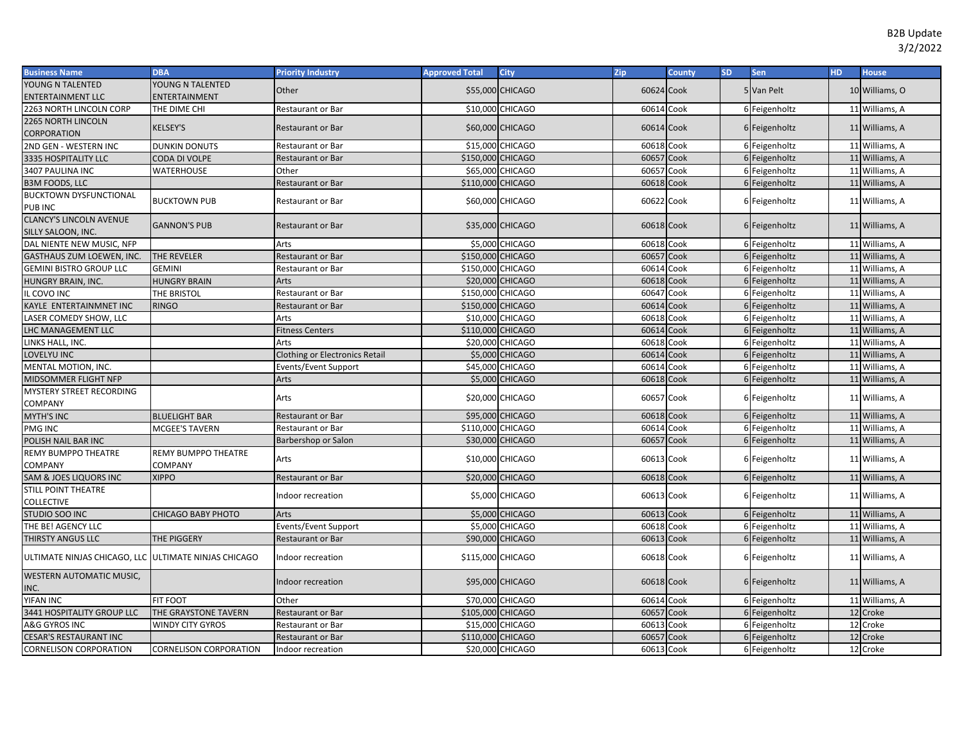| <b>Business Name</b>                                  | <b>DBA</b>                    | <b>Priority Industry</b>       | <b>Approved Total</b> | <b>City</b>      | Zip        | <b>County</b> | <b>SD</b> | Sen           | HD. | <b>House</b>               |
|-------------------------------------------------------|-------------------------------|--------------------------------|-----------------------|------------------|------------|---------------|-----------|---------------|-----|----------------------------|
| YOUNG N TALENTED                                      | YOUNG N TALENTED              | Other                          |                       | \$55,000 CHICAGO | 60624 Cook |               |           | 5 Van Pelt    |     | 10 Williams, O             |
| ENTERTAINMENT LLC                                     | ENTERTAINMENT                 |                                |                       |                  |            |               |           |               |     |                            |
| 2263 NORTH LINCOLN CORP                               | THE DIME CHI                  | Restaurant or Bar              |                       | \$10,000 CHICAGO | 60614      | Cook          |           | 6 Feigenholtz |     | 11 Williams, A             |
| 2265 NORTH LINCOLN                                    | KELSEY'S                      | <b>Restaurant or Bar</b>       |                       | \$60,000 CHICAGO | 60614 Cook |               |           | 6 Feigenholtz |     | 11 Williams, A             |
| <b>CORPORATION</b>                                    |                               |                                |                       |                  |            |               |           |               |     |                            |
| 2ND GEN - WESTERN INC                                 | <b>DUNKIN DONUTS</b>          | Restaurant or Bar              |                       | \$15,000 CHICAGO | 60618 Cook |               |           | 6 Feigenholtz |     | 11 Williams, A             |
| 3335 HOSPITALITY LLC                                  | CODA DI VOLPE                 | Restaurant or Bar              | \$150,000 CHICAGO     |                  | 60657      | Cook          |           | 6 Feigenholtz |     | 11 Williams, A             |
| 3407 PAULINA INC                                      | WATERHOUSE                    | Other                          |                       | \$65,000 CHICAGO | 60657      | Cook          |           | 6 Feigenholtz |     | 11 Williams, A             |
| <b>B3M FOODS, LLC</b>                                 |                               | Restaurant or Bar              | \$110,000 CHICAGO     |                  | 60618 Cook |               |           | 6 Feigenholtz |     | 11 Williams, A             |
| <b>BUCKTOWN DYSFUNCTIONAL</b><br>PUB INC              | BUCKTOWN PUB                  | Restaurant or Bar              |                       | \$60,000 CHICAGO | 60622 Cook |               |           | 6 Feigenholtz |     | 11 Williams, A             |
| <b>CLANCY'S LINCOLN AVENUE</b><br>SILLY SALOON, INC.  | <b>GANNON'S PUB</b>           | Restaurant or Bar              |                       | \$35,000 CHICAGO | 60618 Cook |               |           | 6 Feigenholtz |     | 11 Williams, A             |
| DAL NIENTE NEW MUSIC, NFP                             |                               | Arts                           |                       | \$5,000 CHICAGO  | 60618      | Cook          |           | 6 Feigenholtz |     | 11 Williams, A             |
| GASTHAUS ZUM LOEWEN, INC.                             | THE REVELER                   | Restaurant or Bar              | \$150,000 CHICAGO     |                  | 60657      | Cook          |           | 6 Feigenholtz |     | 11 Williams, A             |
| <b>GEMINI BISTRO GROUP LLC</b>                        | <b>GEMINI</b>                 | Restaurant or Bar              | \$150,000 CHICAGO     |                  | 60614      | Cook          |           | 6 Feigenholtz |     | 11 Williams, A             |
| HUNGRY BRAIN, INC.                                    | <b>HUNGRY BRAIN</b>           | <b>Arts</b>                    |                       | \$20,000 CHICAGO | 60618      | Cook          |           | 6 Feigenholtz |     | 11 Williams, A             |
| L COVO INC                                            | THE BRISTOL                   | Restaurant or Bar              | \$150,000 CHICAGO     |                  | 60647      | Cook          |           | 6 Feigenholtz |     | 11 Williams, A             |
| KAYLE ENTERTAINMNET INC                               | RINGO                         | Restaurant or Bar              | \$150,000 CHICAGO     |                  | 60614      | Cook          |           | 6 Feigenholtz |     | 11 Williams, A             |
| LASER COMEDY SHOW, LLC                                |                               | Arts                           |                       | \$10,000 CHICAGO | 60618 Cook |               |           | 6 Feigenholtz |     | 11 Williams, A             |
| LHC MANAGEMENT LLC                                    |                               | <b>Fitness Centers</b>         | \$110,000 CHICAGO     |                  | 60614      | Cook          |           | 6 Feigenholtz |     | 11 Williams, A             |
| LINKS HALL, INC.                                      |                               | Arts                           |                       | \$20,000 CHICAGO | 60618 Cook |               |           | 6 Feigenholtz |     | 11 Williams, A             |
| LOVELYU INC                                           |                               | Clothing or Electronics Retail |                       | \$5,000 CHICAGO  | 60614      | Cook          |           | 6 Feigenholtz |     | 11 Williams, A             |
| MENTAL MOTION, INC.                                   |                               | Events/Event Support           |                       | \$45,000 CHICAGO | 60614      | Cook          |           | 6 Feigenholtz |     | 11 Williams, A             |
| MIDSOMMER FLIGHT NFP                                  |                               | Arts                           |                       | \$5,000 CHICAGO  | 60618      | Cook          |           | 6 Feigenholtz |     | 11 Williams, A             |
| MYSTERY STREET RECORDING                              |                               |                                |                       |                  |            |               |           |               |     |                            |
| COMPANY                                               |                               | Arts                           |                       | \$20,000 CHICAGO | 60657 Cook |               |           | 6 Feigenholtz |     | 11 Williams, A             |
| <b>MYTH'S INC</b>                                     | <b>BLUELIGHT BAR</b>          | Restaurant or Bar              |                       | \$95,000 CHICAGO | 60618 Cook |               |           | 6 Feigenholtz |     | 11 Williams, A             |
| PMG INC                                               | MCGEE'S TAVERN                | Restaurant or Bar              | \$110,000 CHICAGO     |                  | 60614 Cook |               |           | 6 Feigenholtz |     | 11 Williams, A             |
| POLISH NAIL BAR INC                                   |                               | Barbershop or Salon            |                       | \$30,000 CHICAGO | 60657 Cook |               |           | 6 Feigenholtz |     | 11 Williams, A             |
| REMY BUMPPO THEATRE                                   | <b>REMY BUMPPO THEATRE</b>    |                                |                       |                  |            |               |           |               |     |                            |
| COMPANY                                               | COMPANY                       | Arts                           |                       | \$10,000 CHICAGO | 60613 Cook |               |           | 6 Feigenholtz |     | 11 Williams, A             |
| SAM & JOES LIQUORS INC                                | <b>XIPPO</b>                  | Restaurant or Bar              |                       | \$20,000 CHICAGO | 60618 Cook |               |           | 6 Feigenholtz |     | 11 Williams, A             |
| <b>STILL POINT THEATRE</b>                            |                               |                                |                       |                  |            |               |           |               |     |                            |
| <b>COLLECTIVE</b>                                     |                               | ndoor recreation               |                       | \$5,000 CHICAGO  | 60613 Cook |               |           | 6 Feigenholtz |     | 11 Williams, A             |
| STUDIO SOO INC                                        | CHICAGO BABY PHOTO            | Arts                           |                       | \$5,000 CHICAGO  | 60613 Cook |               |           | 6 Feigenholtz |     | 11 Williams, A             |
| THE BE! AGENCY LLC                                    |                               | Events/Event Support           |                       | \$5,000 CHICAGO  | 60618      | Cook          |           | 6 Feigenholtz |     | 11 Williams, A             |
| <b>THIRSTY ANGUS LLC</b>                              | <b>THE PIGGERY</b>            | Restaurant or Bar              |                       | \$90,000 CHICAGO | 60613 Cook |               |           | 6 Feigenholtz |     | 11 Williams, A             |
| ULTIMATE NINJAS CHICAGO, LLC  ULTIMATE NINJAS CHICAGO |                               | ndoor recreation               | \$115,000 CHICAGO     |                  | 60618 Cook |               |           | 6 Feigenholtz |     | 11 Williams, A             |
| WESTERN AUTOMATIC MUSIC,                              |                               | ndoor recreation               |                       | \$95,000 CHICAGO | 60618 Cook |               |           | 6 Feigenholtz |     | 11 Williams, A             |
| INC.<br>YIFAN INC                                     | <b>FIT FOOT</b>               | Other                          |                       | \$70,000 CHICAGO | 60614      | Cook          |           |               |     |                            |
|                                                       |                               |                                |                       |                  | 60657      |               |           | 6 Feigenholtz |     | 11 Williams, A<br>12 Croke |
| 3441 HOSPITALITY GROUP LLC                            | THE GRAYSTONE TAVERN          | Restaurant or Bar              | \$105,000 CHICAGO     |                  |            | Cook          |           | 6 Feigenholtz |     |                            |
| A&G GYROS INC                                         | <b>WINDY CITY GYROS</b>       | Restaurant or Bar              |                       | \$15,000 CHICAGO | 60613      | Cook          |           | 6 Feigenholtz |     | 12 Croke                   |
| <b>CESAR'S RESTAURANT INC</b>                         |                               | Restaurant or Bar              | \$110,000 CHICAGO     |                  | 60657      | Cook          |           | 6 Feigenholtz |     | 12 Croke                   |
| CORNELISON CORPORATION                                | <b>CORNELISON CORPORATION</b> | Indoor recreation              |                       | \$20,000 CHICAGO | 60613 Cook |               |           | 6 Feigenholtz |     | 12 Croke                   |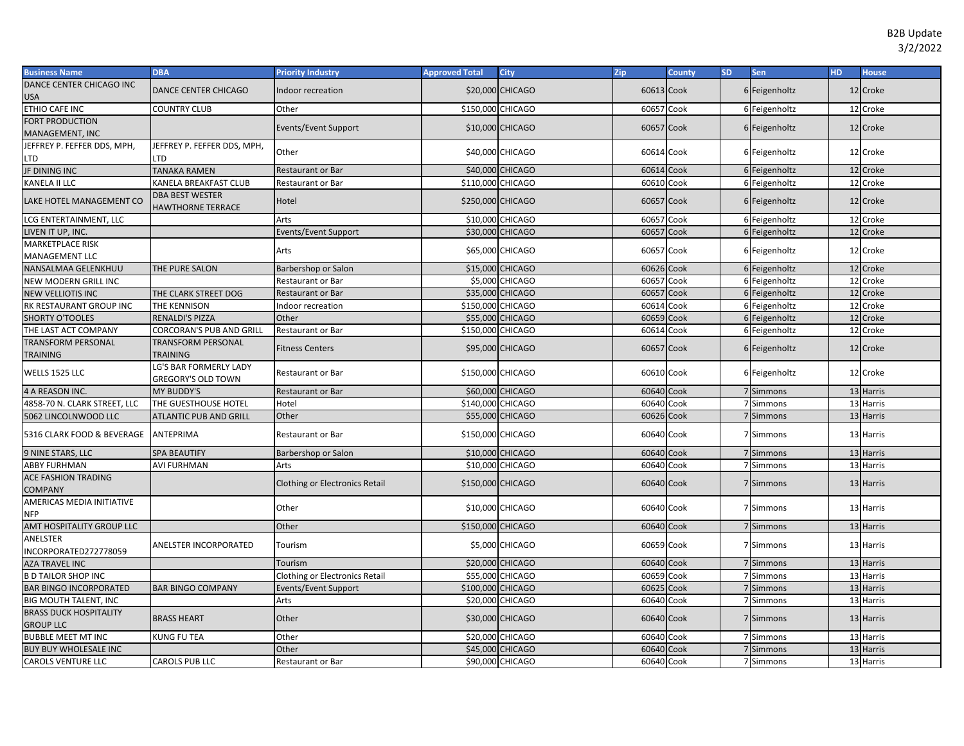| <b>Business Name</b>                             | <b>DBA</b>                                          | <b>Priority Industry</b>              | <b>Approved Total</b> | City                   | Zip                      | <b>County</b> | <b>SD</b> | Sen                    | <b>HD</b> | <b>House</b> |
|--------------------------------------------------|-----------------------------------------------------|---------------------------------------|-----------------------|------------------------|--------------------------|---------------|-----------|------------------------|-----------|--------------|
| DANCE CENTER CHICAGO INC<br>USA                  | DANCE CENTER CHICAGO                                | Indoor recreation                     |                       | \$20,000 CHICAGO       | 60613 Cook               |               |           | 6 Feigenholtz          |           | 12 Croke     |
| ETHIO CAFE INC                                   | COUNTRY CLUB                                        | Other                                 | \$150,000 CHICAGO     |                        | 60657                    | Cook          |           | 6 Feigenholtz          | 12        | Croke        |
| FORT PRODUCTION<br>MANAGEMENT, INC               |                                                     | <b>Events/Event Support</b>           |                       | \$10,000 CHICAGO       | 60657 Cook               |               |           | 6 Feigenholtz          | 12        | Croke        |
| JEFFREY P. FEFFER DDS, MPH,<br>_TD               | JEFFREY P. FEFFER DDS, MPH,<br>TD.                  | Other                                 |                       | \$40,000 CHICAGO       | 60614 Cook               |               |           | 6 Feigenholtz          | 12        | Croke        |
| <b>JF DINING INC</b>                             | <b>TANAKA RAMEN</b>                                 | Restaurant or Bar                     |                       | \$40,000 CHICAGO       | 60614 Cook               |               |           | 6 Feigenholtz          |           | 12 Croke     |
| KANELA II LLC                                    | KANELA BREAKFAST CLUB                               | Restaurant or Bar                     | \$110,000 CHICAGO     |                        | 60610 Cook               |               |           | 6 Feigenholtz          |           | 12 Croke     |
| LAKE HOTEL MANAGEMENT CO                         | <b>DBA BEST WESTER</b><br>HAWTHORNE TERRACE         | Hotel                                 | \$250,000 CHICAGO     |                        | 60657 Cook               |               |           | 6 Feigenholtz          | 12        | Croke        |
| LCG ENTERTAINMENT, LLC                           |                                                     | Arts                                  |                       | \$10,000 CHICAGO       | 60657                    | Cook          |           | 6 Feigenholtz          | 12        | Croke        |
| LIVEN IT UP, INC.                                |                                                     | Events/Event Support                  |                       | \$30,000 CHICAGO       | 60657                    | Cook          |           | 6 Feigenholtz          | 12        | Croke        |
| <b>MARKETPLACE RISK</b><br><b>MANAGEMENT LLC</b> |                                                     | Arts                                  |                       | \$65,000 CHICAGO       | 60657 Cook               |               |           | 6 Feigenholtz          |           | 12 Croke     |
| NANSALMAA GELENKHUU                              | THE PURE SALON                                      | Barbershop or Salon                   |                       | \$15,000 CHICAGO       | 60626 Cook               |               |           | 6 Feigenholtz          |           | 12 Croke     |
| NEW MODERN GRILL INC                             |                                                     | Restaurant or Bar                     |                       | <b>\$5,000 CHICAGO</b> | 60657                    | Cook          |           | 6 Feigenholtz          | 12        | Croke        |
| <b>NEW VELLIOTIS INC</b>                         | THE CLARK STREET DOG                                | Restaurant or Bar                     |                       | \$35,000 CHICAGO       | 60657                    | Cook          |           | 6 Feigenholtz          | 12        | Croke        |
| RK RESTAURANT GROUP INC                          | THE KENNISON                                        | Indoor recreation                     | \$150,000 CHICAGO     |                        | 60614 Cook               |               |           | 6 Feigenholtz          | 12        | Croke        |
| <b>SHORTY O'TOOLES</b>                           | <b>RENALDI'S PIZZA</b>                              | Other                                 |                       | \$55,000 CHICAGO       | 60659                    | Cook          |           | 6 Feigenholtz          | 12        | Croke        |
| THE LAST ACT COMPANY                             | CORCORAN'S PUB AND GRILL                            | Restaurant or Bar                     | \$150,000 CHICAGO     |                        | 60614 Cook               |               |           | 6 Feigenholtz          | 12        | Croke        |
| <b>TRANSFORM PERSONAL</b><br>TRAINING            | <b>TRANSFORM PERSONAL</b><br><b>TRAINING</b>        | <b>Fitness Centers</b>                |                       | \$95,000 CHICAGO       | 60657 Cook               |               |           | 6 Feigenholtz          |           | 12 Croke     |
| WELLS 1525 LLC                                   | LG'S BAR FORMERLY LADY<br><b>GREGORY'S OLD TOWN</b> | Restaurant or Bar                     | \$150,000 CHICAGO     |                        | 60610 Cook               |               |           | 6 Feigenholtz          |           | 12 Croke     |
| 4 A REASON INC.                                  | <b>MY BUDDY'S</b>                                   | <b>Restaurant or Bar</b>              |                       | \$60,000 CHICAGO       | 60640 Cook               |               |           | 7 Simmons              |           | 13 Harris    |
| 4858-70 N. CLARK STREET, LLC                     | THE GUESTHOUSE HOTEL                                | Hotel                                 | \$140,000 CHICAGO     |                        | 60640 Cook               |               |           | 7 Simmons              |           | 13 Harris    |
| 5062 LINCOLNWOOD LLC                             | <b>ATLANTIC PUB AND GRILL</b>                       | Other                                 |                       | \$55,000 CHICAGO       | 60626 Cook               |               |           | 7 Simmons              |           | 13 Harris    |
| 5316 CLARK FOOD & BEVERAGE                       | <b>ANTEPRIMA</b>                                    | <b>Restaurant or Bar</b>              | \$150,000 CHICAGO     |                        | 60640 Cook               |               |           | 7 Simmons              |           | 13 Harris    |
| 9 NINE STARS, LLC                                | <b>SPA BEAUTIFY</b>                                 | Barbershop or Salon                   |                       | \$10,000 CHICAGO       | 60640 Cook               |               |           | 7 Simmons              |           | 13 Harris    |
| <b>ABBY FURHMAN</b>                              | <b>AVI FURHMAN</b>                                  | Arts                                  |                       | \$10,000 CHICAGO       | 60640 Cook               |               |           | 7 Simmons              |           | 13 Harris    |
| <b>ACE FASHION TRADING</b><br>COMPANY            |                                                     | Clothing or Electronics Retail        | \$150,000 CHICAGO     |                        | 60640 Cook               |               |           | 7 Simmons              |           | 13 Harris    |
| AMERICAS MEDIA INITIATIVE<br>NFP                 |                                                     | Other                                 |                       | \$10,000 CHICAGO       | 60640 Cook               |               |           | 7 Simmons              |           | 13 Harris    |
| AMT HOSPITALITY GROUP LLC                        |                                                     | Other                                 | \$150,000 CHICAGO     |                        | 60640 Cook               |               |           | 7 Simmons              |           | 13 Harris    |
| ANELSTER<br>INCORPORATED272778059                | <b>ANELSTER INCORPORATED</b>                        | Tourism                               |                       | \$5,000 CHICAGO        | 60659 Cook               |               |           | 7 Simmons              |           | 13 Harris    |
| <b>AZA TRAVEL INC</b>                            |                                                     | Tourism                               |                       | \$20,000 CHICAGO       | 60640                    | Cook          |           | 7 Simmons              |           | 13 Harris    |
| <b>B D TAILOR SHOP INC</b>                       |                                                     | <b>Clothing or Electronics Retail</b> |                       | \$55,000 CHICAGO       | 60659                    | Cook          |           | 7 Simmons              |           | 13 Harris    |
| <b>BAR BINGO INCORPORATED</b>                    | <b>BAR BINGO COMPANY</b>                            | Events/Event Support                  | \$100,000 CHICAGO     |                        | 6062                     | Cook          |           | 7 Simmons              |           | 13 Harris    |
| BIG MOUTH TALENT, INC                            |                                                     | Arts                                  |                       | \$20,000 CHICAGO       | 60640                    | Cook          |           | 7 Simmons              |           | 13 Harris    |
| <b>BRASS DUCK HOSPITALITY</b>                    | <b>BRASS HEART</b>                                  | Other                                 |                       | \$30,000 CHICAGO       | 60640 Cook               |               |           | 7 Simmons              |           | 13 Harris    |
| <b>GROUP LLC</b>                                 |                                                     |                                       |                       |                        |                          |               |           |                        |           |              |
| <b>BUBBLE MEET MT INC</b>                        | <b>KUNG FU TEA</b>                                  | Other                                 |                       | \$20,000 CHICAGO       | 60640 Cook<br>60640 Cook |               |           | 7 Simmons<br>7 Simmons |           | 13 Harris    |
| <b>BUY BUY WHOLESALE INC</b>                     |                                                     | Other                                 |                       | \$45,000 CHICAGO       |                          |               |           |                        |           | 13 Harris    |
| CAROLS VENTURE LLC                               | <b>CAROLS PUB LLC</b>                               | Restaurant or Bar                     |                       | \$90,000 CHICAGO       | 60640 Cook               |               |           | 7 Simmons              |           | 13 Harris    |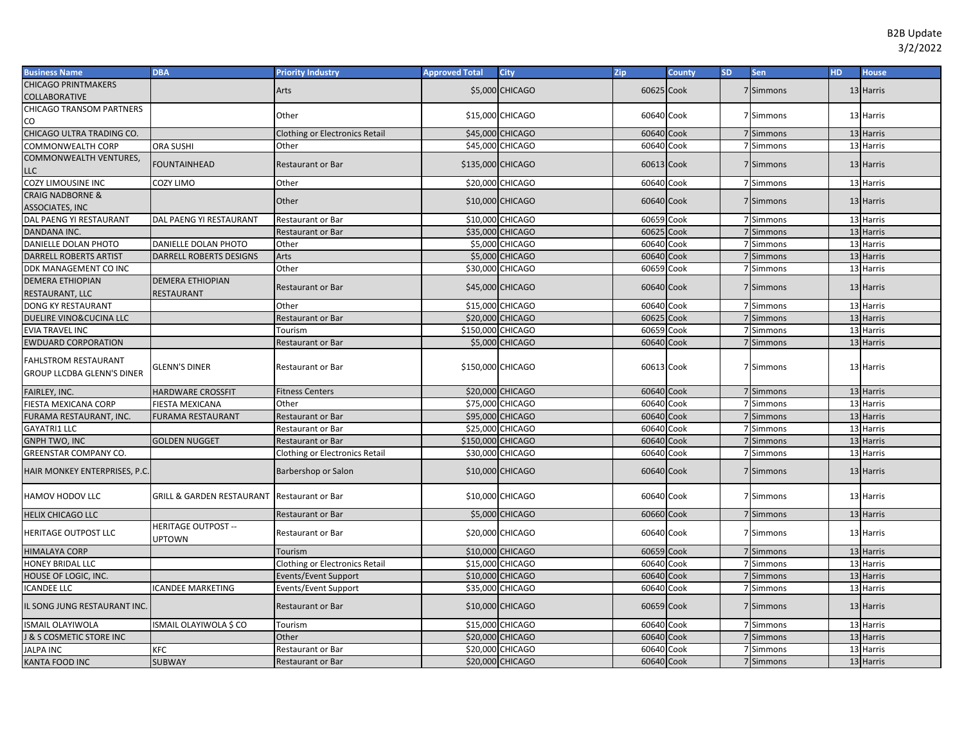| <b>Business Name</b>                               | <b>DBA</b>                           | <b>Priority Industry</b>              | <b>Approved Total</b> | <b>City</b>            | <b>Zip</b>     | <b>County</b> | <b>SD</b> | <b>Sen</b>             | HD. | <b>House</b>           |
|----------------------------------------------------|--------------------------------------|---------------------------------------|-----------------------|------------------------|----------------|---------------|-----------|------------------------|-----|------------------------|
| <b>CHICAGO PRINTMAKERS</b>                         |                                      | Arts                                  |                       | \$5,000 CHICAGO        | 60625 Cook     |               |           | 7 Simmons              |     | 13 Harris              |
| COLLABORATIVE                                      |                                      |                                       |                       |                        |                |               |           |                        |     |                        |
| CHICAGO TRANSOM PARTNERS                           |                                      | Other                                 |                       | \$15,000 CHICAGO       | 60640 Cook     |               |           | 7 Simmons              |     | 13 Harris              |
| CO                                                 |                                      |                                       |                       |                        |                |               |           |                        |     |                        |
| CHICAGO ULTRA TRADING CO.                          |                                      | <b>Clothing or Electronics Retail</b> |                       | \$45,000 CHICAGO       | 60640 Cook     |               |           | 7 Simmons              |     | 13 Harris              |
| COMMONWEALTH CORP                                  | ORA SUSHI                            | Other                                 |                       | \$45,000 CHICAGO       | 60640 Cook     |               |           | 7 Simmons              |     | 13 Harris              |
| COMMONWEALTH VENTURES,                             | <b>FOUNTAINHEAD</b>                  | <b>Restaurant or Bar</b>              | \$135,000 CHICAGO     |                        | 60613 Cook     |               |           | 7 Simmons              |     | 13 Harris              |
| LLC                                                |                                      |                                       |                       |                        |                |               |           |                        |     |                        |
| COZY LIMOUSINE INC                                 | COZY LIMO                            | Other                                 |                       | \$20,000 CHICAGO       | 60640 Cook     |               |           | 7 Simmons              |     | 13 Harris              |
| <b>CRAIG NADBORNE &amp;</b>                        |                                      | Other                                 |                       | \$10,000 CHICAGO       | 60640 Cook     |               |           | 7 Simmons              |     | 13 Harris              |
| <b>ASSOCIATES, INC</b>                             |                                      |                                       |                       |                        |                |               |           |                        |     |                        |
| DAL PAENG YI RESTAURANT                            | DAL PAENG YI RESTAURANT              | <b>Restaurant or Bar</b>              |                       | \$10,000 CHICAGO       | 60659 Cook     |               |           | 7 Simmons              |     | 13 Harris              |
| DANDANA INC.                                       |                                      | <b>Restaurant or Bar</b>              |                       | \$35,000 CHICAGO       | 60625          | Cook          |           | 7 Simmons              |     | 13 Harris              |
| DANIELLE DOLAN PHOTO                               | DANIELLE DOLAN PHOTO                 | Other                                 |                       | \$5,000 CHICAGO        | 60640          | Cook          |           | 7 Simmons              |     | 13 Harris              |
| DARRELL ROBERTS ARTIST                             | DARRELL ROBERTS DESIGNS              | Arts                                  |                       | <b>\$5,000 CHICAGO</b> | 60640          | Cook          |           | 7 Simmons              |     | 13 Harris              |
| DDK MANAGEMENT CO INC                              |                                      | Other                                 |                       | \$30,000 CHICAGO       | 60659          | Cook          |           | 7 Simmons              |     | 13 Harris              |
| <b>DEMERA ETHIOPIAN</b>                            | <b>DEMERA ETHIOPIAN</b>              | <b>Restaurant or Bar</b>              |                       | \$45,000 CHICAGO       | 60640 Cook     |               |           | 7 Simmons              |     | 13 Harris              |
| RESTAURANT, LLC                                    | <b>RESTAURANT</b>                    |                                       |                       |                        |                |               |           |                        |     |                        |
| DONG KY RESTAURANT                                 |                                      | Other                                 |                       | \$15,000 CHICAGO       | 60640 Cook     |               |           | 7 Simmons<br>7 Simmons |     | 13 Harris              |
| DUELIRE VINO& CUCINA LLC<br><b>EVIA TRAVEL INC</b> |                                      | <b>Restaurant or Bar</b>              | \$150,000 CHICAGO     | \$20,000 CHICAGO       | 60625<br>60659 | Cook<br>Cook  |           | 7 Simmons              |     | 13 Harris              |
|                                                    |                                      | Tourism                               |                       | \$5,000 CHICAGO        | 60640 Cook     |               |           | 7 Simmons              |     | 13 Harris<br>13 Harris |
| <b>EWDUARD CORPORATION</b>                         |                                      | <b>Restaurant or Bar</b>              |                       |                        |                |               |           |                        |     |                        |
| FAHLSTROM RESTAURANT                               | <b>GLENN'S DINER</b>                 | <b>Restaurant or Bar</b>              | \$150,000 CHICAGO     |                        | 60613 Cook     |               |           | 7 Simmons              |     | 13 Harris              |
| GROUP LLCDBA GLENN'S DINER                         |                                      |                                       |                       |                        |                |               |           |                        |     |                        |
| FAIRLEY, INC.                                      | <b>HARDWARE CROSSFIT</b>             | <b>Fitness Centers</b>                |                       | \$20,000 CHICAGO       | 60640 Cook     |               |           | 7 Simmons              |     | 13 Harris              |
| FIESTA MEXICANA CORP                               | FIESTA MEXICANA                      | Other                                 |                       | \$75,000 CHICAGO       | 60640 Cook     |               |           | 7 Simmons              |     | 13 Harris              |
| FURAMA RESTAURANT, INC.                            | FURAMA RESTAURANT                    | <b>Restaurant or Bar</b>              |                       | \$95,000 CHICAGO       | 60640 Cook     |               |           | 7 Simmons              |     | 13 Harris              |
| GAYATRI1 LLC                                       |                                      | Restaurant or Bai                     |                       | \$25,000 CHICAGO       | 60640 Cook     |               |           | 7 Simmons              |     | 13 Harris              |
| GNPH TWO, INC                                      | <b>GOLDEN NUGGET</b>                 | Restaurant or Bar                     | \$150,000 CHICAGO     |                        | 60640 Cook     |               |           | 7 Simmons              |     | 13 Harris              |
| <b>GREENSTAR COMPANY CO.</b>                       |                                      | Clothing or Electronics Retail        |                       | \$30,000 CHICAGO       | 60640 Cook     |               |           | 7 Simmons              |     | 13 Harris              |
|                                                    |                                      |                                       |                       |                        |                |               |           |                        |     |                        |
| HAIR MONKEY ENTERPRISES, P.C.                      |                                      | Barbershop or Salon                   |                       | \$10,000 CHICAGO       | 60640 Cook     |               |           | 7 Simmons              |     | 13 Harris              |
|                                                    |                                      |                                       |                       |                        |                |               |           |                        |     |                        |
| HAMOV HODOV LLC                                    | <b>GRILL &amp; GARDEN RESTAURANT</b> | <b>Restaurant or Bar</b>              |                       | \$10,000 CHICAGO       | 60640 Cook     |               |           | 7 Simmons              |     | 13 Harris              |
| <b>HELIX CHICAGO LLC</b>                           |                                      | <b>Restaurant or Bar</b>              |                       | <b>\$5,000 CHICAGO</b> | 60660 Cook     |               |           | 7 Simmons              |     | 13 Harris              |
| HERITAGE OUTPOST LLC                               | <b>HERITAGE OUTPOST --</b>           | <b>Restaurant or Bar</b>              |                       | \$20,000 CHICAGO       | 60640 Cook     |               |           | 7 Simmons              |     | 13 Harris              |
|                                                    | <b>JPTOWN</b>                        |                                       |                       |                        |                |               |           |                        |     |                        |
| HIMALAYA CORP                                      |                                      | Tourism                               |                       | \$10,000 CHICAGO       | 60659 Cook     |               |           | 7 Simmons              |     | 13 Harris              |
| HONEY BRIDAL LLC                                   |                                      | Clothing or Electronics Retail        |                       | \$15,000 CHICAGO       | 60640          | Cook          |           | 7 Simmons              |     | 13 Harris              |
| HOUSE OF LOGIC, INC.                               |                                      | Events/Event Support                  |                       | \$10,000 CHICAGO       | 60640          | Cook          |           | 7 Simmons              |     | 13 Harris              |
| <b>CANDEE LLC</b>                                  | <b>ICANDEE MARKETING</b>             | Events/Event Support                  |                       | \$35,000 CHICAGO       | 60640          | Cook          |           | 7 Simmons              |     | 13 Harris              |
| L SONG JUNG RESTAURANT INC.                        |                                      | <b>Restaurant or Bar</b>              |                       | \$10,000 CHICAGO       | 60659 Cook     |               |           | 7 Simmons              |     | 13 Harris              |
| <b>ISMAIL OLAYIWOLA</b>                            |                                      |                                       |                       |                        | 60640 Cook     |               |           |                        |     |                        |
|                                                    | ISMAIL OLAYIWOLA \$ CO               | Tourism                               |                       | \$15,000 CHICAGO       |                |               |           | 7 Simmons              |     | 13 Harris              |
| <b>8 S COSMETIC STORE INC</b>                      |                                      | Other                                 |                       | \$20,000 CHICAGO       | 60640 Cook     |               |           | 7 Simmons              |     | 13 Harris              |
| <b>JALPA INC</b>                                   | KFC                                  | Restaurant or Bar                     |                       | \$20,000 CHICAGO       | 60640          | Cook          |           | 7 Simmons              |     | 13 Harris              |
| KANTA FOOD INC                                     | <b>SUBWAY</b>                        | <b>Restaurant or Bar</b>              |                       | \$20,000 CHICAGO       | 60640 Cook     |               |           | 7 Simmons              |     | 13 Harris              |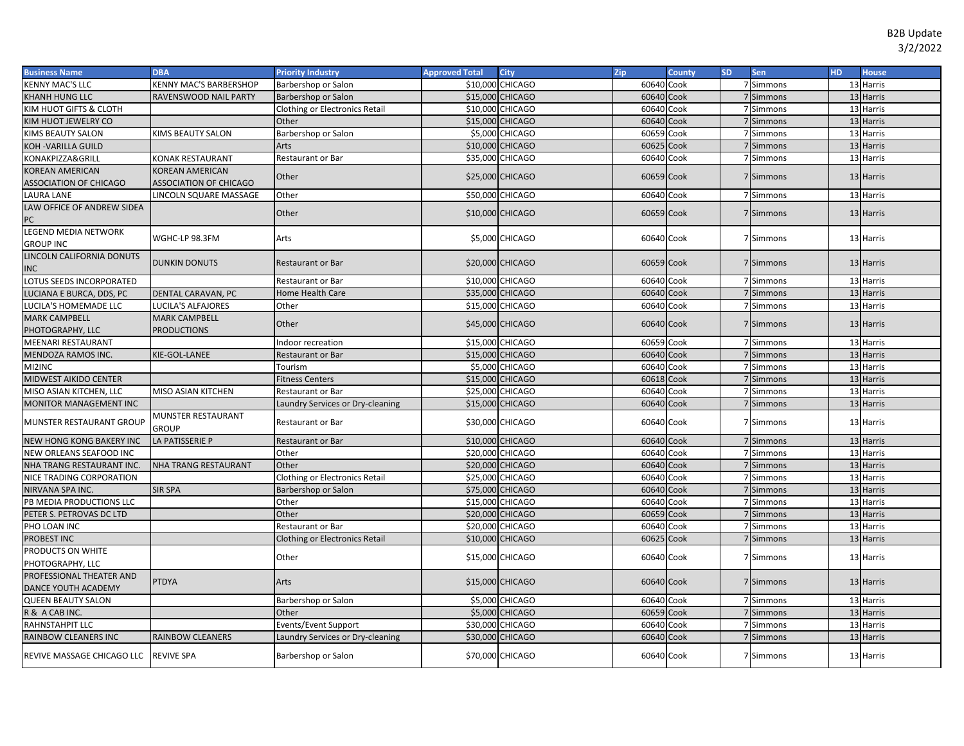| <b>Business Name</b>          | <b>DBA</b>                    | <b>Priority Industry</b>              | <b>Approved Total</b> | <b>City</b>      | Zip        | County | <b>SD</b> | <b>Sen</b> | HD. | <b>House</b> |
|-------------------------------|-------------------------------|---------------------------------------|-----------------------|------------------|------------|--------|-----------|------------|-----|--------------|
| <b>KENNY MAC'S LLC</b>        | KENNY MAC'S BARBERSHOP        | Barbershop or Salon                   |                       | \$10,000 CHICAGO | 60640 Cook |        |           | 7 Simmons  |     | 13 Harris    |
| KHANH HUNG LLC                | RAVENSWOOD NAIL PARTY         | Barbershop or Salon                   |                       | \$15,000 CHICAGO | 60640 Cook |        |           | 7 Simmons  |     | 13 Harris    |
| KIM HUOT GIFTS & CLOTH        |                               | Clothing or Electronics Retail        |                       | \$10,000 CHICAGO | 60640 Cook |        |           | 7 Simmons  |     | 13 Harris    |
| KIM HUOT JEWELRY CO           |                               | Other                                 |                       | \$15,000 CHICAGO | 60640 Cook |        |           | 7 Simmons  |     | 13 Harris    |
| KIMS BEAUTY SALON             | KIMS BEAUTY SALON             | Barbershop or Salon                   |                       | \$5,000 CHICAGO  | 60659      | Cook   |           | 7 Simmons  |     | 13 Harris    |
| KOH -VARILLA GUILD            |                               | Arts                                  |                       | \$10,000 CHICAGO | 60625 Cook |        |           | 7 Simmons  |     | 13 Harris    |
| KONAKPIZZA&GRILL              | KONAK RESTAURANT              | Restaurant or Bar                     |                       | \$35,000 CHICAGO | 60640 Cook |        |           | 7 Simmons  |     | 13 Harris    |
| KOREAN AMERICAN               | KOREAN AMERICAN               | Other                                 |                       | \$25,000 CHICAGO | 60659 Cook |        |           | 7 Simmons  |     | 13 Harris    |
| <b>ASSOCIATION OF CHICAGO</b> | <b>ASSOCIATION OF CHICAGO</b> |                                       |                       |                  |            |        |           |            |     |              |
| LAURA LANE                    | LINCOLN SQUARE MASSAGE        | Other                                 |                       | \$50,000 CHICAGO | 60640 Cook |        |           | 7 Simmons  |     | 13 Harris    |
| LAW OFFICE OF ANDREW SIDEA    |                               | Other                                 |                       | \$10,000 CHICAGO | 60659 Cook |        |           | 7 Simmons  |     | 13 Harris    |
| PC                            |                               |                                       |                       |                  |            |        |           |            |     |              |
| LEGEND MEDIA NETWORK          | WGHC-LP 98.3FM                | Arts                                  |                       | \$5,000 CHICAGO  | 60640 Cook |        |           | 7 Simmons  |     | 13 Harris    |
| <b>GROUP INC</b>              |                               |                                       |                       |                  |            |        |           |            |     |              |
| LINCOLN CALIFORNIA DONUTS     | <b>DUNKIN DONUTS</b>          | Restaurant or Bar                     |                       | \$20,000 CHICAGO | 60659 Cook |        |           | 7 Simmons  |     | 13 Harris    |
| <b>INC</b>                    |                               |                                       |                       |                  |            |        |           |            |     |              |
| LOTUS SEEDS INCORPORATED      |                               | Restaurant or Bar                     |                       | \$10,000 CHICAGO | 60640 Cook |        |           | 7 Simmons  |     | 13 Harris    |
| LUCIANA E BURCA, DDS, PC      | DENTAL CARAVAN, PC            | Home Health Care                      |                       | \$35,000 CHICAGO | 60640 Cook |        |           | 7 Simmons  |     | 13 Harris    |
| LUCILA'S HOMEMADE LLC         | LUCILA'S ALFAJORES            | Other                                 |                       | \$15,000 CHICAGO | 60640 Cook |        |           | 7 Simmons  |     | 13 Harris    |
| <b>MARK CAMPBELL</b>          | <b>MARK CAMPBELL</b>          | Other                                 |                       | \$45,000 CHICAGO | 60640 Cook |        |           | 7 Simmons  |     | 13 Harris    |
| PHOTOGRAPHY, LLC              | <b>PRODUCTIONS</b>            |                                       |                       |                  |            |        |           |            |     |              |
| MEENARI RESTAURANT            |                               | Indoor recreation                     |                       | \$15,000 CHICAGO | 60659      | Cook   |           | 7 Simmons  |     | 13 Harris    |
| MENDOZA RAMOS INC.            | KIE-GOL-LANEE                 | Restaurant or Bar                     |                       | \$15,000 CHICAGO | 60640 Cook |        |           | 7 Simmons  |     | 13 Harris    |
| MI2INC                        |                               | Tourism                               |                       | \$5,000 CHICAGO  | 60640      | Cook   |           | 7 Simmons  |     | 13 Harris    |
| MIDWEST AIKIDO CENTER         |                               | <b>Fitness Centers</b>                |                       | \$15,000 CHICAGO | 60618 Cook |        |           | 7 Simmons  |     | 13 Harris    |
| MISO ASIAN KITCHEN, LLC       | MISO ASIAN KITCHEN            | Restaurant or Bar                     |                       | \$25,000 CHICAGO | 60640 Cook |        |           | 7 Simmons  |     | 13 Harris    |
| MONITOR MANAGEMENT INC        |                               | Laundry Services or Dry-cleaning      |                       | \$15,000 CHICAGO | 60640 Cook |        |           | 7 Simmons  |     | 13 Harris    |
| MUNSTER RESTAURANT GROUP      | MUNSTER RESTAURANT            | Restaurant or Bar                     |                       | \$30,000 CHICAGO | 60640 Cook |        |           | 7 Simmons  |     | 13 Harris    |
|                               | GROUP                         |                                       |                       |                  |            |        |           |            |     |              |
| NEW HONG KONG BAKERY INC      | LA PATISSERIE P               | <b>Restaurant or Bar</b>              |                       | \$10,000 CHICAGO | 60640 Cook |        |           | 7 Simmons  |     | 13 Harris    |
| NEW ORLEANS SEAFOOD INC       |                               | Other                                 |                       | \$20,000 CHICAGO | 60640 Cook |        |           | 7 Simmons  |     | 13 Harris    |
| NHA TRANG RESTAURANT INC.     | NHA TRANG RESTAURANT          | Other                                 |                       | \$20,000 CHICAGO | 60640      | Cook   |           | 7 Simmons  |     | 13 Harris    |
| NICE TRADING CORPORATION      |                               | <b>Clothing or Electronics Retail</b> |                       | \$25,000 CHICAGO | 60640      | Cook   |           | 7 Simmons  |     | 13 Harris    |
| NIRVANA SPA INC.              | <b>SIR SPA</b>                | Barbershop or Salon                   |                       | \$75,000 CHICAGO | 60640      | Cook   |           | 7 Simmons  |     | 13 Harris    |
| PB MEDIA PRODUCTIONS LLC      |                               | Other                                 |                       | \$15,000 CHICAGO | 60640      | Cook   |           | 7 Simmons  |     | 13 Harris    |
| PETER S. PETROVAS DC LTD      |                               | Other                                 |                       | \$20,000 CHICAGO | 60659      | Cook   |           | 7 Simmons  |     | 13 Harris    |
| PHO LOAN INC                  |                               | Restaurant or Bar                     |                       | \$20,000 CHICAGO | 60640      | Cook   |           | 7 Simmons  |     | 13 Harris    |
| PROBEST INC                   |                               | <b>Clothing or Electronics Retail</b> |                       | \$10,000 CHICAGO | 60625      | Cook   |           | 7 Simmons  |     | 13 Harris    |
| PRODUCTS ON WHITE             |                               | Other                                 |                       | \$15,000 CHICAGO | 60640 Cook |        |           | 7 Simmons  |     | 13 Harris    |
| PHOTOGRAPHY, LLC              |                               |                                       |                       |                  |            |        |           |            |     |              |
| PROFESSIONAL THEATER AND      | <b>PTDYA</b>                  | Arts                                  |                       | \$15,000 CHICAGO | 60640 Cook |        |           | 7 Simmons  |     | 13 Harris    |
| DANCE YOUTH ACADEMY           |                               |                                       |                       |                  |            |        |           |            |     |              |
| <b>QUEEN BEAUTY SALON</b>     |                               | Barbershop or Salon                   |                       | \$5,000 CHICAGO  | 60640 Cook |        |           | 7 Simmons  |     | 13 Harris    |
| R & A CAB INC.                |                               | Other                                 |                       | \$5,000 CHICAGO  | 60659      | Cook   |           | 7 Simmons  |     | 13 Harris    |
| RAHNSTAHPIT LLC               |                               | Events/Event Support                  |                       | \$30,000 CHICAGO | 60640      | Cook   |           | 7 Simmons  |     | 13 Harris    |
| RAINBOW CLEANERS INC          | RAINBOW CLEANERS              | aundry Services or Dry-cleaning.      |                       | \$30,000 CHICAGO | 60640 Cook |        |           | 7 Simmons  |     | 13 Harris    |
| REVIVE MASSAGE CHICAGO LLC    | <b>REVIVE SPA</b>             | Barbershop or Salon                   |                       | \$70,000 CHICAGO | 60640 Cook |        |           | 7 Simmons  |     | 13 Harris    |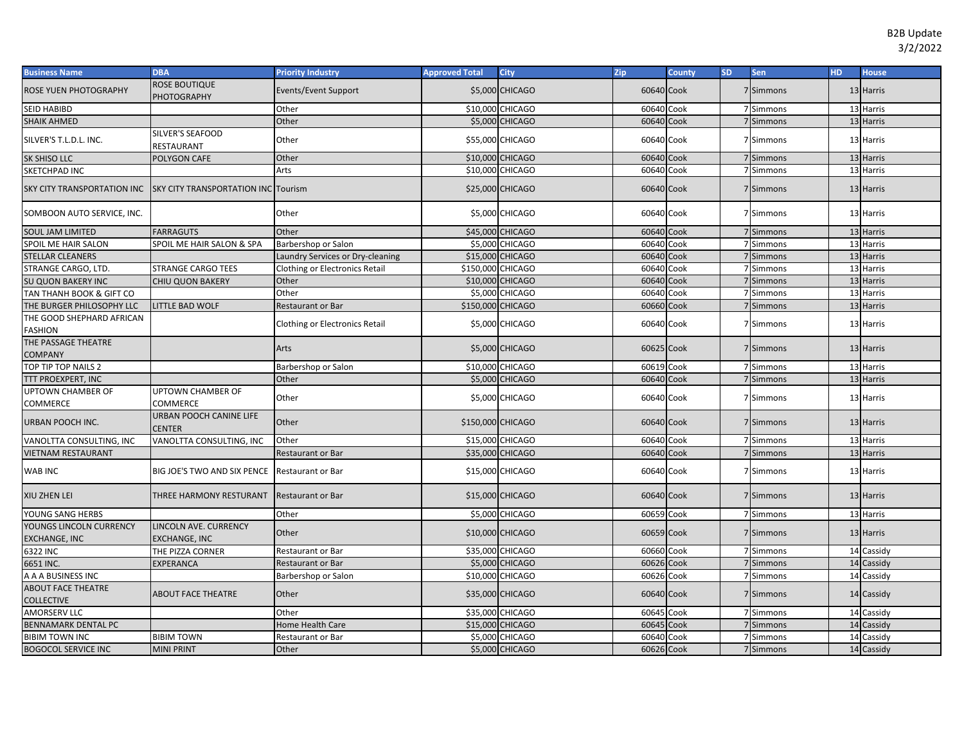| <b>Business Name</b>                            | <b>DBA</b>                                    | <b>Priority Industry</b>         | <b>Approved Total</b> | <b>City</b>            | Zip        | <b>County</b> | <b>SD</b> | Sen       | HD. | <b>House</b> |
|-------------------------------------------------|-----------------------------------------------|----------------------------------|-----------------------|------------------------|------------|---------------|-----------|-----------|-----|--------------|
| ROSE YUEN PHOTOGRAPHY                           | <b>ROSE BOUTIQUE</b><br>PHOTOGRAPHY           | Events/Event Support             |                       | \$5,000 CHICAGO        | 60640 Cook |               |           | 7 Simmons |     | 13 Harris    |
| SEID HABIBD                                     |                                               | Other                            |                       | \$10,000 CHICAGO       | 60640      | Cook          |           | 7 Simmons |     | 13 Harris    |
| <b>SHAIK AHMED</b>                              |                                               | Other                            |                       | \$5,000 CHICAGO        | 60640 Cook |               |           | 7 Simmons |     | 13 Harris    |
| SILVER'S T.L.D.L. INC.                          | SILVER'S SEAFOOD<br>RESTAURANT                | Other                            |                       | \$55,000 CHICAGO       | 60640 Cook |               |           | 7 Simmons |     | 13 Harris    |
| <b>SK SHISO LLC</b>                             | POLYGON CAFE                                  | Other                            |                       | \$10,000 CHICAGO       | 60640 Cook |               |           | 7 Simmons |     | 13 Harris    |
| SKETCHPAD INC                                   |                                               | Arts                             |                       | \$10,000 CHICAGO       | 60640      | Cook          |           | 7 Simmons |     | 13 Harris    |
| SKY CITY TRANSPORTATION INC                     | <b>SKY CITY TRANSPORTATION INC</b>            | Tourism                          |                       | \$25,000 CHICAGO       | 60640 Cook |               |           | 7 Simmons |     | 13 Harris    |
| SOMBOON AUTO SERVICE, INC.                      |                                               | Other                            |                       | \$5,000 CHICAGO        | 60640 Cook |               |           | 7 Simmons |     | 13 Harris    |
| <b>SOUL JAM LIMITED</b>                         | <b>FARRAGUTS</b>                              | Other                            |                       | \$45,000 CHICAGO       | 60640 Cook |               |           | 7 Simmons |     | 13 Harris    |
| SPOIL ME HAIR SALON                             | SPOIL ME HAIR SALON & SPA                     | Barbershop or Salon              |                       | \$5,000 CHICAGO        | 60640      | Cook          |           | 7 Simmons |     | 13 Harris    |
| <b>STELLAR CLEANERS</b>                         |                                               | Laundry Services or Dry-cleaning |                       | \$15,000 CHICAGO       | 60640 Cook |               |           | 7 Simmons |     | 13 Harris    |
| STRANGE CARGO, LTD.                             | <b>STRANGE CARGO TEES</b>                     | Clothing or Electronics Retail   | \$150,000 CHICAGO     |                        | 60640 Cook |               |           | 7 Simmons |     | 13 Harris    |
| SU QUON BAKERY INC                              | <b>CHIU QUON BAKERY</b>                       | Other                            |                       | \$10,000 CHICAGO       | 60640 Cook |               |           | 7 Simmons |     | 13 Harris    |
| TAN THANH BOOK & GIFT CO                        |                                               | Other                            |                       | \$5,000 CHICAGO        | 60640      | Cook          |           | 7 Simmons |     | 13 Harris    |
| THE BURGER PHILOSOPHY LLC                       | LITTLE BAD WOLF                               | Restaurant or Bar                | \$150,000 CHICAGO     |                        | 60660      | Cook          |           | 7 Simmons |     | 13 Harris    |
| THE GOOD SHEPHARD AFRICAN<br>FASHION            |                                               | Clothing or Electronics Retail   |                       | \$5,000 CHICAGO        | 60640 Cook |               |           | 7 Simmons |     | 13 Harris    |
| THE PASSAGE THEATRE<br><b>COMPANY</b>           |                                               | Arts                             |                       | \$5,000 CHICAGO        | 60625 Cook |               |           | 7 Simmons |     | 13 Harris    |
| TOP TIP TOP NAILS 2                             |                                               | Barbershop or Salon              |                       | \$10,000 CHICAGO       | 60619 Cook |               |           | 7 Simmons |     | 13 Harris    |
| TTT PROEXPERT, INC                              |                                               | Other                            |                       | <b>\$5,000 CHICAGO</b> | 60640 Cook |               |           | 7 Simmons |     | 13 Harris    |
| UPTOWN CHAMBER OF<br>COMMERCE                   | <b>UPTOWN CHAMBER OF</b><br><b>COMMERCE</b>   | Other                            |                       | \$5,000 CHICAGO        | 60640 Cook |               |           | 7 Simmons |     | 13 Harris    |
| URBAN POOCH INC.                                | URBAN POOCH CANINE LIFE<br><b>CENTER</b>      | Other                            | \$150,000 CHICAGO     |                        | 60640 Cook |               |           | 7 Simmons |     | 13 Harris    |
| VANOLTTA CONSULTING, INC                        | VANOLTTA CONSULTING, INC                      | Other                            |                       | \$15,000 CHICAGO       | 60640 Cook |               |           | 7 Simmons |     | 13 Harris    |
| <b>VIETNAM RESTAURANT</b>                       |                                               | Restaurant or Bar                |                       | \$35,000 CHICAGO       | 60640 Cook |               |           | 7 Simmons |     | 13 Harris    |
| WAB INC                                         | BIG JOE'S TWO AND SIX PENCE                   | <b>Restaurant or Bar</b>         |                       | \$15,000 CHICAGO       | 60640 Cook |               |           | 7 Simmons |     | 13 Harris    |
| XIU ZHEN LEI                                    | THREE HARMONY RESTURANT                       | Restaurant or Bar                |                       | \$15,000 CHICAGO       | 60640 Cook |               |           | 7 Simmons |     | 13 Harris    |
| YOUNG SANG HERBS                                |                                               | Other                            |                       | \$5,000 CHICAGO        | 60659 Cook |               |           | 7 Simmons |     | 13 Harris    |
| YOUNGS LINCOLN CURRENCY<br><b>EXCHANGE, INC</b> | LINCOLN AVE. CURRENCY<br><b>EXCHANGE, INC</b> | Other                            |                       | \$10,000 CHICAGO       | 60659 Cook |               |           | 7 Simmons |     | 13 Harris    |
| 6322 INC                                        | THE PIZZA CORNER                              | Restaurant or Bar                |                       | \$35,000 CHICAGO       | 60660      | Cook          |           | 7 Simmons |     | 14 Cassidy   |
| 6651 INC.                                       | EXPERANCA                                     | Restaurant or Bar                |                       | \$5,000 CHICAGO        | 60626 Cook |               |           | 7 Simmons |     | 14 Cassidy   |
| A A A BUSINESS INC                              |                                               | Barbershop or Salon              |                       | \$10,000 CHICAGO       | 60626 Cook |               |           | 7 Simmons |     | 14 Cassidy   |
| <b>ABOUT FACE THEATRE</b><br><b>COLLECTIVE</b>  | <b>ABOUT FACE THEATRE</b>                     | Other                            |                       | \$35,000 CHICAGO       | 60640 Cook |               |           | 7 Simmons |     | 14 Cassidy   |
| <b>AMORSERV LLC</b>                             |                                               | Other                            |                       | \$35,000 CHICAGO       | 60645 Cook |               |           | 7 Simmons |     | 14 Cassidy   |
| BENNAMARK DENTAL PC                             |                                               | <b>Home Health Care</b>          |                       | \$15,000 CHICAGO       | 60645      | Cook          |           | 7 Simmons |     | 14 Cassidy   |
| <b>BIBIM TOWN INC</b>                           | <b>BIBIM TOWN</b>                             | Restaurant or Bar                |                       | \$5,000 CHICAGO        | 60640 Cook |               |           | 7 Simmons |     | 14 Cassidy   |
| <b>BOGOCOL SERVICE INC</b>                      | <b>MINI PRINT</b>                             | Other                            |                       | \$5,000 CHICAGO        | 60626 Cook |               |           | 7 Simmons |     | 14 Cassidy   |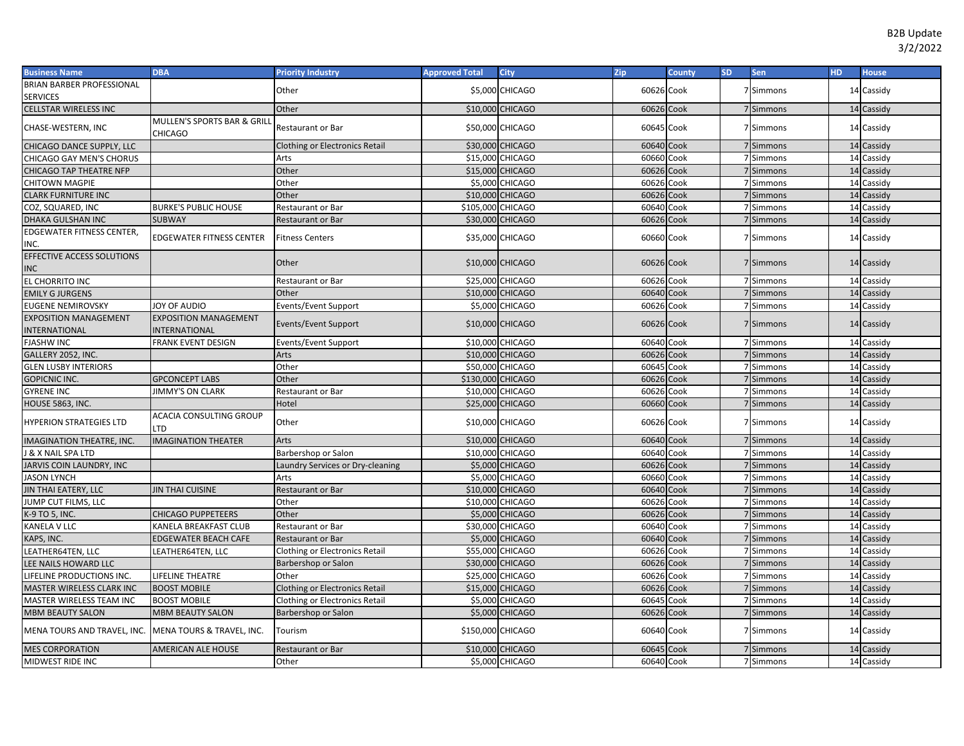| <b>Business Name</b>              | <b>DBA</b>                             | <b>Priority Industry</b>              | <b>Approved Total</b> | <b>City</b>      | Zip        | <b>County</b> | <b>SD</b> | <b>Sen</b> | <b>HD</b> | <b>House</b> |
|-----------------------------------|----------------------------------------|---------------------------------------|-----------------------|------------------|------------|---------------|-----------|------------|-----------|--------------|
| <b>BRIAN BARBER PROFESSIONAL</b>  |                                        | Other                                 |                       | \$5,000 CHICAGO  | 60626 Cook |               |           | 7 Simmons  |           | 14 Cassidy   |
| <b>SERVICES</b>                   |                                        |                                       |                       |                  |            |               |           |            |           |              |
| CELLSTAR WIRELESS INC             |                                        | Other                                 |                       | \$10,000 CHICAGO | 60626 Cook |               |           | 7 Simmons  |           | 14 Cassidy   |
| CHASE-WESTERN, INC                | MULLEN'S SPORTS BAR & GRILI<br>CHICAGO | <b>Restaurant or Bar</b>              |                       | \$50,000 CHICAGO | 60645 Cook |               |           | 7 Simmons  |           | 14 Cassidy   |
| CHICAGO DANCE SUPPLY, LLC         |                                        | <b>Clothing or Electronics Retail</b> |                       | \$30,000 CHICAGO | 60640 Cook |               |           | 7 Simmons  |           | 14 Cassidy   |
| CHICAGO GAY MEN'S CHORUS          |                                        | Arts                                  |                       | \$15,000 CHICAGO | 60660      | Cook          |           | 7 Simmons  |           | 14 Cassidy   |
| <b>CHICAGO TAP THEATRE NFP</b>    |                                        | Other                                 |                       | \$15,000 CHICAGO | 60626 Cook |               |           | 7 Simmons  |           | 14 Cassidy   |
| CHITOWN MAGPIE                    |                                        | Other                                 |                       | \$5,000 CHICAGO  | 60626 Cook |               |           | 7 Simmons  |           | 14 Cassidy   |
| <b>CLARK FURNITURE INC</b>        |                                        | Other                                 |                       | \$10,000 CHICAGO | 60626 Cook |               |           | 7 Simmons  |           | 14 Cassidy   |
| COZ, SQUARED, INC                 | <b>BURKE'S PUBLIC HOUSE</b>            | Restaurant or Bar                     | \$105,000 CHICAGO     |                  | 60640 Cook |               |           | 7 Simmons  |           | 14 Cassidy   |
| DHAKA GULSHAN INC                 | <b>SUBWAY</b>                          | <b>Restaurant or Bar</b>              |                       | \$30,000 CHICAGO | 60626 Cook |               |           | 7 Simmons  |           | 14 Cassidy   |
| EDGEWATER FITNESS CENTER,<br>INC. | <b>EDGEWATER FITNESS CENTER</b>        | <b>Fitness Centers</b>                |                       | \$35,000 CHICAGO | 60660 Cook |               |           | 7 Simmons  |           | 14 Cassidy   |
| EFFECTIVE ACCESS SOLUTIONS<br>INC |                                        | Other                                 |                       | \$10,000 CHICAGO | 60626 Cook |               |           | 7 Simmons  |           | 14 Cassidy   |
| EL CHORRITO INC                   |                                        | Restaurant or Bar                     |                       | \$25,000 CHICAGO | 60626 Cook |               |           | 7 Simmons  |           | 14 Cassidy   |
| <b>EMILY G JURGENS</b>            |                                        | Other                                 |                       | \$10,000 CHICAGO | 60640 Cook |               |           | 7 Simmons  |           | 14 Cassidy   |
| EUGENE NEMIROVSKY                 | JOY OF AUDIO                           | Events/Event Support                  |                       | \$5,000 CHICAGO  | 60626 Cook |               |           | 7 Simmons  |           | 14 Cassidy   |
| <b>EXPOSITION MANAGEMENT</b>      | <b>EXPOSITION MANAGEMENT</b>           | Events/Event Support                  |                       | \$10,000 CHICAGO | 60626 Cook |               |           | 7 Simmons  |           | 14 Cassidy   |
| INTERNATIONAL                     | INTERNATIONAL                          |                                       |                       |                  |            |               |           |            |           |              |
| <b>FJASHW INC</b>                 | FRANK EVENT DESIGN                     | Events/Event Support                  |                       | \$10,000 CHICAGO | 60640 Cook |               |           | 7 Simmons  |           | 14 Cassidy   |
| GALLERY 2052, INC.                |                                        | Arts                                  |                       | \$10,000 CHICAGO | 60626 Cook |               |           | 7 Simmons  |           | 14 Cassidy   |
| <b>GLEN LUSBY INTERIORS</b>       |                                        | Other                                 |                       | \$50,000 CHICAGO | 60645      | Cook          |           | 7 Simmons  |           | 14 Cassidy   |
| <b>GOPICNIC INC.</b>              | <b>GPCONCEPT LABS</b>                  | Other                                 | \$130,000 CHICAGO     |                  | 60626 Cook |               |           | 7 Simmons  |           | 14 Cassidy   |
| <b>GYRENE INC</b>                 | <b>JIMMY'S ON CLARK</b>                | <b>Restaurant or Bar</b>              |                       | \$10,000 CHICAGO | 60626      | Cook          |           | 7 Simmons  |           | 14 Cassidy   |
| HOUSE 5863, INC.                  |                                        | Hotel                                 |                       | \$25,000 CHICAGO | 60660 Cook |               |           | 7 Simmons  |           | 14 Cassidy   |
| <b>HYPERION STRATEGIES LTD</b>    | <b>ACACIA CONSULTING GROUP</b><br>TD   | Other                                 |                       | \$10,000 CHICAGO | 60626 Cook |               |           | 7 Simmons  |           | 14 Cassidy   |
| <b>MAGINATION THEATRE, INC.</b>   | <b>IMAGINATION THEATER</b>             | Arts                                  |                       | \$10,000 CHICAGO | 60640 Cook |               |           | 7 Simmons  |           | 14 Cassidy   |
| & X NAIL SPA LTD                  |                                        | Barbershop or Salon                   |                       | \$10,000 CHICAGO | 60640 Cook |               |           | 7 Simmons  |           | 14 Cassidy   |
| <b>JARVIS COIN LAUNDRY, INC</b>   |                                        | Laundry Services or Dry-cleaning      |                       | \$5,000 CHICAGO  | 60626 Cook |               |           | 7 Simmons  |           | 14 Cassidy   |
| <b>IASON LYNCH</b>                |                                        | Arts                                  |                       | \$5,000 CHICAGO  | 60660 Cook |               |           | 7 Simmons  |           | 14 Cassidy   |
| <b>JIN THAI EATERY, LLC</b>       | <b>JIN THAI CUISINE</b>                | Restaurant or Bar                     |                       | \$10,000 CHICAGO | 60640 Cook |               |           | 7 Simmons  |           | 14 Cassidy   |
| JUMP CUT FILMS, LLC               |                                        | Other                                 |                       | \$10,000 CHICAGO | 60626 Cook |               |           | 7 Simmons  |           | 14 Cassidy   |
| K-9 TO 5, INC.                    | <b>CHICAGO PUPPETEERS</b>              | Other                                 |                       | \$5,000 CHICAGO  | 60626 Cook |               |           | 7 Simmons  |           | 14 Cassidy   |
| KANELA V LLC                      | KANELA BREAKFAST CLUB                  | <b>Restaurant or Bar</b>              |                       | \$30,000 CHICAGO | 60640 Cook |               |           | 7 Simmons  |           | 14 Cassidy   |
| KAPS, INC.                        | <b>EDGEWATER BEACH CAFE</b>            | <b>Restaurant or Bar</b>              |                       | \$5,000 CHICAGO  | 60640 Cook |               |           | 7 Simmons  |           | 14 Cassidy   |
| LEATHER64TEN, LLC                 | LEATHER64TEN, LLC                      | <b>Clothing or Electronics Retail</b> |                       | \$55,000 CHICAGO | 60626 Cook |               |           | 7 Simmons  |           | 14 Cassidy   |
| LEE NAILS HOWARD LLC              |                                        | Barbershop or Salon                   |                       | \$30,000 CHICAGO | 60626      | Cook          |           | 7 Simmons  |           | 14 Cassidy   |
| LIFELINE PRODUCTIONS INC.         | LIFELINE THEATRE                       | Other                                 |                       | \$25,000 CHICAGO | 60626 Cook |               |           | 7 Simmons  |           | 14 Cassidy   |
| MASTER WIRELESS CLARK INC         | <b>BOOST MOBILE</b>                    | <b>Clothing or Electronics Retail</b> |                       | \$15,000 CHICAGO | 60626      | Cook          |           | 7 Simmons  |           | 14 Cassidy   |
| MASTER WIRELESS TEAM INC          | <b>BOOST MOBILE</b>                    | Clothing or Electronics Retail        |                       | \$5,000 CHICAGO  | 60645      | Cook          |           | 7 Simmons  |           | 14 Cassidy   |
| <b>MBM BEAUTY SALON</b>           | <b>MBM BEAUTY SALON</b>                | Barbershop or Salon                   |                       | \$5,000 CHICAGO  | 60626 Cook |               |           | 7 Simmons  |           | 14 Cassidy   |
| MENA TOURS AND TRAVEL, INC.       | MENA TOURS & TRAVEL, INC.              | Tourism                               | \$150,000 CHICAGO     |                  | 60640 Cook |               |           | 7 Simmons  |           | 14 Cassidy   |
| <b>MES CORPORATION</b>            | <b>AMERICAN ALE HOUSE</b>              | Restaurant or Bar                     |                       | \$10,000 CHICAGO | 60645 Cook |               |           | 7 Simmons  |           | 14 Cassidy   |
| MIDWEST RIDE INC                  |                                        | Other                                 |                       | \$5,000 CHICAGO  | 60640 Cook |               |           | 7 Simmons  |           | 14 Cassidy   |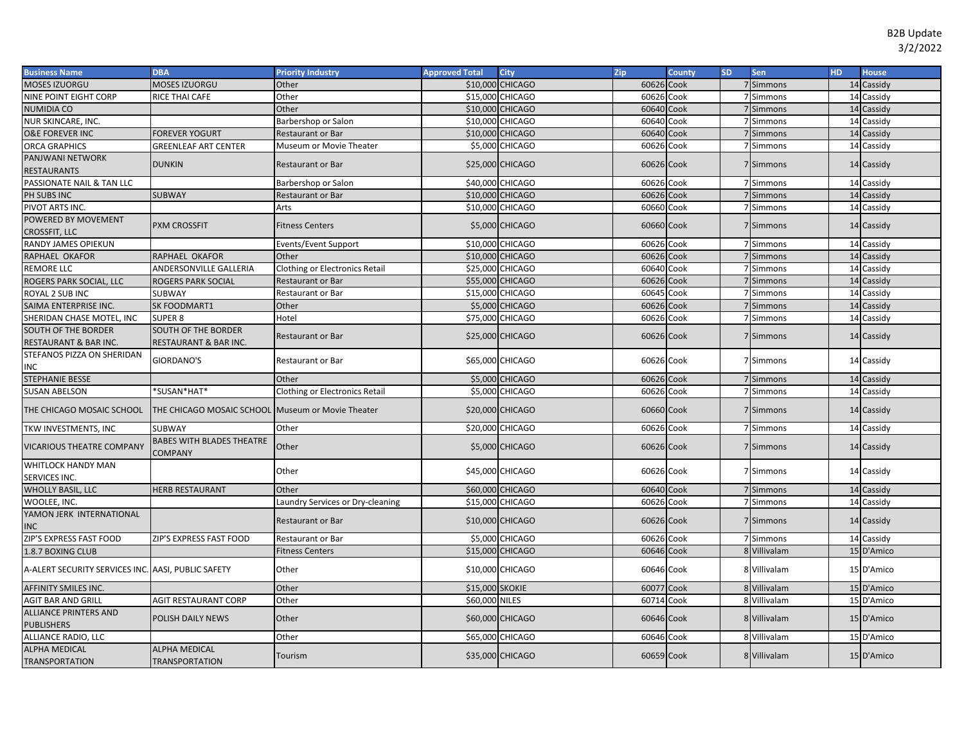## B2B Update 3/2/2022

| <b>Business Name</b>                               | <b>DBA</b>                                         | <b>Priority Industry</b>              | <b>Approved Total</b> | City                   | Zip        | <b>County</b> | <b>SD</b> | Sen          | <b>HD</b> | <b>House</b> |
|----------------------------------------------------|----------------------------------------------------|---------------------------------------|-----------------------|------------------------|------------|---------------|-----------|--------------|-----------|--------------|
| MOSES IZUORGU                                      | MOSES IZUORGU                                      | Other                                 |                       | \$10,000 CHICAGO       | 60626 Cook |               |           | 7 Simmons    |           | 14 Cassidy   |
| NINE POINT EIGHT CORP                              | RICE THAI CAFE                                     | Other                                 |                       | \$15,000 CHICAGO       | 60626 Cook |               |           | 7 Simmons    |           | 14 Cassidy   |
| <b>NUMIDIA CO</b>                                  |                                                    | Other                                 |                       | \$10,000 CHICAGO       | 60640 Cook |               |           | 7 Simmons    |           | 14 Cassidy   |
| NUR SKINCARE, INC.                                 |                                                    | Barbershop or Salon                   |                       | \$10,000 CHICAGO       | 60640 Cook |               |           | 7 Simmons    |           | 14 Cassidy   |
| <b>O&amp;E FOREVER INC</b>                         | <b>FOREVER YOGURT</b>                              | <b>Restaurant or Bar</b>              |                       | \$10,000 CHICAGO       | 60640 Cook |               |           | 7 Simmons    |           | 14 Cassidy   |
| <b>ORCA GRAPHICS</b>                               | <b>GREENLEAF ART CENTER</b>                        | Museum or Movie Theater               |                       | \$5,000 CHICAGO        | 60626 Cook |               |           | 7 Simmons    |           | 14 Cassidy   |
| PANJWANI NETWORK                                   | <b>DUNKIN</b>                                      | <b>Restaurant or Bar</b>              |                       | \$25,000 CHICAGO       | 60626 Cook |               |           | 7 Simmons    |           | 14 Cassidy   |
| <b>RESTAURANTS</b>                                 |                                                    |                                       |                       |                        |            |               |           |              |           |              |
| PASSIONATE NAIL & TAN LLC                          |                                                    | Barbershop or Salon                   |                       | \$40,000 CHICAGO       | 60626 Cook |               |           | 7 Simmons    |           | 14 Cassidy   |
| PH SUBS INC                                        | <b>SUBWAY</b>                                      | <b>Restaurant or Bar</b>              |                       | \$10,000 CHICAGO       | 60626 Cook |               |           | 7 Simmons    |           | 14 Cassidy   |
| PIVOT ARTS INC.                                    |                                                    | Arts                                  |                       | \$10,000 CHICAGO       | 60660 Cook |               |           | 7 Simmons    |           | 14 Cassidy   |
| POWERED BY MOVEMENT<br><b>CROSSFIT, LLC</b>        | <b>PXM CROSSFIT</b>                                | <b>Fitness Centers</b>                |                       | \$5,000 CHICAGO        | 60660 Cook |               |           | 7 Simmons    |           | 14 Cassidy   |
| RANDY JAMES OPIEKUN                                |                                                    | Events/Event Support                  |                       | \$10,000 CHICAGO       | 60626 Cook |               |           | 7 Simmons    |           | 14 Cassidy   |
| RAPHAEL OKAFOR                                     | <b>RAPHAEL OKAFOR</b>                              | Other                                 |                       | \$10,000 CHICAGO       | 60626 Cook |               |           | 7 Simmons    |           | 14 Cassidy   |
| <b>REMORE LLC</b>                                  | ANDERSONVILLE GALLERIA                             | <b>Clothing or Electronics Retail</b> |                       | \$25,000 CHICAGO       | 60640 Cook |               |           | 7 Simmons    |           | 14 Cassidy   |
| ROGERS PARK SOCIAL, LLC                            | <b>ROGERS PARK SOCIAL</b>                          | <b>Restaurant or Bar</b>              |                       | \$55,000 CHICAGO       | 60626 Cook |               |           | 7 Simmons    |           | 14 Cassidy   |
| ROYAL 2 SUB INC                                    | SUBWAY                                             | Restaurant or Bar                     |                       | \$15,000 CHICAGO       | 60645      | Cook          |           | 7 Simmons    |           | 14 Cassidy   |
| SAIMA ENTERPRISE INC.                              | SK FOODMART1                                       | Other                                 |                       | \$5,000 CHICAGO        | 60626 Cook |               |           | 7 Simmons    |           | 14 Cassidy   |
| SHERIDAN CHASE MOTEL, INC                          | <b>SUPER 8</b>                                     | Hotel                                 |                       | \$75,000 CHICAGO       | 60626 Cook |               |           | 7 Simmons    |           | 14 Cassidy   |
| SOUTH OF THE BORDER                                | <b>SOUTH OF THE BORDER</b>                         |                                       |                       |                        |            |               |           |              |           |              |
| RESTAURANT & BAR INC.                              | RESTAURANT & BAR INC.                              | <b>Restaurant or Bar</b>              |                       | \$25,000 CHICAGO       | 60626 Cook |               |           | 7 Simmons    |           | 14 Cassidy   |
| STEFANOS PIZZA ON SHERIDAN                         |                                                    |                                       |                       |                        |            |               |           |              |           |              |
| INC                                                | <b>GIORDANO'S</b>                                  | <b>Restaurant or Bar</b>              |                       | \$65,000 CHICAGO       | 60626 Cook |               |           | 7 Simmons    |           | 14 Cassidy   |
| <b>STEPHANIE BESSE</b>                             |                                                    | Other                                 |                       | \$5,000 CHICAGO        | 60626 Cook |               |           | 7 Simmons    |           | 14 Cassidy   |
| <b>SUSAN ABELSON</b>                               | *SUSAN*HAT*                                        | <b>Clothing or Electronics Retail</b> |                       | \$5,000 CHICAGO        | 60626 Cook |               |           | 7 Simmons    |           | 14 Cassidy   |
| THE CHICAGO MOSAIC SCHOOL                          | THE CHICAGO MOSAIC SCHOOL Museum or Movie Theater  |                                       |                       | \$20,000 CHICAGO       | 60660 Cook |               |           | 7 Simmons    |           | 14 Cassidy   |
| TKW INVESTMENTS, INC                               | <b>SUBWAY</b>                                      | Other                                 |                       | \$20,000 CHICAGO       | 60626 Cook |               |           | 7 Simmons    |           | 14 Cassidy   |
| <b>VICARIOUS THEATRE COMPANY</b>                   | <b>BABES WITH BLADES THEATRE</b><br><b>COMPANY</b> | Other                                 |                       | <b>\$5,000 CHICAGO</b> | 60626 Cook |               |           | 7 Simmons    |           | 14 Cassidy   |
| WHITLOCK HANDY MAN                                 |                                                    | Other                                 |                       | \$45,000 CHICAGO       | 60626 Cook |               |           | 7 Simmons    |           | 14 Cassidy   |
| SERVICES INC.<br><b>WHOLLY BASIL, LLC</b>          | <b>HERB RESTAURANT</b>                             | Other                                 |                       | \$60,000 CHICAGO       | 60640 Cook |               |           | 7 Simmons    |           | 14 Cassidy   |
|                                                    |                                                    |                                       |                       | \$15,000 CHICAGO       | 60626 Cook |               |           | 7 Simmons    |           | 14 Cassidy   |
| WOOLEE, INC.<br>YAMON JERK INTERNATIONAL           |                                                    | Laundry Services or Dry-cleaning      |                       |                        |            |               |           |              |           |              |
| <b>INC</b>                                         |                                                    | <b>Restaurant or Bar</b>              |                       | \$10,000 CHICAGO       | 60626 Cook |               |           | 7 Simmons    |           | 14 Cassidy   |
| ZIP'S EXPRESS FAST FOOD                            | ZIP'S EXPRESS FAST FOOD                            | <b>Restaurant or Bar</b>              |                       | \$5,000 CHICAGO        | 60626 Cook |               |           | 7 Simmons    |           | 14 Cassidy   |
| 1.8.7 BOXING CLUB                                  |                                                    | <b>Fitness Centers</b>                |                       | \$15,000 CHICAGO       | 60646 Cook |               |           | 8 Villivalam |           | 15 D'Amico   |
| A-ALERT SECURITY SERVICES INC. AASI, PUBLIC SAFETY |                                                    | Other                                 |                       | \$10,000 CHICAGO       | 60646 Cook |               |           | 8 Villivalam |           | 15 D'Amico   |
| <b>AFFINITY SMILES INC.</b>                        |                                                    | Other                                 | \$15,000 SKOKIE       |                        | 60077 Cook |               |           | 8 Villivalam |           | 15 D'Amico   |
| <b>AGIT BAR AND GRILL</b>                          | <b>AGIT RESTAURANT CORP</b>                        | Other                                 | \$60,000 NILES        |                        | 60714 Cook |               |           | 8 Villivalam |           | 15 D'Amico   |
| <b>ALLIANCE PRINTERS AND</b>                       |                                                    |                                       |                       |                        |            |               |           |              |           |              |
| <b>PUBLISHERS</b>                                  | POLISH DAILY NEWS                                  | Other                                 |                       | \$60,000 CHICAGO       | 60646 Cook |               |           | 8 Villivalam |           | 15 D'Amico   |
| ALLIANCE RADIO, LLC                                |                                                    | Other                                 |                       | \$65,000 CHICAGO       | 60646 Cook |               |           | 8 Villivalam |           | 15 D'Amico   |
| <b>ALPHA MEDICAL</b>                               | <b>ALPHA MEDICAL</b>                               |                                       |                       |                        |            |               |           |              |           |              |
| <b>TRANSPORTATION</b>                              | <b>TRANSPORTATION</b>                              | Tourism                               |                       | \$35,000 CHICAGO       | 60659 Cook |               |           | 8 Villivalam |           | 15 D'Amico   |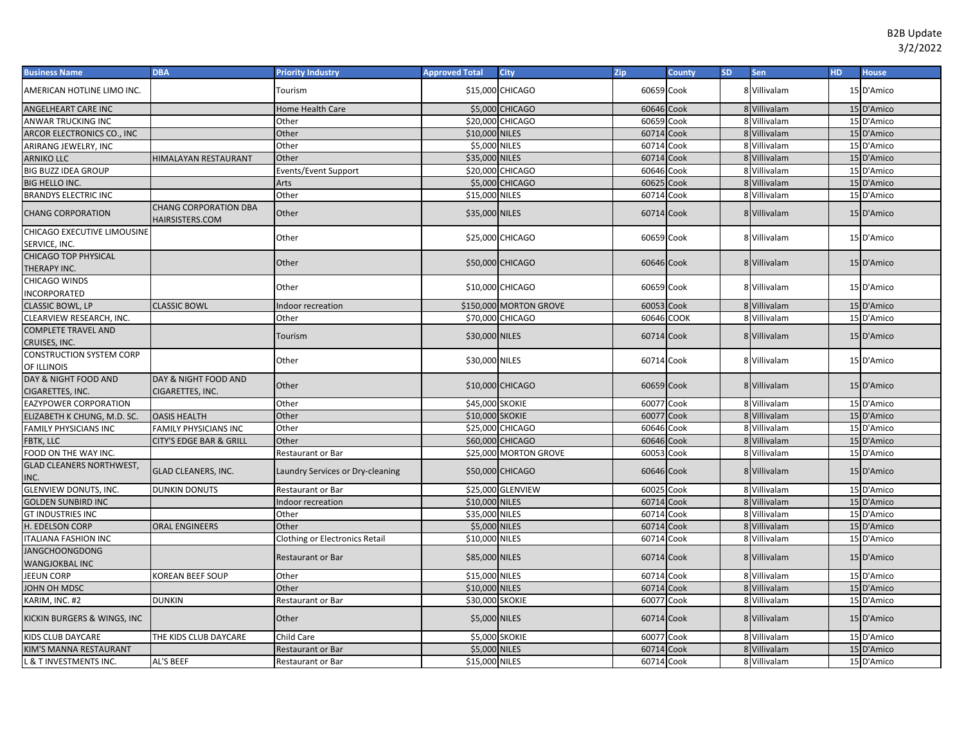| <b>Business Name</b>                           | <b>DBA</b>                                      | <b>Priority Industry</b>              | <b>Approved Total</b> | <b>City</b>            | <b>Zip</b> | <b>County</b> | <b>SD</b> | Sen          | HD. | <b>House</b> |
|------------------------------------------------|-------------------------------------------------|---------------------------------------|-----------------------|------------------------|------------|---------------|-----------|--------------|-----|--------------|
| AMERICAN HOTLINE LIMO INC.                     |                                                 | Tourism                               |                       | \$15,000 CHICAGO       | 60659 Cook |               |           | 8 Villivalam |     | 15 D'Amico   |
| ANGELHEART CARE INC                            |                                                 | Home Health Care                      |                       | \$5,000 CHICAGO        | 60646 Cook |               |           | 8 Villivalam |     | 15 D'Amico   |
| ANWAR TRUCKING INC                             |                                                 | Other                                 |                       | \$20,000 CHICAGO       | 60659 Cook |               |           | 8 Villivalam |     | 15 D'Amico   |
| <b>ARCOR ELECTRONICS CO., INC</b>              |                                                 | Other                                 | \$10,000 NILES        |                        | 60714 Cook |               |           | 8 Villivalam |     | 15 D'Amico   |
| ARIRANG JEWELRY, INC                           |                                                 | Other                                 | \$5,000 NILES         |                        | 60714 Cook |               |           | 8 Villivalam |     | 15 D'Amico   |
| <b>ARNIKO LLC</b>                              | <b>HIMALAYAN RESTAURANT</b>                     | Other                                 | \$35,000 NILES        |                        | 60714      | Cook          |           | 8 Villivalam |     | 15 D'Amico   |
| BIG BUZZ IDEA GROUP                            |                                                 | Events/Event Support                  |                       | \$20,000 CHICAGO       | 60646 Cook |               |           | 8 Villivalam |     | 15 D'Amico   |
| <b>BIG HELLO INC.</b>                          |                                                 | Arts                                  |                       | \$5,000 CHICAGO        | 60625 Cook |               |           | 8 Villivalam |     | 15 D'Amico   |
| <b>BRANDYS ELECTRIC INC</b>                    |                                                 | Other                                 | \$15,000 NILES        |                        | 60714 Cook |               |           | 8 Villivalam |     | 15 D'Amico   |
| <b>CHANG CORPORATION</b>                       | <b>CHANG CORPORATION DBA</b><br>HAIRSISTERS.COM | Other                                 | \$35,000 NILES        |                        | 60714 Cook |               |           | 8 Villivalam |     | 15 D'Amico   |
| CHICAGO EXECUTIVE LIMOUSINE<br>SERVICE, INC.   |                                                 | Other                                 |                       | \$25,000 CHICAGO       | 60659 Cook |               |           | 8 Villivalam |     | 15 D'Amico   |
| CHICAGO TOP PHYSICAL<br>THERAPY INC.           |                                                 | Other                                 |                       | \$50,000 CHICAGO       | 60646 Cook |               |           | 8 Villivalam |     | 15 D'Amico   |
| CHICAGO WINDS<br>INCORPORATED                  |                                                 | Other                                 |                       | \$10,000 CHICAGO       | 60659 Cook |               |           | 8 Villivalam |     | 15 D'Amico   |
| CLASSIC BOWL, LP                               | <b>CLASSIC BOWL</b>                             | Indoor recreation                     |                       | \$150,000 MORTON GROVE | 60053 Cook |               |           | 8 Villivalam |     | 15 D'Amico   |
| CLEARVIEW RESEARCH, INC.                       |                                                 | Other                                 |                       | \$70,000 CHICAGO       | 60646 COOK |               |           | 8 Villivalam |     | 15 D'Amico   |
| COMPLETE TRAVEL AND                            |                                                 | Tourism                               | \$30,000 NILES        |                        | 60714 Cook |               |           | 8 Villivalam |     | 15 D'Amico   |
| CRUISES, INC.                                  |                                                 |                                       |                       |                        |            |               |           |              |     |              |
| <b>CONSTRUCTION SYSTEM CORP</b><br>OF ILLINOIS |                                                 | Other                                 | \$30,000 NILES        |                        | 60714 Cook |               |           | 8 Villivalam |     | 15 D'Amico   |
| DAY & NIGHT FOOD AND<br>CIGARETTES, INC.       | DAY & NIGHT FOOD AND<br>CIGARETTES, INC.        | Other                                 |                       | \$10,000 CHICAGO       | 60659 Cook |               |           | 8 Villivalam |     | 15 D'Amico   |
| <b>EAZYPOWER CORPORATION</b>                   |                                                 | Other                                 | \$45,000 SKOKIE       |                        | 60077 Cook |               |           | 8 Villivalam |     | 15 D'Amico   |
| ELIZABETH K CHUNG, M.D. SC.                    | <b>OASIS HEALTH</b>                             | Other                                 | \$10,000 SKOKIE       |                        | 60077      | Cook          |           | 8 Villivalam |     | 15 D'Amico   |
| FAMILY PHYSICIANS INC                          | FAMILY PHYSICIANS INC                           | Other                                 |                       | \$25,000 CHICAGO       | 60646 Cook |               |           | 8 Villivalam |     | 15 D'Amico   |
| FBTK, LLC                                      | CITY'S EDGE BAR & GRILL                         | Other                                 |                       | \$60,000 CHICAGO       | 60646 Cook |               |           | 8 Villivalam |     | 15 D'Amico   |
| FOOD ON THE WAY INC.                           |                                                 | Restaurant or Bar                     |                       | \$25,000 MORTON GROVE  | 60053 Cook |               |           | 8 Villivalam |     | 15 D'Amico   |
| <b>GLAD CLEANERS NORTHWEST,</b><br>INC.        | <b>GLAD CLEANERS, INC.</b>                      | Laundry Services or Dry-cleaning      |                       | \$50,000 CHICAGO       | 60646 Cook |               |           | 8 Villivalam |     | 15 D'Amico   |
| GLENVIEW DONUTS, INC.                          | <b>DUNKIN DONUTS</b>                            | Restaurant or Bar                     |                       | \$25,000 GLENVIEW      | 60025      | Cook          |           | 8 Villivalam |     | 15 D'Amico   |
| <b>GOLDEN SUNBIRD INC</b>                      |                                                 | ndoor recreation                      | \$10,000 NILES        |                        | 60714      | Cook          |           | 8 Villivalam |     | 15 D'Amico   |
| <b>GT INDUSTRIES INC</b>                       |                                                 | Other                                 | \$35,000 NILES        |                        | 60714      | Cook          |           | 8 Villivalam |     | 15 D'Amico   |
| H. EDELSON CORP                                | <b>ORAL ENGINEERS</b>                           | Other                                 | \$5,000 NILES         |                        | 60714      | Cook          |           | 8 Villivalam |     | 15 D'Amico   |
| <b>ITALIANA FASHION INC</b>                    |                                                 | <b>Clothing or Electronics Retail</b> | \$10,000 NILES        |                        | 60714 Cook |               |           | 8 Villivalam |     | 15 D'Amico   |
| <b>JANGCHOONGDONG</b>                          |                                                 | <b>Restaurant or Bar</b>              | \$85,000 NILES        |                        | 60714 Cook |               |           | 8 Villivalam |     | 15 D'Amico   |
| WANGJOKBAL INC                                 |                                                 |                                       |                       |                        |            |               |           |              |     |              |
| JEEUN CORP                                     | KOREAN BEEF SOUP                                | Other                                 | \$15,000 NILES        |                        | 60714 Cook |               |           | 8 Villivalam |     | 15 D'Amico   |
| JOHN OH MDSC                                   |                                                 | Other                                 | \$10,000 NILES        |                        | 60714      | Cook          |           | 8 Villivalam |     | 15 D'Amico   |
| KARIM, INC. #2                                 | <b>DUNKIN</b>                                   | Restaurant or Bar                     | \$30,000 SKOKIE       |                        | 60077 Cook |               |           | 8 Villivalam |     | 15 D'Amico   |
| KICKIN BURGERS & WINGS, INC                    |                                                 | Other                                 | \$5,000 NILES         |                        | 60714 Cook |               |           | 8 Villivalam |     | 15 D'Amico   |
| KIDS CLUB DAYCARE                              | THE KIDS CLUB DAYCARE                           | Child Care                            | \$5,000 SKOKIE        |                        | 60077      | Cook          |           | 8 Villivalam |     | 15 D'Amico   |
| KIM'S MANNA RESTAURANT                         |                                                 | Restaurant or Bar                     | \$5,000 NILES         |                        | 60714 Cook |               |           | 8 Villivalam |     | 15 D'Amico   |
| L & T INVESTMENTS INC.                         | AL'S BEEF                                       | Restaurant or Bar                     | \$15,000 NILES        |                        | 60714 Cook |               |           | 8 Villivalam |     | 15 D'Amico   |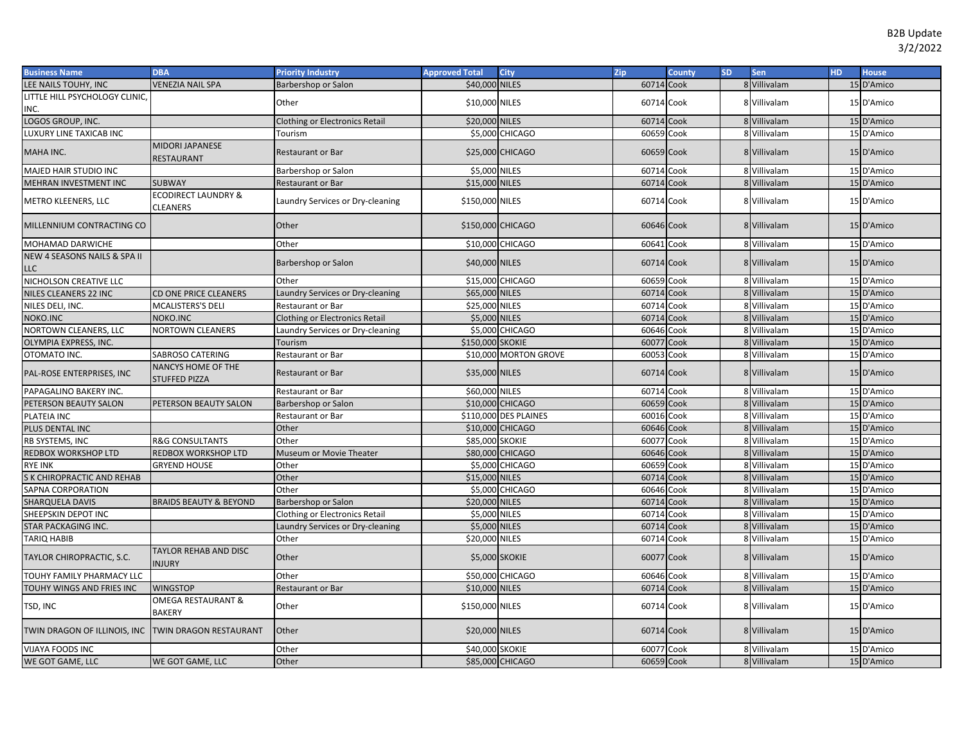| <b>Business Name</b>                                | <b>DBA</b>                                    | <b>Priority Industry</b>              | <b>Approved Total</b> | <b>City</b>            | <b>Zip</b> | <b>County</b> | <b>SD</b> | <b>Sen</b>   | HD. | <b>House</b> |
|-----------------------------------------------------|-----------------------------------------------|---------------------------------------|-----------------------|------------------------|------------|---------------|-----------|--------------|-----|--------------|
| LEE NAILS TOUHY, INC                                | <b>VENEZIA NAIL SPA</b>                       | Barbershop or Salon                   | \$40,000 NILES        |                        | 60714 Cook |               |           | 8 Villivalam |     | 15 D'Amico   |
| LITTLE HILL PSYCHOLOGY CLINIC,                      |                                               | Other                                 | \$10,000 NILES        |                        | 60714 Cook |               |           | 8 Villivalam |     | 15 D'Amico   |
| INC.                                                |                                               |                                       |                       |                        |            |               |           |              |     |              |
| LOGOS GROUP, INC.                                   |                                               | <b>Clothing or Electronics Retail</b> | \$20,000 NILES        |                        | 60714 Cook |               |           | 8 Villivalam |     | 15 D'Amico   |
| LUXURY LINE TAXICAB INC                             |                                               | Tourism                               |                       | <b>\$5,000 CHICAGO</b> | 60659 Cook |               |           | 8 Villivalam |     | 15 D'Amico   |
| MAHA INC.                                           | <b>MIDORI JAPANESE</b><br>RESTAURANT          | <b>Restaurant or Bar</b>              |                       | \$25,000 CHICAGO       | 60659 Cook |               |           | 8 Villivalam |     | 15 D'Amico   |
| MAJED HAIR STUDIO INC                               |                                               | Barbershop or Salon                   | \$5,000 NILES         |                        | 60714 Cook |               |           | 8 Villivalam |     | 15 D'Amico   |
| MEHRAN INVESTMENT INC                               | <b>SUBWAY</b>                                 | <b>Restaurant or Bar</b>              | \$15,000 NILES        |                        | 60714      | Cook          |           | 8 Villivalam |     | 15 D'Amico   |
| METRO KLEENERS, LLC                                 | <b>ECODIRECT LAUNDRY &amp;</b><br>CLEANERS    | Laundry Services or Dry-cleaning      | \$150,000 NILES       |                        | 60714 Cook |               |           | 8 Villivalam |     | 15 D'Amico   |
| MILLENNIUM CONTRACTING CO                           |                                               | Other                                 | \$150,000 CHICAGO     |                        | 60646 Cook |               |           | 8 Villivalam |     | 15 D'Amico   |
| MOHAMAD DARWICHE                                    |                                               | Other                                 |                       | \$10,000 CHICAGO       | 60641      | Cook          |           | 8 Villivalam |     | 15 D'Amico   |
| NEW 4 SEASONS NAILS & SPA II<br>LLC                 |                                               | Barbershop or Salon                   | \$40,000 NILES        |                        | 60714 Cook |               |           | 8 Villivalam |     | 15 D'Amico   |
| NICHOLSON CREATIVE LLC                              |                                               | Other                                 |                       | \$15,000 CHICAGO       | 60659 Cook |               |           | 8 Villivalam |     | 15 D'Amico   |
| NILES CLEANERS 22 INC                               | CD ONE PRICE CLEANERS                         | Laundry Services or Dry-cleaning      | \$65,000 NILES        |                        | 60714      | Cook          |           | 8 Villivalam |     | 15 D'Amico   |
| NILES DELI, INC.                                    | MCALISTERS'S DELI                             | <b>Restaurant or Bar</b>              | \$25,000 NILES        |                        | 60714 Cook |               |           | 8 Villivalam |     | 15 D'Amico   |
| NOKO.INC                                            | NOKO.INC                                      | <b>Clothing or Electronics Retail</b> | \$5,000 NILES         |                        | 60714      | Cook          |           | 8 Villivalam |     | 15 D'Amico   |
| NORTOWN CLEANERS, LLC                               | <b>NORTOWN CLEANERS</b>                       | Laundry Services or Dry-cleaning      | \$5,000               | <b>CHICAGO</b>         | 60646      | Cook          |           | 8 Villivalam |     | 15 D'Amico   |
| OLYMPIA EXPRESS, INC.                               |                                               | Tourism                               | \$150,000 SKOKIE      |                        | 60077      | Cook          |           | 8 Villivalam |     | 15 D'Amico   |
| OTOMATO INC.                                        | SABROSO CATERING                              | Restaurant or Bar                     | \$10,000              | <b>MORTON GROVE</b>    | 60053      | Cook          |           | 8 Villivalam |     | 15 D'Amico   |
| PAL-ROSE ENTERPRISES, INC                           | NANCYS HOME OF THE<br><b>STUFFED PIZZA</b>    | <b>Restaurant or Bar</b>              | \$35,000 NILES        |                        | 60714 Cook |               |           | 8 Villivalam |     | 15 D'Amico   |
| PAPAGALINO BAKERY INC.                              |                                               | <b>Restaurant or Bar</b>              | \$60,000 NILES        |                        | 60714 Cook |               |           | 8 Villivalam |     | 15 D'Amico   |
| PETERSON BEAUTY SALON                               | PETERSON BEAUTY SALON                         | Barbershop or Salon                   |                       | \$10,000 CHICAGO       | 60659 Cook |               |           | 8 Villivalam |     | 15 D'Amico   |
| PLATEIA INC                                         |                                               | <b>Restaurant or Bar</b>              |                       | \$110,000 DES PLAINES  | 60016 Cook |               |           | 8 Villivalam |     | 15 D'Amico   |
| PLUS DENTAL INC                                     |                                               | Other                                 |                       | \$10,000 CHICAGO       | 60646 Cook |               |           | 8 Villivalam |     | 15 D'Amico   |
| RB SYSTEMS, INC                                     | <b>R&amp;G CONSULTANTS</b>                    | Other                                 | \$85,000 SKOKIE       |                        | 60077      | Cook          |           | 8 Villivalam |     | 15 D'Amico   |
| REDBOX WORKSHOP LTD                                 | REDBOX WORKSHOP LTD                           | Museum or Movie Theater               |                       | \$80,000 CHICAGO       | 60646 Cook |               |           | 8 Villivalam |     | 15 D'Amico   |
| RYE INK                                             | <b>GRYEND HOUSE</b>                           | Other                                 |                       | \$5,000 CHICAGO        | 60659      | Cook          |           | 8 Villivalam |     | 15 D'Amico   |
| S K CHIROPRACTIC AND REHAB                          |                                               | Other                                 | \$15,000 NILES        |                        | 60714      | Cook          |           | 8 Villivalam |     | 15 D'Amico   |
| SAPNA CORPORATION                                   |                                               | Other                                 |                       | \$5,000 CHICAGO        | 60646      | Cook          |           | 8 Villivalam |     | 15 D'Amico   |
| SHARQUELA DAVIS                                     | <b>BRAIDS BEAUTY &amp; BEYOND</b>             | Barbershop or Salon                   | \$20,000 NILES        |                        | 60714      | Cook          |           | 8 Villivalam |     | 15 D'Amico   |
| SHEEPSKIN DEPOT INC                                 |                                               | Clothing or Electronics Retail        | \$5,000 NILES         |                        | 60714      | Cook          |           | 8 Villivalam |     | 15 D'Amico   |
| STAR PACKAGING INC.                                 |                                               | Laundry Services or Dry-cleaning      | \$5,000               | <b>NILES</b>           | 60714      | Cook          |           | 8 Villivalam |     | 15 D'Amico   |
| TARIQ HABIB                                         |                                               | Other                                 | \$20,000              | <b>NILES</b>           | 60714 Cook |               |           | 8 Villivalam |     | 15 D'Amico   |
| TAYLOR CHIROPRACTIC, S.C.                           | <b>TAYLOR REHAB AND DISC</b><br><b>INJURY</b> | Other                                 | \$5,000 SKOKIE        |                        | 60077 Cook |               |           | 8 Villivalam |     | 15 D'Amico   |
| TOUHY FAMILY PHARMACY LLC                           |                                               | Other                                 | \$50,000              | <b>CHICAGO</b>         | 60646 Cook |               |           | 8 Villivalam |     | 15 D'Amico   |
| TOUHY WINGS AND FRIES INC                           | <b>WINGSTOP</b>                               | <b>Restaurant or Bar</b>              | \$10,000 NILES        |                        | 60714 Cook |               |           | 8 Villivalam |     | 15 D'Amico   |
| TSD, INC                                            | OMEGA RESTAURANT &<br><b>BAKERY</b>           | Other                                 | \$150,000 NILES       |                        | 60714 Cook |               |           | 8 Villivalam |     | 15 D'Amico   |
| TWIN DRAGON OF ILLINOIS, INC TWIN DRAGON RESTAURANT |                                               | Other                                 | \$20,000 NILES        |                        | 60714 Cook |               |           | 8 Villivalam |     | 15 D'Amico   |
| <b>VIJAYA FOODS INC</b>                             |                                               | Other                                 | \$40,000 SKOKIE       |                        | 60077 Cook |               |           | 8 Villivalam |     | 15 D'Amico   |
| WE GOT GAME, LLC                                    | WE GOT GAME, LLC                              | Other                                 |                       | \$85,000 CHICAGO       | 60659 Cook |               |           | 8 Villivalam |     | 15 D'Amico   |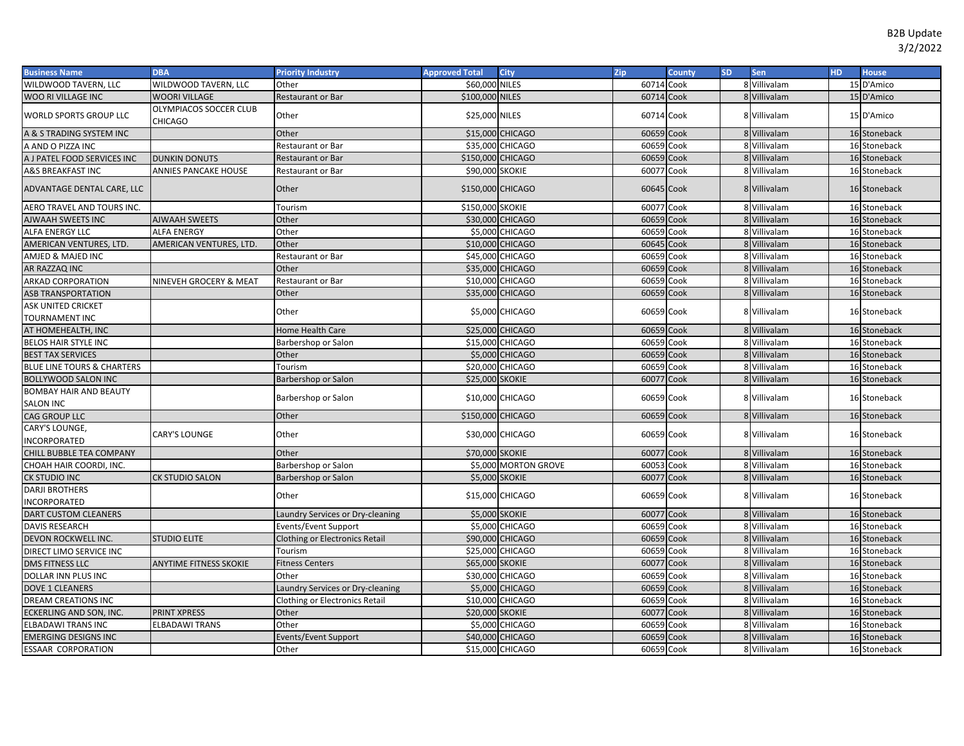| \$60,000 NILES<br>6071<br>8 Villivalam<br>15 D'Amico<br>WILDWOOD TAVERN, LLC<br>Other<br>Cook<br>60714<br>\$100,000 NILES<br>Cook<br>8 Villivalam<br>15 D'Amico<br>WOO RI VILLAGE INC<br><b>WOORI VILLAGE</b><br>Restaurant or Bar<br>OLYMPIACOS SOCCER CLUB<br><b>WORLD SPORTS GROUP LLC</b><br>Other<br>\$25,000 NILES<br>60714<br>Cook<br>8 Villivalam<br>15 D'Amico<br>CHICAGO<br>A & S TRADING SYSTEM INC<br>\$15,000 CHICAGO<br>Other<br>60659<br>Cook<br>8 Villivalam<br>16 Stoneback<br>\$35,000 CHICAGO<br>60659<br>Cook<br>8 Villivalam<br>16 Stoneback<br>A AND O PIZZA INC<br>Restaurant or Bar<br>16 Stoneback<br>\$150,000 CHICAGO<br>60659 Cook<br>8 Villivalam<br><b>DUNKIN DONUTS</b><br><b>Restaurant or Bar</b><br>16 Stoneback<br>A&S BREAKFAST INC<br>ANNIES PANCAKE HOUSE<br>\$90,000 SKOKIE<br>60077<br>Cook<br>8 Villivalam<br>Restaurant or Bar<br>ADVANTAGE DENTAL CARE, LLC<br>Other<br>\$150,000 CHICAGO<br>60645 Cook<br>8 Villivalam<br>16 Stoneback<br>\$150,000 SKOKIE<br>60077<br>Cook<br>8 Villivalam<br>16 Stoneback<br>AERO TRAVEL AND TOURS INC.<br>Tourism<br><b>AJWAAH SWEETS INC</b><br>Other<br>\$30,000 CHICAGO<br>60659<br>Cook<br>8 Villivalam<br><b>AJWAAH SWEETS</b><br>16 Stoneback<br>Cook<br>8 Villivalam<br>ALFA ENERGY LLC<br><b>ALFA ENERGY</b><br>Other<br>\$5,000 CHICAGO<br>60659<br>16 Stoneback<br>\$10,000 CHICAGO<br>Cook<br>AMERICAN VENTURES, LTD.<br>Other<br>60645<br>8 Villivalam<br>16 Stoneback<br>AMERICAN VENTURES, LTD.<br>\$45,000 CHICAGO<br>60659<br>Cook<br>8 Villivalam<br>16 Stoneback<br>AMJED & MAJED INC<br>Restaurant or Bar<br>60659<br>Cook<br>16 Stoneback<br>Other<br>\$35,000 CHICAGO<br>8 Villivalam<br>AR RAZZAQ INC<br><b>ARKAD CORPORATION</b><br>\$10,000 CHICAGO<br>60659<br>Cook<br>16 Stoneback<br>NINEVEH GROCERY & MEAT<br>Restaurant or Bar<br>8 Villivalam<br>Other<br>\$35,000 CHICAGO<br>60659<br>Cook<br>8 Villivalam<br>16 Stoneback<br><b>ASB TRANSPORTATION</b><br>ASK UNITED CRICKET<br>\$5,000 CHICAGO<br>60659 Cook<br>8 Villivalam<br>16 Stoneback<br>Other<br>TOURNAMENT INC<br>AT HOMEHEALTH, INC<br>\$25,000 CHICAGO<br>60659<br>Cook<br>8 Villivalam<br>16 Stoneback<br>Home Health Care<br>60659<br>Cook<br>8 Villivalam<br>\$15,000 CHICAGO<br>16 Stoneback<br>Barbershop or Salon<br><b>BELOS HAIR STYLE INC</b><br>Other<br>\$5,000 CHICAGO<br>60659<br>Cook<br>8 Villivalam<br>16 Stoneback<br>\$20,000 CHICAGO<br>60659<br>Cook<br>8 Villivalam<br>16 Stoneback<br>BLUE LINE TOURS & CHARTERS<br>Tourism<br>60077<br>16 Stoneback<br><b>BOLLYWOOD SALON INC</b><br>Barbershop or Salon<br>\$25,000 SKOKIE<br>Cook<br>8 Villivalam<br><b>BOMBAY HAIR AND BEAUTY</b><br>Barbershop or Salon<br>\$10,000 CHICAGO<br>60659 Cook<br>8 Villivalam<br>16 Stoneback<br><b>SALON INC</b><br><b>CAG GROUP LLC</b><br>\$150,000 CHICAGO<br>60659<br>Cook<br>8 Villivalam<br>16 Stoneback<br>Other<br>CARY'S LOUNGE,<br><b>CARY'S LOUNGE</b><br>Other<br>\$30,000 CHICAGO<br>60659 Cook<br>8 Villivalam<br>16 Stoneback<br><b>INCORPORATED</b><br>\$70,000 SKOKIE<br>60077 Cook<br>8 Villivalam<br>CHILL BUBBLE TEA COMPANY<br>Other<br>16 Stoneback<br>\$5,000 MORTON GROVE<br>60053<br>Cook<br>8 Villivalam<br>16 Stoneback<br>Barbershop or Salon<br>CHOAH HAIR COORDI, INC.<br><b>\$5,000 SKOKIE</b><br>60077<br>Cook<br>8 Villivalam<br>16 Stoneback<br><b>CK STUDIO INC</b><br><b>CK STUDIO SALON</b><br>Barbershop or Salon<br><b>DARJI BROTHERS</b><br>Cook<br>Other<br>\$15,000 CHICAGO<br>60659<br>8 Villivalam<br>16 Stoneback<br>INCORPORATED<br><b>\$5,000 SKOKIE</b><br>DART CUSTOM CLEANERS<br>60077<br>Cook<br>8 Villivalam<br>16 Stoneback<br>Laundry Services or Dry-cleaning<br>8 Villivalam<br>16 Stoneback<br><b>DAVIS RESEARCH</b><br>\$5,000 CHICAGO<br>60659<br>Cook<br>Events/Event Support<br>16 Stoneback<br>DEVON ROCKWELL INC.<br>\$90,000 CHICAGO<br>60659<br>Cook<br>8 Villivalam<br><b>STUDIO ELITE</b><br>Clothing or Electronics Retail<br>Cook<br>\$25,000 CHICAGO<br>60659<br>8 Villivalam<br>16 Stoneback<br>DIRECT LIMO SERVICE INC<br>Tourism<br>60077<br>Cook<br>\$65,000 SKOKIE<br>8 Villivalam<br>16 Stoneback<br>DMS FITNESS LLC<br>ANYTIME FITNESS SKOKIE<br><b>Fitness Centers</b><br>Cook<br>Other<br>\$30,000 CHICAGO<br>60659<br>8 Villivalam<br>16 Stoneback<br>DOLLAR INN PLUS INC<br>Cook<br>\$5,000 CHICAGO<br>60659<br>8 Villivalam<br>16 Stoneback<br>DOVE 1 CLEANERS<br>Laundry Services or Dry-cleaning<br>DREAM CREATIONS INC<br>\$10,000<br><b>CHICAGO</b><br>60659<br>Cook<br>8 Villivalam<br>16 Stoneback<br><b>Clothing or Electronics Retail</b><br>60077<br>ECKERLING AND SON, INC.<br><b>PRINT XPRESS</b><br>Other<br>\$20,000 SKOKIE<br>Cook<br>8 Villivalam<br>16 Stoneback<br><b>ELBADAWI TRANS</b><br>Other<br>\$5,000 CHICAGO<br>60659<br><b>ELBADAWI TRANS INC</b><br>Cook<br>8 Villivalam<br>16 Stoneback<br><b>EMERGING DESIGNS INC</b><br>60659<br>Cook<br>8 Villivalam<br>16 Stoneback<br>\$40,000 CHICAGO<br>Events/Event Support<br>\$15,000 CHICAGO<br>8 Villivalam<br>16 Stoneback<br><b>ESSAAR CORPORATION</b><br>Other<br>60659 Cook | <b>Business Name</b>        | <b>DBA</b> | <b>Priority Industry</b> | <b>Approved Total</b> | City | Zip | <b>County</b> | <b>SD</b> | Sen | <b>HD</b> | <b>House</b> |
|------------------------------------------------------------------------------------------------------------------------------------------------------------------------------------------------------------------------------------------------------------------------------------------------------------------------------------------------------------------------------------------------------------------------------------------------------------------------------------------------------------------------------------------------------------------------------------------------------------------------------------------------------------------------------------------------------------------------------------------------------------------------------------------------------------------------------------------------------------------------------------------------------------------------------------------------------------------------------------------------------------------------------------------------------------------------------------------------------------------------------------------------------------------------------------------------------------------------------------------------------------------------------------------------------------------------------------------------------------------------------------------------------------------------------------------------------------------------------------------------------------------------------------------------------------------------------------------------------------------------------------------------------------------------------------------------------------------------------------------------------------------------------------------------------------------------------------------------------------------------------------------------------------------------------------------------------------------------------------------------------------------------------------------------------------------------------------------------------------------------------------------------------------------------------------------------------------------------------------------------------------------------------------------------------------------------------------------------------------------------------------------------------------------------------------------------------------------------------------------------------------------------------------------------------------------------------------------------------------------------------------------------------------------------------------------------------------------------------------------------------------------------------------------------------------------------------------------------------------------------------------------------------------------------------------------------------------------------------------------------------------------------------------------------------------------------------------------------------------------------------------------------------------------------------------------------------------------------------------------------------------------------------------------------------------------------------------------------------------------------------------------------------------------------------------------------------------------------------------------------------------------------------------------------------------------------------------------------------------------------------------------------------------------------------------------------------------------------------------------------------------------------------------------------------------------------------------------------------------------------------------------------------------------------------------------------------------------------------------------------------------------------------------------------------------------------------------------------------------------------------------------------------------------------------------------------------------------------------------------------------------------------------------------------------------------------------------------------------------------------------------------------------------------------------------------------------------------------------------------------------------------------------------------------------------------------------------------------------------------------------------------------------------------------------------------------------------------------------------------------------------------------------------------------------------------------------------------------------------------------------------------------------------------------------------------------------------------------------------------------------------------------------------------------------------------------------------------------------------------------------|-----------------------------|------------|--------------------------|-----------------------|------|-----|---------------|-----------|-----|-----------|--------------|
|                                                                                                                                                                                                                                                                                                                                                                                                                                                                                                                                                                                                                                                                                                                                                                                                                                                                                                                                                                                                                                                                                                                                                                                                                                                                                                                                                                                                                                                                                                                                                                                                                                                                                                                                                                                                                                                                                                                                                                                                                                                                                                                                                                                                                                                                                                                                                                                                                                                                                                                                                                                                                                                                                                                                                                                                                                                                                                                                                                                                                                                                                                                                                                                                                                                                                                                                                                                                                                                                                                                                                                                                                                                                                                                                                                                                                                                                                                                                                                                                                                                                                                                                                                                                                                                                                                                                                                                                                                                                                                                                                                                                                                                                                                                                                                                                                                                                                                                                                                                                                                                                                                                              | WILDWOOD TAVERN, LLC        |            |                          |                       |      |     |               |           |     |           |              |
|                                                                                                                                                                                                                                                                                                                                                                                                                                                                                                                                                                                                                                                                                                                                                                                                                                                                                                                                                                                                                                                                                                                                                                                                                                                                                                                                                                                                                                                                                                                                                                                                                                                                                                                                                                                                                                                                                                                                                                                                                                                                                                                                                                                                                                                                                                                                                                                                                                                                                                                                                                                                                                                                                                                                                                                                                                                                                                                                                                                                                                                                                                                                                                                                                                                                                                                                                                                                                                                                                                                                                                                                                                                                                                                                                                                                                                                                                                                                                                                                                                                                                                                                                                                                                                                                                                                                                                                                                                                                                                                                                                                                                                                                                                                                                                                                                                                                                                                                                                                                                                                                                                                              |                             |            |                          |                       |      |     |               |           |     |           |              |
|                                                                                                                                                                                                                                                                                                                                                                                                                                                                                                                                                                                                                                                                                                                                                                                                                                                                                                                                                                                                                                                                                                                                                                                                                                                                                                                                                                                                                                                                                                                                                                                                                                                                                                                                                                                                                                                                                                                                                                                                                                                                                                                                                                                                                                                                                                                                                                                                                                                                                                                                                                                                                                                                                                                                                                                                                                                                                                                                                                                                                                                                                                                                                                                                                                                                                                                                                                                                                                                                                                                                                                                                                                                                                                                                                                                                                                                                                                                                                                                                                                                                                                                                                                                                                                                                                                                                                                                                                                                                                                                                                                                                                                                                                                                                                                                                                                                                                                                                                                                                                                                                                                                              |                             |            |                          |                       |      |     |               |           |     |           |              |
|                                                                                                                                                                                                                                                                                                                                                                                                                                                                                                                                                                                                                                                                                                                                                                                                                                                                                                                                                                                                                                                                                                                                                                                                                                                                                                                                                                                                                                                                                                                                                                                                                                                                                                                                                                                                                                                                                                                                                                                                                                                                                                                                                                                                                                                                                                                                                                                                                                                                                                                                                                                                                                                                                                                                                                                                                                                                                                                                                                                                                                                                                                                                                                                                                                                                                                                                                                                                                                                                                                                                                                                                                                                                                                                                                                                                                                                                                                                                                                                                                                                                                                                                                                                                                                                                                                                                                                                                                                                                                                                                                                                                                                                                                                                                                                                                                                                                                                                                                                                                                                                                                                                              |                             |            |                          |                       |      |     |               |           |     |           |              |
|                                                                                                                                                                                                                                                                                                                                                                                                                                                                                                                                                                                                                                                                                                                                                                                                                                                                                                                                                                                                                                                                                                                                                                                                                                                                                                                                                                                                                                                                                                                                                                                                                                                                                                                                                                                                                                                                                                                                                                                                                                                                                                                                                                                                                                                                                                                                                                                                                                                                                                                                                                                                                                                                                                                                                                                                                                                                                                                                                                                                                                                                                                                                                                                                                                                                                                                                                                                                                                                                                                                                                                                                                                                                                                                                                                                                                                                                                                                                                                                                                                                                                                                                                                                                                                                                                                                                                                                                                                                                                                                                                                                                                                                                                                                                                                                                                                                                                                                                                                                                                                                                                                                              |                             |            |                          |                       |      |     |               |           |     |           |              |
|                                                                                                                                                                                                                                                                                                                                                                                                                                                                                                                                                                                                                                                                                                                                                                                                                                                                                                                                                                                                                                                                                                                                                                                                                                                                                                                                                                                                                                                                                                                                                                                                                                                                                                                                                                                                                                                                                                                                                                                                                                                                                                                                                                                                                                                                                                                                                                                                                                                                                                                                                                                                                                                                                                                                                                                                                                                                                                                                                                                                                                                                                                                                                                                                                                                                                                                                                                                                                                                                                                                                                                                                                                                                                                                                                                                                                                                                                                                                                                                                                                                                                                                                                                                                                                                                                                                                                                                                                                                                                                                                                                                                                                                                                                                                                                                                                                                                                                                                                                                                                                                                                                                              | A J PATEL FOOD SERVICES INC |            |                          |                       |      |     |               |           |     |           |              |
|                                                                                                                                                                                                                                                                                                                                                                                                                                                                                                                                                                                                                                                                                                                                                                                                                                                                                                                                                                                                                                                                                                                                                                                                                                                                                                                                                                                                                                                                                                                                                                                                                                                                                                                                                                                                                                                                                                                                                                                                                                                                                                                                                                                                                                                                                                                                                                                                                                                                                                                                                                                                                                                                                                                                                                                                                                                                                                                                                                                                                                                                                                                                                                                                                                                                                                                                                                                                                                                                                                                                                                                                                                                                                                                                                                                                                                                                                                                                                                                                                                                                                                                                                                                                                                                                                                                                                                                                                                                                                                                                                                                                                                                                                                                                                                                                                                                                                                                                                                                                                                                                                                                              |                             |            |                          |                       |      |     |               |           |     |           |              |
|                                                                                                                                                                                                                                                                                                                                                                                                                                                                                                                                                                                                                                                                                                                                                                                                                                                                                                                                                                                                                                                                                                                                                                                                                                                                                                                                                                                                                                                                                                                                                                                                                                                                                                                                                                                                                                                                                                                                                                                                                                                                                                                                                                                                                                                                                                                                                                                                                                                                                                                                                                                                                                                                                                                                                                                                                                                                                                                                                                                                                                                                                                                                                                                                                                                                                                                                                                                                                                                                                                                                                                                                                                                                                                                                                                                                                                                                                                                                                                                                                                                                                                                                                                                                                                                                                                                                                                                                                                                                                                                                                                                                                                                                                                                                                                                                                                                                                                                                                                                                                                                                                                                              |                             |            |                          |                       |      |     |               |           |     |           |              |
|                                                                                                                                                                                                                                                                                                                                                                                                                                                                                                                                                                                                                                                                                                                                                                                                                                                                                                                                                                                                                                                                                                                                                                                                                                                                                                                                                                                                                                                                                                                                                                                                                                                                                                                                                                                                                                                                                                                                                                                                                                                                                                                                                                                                                                                                                                                                                                                                                                                                                                                                                                                                                                                                                                                                                                                                                                                                                                                                                                                                                                                                                                                                                                                                                                                                                                                                                                                                                                                                                                                                                                                                                                                                                                                                                                                                                                                                                                                                                                                                                                                                                                                                                                                                                                                                                                                                                                                                                                                                                                                                                                                                                                                                                                                                                                                                                                                                                                                                                                                                                                                                                                                              |                             |            |                          |                       |      |     |               |           |     |           |              |
|                                                                                                                                                                                                                                                                                                                                                                                                                                                                                                                                                                                                                                                                                                                                                                                                                                                                                                                                                                                                                                                                                                                                                                                                                                                                                                                                                                                                                                                                                                                                                                                                                                                                                                                                                                                                                                                                                                                                                                                                                                                                                                                                                                                                                                                                                                                                                                                                                                                                                                                                                                                                                                                                                                                                                                                                                                                                                                                                                                                                                                                                                                                                                                                                                                                                                                                                                                                                                                                                                                                                                                                                                                                                                                                                                                                                                                                                                                                                                                                                                                                                                                                                                                                                                                                                                                                                                                                                                                                                                                                                                                                                                                                                                                                                                                                                                                                                                                                                                                                                                                                                                                                              |                             |            |                          |                       |      |     |               |           |     |           |              |
|                                                                                                                                                                                                                                                                                                                                                                                                                                                                                                                                                                                                                                                                                                                                                                                                                                                                                                                                                                                                                                                                                                                                                                                                                                                                                                                                                                                                                                                                                                                                                                                                                                                                                                                                                                                                                                                                                                                                                                                                                                                                                                                                                                                                                                                                                                                                                                                                                                                                                                                                                                                                                                                                                                                                                                                                                                                                                                                                                                                                                                                                                                                                                                                                                                                                                                                                                                                                                                                                                                                                                                                                                                                                                                                                                                                                                                                                                                                                                                                                                                                                                                                                                                                                                                                                                                                                                                                                                                                                                                                                                                                                                                                                                                                                                                                                                                                                                                                                                                                                                                                                                                                              |                             |            |                          |                       |      |     |               |           |     |           |              |
|                                                                                                                                                                                                                                                                                                                                                                                                                                                                                                                                                                                                                                                                                                                                                                                                                                                                                                                                                                                                                                                                                                                                                                                                                                                                                                                                                                                                                                                                                                                                                                                                                                                                                                                                                                                                                                                                                                                                                                                                                                                                                                                                                                                                                                                                                                                                                                                                                                                                                                                                                                                                                                                                                                                                                                                                                                                                                                                                                                                                                                                                                                                                                                                                                                                                                                                                                                                                                                                                                                                                                                                                                                                                                                                                                                                                                                                                                                                                                                                                                                                                                                                                                                                                                                                                                                                                                                                                                                                                                                                                                                                                                                                                                                                                                                                                                                                                                                                                                                                                                                                                                                                              |                             |            |                          |                       |      |     |               |           |     |           |              |
|                                                                                                                                                                                                                                                                                                                                                                                                                                                                                                                                                                                                                                                                                                                                                                                                                                                                                                                                                                                                                                                                                                                                                                                                                                                                                                                                                                                                                                                                                                                                                                                                                                                                                                                                                                                                                                                                                                                                                                                                                                                                                                                                                                                                                                                                                                                                                                                                                                                                                                                                                                                                                                                                                                                                                                                                                                                                                                                                                                                                                                                                                                                                                                                                                                                                                                                                                                                                                                                                                                                                                                                                                                                                                                                                                                                                                                                                                                                                                                                                                                                                                                                                                                                                                                                                                                                                                                                                                                                                                                                                                                                                                                                                                                                                                                                                                                                                                                                                                                                                                                                                                                                              |                             |            |                          |                       |      |     |               |           |     |           |              |
|                                                                                                                                                                                                                                                                                                                                                                                                                                                                                                                                                                                                                                                                                                                                                                                                                                                                                                                                                                                                                                                                                                                                                                                                                                                                                                                                                                                                                                                                                                                                                                                                                                                                                                                                                                                                                                                                                                                                                                                                                                                                                                                                                                                                                                                                                                                                                                                                                                                                                                                                                                                                                                                                                                                                                                                                                                                                                                                                                                                                                                                                                                                                                                                                                                                                                                                                                                                                                                                                                                                                                                                                                                                                                                                                                                                                                                                                                                                                                                                                                                                                                                                                                                                                                                                                                                                                                                                                                                                                                                                                                                                                                                                                                                                                                                                                                                                                                                                                                                                                                                                                                                                              |                             |            |                          |                       |      |     |               |           |     |           |              |
|                                                                                                                                                                                                                                                                                                                                                                                                                                                                                                                                                                                                                                                                                                                                                                                                                                                                                                                                                                                                                                                                                                                                                                                                                                                                                                                                                                                                                                                                                                                                                                                                                                                                                                                                                                                                                                                                                                                                                                                                                                                                                                                                                                                                                                                                                                                                                                                                                                                                                                                                                                                                                                                                                                                                                                                                                                                                                                                                                                                                                                                                                                                                                                                                                                                                                                                                                                                                                                                                                                                                                                                                                                                                                                                                                                                                                                                                                                                                                                                                                                                                                                                                                                                                                                                                                                                                                                                                                                                                                                                                                                                                                                                                                                                                                                                                                                                                                                                                                                                                                                                                                                                              |                             |            |                          |                       |      |     |               |           |     |           |              |
|                                                                                                                                                                                                                                                                                                                                                                                                                                                                                                                                                                                                                                                                                                                                                                                                                                                                                                                                                                                                                                                                                                                                                                                                                                                                                                                                                                                                                                                                                                                                                                                                                                                                                                                                                                                                                                                                                                                                                                                                                                                                                                                                                                                                                                                                                                                                                                                                                                                                                                                                                                                                                                                                                                                                                                                                                                                                                                                                                                                                                                                                                                                                                                                                                                                                                                                                                                                                                                                                                                                                                                                                                                                                                                                                                                                                                                                                                                                                                                                                                                                                                                                                                                                                                                                                                                                                                                                                                                                                                                                                                                                                                                                                                                                                                                                                                                                                                                                                                                                                                                                                                                                              |                             |            |                          |                       |      |     |               |           |     |           |              |
|                                                                                                                                                                                                                                                                                                                                                                                                                                                                                                                                                                                                                                                                                                                                                                                                                                                                                                                                                                                                                                                                                                                                                                                                                                                                                                                                                                                                                                                                                                                                                                                                                                                                                                                                                                                                                                                                                                                                                                                                                                                                                                                                                                                                                                                                                                                                                                                                                                                                                                                                                                                                                                                                                                                                                                                                                                                                                                                                                                                                                                                                                                                                                                                                                                                                                                                                                                                                                                                                                                                                                                                                                                                                                                                                                                                                                                                                                                                                                                                                                                                                                                                                                                                                                                                                                                                                                                                                                                                                                                                                                                                                                                                                                                                                                                                                                                                                                                                                                                                                                                                                                                                              |                             |            |                          |                       |      |     |               |           |     |           |              |
|                                                                                                                                                                                                                                                                                                                                                                                                                                                                                                                                                                                                                                                                                                                                                                                                                                                                                                                                                                                                                                                                                                                                                                                                                                                                                                                                                                                                                                                                                                                                                                                                                                                                                                                                                                                                                                                                                                                                                                                                                                                                                                                                                                                                                                                                                                                                                                                                                                                                                                                                                                                                                                                                                                                                                                                                                                                                                                                                                                                                                                                                                                                                                                                                                                                                                                                                                                                                                                                                                                                                                                                                                                                                                                                                                                                                                                                                                                                                                                                                                                                                                                                                                                                                                                                                                                                                                                                                                                                                                                                                                                                                                                                                                                                                                                                                                                                                                                                                                                                                                                                                                                                              |                             |            |                          |                       |      |     |               |           |     |           |              |
|                                                                                                                                                                                                                                                                                                                                                                                                                                                                                                                                                                                                                                                                                                                                                                                                                                                                                                                                                                                                                                                                                                                                                                                                                                                                                                                                                                                                                                                                                                                                                                                                                                                                                                                                                                                                                                                                                                                                                                                                                                                                                                                                                                                                                                                                                                                                                                                                                                                                                                                                                                                                                                                                                                                                                                                                                                                                                                                                                                                                                                                                                                                                                                                                                                                                                                                                                                                                                                                                                                                                                                                                                                                                                                                                                                                                                                                                                                                                                                                                                                                                                                                                                                                                                                                                                                                                                                                                                                                                                                                                                                                                                                                                                                                                                                                                                                                                                                                                                                                                                                                                                                                              |                             |            |                          |                       |      |     |               |           |     |           |              |
|                                                                                                                                                                                                                                                                                                                                                                                                                                                                                                                                                                                                                                                                                                                                                                                                                                                                                                                                                                                                                                                                                                                                                                                                                                                                                                                                                                                                                                                                                                                                                                                                                                                                                                                                                                                                                                                                                                                                                                                                                                                                                                                                                                                                                                                                                                                                                                                                                                                                                                                                                                                                                                                                                                                                                                                                                                                                                                                                                                                                                                                                                                                                                                                                                                                                                                                                                                                                                                                                                                                                                                                                                                                                                                                                                                                                                                                                                                                                                                                                                                                                                                                                                                                                                                                                                                                                                                                                                                                                                                                                                                                                                                                                                                                                                                                                                                                                                                                                                                                                                                                                                                                              |                             |            |                          |                       |      |     |               |           |     |           |              |
|                                                                                                                                                                                                                                                                                                                                                                                                                                                                                                                                                                                                                                                                                                                                                                                                                                                                                                                                                                                                                                                                                                                                                                                                                                                                                                                                                                                                                                                                                                                                                                                                                                                                                                                                                                                                                                                                                                                                                                                                                                                                                                                                                                                                                                                                                                                                                                                                                                                                                                                                                                                                                                                                                                                                                                                                                                                                                                                                                                                                                                                                                                                                                                                                                                                                                                                                                                                                                                                                                                                                                                                                                                                                                                                                                                                                                                                                                                                                                                                                                                                                                                                                                                                                                                                                                                                                                                                                                                                                                                                                                                                                                                                                                                                                                                                                                                                                                                                                                                                                                                                                                                                              | <b>BEST TAX SERVICES</b>    |            |                          |                       |      |     |               |           |     |           |              |
|                                                                                                                                                                                                                                                                                                                                                                                                                                                                                                                                                                                                                                                                                                                                                                                                                                                                                                                                                                                                                                                                                                                                                                                                                                                                                                                                                                                                                                                                                                                                                                                                                                                                                                                                                                                                                                                                                                                                                                                                                                                                                                                                                                                                                                                                                                                                                                                                                                                                                                                                                                                                                                                                                                                                                                                                                                                                                                                                                                                                                                                                                                                                                                                                                                                                                                                                                                                                                                                                                                                                                                                                                                                                                                                                                                                                                                                                                                                                                                                                                                                                                                                                                                                                                                                                                                                                                                                                                                                                                                                                                                                                                                                                                                                                                                                                                                                                                                                                                                                                                                                                                                                              |                             |            |                          |                       |      |     |               |           |     |           |              |
|                                                                                                                                                                                                                                                                                                                                                                                                                                                                                                                                                                                                                                                                                                                                                                                                                                                                                                                                                                                                                                                                                                                                                                                                                                                                                                                                                                                                                                                                                                                                                                                                                                                                                                                                                                                                                                                                                                                                                                                                                                                                                                                                                                                                                                                                                                                                                                                                                                                                                                                                                                                                                                                                                                                                                                                                                                                                                                                                                                                                                                                                                                                                                                                                                                                                                                                                                                                                                                                                                                                                                                                                                                                                                                                                                                                                                                                                                                                                                                                                                                                                                                                                                                                                                                                                                                                                                                                                                                                                                                                                                                                                                                                                                                                                                                                                                                                                                                                                                                                                                                                                                                                              |                             |            |                          |                       |      |     |               |           |     |           |              |
|                                                                                                                                                                                                                                                                                                                                                                                                                                                                                                                                                                                                                                                                                                                                                                                                                                                                                                                                                                                                                                                                                                                                                                                                                                                                                                                                                                                                                                                                                                                                                                                                                                                                                                                                                                                                                                                                                                                                                                                                                                                                                                                                                                                                                                                                                                                                                                                                                                                                                                                                                                                                                                                                                                                                                                                                                                                                                                                                                                                                                                                                                                                                                                                                                                                                                                                                                                                                                                                                                                                                                                                                                                                                                                                                                                                                                                                                                                                                                                                                                                                                                                                                                                                                                                                                                                                                                                                                                                                                                                                                                                                                                                                                                                                                                                                                                                                                                                                                                                                                                                                                                                                              |                             |            |                          |                       |      |     |               |           |     |           |              |
|                                                                                                                                                                                                                                                                                                                                                                                                                                                                                                                                                                                                                                                                                                                                                                                                                                                                                                                                                                                                                                                                                                                                                                                                                                                                                                                                                                                                                                                                                                                                                                                                                                                                                                                                                                                                                                                                                                                                                                                                                                                                                                                                                                                                                                                                                                                                                                                                                                                                                                                                                                                                                                                                                                                                                                                                                                                                                                                                                                                                                                                                                                                                                                                                                                                                                                                                                                                                                                                                                                                                                                                                                                                                                                                                                                                                                                                                                                                                                                                                                                                                                                                                                                                                                                                                                                                                                                                                                                                                                                                                                                                                                                                                                                                                                                                                                                                                                                                                                                                                                                                                                                                              |                             |            |                          |                       |      |     |               |           |     |           |              |
|                                                                                                                                                                                                                                                                                                                                                                                                                                                                                                                                                                                                                                                                                                                                                                                                                                                                                                                                                                                                                                                                                                                                                                                                                                                                                                                                                                                                                                                                                                                                                                                                                                                                                                                                                                                                                                                                                                                                                                                                                                                                                                                                                                                                                                                                                                                                                                                                                                                                                                                                                                                                                                                                                                                                                                                                                                                                                                                                                                                                                                                                                                                                                                                                                                                                                                                                                                                                                                                                                                                                                                                                                                                                                                                                                                                                                                                                                                                                                                                                                                                                                                                                                                                                                                                                                                                                                                                                                                                                                                                                                                                                                                                                                                                                                                                                                                                                                                                                                                                                                                                                                                                              |                             |            |                          |                       |      |     |               |           |     |           |              |
|                                                                                                                                                                                                                                                                                                                                                                                                                                                                                                                                                                                                                                                                                                                                                                                                                                                                                                                                                                                                                                                                                                                                                                                                                                                                                                                                                                                                                                                                                                                                                                                                                                                                                                                                                                                                                                                                                                                                                                                                                                                                                                                                                                                                                                                                                                                                                                                                                                                                                                                                                                                                                                                                                                                                                                                                                                                                                                                                                                                                                                                                                                                                                                                                                                                                                                                                                                                                                                                                                                                                                                                                                                                                                                                                                                                                                                                                                                                                                                                                                                                                                                                                                                                                                                                                                                                                                                                                                                                                                                                                                                                                                                                                                                                                                                                                                                                                                                                                                                                                                                                                                                                              |                             |            |                          |                       |      |     |               |           |     |           |              |
|                                                                                                                                                                                                                                                                                                                                                                                                                                                                                                                                                                                                                                                                                                                                                                                                                                                                                                                                                                                                                                                                                                                                                                                                                                                                                                                                                                                                                                                                                                                                                                                                                                                                                                                                                                                                                                                                                                                                                                                                                                                                                                                                                                                                                                                                                                                                                                                                                                                                                                                                                                                                                                                                                                                                                                                                                                                                                                                                                                                                                                                                                                                                                                                                                                                                                                                                                                                                                                                                                                                                                                                                                                                                                                                                                                                                                                                                                                                                                                                                                                                                                                                                                                                                                                                                                                                                                                                                                                                                                                                                                                                                                                                                                                                                                                                                                                                                                                                                                                                                                                                                                                                              |                             |            |                          |                       |      |     |               |           |     |           |              |
|                                                                                                                                                                                                                                                                                                                                                                                                                                                                                                                                                                                                                                                                                                                                                                                                                                                                                                                                                                                                                                                                                                                                                                                                                                                                                                                                                                                                                                                                                                                                                                                                                                                                                                                                                                                                                                                                                                                                                                                                                                                                                                                                                                                                                                                                                                                                                                                                                                                                                                                                                                                                                                                                                                                                                                                                                                                                                                                                                                                                                                                                                                                                                                                                                                                                                                                                                                                                                                                                                                                                                                                                                                                                                                                                                                                                                                                                                                                                                                                                                                                                                                                                                                                                                                                                                                                                                                                                                                                                                                                                                                                                                                                                                                                                                                                                                                                                                                                                                                                                                                                                                                                              |                             |            |                          |                       |      |     |               |           |     |           |              |
|                                                                                                                                                                                                                                                                                                                                                                                                                                                                                                                                                                                                                                                                                                                                                                                                                                                                                                                                                                                                                                                                                                                                                                                                                                                                                                                                                                                                                                                                                                                                                                                                                                                                                                                                                                                                                                                                                                                                                                                                                                                                                                                                                                                                                                                                                                                                                                                                                                                                                                                                                                                                                                                                                                                                                                                                                                                                                                                                                                                                                                                                                                                                                                                                                                                                                                                                                                                                                                                                                                                                                                                                                                                                                                                                                                                                                                                                                                                                                                                                                                                                                                                                                                                                                                                                                                                                                                                                                                                                                                                                                                                                                                                                                                                                                                                                                                                                                                                                                                                                                                                                                                                              |                             |            |                          |                       |      |     |               |           |     |           |              |
|                                                                                                                                                                                                                                                                                                                                                                                                                                                                                                                                                                                                                                                                                                                                                                                                                                                                                                                                                                                                                                                                                                                                                                                                                                                                                                                                                                                                                                                                                                                                                                                                                                                                                                                                                                                                                                                                                                                                                                                                                                                                                                                                                                                                                                                                                                                                                                                                                                                                                                                                                                                                                                                                                                                                                                                                                                                                                                                                                                                                                                                                                                                                                                                                                                                                                                                                                                                                                                                                                                                                                                                                                                                                                                                                                                                                                                                                                                                                                                                                                                                                                                                                                                                                                                                                                                                                                                                                                                                                                                                                                                                                                                                                                                                                                                                                                                                                                                                                                                                                                                                                                                                              |                             |            |                          |                       |      |     |               |           |     |           |              |
|                                                                                                                                                                                                                                                                                                                                                                                                                                                                                                                                                                                                                                                                                                                                                                                                                                                                                                                                                                                                                                                                                                                                                                                                                                                                                                                                                                                                                                                                                                                                                                                                                                                                                                                                                                                                                                                                                                                                                                                                                                                                                                                                                                                                                                                                                                                                                                                                                                                                                                                                                                                                                                                                                                                                                                                                                                                                                                                                                                                                                                                                                                                                                                                                                                                                                                                                                                                                                                                                                                                                                                                                                                                                                                                                                                                                                                                                                                                                                                                                                                                                                                                                                                                                                                                                                                                                                                                                                                                                                                                                                                                                                                                                                                                                                                                                                                                                                                                                                                                                                                                                                                                              |                             |            |                          |                       |      |     |               |           |     |           |              |
|                                                                                                                                                                                                                                                                                                                                                                                                                                                                                                                                                                                                                                                                                                                                                                                                                                                                                                                                                                                                                                                                                                                                                                                                                                                                                                                                                                                                                                                                                                                                                                                                                                                                                                                                                                                                                                                                                                                                                                                                                                                                                                                                                                                                                                                                                                                                                                                                                                                                                                                                                                                                                                                                                                                                                                                                                                                                                                                                                                                                                                                                                                                                                                                                                                                                                                                                                                                                                                                                                                                                                                                                                                                                                                                                                                                                                                                                                                                                                                                                                                                                                                                                                                                                                                                                                                                                                                                                                                                                                                                                                                                                                                                                                                                                                                                                                                                                                                                                                                                                                                                                                                                              |                             |            |                          |                       |      |     |               |           |     |           |              |
|                                                                                                                                                                                                                                                                                                                                                                                                                                                                                                                                                                                                                                                                                                                                                                                                                                                                                                                                                                                                                                                                                                                                                                                                                                                                                                                                                                                                                                                                                                                                                                                                                                                                                                                                                                                                                                                                                                                                                                                                                                                                                                                                                                                                                                                                                                                                                                                                                                                                                                                                                                                                                                                                                                                                                                                                                                                                                                                                                                                                                                                                                                                                                                                                                                                                                                                                                                                                                                                                                                                                                                                                                                                                                                                                                                                                                                                                                                                                                                                                                                                                                                                                                                                                                                                                                                                                                                                                                                                                                                                                                                                                                                                                                                                                                                                                                                                                                                                                                                                                                                                                                                                              |                             |            |                          |                       |      |     |               |           |     |           |              |
|                                                                                                                                                                                                                                                                                                                                                                                                                                                                                                                                                                                                                                                                                                                                                                                                                                                                                                                                                                                                                                                                                                                                                                                                                                                                                                                                                                                                                                                                                                                                                                                                                                                                                                                                                                                                                                                                                                                                                                                                                                                                                                                                                                                                                                                                                                                                                                                                                                                                                                                                                                                                                                                                                                                                                                                                                                                                                                                                                                                                                                                                                                                                                                                                                                                                                                                                                                                                                                                                                                                                                                                                                                                                                                                                                                                                                                                                                                                                                                                                                                                                                                                                                                                                                                                                                                                                                                                                                                                                                                                                                                                                                                                                                                                                                                                                                                                                                                                                                                                                                                                                                                                              |                             |            |                          |                       |      |     |               |           |     |           |              |
|                                                                                                                                                                                                                                                                                                                                                                                                                                                                                                                                                                                                                                                                                                                                                                                                                                                                                                                                                                                                                                                                                                                                                                                                                                                                                                                                                                                                                                                                                                                                                                                                                                                                                                                                                                                                                                                                                                                                                                                                                                                                                                                                                                                                                                                                                                                                                                                                                                                                                                                                                                                                                                                                                                                                                                                                                                                                                                                                                                                                                                                                                                                                                                                                                                                                                                                                                                                                                                                                                                                                                                                                                                                                                                                                                                                                                                                                                                                                                                                                                                                                                                                                                                                                                                                                                                                                                                                                                                                                                                                                                                                                                                                                                                                                                                                                                                                                                                                                                                                                                                                                                                                              |                             |            |                          |                       |      |     |               |           |     |           |              |
|                                                                                                                                                                                                                                                                                                                                                                                                                                                                                                                                                                                                                                                                                                                                                                                                                                                                                                                                                                                                                                                                                                                                                                                                                                                                                                                                                                                                                                                                                                                                                                                                                                                                                                                                                                                                                                                                                                                                                                                                                                                                                                                                                                                                                                                                                                                                                                                                                                                                                                                                                                                                                                                                                                                                                                                                                                                                                                                                                                                                                                                                                                                                                                                                                                                                                                                                                                                                                                                                                                                                                                                                                                                                                                                                                                                                                                                                                                                                                                                                                                                                                                                                                                                                                                                                                                                                                                                                                                                                                                                                                                                                                                                                                                                                                                                                                                                                                                                                                                                                                                                                                                                              |                             |            |                          |                       |      |     |               |           |     |           |              |
|                                                                                                                                                                                                                                                                                                                                                                                                                                                                                                                                                                                                                                                                                                                                                                                                                                                                                                                                                                                                                                                                                                                                                                                                                                                                                                                                                                                                                                                                                                                                                                                                                                                                                                                                                                                                                                                                                                                                                                                                                                                                                                                                                                                                                                                                                                                                                                                                                                                                                                                                                                                                                                                                                                                                                                                                                                                                                                                                                                                                                                                                                                                                                                                                                                                                                                                                                                                                                                                                                                                                                                                                                                                                                                                                                                                                                                                                                                                                                                                                                                                                                                                                                                                                                                                                                                                                                                                                                                                                                                                                                                                                                                                                                                                                                                                                                                                                                                                                                                                                                                                                                                                              |                             |            |                          |                       |      |     |               |           |     |           |              |
|                                                                                                                                                                                                                                                                                                                                                                                                                                                                                                                                                                                                                                                                                                                                                                                                                                                                                                                                                                                                                                                                                                                                                                                                                                                                                                                                                                                                                                                                                                                                                                                                                                                                                                                                                                                                                                                                                                                                                                                                                                                                                                                                                                                                                                                                                                                                                                                                                                                                                                                                                                                                                                                                                                                                                                                                                                                                                                                                                                                                                                                                                                                                                                                                                                                                                                                                                                                                                                                                                                                                                                                                                                                                                                                                                                                                                                                                                                                                                                                                                                                                                                                                                                                                                                                                                                                                                                                                                                                                                                                                                                                                                                                                                                                                                                                                                                                                                                                                                                                                                                                                                                                              |                             |            |                          |                       |      |     |               |           |     |           |              |
|                                                                                                                                                                                                                                                                                                                                                                                                                                                                                                                                                                                                                                                                                                                                                                                                                                                                                                                                                                                                                                                                                                                                                                                                                                                                                                                                                                                                                                                                                                                                                                                                                                                                                                                                                                                                                                                                                                                                                                                                                                                                                                                                                                                                                                                                                                                                                                                                                                                                                                                                                                                                                                                                                                                                                                                                                                                                                                                                                                                                                                                                                                                                                                                                                                                                                                                                                                                                                                                                                                                                                                                                                                                                                                                                                                                                                                                                                                                                                                                                                                                                                                                                                                                                                                                                                                                                                                                                                                                                                                                                                                                                                                                                                                                                                                                                                                                                                                                                                                                                                                                                                                                              |                             |            |                          |                       |      |     |               |           |     |           |              |
|                                                                                                                                                                                                                                                                                                                                                                                                                                                                                                                                                                                                                                                                                                                                                                                                                                                                                                                                                                                                                                                                                                                                                                                                                                                                                                                                                                                                                                                                                                                                                                                                                                                                                                                                                                                                                                                                                                                                                                                                                                                                                                                                                                                                                                                                                                                                                                                                                                                                                                                                                                                                                                                                                                                                                                                                                                                                                                                                                                                                                                                                                                                                                                                                                                                                                                                                                                                                                                                                                                                                                                                                                                                                                                                                                                                                                                                                                                                                                                                                                                                                                                                                                                                                                                                                                                                                                                                                                                                                                                                                                                                                                                                                                                                                                                                                                                                                                                                                                                                                                                                                                                                              |                             |            |                          |                       |      |     |               |           |     |           |              |
|                                                                                                                                                                                                                                                                                                                                                                                                                                                                                                                                                                                                                                                                                                                                                                                                                                                                                                                                                                                                                                                                                                                                                                                                                                                                                                                                                                                                                                                                                                                                                                                                                                                                                                                                                                                                                                                                                                                                                                                                                                                                                                                                                                                                                                                                                                                                                                                                                                                                                                                                                                                                                                                                                                                                                                                                                                                                                                                                                                                                                                                                                                                                                                                                                                                                                                                                                                                                                                                                                                                                                                                                                                                                                                                                                                                                                                                                                                                                                                                                                                                                                                                                                                                                                                                                                                                                                                                                                                                                                                                                                                                                                                                                                                                                                                                                                                                                                                                                                                                                                                                                                                                              |                             |            |                          |                       |      |     |               |           |     |           |              |
|                                                                                                                                                                                                                                                                                                                                                                                                                                                                                                                                                                                                                                                                                                                                                                                                                                                                                                                                                                                                                                                                                                                                                                                                                                                                                                                                                                                                                                                                                                                                                                                                                                                                                                                                                                                                                                                                                                                                                                                                                                                                                                                                                                                                                                                                                                                                                                                                                                                                                                                                                                                                                                                                                                                                                                                                                                                                                                                                                                                                                                                                                                                                                                                                                                                                                                                                                                                                                                                                                                                                                                                                                                                                                                                                                                                                                                                                                                                                                                                                                                                                                                                                                                                                                                                                                                                                                                                                                                                                                                                                                                                                                                                                                                                                                                                                                                                                                                                                                                                                                                                                                                                              |                             |            |                          |                       |      |     |               |           |     |           |              |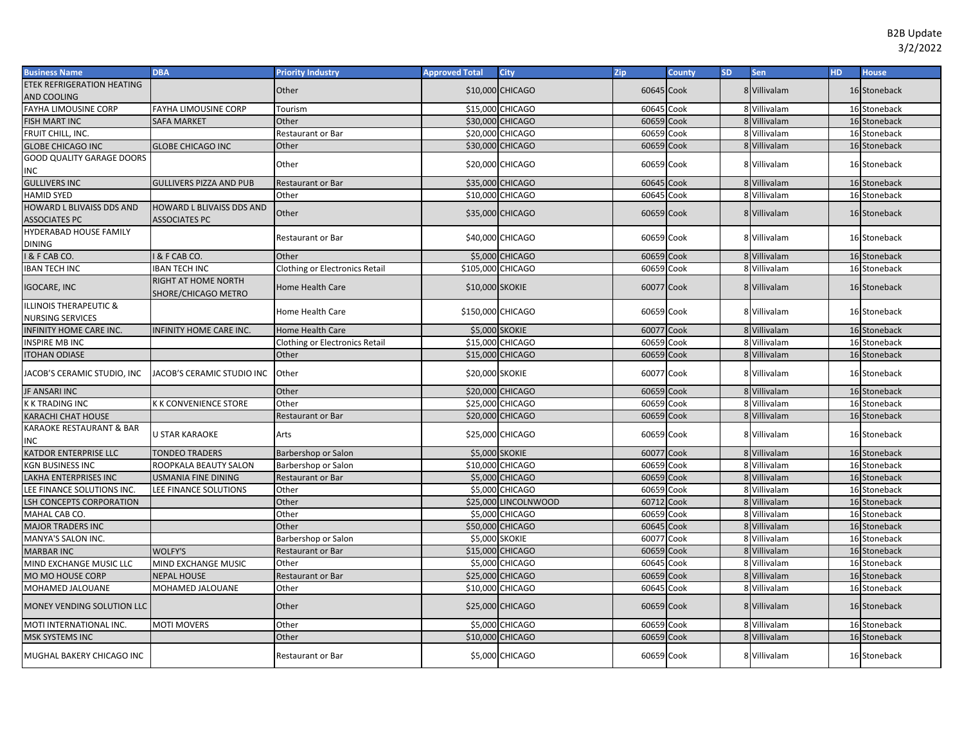| <b>Business Name</b>                                         | <b>DBA</b>                                        | Priority Industry                     | <b>Approved Total</b> | <b>City</b>             | Zip        | <b>County</b> | <b>SD</b> | Sen          | HD. | <b>House</b> |
|--------------------------------------------------------------|---------------------------------------------------|---------------------------------------|-----------------------|-------------------------|------------|---------------|-----------|--------------|-----|--------------|
| <b>ETEK REFRIGERATION HEATING</b>                            |                                                   | Other                                 |                       | \$10,000 CHICAGO        | 60645 Cook |               |           | 8 Villivalam |     | 16 Stoneback |
| AND COOLING                                                  |                                                   |                                       |                       |                         |            |               |           |              |     |              |
| FAYHA LIMOUSINE CORP                                         | <b>FAYHA LIMOUSINE CORP</b>                       | Tourism                               |                       | \$15,000 CHICAGO        | 60645 Cook |               |           | 8 Villivalam |     | 16 Stoneback |
| <b>FISH MART INC</b>                                         | <b>SAFA MARKET</b>                                | Other                                 |                       | \$30,000 CHICAGO        | 60659 Cook |               |           | 8 Villivalam |     | 16 Stoneback |
| FRUIT CHILL, INC.                                            |                                                   | Restaurant or Bar                     |                       | \$20,000 CHICAGO        | 60659 Cook |               |           | 8 Villivalam |     | 16 Stoneback |
| <b>GLOBE CHICAGO INC</b>                                     | <b>GLOBE CHICAGO INC</b>                          | Other                                 |                       | \$30,000 CHICAGO        | 60659 Cook |               |           | 8 Villivalam |     | 16 Stoneback |
| GOOD QUALITY GARAGE DOORS                                    |                                                   | Other                                 |                       | \$20,000 CHICAGO        | 60659 Cook |               |           | 8 Villivalam |     | 16 Stoneback |
| INC                                                          |                                                   |                                       |                       |                         |            |               |           |              |     |              |
| <b>GULLIVERS INC</b>                                         | <b>GULLIVERS PIZZA AND PUB</b>                    | Restaurant or Bar                     |                       | \$35,000 CHICAGO        | 60645 Cook |               |           | 8 Villivalam |     | 16 Stoneback |
| HAMID SYED                                                   |                                                   | Other                                 |                       | \$10,000 CHICAGO        | 60645 Cook |               |           | 8 Villivalam |     | 16 Stoneback |
| HOWARD L BLIVAISS DDS AND<br><b>ASSOCIATES PC</b>            | HOWARD L BLIVAISS DDS AND<br><b>ASSOCIATES PC</b> | Other                                 |                       | \$35,000 CHICAGO        | 60659 Cook |               |           | 8 Villivalam |     | 16 Stoneback |
| HYDERABAD HOUSE FAMILY                                       |                                                   |                                       |                       |                         |            |               |           |              |     |              |
| <b>DINING</b>                                                |                                                   | Restaurant or Bar                     |                       | \$40,000 CHICAGO        | 60659 Cook |               |           | 8 Villivalam |     | 16 Stoneback |
| <b>I &amp; F CAB CO.</b>                                     | <b>I &amp; F CAB CO</b>                           | Other                                 | \$5,000               | <b>CHICAGO</b>          | 60659 Cook |               |           | 8 Villivalam |     | 16 Stoneback |
| <b>IBAN TECH INC</b>                                         | <b>IBAN TECH INC</b>                              | <b>Clothing or Electronics Retail</b> | \$105,000 CHICAGO     |                         | 60659 Cook |               |           | 8 Villivalam |     | 16 Stoneback |
| <b>IGOCARE, INC</b>                                          | RIGHT AT HOME NORTH<br>SHORE/CHICAGO METRO        | Home Health Care                      | \$10,000 SKOKIE       |                         | 60077 Cook |               |           | 8 Villivalam |     | 16 Stoneback |
| <b>ILLINOIS THERAPEUTIC &amp;</b><br><b>NURSING SERVICES</b> |                                                   | Home Health Care                      | \$150,000 CHICAGO     |                         | 60659 Cook |               |           | 8 Villivalam |     | 16 Stoneback |
| INFINITY HOME CARE INC.                                      | INFINITY HOME CARE INC.                           | <b>Home Health Care</b>               | <b>\$5,000 SKOKIE</b> |                         | 60077 Cook |               |           | 8 Villivalam |     | 16 Stoneback |
| <b>INSPIRE MB INC</b>                                        |                                                   | Clothing or Electronics Retail        |                       | \$15,000 CHICAGO        | 60659 Cook |               |           | 8 Villivalam |     | 16 Stoneback |
| <b>ITOHAN ODIASE</b>                                         |                                                   | Other                                 |                       | \$15,000 CHICAGO        | 60659 Cook |               |           | 8 Villivalam |     | 16 Stoneback |
| JACOB'S CERAMIC STUDIO, INC                                  | JACOB'S CERAMIC STUDIO INC                        | Other                                 | \$20,000 SKOKIE       |                         | 60077 Cook |               |           | 8 Villivalam |     | 16 Stoneback |
| JF ANSARI INC                                                |                                                   | Other                                 |                       | \$20,000 CHICAGO        | 60659 Cook |               |           | 8 Villivalam |     | 16 Stoneback |
| K K TRADING INC                                              | <b>K K CONVENIENCE STORE</b>                      | Other                                 |                       | \$25,000 CHICAGO        | 60659 Cook |               |           | 8 Villivalam |     | 16 Stoneback |
| KARACHI CHAT HOUSE                                           |                                                   | Restaurant or Bar                     |                       | \$20,000 CHICAGO        | 60659 Cook |               |           | 8 Villivalam |     | 16 Stoneback |
| KARAOKE RESTAURANT & BAR<br>INC                              | <b>U STAR KARAOKE</b>                             | Arts                                  |                       | \$25,000 CHICAGO        | 60659 Cook |               |           | 8 Villivalam |     | 16 Stoneback |
| KATDOR ENTERPRISE LLC                                        | <b>TONDEO TRADERS</b>                             | Barbershop or Salon                   | <b>\$5,000 SKOKIE</b> |                         | 60077 Cook |               |           | 8 Villivalam |     | 16 Stoneback |
| KGN BUSINESS INC                                             | ROOPKALA BEAUTY SALON                             | Barbershop or Salon                   |                       | \$10,000 CHICAGO        | 60659 Cook |               |           | 8 Villivalam |     | 16 Stoneback |
| LAKHA ENTERPRISES INC                                        | <b>USMANIA FINE DINING</b>                        | Restaurant or Bar                     |                       | \$5,000 CHICAGO         | 60659 Cook |               |           | 8 Villivalam |     | 16 Stoneback |
| LEE FINANCE SOLUTIONS INC.                                   | LEE FINANCE SOLUTIONS                             | Other                                 |                       | \$5.000 CHICAGO         | 60659 Cook |               |           | 8 Villivalam |     | 16 Stoneback |
| LSH CONCEPTS CORPORATION                                     |                                                   | Other                                 |                       | \$25,000 LINCOLNWOOD    | 60712      | Cook          |           | 8 Villivalam |     | 16 Stoneback |
| MAHAL CAB CO.                                                |                                                   | Other                                 | \$5,000               | <b>CHICAGO</b>          | 60659 Cook |               |           | 8 Villivalam |     | 16 Stoneback |
| <b>MAJOR TRADERS INC</b>                                     |                                                   | Other                                 |                       | \$50,000 CHICAGO        | 60645      | Cook          |           | 8 Villivalam |     | 16 Stoneback |
| MANYA'S SALON INC.                                           |                                                   | Barbershop or Salon                   | <b>\$5,000 SKOKIE</b> |                         | 60077 Cook |               |           | 8 Villivalam |     | 16 Stoneback |
| <b>MARBAR INC</b>                                            | <b>WOLFY'S</b>                                    | Restaurant or Bar                     |                       | \$15,000 CHICAGO        | 60659 Cook |               |           | 8 Villivalam |     | 16 Stoneback |
| MIND EXCHANGE MUSIC LLC                                      | MIND EXCHANGE MUSIC                               | Other                                 |                       | \$5,000 CHICAGO         | 60645      | Cook          |           | 8 Villivalam |     | 16 Stoneback |
| MO MO HOUSE CORP                                             | <b>NEPAL HOUSE</b>                                | <b>Restaurant or Bar</b>              |                       | \$25,000 CHICAGO        | 60659      | Cook          |           | 8 Villivalam |     | 16 Stoneback |
| MOHAMED JALOUANE                                             | MOHAMED JALOUANE                                  | Other                                 |                       | \$10,000 CHICAGO        | 60645 Cook |               |           | 8 Villivalam |     | 16 Stoneback |
| MONEY VENDING SOLUTION LLC                                   |                                                   | Other                                 |                       | <b>\$25,000 CHICAGO</b> | 60659 Cook |               |           | 8 Villivalam |     | 16 Stoneback |
| MOTI INTERNATIONAL INC.                                      | <b>MOTI MOVERS</b>                                | Other                                 | \$5,000               | <b>CHICAGO</b>          | 60659 Cook |               |           | 8 Villivalam |     | 16 Stoneback |
| MSK SYSTEMS INC                                              |                                                   | Other                                 |                       | \$10,000 CHICAGO        | 60659 Cook |               |           | 8 Villivalam |     | 16 Stoneback |
| MUGHAL BAKERY CHICAGO INC                                    |                                                   | Restaurant or Bar                     |                       | \$5,000 CHICAGO         | 60659 Cook |               |           | 8 Villivalam |     | 16 Stoneback |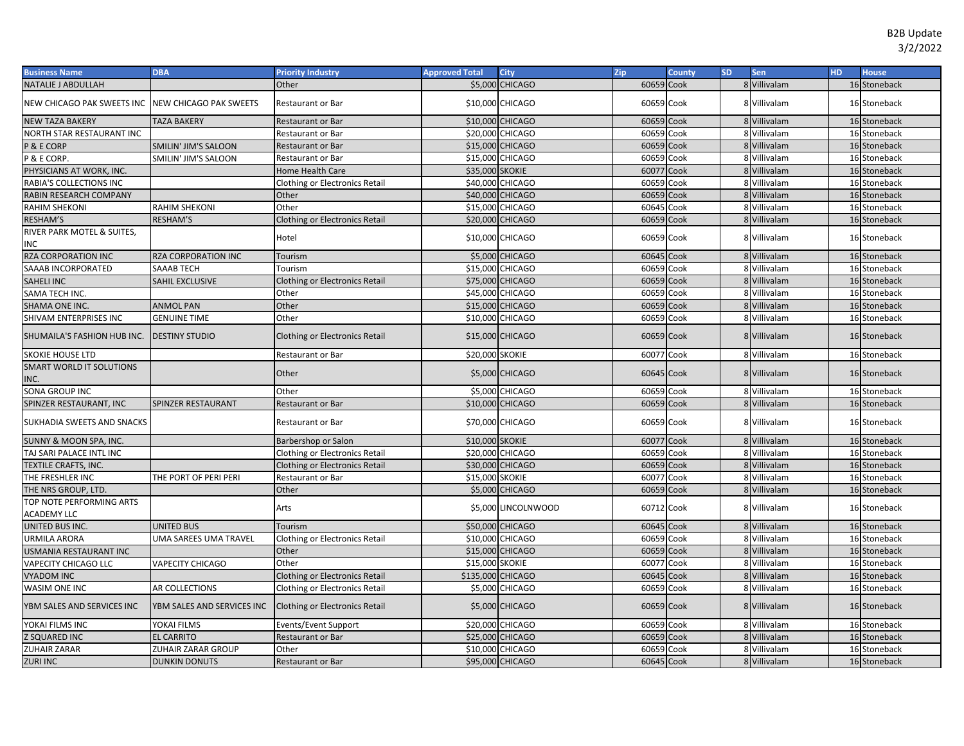| <b>Business Name</b>                           | <b>DBA</b>                    | <b>Priority Industry</b>              | <b>Approved Total</b> | <b>City</b>            | Zip        | <b>County</b> | <b>SD</b> | Sen          | HD. | <b>House</b> |
|------------------------------------------------|-------------------------------|---------------------------------------|-----------------------|------------------------|------------|---------------|-----------|--------------|-----|--------------|
| <b>NATALIE J ABDULLAH</b>                      |                               | Other                                 |                       | \$5,000 CHICAGO        | 60659 Cook |               |           | 8 Villivalam |     | 16 Stoneback |
| NEW CHICAGO PAK SWEETS INC                     | <b>NEW CHICAGO PAK SWEETS</b> | Restaurant or Bar                     |                       | \$10,000 CHICAGO       | 60659 Cook |               |           | 8 Villivalam |     | 16 Stoneback |
| <b>NEW TAZA BAKERY</b>                         | <b>TAZA BAKERY</b>            | Restaurant or Bar                     |                       | \$10,000 CHICAGO       | 60659 Cook |               |           | 8 Villivalam |     | 16 Stoneback |
| NORTH STAR RESTAURANT INC                      |                               | Restaurant or Bar                     |                       | \$20,000 CHICAGO       | 60659      | Cook          |           | 8 Villivalam |     | 16 Stoneback |
| <b>P &amp; E CORP</b>                          | SMILIN' JIM'S SALOON          | Restaurant or Bar                     |                       | \$15,000 CHICAGO       | 60659 Cook |               |           | 8 Villivalam |     | 16 Stoneback |
| P & E CORP.                                    | SMILIN' JIM'S SALOON          | Restaurant or Bar                     |                       | \$15,000 CHICAGO       | 60659      | Cook          |           | 8 Villivalam |     | 16 Stoneback |
| PHYSICIANS AT WORK, INC.                       |                               | Home Health Care                      | \$35,000 SKOKIE       |                        | 60077      | Cook          |           | 8 Villivalam |     | 16 Stoneback |
| RABIA'S COLLECTIONS INC                        |                               | <b>Clothing or Electronics Retail</b> |                       | \$40,000 CHICAGO       | 60659 Cook |               |           | 8 Villivalam |     | 16 Stoneback |
| RABIN RESEARCH COMPANY                         |                               | Other                                 |                       | \$40,000 CHICAGO       | 60659 Cook |               |           | 8 Villivalam |     | 16 Stoneback |
| RAHIM SHEKONI                                  | <b>RAHIM SHEKONI</b>          | Other                                 |                       | \$15,000 CHICAGO       | 60645      | Cook          |           | 8 Villivalam |     | 16 Stoneback |
| RESHAM'S                                       | RESHAM'S                      | <b>Clothing or Electronics Retail</b> |                       | \$20,000 CHICAGO       | 60659 Cook |               |           | 8 Villivalam |     | 16 Stoneback |
| RIVER PARK MOTEL & SUITES,<br>INC              |                               | Hotel                                 |                       | \$10,000 CHICAGO       | 60659 Cook |               |           | 8 Villivalam |     | 16 Stoneback |
| RZA CORPORATION INC                            | RZA CORPORATION INC           | Tourism                               |                       | \$5,000 CHICAGO        | 60645 Cook |               |           | 8 Villivalam |     | 16 Stoneback |
| SAAAB INCORPORATED                             | SAAAB TECH                    | Tourism                               |                       | \$15,000 CHICAGO       | 60659 Cook |               |           | 8 Villivalam |     | 16 Stoneback |
| SAHELI INC                                     | SAHIL EXCLUSIVE               | <b>Clothing or Electronics Retail</b> | \$75,000 CHICAGO      |                        | 60659 Cook |               |           | 8 Villivalam |     | 16 Stoneback |
| SAMA TECH INC.                                 |                               | Other                                 |                       | \$45,000 CHICAGO       | 60659 Cook |               |           | 8 Villivalam |     | 16 Stoneback |
| SHAMA ONE INC.                                 | <b>ANMOL PAN</b>              | Other                                 | \$15,000 CHICAGO      |                        | 60659 Cook |               |           | 8 Villivalam |     | 16 Stoneback |
| SHIVAM ENTERPRISES INC                         | <b>GENUINE TIME</b>           | Other                                 |                       | \$10,000 CHICAGO       | 60659      | Cook          |           | 8 Villivalam |     | 16 Stoneback |
| SHUMAILA'S FASHION HUB INC.                    | <b>DESTINY STUDIO</b>         | <b>Clothing or Electronics Retail</b> |                       | \$15,000 CHICAGO       | 60659 Cook |               |           | 8 Villivalam |     | 16 Stoneback |
| <b>SKOKIE HOUSE LTD</b>                        |                               | Restaurant or Bar                     | \$20,000 SKOKIE       |                        | 60077 Cook |               |           | 8 Villivalam |     | 16 Stoneback |
| SMART WORLD IT SOLUTIONS<br>NC.                |                               | Other                                 |                       | \$5,000 CHICAGO        | 60645 Cook |               |           | 8 Villivalam |     | 16 Stoneback |
| SONA GROUP INC                                 |                               | Other                                 | \$5,000               | <b>CHICAGO</b>         | 60659 Cook |               |           | 8 Villivalam |     | 16 Stoneback |
| SPINZER RESTAURANT, INC                        | SPINZER RESTAURANT            | Restaurant or Bar                     |                       | \$10,000 CHICAGO       | 60659 Cook |               |           | 8 Villivalam |     | 16 Stoneback |
| SUKHADIA SWEETS AND SNACKS                     |                               | Restaurant or Bar                     |                       | \$70,000 CHICAGO       | 60659 Cook |               |           | 8 Villivalam |     | 16 Stoneback |
| SUNNY & MOON SPA, INC.                         |                               | Barbershop or Salon                   | \$10,000 SKOKIE       |                        | 60077 Cook |               |           | 8 Villivalam |     | 16 Stoneback |
| TAJ SARI PALACE INTL INC                       |                               | <b>Clothing or Electronics Retail</b> |                       | \$20,000 CHICAGO       | 60659 Cook |               |           | 8 Villivalam |     | 16 Stoneback |
| <b>TEXTILE CRAFTS, INC.</b>                    |                               | <b>Clothing or Electronics Retail</b> |                       | \$30,000 CHICAGO       | 60659 Cook |               |           | 8 Villivalam |     | 16 Stoneback |
| THE FRESHLER INC                               | THE PORT OF PERI PERI         | Restaurant or Bar                     | \$15,000 SKOKIE       |                        | 60077 Cook |               |           | 8 Villivalam |     | 16 Stoneback |
| THE NRS GROUP, LTD.                            |                               | Other                                 |                       | <b>\$5,000 CHICAGO</b> | 60659 Cook |               |           | 8 Villivalam |     | 16 Stoneback |
| TOP NOTE PERFORMING ARTS<br><b>ACADEMY LLC</b> |                               | Arts                                  |                       | \$5,000 LINCOLNWOOD    | 60712 Cook |               |           | 8 Villivalam |     | 16 Stoneback |
| UNITED BUS INC.                                | UNITED BUS                    | Tourism                               |                       | \$50,000 CHICAGO       | 60645 Cook |               |           | 8 Villivalam |     | 16 Stoneback |
| URMILA ARORA                                   | UMA SAREES UMA TRAVEL         | <b>Clothing or Electronics Retail</b> |                       | \$10,000 CHICAGO       | 60659 Cook |               |           | 8 Villivalam |     | 16 Stoneback |
| USMANIA RESTAURANT INC                         |                               | Other                                 | \$15,000 CHICAGO      |                        | 60659 Cook |               |           | 8 Villivalam |     | 16 Stoneback |
| VAPECITY CHICAGO LLC                           | <b>VAPECITY CHICAGO</b>       | Other                                 | \$15,000 SKOKIE       |                        | 60077 Cook |               |           | 8 Villivalam |     | 16 Stoneback |
| <b>VYADOM INC</b>                              |                               | <b>Clothing or Electronics Retail</b> | \$135,000 CHICAGO     |                        | 60645      | Cook          |           | 8 Villivalam |     | 16 Stoneback |
| WASIM ONE INC                                  | <b>AR COLLECTIONS</b>         | <b>Clothing or Electronics Retail</b> |                       | \$5,000 CHICAGO        | 60659 Cook |               |           | 8 Villivalam |     | 16 Stoneback |
| YBM SALES AND SERVICES INC                     | YBM SALES AND SERVICES INC    | <b>Clothing or Electronics Retail</b> |                       | \$5,000 CHICAGO        | 60659 Cook |               |           | 8 Villivalam |     | 16 Stoneback |
| YOKAI FILMS INC                                | YOKAI FILMS                   | Events/Event Support                  |                       | \$20,000 CHICAGO       | 60659 Cook |               |           | 8 Villivalam |     | 16 Stoneback |
| Z SQUARED INC                                  | <b>EL CARRITO</b>             | Restaurant or Bar                     |                       | \$25,000 CHICAGO       | 60659 Cook |               |           | 8 Villivalam |     | 16 Stoneback |
| ZUHAIR ZARAR                                   | ZUHAIR ZARAR GROUP            | Other                                 |                       | \$10,000 CHICAGO       | 60659 Cook |               |           | 8 Villivalam |     | 16 Stoneback |
| <b>ZURI INC</b>                                | <b>DUNKIN DONUTS</b>          | Restaurant or Bar                     |                       | \$95,000 CHICAGO       | 60645 Cook |               |           | 8 Villivalam |     | 16 Stoneback |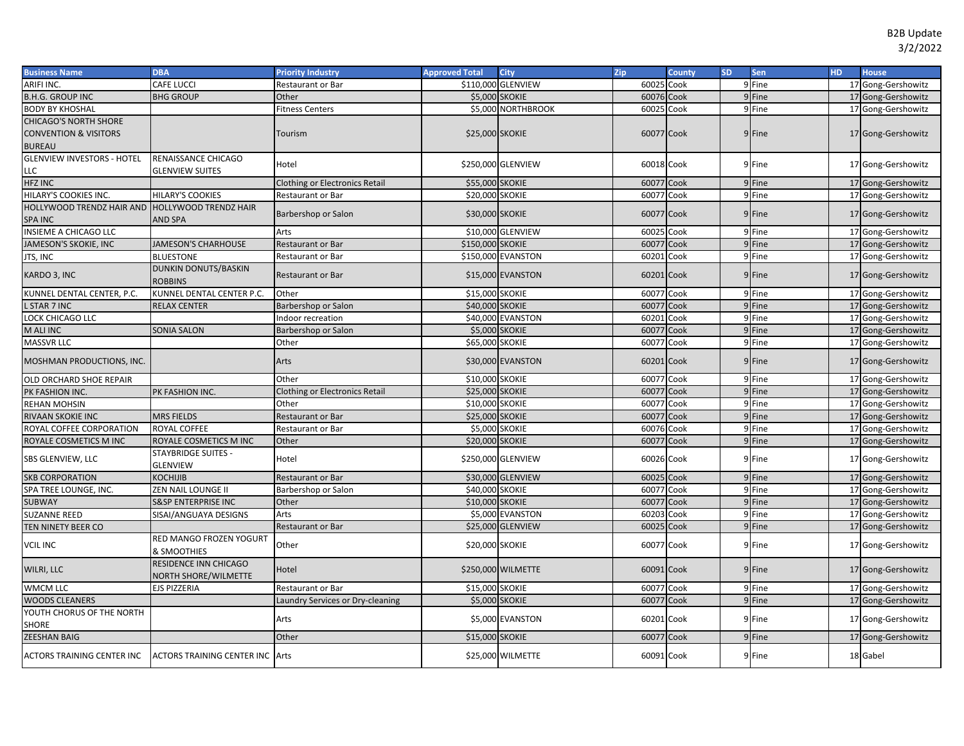| <b>Business Name</b>              | <b>DBA</b>                                    | <b>Priority Industry</b>              | <b>Approved Total</b>  | <b>City</b>        | Zip        | <b>County</b> | <b>SD</b> | Sen                | HD. | <b>House</b>       |
|-----------------------------------|-----------------------------------------------|---------------------------------------|------------------------|--------------------|------------|---------------|-----------|--------------------|-----|--------------------|
| ARIFI INC.                        | CAFE LUCCI                                    | Restaurant or Bar                     |                        | \$110,000 GLENVIEW | 60025      | Cook          |           | 9 Fine             |     | 17 Gong-Gershowitz |
| <b>B.H.G. GROUP INC</b>           | <b>BHG GROUP</b>                              | Other                                 |                        | \$5,000 SKOKIE     | 60076 Cook |               |           | 9Fine              |     | 17 Gong-Gershowitz |
| <b>BODY BY KHOSHAL</b>            |                                               | itness Centers                        |                        | \$5,000 NORTHBROOK | 60025      | Cook          |           | 9 Fine             |     | 17 Gong-Gershowitz |
| <b>CHICAGO'S NORTH SHORE</b>      |                                               |                                       |                        |                    |            |               |           |                    |     |                    |
| <b>CONVENTION &amp; VISITORS</b>  |                                               | Tourism                               | \$25,000 SKOKIE        |                    | 60077 Cook |               |           | 9 Fine             |     | 17 Gong-Gershowitz |
| <b>BUREAU</b>                     |                                               |                                       |                        |                    |            |               |           |                    |     |                    |
| <b>GLENVIEW INVESTORS - HOTEL</b> | RENAISSANCE CHICAGO                           | Hotel                                 |                        | \$250,000 GLENVIEW | 60018 Cook |               |           | 9 Fine             |     | 17 Gong-Gershowitz |
| LLC                               | <b>GLENVIEW SUITES</b>                        |                                       |                        |                    |            |               |           |                    |     |                    |
| <b>HFZ INC</b>                    |                                               | <b>Clothing or Electronics Retail</b> | \$55,000 SKOKIE        |                    | 60077      | Cook          |           | 9 Fine             |     | 17 Gong-Gershowitz |
| HILARY'S COOKIES INC.             | <b>HILARY'S COOKIES</b>                       | Restaurant or Bar                     | \$20,000 SKOKIE        |                    | 60077      | Cook          |           | 9 Fine             |     | 17 Gong-Gershowitz |
| HOLLYWOOD TRENDZ HAIR AND         | <b>HOLLYWOOD TRENDZ HAIR</b>                  | Barbershop or Salon                   | \$30,000 SKOKIE        |                    | 60077 Cook |               |           | 9 Fine             |     | 17 Gong-Gershowitz |
| <b>SPA INC</b>                    | <b>AND SPA</b>                                |                                       |                        |                    |            |               |           |                    |     |                    |
| INSIEME A CHICAGO LLC             |                                               | Arts                                  | \$10,000               | <b>GLENVIEW</b>    | 60025      | Cook          |           | 9 Fine             |     | 17 Gong-Gershowitz |
| JAMESON'S SKOKIE, INC             | <b>JAMESON'S CHARHOUSE</b>                    | Restaurant or Bar                     | \$150,000 SKOKIE       |                    | 60077      | Cook          |           | 9 Fine             |     | 17 Gong-Gershowitz |
| JTS, INC                          | <b>BLUESTONE</b>                              | Restaurant or Bar                     |                        | \$150,000 EVANSTON | 60201      | Cook          |           | 9 Fine             |     | 17 Gong-Gershowitz |
| KARDO 3, INC                      | DUNKIN DONUTS/BASKIN<br><b>ROBBINS</b>        | <b>Restaurant or Bar</b>              |                        | \$15,000 EVANSTON  | 60201 Cook |               |           | 9 Fine             |     | 17 Gong-Gershowitz |
| KUNNEL DENTAL CENTER, P.C.        | KUNNEL DENTAL CENTER P.C.                     | Other                                 | \$15,000 SKOKIE        |                    | 60077      | Cook          |           | 9 Fine             |     | 17 Gong-Gershowitz |
| L STAR 7 INC                      | <b>RELAX CENTER</b>                           | Barbershop or Salon                   | \$40,000 SKOKIE        |                    | 60077      | Cook          |           | 9 Fine             |     | 17 Gong-Gershowitz |
| LOCK CHICAGO LLC                  |                                               | ndoor recreation                      |                        | \$40,000 EVANSTON  | 60201      | Cook          |           | 9 Fine             |     | 17 Gong-Gershowitz |
| M ALI INC                         | <b>SONIA SALON</b>                            | Barbershop or Salon                   | \$5,000 SKOKIE         |                    | 60077      | Cook          |           | 9 Fine             |     | 17 Gong-Gershowitz |
| <b>MASSVR LLC</b>                 |                                               | Other                                 | \$65,000 SKOKIE        |                    | 60077      | Cook          |           | 9 Fine             |     | 17 Gong-Gershowitz |
| MOSHMAN PRODUCTIONS, INC.         |                                               | Arts                                  |                        | \$30,000 EVANSTON  | 60201 Cook |               |           | 9 Fine             |     | 17 Gong-Gershowitz |
| OLD ORCHARD SHOE REPAIR           |                                               | Other                                 | \$10,000 SKOKIE        |                    | 60077      | Cook          |           | 9 Fine             |     | 17 Gong-Gershowitz |
| PK FASHION INC.                   | PK FASHION INC.                               | Clothing or Electronics Retail        | \$25,000 SKOKIE        |                    | 60077      | Cook          |           | 9 Fine             |     | 17 Gong-Gershowitz |
| <b>REHAN MOHSIN</b>               |                                               | Other                                 | \$10,000 SKOKIE        |                    | 60077      | Cook          |           | 9 Fine             |     | 17 Gong-Gershowitz |
| RIVAAN SKOKIE INC                 | <b>MRS FIELDS</b>                             | Restaurant or Bar                     | \$25,000 SKOKIE        |                    | 60077      | Cook          |           | 9 Fine             |     | 17 Gong-Gershowitz |
| ROYAL COFFEE CORPORATION          | <b>ROYAL COFFEE</b>                           | Restaurant or Bar                     | \$5,000 SKOKIE         |                    | 60076      | Cook          |           | 9 Fine             |     | 17 Gong-Gershowitz |
| ROYALE COSMETICS M INC            | ROYALE COSMETICS M INC                        | Other                                 | <b>\$20,000 SKOKIE</b> |                    | 60077      | Cook          |           | 9 Fine             |     | 17 Gong-Gershowitz |
| SBS GLENVIEW, LLC                 | <b>STAYBRIDGE SUITES -</b>                    | Hotel                                 |                        | \$250,000 GLENVIEW | 60026 Cook |               |           | 9 Fine             |     | 17 Gong-Gershowitz |
|                                   | <b>GLENVIEW</b>                               |                                       |                        |                    |            |               |           |                    |     |                    |
| <b>SKB CORPORATION</b>            | <b>KOCHIJIB</b>                               | Restaurant or Bar                     |                        | \$30,000 GLENVIEW  | 60025 Cook |               |           | 9 Fine             |     | 17 Gong-Gershowitz |
| SPA TREE LOUNGE, INC.             | ZEN NAIL LOUNGE II                            | Barbershop or Salon                   | \$40,000 SKOKIE        |                    | 60077      | Cook          |           | 9 Fine             |     | 17 Gong-Gershowitz |
| <b>SUBWAY</b>                     | <b>S&amp;SP ENTERPRISE INC</b>                | Other                                 | \$10,000 SKOKIE        |                    | 60077      | Cook          |           | 9 Fine             |     | 17 Gong-Gershowitz |
| <b>SUZANNE REED</b>               | SISAI/ANGUAYA DESIGNS                         | Arts                                  | \$5,000                | <b>EVANSTON</b>    | 60203      | Cook          |           | 9 Fine             |     | 17 Gong-Gershowitz |
| TEN NINETY BEER CO                |                                               | Restaurant or Bar                     |                        | \$25,000 GLENVIEW  | 60025      | Cook          |           | 9 Fine             |     | 17 Gong-Gershowitz |
| <b>VCIL INC</b>                   | RED MANGO FROZEN YOGURT<br>& SMOOTHIES        | Other                                 | \$20,000 SKOKIE        |                    | 60077 Cook |               |           | 9 Fine             |     | 17 Gong-Gershowitz |
| WILRI, LLC                        | RESIDENCE INN CHICAGO<br>NORTH SHORE/WILMETTE | Hotel                                 |                        | \$250,000 WILMETTE | 60091 Cook |               |           | 9 Fine             |     | 17 Gong-Gershowitz |
| <b>WMCM LLC</b>                   | <b>EJS PIZZERIA</b>                           | Restaurant or Bar                     | \$15,000 SKOKIE        |                    | 60077      | Cook          |           | 9 Fine             |     | 17 Gong-Gershowitz |
| <b>WOODS CLEANERS</b>             |                                               | aundry Services or Dry-cleaning       | \$5,000 SKOKIE         |                    | 60077      | Cook          |           | 9 <sup></sup> Fine |     | 17 Gong-Gershowitz |
| YOUTH CHORUS OF THE NORTH         |                                               | Arts                                  |                        | \$5,000 EVANSTON   | 60201      | Cook          |           | 9 Fine             |     |                    |
| SHORE                             |                                               |                                       |                        |                    |            |               |           |                    |     | 17 Gong-Gershowitz |
| <b>ZEESHAN BAIG</b>               |                                               | Other                                 | \$15,000 SKOKIE        |                    | 60077      | Cook          |           | 9 Fine             |     | 17 Gong-Gershowitz |
| ACTORS TRAINING CENTER INC        | <b>ACTORS TRAINING CENTER INC Arts</b>        |                                       |                        | \$25,000 WILMETTE  | 60091 Cook |               |           | 9 Fine             |     | 18 Gabel           |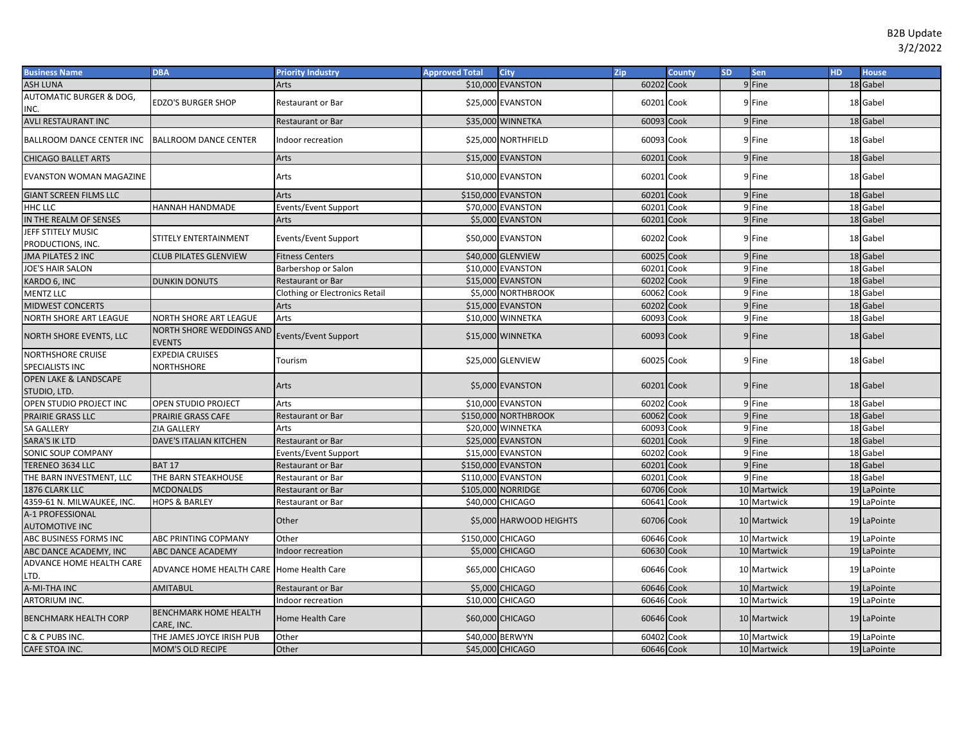| <b>Business Name</b>                    | <b>DBA</b>                                 | <b>Priority Industry</b>              | <b>Approved Total</b> | City                    | Zip        | County | <b>SD</b> | Sen         | <b>HD</b> | <b>House</b> |
|-----------------------------------------|--------------------------------------------|---------------------------------------|-----------------------|-------------------------|------------|--------|-----------|-------------|-----------|--------------|
| <b>ASH LUNA</b>                         |                                            | Arts                                  | \$10,000              | <b>EVANSTON</b>         | 60202 Cook |        |           | 9 Fine      |           | 18 Gabel     |
| <b>AUTOMATIC BURGER &amp; DOG,</b>      |                                            |                                       |                       |                         |            |        |           |             |           |              |
| INC.                                    | EDZO'S BURGER SHOP                         | <b>Restaurant or Bar</b>              |                       | \$25,000 EVANSTON       | 60201 Cook |        |           | 9 Fine      |           | 18 Gabel     |
| <b>AVLI RESTAURANT INC</b>              |                                            | <b>Restaurant or Bar</b>              |                       | \$35,000 WINNETKA       | 60093 Cook |        |           | 9 Fine      |           | 18 Gabel     |
| <b>BALLROOM DANCE CENTER INC</b>        | <b>BALLROOM DANCE CENTER</b>               | Indoor recreation                     |                       | \$25,000 NORTHFIELD     | 60093 Cook |        |           | 9 Fine      |           | 18 Gabel     |
| <b>CHICAGO BALLET ARTS</b>              |                                            | Arts                                  |                       | \$15,000 EVANSTON       | 60201 Cook |        |           | 9 Fine      |           | 18 Gabel     |
| <b>EVANSTON WOMAN MAGAZINE</b>          |                                            | Arts                                  |                       | \$10,000 EVANSTON       | 60201 Cook |        |           | 9 Fine      |           | 18 Gabel     |
| <b>GIANT SCREEN FILMS LLC</b>           |                                            | Arts                                  |                       | \$150,000 EVANSTON      | 60201      | Cook   |           | 9 Fine      |           | 18 Gabel     |
| HHC LLC                                 | HANNAH HANDMADE                            | Events/Event Support                  |                       | \$70,000 EVANSTON       | 60201      | Cook   |           | 9 Fine      |           | 18 Gabel     |
| IN THE REALM OF SENSES                  |                                            | Arts                                  |                       | \$5,000 EVANSTON        | 60201 Cook |        |           | 9 Fine      |           | 18 Gabel     |
| JEFF STITELY MUSIC<br>PRODUCTIONS, INC. | STITELY ENTERTAINMENT                      | Events/Event Support                  |                       | \$50,000 EVANSTON       | 60202 Cook |        |           | 9 Fine      |           | 18 Gabel     |
| <b>JMA PILATES 2 INC</b>                | <b>CLUB PILATES GLENVIEW</b>               | <b>Fitness Centers</b>                |                       | \$40,000 GLENVIEW       | 60025 Cook |        |           | 9 Fine      |           | 18 Gabel     |
| <b>JOE'S HAIR SALON</b>                 |                                            | Barbershop or Salon                   |                       | \$10,000 EVANSTON       | 60201 Cook |        |           | 9 Fine      |           | 18 Gabel     |
| KARDO 6, INC                            | <b>DUNKIN DONUTS</b>                       | <b>Restaurant or Bar</b>              |                       | \$15,000 EVANSTON       | 60202 Cook |        |           | 9 Fine      |           | 18 Gabel     |
| <b>MENTZ LLC</b>                        |                                            | <b>Clothing or Electronics Retail</b> |                       | \$5,000 NORTHBROOK      | 60062 Cook |        |           | 9 Fine      |           | 18 Gabel     |
| <b>MIDWEST CONCERTS</b>                 |                                            | Arts                                  |                       | \$15,000 EVANSTON       | 60202 Cook |        |           | 9 Fine      |           | 18 Gabel     |
| NORTH SHORE ART LEAGUE                  | NORTH SHORE ART LEAGUE                     | Arts                                  |                       | \$10,000 WINNETKA       | 60093 Cook |        |           | 9 Fine      |           | 18 Gabel     |
| NORTH SHORE EVENTS, LLC                 | NORTH SHORE WEDDINGS AND<br><b>EVENTS</b>  | Events/Event Support                  |                       | \$15,000 WINNETKA       | 60093 Cook |        |           | 9 Fine      |           | 18 Gabel     |
| <b>NORTHSHORE CRUISE</b>                | <b>EXPEDIA CRUISES</b>                     |                                       |                       | \$25,000 GLENVIEW       | 60025 Cook |        |           | 9 Fine      |           | 18 Gabel     |
| SPECIALISTS INC                         | NORTHSHORE                                 | Tourism                               |                       |                         |            |        |           |             |           |              |
| <b>OPEN LAKE &amp; LANDSCAPE</b>        |                                            |                                       |                       |                         |            |        |           |             |           |              |
| STUDIO, LTD.                            |                                            | Arts                                  |                       | \$5,000 EVANSTON        | 60201 Cook |        |           | 9 Fine      |           | 18 Gabel     |
| OPEN STUDIO PROJECT INC                 | <b>OPEN STUDIO PROJECT</b>                 | Arts                                  |                       | \$10,000 EVANSTON       | 60202 Cook |        |           | 9 Fine      |           | 18 Gabel     |
| PRAIRIE GRASS LLC                       | PRAIRIE GRASS CAFE                         | <b>Restaurant or Bar</b>              |                       | \$150,000 NORTHBROOK    | 60062 Cook |        |           | 9 Fine      |           | 18 Gabel     |
| <b>SA GALLERY</b>                       | ZIA GALLERY                                | Arts                                  |                       | \$20,000 WINNETKA       | 60093 Cook |        |           | 9 Fine      |           | 18 Gabel     |
| <b>SARA'S IK LTD</b>                    | <b>DAVE'S ITALIAN KITCHEN</b>              | <b>Restaurant or Bar</b>              |                       | \$25,000 EVANSTON       | 60201      | Cook   |           | 9 Fine      |           | 18 Gabel     |
| SONIC SOUP COMPANY                      |                                            | <b>Events/Event Support</b>           |                       | \$15,000 EVANSTON       | 60202      | Cook   |           | 9 Fine      |           | 18 Gabel     |
| TERENEO 3634 LLC                        | <b>BAT 17</b>                              | <b>Restaurant or Bar</b>              |                       | \$150,000 EVANSTON      | 60201      | Cook   |           | 9 Fine      |           | 18 Gabel     |
| THE BARN INVESTMENT, LLC                | THE BARN STEAKHOUSE                        | Restaurant or Bar                     |                       | \$110,000 EVANSTON      | 60201      | Cook   |           | 9 Fine      |           | 18 Gabel     |
| 1876 CLARK LLC                          | <b>MCDONALDS</b>                           | <b>Restaurant or Bar</b>              |                       | \$105,000 NORRIDGE      | 60706 Cook |        |           | 10 Martwick |           | 19 LaPointe  |
| 4359-61 N. MILWAUKEE, INC.              | <b>HOPS &amp; BARLEY</b>                   | Restaurant or Bar                     |                       | \$40,000 CHICAGO        | 60641      | Cook   |           | 10 Martwick |           | 19 LaPointe  |
| A-1 PROFESSIONAL                        |                                            | Other                                 |                       | \$5,000 HARWOOD HEIGHTS | 60706 Cook |        |           | 10 Martwick |           | 19 LaPointe  |
| <b>AUTOMOTIVE INC</b>                   |                                            |                                       |                       |                         |            |        |           |             |           |              |
| ABC BUSINESS FORMS INC                  | ABC PRINTING COPMANY                       | Other                                 | \$150,000 CHICAGO     |                         | 60646 Cook |        |           | 10 Martwick |           | 19 LaPointe  |
| ABC DANCE ACADEMY, INC                  | ABC DANCE ACADEMY                          | Indoor recreation                     |                       | \$5,000 CHICAGO         | 60630 Cook |        |           | 10 Martwick |           | 19 LaPointe  |
| ADVANCE HOME HEALTH CARE<br>LTD.        | ADVANCE HOME HEALTH CARE Home Health Care  |                                       |                       | \$65,000 CHICAGO        | 60646 Cook |        |           | 10 Martwick |           | 19 LaPointe  |
| A-MI-THA INC                            | <b>AMITABUL</b>                            | Restaurant or Bar                     |                       | \$5,000 CHICAGO         | 60646 Cook |        |           | 10 Martwick |           | 19 LaPointe  |
| ARTORIUM INC.                           |                                            | Indoor recreation                     |                       | \$10,000 CHICAGO        | 60646 Cook |        |           | 10 Martwick |           | 19 LaPointe  |
| <b>BENCHMARK HEALTH CORP</b>            | <b>BENCHMARK HOME HEALTH</b><br>CARE, INC. | Home Health Care                      |                       | \$60,000 CHICAGO        | 60646 Cook |        |           | 10 Martwick |           | 19 LaPointe  |
| C & C PUBS INC.                         | THE JAMES JOYCE IRISH PUB                  | Other                                 |                       | \$40,000 BERWYN         | 60402      | Cook   |           | 10 Martwick |           | 19 LaPointe  |
| CAFE STOA INC.                          | <b>MOM'S OLD RECIPE</b>                    | Other                                 |                       | \$45,000 CHICAGO        | 60646 Cook |        |           | 10 Martwick |           | 19 LaPointe  |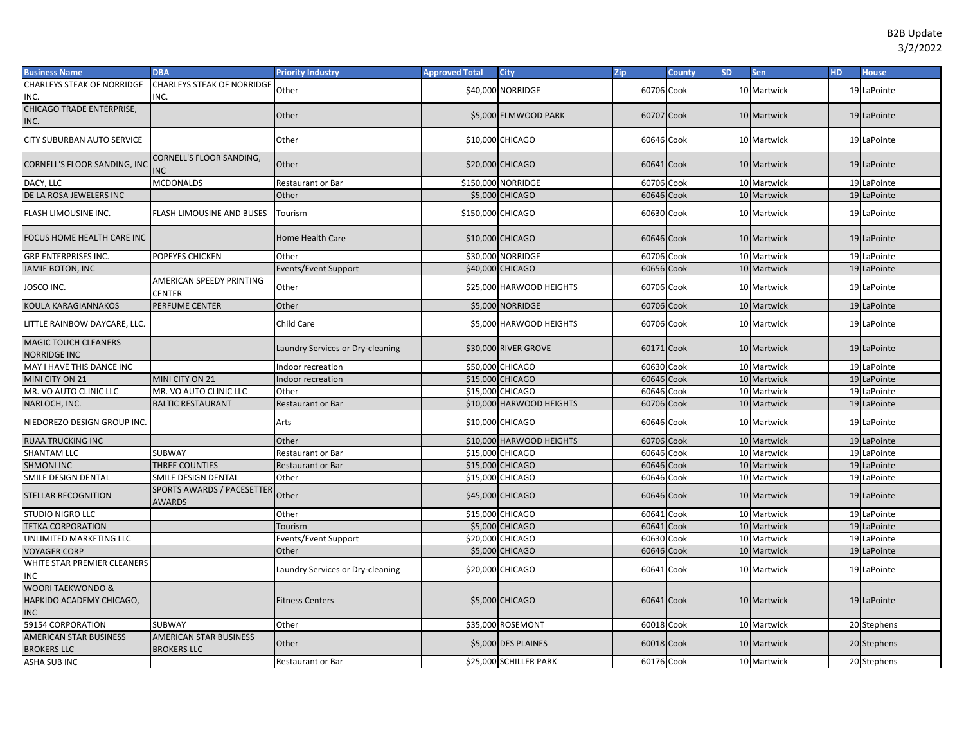| <b>CHARLEYS STEAK OF NORRIDGE</b><br><b>CHARLEYS STEAK OF NORRIDGE</b><br>\$40,000 NORRIDGE<br>60706 Cook<br>10 Martwick<br>Other<br>19 LaPointe<br>INC.<br>INC.<br>CHICAGO TRADE ENTERPRISE,<br>10 Martwick<br>Other<br>\$5,000 ELMWOOD PARK<br>60707 Cook<br>19 LaPointe<br>INC.<br>\$10,000 CHICAGO<br>10 Martwick<br>CITY SUBURBAN AUTO SERVICE<br>Other<br>60646 Cook<br>19 LaPointe<br>CORNELL'S FLOOR SANDING,<br>Other<br>\$20,000 CHICAGO<br>10 Martwick<br>CORNELL'S FLOOR SANDING, INC<br>60641 Cook<br>19 LaPointe<br><b>NC</b><br>\$150,000 NORRIDGE<br>DACY, LLC<br><b>MCDONALDS</b><br>60706 Cook<br>10 Martwick<br>19 LaPointe<br>Restaurant or Bar<br>DE LA ROSA JEWELERS INC<br>\$5,000 CHICAGO<br>60646 Cook<br>10 Martwick<br>Other<br>19 LaPointe<br>\$150,000 CHICAGO<br>FLASH LIMOUSINE INC.<br>FLASH LIMOUSINE AND BUSES<br>60630 Cook<br>10 Martwick<br>19 LaPointe<br>Tourism<br>\$10,000 CHICAGO<br>60646 Cook<br>10 Martwick<br>19 LaPointe<br>FOCUS HOME HEALTH CARE INC<br>Home Health Care<br>Other<br>\$30,000 NORRIDGE<br>60706 Cook<br>10 Martwick<br>19 LaPointe<br><b>GRP ENTERPRISES INC.</b><br>POPEYES CHICKEN<br><b>Events/Event Support</b><br>60656 Cook<br>10 Martwick<br>19 LaPointe<br>JAMIE BOTON, INC<br>\$40,000 CHICAGO<br>AMERICAN SPEEDY PRINTING<br>JOSCO INC.<br>Other<br>\$25,000 HARWOOD HEIGHTS<br>60706 Cook<br>19 LaPointe<br>10 Martwick<br>CENTER<br><b>KOULA KARAGIANNAKOS</b><br>PERFUME CENTER<br>Other<br>\$5,000 NORRIDGE<br>60706 Cook<br>10 Martwick<br>19 LaPointe<br>LITTLE RAINBOW DAYCARE, LLC.<br>Child Care<br>\$5,000 HARWOOD HEIGHTS<br>60706 Cook<br>10 Martwick<br>19 LaPointe<br>MAGIC TOUCH CLEANERS<br>\$30,000 RIVER GROVE<br>Laundry Services or Dry-cleaning<br>60171 Cook<br>10 Martwick<br>19 LaPointe<br><b>NORRIDGE INC</b><br>\$50,000 CHICAGO<br>60630 Cook<br>10 Martwick<br>19 LaPointe<br>MAY I HAVE THIS DANCE INC<br>Indoor recreation<br>\$15,000 CHICAGO<br>60646 Cook<br>10 Martwick<br>19 LaPointe<br>MINI CITY ON 21<br>MINI CITY ON 21<br>Indoor recreation<br>\$15,000 CHICAGO<br>10 Martwick<br>MR. VO AUTO CLINIC LLC<br>MR. VO AUTO CLINIC LLC<br>Other<br>60646 Cook<br>19 LaPointe<br>\$10,000 HARWOOD HEIGHTS<br>60706 Cook<br>10 Martwick<br>NARLOCH, INC.<br><b>BALTIC RESTAURANT</b><br>Restaurant or Bar<br>19 LaPointe<br>\$10,000 CHICAGO<br>10 Martwick<br>NIEDOREZO DESIGN GROUP INC<br>60646 Cook<br>19 LaPointe<br>Arts<br>10 Martwick<br><b>RUAA TRUCKING INC</b><br>\$10,000 HARWOOD HEIGHTS<br>60706 Cook<br>19 LaPointe<br>Other<br>10 Martwick<br>\$15,000 CHICAGO<br>60646 Cook<br>19 LaPointe<br><b>SHANTAM LLC</b><br>SUBWAY<br>Restaurant or Bar<br>\$15,000 CHICAGO<br>60646 Cook<br>10 Martwick<br>19 LaPointe<br><b>SHMONI INC</b><br>THREE COUNTIES<br>Restaurant or Bar<br>SMILE DESIGN DENTAL<br>SMILE DESIGN DENTAL<br>\$15,000 CHICAGO<br>60646 Cook<br>10 Martwick<br>19 LaPointe<br>Other<br>SPORTS AWARDS / PACESETTER<br>Other<br>\$45,000 CHICAGO<br>60646 Cook<br>10 Martwick<br>19 LaPointe<br>STELLAR RECOGNITION<br>AWARDS<br><b>CHICAGO</b><br>STUDIO NIGRO LLC<br>\$15,000<br>60641<br>Cook<br>10 Martwick<br>19 LaPointe<br>Other<br>\$5,000 CHICAGO<br>60641<br>10 Martwick<br><b>TETKA CORPORATION</b><br>Tourism<br>Cook<br>19 LaPointe<br>\$20,000 CHICAGO<br>UNLIMITED MARKETING LLC<br>Events/Event Support<br>60630<br>Cook<br>10 Martwick<br>19 LaPointe<br>\$5,000 CHICAGO<br>60646 Cook<br>10 Martwick<br><b>VOYAGER CORP</b><br>Other<br>19 LaPointe<br>WHITE STAR PREMIER CLEANERS<br>\$20,000 CHICAGO<br>60641 Cook<br>10 Martwick<br>19 LaPointe<br>Laundry Services or Dry-cleaning<br>INC<br>WOORI TAEKWONDO &<br>HAPKIDO ACADEMY CHICAGO,<br>\$5,000 CHICAGO<br>60641 Cook<br>10 Martwick<br>19 LaPointe<br><b>Fitness Centers</b><br><b>INC</b><br>59154 CORPORATION<br>SUBWAY<br>Other<br>\$35,000 ROSEMONT<br>60018 Cook<br>10 Martwick<br>20 Stephens<br><b>AMERICAN STAR BUSINESS</b><br>AMERICAN STAR BUSINESS<br>Other<br>\$5,000 DES PLAINES<br>60018 Cook<br>10 Martwick<br>20 Stephens<br><b>BROKERS LLC</b><br><b>BROKERS LLC</b><br>\$25,000 SCHILLER PARK<br>60176 Cook<br>10 Martwick<br>20 Stephens<br>ASHA SUB INC<br>Restaurant or Bar | <b>Business Name</b> | <b>DBA</b> | <b>Priority Industry</b> | <b>Approved Total</b> | <b>City</b> | Zip | <b>County</b> | <b>SD</b> | <b>Sen</b> | HD. | <b>House</b> |
|----------------------------------------------------------------------------------------------------------------------------------------------------------------------------------------------------------------------------------------------------------------------------------------------------------------------------------------------------------------------------------------------------------------------------------------------------------------------------------------------------------------------------------------------------------------------------------------------------------------------------------------------------------------------------------------------------------------------------------------------------------------------------------------------------------------------------------------------------------------------------------------------------------------------------------------------------------------------------------------------------------------------------------------------------------------------------------------------------------------------------------------------------------------------------------------------------------------------------------------------------------------------------------------------------------------------------------------------------------------------------------------------------------------------------------------------------------------------------------------------------------------------------------------------------------------------------------------------------------------------------------------------------------------------------------------------------------------------------------------------------------------------------------------------------------------------------------------------------------------------------------------------------------------------------------------------------------------------------------------------------------------------------------------------------------------------------------------------------------------------------------------------------------------------------------------------------------------------------------------------------------------------------------------------------------------------------------------------------------------------------------------------------------------------------------------------------------------------------------------------------------------------------------------------------------------------------------------------------------------------------------------------------------------------------------------------------------------------------------------------------------------------------------------------------------------------------------------------------------------------------------------------------------------------------------------------------------------------------------------------------------------------------------------------------------------------------------------------------------------------------------------------------------------------------------------------------------------------------------------------------------------------------------------------------------------------------------------------------------------------------------------------------------------------------------------------------------------------------------------------------------------------------------------------------------------------------------------------------------------------------------------------------------------------------------------------------------------------------------------------------------------------------------------------------------------------------------------------------------------------------------------------------------------------------------------------------------------------------------------------------------------------------------------------------------------------------------------------------------------------------------------------------------------------------------------------------------------------------|----------------------|------------|--------------------------|-----------------------|-------------|-----|---------------|-----------|------------|-----|--------------|
|                                                                                                                                                                                                                                                                                                                                                                                                                                                                                                                                                                                                                                                                                                                                                                                                                                                                                                                                                                                                                                                                                                                                                                                                                                                                                                                                                                                                                                                                                                                                                                                                                                                                                                                                                                                                                                                                                                                                                                                                                                                                                                                                                                                                                                                                                                                                                                                                                                                                                                                                                                                                                                                                                                                                                                                                                                                                                                                                                                                                                                                                                                                                                                                                                                                                                                                                                                                                                                                                                                                                                                                                                                                                                                                                                                                                                                                                                                                                                                                                                                                                                                                                                                                                                            |                      |            |                          |                       |             |     |               |           |            |     |              |
|                                                                                                                                                                                                                                                                                                                                                                                                                                                                                                                                                                                                                                                                                                                                                                                                                                                                                                                                                                                                                                                                                                                                                                                                                                                                                                                                                                                                                                                                                                                                                                                                                                                                                                                                                                                                                                                                                                                                                                                                                                                                                                                                                                                                                                                                                                                                                                                                                                                                                                                                                                                                                                                                                                                                                                                                                                                                                                                                                                                                                                                                                                                                                                                                                                                                                                                                                                                                                                                                                                                                                                                                                                                                                                                                                                                                                                                                                                                                                                                                                                                                                                                                                                                                                            |                      |            |                          |                       |             |     |               |           |            |     |              |
|                                                                                                                                                                                                                                                                                                                                                                                                                                                                                                                                                                                                                                                                                                                                                                                                                                                                                                                                                                                                                                                                                                                                                                                                                                                                                                                                                                                                                                                                                                                                                                                                                                                                                                                                                                                                                                                                                                                                                                                                                                                                                                                                                                                                                                                                                                                                                                                                                                                                                                                                                                                                                                                                                                                                                                                                                                                                                                                                                                                                                                                                                                                                                                                                                                                                                                                                                                                                                                                                                                                                                                                                                                                                                                                                                                                                                                                                                                                                                                                                                                                                                                                                                                                                                            |                      |            |                          |                       |             |     |               |           |            |     |              |
|                                                                                                                                                                                                                                                                                                                                                                                                                                                                                                                                                                                                                                                                                                                                                                                                                                                                                                                                                                                                                                                                                                                                                                                                                                                                                                                                                                                                                                                                                                                                                                                                                                                                                                                                                                                                                                                                                                                                                                                                                                                                                                                                                                                                                                                                                                                                                                                                                                                                                                                                                                                                                                                                                                                                                                                                                                                                                                                                                                                                                                                                                                                                                                                                                                                                                                                                                                                                                                                                                                                                                                                                                                                                                                                                                                                                                                                                                                                                                                                                                                                                                                                                                                                                                            |                      |            |                          |                       |             |     |               |           |            |     |              |
|                                                                                                                                                                                                                                                                                                                                                                                                                                                                                                                                                                                                                                                                                                                                                                                                                                                                                                                                                                                                                                                                                                                                                                                                                                                                                                                                                                                                                                                                                                                                                                                                                                                                                                                                                                                                                                                                                                                                                                                                                                                                                                                                                                                                                                                                                                                                                                                                                                                                                                                                                                                                                                                                                                                                                                                                                                                                                                                                                                                                                                                                                                                                                                                                                                                                                                                                                                                                                                                                                                                                                                                                                                                                                                                                                                                                                                                                                                                                                                                                                                                                                                                                                                                                                            |                      |            |                          |                       |             |     |               |           |            |     |              |
|                                                                                                                                                                                                                                                                                                                                                                                                                                                                                                                                                                                                                                                                                                                                                                                                                                                                                                                                                                                                                                                                                                                                                                                                                                                                                                                                                                                                                                                                                                                                                                                                                                                                                                                                                                                                                                                                                                                                                                                                                                                                                                                                                                                                                                                                                                                                                                                                                                                                                                                                                                                                                                                                                                                                                                                                                                                                                                                                                                                                                                                                                                                                                                                                                                                                                                                                                                                                                                                                                                                                                                                                                                                                                                                                                                                                                                                                                                                                                                                                                                                                                                                                                                                                                            |                      |            |                          |                       |             |     |               |           |            |     |              |
|                                                                                                                                                                                                                                                                                                                                                                                                                                                                                                                                                                                                                                                                                                                                                                                                                                                                                                                                                                                                                                                                                                                                                                                                                                                                                                                                                                                                                                                                                                                                                                                                                                                                                                                                                                                                                                                                                                                                                                                                                                                                                                                                                                                                                                                                                                                                                                                                                                                                                                                                                                                                                                                                                                                                                                                                                                                                                                                                                                                                                                                                                                                                                                                                                                                                                                                                                                                                                                                                                                                                                                                                                                                                                                                                                                                                                                                                                                                                                                                                                                                                                                                                                                                                                            |                      |            |                          |                       |             |     |               |           |            |     |              |
|                                                                                                                                                                                                                                                                                                                                                                                                                                                                                                                                                                                                                                                                                                                                                                                                                                                                                                                                                                                                                                                                                                                                                                                                                                                                                                                                                                                                                                                                                                                                                                                                                                                                                                                                                                                                                                                                                                                                                                                                                                                                                                                                                                                                                                                                                                                                                                                                                                                                                                                                                                                                                                                                                                                                                                                                                                                                                                                                                                                                                                                                                                                                                                                                                                                                                                                                                                                                                                                                                                                                                                                                                                                                                                                                                                                                                                                                                                                                                                                                                                                                                                                                                                                                                            |                      |            |                          |                       |             |     |               |           |            |     |              |
|                                                                                                                                                                                                                                                                                                                                                                                                                                                                                                                                                                                                                                                                                                                                                                                                                                                                                                                                                                                                                                                                                                                                                                                                                                                                                                                                                                                                                                                                                                                                                                                                                                                                                                                                                                                                                                                                                                                                                                                                                                                                                                                                                                                                                                                                                                                                                                                                                                                                                                                                                                                                                                                                                                                                                                                                                                                                                                                                                                                                                                                                                                                                                                                                                                                                                                                                                                                                                                                                                                                                                                                                                                                                                                                                                                                                                                                                                                                                                                                                                                                                                                                                                                                                                            |                      |            |                          |                       |             |     |               |           |            |     |              |
|                                                                                                                                                                                                                                                                                                                                                                                                                                                                                                                                                                                                                                                                                                                                                                                                                                                                                                                                                                                                                                                                                                                                                                                                                                                                                                                                                                                                                                                                                                                                                                                                                                                                                                                                                                                                                                                                                                                                                                                                                                                                                                                                                                                                                                                                                                                                                                                                                                                                                                                                                                                                                                                                                                                                                                                                                                                                                                                                                                                                                                                                                                                                                                                                                                                                                                                                                                                                                                                                                                                                                                                                                                                                                                                                                                                                                                                                                                                                                                                                                                                                                                                                                                                                                            |                      |            |                          |                       |             |     |               |           |            |     |              |
|                                                                                                                                                                                                                                                                                                                                                                                                                                                                                                                                                                                                                                                                                                                                                                                                                                                                                                                                                                                                                                                                                                                                                                                                                                                                                                                                                                                                                                                                                                                                                                                                                                                                                                                                                                                                                                                                                                                                                                                                                                                                                                                                                                                                                                                                                                                                                                                                                                                                                                                                                                                                                                                                                                                                                                                                                                                                                                                                                                                                                                                                                                                                                                                                                                                                                                                                                                                                                                                                                                                                                                                                                                                                                                                                                                                                                                                                                                                                                                                                                                                                                                                                                                                                                            |                      |            |                          |                       |             |     |               |           |            |     |              |
|                                                                                                                                                                                                                                                                                                                                                                                                                                                                                                                                                                                                                                                                                                                                                                                                                                                                                                                                                                                                                                                                                                                                                                                                                                                                                                                                                                                                                                                                                                                                                                                                                                                                                                                                                                                                                                                                                                                                                                                                                                                                                                                                                                                                                                                                                                                                                                                                                                                                                                                                                                                                                                                                                                                                                                                                                                                                                                                                                                                                                                                                                                                                                                                                                                                                                                                                                                                                                                                                                                                                                                                                                                                                                                                                                                                                                                                                                                                                                                                                                                                                                                                                                                                                                            |                      |            |                          |                       |             |     |               |           |            |     |              |
|                                                                                                                                                                                                                                                                                                                                                                                                                                                                                                                                                                                                                                                                                                                                                                                                                                                                                                                                                                                                                                                                                                                                                                                                                                                                                                                                                                                                                                                                                                                                                                                                                                                                                                                                                                                                                                                                                                                                                                                                                                                                                                                                                                                                                                                                                                                                                                                                                                                                                                                                                                                                                                                                                                                                                                                                                                                                                                                                                                                                                                                                                                                                                                                                                                                                                                                                                                                                                                                                                                                                                                                                                                                                                                                                                                                                                                                                                                                                                                                                                                                                                                                                                                                                                            |                      |            |                          |                       |             |     |               |           |            |     |              |
|                                                                                                                                                                                                                                                                                                                                                                                                                                                                                                                                                                                                                                                                                                                                                                                                                                                                                                                                                                                                                                                                                                                                                                                                                                                                                                                                                                                                                                                                                                                                                                                                                                                                                                                                                                                                                                                                                                                                                                                                                                                                                                                                                                                                                                                                                                                                                                                                                                                                                                                                                                                                                                                                                                                                                                                                                                                                                                                                                                                                                                                                                                                                                                                                                                                                                                                                                                                                                                                                                                                                                                                                                                                                                                                                                                                                                                                                                                                                                                                                                                                                                                                                                                                                                            |                      |            |                          |                       |             |     |               |           |            |     |              |
|                                                                                                                                                                                                                                                                                                                                                                                                                                                                                                                                                                                                                                                                                                                                                                                                                                                                                                                                                                                                                                                                                                                                                                                                                                                                                                                                                                                                                                                                                                                                                                                                                                                                                                                                                                                                                                                                                                                                                                                                                                                                                                                                                                                                                                                                                                                                                                                                                                                                                                                                                                                                                                                                                                                                                                                                                                                                                                                                                                                                                                                                                                                                                                                                                                                                                                                                                                                                                                                                                                                                                                                                                                                                                                                                                                                                                                                                                                                                                                                                                                                                                                                                                                                                                            |                      |            |                          |                       |             |     |               |           |            |     |              |
|                                                                                                                                                                                                                                                                                                                                                                                                                                                                                                                                                                                                                                                                                                                                                                                                                                                                                                                                                                                                                                                                                                                                                                                                                                                                                                                                                                                                                                                                                                                                                                                                                                                                                                                                                                                                                                                                                                                                                                                                                                                                                                                                                                                                                                                                                                                                                                                                                                                                                                                                                                                                                                                                                                                                                                                                                                                                                                                                                                                                                                                                                                                                                                                                                                                                                                                                                                                                                                                                                                                                                                                                                                                                                                                                                                                                                                                                                                                                                                                                                                                                                                                                                                                                                            |                      |            |                          |                       |             |     |               |           |            |     |              |
|                                                                                                                                                                                                                                                                                                                                                                                                                                                                                                                                                                                                                                                                                                                                                                                                                                                                                                                                                                                                                                                                                                                                                                                                                                                                                                                                                                                                                                                                                                                                                                                                                                                                                                                                                                                                                                                                                                                                                                                                                                                                                                                                                                                                                                                                                                                                                                                                                                                                                                                                                                                                                                                                                                                                                                                                                                                                                                                                                                                                                                                                                                                                                                                                                                                                                                                                                                                                                                                                                                                                                                                                                                                                                                                                                                                                                                                                                                                                                                                                                                                                                                                                                                                                                            |                      |            |                          |                       |             |     |               |           |            |     |              |
|                                                                                                                                                                                                                                                                                                                                                                                                                                                                                                                                                                                                                                                                                                                                                                                                                                                                                                                                                                                                                                                                                                                                                                                                                                                                                                                                                                                                                                                                                                                                                                                                                                                                                                                                                                                                                                                                                                                                                                                                                                                                                                                                                                                                                                                                                                                                                                                                                                                                                                                                                                                                                                                                                                                                                                                                                                                                                                                                                                                                                                                                                                                                                                                                                                                                                                                                                                                                                                                                                                                                                                                                                                                                                                                                                                                                                                                                                                                                                                                                                                                                                                                                                                                                                            |                      |            |                          |                       |             |     |               |           |            |     |              |
|                                                                                                                                                                                                                                                                                                                                                                                                                                                                                                                                                                                                                                                                                                                                                                                                                                                                                                                                                                                                                                                                                                                                                                                                                                                                                                                                                                                                                                                                                                                                                                                                                                                                                                                                                                                                                                                                                                                                                                                                                                                                                                                                                                                                                                                                                                                                                                                                                                                                                                                                                                                                                                                                                                                                                                                                                                                                                                                                                                                                                                                                                                                                                                                                                                                                                                                                                                                                                                                                                                                                                                                                                                                                                                                                                                                                                                                                                                                                                                                                                                                                                                                                                                                                                            |                      |            |                          |                       |             |     |               |           |            |     |              |
|                                                                                                                                                                                                                                                                                                                                                                                                                                                                                                                                                                                                                                                                                                                                                                                                                                                                                                                                                                                                                                                                                                                                                                                                                                                                                                                                                                                                                                                                                                                                                                                                                                                                                                                                                                                                                                                                                                                                                                                                                                                                                                                                                                                                                                                                                                                                                                                                                                                                                                                                                                                                                                                                                                                                                                                                                                                                                                                                                                                                                                                                                                                                                                                                                                                                                                                                                                                                                                                                                                                                                                                                                                                                                                                                                                                                                                                                                                                                                                                                                                                                                                                                                                                                                            |                      |            |                          |                       |             |     |               |           |            |     |              |
|                                                                                                                                                                                                                                                                                                                                                                                                                                                                                                                                                                                                                                                                                                                                                                                                                                                                                                                                                                                                                                                                                                                                                                                                                                                                                                                                                                                                                                                                                                                                                                                                                                                                                                                                                                                                                                                                                                                                                                                                                                                                                                                                                                                                                                                                                                                                                                                                                                                                                                                                                                                                                                                                                                                                                                                                                                                                                                                                                                                                                                                                                                                                                                                                                                                                                                                                                                                                                                                                                                                                                                                                                                                                                                                                                                                                                                                                                                                                                                                                                                                                                                                                                                                                                            |                      |            |                          |                       |             |     |               |           |            |     |              |
|                                                                                                                                                                                                                                                                                                                                                                                                                                                                                                                                                                                                                                                                                                                                                                                                                                                                                                                                                                                                                                                                                                                                                                                                                                                                                                                                                                                                                                                                                                                                                                                                                                                                                                                                                                                                                                                                                                                                                                                                                                                                                                                                                                                                                                                                                                                                                                                                                                                                                                                                                                                                                                                                                                                                                                                                                                                                                                                                                                                                                                                                                                                                                                                                                                                                                                                                                                                                                                                                                                                                                                                                                                                                                                                                                                                                                                                                                                                                                                                                                                                                                                                                                                                                                            |                      |            |                          |                       |             |     |               |           |            |     |              |
|                                                                                                                                                                                                                                                                                                                                                                                                                                                                                                                                                                                                                                                                                                                                                                                                                                                                                                                                                                                                                                                                                                                                                                                                                                                                                                                                                                                                                                                                                                                                                                                                                                                                                                                                                                                                                                                                                                                                                                                                                                                                                                                                                                                                                                                                                                                                                                                                                                                                                                                                                                                                                                                                                                                                                                                                                                                                                                                                                                                                                                                                                                                                                                                                                                                                                                                                                                                                                                                                                                                                                                                                                                                                                                                                                                                                                                                                                                                                                                                                                                                                                                                                                                                                                            |                      |            |                          |                       |             |     |               |           |            |     |              |
|                                                                                                                                                                                                                                                                                                                                                                                                                                                                                                                                                                                                                                                                                                                                                                                                                                                                                                                                                                                                                                                                                                                                                                                                                                                                                                                                                                                                                                                                                                                                                                                                                                                                                                                                                                                                                                                                                                                                                                                                                                                                                                                                                                                                                                                                                                                                                                                                                                                                                                                                                                                                                                                                                                                                                                                                                                                                                                                                                                                                                                                                                                                                                                                                                                                                                                                                                                                                                                                                                                                                                                                                                                                                                                                                                                                                                                                                                                                                                                                                                                                                                                                                                                                                                            |                      |            |                          |                       |             |     |               |           |            |     |              |
|                                                                                                                                                                                                                                                                                                                                                                                                                                                                                                                                                                                                                                                                                                                                                                                                                                                                                                                                                                                                                                                                                                                                                                                                                                                                                                                                                                                                                                                                                                                                                                                                                                                                                                                                                                                                                                                                                                                                                                                                                                                                                                                                                                                                                                                                                                                                                                                                                                                                                                                                                                                                                                                                                                                                                                                                                                                                                                                                                                                                                                                                                                                                                                                                                                                                                                                                                                                                                                                                                                                                                                                                                                                                                                                                                                                                                                                                                                                                                                                                                                                                                                                                                                                                                            |                      |            |                          |                       |             |     |               |           |            |     |              |
|                                                                                                                                                                                                                                                                                                                                                                                                                                                                                                                                                                                                                                                                                                                                                                                                                                                                                                                                                                                                                                                                                                                                                                                                                                                                                                                                                                                                                                                                                                                                                                                                                                                                                                                                                                                                                                                                                                                                                                                                                                                                                                                                                                                                                                                                                                                                                                                                                                                                                                                                                                                                                                                                                                                                                                                                                                                                                                                                                                                                                                                                                                                                                                                                                                                                                                                                                                                                                                                                                                                                                                                                                                                                                                                                                                                                                                                                                                                                                                                                                                                                                                                                                                                                                            |                      |            |                          |                       |             |     |               |           |            |     |              |
|                                                                                                                                                                                                                                                                                                                                                                                                                                                                                                                                                                                                                                                                                                                                                                                                                                                                                                                                                                                                                                                                                                                                                                                                                                                                                                                                                                                                                                                                                                                                                                                                                                                                                                                                                                                                                                                                                                                                                                                                                                                                                                                                                                                                                                                                                                                                                                                                                                                                                                                                                                                                                                                                                                                                                                                                                                                                                                                                                                                                                                                                                                                                                                                                                                                                                                                                                                                                                                                                                                                                                                                                                                                                                                                                                                                                                                                                                                                                                                                                                                                                                                                                                                                                                            |                      |            |                          |                       |             |     |               |           |            |     |              |
|                                                                                                                                                                                                                                                                                                                                                                                                                                                                                                                                                                                                                                                                                                                                                                                                                                                                                                                                                                                                                                                                                                                                                                                                                                                                                                                                                                                                                                                                                                                                                                                                                                                                                                                                                                                                                                                                                                                                                                                                                                                                                                                                                                                                                                                                                                                                                                                                                                                                                                                                                                                                                                                                                                                                                                                                                                                                                                                                                                                                                                                                                                                                                                                                                                                                                                                                                                                                                                                                                                                                                                                                                                                                                                                                                                                                                                                                                                                                                                                                                                                                                                                                                                                                                            |                      |            |                          |                       |             |     |               |           |            |     |              |
|                                                                                                                                                                                                                                                                                                                                                                                                                                                                                                                                                                                                                                                                                                                                                                                                                                                                                                                                                                                                                                                                                                                                                                                                                                                                                                                                                                                                                                                                                                                                                                                                                                                                                                                                                                                                                                                                                                                                                                                                                                                                                                                                                                                                                                                                                                                                                                                                                                                                                                                                                                                                                                                                                                                                                                                                                                                                                                                                                                                                                                                                                                                                                                                                                                                                                                                                                                                                                                                                                                                                                                                                                                                                                                                                                                                                                                                                                                                                                                                                                                                                                                                                                                                                                            |                      |            |                          |                       |             |     |               |           |            |     |              |
|                                                                                                                                                                                                                                                                                                                                                                                                                                                                                                                                                                                                                                                                                                                                                                                                                                                                                                                                                                                                                                                                                                                                                                                                                                                                                                                                                                                                                                                                                                                                                                                                                                                                                                                                                                                                                                                                                                                                                                                                                                                                                                                                                                                                                                                                                                                                                                                                                                                                                                                                                                                                                                                                                                                                                                                                                                                                                                                                                                                                                                                                                                                                                                                                                                                                                                                                                                                                                                                                                                                                                                                                                                                                                                                                                                                                                                                                                                                                                                                                                                                                                                                                                                                                                            |                      |            |                          |                       |             |     |               |           |            |     |              |
|                                                                                                                                                                                                                                                                                                                                                                                                                                                                                                                                                                                                                                                                                                                                                                                                                                                                                                                                                                                                                                                                                                                                                                                                                                                                                                                                                                                                                                                                                                                                                                                                                                                                                                                                                                                                                                                                                                                                                                                                                                                                                                                                                                                                                                                                                                                                                                                                                                                                                                                                                                                                                                                                                                                                                                                                                                                                                                                                                                                                                                                                                                                                                                                                                                                                                                                                                                                                                                                                                                                                                                                                                                                                                                                                                                                                                                                                                                                                                                                                                                                                                                                                                                                                                            |                      |            |                          |                       |             |     |               |           |            |     |              |
|                                                                                                                                                                                                                                                                                                                                                                                                                                                                                                                                                                                                                                                                                                                                                                                                                                                                                                                                                                                                                                                                                                                                                                                                                                                                                                                                                                                                                                                                                                                                                                                                                                                                                                                                                                                                                                                                                                                                                                                                                                                                                                                                                                                                                                                                                                                                                                                                                                                                                                                                                                                                                                                                                                                                                                                                                                                                                                                                                                                                                                                                                                                                                                                                                                                                                                                                                                                                                                                                                                                                                                                                                                                                                                                                                                                                                                                                                                                                                                                                                                                                                                                                                                                                                            |                      |            |                          |                       |             |     |               |           |            |     |              |
|                                                                                                                                                                                                                                                                                                                                                                                                                                                                                                                                                                                                                                                                                                                                                                                                                                                                                                                                                                                                                                                                                                                                                                                                                                                                                                                                                                                                                                                                                                                                                                                                                                                                                                                                                                                                                                                                                                                                                                                                                                                                                                                                                                                                                                                                                                                                                                                                                                                                                                                                                                                                                                                                                                                                                                                                                                                                                                                                                                                                                                                                                                                                                                                                                                                                                                                                                                                                                                                                                                                                                                                                                                                                                                                                                                                                                                                                                                                                                                                                                                                                                                                                                                                                                            |                      |            |                          |                       |             |     |               |           |            |     |              |
|                                                                                                                                                                                                                                                                                                                                                                                                                                                                                                                                                                                                                                                                                                                                                                                                                                                                                                                                                                                                                                                                                                                                                                                                                                                                                                                                                                                                                                                                                                                                                                                                                                                                                                                                                                                                                                                                                                                                                                                                                                                                                                                                                                                                                                                                                                                                                                                                                                                                                                                                                                                                                                                                                                                                                                                                                                                                                                                                                                                                                                                                                                                                                                                                                                                                                                                                                                                                                                                                                                                                                                                                                                                                                                                                                                                                                                                                                                                                                                                                                                                                                                                                                                                                                            |                      |            |                          |                       |             |     |               |           |            |     |              |
|                                                                                                                                                                                                                                                                                                                                                                                                                                                                                                                                                                                                                                                                                                                                                                                                                                                                                                                                                                                                                                                                                                                                                                                                                                                                                                                                                                                                                                                                                                                                                                                                                                                                                                                                                                                                                                                                                                                                                                                                                                                                                                                                                                                                                                                                                                                                                                                                                                                                                                                                                                                                                                                                                                                                                                                                                                                                                                                                                                                                                                                                                                                                                                                                                                                                                                                                                                                                                                                                                                                                                                                                                                                                                                                                                                                                                                                                                                                                                                                                                                                                                                                                                                                                                            |                      |            |                          |                       |             |     |               |           |            |     |              |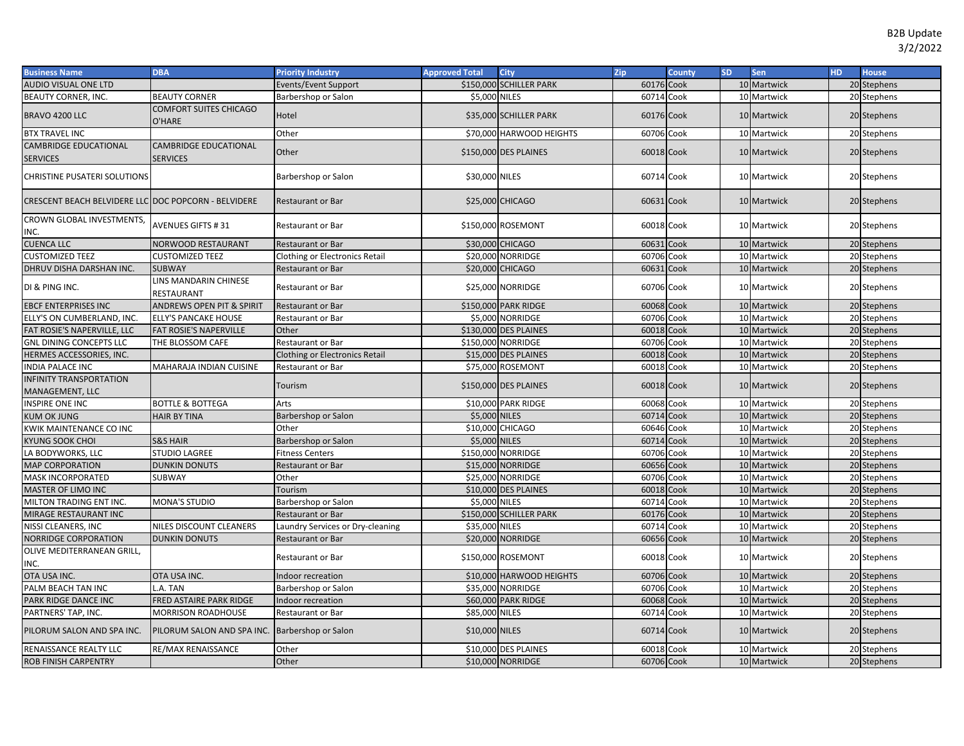| <b>Business Name</b>                                 | <b>DBA</b>                              | <b>Priority Industry</b>              | <b>Approved Total</b> | <b>City</b>              | Zip        | County | <b>SD</b> | Sen         | <b>HD</b> | <b>House</b> |
|------------------------------------------------------|-----------------------------------------|---------------------------------------|-----------------------|--------------------------|------------|--------|-----------|-------------|-----------|--------------|
| <b>AUDIO VISUAL ONE LTD</b>                          |                                         | Events/Event Support                  |                       | \$150,000 SCHILLER PARK  | 60176 Cook |        |           | 10 Martwick |           | 20 Stephens  |
| BEAUTY CORNER, INC.                                  | <b>BEAUTY CORNER</b>                    | Barbershop or Salon                   | \$5,000 NILES         |                          | 60714 Cook |        |           | 10 Martwick |           | 20 Stephens  |
| BRAVO 4200 LLC                                       | <b>COMFORT SUITES CHICAGO</b><br>O'HARE | Hotel                                 |                       | \$35,000 SCHILLER PARK   | 60176 Cook |        |           | 10 Martwick |           | 20 Stephens  |
| <b>BTX TRAVEL INC</b>                                |                                         | Other                                 |                       | \$70,000 HARWOOD HEIGHTS | 60706      | Cook   |           | 10 Martwick |           | 20 Stephens  |
| <b>CAMBRIDGE EDUCATIONAL</b>                         | <b>CAMBRIDGE EDUCATIONAL</b>            | Other                                 |                       |                          | 60018 Cook |        |           |             |           |              |
| <b>SERVICES</b>                                      | <b>SERVICES</b>                         |                                       |                       | \$150,000 DES PLAINES    |            |        |           | 10 Martwick |           | 20 Stephens  |
| CHRISTINE PUSATERI SOLUTIONS                         |                                         | Barbershop or Salon                   | \$30,000 NILES        |                          | 60714 Cook |        |           | 10 Martwick |           | 20 Stephens  |
| CRESCENT BEACH BELVIDERE LLC DOC POPCORN - BELVIDERE |                                         | <b>Restaurant or Bar</b>              |                       | \$25,000 CHICAGO         | 60631 Cook |        |           | 10 Martwick |           | 20 Stephens  |
| CROWN GLOBAL INVESTMENTS,<br>INC.                    | <b>AVENUES GIFTS #31</b>                | Restaurant or Bar                     |                       | \$150,000 ROSEMONT       | 60018 Cook |        |           | 10 Martwick |           | 20 Stephens  |
| <b>CUENCA LLC</b>                                    | NORWOOD RESTAURANT                      | <b>Restaurant or Bar</b>              |                       | \$30,000 CHICAGO         | 60631 Cook |        |           | 10 Martwick |           | 20 Stephens  |
| <b>CUSTOMIZED TEEZ</b>                               | <b>CUSTOMIZED TEEZ</b>                  | Clothing or Electronics Retail        |                       | \$20,000 NORRIDGE        | 60706 Cook |        |           | 10 Martwick |           | 20 Stephens  |
| DHRUV DISHA DARSHAN INC.                             | <b>SUBWAY</b>                           | <b>Restaurant or Bar</b>              |                       | \$20,000 CHICAGO         | 60631      | Cook   |           | 10 Martwick |           | 20 Stephens  |
| DI & PING INC.                                       | LINS MANDARIN CHINESE<br>RESTAURANT     | Restaurant or Bar                     |                       | \$25,000 NORRIDGE        | 60706 Cook |        |           | 10 Martwick |           | 20 Stephens  |
| <b>EBCF ENTERPRISES INC</b>                          | <b>ANDREWS OPEN PIT &amp; SPIRIT</b>    | <b>Restaurant or Bar</b>              |                       | \$150,000 PARK RIDGE     | 60068 Cook |        |           | 10 Martwick |           | 20 Stephens  |
| ELLY'S ON CUMBERLAND, INC.                           | <b>ELLY'S PANCAKE HOUSE</b>             | Restaurant or Bar                     |                       | \$5,000 NORRIDGE         | 60706      | Cook   |           | 10 Martwick |           | 20 Stephens  |
| FAT ROSIE'S NAPERVILLE, LLC                          | FAT ROSIE'S NAPERVILLE                  | Other                                 |                       | \$130,000 DES PLAINES    | 60018      | Cook   |           | 10 Martwick |           | 20 Stephens  |
| <b>GNL DINING CONCEPTS LLC</b>                       | THE BLOSSOM CAFE                        | Restaurant or Bar                     |                       | \$150,000 NORRIDGE       | 60706      | Cook   |           | 10 Martwick | 20        | Stephens     |
| HERMES ACCESSORIES, INC.                             |                                         | <b>Clothing or Electronics Retail</b> |                       | \$15,000 DES PLAINES     | 60018 Cook |        |           | 10 Martwick |           | 20 Stephens  |
| <b>INDIA PALACE INC</b>                              | MAHARAJA INDIAN CUISINE                 | Restaurant or Bar                     |                       | \$75,000 ROSEMONT        | 60018      | Cook   |           | 10 Martwick |           | 20 Stephens  |
| <b>INFINITY TRANSPORTATION</b><br>MANAGEMENT, LLC    |                                         | Tourism                               |                       | \$150,000 DES PLAINES    | 60018 Cook |        |           | 10 Martwick |           | 20 Stephens  |
| <b>INSPIRE ONE INC</b>                               | <b>BOTTLE &amp; BOTTEGA</b>             | Arts                                  |                       | \$10,000 PARK RIDGE      | 60068 Cook |        |           | 10 Martwick |           | 20 Stephens  |
| <b>KUM OK JUNG</b>                                   | <b>HAIR BY TINA</b>                     | Barbershop or Salon                   | \$5,000 NILES         |                          | 60714 Cook |        |           | 10 Martwick |           | 20 Stephens  |
| KWIK MAINTENANCE CO INC                              |                                         | Other                                 |                       | \$10,000 CHICAGO         | 60646      | Cook   |           | 10 Martwick |           | 20 Stephens  |
| <b>KYUNG SOOK CHOI</b>                               | <b>S&amp;S HAIR</b>                     | Barbershop or Salon                   | \$5,000 NILES         |                          | 60714      | Cook   |           | 10 Martwick |           | 20 Stephens  |
| LA BODYWORKS, LLC                                    | <b>STUDIO LAGREE</b>                    | <b>Fitness Centers</b>                |                       | \$150,000 NORRIDGE       | 60706      | Cook   |           | 10 Martwick |           | 20 Stephens  |
| <b>MAP CORPORATION</b>                               | <b>DUNKIN DONUTS</b>                    | Restaurant or Bar                     |                       | \$15,000 NORRIDGE        | 60656      | Cook   |           | 10 Martwick |           | 20 Stephens  |
| MASK INCORPORATED                                    | SUBWAY                                  | Other                                 |                       | \$25,000 NORRIDGE        | 60706      | Cook   |           | 10 Martwick |           | 20 Stephens  |
| MASTER OF LIMO INC                                   |                                         | Tourism                               |                       | \$10,000 DES PLAINES     | 60018      | Cook   |           | 10 Martwick | 20        | Stephens     |
| MILTON TRADING ENT INC.                              | <b>MONA'S STUDIO</b>                    | Barbershop or Salon                   | \$5,000 NILES         |                          | 60714      | Cook   |           | 10 Martwick |           | 20 Stephens  |
| MIRAGE RESTAURANT INC                                |                                         | <b>Restaurant or Bar</b>              |                       | \$150,000 SCHILLER PARK  | 60176      | Cook   |           | 10 Martwick | 20        | Stephens     |
| NISSI CLEANERS, INC                                  | NILES DISCOUNT CLEANERS                 | Laundry Services or Dry-cleaning      | \$35,000 NILES        |                          | 60714      | Cook   |           | 10 Martwick | 20        | Stephens     |
| NORRIDGE CORPORATION                                 | <b>DUNKIN DONUTS</b>                    | <b>Restaurant or Bar</b>              |                       | \$20,000 NORRIDGE        | 60656      | Cook   |           | 10 Martwick |           | 20 Stephens  |
| OLIVE MEDITERRANEAN GRILL,<br>INC.                   |                                         | Restaurant or Bar                     |                       | \$150,000 ROSEMONT       | 60018 Cook |        |           | 10 Martwick |           | 20 Stephens  |
| OTA USA INC.                                         | OTA USA INC.                            | Indoor recreation                     |                       | \$10,000 HARWOOD HEIGHTS | 60706 Cook |        |           | 10 Martwick |           | 20 Stephens  |
| PALM BEACH TAN INC                                   | L.A. TAN                                | Barbershop or Salon                   |                       | \$35,000 NORRIDGE        | 60706      | Cook   |           | 10 Martwick |           | 20 Stephens  |
| PARK RIDGE DANCE INC                                 | FRED ASTAIRE PARK RIDGE                 | Indoor recreation                     |                       | \$60,000 PARK RIDGE      | 60068 Cook |        |           | 10 Martwick |           | 20 Stephens  |
| PARTNERS' TAP, INC                                   | MORRISON ROADHOUSE                      | <b>Restaurant or Bar</b>              | \$85,000 NILES        |                          | 60714 Cook |        |           | 10 Martwick |           | 20 Stephens  |
| PILORUM SALON AND SPA INC.                           | PILORUM SALON AND SPA INC.              | Barbershop or Salon                   | \$10,000 NILES        |                          | 60714 Cook |        |           | 10 Martwick |           | 20 Stephens  |
| RENAISSANCE REALTY LLC                               | RE/MAX RENAISSANCE                      | Other                                 |                       | \$10,000 DES PLAINES     | 60018 Cook |        |           | 10 Martwick |           | 20 Stephens  |
| <b>ROB FINISH CARPENTRY</b>                          |                                         | Other                                 |                       | \$10,000 NORRIDGE        | 60706 Cook |        |           | 10 Martwick |           | 20 Stephens  |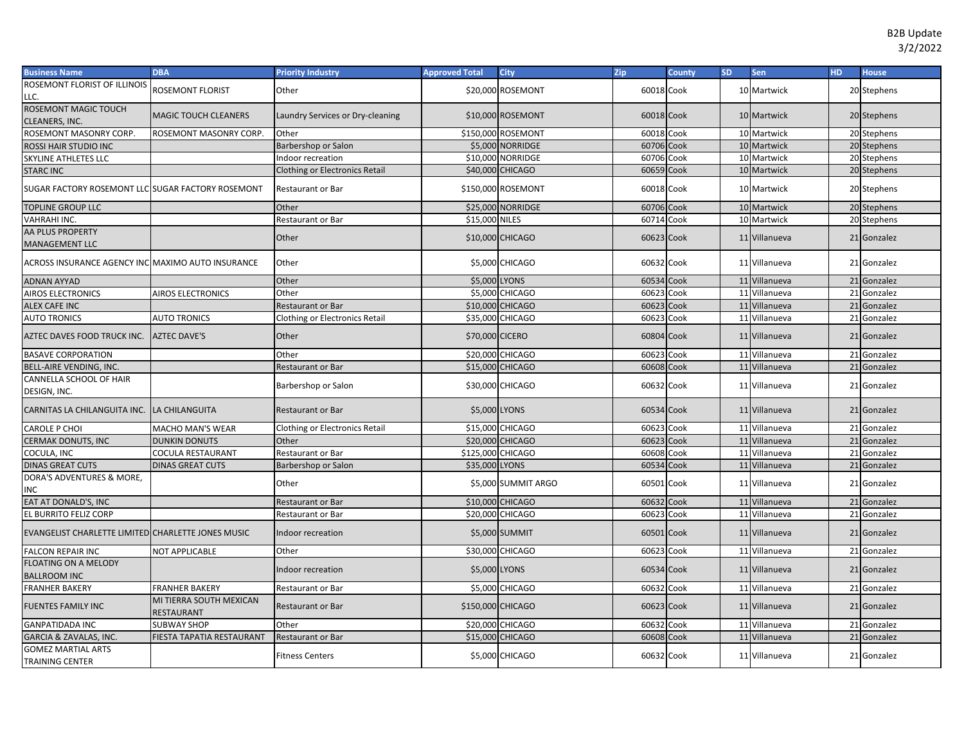| <b>Business Name</b>                               | <b>DBA</b>                                   | <b>Priority Industry</b>              | <b>Approved Total</b> | City                                  | Zip                 | County | <b>SD</b>       | <b>Sen</b>                 | HD. | <b>House</b>               |
|----------------------------------------------------|----------------------------------------------|---------------------------------------|-----------------------|---------------------------------------|---------------------|--------|-----------------|----------------------------|-----|----------------------------|
| ROSEMONT FLORIST OF ILLINOIS                       | ROSEMONT FLORIST                             | Other                                 |                       | \$20,000 ROSEMONT                     | 60018 Cook          |        |                 | 10 Martwick                |     | 20 Stephens                |
| LLC.                                               |                                              |                                       |                       |                                       |                     |        |                 |                            |     |                            |
| ROSEMONT MAGIC TOUCH                               | <b>MAGIC TOUCH CLEANERS</b>                  | Laundry Services or Dry-cleaning      |                       | \$10,000 ROSEMONT                     | 60018 Cook          |        |                 | 10 Martwick                |     | 20 Stephens                |
| CLEANERS, INC.                                     |                                              |                                       |                       |                                       |                     |        |                 |                            |     |                            |
| ROSEMONT MASONRY CORP.                             | ROSEMONT MASONRY CORP.                       | Other                                 |                       | \$150,000 ROSEMONT                    | 60018               | Cook   |                 | 10 Martwick                |     | 20 Stephens                |
| ROSSI HAIR STUDIO INC                              |                                              | Barbershop or Salon                   |                       | \$5,000 NORRIDGE<br>\$10,000 NORRIDGE | 60706 Cook<br>60706 | Cook   |                 | 10 Martwick<br>10 Martwick |     | 20 Stephens<br>20 Stephens |
| SKYLINE ATHLETES LLC                               |                                              | Indoor recreation                     |                       |                                       |                     |        | 10 <sup>1</sup> |                            |     |                            |
| <b>STARC INC</b>                                   |                                              | <b>Clothing or Electronics Retail</b> |                       | \$40,000 CHICAGO                      | 60659               | Cook   |                 | Martwick                   |     | 20 Stephens                |
| SUGAR FACTORY ROSEMONT LLC SUGAR FACTORY ROSEMONT  |                                              | <b>Restaurant or Bar</b>              |                       | \$150,000 ROSEMONT                    | 60018 Cook          |        |                 | 10 Martwick                |     | 20 Stephens                |
| TOPLINE GROUP LLC                                  |                                              | Other                                 |                       | \$25,000 NORRIDGE                     | 60706 Cook          |        |                 | 10 Martwick                |     | 20 Stephens                |
| VAHRAHI INC.                                       |                                              | Restaurant or Bar                     | \$15,000 NILES        |                                       | 60714 Cook          |        |                 | 10 Martwick                |     | 20 Stephens                |
| AA PLUS PROPERTY<br>MANAGEMENT LLC                 |                                              | Other                                 |                       | \$10,000 CHICAGO                      | 60623 Cook          |        |                 | 11 Villanueva              |     | 21 Gonzalez                |
| ACROSS INSURANCE AGENCY INC MAXIMO AUTO INSURANCE  |                                              | Other                                 |                       | \$5,000 CHICAGO                       | 60632 Cook          |        |                 | 11 Villanueva              |     | 21 Gonzalez                |
| <b>ADNAN AYYAD</b>                                 |                                              | Other                                 | \$5,000               | <b>LYONS</b>                          | 60534 Cook          |        |                 | 11 Villanueva              |     | 21 Gonzalez                |
| AIROS ELECTRONICS                                  | AIROS ELECTRONICS                            | Other                                 | \$5,000               | <b>CHICAGO</b>                        | 60623               | Cook   |                 | 11 Villanueva              |     | 21 Gonzalez                |
| <b>ALEX CAFE INC</b>                               |                                              | <b>Restaurant or Bar</b>              |                       | \$10,000 CHICAGO                      | 60623 Cook          |        |                 | 11 Villanueva              |     | 21 Gonzalez                |
| <b>AUTO TRONICS</b>                                | <b>AUTO TRONICS</b>                          | <b>Clothing or Electronics Retail</b> | \$35,000              | <b>CHICAGO</b>                        | 60623               | Cook   |                 | 11 Villanueva              |     | 21 Gonzalez                |
| AZTEC DAVES FOOD TRUCK INC.                        | <b>AZTEC DAVE'S</b>                          | Other                                 | \$70,000 CICERO       |                                       | 60804 Cook          |        |                 | 11 Villanueva              |     | 21 Gonzalez                |
| <b>BASAVE CORPORATION</b>                          |                                              | Other                                 |                       | \$20,000 CHICAGO                      | 60623 Cook          |        |                 | 11 Villanueva              |     | 21 Gonzalez                |
| BELL-AIRE VENDING, INC.                            |                                              | Restaurant or Bar                     |                       | \$15,000 CHICAGO                      | 60608 Cook          |        |                 | 11 Villanueva              |     | 21 Gonzalez                |
| CANNELLA SCHOOL OF HAIR<br>DESIGN, INC.            |                                              | Barbershop or Salon                   |                       | \$30,000 CHICAGO                      | 60632 Cook          |        |                 | 11 Villanueva              |     | 21 Gonzalez                |
| CARNITAS LA CHILANGUITA INC. LA CHILANGUITA        |                                              | <b>Restaurant or Bar</b>              | \$5,000 LYONS         |                                       | 60534 Cook          |        |                 | 11 Villanueva              |     | 21 Gonzalez                |
| CAROLE P CHOI                                      | MACHO MAN'S WEAR                             | <b>Clothing or Electronics Retail</b> |                       | \$15,000 CHICAGO                      | 60623 Cook          |        |                 | 11 Villanueva              |     | 21 Gonzalez                |
| CERMAK DONUTS, INC                                 | <b>DUNKIN DONUTS</b>                         | Other                                 |                       | \$20,000 CHICAGO                      | 60623               | Cook   |                 | 11 Villanueva              |     | 21 Gonzalez                |
| COCULA, INC                                        | COCULA RESTAURANT                            | Restaurant or Bar                     | \$125,000 CHICAGO     |                                       | 60608 Cook          |        |                 | 11 Villanueva              |     | 21 Gonzalez                |
| <b>DINAS GREAT CUTS</b>                            | <b>DINAS GREAT CUTS</b>                      | Barbershop or Salon                   | \$35,000 LYONS        |                                       | 60534 Cook          |        |                 | 11 Villanueva              |     | 21 Gonzalez                |
| DORA'S ADVENTURES & MORE,<br>INC                   |                                              | Other                                 |                       | \$5,000 SUMMIT ARGO                   | 60501 Cook          |        |                 | 11 Villanueva              |     | 21 Gonzalez                |
| EAT AT DONALD'S, INC                               |                                              | Restaurant or Bar                     |                       | \$10,000 CHICAGO                      | 60632 Cook          |        |                 | 11 Villanueva              |     | 21 Gonzalez                |
| EL BURRITO FELIZ CORP                              |                                              | <b>Restaurant or Bar</b>              |                       | \$20,000 CHICAGO                      | 60623               | Cook   |                 | 11 Villanueva              |     | 21 Gonzalez                |
| EVANGELIST CHARLETTE LIMITED CHARLETTE JONES MUSIC |                                              | Indoor recreation                     |                       | \$5,000 SUMMIT                        | 60501 Cook          |        |                 | 11 Villanueva              |     | 21 Gonzalez                |
| <b>FALCON REPAIR INC</b>                           | <b>NOT APPLICABLE</b>                        | Other                                 |                       | \$30,000 CHICAGO                      | 60623 Cook          |        |                 | 11 Villanueva              |     | 21 Gonzalez                |
| <b>FLOATING ON A MELODY</b>                        |                                              |                                       |                       |                                       |                     |        |                 |                            |     |                            |
| <b>BALLROOM INC</b>                                |                                              | Indoor recreation                     | \$5,000 LYONS         |                                       | 60534 Cook          |        |                 | 11 Villanueva              |     | 21 Gonzalez                |
| <b>FRANHER BAKERY</b>                              | <b>FRANHER BAKERY</b>                        | Restaurant or Bar                     |                       | \$5,000 CHICAGO                       | 60632 Cook          |        |                 | 11 Villanueva              |     | 21 Gonzalez                |
| <b>FUENTES FAMILY INC</b>                          | MI TIERRA SOUTH MEXICAN<br><b>RESTAURANT</b> | <b>Restaurant or Bar</b>              | \$150,000 CHICAGO     |                                       | 60623 Cook          |        |                 | 11 Villanueva              |     | 21 Gonzalez                |
| <b>GANPATIDADA INC</b>                             | <b>SUBWAY SHOP</b>                           | Other                                 |                       | \$20,000 CHICAGO                      | 60632               | Cook   |                 | 11 Villanueva              |     | 21 Gonzalez                |
| GARCIA & ZAVALAS, INC.                             | FIESTA TAPATIA RESTAURANT                    | <b>Restaurant or Bar</b>              |                       | \$15,000 CHICAGO                      | 60608 Cook          |        |                 | 11 Villanueva              |     | 21 Gonzalez                |
| <b>GOMEZ MARTIAL ARTS</b><br>TRAINING CENTER       |                                              | <b>Fitness Centers</b>                |                       | \$5,000 CHICAGO                       | 60632 Cook          |        |                 | 11 Villanueva              |     | 21 Gonzalez                |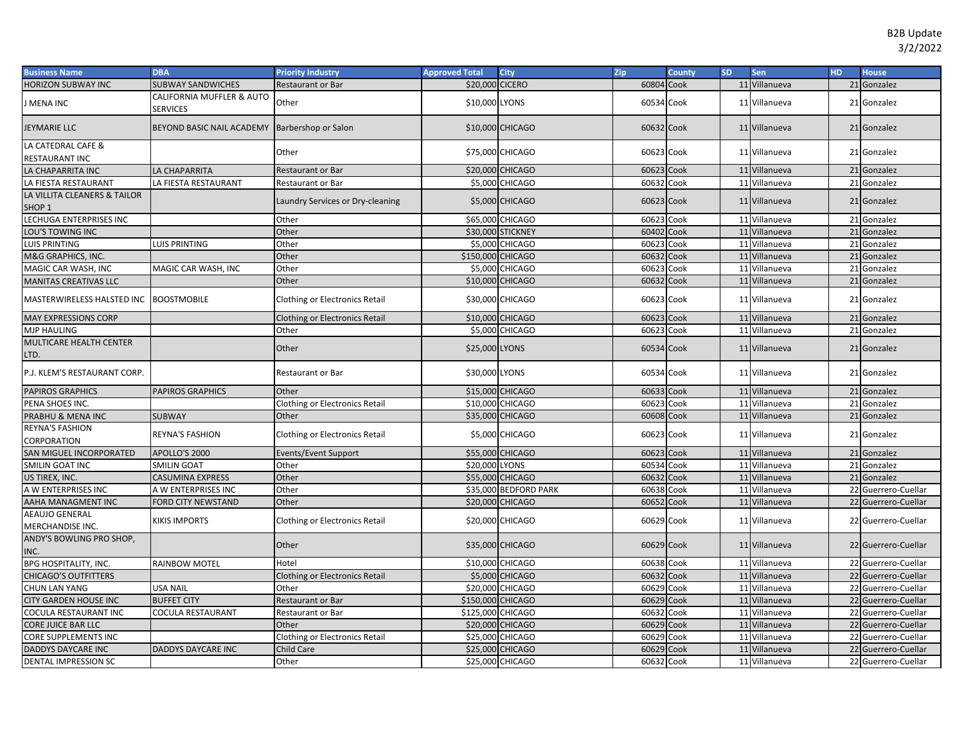| <b>Business Name</b>                              | <b>DBA</b>                                   | <b>Priority Industry</b>              | <b>Approved Total</b> | <b>City</b>           | Zip        | County | <b>SD</b> | Sen           | <b>HD</b> | <b>House</b>        |
|---------------------------------------------------|----------------------------------------------|---------------------------------------|-----------------------|-----------------------|------------|--------|-----------|---------------|-----------|---------------------|
| <b>HORIZON SUBWAY INC</b>                         | <b>SUBWAY SANDWICHES</b>                     | <b>Restaurant or Bar</b>              | \$20,000              | <b>CICERO</b>         | 60804      | Cook   |           | 11 Villanueva |           | 21 Gonzalez         |
| J MENA INC                                        | CALIFORNIA MUFFLER & AUTO<br><b>SERVICES</b> | Other                                 | \$10,000              | <b>LYONS</b>          | 60534 Cook |        |           | 11 Villanueva |           | 21 Gonzalez         |
| <b>JEYMARIE LLC</b>                               | BEYOND BASIC NAIL ACADEMY                    | <b>Barbershop or Salon</b>            |                       | \$10,000 CHICAGO      | 60632 Cook |        |           | 11 Villanueva |           | 21 Gonzalez         |
| LA CATEDRAL CAFE &                                |                                              | Other                                 |                       | \$75,000 CHICAGO      | 60623 Cook |        |           | 11 Villanueva |           | 21 Gonzalez         |
| RESTAURANT INC                                    |                                              |                                       |                       |                       |            |        |           |               |           |                     |
| LA CHAPARRITA INC                                 | LA CHAPARRITA                                | <b>Restaurant or Bar</b>              |                       | \$20,000 CHICAGO      | 60623 Cook |        |           | 11 Villanueva |           | 21 Gonzalez         |
| LA FIESTA RESTAURANT                              | LA FIESTA RESTAURANT                         | Restaurant or Bar                     |                       | \$5,000 CHICAGO       | 60632 Cook |        |           | 11 Villanueva |           | 21 Gonzalez         |
| LA VILLITA CLEANERS & TAILOR<br>SHOP <sub>1</sub> |                                              | Laundry Services or Dry-cleaning      |                       | \$5,000 CHICAGO       | 60623 Cook |        |           | 11 Villanueva |           | 21 Gonzalez         |
| LECHUGA ENTERPRISES INC                           |                                              | Other                                 |                       | \$65,000 CHICAGO      | 60623 Cook |        |           | 11 Villanueva |           | 21 Gonzalez         |
| LOU'S TOWING INC                                  |                                              | Other                                 |                       | \$30,000 STICKNEY     | 60402      | Cook   |           | 11 Villanueva |           | 21 Gonzalez         |
| <b>LUIS PRINTING</b>                              | LUIS PRINTING                                | Other                                 |                       | \$5,000 CHICAGO       | 60623      | Cook   |           | 11 Villanueva |           | 21 Gonzalez         |
| M&G GRAPHICS, INC.                                |                                              | Other                                 | \$150,000 CHICAGO     |                       | 60632      | Cook   |           | 11 Villanueva |           | 21 Gonzalez         |
| MAGIC CAR WASH, INC                               | MAGIC CAR WASH, INC                          | Other                                 | \$5,000               | <b>CHICAGO</b>        | 60623      | Cook   |           | 11 Villanueva |           | 21 Gonzalez         |
| <b>MANITAS CREATIVAS LLC</b>                      |                                              | Other                                 |                       | \$10,000 CHICAGO      | 60632 Cook |        |           | 11 Villanueva |           | 21 Gonzalez         |
| MASTERWIRELESS HALSTED INC                        | <b>BOOSTMOBILE</b>                           | Clothing or Electronics Retail        |                       | \$30,000 CHICAGO      | 60623 Cook |        |           | 11 Villanueva |           | 21 Gonzalez         |
| <b>MAY EXPRESSIONS CORP</b>                       |                                              | <b>Clothing or Electronics Retail</b> |                       | \$10,000 CHICAGO      | 60623 Cook |        |           | 11 Villanueva |           | 21 Gonzalez         |
| <b>MJP HAULING</b>                                |                                              | Other                                 |                       | \$5,000 CHICAGO       | 60623 Cook |        |           | 11 Villanueva |           | 21 Gonzalez         |
| MULTICARE HEALTH CENTER<br>LTD.                   |                                              | Other                                 | \$25,000 LYONS        |                       | 60534 Cook |        |           | 11 Villanueva |           | 21 Gonzalez         |
| P.J. KLEM'S RESTAURANT CORP.                      |                                              | Restaurant or Bar                     | \$30,000 LYONS        |                       | 60534 Cook |        |           | 11 Villanueva |           | 21 Gonzalez         |
| <b>PAPIROS GRAPHICS</b>                           | <b>PAPIROS GRAPHICS</b>                      | Other                                 |                       | \$15,000 CHICAGO      | 60633 Cook |        |           | 11 Villanueva |           | 21 Gonzalez         |
| PENA SHOES INC.                                   |                                              | <b>Clothing or Electronics Retail</b> |                       | \$10,000 CHICAGO      | 60623 Cook |        |           | 11 Villanueva |           | 21 Gonzalez         |
| PRABHU & MENA INC                                 | <b>SUBWAY</b>                                | Other                                 |                       | \$35,000 CHICAGO      | 60608 Cook |        |           | 11 Villanueva |           | 21 Gonzalez         |
| <b>REYNA'S FASHION</b><br>CORPORATION             | <b>REYNA'S FASHION</b>                       | Clothing or Electronics Retail        |                       | \$5,000 CHICAGO       | 60623 Cook |        |           | 11 Villanueva |           | 21 Gonzalez         |
| SAN MIGUEL INCORPORATED                           | APOLLO'S 2000                                | Events/Event Support                  |                       | \$55,000 CHICAGO      | 60623 Cook |        |           | 11 Villanueva |           | 21 Gonzalez         |
| SMILIN GOAT INC                                   | <b>SMILIN GOAT</b>                           | Other                                 | \$20,000 LYONS        |                       | 60534      | Cook   |           | 11 Villanueva |           | 21 Gonzalez         |
| US TIREX, INC.                                    | CASUMINA EXPRESS                             | Other                                 |                       | \$55,000 CHICAGO      | 60632 Cook |        |           | 11 Villanueva |           | 21 Gonzalez         |
| A W ENTERPRISES INC                               | A W ENTERPRISES INC                          | Other                                 |                       | \$35,000 BEDFORD PARK | 60638      | Cook   |           | 11 Villanueva |           | 22 Guerrero-Cuellar |
| AAHA MANAGMENT INC                                | FORD CITY NEWSTAND                           | Other                                 |                       | \$20,000 CHICAGO      | 60652      | Cook   |           | 11 Villanueva |           | 22 Guerrero-Cuellar |
| <b>AEAUJO GENERAL</b><br>MERCHANDISE INC.         | KIKIS IMPORTS                                | Clothing or Electronics Retail        |                       | \$20,000 CHICAGO      | 60629 Cook |        |           | 11 Villanueva |           | 22 Guerrero-Cuellar |
| ANDY'S BOWLING PRO SHOP,<br>INC.                  |                                              | Other                                 |                       | \$35,000 CHICAGO      | 60629 Cook |        |           | 11 Villanueva |           | 22 Guerrero-Cuellar |
| <b>BPG HOSPITALITY, INC.</b>                      | RAINBOW MOTEL                                | Hotel                                 |                       | \$10,000 CHICAGO      | 60638 Cook |        |           | 11 Villanueva |           | 22 Guerrero-Cuellar |
| <b>CHICAGO'S OUTFITTERS</b>                       |                                              | <b>Clothing or Electronics Retail</b> |                       | \$5,000 CHICAGO       | 60632 Cook |        |           | 11 Villanueva |           | 22 Guerrero-Cuellar |
| <b>CHUN LAN YANG</b>                              | <b>USA NAIL</b>                              | Other                                 |                       | \$20,000 CHICAGO      | 60629 Cook |        |           | 11 Villanueva |           | 22 Guerrero-Cuellar |
| <b>CITY GARDEN HOUSE INC</b>                      | <b>BUFFET CITY</b>                           | Restaurant or Bar                     | \$150,000 CHICAGO     |                       | 60629      | Cook   |           | 11 Villanueva |           | 22 Guerrero-Cuellar |
| COCULA RESTAURANT INC                             | COCULA RESTAURANT                            | Restaurant or Bar                     | \$125,000 CHICAGO     |                       | 60632      | Cook   |           | 11 Villanueva |           | 22 Guerrero-Cuellar |
| <b>CORE JUICE BAR LLC</b>                         |                                              | Other                                 |                       | \$20,000 CHICAGO      | 60629      | Cook   |           | 11 Villanueva |           | 22 Guerrero-Cuellar |
| CORE SUPPLEMENTS INC                              |                                              | <b>Clothing or Electronics Retail</b> |                       | \$25,000 CHICAGO      | 60629      | Cook   |           | 11 Villanueva |           | 22 Guerrero-Cuellar |
| <b>DADDYS DAYCARE INC</b>                         | DADDYS DAYCARE INC                           | <b>Child Care</b>                     |                       | \$25,000 CHICAGO      | 60629      | Cook   |           | 11 Villanueva |           | 22 Guerrero-Cuellar |
| DENTAL IMPRESSION SC                              |                                              | Other                                 |                       | \$25,000 CHICAGO      | 60632 Cook |        |           | 11 Villanueva |           | 22 Guerrero-Cuellar |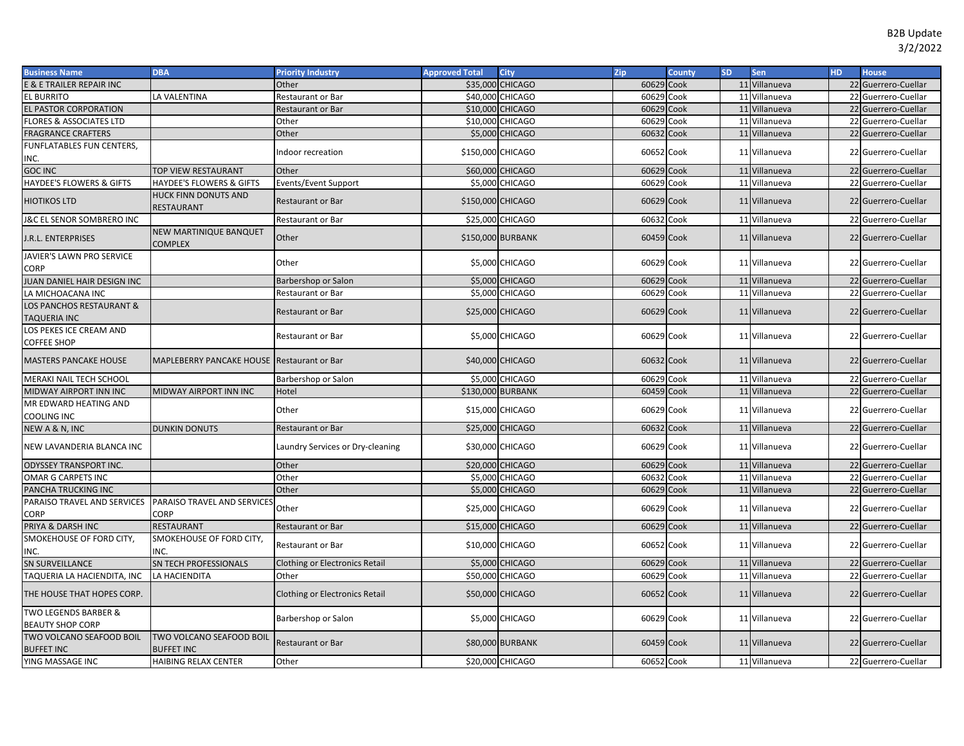| <b>Business Name</b>                                            | <b>DBA</b>                                    | <b>Priority Industry</b>              | <b>Approved Total</b> | <b>City</b>       | Zip        | <b>County</b> | <b>SD</b> | Sen           | <b>HD</b> | <b>House</b>        |
|-----------------------------------------------------------------|-----------------------------------------------|---------------------------------------|-----------------------|-------------------|------------|---------------|-----------|---------------|-----------|---------------------|
| <b>E &amp; E TRAILER REPAIR INC</b>                             |                                               | Other                                 |                       | \$35,000 CHICAGO  | 60629      | Cook          |           | 11 Villanueva |           | 22 Guerrero-Cuellar |
| EL BURRITO                                                      | LA VALENTINA                                  | Restaurant or Bar                     |                       | \$40,000 CHICAGO  | 60629      | Cook          |           | 11 Villanueva |           | 22 Guerrero-Cuellar |
| <b>EL PASTOR CORPORATION</b>                                    |                                               | Restaurant or Bar                     |                       | \$10,000 CHICAGO  | 60629      | Cook          |           | 11 Villanueva |           | 22 Guerrero-Cuellar |
| <b>FLORES &amp; ASSOCIATES LTD</b>                              |                                               | Other                                 |                       | \$10,000 CHICAGO  | 60629      | Cook          |           | 11 Villanueva |           | 22 Guerrero-Cuellar |
| <b>FRAGRANCE CRAFTERS</b>                                       |                                               | Other                                 |                       | \$5,000 CHICAGO   | 60632      | Cook          |           | 11 Villanueva |           | 22 Guerrero-Cuellar |
| FUNFLATABLES FUN CENTERS,                                       |                                               | Indoor recreation                     | \$150,000 CHICAGO     |                   | 60652 Cook |               |           | 11 Villanueva |           | 22 Guerrero-Cuellar |
| INC.                                                            |                                               |                                       |                       |                   |            |               |           |               |           |                     |
| <b>GOC INC</b>                                                  | TOP VIEW RESTAURANT                           | Other                                 |                       | \$60,000 CHICAGO  | 60629 Cook |               |           | 11 Villanueva |           | 22 Guerrero-Cuellar |
| HAYDEE'S FLOWERS & GIFTS                                        | HAYDEE'S FLOWERS & GIFTS                      | Events/Event Support                  |                       | \$5,000 CHICAGO   | 60629 Cook |               |           | 11 Villanueva |           | 22 Guerrero-Cuellar |
| HIOTIKOS LTD                                                    | HUCK FINN DONUTS AND<br>RESTAURANT            | <b>Restaurant or Bar</b>              | \$150,000 CHICAGO     |                   | 60629 Cook |               |           | 11 Villanueva |           | 22 Guerrero-Cuellar |
| <b>J&amp;C EL SENOR SOMBRERO INC</b>                            |                                               | Restaurant or Bar                     |                       | \$25,000 CHICAGO  | 60632 Cook |               |           | 11 Villanueva |           | 22 Guerrero-Cuellar |
| I.R.L. ENTERPRISES                                              | NEW MARTINIQUE BANQUET<br>COMPLEX             | Other                                 |                       | \$150,000 BURBANK | 60459 Cook |               |           | 11 Villanueva |           | 22 Guerrero-Cuellar |
| JAVIER'S LAWN PRO SERVICE<br>CORP                               |                                               | Other                                 |                       | \$5,000 CHICAGO   | 60629 Cook |               |           | 11 Villanueva |           | 22 Guerrero-Cuellar |
| IUAN DANIEL HAIR DESIGN INC                                     |                                               | Barbershop or Salon                   |                       | \$5,000 CHICAGO   | 60629      | Cook          |           | 11 Villanueva |           | 22 Guerrero-Cuellar |
| LA MICHOACANA INC                                               |                                               | Restaurant or Bar                     |                       | \$5,000 CHICAGO   | 60629      | Cook          |           | 11 Villanueva |           | 22 Guerrero-Cuellar |
| LOS PANCHOS RESTAURANT &<br>TAQUERIA INC                        |                                               | Restaurant or Bar                     |                       | \$25,000 CHICAGO  | 60629 Cook |               |           | 11 Villanueva |           | 22 Guerrero-Cuellar |
| OS PEKES ICE CREAM AND<br>COFFEE SHOP                           |                                               | Restaurant or Bar                     |                       | \$5,000 CHICAGO   | 60629 Cook |               |           | 11 Villanueva |           | 22 Guerrero-Cuellar |
| <b>MASTERS PANCAKE HOUSE</b>                                    | MAPLEBERRY PANCAKE HOUSE Restaurant or Bar    |                                       |                       | \$40,000 CHICAGO  | 60632 Cook |               |           | 11 Villanueva |           | 22 Guerrero-Cuellar |
| MERAKI NAIL TECH SCHOOL                                         |                                               | Barbershop or Salon                   |                       | \$5,000 CHICAGO   | 60629      | Cook          |           | 11 Villanueva |           | 22 Guerrero-Cuellar |
| MIDWAY AIRPORT INN INC                                          | MIDWAY AIRPORT INN INC                        | Hotel                                 |                       | \$130,000 BURBANK | 60459      | Cook          |           | 11 Villanueva |           | 22 Guerrero-Cuellar |
| MR EDWARD HEATING AND<br>COOLING INC                            |                                               | Other                                 |                       | \$15,000 CHICAGO  | 60629 Cook |               |           | 11 Villanueva |           | 22 Guerrero-Cuellar |
| NEW A & N, INC                                                  | <b>DUNKIN DONUTS</b>                          | Restaurant or Bar                     |                       | \$25,000 CHICAGO  | 60632 Cook |               |           | 11 Villanueva |           | 22 Guerrero-Cuellar |
| NEW LAVANDERIA BLANCA INC                                       |                                               | Laundry Services or Dry-cleaning      |                       | \$30,000 CHICAGO  | 60629 Cook |               |           | 11 Villanueva |           | 22 Guerrero-Cuellar |
| <b>ODYSSEY TRANSPORT INC.</b>                                   |                                               | Other                                 |                       | \$20,000 CHICAGO  | 60629 Cook |               |           | 11 Villanueva |           | 22 Guerrero-Cuellar |
| OMAR G CARPETS INC                                              |                                               | Other                                 |                       | \$5,000 CHICAGO   | 60632      | Cook          |           | 11 Villanueva |           | 22 Guerrero-Cuellar |
| PANCHA TRUCKING INC                                             |                                               | Other                                 |                       | \$5,000 CHICAGO   | 60629      | Cook          |           | 11 Villanueva |           | 22 Guerrero-Cuellar |
| PARAISO TRAVEL AND SERVICES PARAISO TRAVEL AND SERVICES<br>CORP | <b>CORP</b>                                   | Other                                 |                       | \$25,000 CHICAGO  | 60629 Cook |               |           | 11 Villanueva |           | 22 Guerrero-Cuellar |
| PRIYA & DARSH INC                                               | <b>RESTAURANT</b>                             | Restaurant or Bar                     |                       | \$15,000 CHICAGO  | 60629 Cook |               |           | 11 Villanueva |           | 22 Guerrero-Cuellar |
| SMOKEHOUSE OF FORD CITY,<br>INC.                                | SMOKEHOUSE OF FORD CITY,<br>INC.              | Restaurant or Bar                     |                       | \$10,000 CHICAGO  | 60652 Cook |               |           | 11 Villanueva |           | 22 Guerrero-Cuellar |
| <b>SN SURVEILLANCE</b>                                          | SN TECH PROFESSIONALS                         | <b>Clothing or Electronics Retail</b> |                       | \$5,000 CHICAGO   | 60629      | Cook          |           | 11 Villanueva |           | 22 Guerrero-Cuellar |
| TAQUERIA LA HACIENDITA, INC                                     | LA HACIENDITA                                 | Other                                 |                       | \$50,000 CHICAGO  | 60629      | Cook          |           | 11 Villanueva |           | 22 Guerrero-Cuellar |
| THE HOUSE THAT HOPES CORP.                                      |                                               | <b>Clothing or Electronics Retail</b> |                       | \$50,000 CHICAGO  | 60652 Cook |               |           | 11 Villanueva |           | 22 Guerrero-Cuellar |
| TWO LEGENDS BARBER &<br><b>BEAUTY SHOP CORP</b>                 |                                               | Barbershop or Salon                   |                       | \$5,000 CHICAGO   | 60629 Cook |               |           | 11 Villanueva |           | 22 Guerrero-Cuellar |
| TWO VOLCANO SEAFOOD BOIL<br><b>BUFFET INC</b>                   | TWO VOLCANO SEAFOOD BOIL<br><b>BUFFET INC</b> | Restaurant or Bar                     |                       | \$80,000 BURBANK  | 60459 Cook |               |           | 11 Villanueva |           | 22 Guerrero-Cuellar |
| YING MASSAGE INC                                                | HAIBING RELAX CENTER                          | Other                                 |                       | \$20,000 CHICAGO  | 60652 Cook |               |           | 11 Villanueva |           | 22 Guerrero-Cuellar |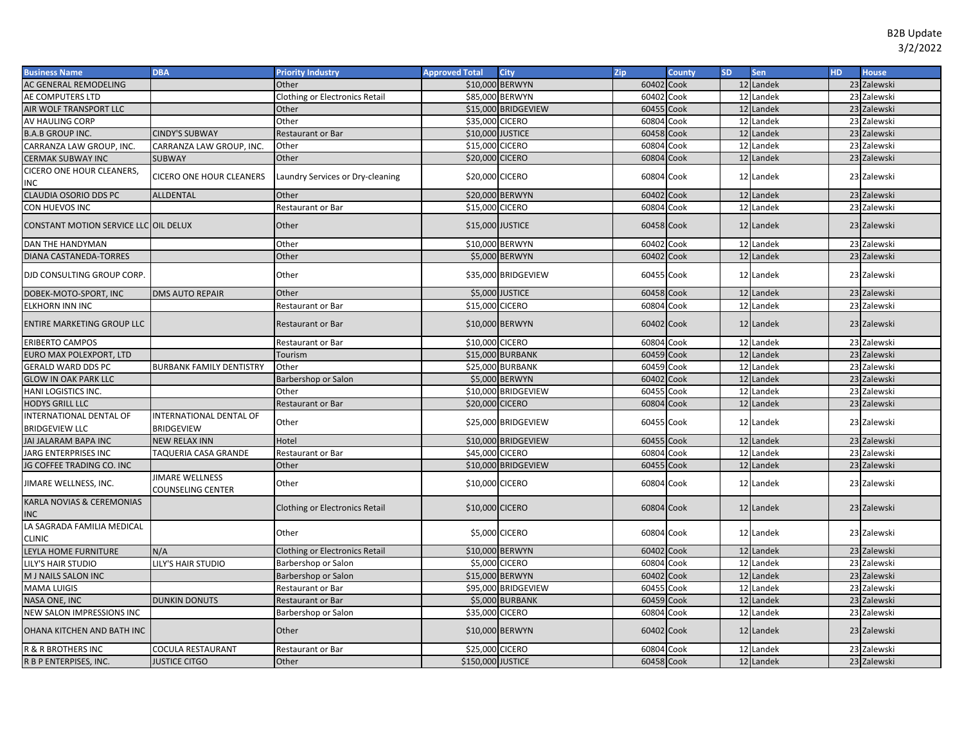| <b>Business Name</b>                             | <b>DBA</b>                                   | <b>Priority Industry</b>              | <b>Approved Total</b> | <b>City</b>             | Zip        | <b>County</b> | <b>SD</b> | Sen       | HD. | <b>House</b> |
|--------------------------------------------------|----------------------------------------------|---------------------------------------|-----------------------|-------------------------|------------|---------------|-----------|-----------|-----|--------------|
| AC GENERAL REMODELING                            |                                              | Other                                 | \$10,000 BERWYN       |                         | 60402      | Cook          |           | 12 Landek |     | 23 Zalewski  |
| AE COMPUTERS LTD                                 |                                              | <b>Clothing or Electronics Retail</b> | \$85,000 BERWYN       |                         | 60402 Cook |               |           | 12 Landek |     | 23 Zalewski  |
| AIR WOLF TRANSPORT LLC                           |                                              | Other                                 |                       | \$15,000 BRIDGEVIEW     | 60455 Cook |               |           | 12 Landek |     | 23 Zalewski  |
| AV HAULING CORP                                  |                                              | Other                                 | \$35,000 CICERO       |                         | 60804      | Cook          |           | 12 Landek |     | 23 Zalewski  |
| <b>B.A.B GROUP INC.</b>                          | <b>CINDY'S SUBWAY</b>                        | <b>Restaurant or Bar</b>              | \$10,000 JUSTICE      |                         | 60458      | Cook          |           | 12 Landek |     | 23 Zalewski  |
| CARRANZA LAW GROUP, INC.                         | CARRANZA LAW GROUP, INC.                     | Other                                 | \$15,000 CICERO       |                         | 60804      | Cook          |           | 12 Landek |     | 23 Zalewski  |
| <b>CERMAK SUBWAY INC</b>                         | <b>SUBWAY</b>                                | Other                                 | \$20,000 CICERO       |                         | 60804      | Cook          |           | 12 Landek |     | 23 Zalewski  |
| <b>CICERO ONE HOUR CLEANERS,</b><br>INC          | CICERO ONE HOUR CLEANERS                     | Laundry Services or Dry-cleaning      | \$20,000 CICERO       |                         | 60804      | Cook          |           | 12 Landek |     | 23 Zalewski  |
| <b>CLAUDIA OSORIO DDS PC</b>                     | ALLDENTAL                                    | Other                                 | \$20,000 BERWYN       |                         | 60402      | Cook          |           | 12 Landek |     | 23 Zalewski  |
| CON HUEVOS INC                                   |                                              | Restaurant or Bar                     | \$15,000 CICERO       |                         | 60804      | Cook          |           | 12 Landek |     | 23 Zalewski  |
| CONSTANT MOTION SERVICE LLC OIL DELUX            |                                              | Other                                 | \$15,000 JUSTICE      |                         | 60458 Cook |               |           | 12 Landek |     | 23 Zalewski  |
| DAN THE HANDYMAN                                 |                                              | Other                                 |                       | \$10,000 BERWYN         | 60402      | Cook          |           | 12 Landek |     | 23 Zalewski  |
| <b>DIANA CASTANEDA-TORRES</b>                    |                                              | Other                                 |                       | \$5,000 BERWYN          | 60402 Cook |               |           | 12 Landek |     | 23 Zalewski  |
| DJD CONSULTING GROUP CORP.                       |                                              | Other                                 |                       | \$35,000 BRIDGEVIEW     | 60455 Cook |               |           | 12 Landek |     | 23 Zalewski  |
| DOBEK-MOTO-SPORT, INC                            | <b>DMS AUTO REPAIR</b>                       | Other                                 |                       | \$5,000 JUSTICE         | 60458 Cook |               |           | 12 Landek |     | 23 Zalewski  |
| <b>ELKHORN INN INC</b>                           |                                              | Restaurant or Bar                     | \$15,000 CICERO       |                         | 60804 Cook |               |           | 12 Landek |     | 23 Zalewski  |
| <b>ENTIRE MARKETING GROUP LLC</b>                |                                              | <b>Restaurant or Bar</b>              |                       | \$10,000 BERWYN         | 60402 Cook |               |           | 12 Landek |     | 23 Zalewski  |
| ERIBERTO CAMPOS                                  |                                              | Restaurant or Bar                     | \$10,000 CICERO       |                         | 60804      | Cook          |           | 12 Landek |     | 23 Zalewski  |
| EURO MAX POLEXPORT, LTD                          |                                              | Tourism                               |                       | <b>\$15,000 BURBANK</b> | 60459 Cook |               |           | 12 Landek |     | 23 Zalewski  |
| <b>GERALD WARD DDS PC</b>                        | <b>BURBANK FAMILY DENTISTRY</b>              | Other                                 |                       | <b>\$25,000 BURBANK</b> | 60459      | Cook          |           | 12 Landek |     | 23 Zalewski  |
| <b>GLOW IN OAK PARK LLC</b>                      |                                              | Barbershop or Salon                   |                       | \$5,000 BERWYN          | 60402      | Cook          |           | 12 Landek |     | 23 Zalewski  |
| HANI LOGISTICS INC.                              |                                              | Other                                 |                       | \$10,000 BRIDGEVIEW     | 60455      | Cook          |           | 12 Landek |     | 23 Zalewski  |
| <b>HODYS GRILL LLC</b>                           |                                              | Restaurant or Bar                     | \$20,000 CICERO       |                         | 60804      | Cook          |           | 12 Landek |     | 23 Zalewski  |
| INTERNATIONAL DENTAL OF<br><b>BRIDGEVIEW LLC</b> | INTERNATIONAL DENTAL OF<br><b>BRIDGEVIEW</b> | Other                                 |                       | \$25,000 BRIDGEVIEW     | 60455 Cook |               |           | 12 Landek |     | 23 Zalewski  |
| JAI JALARAM BAPA INC                             | <b>NEW RELAX INN</b>                         | Hotel                                 |                       | \$10,000 BRIDGEVIEW     | 60455      | Cook          |           | 12 Landek |     | 23 Zalewski  |
| JARG ENTERPRISES INC                             | TAQUERIA CASA GRANDE                         | Restaurant or Bar                     | \$45,000 CICERO       |                         | 60804      | Cook          |           | 12 Landek |     | 23 Zalewski  |
| JG COFFEE TRADING CO. INC                        |                                              | Other                                 |                       | \$10,000 BRIDGEVIEW     | 60455      | Cook          |           | 12 Landek |     | 23 Zalewski  |
| JIMARE WELLNESS, INC.                            | <b>JIMARE WELLNESS</b><br>COUNSELING CENTER  | Other                                 | \$10,000 CICERO       |                         | 60804      | Cook          |           | 12 Landek |     | 23 Zalewski  |
| KARLA NOVIAS & CEREMONIAS<br><b>INC</b>          |                                              | <b>Clothing or Electronics Retail</b> | \$10,000 CICERO       |                         | 60804 Cook |               |           | 12 Landek |     | 23 Zalewski  |
| LA SAGRADA FAMILIA MEDICAL<br><b>CLINIC</b>      |                                              | Other                                 | \$5,000 CICERO        |                         | 60804 Cook |               |           | 12 Landek |     | 23 Zalewski  |
| LEYLA HOME FURNITURE                             | N/A                                          | <b>Clothing or Electronics Retail</b> | \$10,000 BERWYN       |                         | 60402      | Cook          |           | 12 Landek |     | 23 Zalewski  |
| <b>LILY'S HAIR STUDIO</b>                        | LILY'S HAIR STUDIO                           | Barbershop or Salon                   | \$5,000 CICERO        |                         | 60804 Cook |               |           | 12 Landek |     | 23 Zalewski  |
| M J NAILS SALON INC                              |                                              | Barbershop or Salon                   | \$15,000 BERWYN       |                         | 60402      | Cook          |           | 12 Landek |     | 23 Zalewski  |
| <b>MAMA LUIGIS</b>                               |                                              | Restaurant or Bar                     |                       | \$95,000 BRIDGEVIEW     | 60455      | Cook          |           | 12 Landek |     | 23 Zalewski  |
| NASA ONE, INC                                    | <b>DUNKIN DONUTS</b>                         | Restaurant or Bar                     |                       | <b>\$5,000 BURBANK</b>  | 60459      | Cook          |           | 12 Landek |     | 23 Zalewski  |
| NEW SALON IMPRESSIONS INC                        |                                              | Barbershop or Salon                   | \$35,000 CICERO       |                         | 60804      | Cook          |           | 12 Landek |     | 23 Zalewski  |
| OHANA KITCHEN AND BATH INC                       |                                              | Other                                 |                       | \$10,000 BERWYN         | 60402 Cook |               |           | 12 Landek |     | 23 Zalewski  |
| R & R BROTHERS INC                               | COCULA RESTAURANT                            | Restaurant or Bar                     | \$25,000 CICERO       |                         | 60804 Cook |               |           | 12 Landek |     | 23 Zalewski  |
| R B P ENTERPISES, INC.                           | <b>JUSTICE CITGO</b>                         | Other                                 | \$150,000 JUSTICE     |                         | 60458 Cook |               |           | 12 Landek |     | 23 Zalewski  |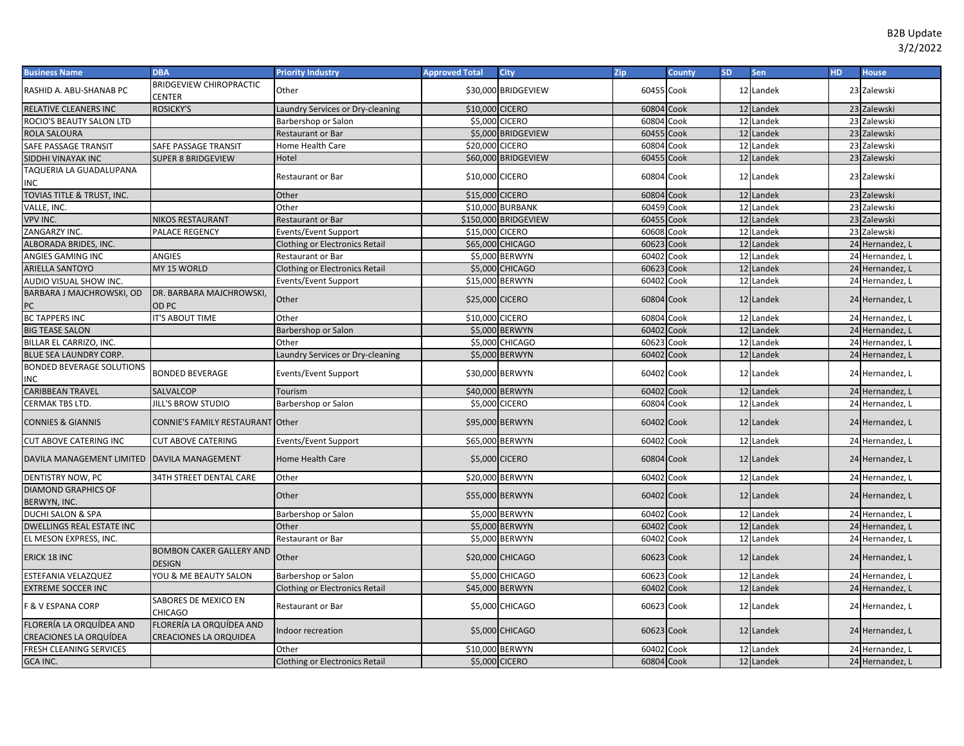| <b>Business Name</b>                               | <b>DBA</b>                                                | <b>Priority Industry</b>              | <b>Approved Total</b> | City                    | Zip        | <b>County</b> | <b>SD</b> | Sen       | <b>HD</b> | <b>House</b>    |
|----------------------------------------------------|-----------------------------------------------------------|---------------------------------------|-----------------------|-------------------------|------------|---------------|-----------|-----------|-----------|-----------------|
| RASHID A. ABU-SHANAB PC                            | <b>BRIDGEVIEW CHIROPRACTIC</b><br>CENTER                  | Other                                 |                       | \$30,000 BRIDGEVIEW     | 60455 Cook |               |           | 12 Landek |           | 23 Zalewski     |
| RELATIVE CLEANERS INC                              | <b>ROSICKY'S</b>                                          | aundry Services or Dry-cleaning       | \$10,000 CICERO       |                         | 60804 Cook |               |           | 12 Landek |           | 23 Zalewski     |
| ROCIO'S BEAUTY SALON LTD                           |                                                           | Barbershop or Salon                   | \$5,000 CICERO        |                         | 60804 Cook |               |           | 12 Landek |           | 23 Zalewski     |
| ROLA SALOURA                                       |                                                           | Restaurant or Bar                     |                       | \$5,000 BRIDGEVIEW      | 60455 Cook |               |           | 12 Landek |           | 23 Zalewski     |
| SAFE PASSAGE TRANSIT                               | SAFE PASSAGE TRANSIT                                      | Home Health Care                      | \$20,000 CICERO       |                         | 60804 Cook |               |           | 12 Landek |           | 23 Zalewski     |
| SIDDHI VINAYAK INC                                 | <b>SUPER 8 BRIDGEVIEW</b>                                 | Hotel                                 |                       | \$60,000 BRIDGEVIEW     | 60455 Cook |               |           | 12 Landek |           | 23 Zalewski     |
| TAQUERIA LA GUADALUPANA<br>INC                     |                                                           | Restaurant or Bar                     | \$10,000 CICERO       |                         | 60804      | Cook          |           | 12 Landek |           | 23 Zalewski     |
| TOVIAS TITLE & TRUST, INC.                         |                                                           | Other                                 | \$15,000 CICERO       |                         | 60804 Cook |               |           | 12 Landek |           | 23 Zalewski     |
| VALLE, INC.                                        |                                                           | Other                                 |                       | <b>\$10,000 BURBANK</b> | 60459      | Cook          |           | 12 Landek |           | 23 Zalewski     |
| <b>VPV INC.</b>                                    | <b>NIKOS RESTAURANT</b>                                   | Restaurant or Bar                     |                       | \$150,000 BRIDGEVIEW    | 60455      | Cook          |           | 12 Landek |           | 23 Zalewski     |
| ZANGARZY INC.                                      | PALACE REGENCY                                            | Events/Event Support                  | \$15,000 CICERO       |                         | 60608      | Cook          |           | 12 Landek |           | 23 Zalewski     |
| ALBORADA BRIDES, INC.                              |                                                           | <b>Clothing or Electronics Retail</b> |                       | \$65,000 CHICAGO        | 60623      | Cook          |           | 12 Landek |           | 24 Hernandez, I |
| ANGIES GAMING INC                                  | <b>ANGIES</b>                                             | Restaurant or Bar                     |                       | \$5,000 BERWYN          | 60402      | Cook          |           | 12 Landek |           | 24 Hernandez, L |
| <b>ARIELLA SANTOYO</b>                             | MY 15 WORLD                                               | <b>Clothing or Electronics Retail</b> |                       | \$5,000 CHICAGO         | 60623      | Cook          |           | 12 Landek |           | 24 Hernandez, I |
| AUDIO VISUAL SHOW INC.                             |                                                           | Events/Event Support                  | \$15,000 BERWYN       |                         | 60402 Cook |               |           | 12 Landek |           | 24 Hernandez, I |
| BARBARA J MAJCHROWSKI, OD<br>РC                    | DR. BARBARA MAJCHROWSKI,<br>OD PC                         | Other                                 | \$25,000 CICERO       |                         | 60804 Cook |               |           | 12 Landek |           | 24 Hernandez, L |
| <b>BC TAPPERS INC</b>                              | IT'S ABOUT TIME                                           | Other                                 | \$10,000 CICERO       |                         | 60804      | Cook          |           | 12 Landek |           | 24 Hernandez, I |
| <b>BIG TEASE SALON</b>                             |                                                           | Barbershop or Salon                   |                       | \$5,000 BERWYN          | 60402      | Cook          |           | 12 Landek |           | 24 Hernandez, L |
| BILLAR EL CARRIZO, INC.                            |                                                           | Other                                 |                       | \$5,000 CHICAGO         | 60623      | Cook          |           | 12 Landek |           | 24 Hernandez, L |
| <b>BLUE SEA LAUNDRY CORP.</b>                      |                                                           | Laundry Services or Dry-cleaning      |                       | \$5,000 BERWYN          | 60402      | Cook          |           | 12 Landek |           | 24 Hernandez, L |
| <b>BONDED BEVERAGE SOLUTIONS</b><br>ΝC             | <b>BONDED BEVERAGE</b>                                    | Events/Event Support                  |                       | \$30,000 BERWYN         | 60402 Cook |               |           | 12 Landek |           | 24 Hernandez, L |
| CARIBBEAN TRAVEL                                   | SALVALCOP                                                 | Tourism                               | \$40,000 BERWYN       |                         | 60402      | Cook          |           | 12 Landek |           | 24 Hernandez, L |
| CERMAK TBS LTD.                                    | <b>JILL'S BROW STUDIO</b>                                 | Barbershop or Salon                   | \$5,000 CICERO        |                         | 60804 Cook |               |           | 12 Landek |           | 24 Hernandez, L |
| <b>CONNIES &amp; GIANNIS</b>                       | CONNIE'S FAMILY RESTAURANT Other                          |                                       | \$95,000 BERWYN       |                         | 60402 Cook |               |           | 12 Landek |           | 24 Hernandez, L |
| <b>CUT ABOVE CATERING INC</b>                      | <b>CUT ABOVE CATERING</b>                                 | Events/Event Support                  | \$65,000 BERWYN       |                         | 60402      | Cook          |           | 12 Landek |           | 24 Hernandez, L |
| DAVILA MANAGEMENT LIMITED   DAVILA MANAGEMENT      |                                                           | <b>Home Health Care</b>               | \$5,000 CICERO        |                         | 60804 Cook |               |           | 12 Landek |           | 24 Hernandez, L |
| DENTISTRY NOW, PC                                  | 34TH STREET DENTAL CARE                                   | Other                                 | \$20,000 BERWYN       |                         | 60402      | Cook          |           | 12 Landek |           | 24 Hernandez, L |
| <b>DIAMOND GRAPHICS OF</b><br>BERWYN, INC.         |                                                           | Other                                 | \$55,000 BERWYN       |                         | 60402 Cook |               |           | 12 Landek |           | 24 Hernandez, L |
| <b>DUCHI SALON &amp; SPA</b>                       |                                                           | Barbershop or Salon                   |                       | \$5,000 BERWYN          | 60402      | Cook          |           | 12 Landek |           | 24 Hernandez, L |
| DWELLINGS REAL ESTATE INC                          |                                                           | Other                                 |                       | \$5,000 BERWYN          | 60402      | Cook          |           | 12 Landek |           | 24 Hernandez, I |
| EL MESON EXPRESS, INC.                             |                                                           | Restaurant or Bar                     |                       | \$5,000 BERWYN          | 60402      | Cook          |           | 12 Landek |           | 24 Hernandez, L |
| ERICK 18 INC                                       | <b>BOMBON CAKER GALLERY AND</b><br><b>DESIGN</b>          | Other                                 |                       | \$20,000 CHICAGO        | 60623 Cook |               |           | 12 Landek |           | 24 Hernandez, L |
| ESTEFANIA VELAZQUEZ                                | YOU & ME BEAUTY SALON                                     | Barbershop or Salon                   |                       | \$5,000 CHICAGO         | 60623 Cook |               |           | 12 Landek |           | 24 Hernandez, L |
| <b>EXTREME SOCCER INC</b>                          |                                                           | <b>Clothing or Electronics Retail</b> | \$45,000 BERWYN       |                         | 60402 Cook |               |           | 12 Landek |           | 24 Hernandez, I |
| <b>F &amp; V ESPANA CORP</b>                       | SABORES DE MEXICO EN<br>CHICAGO                           | Restaurant or Bar                     |                       | \$5,000 CHICAGO         | 60623 Cook |               |           | 12 Landek |           | 24 Hernandez, L |
| FLORERÍA LA ORQUÍDEA AND<br>CREACIONES LA ORQUÍDEA | FLORERÍA LA ORQUÍDEA AND<br><b>CREACIONES LA ORQUIDEA</b> | ndoor recreation                      |                       | <b>\$5,000 CHICAGO</b>  | 60623 Cook |               |           | 12 Landek |           | 24 Hernandez, L |
| FRESH CLEANING SERVICES                            |                                                           | Other                                 | \$10,000 BERWYN       |                         | 60402      | Cook          |           | 12 Landek |           | 24 Hernandez, L |
| GCA INC.                                           |                                                           | <b>Clothing or Electronics Retail</b> | \$5,000 CICERO        |                         | 60804 Cook |               |           | 12 Landek |           | 24 Hernandez, L |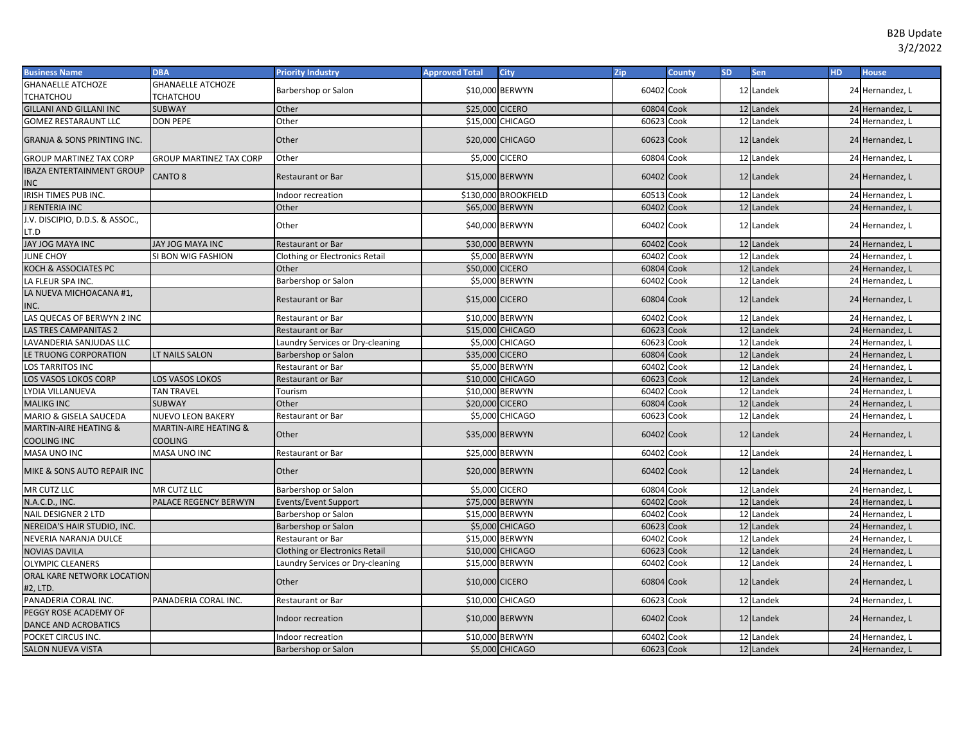| <b>Business Name</b>                            | <b>DBA</b>                                  | <b>Priority Industry</b>         | <b>Approved Total</b> | <b>City</b>          | <b>Zip</b> | <b>County</b> | SD. | Sen       | HD. | <b>House</b>    |
|-------------------------------------------------|---------------------------------------------|----------------------------------|-----------------------|----------------------|------------|---------------|-----|-----------|-----|-----------------|
| <b>GHANAELLE ATCHOZE</b>                        | <b>GHANAELLE ATCHOZE</b>                    | Barbershop or Salon              |                       | \$10,000 BERWYN      | 60402 Cook |               |     | 12 Landek |     | 24 Hernandez, L |
| <b>TCHATCHOU</b>                                | TCHATCHOU                                   |                                  |                       |                      |            |               |     |           |     |                 |
| <b>GILLANI AND GILLANI INC</b>                  | <b>SUBWAY</b>                               | Other                            | \$25,000 CICERO       |                      | 60804      | Cook          |     | 12 Landek |     | 24 Hernandez, L |
| <b>GOMEZ RESTARAUNT LLC</b>                     | DON PEPE                                    | Other                            |                       | \$15,000 CHICAGO     | 60623      | Cook          |     | 12 Landek |     | 24 Hernandez, L |
| <b>GRANJA &amp; SONS PRINTING INC.</b>          |                                             | Other                            |                       | \$20,000 CHICAGO     | 60623 Cook |               |     | 12 Landek |     | 24 Hernandez, L |
| <b>GROUP MARTINEZ TAX CORP</b>                  | <b>GROUP MARTINEZ TAX CORP</b>              | Other                            |                       | \$5,000 CICERO       | 60804      | Cook          |     | 12 Landek |     | 24 Hernandez, L |
| <b>IBAZA ENTERTAINMENT GROUP</b><br><b>INC</b>  | CANTO <sub>8</sub>                          | <b>Restaurant or Bar</b>         |                       | \$15,000 BERWYN      | 60402 Cook |               |     | 12 Landek |     | 24 Hernandez, L |
| IRISH TIMES PUB INC.                            |                                             | Indoor recreation                |                       | \$130,000 BROOKFIELD | 60513      | Cook          |     | 12 Landek |     | 24 Hernandez, L |
| J RENTERIA INC                                  |                                             | Other                            |                       | \$65,000 BERWYN      | 60402      | Cook          |     | 12 Landek |     | 24 Hernandez, I |
| J.V. DISCIPIO, D.D.S. & ASSOC.,<br>LT.D         |                                             | Other                            |                       | \$40,000 BERWYN      | 60402 Cook |               |     | 12 Landek |     | 24 Hernandez, L |
| JAY JOG MAYA INC                                | JAY JOG MAYA INC                            | <b>Restaurant or Bar</b>         |                       | \$30,000 BERWYN      | 60402      | Cook          |     | 12 Landek |     | 24 Hernandez, L |
| <b>JUNE CHOY</b>                                | SI BON WIG FASHION                          | Clothing or Electronics Retail   |                       | \$5,000 BERWYN       | 60402      | Cook          |     | 12 Landek |     | 24 Hernandez, I |
| KOCH & ASSOCIATES PC                            |                                             | Other                            | \$50,000 CICERO       |                      | 60804      | Cook          |     | 12 Landek |     | 24 Hernandez, L |
| LA FLEUR SPA INC.                               |                                             | Barbershop or Salon              |                       | \$5,000 BERWYN       | 60402      | Cook          |     | 12 Landek |     | 24 Hernandez, L |
| LA NUEVA MICHOACANA #1,<br>INC.                 |                                             | <b>Restaurant or Bar</b>         | \$15,000 CICERO       |                      | 60804 Cook |               |     | 12 Landek |     | 24 Hernandez, L |
| LAS QUECAS OF BERWYN 2 INC                      |                                             | Restaurant or Bar                |                       | \$10,000 BERWYN      | 60402 Cook |               |     | 12 Landek |     | 24 Hernandez, L |
| <b>LAS TRES CAMPANITAS 2</b>                    |                                             | Restaurant or Bar                |                       | \$15,000 CHICAGO     | 60623      | Cook          |     | 12 Landek |     | 24 Hernandez, L |
| LAVANDERIA SANJUDAS LLC                         |                                             | Laundry Services or Dry-cleaning |                       | \$5,000 CHICAGO      | 60623      | Cook          |     | 12 Landek |     | 24 Hernandez, L |
| LE TRUONG CORPORATION                           | LT NAILS SALON                              | Barbershop or Salon              | \$35,000 CICERO       |                      | 60804      | Cook          |     | 12 Landek |     | 24 Hernandez, L |
| <b>LOS TARRITOS INC</b>                         |                                             | Restaurant or Bar                |                       | \$5,000 BERWYN       | 60402      | Cook          |     | 12 Landek |     | 24 Hernandez, L |
| LOS VASOS LOKOS CORP                            | LOS VASOS LOKOS                             | <b>Restaurant or Bar</b>         |                       | \$10,000 CHICAGO     | 60623      | Cook          |     | 12 Landek |     | 24 Hernandez, I |
| LYDIA VILLANUEVA                                | <b>TAN TRAVEL</b>                           | Tourism                          |                       | \$10,000 BERWYN      | 60402      | Cook          |     | 12 Landek |     | 24 Hernandez, I |
| <b>MALIKG INC</b>                               | <b>SUBWAY</b>                               | Other                            | \$20,000 CICERO       |                      | 60804      | Cook          |     | 12 Landek |     | 24 Hernandez, L |
| MARIO & GISELA SAUCEDA                          | <b>NUEVO LEON BAKERY</b>                    | <b>Restaurant or Bar</b>         |                       | \$5,000 CHICAGO      | 60623      | Cook          |     | 12 Landek |     | 24 Hernandez, L |
| <b>MARTIN-AIRE HEATING &amp;</b><br>COOLING INC | <b>MARTIN-AIRE HEATING &amp;</b><br>COOLING | Other                            |                       | \$35,000 BERWYN      | 60402 Cook |               |     | 12 Landek |     | 24 Hernandez, L |
| MASA UNO INC                                    | MASA UNO INC                                | Restaurant or Bar                |                       | \$25,000 BERWYN      | 60402      | Cook          |     | 12 Landek |     | 24 Hernandez, I |
| MIKE & SONS AUTO REPAIR INC                     |                                             | Other                            |                       | \$20,000 BERWYN      | 60402 Cook |               |     | 12 Landek |     | 24 Hernandez, L |
| MR CUTZ LLC                                     | MR CUTZ LLC                                 | Barbershop or Salon              |                       | \$5,000 CICERO       | 60804      | Cook          |     | 12 Landek |     | 24 Hernandez, L |
| N.A.C.D., INC.                                  | PALACE REGENCY BERWYN                       | Events/Event Support             |                       | \$75,000 BERWYN      | 60402      | Cook          |     | 12 Landek |     | 24 Hernandez, L |
| <b>NAIL DESIGNER 2 LTD</b>                      |                                             | Barbershop or Salon              |                       | \$15,000 BERWYN      | 60402      | Cook          |     | 12 Landek |     | 24 Hernandez, L |
| NEREIDA'S HAIR STUDIO, INC.                     |                                             | Barbershop or Salon              |                       | \$5,000 CHICAGO      | 60623      | Cook          |     | 12 Landek |     | 24 Hernandez, L |
| NEVERIA NARANJA DULCE                           |                                             | Restaurant or Bar                |                       | \$15,000 BERWYN      | 60402      | Cook          |     | 12 Landek |     | 24 Hernandez, L |
| <b>NOVIAS DAVILA</b>                            |                                             | Clothing or Electronics Retail   |                       | \$10,000 CHICAGO     | 60623      | Cook          |     | 12 Landek |     | 24 Hernandez, L |
| <b>OLYMPIC CLEANERS</b>                         |                                             | Laundry Services or Dry-cleaning |                       | \$15,000 BERWYN      | 60402      | Cook          |     | 12 Landek |     | 24 Hernandez, L |
| ORAL KARE NETWORK LOCATION<br>#2, LTD.          |                                             | Other                            | \$10,000 CICERO       |                      | 60804 Cook |               |     | 12 Landek |     | 24 Hernandez, L |
| PANADERIA CORAL INC.                            | PANADERIA CORAL INC.                        | Restaurant or Bar                |                       | \$10,000 CHICAGO     | 60623      | Cook          |     | 12 Landek |     | 24 Hernandez, L |
| PEGGY ROSE ACADEMY OF<br>DANCE AND ACROBATICS   |                                             | Indoor recreation                |                       | \$10,000 BERWYN      | 60402 Cook |               |     | 12 Landek |     | 24 Hernandez, L |
| POCKET CIRCUS INC.                              |                                             | Indoor recreation                |                       | \$10,000 BERWYN      | 60402      | Cook          |     | 12 Landek |     | 24 Hernandez, I |
| <b>SALON NUEVA VISTA</b>                        |                                             | Barbershop or Salon              |                       | \$5,000 CHICAGO      | 60623 Cook |               |     | 12 Landek |     | 24 Hernandez, I |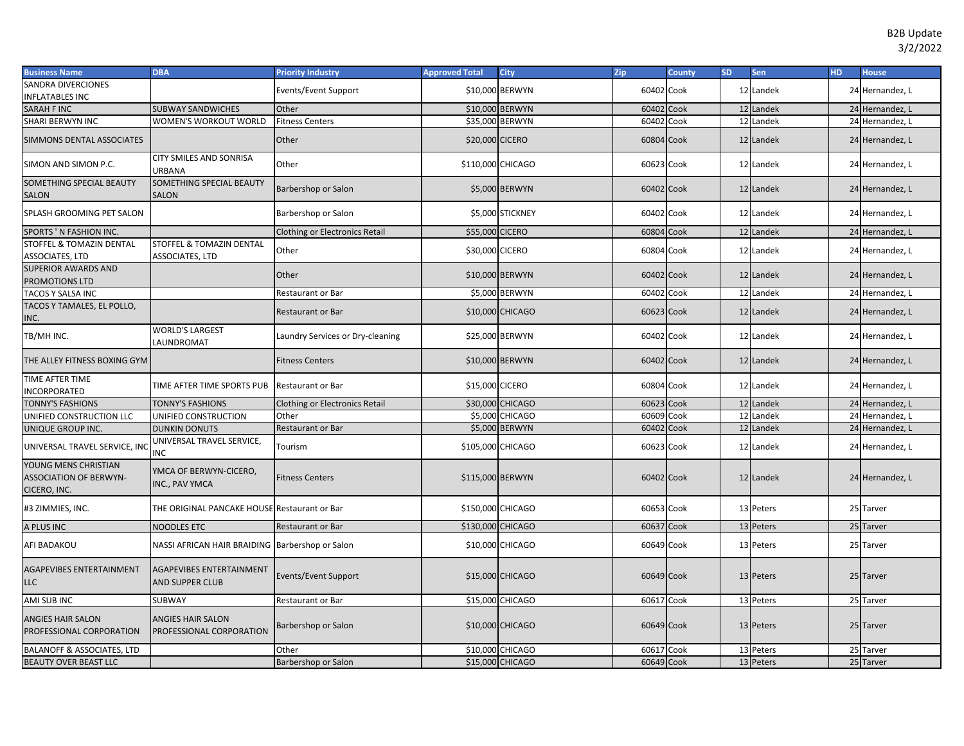| <b>Business Name</b>                                                  | <b>DBA</b>                                             | <b>Priority Industry</b>              | <b>Approved Total</b> | City             | <b>Zip</b> | <b>County</b> | <b>SD</b> | Sen       | <b>HD</b> | <b>House</b>    |
|-----------------------------------------------------------------------|--------------------------------------------------------|---------------------------------------|-----------------------|------------------|------------|---------------|-----------|-----------|-----------|-----------------|
| SANDRA DIVERCIONES                                                    |                                                        | Events/Event Support                  |                       | \$10,000 BERWYN  | 60402 Cook |               |           | 12 Landek |           | 24 Hernandez, L |
| <b>INFLATABLES INC</b>                                                |                                                        |                                       |                       |                  |            |               |           |           |           |                 |
| SARAH F INC                                                           | <b>SUBWAY SANDWICHES</b>                               | Other                                 |                       | \$10,000 BERWYN  | 60402 Cook |               |           | 12 Landek |           | 24 Hernandez, L |
| SHARI BERWYN INC                                                      | WOMEN'S WORKOUT WORLD                                  | <b>Fitness Centers</b>                |                       | \$35,000 BERWYN  | 60402 Cook |               |           | 12 Landek |           | 24 Hernandez, L |
| SIMMONS DENTAL ASSOCIATES                                             |                                                        | Other                                 | \$20,000 CICERO       |                  | 60804 Cook |               |           | 12 Landek |           | 24 Hernandez, L |
| SIMON AND SIMON P.C.                                                  | <b>CITY SMILES AND SONRISA</b><br><b>JRBANA</b>        | Other                                 | \$110,000 CHICAGO     |                  | 60623 Cook |               |           | 12 Landek |           | 24 Hernandez, L |
| SOMETHING SPECIAL BEAUTY<br>SALON                                     | SOMETHING SPECIAL BEAUTY<br><b>SALON</b>               | Barbershop or Salon                   |                       | \$5,000 BERWYN   | 60402 Cook |               |           | 12 Landek |           | 24 Hernandez, L |
| SPLASH GROOMING PET SALON                                             |                                                        | Barbershop or Salon                   |                       | \$5,000 STICKNEY | 60402 Cook |               |           | 12 Landek |           | 24 Hernandez, L |
| SPORTS 'N FASHION INC.                                                |                                                        | <b>Clothing or Electronics Retail</b> | \$55,000 CICERO       |                  | 60804 Cook |               |           | 12 Landek |           | 24 Hernandez, L |
| STOFFEL & TOMAZIN DENTAL<br><b>ASSOCIATES, LTD</b>                    | <b>STOFFEL &amp; TOMAZIN DENTAL</b><br>ASSOCIATES, LTD | Other                                 | \$30,000 CICERO       |                  | 60804 Cook |               |           | 12 Landek |           | 24 Hernandez, L |
| <b>SUPERIOR AWARDS AND</b><br><b>PROMOTIONS LTD</b>                   |                                                        | Other                                 |                       | \$10,000 BERWYN  | 60402 Cook |               |           | 12 Landek |           | 24 Hernandez, L |
| TACOS Y SALSA INC                                                     |                                                        | Restaurant or Bar                     |                       | \$5,000 BERWYN   | 60402 Cook |               |           | 12 Landek |           | 24 Hernandez, L |
| TACOS Y TAMALES, EL POLLO,<br>INC.                                    |                                                        | <b>Restaurant or Bar</b>              |                       | \$10,000 CHICAGO | 60623 Cook |               |           | 12 Landek |           | 24 Hernandez, L |
| TB/MH INC.                                                            | <b>WORLD'S LARGEST</b><br>LAUNDROMAT                   | Laundry Services or Dry-cleaning      |                       | \$25,000 BERWYN  | 60402 Cook |               |           | 12 Landek |           | 24 Hernandez, L |
| THE ALLEY FITNESS BOXING GYM                                          |                                                        | <b>Fitness Centers</b>                |                       | \$10,000 BERWYN  | 60402 Cook |               |           | 12 Landek |           | 24 Hernandez, L |
| TIME AFTER TIME<br><b>INCORPORATED</b>                                | TIME AFTER TIME SPORTS PUB                             | <b>Restaurant or Bar</b>              | \$15,000 CICERO       |                  | 60804 Cook |               |           | 12 Landek |           | 24 Hernandez, L |
| <b>TONNY'S FASHIONS</b>                                               | TONNY'S FASHIONS                                       | <b>Clothing or Electronics Retail</b> |                       | \$30,000 CHICAGO | 60623 Cook |               |           | 12 Landek |           | 24 Hernandez, L |
| UNIFIED CONSTRUCTION LLC                                              | UNIFIED CONSTRUCTION                                   | Other                                 |                       | \$5,000 CHICAGO  | 60609 Cook |               |           | 12 Landek |           | 24 Hernandez, L |
| UNIQUE GROUP INC.                                                     | <b>DUNKIN DONUTS</b>                                   | Restaurant or Bar                     |                       | \$5,000 BERWYN   | 60402 Cook |               |           | 12 Landek |           | 24 Hernandez, L |
| UNIVERSAL TRAVEL SERVICE, INC                                         | JNIVERSAL TRAVEL SERVICE,<br>INC                       | Tourism                               | \$105,000 CHICAGO     |                  | 60623 Cook |               |           | 12 Landek |           | 24 Hernandez, L |
| YOUNG MENS CHRISTIAN<br><b>ASSOCIATION OF BERWYN-</b><br>CICERO, INC. | YMCA OF BERWYN-CICERO,<br>INC., PAV YMCA               | <b>Fitness Centers</b>                | \$115,000 BERWYN      |                  | 60402 Cook |               |           | 12 Landek |           | 24 Hernandez, L |
| #3 ZIMMIES, INC.                                                      | THE ORIGINAL PANCAKE HOUSE Restaurant or Bar           |                                       | \$150,000 CHICAGO     |                  | 60653 Cook |               |           | 13 Peters |           | 25 Tarver       |
| A PLUS INC                                                            | <b>NOODLES ETC</b>                                     | <b>Restaurant or Bar</b>              | \$130,000 CHICAGO     |                  | 60637 Cook |               |           | 13 Peters |           | 25 Tarver       |
| AFI BADAKOU                                                           | NASSI AFRICAN HAIR BRAIDING Barbershop or Salon        |                                       |                       | \$10,000 CHICAGO | 60649 Cook |               |           | 13 Peters |           | 25 Tarver       |
| <b>AGAPEVIBES ENTERTAINMENT</b><br>LLC                                | <b>AGAPEVIBES ENTERTAINMENT</b><br>AND SUPPER CLUB     | <b>Events/Event Support</b>           |                       | \$15,000 CHICAGO | 60649 Cook |               |           | 13 Peters |           | 25 Tarver       |
| AMI SUB INC                                                           | SUBWAY                                                 | Restaurant or Bar                     |                       | \$15,000 CHICAGO | 60617 Cook |               |           | 13 Peters |           | 25 Tarver       |
| ANGIES HAIR SALON<br>PROFESSIONAL CORPORATION                         | <b>ANGIES HAIR SALON</b><br>PROFESSIONAL CORPORATION   | Barbershop or Salon                   |                       | \$10,000 CHICAGO | 60649 Cook |               |           | 13 Peters |           | 25 Tarver       |
| <b>BALANOFF &amp; ASSOCIATES, LTD</b>                                 |                                                        | Other                                 |                       | \$10,000 CHICAGO | 60617 Cook |               |           | 13 Peters |           | 25 Tarver       |
| BEAUTY OVER BEAST LLC                                                 |                                                        | <b>Barbershop or Salon</b>            |                       | \$15,000 CHICAGO | 60649 Cook |               |           | 13 Peters |           | 25 Tarver       |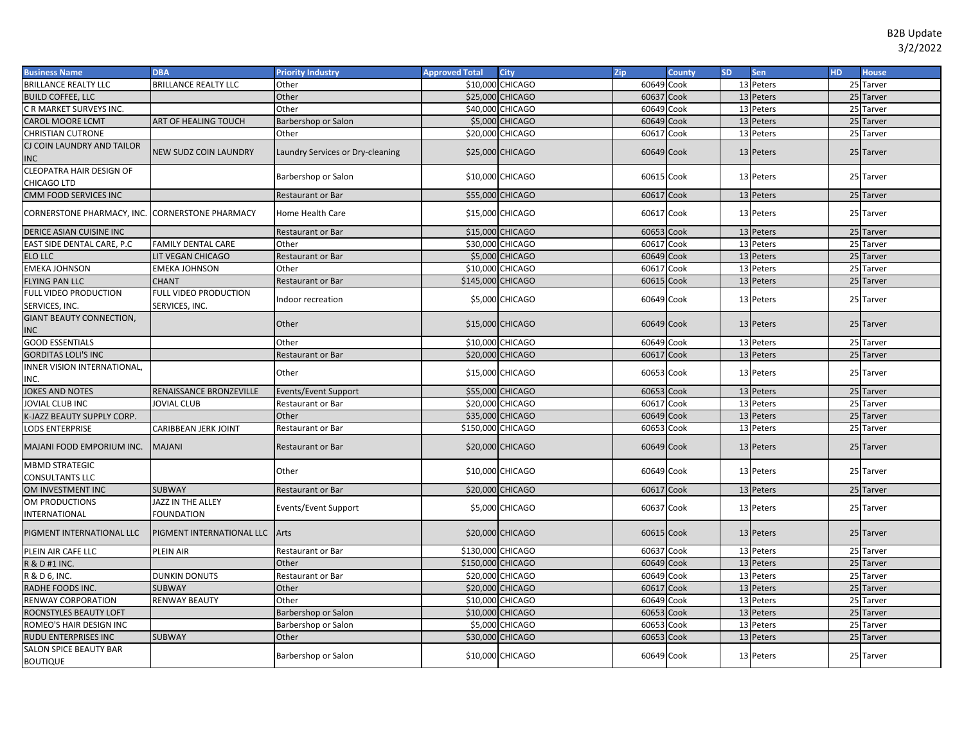| <b>Business Name</b>                      | <b>DBA</b>                              | <b>Priority Industry</b>         | <b>Approved Total</b> | <b>City</b>      | Zip        | <b>County</b> | <b>SD</b> | <b>Sen</b> | HD. | <b>House</b> |
|-------------------------------------------|-----------------------------------------|----------------------------------|-----------------------|------------------|------------|---------------|-----------|------------|-----|--------------|
| <b>BRILLANCE REALTY LLC</b>               | <b>BRILLANCE REALTY LLC</b>             | Other                            |                       | \$10,000 CHICAGO | 60649 Cook |               |           | 13 Peters  |     | 25 Tarver    |
| <b>BUILD COFFEE, LLC</b>                  |                                         | Other                            |                       | \$25,000 CHICAGO | 60637 Cook |               |           | 13 Peters  |     | 25 Tarver    |
| C R MARKET SURVEYS INC.                   |                                         | Other                            |                       | \$40,000 CHICAGO | 60649 Cook |               |           | 13 Peters  |     | 25 Tarver    |
| CAROL MOORE LCMT                          | ART OF HEALING TOUCH                    | Barbershop or Salon              |                       | \$5,000 CHICAGO  | 60649 Cook |               |           | 13 Peters  |     | 25 Tarver    |
| CHRISTIAN CUTRONE                         |                                         | Other                            |                       | \$20,000 CHICAGO | 60617 Cook |               |           | 13 Peters  |     | 25 Tarver    |
| CJ COIN LAUNDRY AND TAILOR                | NEW SUDZ COIN LAUNDRY                   | Laundry Services or Dry-cleaning |                       | \$25,000 CHICAGO | 60649 Cook |               |           | 13 Peters  |     | 25 Tarver    |
| INC.                                      |                                         |                                  |                       |                  |            |               |           |            |     |              |
| CLEOPATRA HAIR DESIGN OF<br>CHICAGO LTD   |                                         | Barbershop or Salon              |                       | \$10,000 CHICAGO | 60615 Cook |               |           | 13 Peters  |     | 25 Tarver    |
| CMM FOOD SERVICES INC                     |                                         | <b>Restaurant or Bar</b>         |                       | \$55,000 CHICAGO | 60617 Cook |               |           | 13 Peters  |     | 25 Tarver    |
| CORNERSTONE PHARMACY, INC.                | <b>CORNERSTONE PHARMACY</b>             | Home Health Care                 |                       | \$15,000 CHICAGO | 60617 Cook |               |           | 13 Peters  |     | 25 Tarver    |
| DERICE ASIAN CUISINE INC                  |                                         | <b>Restaurant or Bar</b>         |                       | \$15,000 CHICAGO | 60653      | Cook          |           | 13 Peters  |     | 25 Tarver    |
| EAST SIDE DENTAL CARE, P.C                | <b>FAMILY DENTAL CARE</b>               | Other                            |                       | \$30,000 CHICAGO | 60617      | Cook          |           | 13 Peters  |     | 25 Tarver    |
| ELO LLC                                   | LIT VEGAN CHICAGO                       | <b>Restaurant or Bar</b>         |                       | \$5,000 CHICAGO  | 60649 Cook |               |           | 13 Peters  |     | 25 Tarver    |
| <b>EMEKA JOHNSON</b>                      | <b>EMEKA JOHNSON</b>                    | Other                            |                       | \$10,000 CHICAGO | 60617 Cook |               |           | 13 Peters  |     | 25 Tarver    |
| <b>FLYING PAN LLC</b>                     | <b>CHANT</b>                            | <b>Restaurant or Bar</b>         | \$145,000 CHICAGO     |                  | 60615 Cook |               |           | 13 Peters  |     | 25 Tarver    |
| FULL VIDEO PRODUCTION<br>SERVICES, INC.   | FULL VIDEO PRODUCTION<br>SERVICES, INC. | Indoor recreation                |                       | \$5,000 CHICAGO  | 60649 Cook |               |           | 13 Peters  |     | 25 Tarver    |
| <b>GIANT BEAUTY CONNECTION,</b><br>NC.    |                                         | Other                            |                       | \$15,000 CHICAGO | 60649 Cook |               |           | 13 Peters  |     | 25 Tarver    |
| <b>GOOD ESSENTIALS</b>                    |                                         | Other                            |                       | \$10,000 CHICAGO | 60649 Cook |               |           | 13 Peters  |     | 25 Tarver    |
| <b>GORDITAS LOLI'S INC</b>                |                                         | Restaurant or Bar                |                       | \$20,000 CHICAGO | 60617 Cook |               |           | 13 Peters  |     | 25 Tarver    |
| INNER VISION INTERNATIONAL,<br>INC.       |                                         | Other                            |                       | \$15,000 CHICAGO | 60653 Cook |               |           | 13 Peters  |     | 25 Tarver    |
| <b>JOKES AND NOTES</b>                    | RENAISSANCE BRONZEVILLE                 | Events/Event Support             |                       | \$55,000 CHICAGO | 60653 Cook |               |           | 13 Peters  |     | 25 Tarver    |
| <b>JOVIAL CLUB INC</b>                    | <b>JOVIAL CLUB</b>                      | Restaurant or Bar                |                       | \$20,000 CHICAGO | 60617 Cook |               |           | 13 Peters  |     | 25 Tarver    |
| K-JAZZ BEAUTY SUPPLY CORP.                |                                         | Other                            |                       | \$35,000 CHICAGO | 60649 Cook |               |           | 13 Peters  |     | 25 Tarver    |
| LODS ENTERPRISE                           | CARIBBEAN JERK JOINT                    | <b>Restaurant or Bar</b>         | \$150,000 CHICAGO     |                  | 60653 Cook |               |           | 13 Peters  |     | 25 Tarver    |
| MAJANI FOOD EMPORIUM INC.                 | <b>MAJANI</b>                           | Restaurant or Bar                |                       | \$20,000 CHICAGO | 60649 Cook |               |           | 13 Peters  |     | 25 Tarver    |
| <b>MBMD STRATEGIC</b><br>CONSULTANTS LLC  |                                         | Other                            |                       | \$10,000 CHICAGO | 60649 Cook |               |           | 13 Peters  |     | 25 Tarver    |
| OM INVESTMENT INC                         | <b>SUBWAY</b>                           | <b>Restaurant or Bar</b>         |                       | \$20,000 CHICAGO | 60617 Cook |               |           | 13 Peters  |     | 25 Tarver    |
| OM PRODUCTIONS                            | JAZZ IN THE ALLEY                       | Events/Event Support             |                       | \$5,000 CHICAGO  | 60637 Cook |               |           | 13 Peters  |     | 25 Tarver    |
| INTERNATIONAL                             | FOUNDATION                              |                                  |                       |                  |            |               |           |            |     |              |
| PIGMENT INTERNATIONAL LLC                 | PIGMENT INTERNATIONAL LLC Arts          |                                  |                       | \$20,000 CHICAGO | 60615 Cook |               |           | 13 Peters  |     | 25 Tarver    |
| PLEIN AIR CAFE LLC                        | PLEIN AIR                               | Restaurant or Bar                | \$130,000 CHICAGO     |                  | 60637 Cook |               |           | 13 Peters  |     | 25 Tarver    |
| R & D #1 INC.                             |                                         | Other                            | \$150,000 CHICAGO     |                  | 60649 Cook |               |           | 13 Peters  |     | 25 Tarver    |
| R & D 6, INC.                             | <b>DUNKIN DONUTS</b>                    | Restaurant or Bar                |                       | \$20,000 CHICAGO | 60649 Cook |               |           | 13 Peters  |     | 25 Tarver    |
| RADHE FOODS INC.                          | <b>SUBWAY</b>                           | Other                            |                       | \$20,000 CHICAGO | 60617 Cook |               |           | 13 Peters  |     | 25 Tarver    |
| RENWAY CORPORATION                        | <b>RENWAY BEAUTY</b>                    | Other                            |                       | \$10,000 CHICAGO | 60649      | Cook          |           | 13 Peters  |     | 25 Tarver    |
| ROCNSTYLES BEAUTY LOFT                    |                                         | Barbershop or Salon              |                       | \$10,000 CHICAGO | 60653      | Cook          |           | 13 Peters  |     | 25 Tarver    |
| ROMEO'S HAIR DESIGN INC                   |                                         | Barbershop or Salon              |                       | \$5,000 CHICAGO  | 60653      | Cook          |           | 13 Peters  |     | 25 Tarver    |
| RUDU ENTERPRISES INC                      | <b>SUBWAY</b>                           | Other                            |                       | \$30,000 CHICAGO | 60653 Cook |               | 13        | Peters     |     | 25 Tarver    |
| SALON SPICE BEAUTY BAR<br><b>BOUTIQUE</b> |                                         | Barbershop or Salon              |                       | \$10,000 CHICAGO | 60649 Cook |               |           | 13 Peters  |     | 25 Tarver    |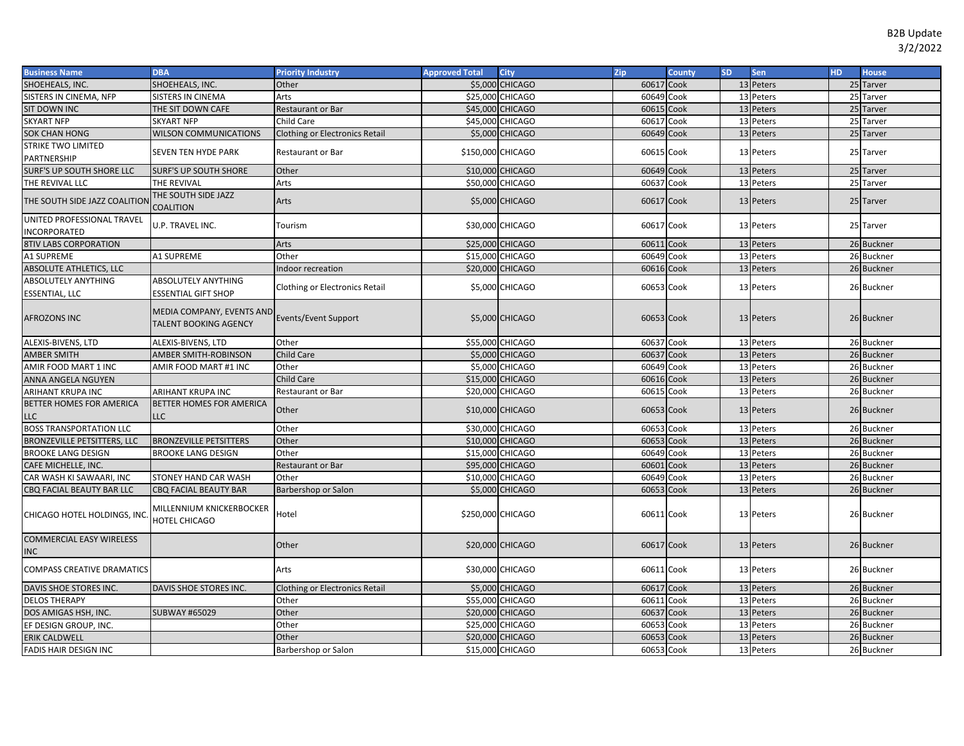| <b>Business Name</b>                          | <b>DBA</b>                                                | <b>Priority Industry</b>              | <b>Approved Total</b>    | <b>City</b>            | Zip        | <b>County</b> | <b>SD</b> | Sen       | HD. | <b>House</b> |
|-----------------------------------------------|-----------------------------------------------------------|---------------------------------------|--------------------------|------------------------|------------|---------------|-----------|-----------|-----|--------------|
| SHOEHEALS, INC.                               | SHOEHEALS, INC.                                           | Other                                 |                          | \$5,000 CHICAGO        | 60617 Cook |               |           | 13 Peters |     | 25 Tarver    |
| SISTERS IN CINEMA, NFP                        | <b>SISTERS IN CINEMA</b>                                  | Arts                                  | \$25,000 CHICAGO         |                        | 60649 Cook |               |           | 13 Peters |     | 25 Tarver    |
| SIT DOWN INC                                  | THE SIT DOWN CAFE                                         | Restaurant or Bar                     | \$45,000 CHICAGO         |                        | 60615 Cook |               |           | 13 Peters |     | 25 Tarver    |
| <b>SKYART NFP</b>                             | <b>SKYART NFP</b>                                         | <b>Child Care</b>                     | \$45,000 CHICAGO         |                        | 60617 Cook |               |           | 13 Peters |     | 25 Tarver    |
| <b>SOK CHAN HONG</b>                          | <b>WILSON COMMUNICATIONS</b>                              | <b>Clothing or Electronics Retail</b> |                          | <b>\$5,000 CHICAGO</b> | 60649 Cook |               |           | 13 Peters |     | 25 Tarver    |
| <b>STRIKE TWO LIMITED</b><br>PARTNERSHIP      | <b>SEVEN TEN HYDE PARK</b>                                | Restaurant or Bar                     | <b>\$150,000 CHICAGO</b> |                        | 60615 Cook |               |           | 13 Peters |     | 25 Tarver    |
| SURF'S UP SOUTH SHORE LLC                     | <b>SURF'S UP SOUTH SHORE</b>                              | Other                                 |                          | \$10,000 CHICAGO       | 60649 Cook |               |           | 13 Peters |     | 25 Tarver    |
| THE REVIVAL LLC                               | THE REVIVAL                                               | Arts                                  |                          | \$50,000 CHICAGO       | 60637 Cook |               |           | 13 Peters |     | 25 Tarver    |
| THE SOUTH SIDE JAZZ COALITION                 | THE SOUTH SIDE JAZZ<br>COALITION                          | Arts                                  |                          | <b>\$5,000 CHICAGO</b> | 60617 Cook |               |           | 13 Peters |     | 25 Tarver    |
| UNITED PROFESSIONAL TRAVEL<br>INCORPORATED    | J.P. TRAVEL INC.                                          | Tourism                               | \$30,000 CHICAGO         |                        | 60617 Cook |               |           | 13 Peters |     | 25 Tarver    |
| <b>8TIV LABS CORPORATION</b>                  |                                                           | Arts                                  | \$25,000 CHICAGO         |                        | 60611 Cook |               |           | 13 Peters |     | 26 Buckner   |
| A1 SUPREME                                    | A1 SUPREME                                                | Other                                 | \$15,000 CHICAGO         |                        | 60649 Cook |               |           | 13 Peters |     | 26 Buckner   |
| <b>ABSOLUTE ATHLETICS, LLC</b>                |                                                           | Indoor recreation                     | \$20,000 CHICAGO         |                        | 60616 Cook |               |           | 13 Peters |     | 26 Buckner   |
| ABSOLUTELY ANYTHING<br><b>ESSENTIAL, LLC</b>  | ABSOLUTELY ANYTHING<br><b>ESSENTIAL GIFT SHOP</b>         | <b>Clothing or Electronics Retail</b> |                          | \$5,000 CHICAGO        | 60653 Cook |               |           | 13 Peters |     | 26 Buckner   |
| <b>AFROZONS INC</b>                           | MEDIA COMPANY, EVENTS AND<br><b>TALENT BOOKING AGENCY</b> | <b>Events/Event Support</b>           |                          | \$5,000 CHICAGO        | 60653 Cook |               |           | 13 Peters |     | 26 Buckner   |
| ALEXIS-BIVENS, LTD                            | <b>ALEXIS-BIVENS, LTD</b>                                 | Other                                 |                          | \$55,000 CHICAGO       | 60637 Cook |               |           | 13 Peters |     | 26 Buckner   |
| <b>AMBER SMITH</b>                            | AMBER SMITH-ROBINSON                                      | <b>Child Care</b>                     |                          | <b>\$5,000 CHICAGO</b> | 60637 Cook |               |           | 13 Peters |     | 26 Buckner   |
| AMIR FOOD MART 1 INC                          | AMIR FOOD MART #1 INC                                     | Other                                 |                          | \$5,000 CHICAGO        | 60649 Cook |               |           | 13 Peters |     | 26 Buckner   |
| ANNA ANGELA NGUYEN                            |                                                           | <b>Child Care</b>                     | \$15,000 CHICAGO         |                        | 60616 Cook |               |           | 13 Peters |     | 26 Buckner   |
| ARIHANT KRUPA INC                             | ARIHANT KRUPA INC                                         | Restaurant or Bar                     | \$20,000 CHICAGO         |                        | 60615 Cook |               |           | 13 Peters |     | 26 Buckner   |
| BETTER HOMES FOR AMERICA<br><b>LLC</b>        | BETTER HOMES FOR AMERICA<br><b>LLC</b>                    | Other                                 | \$10,000 CHICAGO         |                        | 60653 Cook |               |           | 13 Peters |     | 26 Buckner   |
| <b>BOSS TRANSPORTATION LLC</b>                |                                                           | Other                                 | <b>\$30,000 CHICAGO</b>  |                        | 60653 Cook |               |           | 13 Peters |     | 26 Buckner   |
| <b>BRONZEVILLE PETSITTERS, LLC</b>            | <b>BRONZEVILLE PETSITTERS</b>                             | Other                                 |                          | \$10,000 CHICAGO       | 60653 Cook |               |           | 13 Peters |     | 26 Buckner   |
| <b>BROOKE LANG DESIGN</b>                     | <b>BROOKE LANG DESIGN</b>                                 | Other                                 | \$15,000 CHICAGO         |                        | 60649 Cook |               |           | 13 Peters |     | 26 Buckner   |
| CAFE MICHELLE, INC.                           |                                                           | <b>Restaurant or Bar</b>              | \$95,000 CHICAGO         |                        | 60601 Cook |               |           | 13 Peters |     | 26 Buckner   |
| CAR WASH KI SAWAARI, INC                      | STONEY HAND CAR WASH                                      | Other                                 | \$10,000 CHICAGO         |                        | 60649 Cook |               |           | 13 Peters |     | 26 Buckner   |
| CBQ FACIAL BEAUTY BAR LLC                     | <b>CBQ FACIAL BEAUTY BAR</b>                              | Barbershop or Salon                   |                          | \$5,000 CHICAGO        | 60653 Cook |               |           | 13 Peters |     | 26 Buckner   |
| CHICAGO HOTEL HOLDINGS, INC                   | MILLENNIUM KNICKERBOCKER<br>HOTEL CHICAGO                 | Hotel                                 | \$250,000 CHICAGO        |                        | 60611 Cook |               |           | 13 Peters |     | 26 Buckner   |
| <b>COMMERCIAL EASY WIRELESS</b><br><b>INC</b> |                                                           | Other                                 |                          | \$20,000 CHICAGO       | 60617 Cook |               |           | 13 Peters |     | 26 Buckner   |
| <b>COMPASS CREATIVE DRAMATICS</b>             |                                                           | Arts                                  | \$30,000 CHICAGO         |                        | 60611 Cook |               |           | 13 Peters |     | 26 Buckner   |
| DAVIS SHOE STORES INC.                        | DAVIS SHOE STORES INC.                                    | <b>Clothing or Electronics Retail</b> |                          | \$5,000 CHICAGO        | 60617 Cook |               |           | 13 Peters |     | 26 Buckner   |
| <b>DELOS THERAPY</b>                          |                                                           | Other                                 |                          | \$55,000 CHICAGO       | 60611 Cook |               |           | 13 Peters |     | 26 Buckner   |
| DOS AMIGAS HSH, INC.                          | <b>SUBWAY #65029</b>                                      | Other                                 |                          | \$20,000 CHICAGO       | 60637 Cook |               |           | 13 Peters |     | 26 Buckner   |
| EF DESIGN GROUP, INC.                         |                                                           | Other                                 | \$25,000 CHICAGO         |                        | 60653 Cook |               |           | 13 Peters |     | 26 Buckner   |
| <b>ERIK CALDWELL</b>                          |                                                           | Other                                 | \$20,000 CHICAGO         |                        | 60653 Cook |               |           | 13 Peters |     | 26 Buckner   |
| FADIS HAIR DESIGN INC                         |                                                           | Barbershop or Salon                   | \$15,000 CHICAGO         |                        | 60653 Cook |               |           | 13 Peters |     | 26 Buckner   |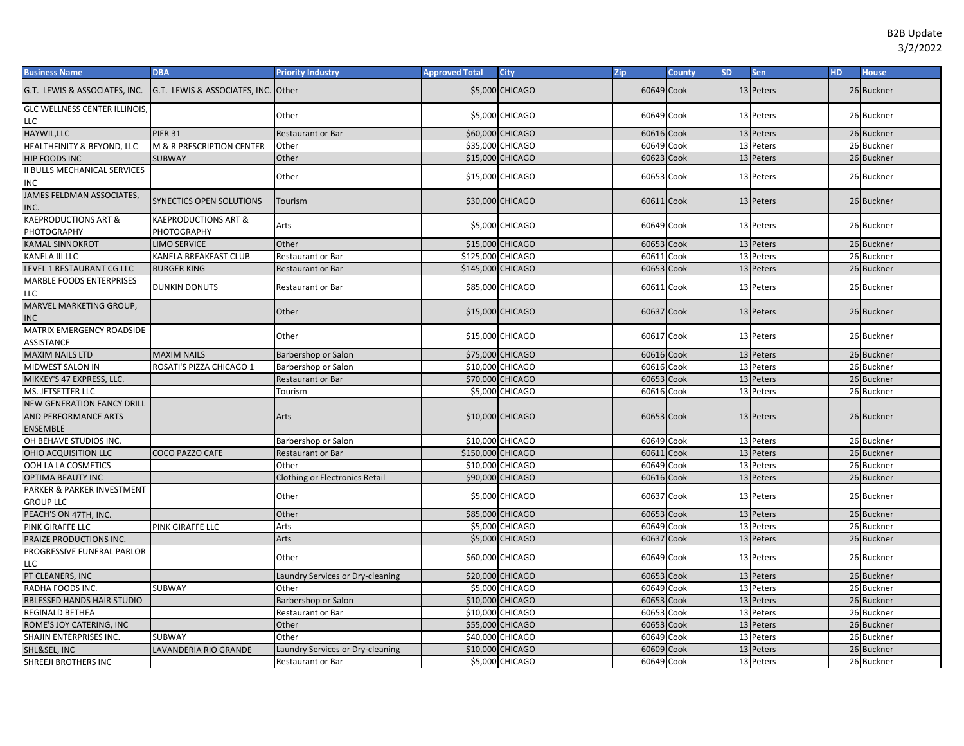| <b>Business Name</b>                                                         | <b>DBA</b>                          | <b>Priority Industry</b>              | <b>Approved Total</b> | <b>City</b>      | <b>Zip</b> | <b>County</b> | <b>SD</b> | <b>Sen</b> | HD. | <b>House</b> |
|------------------------------------------------------------------------------|-------------------------------------|---------------------------------------|-----------------------|------------------|------------|---------------|-----------|------------|-----|--------------|
| G.T. LEWIS & ASSOCIATES, INC.                                                | G.T. LEWIS & ASSOCIATES, INC. Other |                                       |                       | \$5,000 CHICAGO  | 60649 Cook |               |           | 13 Peters  |     | 26 Buckner   |
| <b>GLC WELLNESS CENTER ILLINOIS</b>                                          |                                     | Other                                 |                       | \$5,000 CHICAGO  | 60649 Cook |               |           | 13 Peters  |     | 26 Buckner   |
| LLC                                                                          |                                     |                                       |                       |                  |            |               |           |            |     |              |
| HAYWIL, LLC                                                                  | <b>PIER 31</b>                      | <b>Restaurant or Bar</b>              |                       | \$60,000 CHICAGO | 60616 Cook |               |           | 13 Peters  |     | 26 Buckner   |
| HEALTHFINITY & BEYOND, LLC                                                   | M & R PRESCRIPTION CENTER           | Other                                 |                       | \$35,000 CHICAGO | 60649 Cook |               |           | 13 Peters  |     | 26 Buckner   |
| HJP FOODS INC                                                                | <b>SUBWAY</b>                       | Other                                 |                       | \$15,000 CHICAGO | 60623 Cook |               |           | 13 Peters  |     | 26 Buckner   |
| II BULLS MECHANICAL SERVICES<br>INC                                          |                                     | Other                                 |                       | \$15,000 CHICAGO | 60653 Cook |               |           | 13 Peters  |     | 26 Buckner   |
| JAMES FELDMAN ASSOCIATES,<br>INC.                                            | <b>SYNECTICS OPEN SOLUTIONS</b>     | Tourism                               |                       | \$30,000 CHICAGO | 60611 Cook |               |           | 13 Peters  |     | 26 Buckner   |
| <b>KAEPRODUCTIONS ART &amp;</b><br>PHOTOGRAPHY                               | KAEPRODUCTIONS ART &<br>PHOTOGRAPHY | Arts                                  |                       | \$5,000 CHICAGO  | 60649 Cook |               |           | 13 Peters  |     | 26 Buckner   |
| <b>KAMAL SINNOKROT</b>                                                       | <b>LIMO SERVICE</b>                 | Other                                 |                       | \$15,000 CHICAGO | 60653 Cook |               |           | 13 Peters  |     | 26 Buckner   |
| KANELA III LLC                                                               | KANELA BREAKFAST CLUB               | <b>Restaurant or Bar</b>              | \$125,000 CHICAGO     |                  | 60611      | Cook          |           | 13 Peters  |     | 26 Buckner   |
| LEVEL 1 RESTAURANT CG LLC                                                    | <b>BURGER KING</b>                  | <b>Restaurant or Bar</b>              | \$145,000 CHICAGO     |                  | 60653 Cook |               |           | 13 Peters  |     | 26 Buckner   |
| <b>MARBLE FOODS ENTERPRISES</b><br>LLC                                       | <b>DUNKIN DONUTS</b>                | <b>Restaurant or Bar</b>              |                       | \$85,000 CHICAGO | 60611 Cook |               |           | 13 Peters  |     | 26 Buckner   |
| MARVEL MARKETING GROUP,<br>INC                                               |                                     | Other                                 |                       | \$15,000 CHICAGO | 60637 Cook |               |           | 13 Peters  |     | 26 Buckner   |
| MATRIX EMERGENCY ROADSIDE<br>ASSISTANCE                                      |                                     | Other                                 |                       | \$15,000 CHICAGO | 60617 Cook |               |           | 13 Peters  |     | 26 Buckner   |
| <b>MAXIM NAILS LTD</b>                                                       | <b>MAXIM NAILS</b>                  | Barbershop or Salon                   |                       | \$75,000 CHICAGO | 60616 Cook |               |           | 13 Peters  |     | 26 Buckner   |
| MIDWEST SALON IN                                                             | ROSATI'S PIZZA CHICAGO 1            | Barbershop or Salon                   |                       | \$10,000 CHICAGO | 60616 Cook |               | 13        | Peters     |     | 26 Buckner   |
| MIKKEY'S 47 EXPRESS, LLC.                                                    |                                     | Restaurant or Bar                     |                       | \$70,000 CHICAGO | 60653 Cook |               | 13        | Peters     |     | 26 Buckner   |
| MS. JETSETTER LLC                                                            |                                     | Tourism                               |                       | \$5,000 CHICAGO  | 60616 Cook |               |           | 13 Peters  |     | 26 Buckner   |
| <b>NEW GENERATION FANCY DRILL</b><br>AND PERFORMANCE ARTS<br><b>ENSEMBLE</b> |                                     | Arts                                  |                       | \$10,000 CHICAGO | 60653 Cook |               |           | 13 Peters  |     | 26 Buckner   |
| OH BEHAVE STUDIOS INC.                                                       |                                     | Barbershop or Salon                   |                       | \$10,000 CHICAGO | 60649 Cook |               |           | 13 Peters  |     | 26 Buckner   |
| OHIO ACQUISITION LLC                                                         | COCO PAZZO CAFE                     | <b>Restaurant or Bar</b>              | \$150,000 CHICAGO     |                  | 60611 Cook |               |           | 13 Peters  |     | 26 Buckner   |
| OOH LA LA COSMETICS                                                          |                                     | Other                                 |                       | \$10,000 CHICAGO | 60649 Cook |               |           | 13 Peters  |     | 26 Buckner   |
| OPTIMA BEAUTY INC                                                            |                                     | <b>Clothing or Electronics Retail</b> |                       | \$90,000 CHICAGO | 60616 Cook |               |           | 13 Peters  |     | 26 Buckner   |
| PARKER & PARKER INVESTMENT<br><b>GROUP LLC</b>                               |                                     | Other                                 |                       | \$5,000 CHICAGO  | 60637 Cook |               |           | 13 Peters  |     | 26 Buckner   |
| PEACH'S ON 47TH, INC.                                                        |                                     | Other                                 |                       | \$85,000 CHICAGO | 60653 Cook |               |           | 13 Peters  |     | 26 Buckner   |
| PINK GIRAFFE LLC                                                             | PINK GIRAFFE LLC                    | Arts                                  |                       | \$5,000 CHICAGO  | 60649 Cook |               |           | 13 Peters  |     | 26 Buckner   |
| PRAIZE PRODUCTIONS INC.                                                      |                                     | Arts                                  |                       | \$5,000 CHICAGO  | 60637 Cook |               |           | 13 Peters  |     | 26 Buckner   |
| PROGRESSIVE FUNERAL PARLOR<br>LLC                                            |                                     | Other                                 |                       | \$60,000 CHICAGO | 60649 Cook |               |           | 13 Peters  |     | 26 Buckner   |
| PT CLEANERS, INC                                                             |                                     | Laundry Services or Dry-cleaning      |                       | \$20,000 CHICAGO | 60653 Cook |               |           | 13 Peters  |     | 26 Buckner   |
| RADHA FOODS INC.                                                             | SUBWAY                              | Other                                 |                       | \$5,000 CHICAGO  | 60649 Cook |               |           | 13 Peters  |     | 26 Buckner   |
| RBLESSED HANDS HAIR STUDIO                                                   |                                     | Barbershop or Salon                   |                       | \$10,000 CHICAGO | 60653 Cook |               |           | 13 Peters  |     | 26 Buckner   |
| REGINALD BETHEA                                                              |                                     | Restaurant or Bar                     |                       | \$10,000 CHICAGO | 60653 Cook |               |           | 13 Peters  |     | 26 Buckner   |
| ROME'S JOY CATERING, INC                                                     |                                     | Other                                 |                       | \$55,000 CHICAGO | 60653      | Cook          |           | 13 Peters  |     | 26 Buckner   |
| SHAJIN ENTERPRISES INC.                                                      | <b>SUBWAY</b>                       | Other                                 |                       | \$40,000 CHICAGO | 60649 Cook |               |           | 13 Peters  |     | 26 Buckner   |
| SHL&SEL, INC                                                                 | <b>AVANDERIA RIO GRANDE</b>         | Laundry Services or Dry-cleaning      |                       | \$10,000 CHICAGO | 60609      | Cook          |           | 13 Peters  |     | 26 Buckner   |
| SHREEJI BROTHERS INC                                                         |                                     | Restaurant or Bar                     |                       | \$5,000 CHICAGO  | 60649 Cook |               |           | 13 Peters  |     | 26 Buckner   |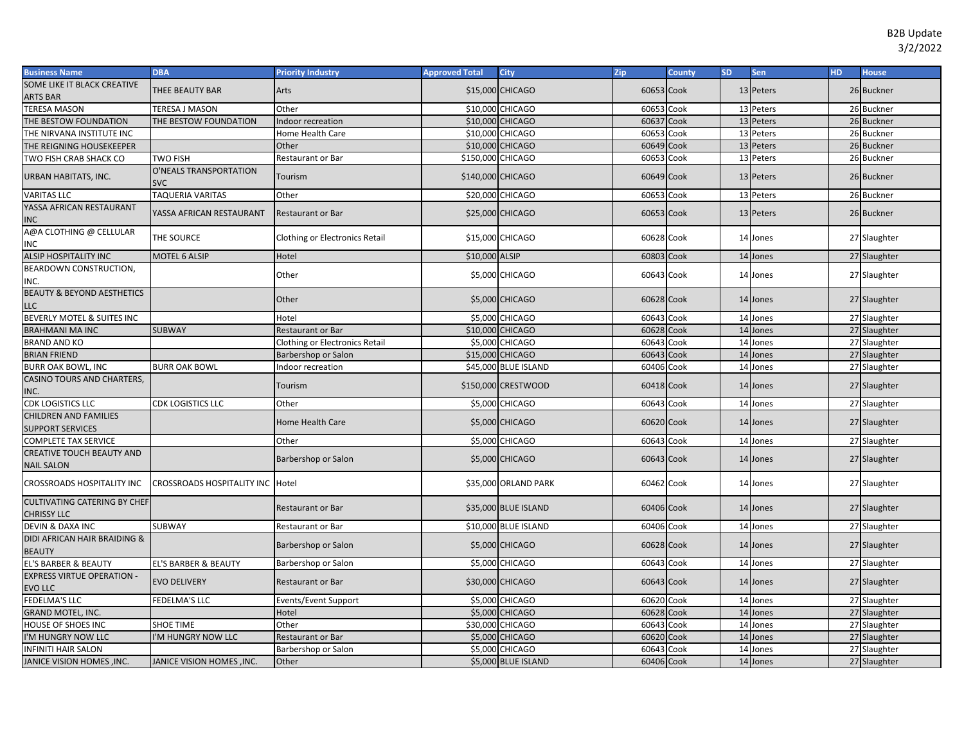| <b>Business Name</b>                                      | <b>DBA</b>                           | <b>Priority Industry</b>       | <b>Approved Total</b> | City                   | Zip        | <b>County</b> | <b>SD</b> | Sen       | <b>HD</b> | <b>House</b> |
|-----------------------------------------------------------|--------------------------------------|--------------------------------|-----------------------|------------------------|------------|---------------|-----------|-----------|-----------|--------------|
| SOME LIKE IT BLACK CREATIVE                               | THEE BEAUTY BAR                      | Arts                           |                       | \$15,000 CHICAGO       | 60653 Cook |               |           | 13 Peters |           | 26 Buckner   |
| ARTS BAR                                                  |                                      |                                |                       |                        |            |               |           |           |           |              |
| <b>TERESA MASON</b>                                       | <b>TERESA J MASON</b>                | Other                          |                       | \$10,000 CHICAGO       | 60653 Cook |               |           | 13 Peters |           | 26 Buckner   |
| THE BESTOW FOUNDATION                                     | THE BESTOW FOUNDATION                | ndoor recreation               |                       | \$10,000 CHICAGO       | 60637 Cook |               |           | 13 Peters |           | 26 Buckner   |
| THE NIRVANA INSTITUTE INC                                 |                                      | Home Health Care               |                       | \$10,000 CHICAGO       | 60653      | Cook          |           | 13 Peters |           | 26 Buckner   |
| THE REIGNING HOUSEKEEPER                                  |                                      | Other                          |                       | \$10,000 CHICAGO       | 60649 Cook |               |           | 13 Peters |           | 26 Buckner   |
| TWO FISH CRAB SHACK CO                                    | <b>TWO FISH</b>                      | Restaurant or Bar              | \$150,000 CHICAGO     |                        | 60653      | Cook          |           | 13 Peters |           | 26 Buckner   |
| URBAN HABITATS, INC.                                      | O'NEALS TRANSPORTATION<br><b>SVC</b> | Tourism                        | \$140,000 CHICAGO     |                        | 60649 Cook |               |           | 13 Peters |           | 26 Buckner   |
| <b>VARITAS LLC</b>                                        | TAQUERIA VARITAS                     | Other                          |                       | \$20,000 CHICAGO       | 60653 Cook |               |           | 13 Peters |           | 26 Buckner   |
| YASSA AFRICAN RESTAURANT<br>INC                           | YASSA AFRICAN RESTAURANT             | <b>Restaurant or Bar</b>       |                       | \$25,000 CHICAGO       | 60653 Cook |               |           | 13 Peters |           | 26 Buckner   |
| A@A CLOTHING @ CELLULAR<br>INC                            | THE SOURCE                           | Clothing or Electronics Retail |                       | \$15,000 CHICAGO       | 60628 Cook |               |           | 14 Jones  |           | 27 Slaughter |
| <b>ALSIP HOSPITALITY INC</b>                              | <b>MOTEL 6 ALSIP</b>                 | Hotel                          | \$10,000 ALSIP        |                        | 60803 Cook |               |           | 14 Jones  |           | 27 Slaughter |
| BEARDOWN CONSTRUCTION,<br>INC.                            |                                      | Other                          |                       | \$5,000 CHICAGO        | 60643 Cook |               |           | 14 Jones  |           | 27 Slaughter |
| <b>BEAUTY &amp; BEYOND AESTHETICS</b><br>LLC              |                                      | Other                          |                       | \$5,000 CHICAGO        | 60628 Cook |               |           | 14 Jones  |           | 27 Slaughter |
| BEVERLY MOTEL & SUITES INC                                |                                      | Hotel                          |                       | <b>\$5,000 CHICAGO</b> | 60643      | Cook          |           | 14 Jones  |           | 27 Slaughter |
| <b>BRAHMANI MA INC</b>                                    | <b>SUBWAY</b>                        | Restaurant or Bar              |                       | \$10,000 CHICAGO       | 60628      | Cook          |           | 14 Jones  |           | 27 Slaughter |
| <b>BRAND AND KO</b>                                       |                                      | Clothing or Electronics Retail |                       | \$5,000 CHICAGO        | 60643      | Cook          |           | 14 Jones  |           | 27 Slaughter |
| <b>BRIAN FRIEND</b>                                       |                                      | Barbershop or Salon            |                       | \$15,000 CHICAGO       | 60643      | Cook          |           | 14 Jones  |           | 27 Slaughter |
| <b>BURR OAK BOWL, INC</b>                                 | <b>BURR OAK BOWL</b>                 | ndoor recreation               |                       | \$45,000 BLUE ISLAND   | 60406      | Cook          |           | 14 Jones  |           | 27 Slaughter |
| CASINO TOURS AND CHARTERS,<br>INC.                        |                                      | Tourism                        |                       | \$150,000 CRESTWOOD    | 60418 Cook |               |           | 14 Jones  |           | 27 Slaughter |
| CDK LOGISTICS LLC                                         | <b>CDK LOGISTICS LLC</b>             | Other                          |                       | \$5,000 CHICAGO        | 60643 Cook |               |           | 14 Jones  |           | 27 Slaughter |
| CHILDREN AND FAMILIES<br><b>SUPPORT SERVICES</b>          |                                      | Home Health Care               |                       | \$5,000 CHICAGO        | 60620 Cook |               |           | 14 Jones  |           | 27 Slaughter |
| COMPLETE TAX SERVICE                                      |                                      | Other                          |                       | \$5,000 CHICAGO        | 60643      | Cook          |           | 14 Jones  |           | 27 Slaughter |
| CREATIVE TOUCH BEAUTY AND                                 |                                      | Barbershop or Salon            |                       | \$5,000 CHICAGO        | 60643 Cook |               |           | 14 Jones  |           | 27 Slaughter |
| <b>NAIL SALON</b><br>CROSSROADS HOSPITALITY INC           | <b>CROSSROADS HOSPITALITY INC</b>    | Hotel                          |                       | \$35,000 ORLAND PARK   | 60462 Cook |               |           | 14 Jones  |           | 27 Slaughter |
| <b>CULTIVATING CATERING BY CHEF</b><br><b>CHRISSY LLC</b> |                                      | Restaurant or Bar              |                       | \$35,000 BLUE ISLAND   | 60406 Cook |               |           | 14 Jones  |           | 27 Slaughter |
| DEVIN & DAXA INC                                          | SUBWAY                               | Restaurant or Bar              |                       | \$10,000 BLUE ISLAND   | 60406 Cook |               |           | 14 Jones  |           | 27 Slaughter |
| DIDI AFRICAN HAIR BRAIDING &<br><b>BEAUTY</b>             |                                      | Barbershop or Salon            |                       | \$5,000 CHICAGO        | 60628 Cook |               |           | 14 Jones  |           | 27 Slaughter |
| <b>EL'S BARBER &amp; BEAUTY</b>                           | EL'S BARBER & BEAUTY                 | Barbershop or Salon            |                       | \$5,000 CHICAGO        | 60643 Cook |               |           | 14 Jones  |           | 27 Slaughter |
| <b>EXPRESS VIRTUE OPERATION -</b><br><b>EVO LLC</b>       | <b>EVO DELIVERY</b>                  | <b>Restaurant or Bar</b>       |                       | \$30,000 CHICAGO       | 60643 Cook |               |           | 14 Jones  |           | 27 Slaughter |
| <b>FEDELMA'S LLC</b>                                      | FEDELMA'S LLC                        | Events/Event Support           |                       | \$5,000 CHICAGO        | 60620 Cook |               |           | 14 Jones  |           | 27 Slaughter |
| <b>GRAND MOTEL, INC.</b>                                  |                                      | Hotel                          |                       | \$5,000 CHICAGO        | 60628 Cook |               |           | 14 Jones  |           | 27 Slaughter |
| <b>HOUSE OF SHOES INC</b>                                 | <b>SHOE TIME</b>                     | Other                          |                       | \$30,000 CHICAGO       | 60643      | Cook          |           | 14 Jones  |           | 27 Slaughter |
| 'M HUNGRY NOW LLC                                         | I'M HUNGRY NOW LLC                   | Restaurant or Bar              |                       | \$5,000 CHICAGO        | 60620      | Cook          |           | 14 Jones  |           | 27 Slaughter |
| <b>INFINITI HAIR SALON</b>                                |                                      | Barbershop or Salon            |                       | \$5,000 CHICAGO        | 60643      | Cook          |           | 14 Jones  |           | 27 Slaughter |
| JANICE VISION HOMES , INC.                                | JANICE VISION HOMES, INC.            | Other                          |                       | \$5,000 BLUE ISLAND    | 60406 Cook |               |           | 14 Jones  |           | 27 Slaughter |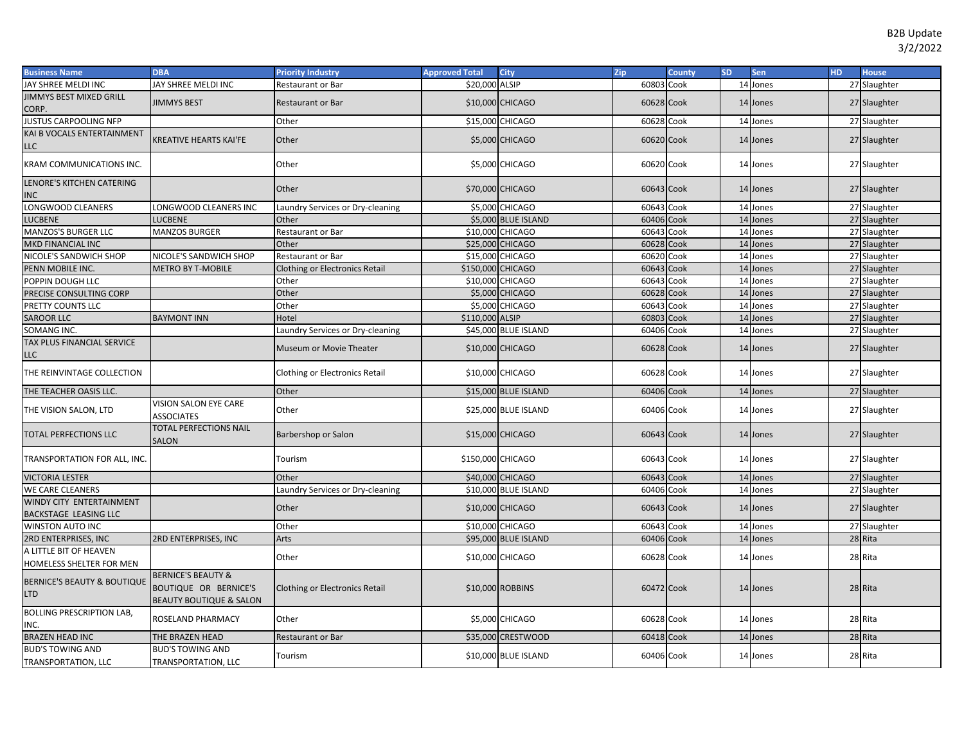| <b>Business Name</b>                              | <b>DBA</b>                                                                        | <b>Priority Industry</b>              | <b>Approved Total</b> | <b>City</b>          | Zip        | <b>County</b> | <b>SD</b> | <b>Sen</b> | HD. | <b>House</b> |
|---------------------------------------------------|-----------------------------------------------------------------------------------|---------------------------------------|-----------------------|----------------------|------------|---------------|-----------|------------|-----|--------------|
| JAY SHREE MELDI INC                               | JAY SHREE MELDI INC                                                               | Restaurant or Bar                     | \$20,000 ALSIP        |                      | 60803 Cook |               |           | 14 Jones   |     | 27 Slaughter |
| <b>IIMMYS BEST MIXED GRILL</b><br>CORP.           | <b>JIMMYS BEST</b>                                                                | <b>Restaurant or Bar</b>              |                       | \$10,000 CHICAGO     | 60628 Cook |               |           | 14 Jones   |     | 27 Slaughter |
| <b>JUSTUS CARPOOLING NFP</b>                      |                                                                                   | Other                                 |                       | \$15,000 CHICAGO     | 60628      | Cook          |           | 14 Jones   |     | 27 Slaughter |
| KAI B VOCALS ENTERTAINMENT<br>LLC                 | <b>KREATIVE HEARTS KAI'FE</b>                                                     | Other                                 |                       | \$5,000 CHICAGO      | 60620 Cook |               |           | 14 Jones   |     | 27 Slaughter |
| KRAM COMMUNICATIONS INC.                          |                                                                                   | Other                                 |                       | \$5,000 CHICAGO      | 60620 Cook |               |           | 14 Jones   |     | 27 Slaughter |
| LENORE'S KITCHEN CATERING                         |                                                                                   | Other                                 |                       | \$70,000 CHICAGO     | 60643 Cook |               |           | 14 Jones   |     | 27 Slaughter |
| INC                                               |                                                                                   |                                       |                       |                      |            |               |           |            |     |              |
| LONGWOOD CLEANERS                                 | LONGWOOD CLEANERS INC                                                             | Laundry Services or Dry-cleaning      |                       | \$5,000 CHICAGO      | 60643      | Cook          |           | 14 Jones   |     | 27 Slaughter |
| LUCBENE                                           | LUCBENE                                                                           | Other                                 |                       | \$5,000 BLUE ISLAND  | 60406      | Cook          |           | 14 Jones   |     | 27 Slaughter |
| <b>MANZOS'S BURGER LLC</b>                        | <b>MANZOS BURGER</b>                                                              | Restaurant or Bar                     |                       | \$10,000 CHICAGO     | 60643      | Cook          |           | 14 Jones   |     | 27 Slaughter |
| MKD FINANCIAL INC                                 |                                                                                   | Other                                 |                       | \$25,000 CHICAGO     | 60628      | Cook          |           | 14 Jones   |     | 27 Slaughter |
| NICOLE'S SANDWICH SHOP                            | NICOLE'S SANDWICH SHOP                                                            | Restaurant or Bar                     |                       | \$15,000 CHICAGO     | 60620      | Cook          |           | 14 Jones   |     | 27 Slaughter |
| PENN MOBILE INC.                                  | <b>METRO BY T-MOBILE</b>                                                          | <b>Clothing or Electronics Retail</b> | \$150,000 CHICAGO     |                      | 60643      | Cook          |           | 14 Jones   |     | 27 Slaughter |
| POPPIN DOUGH LLC                                  |                                                                                   | Other                                 |                       | \$10,000 CHICAGO     | 60643      | Cook          |           | 14 Jones   |     | 27 Slaughter |
| PRECISE CONSULTING CORP                           |                                                                                   | Other                                 |                       | \$5,000 CHICAGO      | 60628      | Cook          |           | 14 Jones   |     | 27 Slaughter |
| PRETTY COUNTS LLC                                 |                                                                                   | Other                                 |                       | \$5,000 CHICAGO      | 60643      | Cook          |           | 14 Jones   |     | 27 Slaughter |
| <b>SAROOR LLC</b>                                 | <b>BAYMONT INN</b>                                                                | Hotel                                 | \$110,000 ALSIP       |                      | 60803      | Cook          |           | 14 Jones   |     | 27 Slaughter |
| SOMANG INC.                                       |                                                                                   | aundry Services or Dry-cleaning       |                       | \$45,000 BLUE ISLAND | 60406      | Cook          |           | 14 Jones   |     | 27 Slaughter |
| <b>TAX PLUS FINANCIAL SERVICE</b><br>LLC          |                                                                                   | Museum or Movie Theater               |                       | \$10,000 CHICAGO     | 60628 Cook |               |           | 14 Jones   |     | 27 Slaughter |
| THE REINVINTAGE COLLECTION                        |                                                                                   | Clothing or Electronics Retail        |                       | \$10,000 CHICAGO     | 60628 Cook |               |           | 14 Jones   |     | 27 Slaughter |
| THE TEACHER OASIS LLC.                            |                                                                                   | Other                                 |                       | \$15,000 BLUE ISLAND | 60406 Cook |               |           | 14 Jones   |     | 27 Slaughter |
| THE VISION SALON, LTD                             | VISION SALON EYE CARE<br><b>ASSOCIATES</b>                                        | Other                                 |                       | \$25,000 BLUE ISLAND | 60406 Cook |               |           | 14 Jones   |     | 27 Slaughter |
| <b>TOTAL PERFECTIONS LLC</b>                      | <b>TOTAL PERFECTIONS NAIL</b><br><b>SALON</b>                                     | Barbershop or Salon                   |                       | \$15,000 CHICAGO     | 60643 Cook |               |           | 14 Jones   |     | 27 Slaughter |
| TRANSPORTATION FOR ALL, INC.                      |                                                                                   | Tourism                               | \$150,000 CHICAGO     |                      | 60643 Cook |               |           | 14 Jones   |     | 27 Slaughter |
| <b>VICTORIA LESTER</b>                            |                                                                                   | Other                                 |                       | \$40,000 CHICAGO     | 60643 Cook |               |           | 14 Jones   |     | 27 Slaughter |
| WE CARE CLEANERS                                  |                                                                                   | aundry Services or Dry-cleaning       |                       | \$10,000 BLUE ISLAND | 60406      | Cook          |           | 14 Jones   |     | 27 Slaughter |
| WINDY CITY ENTERTAINMENT<br>BACKSTAGE LEASING LLC |                                                                                   | Other                                 |                       | \$10,000 CHICAGO     | 60643 Cook |               |           | 14 Jones   |     | 27 Slaughter |
| WINSTON AUTO INC                                  |                                                                                   | Other                                 |                       | \$10,000 CHICAGO     | 60643 Cook |               |           | 14 Jones   |     | 27 Slaughter |
| 2RD ENTERPRISES, INC                              | <b>2RD ENTERPRISES, INC</b>                                                       | Arts                                  |                       | \$95,000 BLUE ISLAND | 60406      | Cook          |           | 14 Jones   |     | 28 Rita      |
| A LITTLE BIT OF HEAVEN                            |                                                                                   |                                       |                       |                      |            |               |           |            |     |              |
| HOMELESS SHELTER FOR MEN                          |                                                                                   | Other                                 |                       | \$10,000 CHICAGO     | 60628 Cook |               |           | 14 Jones   |     | 28 Rita      |
| BERNICE'S BEAUTY & BOUTIQUE<br>LTD                | BERNICE'S BEAUTY &<br>BOUTIQUE OR BERNICE'S<br><b>BEAUTY BOUTIQUE &amp; SALON</b> | <b>Clothing or Electronics Retail</b> |                       | \$10,000 ROBBINS     | 60472 Cook |               |           | 14 Jones   |     | 28 Rita      |
| <b>BOLLING PRESCRIPTION LAB,</b><br>INC.          | ROSELAND PHARMACY                                                                 | Other                                 |                       | \$5,000 CHICAGO      | 60628 Cook |               |           | 14 Jones   |     | 28 Rita      |
| <b>BRAZEN HEAD INC</b>                            | THE BRAZEN HEAD                                                                   | <b>Restaurant or Bar</b>              |                       | \$35,000 CRESTWOOD   | 60418 Cook |               |           | 14 Jones   |     | 28 Rita      |
| <b>BUD'S TOWING AND</b>                           | <b>BUD'S TOWING AND</b>                                                           |                                       |                       |                      |            |               |           |            |     |              |
| TRANSPORTATION, LLC                               | <b>TRANSPORTATION, LLC</b>                                                        | Tourism                               |                       | \$10,000 BLUE ISLAND | 60406 Cook |               |           | 14 Jones   |     | 28 Rita      |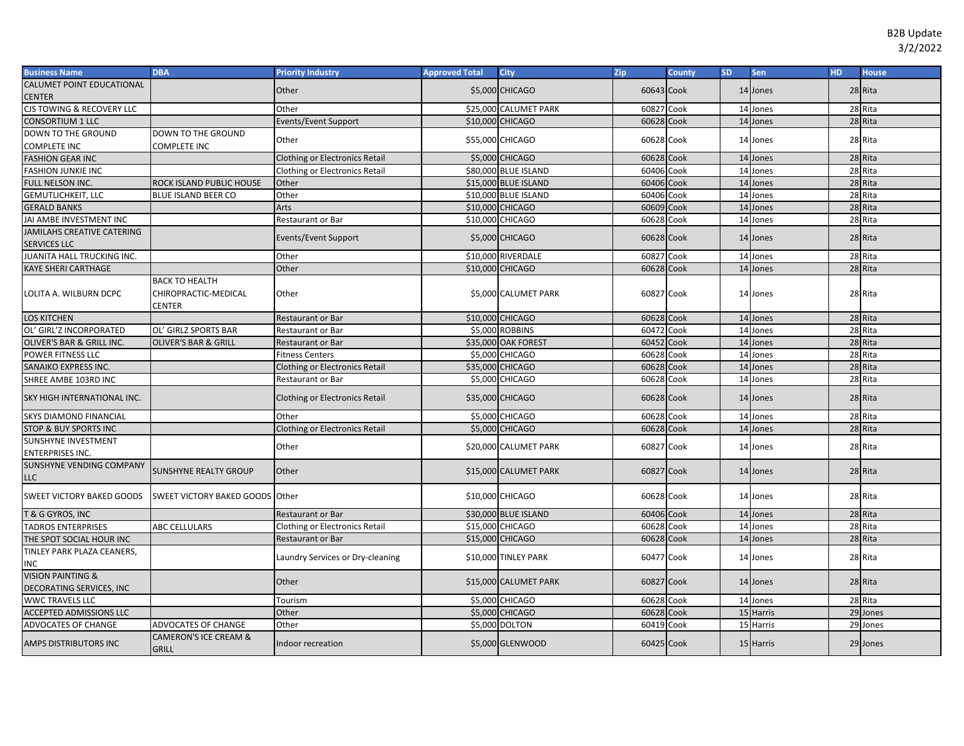| <b>Business Name</b>                                     | <b>DBA</b>                                              | <b>Priority Industry</b>              | <b>Approved Total</b> | <b>City</b>            | Zip        | County | <b>SD</b> | Sen       | HD. | <b>House</b> |
|----------------------------------------------------------|---------------------------------------------------------|---------------------------------------|-----------------------|------------------------|------------|--------|-----------|-----------|-----|--------------|
| CALUMET POINT EDUCATIONAL                                |                                                         | Other                                 |                       | \$5,000 CHICAGO        | 60643 Cook |        |           | 14 Jones  |     | 28 Rita      |
| <b>CENTER</b>                                            |                                                         |                                       |                       |                        |            |        |           |           |     |              |
| CJS TOWING & RECOVERY LLC                                |                                                         | Other                                 |                       | \$25,000 CALUMET PARK  | 60827      | Cook   |           | 14 Jones  |     | 28 Rita      |
| <b>CONSORTIUM 1 LLC</b>                                  |                                                         | <b>Events/Event Support</b>           |                       | \$10,000 CHICAGO       | 60628      | Cook   |           | 14 Jones  |     | 28 Rita      |
| DOWN TO THE GROUND                                       | DOWN TO THE GROUND                                      | Other                                 |                       | \$55,000 CHICAGO       | 60628 Cook |        |           | 14 Jones  |     | 28 Rita      |
| <b>COMPLETE INC</b>                                      | COMPLETE INC                                            |                                       |                       |                        |            |        |           |           |     |              |
| <b>FASHION GEAR INC</b>                                  |                                                         | <b>Clothing or Electronics Retail</b> |                       | \$5,000 CHICAGO        | 60628 Cook |        |           | 14 Jones  |     | 28 Rita      |
| <b>FASHION JUNKIE INC</b>                                |                                                         | <b>Clothing or Electronics Retail</b> |                       | \$80,000 BLUE ISLAND   | 60406      | Cook   |           | 14 Jones  |     | 28 Rita      |
| FULL NELSON INC.                                         | ROCK ISLAND PUBLIC HOUSE                                | Other                                 |                       | \$15,000 BLUE ISLAND   | 60406      | Cook   |           | 14 Jones  |     | 28 Rita      |
| <b>GEMUTLICHKEIT, LLC</b>                                | BLUE ISLAND BEER CO                                     | Other                                 |                       | \$10,000 BLUE ISLAND   | 60406      | Cook   |           | 14 Jones  |     | 28 Rita      |
| <b>GERALD BANKS</b>                                      |                                                         | Arts                                  |                       | \$10,000 CHICAGO       | 60609 Cook |        |           | 14 Jones  |     | 28 Rita      |
| JAI AMBE INVESTMENT INC                                  |                                                         | Restaurant or Bar                     |                       | \$10,000 CHICAGO       | 60628      | Cook   |           | 14 Jones  |     | 28 Rita      |
| JAMILAHS CREATIVE CATERING                               |                                                         | Events/Event Support                  |                       | \$5,000 CHICAGO        | 60628 Cook |        |           | 14 Jones  |     | 28 Rita      |
| <b>SERVICES LLC</b>                                      |                                                         |                                       |                       |                        |            |        |           |           |     |              |
| JUANITA HALL TRUCKING INC.                               |                                                         | Other                                 |                       | \$10,000 RIVERDALE     | 60827      | Cook   |           | 14 Jones  |     | 28 Rita      |
| <b>KAYE SHERI CARTHAGE</b>                               |                                                         | Other                                 |                       | \$10,000 CHICAGO       | 60628 Cook |        |           | 14 Jones  |     | 28 Rita      |
| LOLITA A. WILBURN DCPC                                   | <b>BACK TO HEALTH</b><br>CHIROPRACTIC-MEDICAL<br>CENTER | Other                                 |                       | \$5,000 CALUMET PARK   | 60827 Cook |        |           | 14 Jones  |     | 28 Rita      |
| <b>LOS KITCHEN</b>                                       |                                                         | <b>Restaurant or Bar</b>              |                       | \$10,000 CHICAGO       | 60628 Cook |        |           | 14 Jones  |     | 28 Rita      |
| OL' GIRL'Z INCORPORATED                                  | OL' GIRLZ SPORTS BAR                                    | Restaurant or Bar                     |                       | \$5,000 ROBBINS        | 60472      | Cook   |           | 14 Jones  |     | 28 Rita      |
| OLIVER'S BAR & GRILL INC.                                | <b>OLIVER'S BAR &amp; GRILL</b>                         | <b>Restaurant or Bar</b>              |                       | \$35,000 OAK FOREST    | 60452      | Cook   |           | 14 Jones  |     | 28 Rita      |
| POWER FITNESS LLC                                        |                                                         | <b>Fitness Centers</b>                |                       | \$5,000 CHICAGO        | 60628      | Cook   |           | 14 Jones  |     | 28 Rita      |
| SANAIKO EXPRESS INC.                                     |                                                         | <b>Clothing or Electronics Retail</b> |                       | \$35,000 CHICAGO       | 60628      | Cook   |           | 14 Jones  |     | 28 Rita      |
| SHREE AMBE 103RD INC                                     |                                                         | Restaurant or Bar                     |                       | \$5,000 CHICAGO        | 60628 Cook |        |           | 14 Jones  |     | 28 Rita      |
| SKY HIGH INTERNATIONAL INC.                              |                                                         | <b>Clothing or Electronics Retail</b> |                       | \$35,000 CHICAGO       | 60628 Cook |        |           | 14 Jones  |     | 28 Rita      |
| <b>SKYS DIAMOND FINANCIAL</b>                            |                                                         | Other                                 |                       | \$5,000 CHICAGO        | 60628      | Cook   |           | 14 Jones  |     | 28 Rita      |
| <b>STOP &amp; BUY SPORTS INC</b>                         |                                                         | <b>Clothing or Electronics Retail</b> |                       | <b>\$5,000 CHICAGO</b> | 60628 Cook |        |           | 14 Jones  |     | 28 Rita      |
| SUNSHYNE INVESTMENT<br><b>ENTERPRISES INC.</b>           |                                                         | Other                                 |                       | \$20,000 CALUMET PARK  | 60827 Cook |        |           | 14 Jones  |     | 28 Rita      |
| SUNSHYNE VENDING COMPANY<br><b>LLC</b>                   | <b>SUNSHYNE REALTY GROUP</b>                            | Other                                 |                       | \$15,000 CALUMET PARK  | 60827 Cook |        |           | 14 Jones  |     | 28 Rita      |
| SWEET VICTORY BAKED GOODS                                | SWEET VICTORY BAKED GOODS Other                         |                                       |                       | \$10,000 CHICAGO       | 60628 Cook |        |           | 14 Jones  |     | 28 Rita      |
| <b>T &amp; G GYROS, INC</b>                              |                                                         | Restaurant or Bar                     |                       | \$30,000 BLUE ISLAND   | 60406 Cook |        |           | 14 Jones  |     | 28 Rita      |
| <b>TADROS ENTERPRISES</b>                                | <b>ABC CELLULARS</b>                                    | <b>Clothing or Electronics Retail</b> |                       | \$15,000 CHICAGO       | 60628      | Cook   |           | 14 Jones  |     | 28 Rita      |
| THE SPOT SOCIAL HOUR INC                                 |                                                         | Restaurant or Bar                     |                       | \$15,000 CHICAGO       | 60628 Cook |        |           | 14 Jones  |     | 28 Rita      |
| TINLEY PARK PLAZA CEANERS,<br>INC                        |                                                         | Laundry Services or Dry-cleaning      |                       | \$10,000 TINLEY PARK   | 60477 Cook |        |           | 14 Jones  |     | 28 Rita      |
| <b>VISION PAINTING &amp;</b><br>DECORATING SERVICES, INC |                                                         | Other                                 |                       | \$15,000 CALUMET PARK  | 60827 Cook |        |           | 14 Jones  |     | 28 Rita      |
| <b>WWC TRAVELS LLC</b>                                   |                                                         | Tourism                               |                       | <b>\$5,000 CHICAGO</b> | 60628      | Cook   |           | 14 Jones  |     | 28 Rita      |
| ACCEPTED ADMISSIONS LLC                                  |                                                         | Other                                 |                       | \$5,000 CHICAGO        | 60628      | Cook   |           | 15 Harris |     | 29 Jones     |
| ADVOCATES OF CHANGE                                      | ADVOCATES OF CHANGE                                     | Other                                 |                       | \$5,000 DOLTON         | 60419      | Cook   |           | 15 Harris |     | 29 Jones     |
| AMPS DISTRIBUTORS INC                                    | <b>CAMERON'S ICE CREAM &amp;</b><br><b>GRILL</b>        | Indoor recreation                     |                       | \$5,000 GLENWOOD       | 60425 Cook |        |           | 15 Harris |     | 29 Jones     |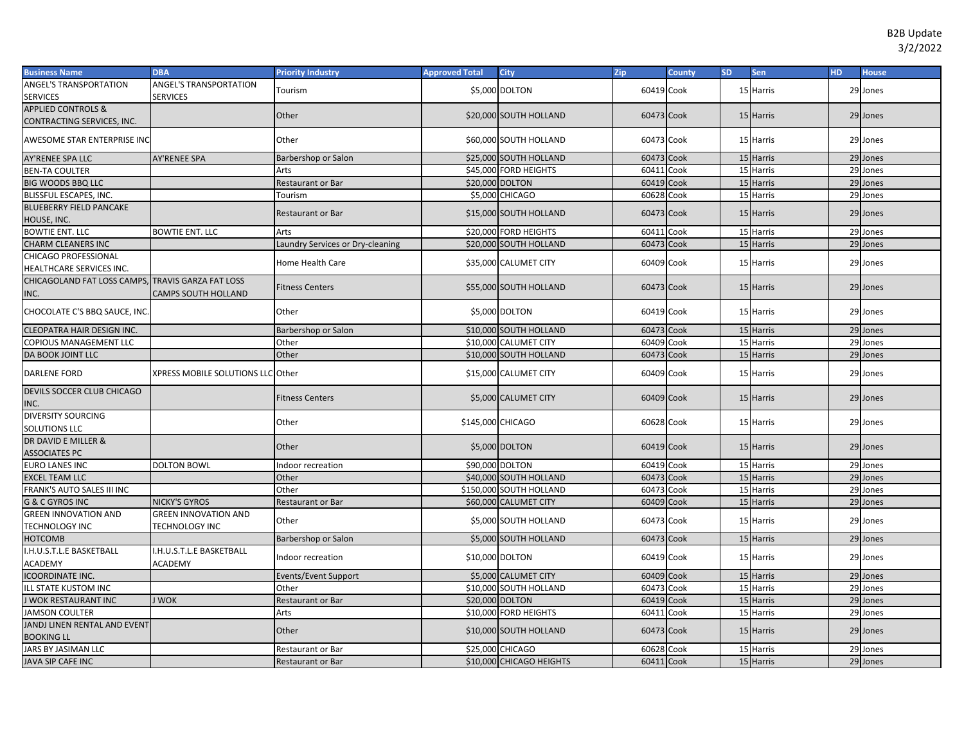| <b>ANGEL'S TRANSPORTATION</b><br>ANGEL'S TRANSPORTATION<br>\$5,000 DOLTON<br>60419 Cook<br>15 Harris<br>Tourism<br>29 Jones<br><b>SERVICES</b><br><b>SERVICES</b><br><b>APPLIED CONTROLS &amp;</b><br>Other<br>\$20,000 SOUTH HOLLAND<br>60473 Cook<br>15 Harris<br>29 Jones<br>CONTRACTING SERVICES, INC.<br>AWESOME STAR ENTERPRISE INC<br>Other<br>\$60,000 SOUTH HOLLAND<br>60473 Cook<br>15 Harris<br>29 Jones<br>AY'RENEE SPA LLC<br>\$25,000 SOUTH HOLLAND<br>60473<br>15 Harris<br>29 Jones<br>Cook<br><b>AY'RENEE SPA</b><br>Barbershop or Salon<br>60411<br>Cook<br>15 Harris<br>29 Jones<br><b>BEN-TA COULTER</b><br>\$45,000 FORD HEIGHTS<br>Arts<br>15 Harris<br>29 Jones<br><b>BIG WOODS BBQ LLC</b><br>Restaurant or Bar<br>\$20,000 DOLTON<br>60419<br>Cook<br>15 Harris<br>29 Jones<br>BLISSFUL ESCAPES, INC.<br>Tourism<br>\$5,000 CHICAGO<br>60628 Cook<br><b>BLUEBERRY FIELD PANCAKE</b><br>\$15,000 SOUTH HOLLAND<br>60473 Cook<br>Restaurant or Bar<br>15 Harris<br>29 Jones<br>HOUSE, INC.<br><b>BOWTIE ENT. LLC</b><br><b>BOWTIE ENT. LLC</b><br>Arts<br>\$20,000 FORD HEIGHTS<br>60411<br>Cook<br>15 Harris<br>29 Jones<br>60473 Cook<br>15 Harris<br>29 Jones<br><b>CHARM CLEANERS INC</b><br>Laundry Services or Dry-cleaning<br>\$20,000 SOUTH HOLLAND<br>CHICAGO PROFESSIONAL<br>\$35,000 CALUMET CITY<br>60409 Cook<br>29 Jones<br>Home Health Care<br>15 Harris<br>HEALTHCARE SERVICES INC.<br>CHICAGOLAND FAT LOSS CAMPS, TRAVIS GARZA FAT LOSS<br>60473 Cook<br>\$55,000 SOUTH HOLLAND<br>15 Harris<br>29 Jones | <b>Business Name</b> | <b>DBA</b> | <b>Priority Industry</b> | <b>Approved Total</b> | <b>City</b> | Zip | <b>County</b> | <b>SD</b> | <b>Sen</b> | HD. | <b>House</b> |
|--------------------------------------------------------------------------------------------------------------------------------------------------------------------------------------------------------------------------------------------------------------------------------------------------------------------------------------------------------------------------------------------------------------------------------------------------------------------------------------------------------------------------------------------------------------------------------------------------------------------------------------------------------------------------------------------------------------------------------------------------------------------------------------------------------------------------------------------------------------------------------------------------------------------------------------------------------------------------------------------------------------------------------------------------------------------------------------------------------------------------------------------------------------------------------------------------------------------------------------------------------------------------------------------------------------------------------------------------------------------------------------------------------------------------------------------------------------------------------------------------------------------------------------------------|----------------------|------------|--------------------------|-----------------------|-------------|-----|---------------|-----------|------------|-----|--------------|
|                                                                                                                                                                                                                                                                                                                                                                                                                                                                                                                                                                                                                                                                                                                                                                                                                                                                                                                                                                                                                                                                                                                                                                                                                                                                                                                                                                                                                                                                                                                                                  |                      |            |                          |                       |             |     |               |           |            |     |              |
|                                                                                                                                                                                                                                                                                                                                                                                                                                                                                                                                                                                                                                                                                                                                                                                                                                                                                                                                                                                                                                                                                                                                                                                                                                                                                                                                                                                                                                                                                                                                                  |                      |            |                          |                       |             |     |               |           |            |     |              |
|                                                                                                                                                                                                                                                                                                                                                                                                                                                                                                                                                                                                                                                                                                                                                                                                                                                                                                                                                                                                                                                                                                                                                                                                                                                                                                                                                                                                                                                                                                                                                  |                      |            |                          |                       |             |     |               |           |            |     |              |
|                                                                                                                                                                                                                                                                                                                                                                                                                                                                                                                                                                                                                                                                                                                                                                                                                                                                                                                                                                                                                                                                                                                                                                                                                                                                                                                                                                                                                                                                                                                                                  |                      |            |                          |                       |             |     |               |           |            |     |              |
|                                                                                                                                                                                                                                                                                                                                                                                                                                                                                                                                                                                                                                                                                                                                                                                                                                                                                                                                                                                                                                                                                                                                                                                                                                                                                                                                                                                                                                                                                                                                                  |                      |            |                          |                       |             |     |               |           |            |     |              |
|                                                                                                                                                                                                                                                                                                                                                                                                                                                                                                                                                                                                                                                                                                                                                                                                                                                                                                                                                                                                                                                                                                                                                                                                                                                                                                                                                                                                                                                                                                                                                  |                      |            |                          |                       |             |     |               |           |            |     |              |
|                                                                                                                                                                                                                                                                                                                                                                                                                                                                                                                                                                                                                                                                                                                                                                                                                                                                                                                                                                                                                                                                                                                                                                                                                                                                                                                                                                                                                                                                                                                                                  |                      |            |                          |                       |             |     |               |           |            |     |              |
|                                                                                                                                                                                                                                                                                                                                                                                                                                                                                                                                                                                                                                                                                                                                                                                                                                                                                                                                                                                                                                                                                                                                                                                                                                                                                                                                                                                                                                                                                                                                                  |                      |            |                          |                       |             |     |               |           |            |     |              |
|                                                                                                                                                                                                                                                                                                                                                                                                                                                                                                                                                                                                                                                                                                                                                                                                                                                                                                                                                                                                                                                                                                                                                                                                                                                                                                                                                                                                                                                                                                                                                  |                      |            |                          |                       |             |     |               |           |            |     |              |
|                                                                                                                                                                                                                                                                                                                                                                                                                                                                                                                                                                                                                                                                                                                                                                                                                                                                                                                                                                                                                                                                                                                                                                                                                                                                                                                                                                                                                                                                                                                                                  |                      |            |                          |                       |             |     |               |           |            |     |              |
|                                                                                                                                                                                                                                                                                                                                                                                                                                                                                                                                                                                                                                                                                                                                                                                                                                                                                                                                                                                                                                                                                                                                                                                                                                                                                                                                                                                                                                                                                                                                                  |                      |            |                          |                       |             |     |               |           |            |     |              |
|                                                                                                                                                                                                                                                                                                                                                                                                                                                                                                                                                                                                                                                                                                                                                                                                                                                                                                                                                                                                                                                                                                                                                                                                                                                                                                                                                                                                                                                                                                                                                  |                      |            |                          |                       |             |     |               |           |            |     |              |
|                                                                                                                                                                                                                                                                                                                                                                                                                                                                                                                                                                                                                                                                                                                                                                                                                                                                                                                                                                                                                                                                                                                                                                                                                                                                                                                                                                                                                                                                                                                                                  |                      |            |                          |                       |             |     |               |           |            |     |              |
|                                                                                                                                                                                                                                                                                                                                                                                                                                                                                                                                                                                                                                                                                                                                                                                                                                                                                                                                                                                                                                                                                                                                                                                                                                                                                                                                                                                                                                                                                                                                                  |                      |            |                          |                       |             |     |               |           |            |     |              |
|                                                                                                                                                                                                                                                                                                                                                                                                                                                                                                                                                                                                                                                                                                                                                                                                                                                                                                                                                                                                                                                                                                                                                                                                                                                                                                                                                                                                                                                                                                                                                  |                      |            |                          |                       |             |     |               |           |            |     |              |
|                                                                                                                                                                                                                                                                                                                                                                                                                                                                                                                                                                                                                                                                                                                                                                                                                                                                                                                                                                                                                                                                                                                                                                                                                                                                                                                                                                                                                                                                                                                                                  |                      |            | <b>Fitness Centers</b>   |                       |             |     |               |           |            |     |              |
| <b>CAMPS SOUTH HOLLAND</b><br>INC.                                                                                                                                                                                                                                                                                                                                                                                                                                                                                                                                                                                                                                                                                                                                                                                                                                                                                                                                                                                                                                                                                                                                                                                                                                                                                                                                                                                                                                                                                                               |                      |            |                          |                       |             |     |               |           |            |     |              |
| CHOCOLATE C'S BBQ SAUCE, INC.<br>Other<br>\$5,000 DOLTON<br>60419 Cook<br>15 Harris<br>29 Jones                                                                                                                                                                                                                                                                                                                                                                                                                                                                                                                                                                                                                                                                                                                                                                                                                                                                                                                                                                                                                                                                                                                                                                                                                                                                                                                                                                                                                                                  |                      |            |                          |                       |             |     |               |           |            |     |              |
| 15 Harris<br><b>CLEOPATRA HAIR DESIGN INC.</b><br>\$10,000 SOUTH HOLLAND<br>60473 Cook<br>29 Jones<br>Barbershop or Salon                                                                                                                                                                                                                                                                                                                                                                                                                                                                                                                                                                                                                                                                                                                                                                                                                                                                                                                                                                                                                                                                                                                                                                                                                                                                                                                                                                                                                        |                      |            |                          |                       |             |     |               |           |            |     |              |
| 29 Jones<br>Other<br>\$10,000 CALUMET CITY<br>60409<br>Cook<br>15 Harris<br><b>COPIOUS MANAGEMENT LLC</b>                                                                                                                                                                                                                                                                                                                                                                                                                                                                                                                                                                                                                                                                                                                                                                                                                                                                                                                                                                                                                                                                                                                                                                                                                                                                                                                                                                                                                                        |                      |            |                          |                       |             |     |               |           |            |     |              |
| \$10,000 SOUTH HOLLAND<br>15 Harris<br>29 Jones<br>Other<br>60473 Cook<br>DA BOOK JOINT LLC                                                                                                                                                                                                                                                                                                                                                                                                                                                                                                                                                                                                                                                                                                                                                                                                                                                                                                                                                                                                                                                                                                                                                                                                                                                                                                                                                                                                                                                      |                      |            |                          |                       |             |     |               |           |            |     |              |
| <b>DARLENE FORD</b><br>XPRESS MOBILE SOLUTIONS LLC Other<br>\$15,000 CALUMET CITY<br>60409 Cook<br>15 Harris<br>29 Jones                                                                                                                                                                                                                                                                                                                                                                                                                                                                                                                                                                                                                                                                                                                                                                                                                                                                                                                                                                                                                                                                                                                                                                                                                                                                                                                                                                                                                         |                      |            |                          |                       |             |     |               |           |            |     |              |
| <b>DEVILS SOCCER CLUB CHICAGO</b><br><b>Fitness Centers</b><br>\$5,000 CALUMET CITY<br>60409 Cook<br>15 Harris<br>29 Jones<br>INC.                                                                                                                                                                                                                                                                                                                                                                                                                                                                                                                                                                                                                                                                                                                                                                                                                                                                                                                                                                                                                                                                                                                                                                                                                                                                                                                                                                                                               |                      |            |                          |                       |             |     |               |           |            |     |              |
| <b>DIVERSITY SOURCING</b>                                                                                                                                                                                                                                                                                                                                                                                                                                                                                                                                                                                                                                                                                                                                                                                                                                                                                                                                                                                                                                                                                                                                                                                                                                                                                                                                                                                                                                                                                                                        |                      |            |                          |                       |             |     |               |           |            |     |              |
| \$145,000 CHICAGO<br>60628 Cook<br>15 Harris<br>Other<br>29 Jones<br>SOLUTIONS LLC                                                                                                                                                                                                                                                                                                                                                                                                                                                                                                                                                                                                                                                                                                                                                                                                                                                                                                                                                                                                                                                                                                                                                                                                                                                                                                                                                                                                                                                               |                      |            |                          |                       |             |     |               |           |            |     |              |
| DR DAVID E MILLER &                                                                                                                                                                                                                                                                                                                                                                                                                                                                                                                                                                                                                                                                                                                                                                                                                                                                                                                                                                                                                                                                                                                                                                                                                                                                                                                                                                                                                                                                                                                              |                      |            |                          |                       |             |     |               |           |            |     |              |
| \$5,000 DOLTON<br>60419 Cook<br>15 Harris<br>29 Jones<br>Other<br><b>ASSOCIATES PC</b>                                                                                                                                                                                                                                                                                                                                                                                                                                                                                                                                                                                                                                                                                                                                                                                                                                                                                                                                                                                                                                                                                                                                                                                                                                                                                                                                                                                                                                                           |                      |            |                          |                       |             |     |               |           |            |     |              |
| \$90,000 DOLTON<br>29 Jones<br><b>EURO LANES INC</b><br>60419<br>Cook<br>15 Harris<br><b>DOLTON BOWL</b><br>Indoor recreation                                                                                                                                                                                                                                                                                                                                                                                                                                                                                                                                                                                                                                                                                                                                                                                                                                                                                                                                                                                                                                                                                                                                                                                                                                                                                                                                                                                                                    |                      |            |                          |                       |             |     |               |           |            |     |              |
| <b>EXCEL TEAM LLC</b><br>\$40,000 SOUTH HOLLAND<br>60473<br>Cook<br>15 Harris<br>29 Jones<br>Other                                                                                                                                                                                                                                                                                                                                                                                                                                                                                                                                                                                                                                                                                                                                                                                                                                                                                                                                                                                                                                                                                                                                                                                                                                                                                                                                                                                                                                               |                      |            |                          |                       |             |     |               |           |            |     |              |
| Other<br>FRANK'S AUTO SALES III INC<br>\$150,000 SOUTH HOLLAND<br>60473<br>Cook<br>15 Harris<br>29 Jones                                                                                                                                                                                                                                                                                                                                                                                                                                                                                                                                                                                                                                                                                                                                                                                                                                                                                                                                                                                                                                                                                                                                                                                                                                                                                                                                                                                                                                         |                      |            |                          |                       |             |     |               |           |            |     |              |
| 60409<br>15 Harris<br>29 Jones<br><b>G &amp; C GYROS INC</b><br><b>NICKY'S GYROS</b><br>Restaurant or Bar<br>\$60,000 CALUMET CITY<br>Cook                                                                                                                                                                                                                                                                                                                                                                                                                                                                                                                                                                                                                                                                                                                                                                                                                                                                                                                                                                                                                                                                                                                                                                                                                                                                                                                                                                                                       |                      |            |                          |                       |             |     |               |           |            |     |              |
| <b>GREEN INNOVATION AND</b><br><b>GREEN INNOVATION AND</b>                                                                                                                                                                                                                                                                                                                                                                                                                                                                                                                                                                                                                                                                                                                                                                                                                                                                                                                                                                                                                                                                                                                                                                                                                                                                                                                                                                                                                                                                                       |                      |            |                          |                       |             |     |               |           |            |     |              |
| \$5,000 SOUTH HOLLAND<br>60473 Cook<br>15 Harris<br>29 Jones<br>Other<br><b>TECHNOLOGY INC</b><br>TECHNOLOGY INC                                                                                                                                                                                                                                                                                                                                                                                                                                                                                                                                                                                                                                                                                                                                                                                                                                                                                                                                                                                                                                                                                                                                                                                                                                                                                                                                                                                                                                 |                      |            |                          |                       |             |     |               |           |            |     |              |
| \$5,000 SOUTH HOLLAND<br><b>HOTCOMB</b><br>Barbershop or Salon<br>60473 Cook<br>15 Harris<br>29 Jones                                                                                                                                                                                                                                                                                                                                                                                                                                                                                                                                                                                                                                                                                                                                                                                                                                                                                                                                                                                                                                                                                                                                                                                                                                                                                                                                                                                                                                            |                      |            |                          |                       |             |     |               |           |            |     |              |
| I.H.U.S.T.L.E BASKETBALL<br>I.H.U.S.T.L.E BASKETBALL                                                                                                                                                                                                                                                                                                                                                                                                                                                                                                                                                                                                                                                                                                                                                                                                                                                                                                                                                                                                                                                                                                                                                                                                                                                                                                                                                                                                                                                                                             |                      |            |                          |                       |             |     |               |           |            |     |              |
| \$10,000 DOLTON<br>60419 Cook<br>15 Harris<br>29 Jones<br>Indoor recreation<br><b>ACADEMY</b><br>ACADEMY                                                                                                                                                                                                                                                                                                                                                                                                                                                                                                                                                                                                                                                                                                                                                                                                                                                                                                                                                                                                                                                                                                                                                                                                                                                                                                                                                                                                                                         |                      |            |                          |                       |             |     |               |           |            |     |              |
| 60409 Cook<br>15 Harris<br>29 Jones<br><b>ICOORDINATE INC.</b><br>\$5,000 CALUMET CITY<br>Events/Event Support                                                                                                                                                                                                                                                                                                                                                                                                                                                                                                                                                                                                                                                                                                                                                                                                                                                                                                                                                                                                                                                                                                                                                                                                                                                                                                                                                                                                                                   |                      |            |                          |                       |             |     |               |           |            |     |              |
| \$10,000 SOUTH HOLLAND<br>15 Harris<br>ILL STATE KUSTOM INC<br>Other<br>60473 Cook<br>29 Jones                                                                                                                                                                                                                                                                                                                                                                                                                                                                                                                                                                                                                                                                                                                                                                                                                                                                                                                                                                                                                                                                                                                                                                                                                                                                                                                                                                                                                                                   |                      |            |                          |                       |             |     |               |           |            |     |              |
| J WOK RESTAURANT INC<br><b>JWOK</b><br>\$20,000 DOLTON<br>60419 Cook<br>15 Harris<br>29 Jones<br>Restaurant or Bar                                                                                                                                                                                                                                                                                                                                                                                                                                                                                                                                                                                                                                                                                                                                                                                                                                                                                                                                                                                                                                                                                                                                                                                                                                                                                                                                                                                                                               |                      |            |                          |                       |             |     |               |           |            |     |              |
| \$10,000 FORD HEIGHTS<br>29 Jones<br><b>JAMSON COULTER</b><br>Arts<br>60411 Cook<br>15 Harris                                                                                                                                                                                                                                                                                                                                                                                                                                                                                                                                                                                                                                                                                                                                                                                                                                                                                                                                                                                                                                                                                                                                                                                                                                                                                                                                                                                                                                                    |                      |            |                          |                       |             |     |               |           |            |     |              |
| JANDJ LINEN RENTAL AND EVENT<br>\$10,000 SOUTH HOLLAND<br>60473 Cook<br>29 Jones<br>Other<br>15 Harris<br><b>BOOKING LL</b>                                                                                                                                                                                                                                                                                                                                                                                                                                                                                                                                                                                                                                                                                                                                                                                                                                                                                                                                                                                                                                                                                                                                                                                                                                                                                                                                                                                                                      |                      |            |                          |                       |             |     |               |           |            |     |              |
| JARS BY JASIMAN LLC<br>\$25,000 CHICAGO<br>60628 Cook<br>15 Harris<br>29 Jones<br><b>Restaurant or Bar</b>                                                                                                                                                                                                                                                                                                                                                                                                                                                                                                                                                                                                                                                                                                                                                                                                                                                                                                                                                                                                                                                                                                                                                                                                                                                                                                                                                                                                                                       |                      |            |                          |                       |             |     |               |           |            |     |              |
| <b>JAVA SIP CAFE INC</b><br>\$10,000 CHICAGO HEIGHTS<br>60411 Cook<br>15 Harris<br>29 Jones<br>Restaurant or Bar                                                                                                                                                                                                                                                                                                                                                                                                                                                                                                                                                                                                                                                                                                                                                                                                                                                                                                                                                                                                                                                                                                                                                                                                                                                                                                                                                                                                                                 |                      |            |                          |                       |             |     |               |           |            |     |              |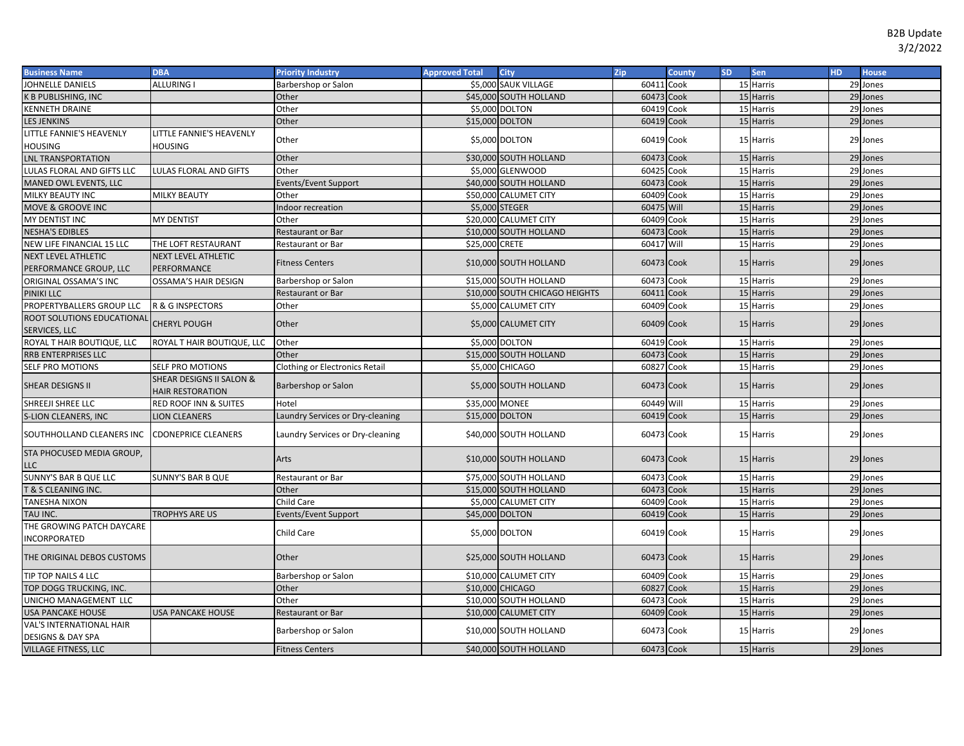| \$5,000 SAUK VILLAGE<br>JOHNELLE DANIELS<br><b>ALLURING</b><br>60411<br>15 Harris<br>29 Jones<br>Barbershop or Salon<br>Cook<br>60473<br>15 Harris<br>29 Jones<br>K B PUBLISHING, INC<br>Other<br>\$45,000 SOUTH HOLLAND<br>Cook<br>Other<br>KENNETH DRAINE<br>\$5,000 DOLTON<br>60419<br>Cook<br>15 Harris<br>29 Jones<br><b>LES JENKINS</b><br>Other<br>\$15,000 DOLTON<br>60419<br>Cook<br>15 Harris<br>29 Jones<br>LITTLE FANNIE'S HEAVENLY<br>LITTLE FANNIE'S HEAVENLY<br>\$5,000 DOLTON<br>60419 Cook<br>Other<br>15 Harris<br>29 Jones<br><b>HOUSING</b><br>HOUSING<br>Other<br>\$30,000 SOUTH HOLLAND<br>60473<br>15 Harris<br>Cook<br>29 Jones<br><b>LNL TRANSPORTATION</b><br>Other<br>\$5,000 GLENWOOD<br>60425<br>Cook<br>15 Harris<br>29 Jones<br>LULAS FLORAL AND GIFTS LLC<br>LULAS FLORAL AND GIFTS<br>60473 Cook<br>15 Harris<br>29 Jones<br>MANED OWL EVENTS, LLC<br>\$40,000 SOUTH HOLLAND<br>Events/Event Support<br>MILKY BEAUTY INC<br><b>MILKY BEAUTY</b><br>Other<br>\$50,000 CALUMET CITY<br>60409<br>Cook<br>15 Harris<br>29 Jones<br>60475<br>15 Harris<br>29 Jones<br>MOVE & GROOVE INC<br>\$5,000 STEGER<br>Will<br>Indoor recreation<br>MY DENTIST<br>Other<br>\$20,000 CALUMET CITY<br>60409<br>Cook<br>15 Harris<br>29 Jones<br>MY DENTIST INC<br>15 Harris<br><b>NESHA'S EDIBLES</b><br>\$10,000 SOUTH HOLLAND<br>60473<br>Cook<br>29 Jones<br>Restaurant or Bar<br>Will<br>\$25,000 CRETE<br>60417<br>15 Harris<br>29 Jones<br>NEW LIFE FINANCIAL 15 LLC<br>Restaurant or Bar<br>THE LOFT RESTAURANT<br><b>NEXT LEVEL ATHLETIC</b><br><b>NEXT LEVEL ATHLETIC</b><br>\$10,000 SOUTH HOLLAND<br>60473 Cook<br>15 Harris<br><b>Fitness Centers</b><br>29 Jones<br>PERFORMANCE GROUP, LLC<br>PERFORMANCE<br>ORIGINAL OSSAMA'S INC<br>\$15,000 SOUTH HOLLAND<br>15 Harris<br>OSSAMA'S HAIR DESIGN<br>60473<br>Cook<br>29 Jones<br>Barbershop or Salon<br>15 Harris<br>PINIKI LLC<br>60411<br>Cook<br>29 Jones<br>\$10,000 SOUTH CHICAGO HEIGHTS<br>Restaurant or Bar<br>PROPERTYBALLERS GROUP LLC<br>15 Harris<br>R & G INSPECTORS<br>Other<br>\$5,000 CALUMET CITY<br>60409<br>Cook<br>29 Jones<br>ROOT SOLUTIONS EDUCATIONAL<br><b>CHERYL POUGH</b><br>Other<br>60409 Cook<br>\$5,000 CALUMET CITY<br>15 Harris<br>29 Jones<br>SERVICES, LLC<br>\$5,000 DOLTON<br>60419 Cook<br>15 Harris<br>29 Jones<br>ROYAL T HAIR BOUTIQUE, LLC<br>Other<br>ROYAL T HAIR BOUTIQUE, LLC<br>\$15,000 SOUTH HOLLAND<br>60473<br>Cook<br>15 Harris<br>29 Jones<br>RRB ENTERPRISES LLC<br>Other<br>Clothing or Electronics Retail<br>60827<br>15 Harris<br>29 Jones<br>SELF PRO MOTIONS<br>\$5,000 CHICAGO<br>Cook<br>SELF PRO MOTIONS<br>SHEAR DESIGNS II SALON &<br>SHEAR DESIGNS II<br>\$5,000 SOUTH HOLLAND<br>60473 Cook<br>Barbershop or Salon<br>15 Harris<br>29 Jones<br><b>HAIR RESTORATION</b><br>60449 Will<br>SHREEJI SHREE LLC<br><b>RED ROOF INN &amp; SUITES</b><br>Hotel<br>\$35,000 MONEE<br>15 Harris<br>29 Jones<br>60419<br>15 Harris<br>29 Jones<br><b>S-LION CLEANERS, INC</b><br><b>JON CLEANERS</b><br>\$15,000 DOLTON<br>Cook<br>Laundry Services or Dry-cleaning<br>SOUTHHOLLAND CLEANERS INC<br><b>CDONEPRICE CLEANERS</b><br>\$40,000 SOUTH HOLLAND<br>60473 Cook<br>15 Harris<br>Laundry Services or Dry-cleaning<br>29 Jones<br>STA PHOCUSED MEDIA GROUP,<br>60473 Cook<br>\$10,000 SOUTH HOLLAND<br>15 Harris<br>Arts<br>29 Jones<br>LLC<br>\$75,000 SOUTH HOLLAND<br>60473<br>Cook<br>SUNNY'S BAR B QUE LLC<br>SUNNY'S BAR B QUE<br>15 Harris<br>29 Jones<br>Restaurant or Bar<br>\$15,000 SOUTH HOLLAND<br>60473<br>15 Harris<br>29 Jones<br>T & S CLEANING INC.<br>Other<br>Cook<br><b>TANESHA NIXON</b><br>Child Care<br>\$5,000 CALUMET CITY<br>60409<br>15 Harris<br>29 Jones<br>Cook<br>60419<br>15 Harris<br>29 Jones<br>TAU INC.<br><b>TROPHYS ARE US</b><br>\$45,000 DOLTON<br>Cook<br>Events/Event Support<br>THE GROWING PATCH DAYCARE<br>\$5,000 DOLTON<br>60419 Cook<br>Child Care<br>15 Harris<br>29 Jones<br>INCORPORATED<br>THE ORIGINAL DEBOS CUSTOMS<br>Other<br>\$25,000 SOUTH HOLLAND<br>60473 Cook<br>15 Harris<br>29 Jones<br>\$10,000 CALUMET CITY<br>60409<br>Cook<br>29 Jones<br>TIP TOP NAILS 4 LLC<br>Barbershop or Salon<br>15 Harris<br>60827<br>Cook<br>15 Harris<br>29 Jones<br>TOP DOGG TRUCKING, INC.<br>Other<br>\$10,000 CHICAGO<br>\$10,000 SOUTH HOLLAND<br>UNICHO MANAGEMENT LLC<br>Other<br>60473<br>Cook<br>15 Harris<br>29 Jones<br>60409<br>15 Harris<br>29 Jones<br>USA PANCAKE HOUSE<br><b>USA PANCAKE HOUSE</b><br>\$10,000 CALUMET CITY<br>Restaurant or Bar<br>Cook<br>VAL'S INTERNATIONAL HAIR<br>\$10,000 SOUTH HOLLAND<br>60473 Cook<br>Barbershop or Salon<br>15 Harris<br>29 Jones<br><b>DESIGNS &amp; DAY SPA</b><br>\$40,000 SOUTH HOLLAND<br>15 Harris<br><b>Fitness Centers</b><br>60473 Cook<br>29 Jones<br>VILLAGE FITNESS, LLC | <b>Business Name</b> | <b>DBA</b> | <b>Priority Industry</b> | <b>Approved Total</b> | <b>City</b> | Zip | <b>County</b> | <b>SD</b> | Sen | <b>HD</b> | <b>House</b> |
|-----------------------------------------------------------------------------------------------------------------------------------------------------------------------------------------------------------------------------------------------------------------------------------------------------------------------------------------------------------------------------------------------------------------------------------------------------------------------------------------------------------------------------------------------------------------------------------------------------------------------------------------------------------------------------------------------------------------------------------------------------------------------------------------------------------------------------------------------------------------------------------------------------------------------------------------------------------------------------------------------------------------------------------------------------------------------------------------------------------------------------------------------------------------------------------------------------------------------------------------------------------------------------------------------------------------------------------------------------------------------------------------------------------------------------------------------------------------------------------------------------------------------------------------------------------------------------------------------------------------------------------------------------------------------------------------------------------------------------------------------------------------------------------------------------------------------------------------------------------------------------------------------------------------------------------------------------------------------------------------------------------------------------------------------------------------------------------------------------------------------------------------------------------------------------------------------------------------------------------------------------------------------------------------------------------------------------------------------------------------------------------------------------------------------------------------------------------------------------------------------------------------------------------------------------------------------------------------------------------------------------------------------------------------------------------------------------------------------------------------------------------------------------------------------------------------------------------------------------------------------------------------------------------------------------------------------------------------------------------------------------------------------------------------------------------------------------------------------------------------------------------------------------------------------------------------------------------------------------------------------------------------------------------------------------------------------------------------------------------------------------------------------------------------------------------------------------------------------------------------------------------------------------------------------------------------------------------------------------------------------------------------------------------------------------------------------------------------------------------------------------------------------------------------------------------------------------------------------------------------------------------------------------------------------------------------------------------------------------------------------------------------------------------------------------------------------------------------------------------------------------------------------------------------------------------------------------------------------------------------------------------------------------------------------------------------------------------------------------------------------------------------------------------------------------------------------------------------------------------------------------------------------------------------------------------------------------------------------------------------------------------------------------------------------------------------------------------------------------------------------------------------------------------------------------------------------------------------|----------------------|------------|--------------------------|-----------------------|-------------|-----|---------------|-----------|-----|-----------|--------------|
|                                                                                                                                                                                                                                                                                                                                                                                                                                                                                                                                                                                                                                                                                                                                                                                                                                                                                                                                                                                                                                                                                                                                                                                                                                                                                                                                                                                                                                                                                                                                                                                                                                                                                                                                                                                                                                                                                                                                                                                                                                                                                                                                                                                                                                                                                                                                                                                                                                                                                                                                                                                                                                                                                                                                                                                                                                                                                                                                                                                                                                                                                                                                                                                                                                                                                                                                                                                                                                                                                                                                                                                                                                                                                                                                                                                                                                                                                                                                                                                                                                                                                                                                                                                                                                                                                                                                                                                                                                                                                                                                                                                                                                                                                                                                                                                                                                         |                      |            |                          |                       |             |     |               |           |     |           |              |
|                                                                                                                                                                                                                                                                                                                                                                                                                                                                                                                                                                                                                                                                                                                                                                                                                                                                                                                                                                                                                                                                                                                                                                                                                                                                                                                                                                                                                                                                                                                                                                                                                                                                                                                                                                                                                                                                                                                                                                                                                                                                                                                                                                                                                                                                                                                                                                                                                                                                                                                                                                                                                                                                                                                                                                                                                                                                                                                                                                                                                                                                                                                                                                                                                                                                                                                                                                                                                                                                                                                                                                                                                                                                                                                                                                                                                                                                                                                                                                                                                                                                                                                                                                                                                                                                                                                                                                                                                                                                                                                                                                                                                                                                                                                                                                                                                                         |                      |            |                          |                       |             |     |               |           |     |           |              |
|                                                                                                                                                                                                                                                                                                                                                                                                                                                                                                                                                                                                                                                                                                                                                                                                                                                                                                                                                                                                                                                                                                                                                                                                                                                                                                                                                                                                                                                                                                                                                                                                                                                                                                                                                                                                                                                                                                                                                                                                                                                                                                                                                                                                                                                                                                                                                                                                                                                                                                                                                                                                                                                                                                                                                                                                                                                                                                                                                                                                                                                                                                                                                                                                                                                                                                                                                                                                                                                                                                                                                                                                                                                                                                                                                                                                                                                                                                                                                                                                                                                                                                                                                                                                                                                                                                                                                                                                                                                                                                                                                                                                                                                                                                                                                                                                                                         |                      |            |                          |                       |             |     |               |           |     |           |              |
|                                                                                                                                                                                                                                                                                                                                                                                                                                                                                                                                                                                                                                                                                                                                                                                                                                                                                                                                                                                                                                                                                                                                                                                                                                                                                                                                                                                                                                                                                                                                                                                                                                                                                                                                                                                                                                                                                                                                                                                                                                                                                                                                                                                                                                                                                                                                                                                                                                                                                                                                                                                                                                                                                                                                                                                                                                                                                                                                                                                                                                                                                                                                                                                                                                                                                                                                                                                                                                                                                                                                                                                                                                                                                                                                                                                                                                                                                                                                                                                                                                                                                                                                                                                                                                                                                                                                                                                                                                                                                                                                                                                                                                                                                                                                                                                                                                         |                      |            |                          |                       |             |     |               |           |     |           |              |
|                                                                                                                                                                                                                                                                                                                                                                                                                                                                                                                                                                                                                                                                                                                                                                                                                                                                                                                                                                                                                                                                                                                                                                                                                                                                                                                                                                                                                                                                                                                                                                                                                                                                                                                                                                                                                                                                                                                                                                                                                                                                                                                                                                                                                                                                                                                                                                                                                                                                                                                                                                                                                                                                                                                                                                                                                                                                                                                                                                                                                                                                                                                                                                                                                                                                                                                                                                                                                                                                                                                                                                                                                                                                                                                                                                                                                                                                                                                                                                                                                                                                                                                                                                                                                                                                                                                                                                                                                                                                                                                                                                                                                                                                                                                                                                                                                                         |                      |            |                          |                       |             |     |               |           |     |           |              |
|                                                                                                                                                                                                                                                                                                                                                                                                                                                                                                                                                                                                                                                                                                                                                                                                                                                                                                                                                                                                                                                                                                                                                                                                                                                                                                                                                                                                                                                                                                                                                                                                                                                                                                                                                                                                                                                                                                                                                                                                                                                                                                                                                                                                                                                                                                                                                                                                                                                                                                                                                                                                                                                                                                                                                                                                                                                                                                                                                                                                                                                                                                                                                                                                                                                                                                                                                                                                                                                                                                                                                                                                                                                                                                                                                                                                                                                                                                                                                                                                                                                                                                                                                                                                                                                                                                                                                                                                                                                                                                                                                                                                                                                                                                                                                                                                                                         |                      |            |                          |                       |             |     |               |           |     |           |              |
|                                                                                                                                                                                                                                                                                                                                                                                                                                                                                                                                                                                                                                                                                                                                                                                                                                                                                                                                                                                                                                                                                                                                                                                                                                                                                                                                                                                                                                                                                                                                                                                                                                                                                                                                                                                                                                                                                                                                                                                                                                                                                                                                                                                                                                                                                                                                                                                                                                                                                                                                                                                                                                                                                                                                                                                                                                                                                                                                                                                                                                                                                                                                                                                                                                                                                                                                                                                                                                                                                                                                                                                                                                                                                                                                                                                                                                                                                                                                                                                                                                                                                                                                                                                                                                                                                                                                                                                                                                                                                                                                                                                                                                                                                                                                                                                                                                         |                      |            |                          |                       |             |     |               |           |     |           |              |
|                                                                                                                                                                                                                                                                                                                                                                                                                                                                                                                                                                                                                                                                                                                                                                                                                                                                                                                                                                                                                                                                                                                                                                                                                                                                                                                                                                                                                                                                                                                                                                                                                                                                                                                                                                                                                                                                                                                                                                                                                                                                                                                                                                                                                                                                                                                                                                                                                                                                                                                                                                                                                                                                                                                                                                                                                                                                                                                                                                                                                                                                                                                                                                                                                                                                                                                                                                                                                                                                                                                                                                                                                                                                                                                                                                                                                                                                                                                                                                                                                                                                                                                                                                                                                                                                                                                                                                                                                                                                                                                                                                                                                                                                                                                                                                                                                                         |                      |            |                          |                       |             |     |               |           |     |           |              |
|                                                                                                                                                                                                                                                                                                                                                                                                                                                                                                                                                                                                                                                                                                                                                                                                                                                                                                                                                                                                                                                                                                                                                                                                                                                                                                                                                                                                                                                                                                                                                                                                                                                                                                                                                                                                                                                                                                                                                                                                                                                                                                                                                                                                                                                                                                                                                                                                                                                                                                                                                                                                                                                                                                                                                                                                                                                                                                                                                                                                                                                                                                                                                                                                                                                                                                                                                                                                                                                                                                                                                                                                                                                                                                                                                                                                                                                                                                                                                                                                                                                                                                                                                                                                                                                                                                                                                                                                                                                                                                                                                                                                                                                                                                                                                                                                                                         |                      |            |                          |                       |             |     |               |           |     |           |              |
|                                                                                                                                                                                                                                                                                                                                                                                                                                                                                                                                                                                                                                                                                                                                                                                                                                                                                                                                                                                                                                                                                                                                                                                                                                                                                                                                                                                                                                                                                                                                                                                                                                                                                                                                                                                                                                                                                                                                                                                                                                                                                                                                                                                                                                                                                                                                                                                                                                                                                                                                                                                                                                                                                                                                                                                                                                                                                                                                                                                                                                                                                                                                                                                                                                                                                                                                                                                                                                                                                                                                                                                                                                                                                                                                                                                                                                                                                                                                                                                                                                                                                                                                                                                                                                                                                                                                                                                                                                                                                                                                                                                                                                                                                                                                                                                                                                         |                      |            |                          |                       |             |     |               |           |     |           |              |
|                                                                                                                                                                                                                                                                                                                                                                                                                                                                                                                                                                                                                                                                                                                                                                                                                                                                                                                                                                                                                                                                                                                                                                                                                                                                                                                                                                                                                                                                                                                                                                                                                                                                                                                                                                                                                                                                                                                                                                                                                                                                                                                                                                                                                                                                                                                                                                                                                                                                                                                                                                                                                                                                                                                                                                                                                                                                                                                                                                                                                                                                                                                                                                                                                                                                                                                                                                                                                                                                                                                                                                                                                                                                                                                                                                                                                                                                                                                                                                                                                                                                                                                                                                                                                                                                                                                                                                                                                                                                                                                                                                                                                                                                                                                                                                                                                                         |                      |            |                          |                       |             |     |               |           |     |           |              |
|                                                                                                                                                                                                                                                                                                                                                                                                                                                                                                                                                                                                                                                                                                                                                                                                                                                                                                                                                                                                                                                                                                                                                                                                                                                                                                                                                                                                                                                                                                                                                                                                                                                                                                                                                                                                                                                                                                                                                                                                                                                                                                                                                                                                                                                                                                                                                                                                                                                                                                                                                                                                                                                                                                                                                                                                                                                                                                                                                                                                                                                                                                                                                                                                                                                                                                                                                                                                                                                                                                                                                                                                                                                                                                                                                                                                                                                                                                                                                                                                                                                                                                                                                                                                                                                                                                                                                                                                                                                                                                                                                                                                                                                                                                                                                                                                                                         |                      |            |                          |                       |             |     |               |           |     |           |              |
|                                                                                                                                                                                                                                                                                                                                                                                                                                                                                                                                                                                                                                                                                                                                                                                                                                                                                                                                                                                                                                                                                                                                                                                                                                                                                                                                                                                                                                                                                                                                                                                                                                                                                                                                                                                                                                                                                                                                                                                                                                                                                                                                                                                                                                                                                                                                                                                                                                                                                                                                                                                                                                                                                                                                                                                                                                                                                                                                                                                                                                                                                                                                                                                                                                                                                                                                                                                                                                                                                                                                                                                                                                                                                                                                                                                                                                                                                                                                                                                                                                                                                                                                                                                                                                                                                                                                                                                                                                                                                                                                                                                                                                                                                                                                                                                                                                         |                      |            |                          |                       |             |     |               |           |     |           |              |
|                                                                                                                                                                                                                                                                                                                                                                                                                                                                                                                                                                                                                                                                                                                                                                                                                                                                                                                                                                                                                                                                                                                                                                                                                                                                                                                                                                                                                                                                                                                                                                                                                                                                                                                                                                                                                                                                                                                                                                                                                                                                                                                                                                                                                                                                                                                                                                                                                                                                                                                                                                                                                                                                                                                                                                                                                                                                                                                                                                                                                                                                                                                                                                                                                                                                                                                                                                                                                                                                                                                                                                                                                                                                                                                                                                                                                                                                                                                                                                                                                                                                                                                                                                                                                                                                                                                                                                                                                                                                                                                                                                                                                                                                                                                                                                                                                                         |                      |            |                          |                       |             |     |               |           |     |           |              |
|                                                                                                                                                                                                                                                                                                                                                                                                                                                                                                                                                                                                                                                                                                                                                                                                                                                                                                                                                                                                                                                                                                                                                                                                                                                                                                                                                                                                                                                                                                                                                                                                                                                                                                                                                                                                                                                                                                                                                                                                                                                                                                                                                                                                                                                                                                                                                                                                                                                                                                                                                                                                                                                                                                                                                                                                                                                                                                                                                                                                                                                                                                                                                                                                                                                                                                                                                                                                                                                                                                                                                                                                                                                                                                                                                                                                                                                                                                                                                                                                                                                                                                                                                                                                                                                                                                                                                                                                                                                                                                                                                                                                                                                                                                                                                                                                                                         |                      |            |                          |                       |             |     |               |           |     |           |              |
|                                                                                                                                                                                                                                                                                                                                                                                                                                                                                                                                                                                                                                                                                                                                                                                                                                                                                                                                                                                                                                                                                                                                                                                                                                                                                                                                                                                                                                                                                                                                                                                                                                                                                                                                                                                                                                                                                                                                                                                                                                                                                                                                                                                                                                                                                                                                                                                                                                                                                                                                                                                                                                                                                                                                                                                                                                                                                                                                                                                                                                                                                                                                                                                                                                                                                                                                                                                                                                                                                                                                                                                                                                                                                                                                                                                                                                                                                                                                                                                                                                                                                                                                                                                                                                                                                                                                                                                                                                                                                                                                                                                                                                                                                                                                                                                                                                         |                      |            |                          |                       |             |     |               |           |     |           |              |
|                                                                                                                                                                                                                                                                                                                                                                                                                                                                                                                                                                                                                                                                                                                                                                                                                                                                                                                                                                                                                                                                                                                                                                                                                                                                                                                                                                                                                                                                                                                                                                                                                                                                                                                                                                                                                                                                                                                                                                                                                                                                                                                                                                                                                                                                                                                                                                                                                                                                                                                                                                                                                                                                                                                                                                                                                                                                                                                                                                                                                                                                                                                                                                                                                                                                                                                                                                                                                                                                                                                                                                                                                                                                                                                                                                                                                                                                                                                                                                                                                                                                                                                                                                                                                                                                                                                                                                                                                                                                                                                                                                                                                                                                                                                                                                                                                                         |                      |            |                          |                       |             |     |               |           |     |           |              |
|                                                                                                                                                                                                                                                                                                                                                                                                                                                                                                                                                                                                                                                                                                                                                                                                                                                                                                                                                                                                                                                                                                                                                                                                                                                                                                                                                                                                                                                                                                                                                                                                                                                                                                                                                                                                                                                                                                                                                                                                                                                                                                                                                                                                                                                                                                                                                                                                                                                                                                                                                                                                                                                                                                                                                                                                                                                                                                                                                                                                                                                                                                                                                                                                                                                                                                                                                                                                                                                                                                                                                                                                                                                                                                                                                                                                                                                                                                                                                                                                                                                                                                                                                                                                                                                                                                                                                                                                                                                                                                                                                                                                                                                                                                                                                                                                                                         |                      |            |                          |                       |             |     |               |           |     |           |              |
|                                                                                                                                                                                                                                                                                                                                                                                                                                                                                                                                                                                                                                                                                                                                                                                                                                                                                                                                                                                                                                                                                                                                                                                                                                                                                                                                                                                                                                                                                                                                                                                                                                                                                                                                                                                                                                                                                                                                                                                                                                                                                                                                                                                                                                                                                                                                                                                                                                                                                                                                                                                                                                                                                                                                                                                                                                                                                                                                                                                                                                                                                                                                                                                                                                                                                                                                                                                                                                                                                                                                                                                                                                                                                                                                                                                                                                                                                                                                                                                                                                                                                                                                                                                                                                                                                                                                                                                                                                                                                                                                                                                                                                                                                                                                                                                                                                         |                      |            |                          |                       |             |     |               |           |     |           |              |
|                                                                                                                                                                                                                                                                                                                                                                                                                                                                                                                                                                                                                                                                                                                                                                                                                                                                                                                                                                                                                                                                                                                                                                                                                                                                                                                                                                                                                                                                                                                                                                                                                                                                                                                                                                                                                                                                                                                                                                                                                                                                                                                                                                                                                                                                                                                                                                                                                                                                                                                                                                                                                                                                                                                                                                                                                                                                                                                                                                                                                                                                                                                                                                                                                                                                                                                                                                                                                                                                                                                                                                                                                                                                                                                                                                                                                                                                                                                                                                                                                                                                                                                                                                                                                                                                                                                                                                                                                                                                                                                                                                                                                                                                                                                                                                                                                                         |                      |            |                          |                       |             |     |               |           |     |           |              |
|                                                                                                                                                                                                                                                                                                                                                                                                                                                                                                                                                                                                                                                                                                                                                                                                                                                                                                                                                                                                                                                                                                                                                                                                                                                                                                                                                                                                                                                                                                                                                                                                                                                                                                                                                                                                                                                                                                                                                                                                                                                                                                                                                                                                                                                                                                                                                                                                                                                                                                                                                                                                                                                                                                                                                                                                                                                                                                                                                                                                                                                                                                                                                                                                                                                                                                                                                                                                                                                                                                                                                                                                                                                                                                                                                                                                                                                                                                                                                                                                                                                                                                                                                                                                                                                                                                                                                                                                                                                                                                                                                                                                                                                                                                                                                                                                                                         |                      |            |                          |                       |             |     |               |           |     |           |              |
|                                                                                                                                                                                                                                                                                                                                                                                                                                                                                                                                                                                                                                                                                                                                                                                                                                                                                                                                                                                                                                                                                                                                                                                                                                                                                                                                                                                                                                                                                                                                                                                                                                                                                                                                                                                                                                                                                                                                                                                                                                                                                                                                                                                                                                                                                                                                                                                                                                                                                                                                                                                                                                                                                                                                                                                                                                                                                                                                                                                                                                                                                                                                                                                                                                                                                                                                                                                                                                                                                                                                                                                                                                                                                                                                                                                                                                                                                                                                                                                                                                                                                                                                                                                                                                                                                                                                                                                                                                                                                                                                                                                                                                                                                                                                                                                                                                         |                      |            |                          |                       |             |     |               |           |     |           |              |
|                                                                                                                                                                                                                                                                                                                                                                                                                                                                                                                                                                                                                                                                                                                                                                                                                                                                                                                                                                                                                                                                                                                                                                                                                                                                                                                                                                                                                                                                                                                                                                                                                                                                                                                                                                                                                                                                                                                                                                                                                                                                                                                                                                                                                                                                                                                                                                                                                                                                                                                                                                                                                                                                                                                                                                                                                                                                                                                                                                                                                                                                                                                                                                                                                                                                                                                                                                                                                                                                                                                                                                                                                                                                                                                                                                                                                                                                                                                                                                                                                                                                                                                                                                                                                                                                                                                                                                                                                                                                                                                                                                                                                                                                                                                                                                                                                                         |                      |            |                          |                       |             |     |               |           |     |           |              |
|                                                                                                                                                                                                                                                                                                                                                                                                                                                                                                                                                                                                                                                                                                                                                                                                                                                                                                                                                                                                                                                                                                                                                                                                                                                                                                                                                                                                                                                                                                                                                                                                                                                                                                                                                                                                                                                                                                                                                                                                                                                                                                                                                                                                                                                                                                                                                                                                                                                                                                                                                                                                                                                                                                                                                                                                                                                                                                                                                                                                                                                                                                                                                                                                                                                                                                                                                                                                                                                                                                                                                                                                                                                                                                                                                                                                                                                                                                                                                                                                                                                                                                                                                                                                                                                                                                                                                                                                                                                                                                                                                                                                                                                                                                                                                                                                                                         |                      |            |                          |                       |             |     |               |           |     |           |              |
|                                                                                                                                                                                                                                                                                                                                                                                                                                                                                                                                                                                                                                                                                                                                                                                                                                                                                                                                                                                                                                                                                                                                                                                                                                                                                                                                                                                                                                                                                                                                                                                                                                                                                                                                                                                                                                                                                                                                                                                                                                                                                                                                                                                                                                                                                                                                                                                                                                                                                                                                                                                                                                                                                                                                                                                                                                                                                                                                                                                                                                                                                                                                                                                                                                                                                                                                                                                                                                                                                                                                                                                                                                                                                                                                                                                                                                                                                                                                                                                                                                                                                                                                                                                                                                                                                                                                                                                                                                                                                                                                                                                                                                                                                                                                                                                                                                         |                      |            |                          |                       |             |     |               |           |     |           |              |
|                                                                                                                                                                                                                                                                                                                                                                                                                                                                                                                                                                                                                                                                                                                                                                                                                                                                                                                                                                                                                                                                                                                                                                                                                                                                                                                                                                                                                                                                                                                                                                                                                                                                                                                                                                                                                                                                                                                                                                                                                                                                                                                                                                                                                                                                                                                                                                                                                                                                                                                                                                                                                                                                                                                                                                                                                                                                                                                                                                                                                                                                                                                                                                                                                                                                                                                                                                                                                                                                                                                                                                                                                                                                                                                                                                                                                                                                                                                                                                                                                                                                                                                                                                                                                                                                                                                                                                                                                                                                                                                                                                                                                                                                                                                                                                                                                                         |                      |            |                          |                       |             |     |               |           |     |           |              |
|                                                                                                                                                                                                                                                                                                                                                                                                                                                                                                                                                                                                                                                                                                                                                                                                                                                                                                                                                                                                                                                                                                                                                                                                                                                                                                                                                                                                                                                                                                                                                                                                                                                                                                                                                                                                                                                                                                                                                                                                                                                                                                                                                                                                                                                                                                                                                                                                                                                                                                                                                                                                                                                                                                                                                                                                                                                                                                                                                                                                                                                                                                                                                                                                                                                                                                                                                                                                                                                                                                                                                                                                                                                                                                                                                                                                                                                                                                                                                                                                                                                                                                                                                                                                                                                                                                                                                                                                                                                                                                                                                                                                                                                                                                                                                                                                                                         |                      |            |                          |                       |             |     |               |           |     |           |              |
|                                                                                                                                                                                                                                                                                                                                                                                                                                                                                                                                                                                                                                                                                                                                                                                                                                                                                                                                                                                                                                                                                                                                                                                                                                                                                                                                                                                                                                                                                                                                                                                                                                                                                                                                                                                                                                                                                                                                                                                                                                                                                                                                                                                                                                                                                                                                                                                                                                                                                                                                                                                                                                                                                                                                                                                                                                                                                                                                                                                                                                                                                                                                                                                                                                                                                                                                                                                                                                                                                                                                                                                                                                                                                                                                                                                                                                                                                                                                                                                                                                                                                                                                                                                                                                                                                                                                                                                                                                                                                                                                                                                                                                                                                                                                                                                                                                         |                      |            |                          |                       |             |     |               |           |     |           |              |
|                                                                                                                                                                                                                                                                                                                                                                                                                                                                                                                                                                                                                                                                                                                                                                                                                                                                                                                                                                                                                                                                                                                                                                                                                                                                                                                                                                                                                                                                                                                                                                                                                                                                                                                                                                                                                                                                                                                                                                                                                                                                                                                                                                                                                                                                                                                                                                                                                                                                                                                                                                                                                                                                                                                                                                                                                                                                                                                                                                                                                                                                                                                                                                                                                                                                                                                                                                                                                                                                                                                                                                                                                                                                                                                                                                                                                                                                                                                                                                                                                                                                                                                                                                                                                                                                                                                                                                                                                                                                                                                                                                                                                                                                                                                                                                                                                                         |                      |            |                          |                       |             |     |               |           |     |           |              |
|                                                                                                                                                                                                                                                                                                                                                                                                                                                                                                                                                                                                                                                                                                                                                                                                                                                                                                                                                                                                                                                                                                                                                                                                                                                                                                                                                                                                                                                                                                                                                                                                                                                                                                                                                                                                                                                                                                                                                                                                                                                                                                                                                                                                                                                                                                                                                                                                                                                                                                                                                                                                                                                                                                                                                                                                                                                                                                                                                                                                                                                                                                                                                                                                                                                                                                                                                                                                                                                                                                                                                                                                                                                                                                                                                                                                                                                                                                                                                                                                                                                                                                                                                                                                                                                                                                                                                                                                                                                                                                                                                                                                                                                                                                                                                                                                                                         |                      |            |                          |                       |             |     |               |           |     |           |              |
|                                                                                                                                                                                                                                                                                                                                                                                                                                                                                                                                                                                                                                                                                                                                                                                                                                                                                                                                                                                                                                                                                                                                                                                                                                                                                                                                                                                                                                                                                                                                                                                                                                                                                                                                                                                                                                                                                                                                                                                                                                                                                                                                                                                                                                                                                                                                                                                                                                                                                                                                                                                                                                                                                                                                                                                                                                                                                                                                                                                                                                                                                                                                                                                                                                                                                                                                                                                                                                                                                                                                                                                                                                                                                                                                                                                                                                                                                                                                                                                                                                                                                                                                                                                                                                                                                                                                                                                                                                                                                                                                                                                                                                                                                                                                                                                                                                         |                      |            |                          |                       |             |     |               |           |     |           |              |
|                                                                                                                                                                                                                                                                                                                                                                                                                                                                                                                                                                                                                                                                                                                                                                                                                                                                                                                                                                                                                                                                                                                                                                                                                                                                                                                                                                                                                                                                                                                                                                                                                                                                                                                                                                                                                                                                                                                                                                                                                                                                                                                                                                                                                                                                                                                                                                                                                                                                                                                                                                                                                                                                                                                                                                                                                                                                                                                                                                                                                                                                                                                                                                                                                                                                                                                                                                                                                                                                                                                                                                                                                                                                                                                                                                                                                                                                                                                                                                                                                                                                                                                                                                                                                                                                                                                                                                                                                                                                                                                                                                                                                                                                                                                                                                                                                                         |                      |            |                          |                       |             |     |               |           |     |           |              |
|                                                                                                                                                                                                                                                                                                                                                                                                                                                                                                                                                                                                                                                                                                                                                                                                                                                                                                                                                                                                                                                                                                                                                                                                                                                                                                                                                                                                                                                                                                                                                                                                                                                                                                                                                                                                                                                                                                                                                                                                                                                                                                                                                                                                                                                                                                                                                                                                                                                                                                                                                                                                                                                                                                                                                                                                                                                                                                                                                                                                                                                                                                                                                                                                                                                                                                                                                                                                                                                                                                                                                                                                                                                                                                                                                                                                                                                                                                                                                                                                                                                                                                                                                                                                                                                                                                                                                                                                                                                                                                                                                                                                                                                                                                                                                                                                                                         |                      |            |                          |                       |             |     |               |           |     |           |              |
|                                                                                                                                                                                                                                                                                                                                                                                                                                                                                                                                                                                                                                                                                                                                                                                                                                                                                                                                                                                                                                                                                                                                                                                                                                                                                                                                                                                                                                                                                                                                                                                                                                                                                                                                                                                                                                                                                                                                                                                                                                                                                                                                                                                                                                                                                                                                                                                                                                                                                                                                                                                                                                                                                                                                                                                                                                                                                                                                                                                                                                                                                                                                                                                                                                                                                                                                                                                                                                                                                                                                                                                                                                                                                                                                                                                                                                                                                                                                                                                                                                                                                                                                                                                                                                                                                                                                                                                                                                                                                                                                                                                                                                                                                                                                                                                                                                         |                      |            |                          |                       |             |     |               |           |     |           |              |
|                                                                                                                                                                                                                                                                                                                                                                                                                                                                                                                                                                                                                                                                                                                                                                                                                                                                                                                                                                                                                                                                                                                                                                                                                                                                                                                                                                                                                                                                                                                                                                                                                                                                                                                                                                                                                                                                                                                                                                                                                                                                                                                                                                                                                                                                                                                                                                                                                                                                                                                                                                                                                                                                                                                                                                                                                                                                                                                                                                                                                                                                                                                                                                                                                                                                                                                                                                                                                                                                                                                                                                                                                                                                                                                                                                                                                                                                                                                                                                                                                                                                                                                                                                                                                                                                                                                                                                                                                                                                                                                                                                                                                                                                                                                                                                                                                                         |                      |            |                          |                       |             |     |               |           |     |           |              |
|                                                                                                                                                                                                                                                                                                                                                                                                                                                                                                                                                                                                                                                                                                                                                                                                                                                                                                                                                                                                                                                                                                                                                                                                                                                                                                                                                                                                                                                                                                                                                                                                                                                                                                                                                                                                                                                                                                                                                                                                                                                                                                                                                                                                                                                                                                                                                                                                                                                                                                                                                                                                                                                                                                                                                                                                                                                                                                                                                                                                                                                                                                                                                                                                                                                                                                                                                                                                                                                                                                                                                                                                                                                                                                                                                                                                                                                                                                                                                                                                                                                                                                                                                                                                                                                                                                                                                                                                                                                                                                                                                                                                                                                                                                                                                                                                                                         |                      |            |                          |                       |             |     |               |           |     |           |              |
|                                                                                                                                                                                                                                                                                                                                                                                                                                                                                                                                                                                                                                                                                                                                                                                                                                                                                                                                                                                                                                                                                                                                                                                                                                                                                                                                                                                                                                                                                                                                                                                                                                                                                                                                                                                                                                                                                                                                                                                                                                                                                                                                                                                                                                                                                                                                                                                                                                                                                                                                                                                                                                                                                                                                                                                                                                                                                                                                                                                                                                                                                                                                                                                                                                                                                                                                                                                                                                                                                                                                                                                                                                                                                                                                                                                                                                                                                                                                                                                                                                                                                                                                                                                                                                                                                                                                                                                                                                                                                                                                                                                                                                                                                                                                                                                                                                         |                      |            |                          |                       |             |     |               |           |     |           |              |
|                                                                                                                                                                                                                                                                                                                                                                                                                                                                                                                                                                                                                                                                                                                                                                                                                                                                                                                                                                                                                                                                                                                                                                                                                                                                                                                                                                                                                                                                                                                                                                                                                                                                                                                                                                                                                                                                                                                                                                                                                                                                                                                                                                                                                                                                                                                                                                                                                                                                                                                                                                                                                                                                                                                                                                                                                                                                                                                                                                                                                                                                                                                                                                                                                                                                                                                                                                                                                                                                                                                                                                                                                                                                                                                                                                                                                                                                                                                                                                                                                                                                                                                                                                                                                                                                                                                                                                                                                                                                                                                                                                                                                                                                                                                                                                                                                                         |                      |            |                          |                       |             |     |               |           |     |           |              |
|                                                                                                                                                                                                                                                                                                                                                                                                                                                                                                                                                                                                                                                                                                                                                                                                                                                                                                                                                                                                                                                                                                                                                                                                                                                                                                                                                                                                                                                                                                                                                                                                                                                                                                                                                                                                                                                                                                                                                                                                                                                                                                                                                                                                                                                                                                                                                                                                                                                                                                                                                                                                                                                                                                                                                                                                                                                                                                                                                                                                                                                                                                                                                                                                                                                                                                                                                                                                                                                                                                                                                                                                                                                                                                                                                                                                                                                                                                                                                                                                                                                                                                                                                                                                                                                                                                                                                                                                                                                                                                                                                                                                                                                                                                                                                                                                                                         |                      |            |                          |                       |             |     |               |           |     |           |              |
|                                                                                                                                                                                                                                                                                                                                                                                                                                                                                                                                                                                                                                                                                                                                                                                                                                                                                                                                                                                                                                                                                                                                                                                                                                                                                                                                                                                                                                                                                                                                                                                                                                                                                                                                                                                                                                                                                                                                                                                                                                                                                                                                                                                                                                                                                                                                                                                                                                                                                                                                                                                                                                                                                                                                                                                                                                                                                                                                                                                                                                                                                                                                                                                                                                                                                                                                                                                                                                                                                                                                                                                                                                                                                                                                                                                                                                                                                                                                                                                                                                                                                                                                                                                                                                                                                                                                                                                                                                                                                                                                                                                                                                                                                                                                                                                                                                         |                      |            |                          |                       |             |     |               |           |     |           |              |
|                                                                                                                                                                                                                                                                                                                                                                                                                                                                                                                                                                                                                                                                                                                                                                                                                                                                                                                                                                                                                                                                                                                                                                                                                                                                                                                                                                                                                                                                                                                                                                                                                                                                                                                                                                                                                                                                                                                                                                                                                                                                                                                                                                                                                                                                                                                                                                                                                                                                                                                                                                                                                                                                                                                                                                                                                                                                                                                                                                                                                                                                                                                                                                                                                                                                                                                                                                                                                                                                                                                                                                                                                                                                                                                                                                                                                                                                                                                                                                                                                                                                                                                                                                                                                                                                                                                                                                                                                                                                                                                                                                                                                                                                                                                                                                                                                                         |                      |            |                          |                       |             |     |               |           |     |           |              |
|                                                                                                                                                                                                                                                                                                                                                                                                                                                                                                                                                                                                                                                                                                                                                                                                                                                                                                                                                                                                                                                                                                                                                                                                                                                                                                                                                                                                                                                                                                                                                                                                                                                                                                                                                                                                                                                                                                                                                                                                                                                                                                                                                                                                                                                                                                                                                                                                                                                                                                                                                                                                                                                                                                                                                                                                                                                                                                                                                                                                                                                                                                                                                                                                                                                                                                                                                                                                                                                                                                                                                                                                                                                                                                                                                                                                                                                                                                                                                                                                                                                                                                                                                                                                                                                                                                                                                                                                                                                                                                                                                                                                                                                                                                                                                                                                                                         |                      |            |                          |                       |             |     |               |           |     |           |              |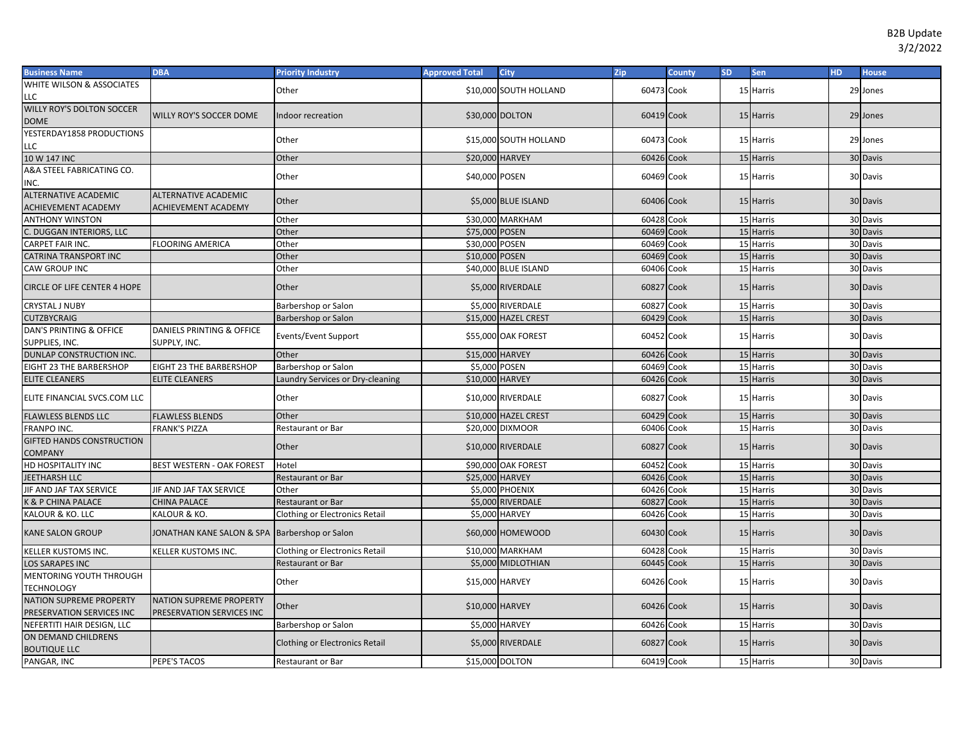| <b>Business Name</b>                        | <b>DBA</b>                                    | <b>Priority Industry</b>              | <b>Approved Total</b> | <b>City</b>            | <b>Zip</b> | <b>County</b> | <b>SD</b> | Sen       | HD. | <b>House</b> |
|---------------------------------------------|-----------------------------------------------|---------------------------------------|-----------------------|------------------------|------------|---------------|-----------|-----------|-----|--------------|
| WHITE WILSON & ASSOCIATES                   |                                               | Other                                 |                       | \$10,000 SOUTH HOLLAND | 60473 Cook |               |           | 15 Harris |     | 29 Jones     |
| LLC                                         |                                               |                                       |                       |                        |            |               |           |           |     |              |
| WILLY ROY'S DOLTON SOCCER<br><b>DOME</b>    | <b>WILLY ROY'S SOCCER DOME</b>                | Indoor recreation                     |                       | \$30,000 DOLTON        | 60419 Cook |               |           | 15 Harris |     | 29 Jones     |
| YESTERDAY1858 PRODUCTIONS                   |                                               |                                       |                       |                        |            |               |           |           |     |              |
| LLC                                         |                                               | Other                                 |                       | \$15,000 SOUTH HOLLAND | 60473 Cook |               |           | 15 Harris |     | 29 Jones     |
| 10 W 147 INC                                |                                               | Other                                 | \$20,000 HARVEY       |                        | 60426 Cook |               |           | 15 Harris |     | 30 Davis     |
| A&A STEEL FABRICATING CO.                   |                                               |                                       |                       |                        |            |               |           |           |     |              |
| INC.                                        |                                               | Other                                 | \$40,000 POSEN        |                        | 60469 Cook |               |           | 15 Harris |     | 30 Davis     |
| <b>ALTERNATIVE ACADEMIC</b>                 | <b>ALTERNATIVE ACADEMIC</b>                   | Other                                 |                       | \$5,000 BLUE ISLAND    | 60406 Cook |               |           | 15 Harris |     | 30 Davis     |
| <b>ACHIEVEMENT ACADEMY</b>                  | <b>ACHIEVEMENT ACADEMY</b>                    |                                       |                       |                        |            |               |           |           |     |              |
| <b>ANTHONY WINSTON</b>                      |                                               | Other                                 |                       | \$30,000 MARKHAM       | 60428 Cook |               |           | 15 Harris |     | 30 Davis     |
| C. DUGGAN INTERIORS, LLC                    |                                               | Other                                 | \$75,000 POSEN        |                        | 60469      | Cook          |           | 15 Harris |     | 30 Davis     |
| CARPET FAIR INC.                            | <b>FLOORING AMERICA</b>                       | Other                                 | \$30,000 POSEN        |                        | 60469      | Cook          |           | 15 Harris |     | 30 Davis     |
| CATRINA TRANSPORT INC                       |                                               | Other                                 | \$10,000 POSEN        |                        | 60469      | Cook          |           | 15 Harris |     | 30 Davis     |
| CAW GROUP INC                               |                                               | Other                                 |                       | \$40,000 BLUE ISLAND   | 60406 Cook |               |           | 15 Harris |     | 30 Davis     |
| <b>CIRCLE OF LIFE CENTER 4 HOPE</b>         |                                               | Other                                 |                       | \$5,000 RIVERDALE      | 60827 Cook |               |           | 15 Harris |     | 30 Davis     |
| <b>CRYSTAL J NUBY</b>                       |                                               | Barbershop or Salon                   |                       | \$5,000 RIVERDALE      | 60827      | Cook          |           | 15 Harris |     | 30 Davis     |
| <b>CUTZBYCRAIG</b>                          |                                               | Barbershop or Salon                   |                       | \$15,000 HAZEL CREST   | 60429      | Cook          |           | 15 Harris |     | 30 Davis     |
| DAN'S PRINTING & OFFICE                     | DANIELS PRINTING & OFFICE                     | Events/Event Support                  |                       | \$55,000 OAK FOREST    | 60452 Cook |               |           | 15 Harris |     | 30 Davis     |
| SUPPLIES, INC.                              | SUPPLY, INC.                                  |                                       |                       |                        |            |               |           |           |     |              |
| DUNLAP CONSTRUCTION INC.                    |                                               | Other                                 | \$15,000 HARVEY       |                        | 60426 Cook |               |           | 15 Harris |     | 30 Davis     |
| EIGHT 23 THE BARBERSHOP                     | EIGHT 23 THE BARBERSHOP                       | Barbershop or Salon                   | \$5,000 POSEN         |                        | 60469 Cook |               | 15        | Harris    |     | 30 Davis     |
| <b>ELITE CLEANERS</b>                       | <b>ELITE CLEANERS</b>                         | Laundry Services or Dry-cleaning      | \$10,000 HARVEY       |                        | 60426 Cook |               |           | 15 Harris |     | 30 Davis     |
| ELITE FINANCIAL SVCS.COM LLC                |                                               | Other                                 |                       | \$10,000 RIVERDALE     | 60827 Cook |               |           | 15 Harris |     | 30 Davis     |
| <b>FLAWLESS BLENDS LLC</b>                  | <b>FLAWLESS BLENDS</b>                        | Other                                 |                       | \$10,000 HAZEL CREST   | 60429 Cook |               |           | 15 Harris |     | 30 Davis     |
| FRANPO INC.                                 | <b>FRANK'S PIZZA</b>                          | Restaurant or Bar                     |                       | \$20,000 DIXMOOR       | 60406 Cook |               |           | 15 Harris |     | 30 Davis     |
| GIFTED HANDS CONSTRUCTION<br><b>COMPANY</b> |                                               | Other                                 |                       | \$10,000 RIVERDALE     | 60827 Cook |               |           | 15 Harris |     | 30 Davis     |
| HD HOSPITALITY INC                          | BEST WESTERN - OAK FOREST                     | Hotel                                 |                       | \$90,000 OAK FOREST    | 60452      | Cook          |           | 15 Harris |     | 30 Davis     |
| JEETHARSH LLC                               |                                               | Restaurant or Bar                     | \$25,000 HARVEY       |                        | 60426 Cook |               |           | 15 Harris |     | 30 Davis     |
| JIF AND JAF TAX SERVICE                     | JIF AND JAF TAX SERVICE                       | Other                                 |                       | \$5,000 PHOENIX        | 60426 Cook |               |           | 15 Harris |     | 30 Davis     |
| K & P CHINA PALACE                          | CHINA PALACE                                  | Restaurant or Bar                     |                       | \$5,000 RIVERDALE      | 60827      | Cook          |           | 15 Harris |     | 30 Davis     |
| KALOUR & KO. LLC                            | KALOUR & KO.                                  | <b>Clothing or Electronics Retail</b> |                       | \$5,000 HARVEY         | 60426 Cook |               |           | 15 Harris |     | 30 Davis     |
| <b>KANE SALON GROUP</b>                     | JONATHAN KANE SALON & SPA Barbershop or Salon |                                       |                       | \$60,000 HOMEWOOD      | 60430 Cook |               |           | 15 Harris |     | 30 Davis     |
| KELLER KUSTOMS INC.                         | KELLER KUSTOMS INC.                           | <b>Clothing or Electronics Retail</b> |                       | \$10,000 MARKHAM       | 60428 Cook |               |           | 15 Harris |     | 30 Davis     |
| LOS SARAPES INC                             |                                               | <b>Restaurant or Bar</b>              |                       | \$5,000 MIDLOTHIAN     | 60445 Cook |               |           | 15 Harris |     | 30 Davis     |
| MENTORING YOUTH THROUGH                     |                                               |                                       |                       |                        |            |               |           |           |     |              |
| <b>TECHNOLOGY</b>                           |                                               | Other                                 | \$15,000 HARVEY       |                        | 60426 Cook |               |           | 15 Harris |     | 30 Davis     |
| <b>NATION SUPREME PROPERTY</b>              | <b>NATION SUPREME PROPERTY</b>                | Other                                 |                       | \$10,000 HARVEY        | 60426 Cook |               |           | 15 Harris |     | 30 Davis     |
| PRESERVATION SERVICES INC                   | PRESERVATION SERVICES INC                     |                                       |                       |                        |            |               |           |           |     |              |
| NEFERTITI HAIR DESIGN, LLC                  |                                               | Barbershop or Salon                   |                       | \$5,000 HARVEY         | 60426 Cook |               |           | 15 Harris |     | 30 Davis     |
| ON DEMAND CHILDRENS<br><b>BOUTIQUE LLC</b>  |                                               | Clothing or Electronics Retail        |                       | \$5,000 RIVERDALE      | 60827 Cook |               |           | 15 Harris |     | 30 Davis     |
| PANGAR, INC                                 | PEPE'S TACOS                                  | <b>Restaurant or Bar</b>              |                       | \$15,000 DOLTON        | 60419 Cook |               |           | 15 Harris |     | 30 Davis     |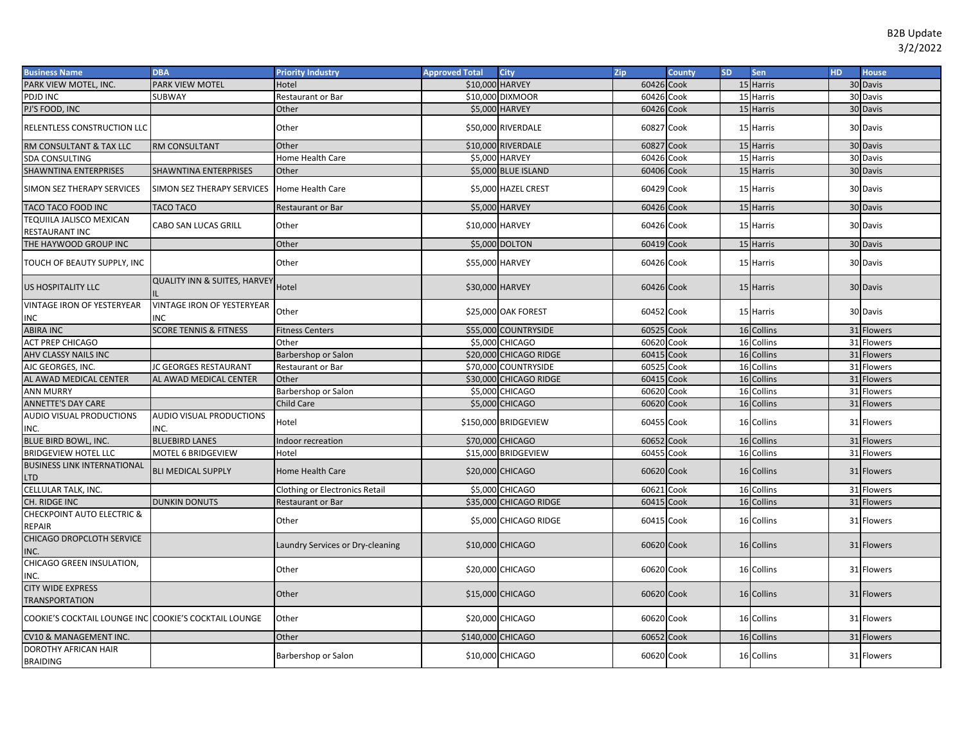| <b>Business Name</b>                                  | <b>DBA</b>                                      | <b>Priority Industry</b>              | <b>Approved Total</b> | <b>City</b>            | Zip        | <b>County</b> | <b>SD</b> | <b>Sen</b> | HD. | <b>House</b> |
|-------------------------------------------------------|-------------------------------------------------|---------------------------------------|-----------------------|------------------------|------------|---------------|-----------|------------|-----|--------------|
| PARK VIEW MOTEL, INC.                                 | PARK VIEW MOTEL                                 | Hotel                                 | \$10,000 HARVEY       |                        | 60426 Cook |               |           | 15 Harris  |     | 30 Davis     |
| PDJD INC                                              | SUBWAY                                          | Restaurant or Bar                     |                       | \$10,000 DIXMOOR       | 60426 Cook |               |           | 15 Harris  |     | 30 Davis     |
| PJ'S FOOD, INC                                        |                                                 | Other                                 |                       | \$5,000 HARVEY         | 60426 Cook |               |           | 15 Harris  |     | 30 Davis     |
| RELENTLESS CONSTRUCTION LLC                           |                                                 | Other                                 |                       | \$50,000 RIVERDALE     | 60827 Cook |               |           | 15 Harris  |     | 30 Davis     |
| RM CONSULTANT & TAX LLC                               | RM CONSULTANT                                   | Other                                 |                       | \$10,000 RIVERDALE     | 60827 Cook |               |           | 15 Harris  |     | 30 Davis     |
| SDA CONSULTING                                        |                                                 | Home Health Care                      |                       | \$5,000 HARVEY         | 60426 Cook |               |           | 15 Harris  |     | 30 Davis     |
| SHAWNTINA ENTERPRISES                                 | SHAWNTINA ENTERPRISES                           | Other                                 |                       | \$5,000 BLUE ISLAND    | 60406 Cook |               |           | 15 Harris  |     | 30 Davis     |
| SIMON SEZ THERAPY SERVICES                            | SIMON SEZ THERAPY SERVICES                      | Home Health Care                      |                       | \$5,000 HAZEL CREST    | 60429 Cook |               |           | 15 Harris  |     | 30 Davis     |
| TACO TACO FOOD INC                                    | <b>TACO TACO</b>                                | <b>Restaurant or Bar</b>              |                       | \$5,000 HARVEY         | 60426 Cook |               |           | 15 Harris  |     | 30 Davis     |
| TEQUIILA JALISCO MEXICAN<br>RESTAURANT INC            | CABO SAN LUCAS GRILL                            | Other                                 | \$10,000 HARVEY       |                        | 60426 Cook |               |           | 15 Harris  |     | 30 Davis     |
| THE HAYWOOD GROUP INC                                 |                                                 | Other                                 |                       | \$5,000 DOLTON         | 60419 Cook |               |           | 15 Harris  |     | 30 Davis     |
| TOUCH OF BEAUTY SUPPLY, INC                           |                                                 | Other                                 | \$55,000 HARVEY       |                        | 60426 Cook |               |           | 15 Harris  |     | 30 Davis     |
| US HOSPITALITY LLC                                    | <b>QUALITY INN &amp; SUITES, HARVEY</b>         | Hotel                                 | \$30,000 HARVEY       |                        | 60426 Cook |               |           | 15 Harris  |     | 30 Davis     |
| <b>VINTAGE IRON OF YESTERYEAR</b><br>INC              | <b>VINTAGE IRON OF YESTERYEAR</b><br><b>INC</b> | Other                                 |                       | \$25,000 OAK FOREST    | 60452 Cook |               |           | 15 Harris  |     | 30 Davis     |
| <b>ABIRA INC</b>                                      | <b>SCORE TENNIS &amp; FITNESS</b>               | <b>Fitness Centers</b>                |                       | \$55,000 COUNTRYSIDE   | 60525 Cook |               |           | 16 Collins |     | 31 Flowers   |
| <b>ACT PREP CHICAGO</b>                               |                                                 | Other                                 |                       | \$5,000 CHICAGO        | 60620 Cook |               |           | 16 Collins |     | 31 Flowers   |
| AHV CLASSY NAILS INC                                  |                                                 | Barbershop or Salon                   |                       | \$20,000 CHICAGO RIDGE | 60415 Cook |               |           | 16 Collins |     | 31 Flowers   |
| AJC GEORGES, INC.                                     | <b>JC GEORGES RESTAURANT</b>                    | Restaurant or Bar                     |                       | \$70,000 COUNTRYSIDE   | 60525 Cook |               |           | 16 Collins |     | 31 Flowers   |
| AL AWAD MEDICAL CENTER                                | AL AWAD MEDICAL CENTER                          | Other                                 |                       | \$30,000 CHICAGO RIDGE | 60415 Cook |               |           | 16 Collins |     | 31 Flowers   |
| <b>ANN MURRY</b>                                      |                                                 | Barbershop or Salon                   |                       | \$5,000 CHICAGO        | 60620 Cook |               |           | 16 Collins |     | 31 Flowers   |
| <b>ANNETTE'S DAY CARE</b>                             |                                                 | Child Care                            |                       | \$5,000 CHICAGO        | 60620 Cook |               |           | 16 Collins |     | 31 Flowers   |
| AUDIO VISUAL PRODUCTIONS<br>INC.                      | AUDIO VISUAL PRODUCTIONS<br>INC.                | Hotel                                 |                       | \$150,000 BRIDGEVIEW   | 60455 Cook |               |           | 16 Collins |     | 31 Flowers   |
| <b>BLUE BIRD BOWL, INC.</b>                           | <b>BLUEBIRD LANES</b>                           | ndoor recreation                      |                       | \$70,000 CHICAGO       | 60652 Cook |               |           | 16 Collins |     | 31 Flowers   |
| <b>BRIDGEVIEW HOTEL LLC</b>                           | MOTEL 6 BRIDGEVIEW                              | Hotel                                 |                       | \$15,000 BRIDGEVIEW    | 60455 Cook |               |           | 16 Collins |     | 31 Flowers   |
| <b>BUSINESS LINK INTERNATIONAL</b><br>LTD             | <b>BLI MEDICAL SUPPLY</b>                       | Home Health Care                      |                       | \$20,000 CHICAGO       | 60620 Cook |               |           | 16 Collins |     | 31 Flowers   |
| CELLULAR TALK, INC.                                   |                                                 | <b>Clothing or Electronics Retail</b> |                       | \$5,000 CHICAGO        | 60621      | Cook          |           | 16 Collins |     | 31 Flowers   |
| CH. RIDGE INC                                         | <b>DUNKIN DONUTS</b>                            | <b>Restaurant or Bar</b>              |                       | \$35,000 CHICAGO RIDGE | 60415 Cook |               |           | 16 Collins |     | 31 Flowers   |
| CHECKPOINT AUTO ELECTRIC &<br>REPAIR                  |                                                 | Other                                 |                       | \$5,000 CHICAGO RIDGE  | 60415 Cook |               |           | 16 Collins |     | 31 Flowers   |
| CHICAGO DROPCLOTH SERVICE<br>INC.                     |                                                 | Laundry Services or Dry-cleaning      |                       | \$10,000 CHICAGO       | 60620 Cook |               |           | 16 Collins |     | 31 Flowers   |
| CHICAGO GREEN INSULATION,<br>INC.                     |                                                 | Other                                 |                       | \$20,000 CHICAGO       | 60620 Cook |               |           | 16 Collins |     | 31 Flowers   |
| <b>CITY WIDE EXPRESS</b><br>TRANSPORTATION            |                                                 | Other                                 |                       | \$15,000 CHICAGO       | 60620 Cook |               |           | 16 Collins |     | 31 Flowers   |
| COOKIE'S COCKTAIL LOUNGE INC COOKIE'S COCKTAIL LOUNGE |                                                 | Other                                 |                       | \$20,000 CHICAGO       | 60620 Cook |               |           | 16 Collins |     | 31 Flowers   |
| CV10 & MANAGEMENT INC.                                |                                                 | Other                                 | \$140,000 CHICAGO     |                        | 60652 Cook |               |           | 16 Collins |     | 31 Flowers   |
| DOROTHY AFRICAN HAIR<br>BRAIDING                      |                                                 | Barbershop or Salon                   |                       | \$10,000 CHICAGO       | 60620 Cook |               |           | 16 Collins |     | 31 Flowers   |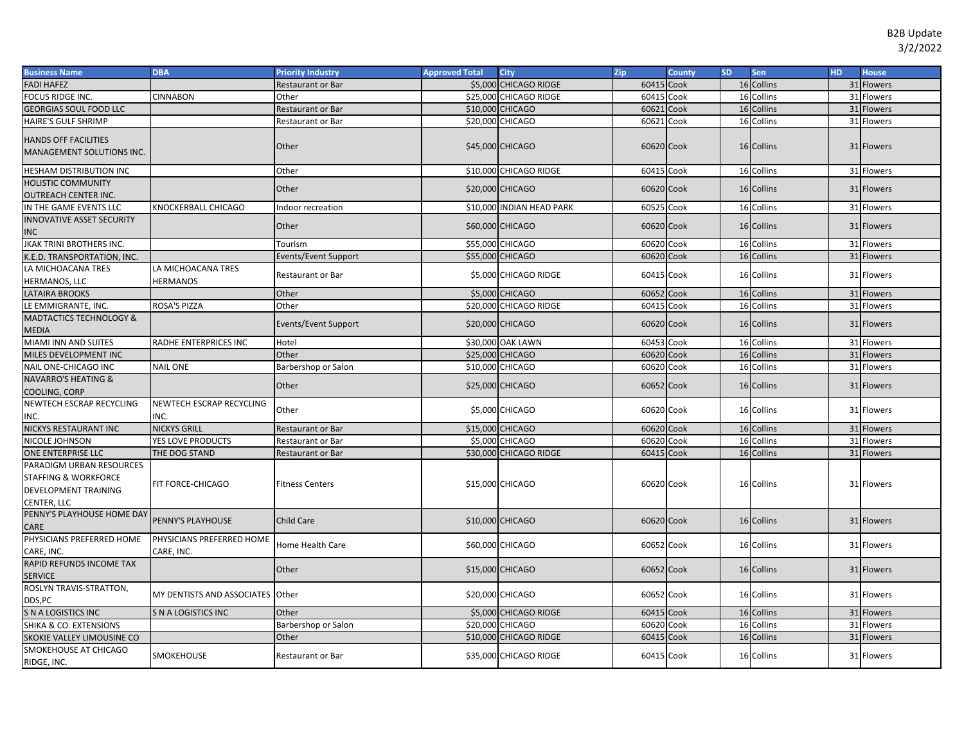| <b>Business Name</b>                                                                               | <b>DBA</b>                              | <b>Priority Industry</b>    | <b>Approved Total</b> | <b>City</b>               | Zip        | <b>County</b> | <b>SD</b> | <b>Sen</b> | HD. | <b>House</b> |
|----------------------------------------------------------------------------------------------------|-----------------------------------------|-----------------------------|-----------------------|---------------------------|------------|---------------|-----------|------------|-----|--------------|
| <b>FADI HAFEZ</b>                                                                                  |                                         | Restaurant or Bar           |                       | \$5,000 CHICAGO RIDGE     | 60415 Cook |               |           | 16 Collins |     | 31 Flowers   |
| FOCUS RIDGE INC.                                                                                   | <b>CINNABON</b>                         | Other                       |                       | \$25,000 CHICAGO RIDGE    | 60415 Cook |               |           | 16 Collins |     | 31 Flowers   |
| <b>GEORGIAS SOUL FOOD LLC</b>                                                                      |                                         | Restaurant or Bar           |                       | \$10,000 CHICAGO          | 60621      | Cook          |           | 16 Collins |     | 31 Flowers   |
| HAIRE'S GULF SHRIMP                                                                                |                                         | Restaurant or Bar           |                       | \$20,000 CHICAGO          | 60621      | Cook          |           | 16 Collins |     | 31 Flowers   |
| <b>HANDS OFF FACILITIES</b>                                                                        |                                         |                             |                       |                           |            |               |           |            |     |              |
| MANAGEMENT SOLUTIONS INC.                                                                          |                                         | Other                       |                       | \$45,000 CHICAGO          | 60620 Cook |               |           | 16 Collins |     | 31 Flowers   |
| HESHAM DISTRIBUTION INC                                                                            |                                         | Other                       |                       | \$10,000 CHICAGO RIDGE    | 60415 Cook |               |           | 16 Collins |     | 31 Flowers   |
| <b>HOLISTIC COMMUNITY</b>                                                                          |                                         |                             |                       |                           |            |               |           |            |     |              |
| OUTREACH CENTER INC.                                                                               |                                         | Other                       |                       | \$20,000 CHICAGO          | 60620 Cook |               |           | 16 Collins |     | 31 Flowers   |
| IN THE GAME EVENTS LLC                                                                             | KNOCKERBALL CHICAGO                     | Indoor recreation           |                       | \$10,000 INDIAN HEAD PARK | 60525 Cook |               |           | 16 Collins |     | 31 Flowers   |
| <b>INNOVATIVE ASSET SECURITY</b>                                                                   |                                         | Other                       |                       | \$60,000 CHICAGO          | 60620 Cook |               |           | 16 Collins |     | 31 Flowers   |
| <b>INC</b>                                                                                         |                                         |                             |                       |                           |            |               |           |            |     |              |
| <b>JKAK TRINI BROTHERS INC.</b>                                                                    |                                         | Tourism                     |                       | \$55,000 CHICAGO          | 60620 Cook |               |           | 16 Collins |     | 31 Flowers   |
| K.E.D. TRANSPORTATION, INC.                                                                        |                                         | <b>Events/Event Support</b> |                       | \$55,000 CHICAGO          | 60620 Cook |               |           | 16 Collins |     | 31 Flowers   |
| LA MICHOACANA TRES                                                                                 | LA MICHOACANA TRES                      | <b>Restaurant or Bar</b>    |                       | \$5,000 CHICAGO RIDGE     | 60415 Cook |               |           | 16 Collins |     | 31 Flowers   |
| HERMANOS, LLC                                                                                      | <b>HERMANOS</b>                         |                             |                       |                           |            |               |           |            |     |              |
| <b>LATAIRA BROOKS</b>                                                                              |                                         | Other                       |                       | \$5,000 CHICAGO           | 60652 Cook |               |           | 16 Collins |     | 31 Flowers   |
| LE EMMIGRANTE, INC.                                                                                | <b>ROSA'S PIZZA</b>                     | Other                       |                       | \$20,000 CHICAGO RIDGE    | 60415 Cook |               |           | 16 Collins |     | 31 Flowers   |
| MADTACTICS TECHNOLOGY &<br><b>MEDIA</b>                                                            |                                         | <b>Events/Event Support</b> |                       | \$20,000 CHICAGO          | 60620 Cook |               |           | 16 Collins |     | 31 Flowers   |
| MIAMI INN AND SUITES                                                                               | RADHE ENTERPRICES INC                   | Hotel                       |                       | \$30,000 OAK LAWN         | 60453 Cook |               |           | 16 Collins |     | 31 Flowers   |
| MILES DEVELOPMENT INC                                                                              |                                         | Other                       |                       | <b>\$25,000 CHICAGO</b>   | 60620 Cook |               |           | 16 Collins |     | 31 Flowers   |
| NAIL ONE-CHICAGO INC                                                                               | <b>NAIL ONE</b>                         | Barbershop or Salon         |                       | \$10,000 CHICAGO          | 60620 Cook |               |           | 16 Collins |     | 31 Flowers   |
| <b>NAVARRO'S HEATING &amp;</b>                                                                     |                                         | Other                       |                       | \$25,000 CHICAGO          | 60652 Cook |               |           | 16 Collins |     | 31 Flowers   |
| COOLING, CORP                                                                                      |                                         |                             |                       |                           |            |               |           |            |     |              |
| NEWTECH ESCRAP RECYCLING<br>INC.                                                                   | NEWTECH ESCRAP RECYCLING<br>INC.        | Other                       |                       | \$5,000 CHICAGO           | 60620 Cook |               |           | 16 Collins |     | 31 Flowers   |
| NICKYS RESTAURANT INC                                                                              | <b>NICKYS GRILL</b>                     | <b>Restaurant or Bar</b>    |                       | \$15,000 CHICAGO          | 60620 Cook |               |           | 16 Collins |     | 31 Flowers   |
| NICOLE JOHNSON                                                                                     | YES LOVE PRODUCTS                       | <b>Restaurant or Bar</b>    |                       | \$5,000 CHICAGO           | 60620      | Cook          |           | 16 Collins |     | 31 Flowers   |
| ONE ENTERPRISE LLC                                                                                 | THE DOG STAND                           | Restaurant or Bar           |                       | \$30,000 CHICAGO RIDGE    | 60415 Cook |               |           | 16 Collins |     | 31 Flowers   |
| PARADIGM URBAN RESOURCES<br><b>STAFFING &amp; WORKFORCE</b><br>DEVELOPMENT TRAINING<br>CENTER, LLC | FIT FORCE-CHICAGO                       | <b>Fitness Centers</b>      |                       | \$15,000 CHICAGO          | 60620 Cook |               |           | 16 Collins |     | 31 Flowers   |
| PENNY'S PLAYHOUSE HOME DAY<br>CARE                                                                 | PENNY'S PLAYHOUSE                       | <b>Child Care</b>           |                       | \$10,000 CHICAGO          | 60620 Cook |               |           | 16 Collins |     | 31 Flowers   |
| PHYSICIANS PREFERRED HOME<br>CARE, INC.                                                            | PHYSICIANS PREFERRED HOME<br>CARE, INC. | <b>Home Health Care</b>     |                       | \$60,000 CHICAGO          | 60652 Cook |               |           | 16 Collins |     | 31 Flowers   |
| RAPID REFUNDS INCOME TAX<br><b>SERVICE</b>                                                         |                                         | Other                       |                       | \$15,000 CHICAGO          | 60652 Cook |               |           | 16 Collins |     | 31 Flowers   |
| ROSLYN TRAVIS-STRATTON,<br>DDS,PC                                                                  | MY DENTISTS AND ASSOCIATES Other        |                             |                       | \$20,000 CHICAGO          | 60652 Cook |               |           | 16 Collins |     | 31 Flowers   |
| <b>S N A LOGISTICS INC</b>                                                                         | S N A LOGISTICS INC                     | Other                       |                       | \$5,000 CHICAGO RIDGE     | 60415 Cook |               |           | 16 Collins |     | 31 Flowers   |
| SHIKA & CO. EXTENSIONS                                                                             |                                         | Barbershop or Salon         |                       | \$20,000 CHICAGO          | 60620      | Cook          |           | 16 Collins |     | 31 Flowers   |
| SKOKIE VALLEY LIMOUSINE CO                                                                         |                                         | Other                       |                       | \$10,000 CHICAGO RIDGE    | 60415 Cook |               |           | 16 Collins |     | 31 Flowers   |
| SMOKEHOUSE AT CHICAGO<br>RIDGE, INC.                                                               | SMOKEHOUSE                              | Restaurant or Bar           |                       | \$35,000 CHICAGO RIDGE    | 60415 Cook |               |           | 16 Collins |     | 31 Flowers   |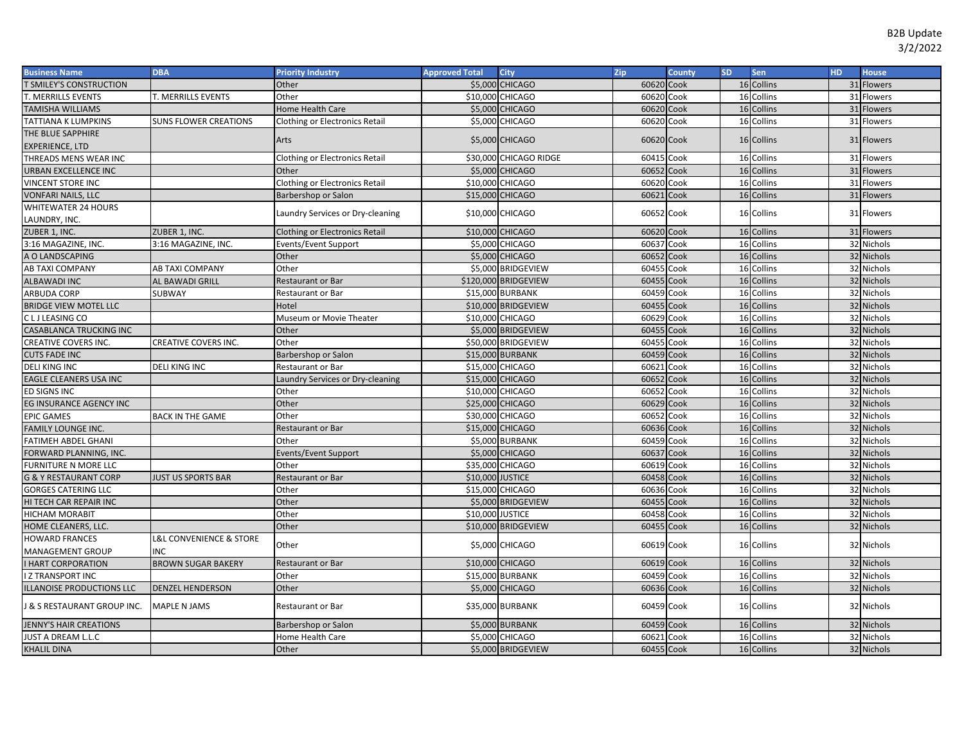| <b>Business Name</b>             | <b>DBA</b>                             | <b>Priority Industry</b>              | <b>Approved Total</b> | <b>City</b>             | Zip        | <b>County</b> | <b>SD</b> | Sen        | <b>HD</b> | <b>House</b> |
|----------------------------------|----------------------------------------|---------------------------------------|-----------------------|-------------------------|------------|---------------|-----------|------------|-----------|--------------|
| <b>T SMILEY'S CONSTRUCTION</b>   |                                        | Other                                 |                       | \$5,000 CHICAGO         | 60620 Cook |               |           | 16 Collins |           | 31 Flowers   |
| T. MERRILLS EVENTS               | T. MERRILLS EVENTS                     | Other                                 |                       | \$10,000 CHICAGO        | 60620      | Cook          |           | 16 Collins |           | 31 Flowers   |
| <b>TAMISHA WILLIAMS</b>          |                                        | Home Health Care                      |                       | \$5,000 CHICAGO         | 60620 Cook |               |           | 16 Collins |           | 31 Flowers   |
| TATTIANA K LUMPKINS              | SUNS FLOWER CREATIONS                  | Clothing or Electronics Retail        |                       | \$5,000 CHICAGO         | 60620      | Cook          |           | 16 Collins |           | 31 Flowers   |
| THE BLUE SAPPHIRE                |                                        | Arts                                  |                       | \$5,000 CHICAGO         | 60620 Cook |               |           | 16 Collins |           | 31 Flowers   |
| <b>EXPERIENCE, LTD</b>           |                                        |                                       |                       |                         |            |               |           |            |           |              |
| THREADS MENS WEAR INC            |                                        | <b>Clothing or Electronics Retail</b> |                       | \$30,000 CHICAGO RIDGE  | 60415 Cook |               |           | 16 Collins |           | 31 Flowers   |
| URBAN EXCELLENCE INC             |                                        | Other                                 |                       | <b>\$5,000 CHICAGO</b>  | 60652 Cook |               |           | 16 Collins |           | 31 Flowers   |
| <b>VINCENT STORE INC</b>         |                                        | <b>Clothing or Electronics Retail</b> |                       | \$10,000 CHICAGO        | 60620 Cook |               |           | 16 Collins |           | 31 Flowers   |
| <b>VONFARI NAILS, LLC</b>        |                                        | Barbershop or Salon                   |                       | \$15,000 CHICAGO        | 60621 Cook |               |           | 16 Collins |           | 31 Flowers   |
| <b>WHITEWATER 24 HOURS</b>       |                                        | Laundry Services or Dry-cleaning      |                       | \$10,000 CHICAGO        | 60652 Cook |               |           | 16 Collins |           | 31 Flowers   |
| LAUNDRY, INC.                    |                                        |                                       |                       |                         |            |               |           |            |           |              |
| ZUBER 1, INC.                    | ZUBER 1, INC.                          | <b>Clothing or Electronics Retail</b> |                       | \$10,000 CHICAGO        | 60620 Cook |               |           | 16 Collins |           | 31 Flowers   |
| 3:16 MAGAZINE, INC.              | 3:16 MAGAZINE, INC.                    | Events/Event Support                  |                       | \$5,000 CHICAGO         | 60637      | Cook          |           | 16 Collins |           | 32 Nichols   |
| A O LANDSCAPING                  |                                        | Other                                 |                       | \$5,000 CHICAGO         | 60652 Cook |               |           | 16 Collins |           | 32 Nichols   |
| AB TAXI COMPANY                  | AB TAXI COMPANY                        | Other                                 |                       | \$5,000 BRIDGEVIEW      | 60455 Cook |               |           | 16 Collins |           | 32 Nichols   |
| <b>ALBAWADI INC</b>              | AL BAWADI GRILL                        | Restaurant or Bar                     |                       | \$120,000 BRIDGEVIEW    | 60455      | Cook          |           | 16 Collins |           | 32 Nichols   |
| <b>ARBUDA CORP</b>               | SUBWAY                                 | Restaurant or Bar                     |                       | \$15,000 BURBANK        | 60459      | Cook          |           | 16 Collins |           | 32 Nichols   |
| <b>BRIDGE VIEW MOTEL LLC</b>     |                                        | Hotel                                 |                       | \$10,000 BRIDGEVIEW     | 60455 Cook |               |           | 16 Collins |           | 32 Nichols   |
| C L J LEASING CO                 |                                        | Museum or Movie Theater               |                       | \$10,000 CHICAGO        | 60629 Cook |               |           | 16 Collins |           | 32 Nichols   |
| <b>CASABLANCA TRUCKING INC</b>   |                                        | Other                                 |                       | \$5,000 BRIDGEVIEW      | 60455      | Cook          |           | 16 Collins |           | 32 Nichols   |
| <b>CREATIVE COVERS INC.</b>      | CREATIVE COVERS INC.                   | Other                                 |                       | \$50,000 BRIDGEVIEW     | 60455      | Cook          |           | 16 Collins |           | 32 Nichols   |
| <b>CUTS FADE INC</b>             |                                        | Barbershop or Salon                   |                       | <b>\$15,000 BURBANK</b> | 60459      | Cook          |           | 16 Collins |           | 32 Nichols   |
| <b>DELI KING INC</b>             | <b>DELI KING INC</b>                   | <b>Restaurant or Bar</b>              |                       | \$15,000 CHICAGO        | 60621      | Cook          |           | 16 Collins |           | 32 Nichols   |
| <b>EAGLE CLEANERS USA INC</b>    |                                        | Laundry Services or Dry-cleaning      |                       | \$15,000 CHICAGO        | 60652 Cook |               |           | 16 Collins |           | 32 Nichols   |
| ED SIGNS INC                     |                                        | Other                                 |                       | \$10,000 CHICAGO        | 60652      | Cook          |           | 16 Collins |           | 32 Nichols   |
| EG INSURANCE AGENCY INC          |                                        | Other                                 |                       | \$25,000 CHICAGO        | 60629 Cook |               |           | 16 Collins |           | 32 Nichols   |
| <b>EPIC GAMES</b>                | <b>BACK IN THE GAME</b>                | Other                                 |                       | \$30,000 CHICAGO        | 60652      | Cook          |           | 16 Collins |           | 32 Nichols   |
| FAMILY LOUNGE INC.               |                                        | Restaurant or Bar                     |                       | \$15,000 CHICAGO        | 60636 Cook |               |           | 16 Collins |           | 32 Nichols   |
| <b>FATIMEH ABDEL GHANI</b>       |                                        | Other                                 |                       | \$5,000 BURBANK         | 60459      | Cook          |           | 16 Collins |           | 32 Nichols   |
| FORWARD PLANNING, INC.           |                                        | Events/Event Support                  |                       | \$5,000 CHICAGO         | 60637 Cook |               |           | 16 Collins |           | 32 Nichols   |
| <b>FURNITURE N MORE LLC</b>      |                                        | Other                                 |                       | \$35,000 CHICAGO        | 60619      | Cook          |           | 16 Collins |           | 32 Nichols   |
| <b>G &amp; Y RESTAURANT CORP</b> | JUST US SPORTS BAR                     | Restaurant or Bar                     | \$10,000 JUSTICE      |                         | 60458 Cook |               |           | 16 Collins |           | 32 Nichols   |
| <b>GORGES CATERING LLC</b>       |                                        | Other                                 |                       | \$15,000 CHICAGO        | 60636      | Cook          |           | 16 Collins |           | 32 Nichols   |
| HI TECH CAR REPAIR INC           |                                        | Other                                 |                       | \$5,000 BRIDGEVIEW      | 60455      | Cook          |           | 16 Collins |           | 32 Nichols   |
| <b>HICHAM MORABIT</b>            |                                        | Other                                 | \$10,000 JUSTICE      |                         | 60458      | Cook          |           | 16 Collins |           | 32 Nichols   |
| HOME CLEANERS, LLC.              |                                        | Other                                 |                       | \$10,000 BRIDGEVIEW     | 60455 Cook |               |           | 16 Collins |           | 32 Nichols   |
| <b>HOWARD FRANCES</b>            | <b>L&amp;L CONVENIENCE &amp; STORE</b> | Other                                 |                       | \$5,000 CHICAGO         | 60619 Cook |               |           | 16 Collins |           | 32 Nichols   |
| <b>MANAGEMENT GROUP</b>          | INC                                    |                                       |                       |                         |            |               |           |            |           |              |
| <b>I HART CORPORATION</b>        | <b>BROWN SUGAR BAKERY</b>              | <b>Restaurant or Bar</b>              |                       | \$10,000 CHICAGO        | 60619 Cook |               |           | 16 Collins |           | 32 Nichols   |
| <b>IZ TRANSPORT INC</b>          |                                        | Other                                 |                       | \$15,000 BURBANK        | 60459      | Cook          |           | 16 Collins |           | 32 Nichols   |
| <b>ILLANOISE PRODUCTIONS LLC</b> | <b>DENZEL HENDERSON</b>                | Other                                 |                       | \$5,000 CHICAGO         | 60636 Cook |               |           | 16 Collins |           | 32 Nichols   |
| J & S RESTAURANT GROUP INC.      | MAPLE N JAMS                           | Restaurant or Bar                     |                       | \$35,000 BURBANK        | 60459 Cook |               |           | 16 Collins |           | 32 Nichols   |
| <b>JENNY'S HAIR CREATIONS</b>    |                                        | Barbershop or Salon                   |                       | \$5,000 BURBANK         | 60459 Cook |               |           | 16 Collins |           | 32 Nichols   |
| JUST A DREAM L.L.C               |                                        | Home Health Care                      |                       | \$5,000 CHICAGO         | 60621      | Cook          |           | 16 Collins |           | 32 Nichols   |
| <b>KHALIL DINA</b>               |                                        | Other                                 |                       | \$5,000 BRIDGEVIEW      | 60455 Cook |               |           | 16 Collins |           | 32 Nichols   |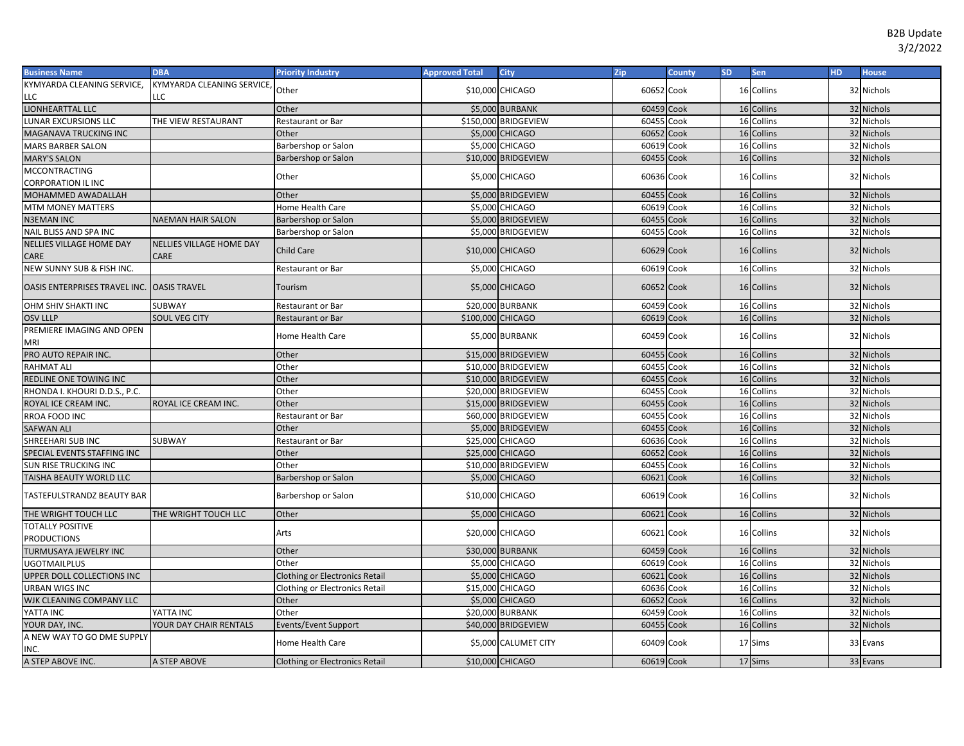| <b>Business Name</b>                       | <b>DBA</b>                      | <b>Priority Industry</b>              | <b>Approved Total</b> | City                    | Zip        | County | <b>SD</b> | Sen        | HD. | <b>House</b> |
|--------------------------------------------|---------------------------------|---------------------------------------|-----------------------|-------------------------|------------|--------|-----------|------------|-----|--------------|
| KYMYARDA CLEANING SERVICE,                 | KYMYARDA CLEANING SERVICE,      | Other                                 |                       | \$10,000 CHICAGO        | 60652 Cook |        |           | 16 Collins |     | 32 Nichols   |
| LLC                                        | LLC                             |                                       |                       |                         |            |        |           |            |     |              |
| LIONHEARTTAL LLC                           |                                 | Other                                 |                       | \$5,000 BURBANK         | 60459 Cook |        |           | 16 Collins |     | 32 Nichols   |
| <b>LUNAR EXCURSIONS LLC</b>                | THE VIEW RESTAURANT             | Restaurant or Bar                     |                       | \$150,000 BRIDGEVIEW    | 60455 Cook |        |           | 16 Collins |     | 32 Nichols   |
| MAGANAVA TRUCKING INC                      |                                 | Other                                 |                       | \$5,000 CHICAGO         | 60652 Cook |        |           | 16 Collins |     | 32 Nichols   |
| <b>MARS BARBER SALON</b>                   |                                 | Barbershop or Salon                   |                       | \$5,000 CHICAGO         | 60619 Cook |        |           | 16 Collins |     | 32 Nichols   |
| <b>MARY'S SALON</b>                        |                                 | Barbershop or Salon                   |                       | \$10,000 BRIDGEVIEW     | 60455 Cook |        |           | 16 Collins |     | 32 Nichols   |
| <b>MCCONTRACTING</b>                       |                                 | Other                                 |                       | \$5,000 CHICAGO         | 60636 Cook |        |           | 16 Collins |     | 32 Nichols   |
| <b>CORPORATION IL INC</b>                  |                                 |                                       |                       |                         |            |        |           |            |     |              |
| MOHAMMED AWADALLAH                         |                                 | Other                                 |                       | \$5,000 BRIDGEVIEW      | 60455 Cook |        |           | 16 Collins |     | 32 Nichols   |
| <b>MTM MONEY MATTERS</b>                   |                                 | Home Health Care                      |                       | \$5,000 CHICAGO         | 60619      | Cook   | 16        | Collins    |     | 32 Nichols   |
| <b>N3EMAN INC</b>                          | <b>NAEMAN HAIR SALON</b>        | Barbershop or Salon                   |                       | \$5,000 BRIDGEVIEW      | 60455 Cook |        |           | 16 Collins |     | 32 Nichols   |
| NAIL BLISS AND SPA INC                     |                                 | Barbershop or Salon                   |                       | \$5,000 BRIDGEVIEW      | 60455 Cook |        |           | 16 Collins |     | 32 Nichols   |
| <b>NELLIES VILLAGE HOME DAY</b>            | <b>NELLIES VILLAGE HOME DAY</b> | Child Care                            |                       | \$10,000 CHICAGO        | 60629 Cook |        |           | 16 Collins |     | 32 Nichols   |
| CARE                                       | CARE                            |                                       |                       |                         |            |        |           |            |     |              |
| NEW SUNNY SUB & FISH INC.                  |                                 | Restaurant or Bar                     |                       | \$5,000 CHICAGO         | 60619 Cook |        |           | 16 Collins |     | 32 Nichols   |
| OASIS ENTERPRISES TRAVEL INC. OASIS TRAVEL |                                 | Tourism                               |                       | \$5,000 CHICAGO         | 60652 Cook |        |           | 16 Collins |     | 32 Nichols   |
| OHM SHIV SHAKTI INC                        | SUBWAY                          | Restaurant or Bar                     |                       | <b>\$20,000 BURBANK</b> | 60459 Cook |        |           | 16 Collins |     | 32 Nichols   |
| <b>OSV LLLP</b>                            | SOUL VEG CITY                   | Restaurant or Bar                     | \$100,000 CHICAGO     |                         | 60619 Cook |        | 16        | Collins    |     | 32 Nichols   |
| PREMIERE IMAGING AND OPEN<br>MRI           |                                 | Home Health Care                      |                       | \$5,000 BURBANK         | 60459 Cook |        |           | 16 Collins |     | 32 Nichols   |
| PRO AUTO REPAIR INC.                       |                                 | Other                                 |                       | \$15,000 BRIDGEVIEW     | 60455 Cook |        |           | 16 Collins |     | 32 Nichols   |
| <b>RAHMAT ALI</b>                          |                                 | Other                                 |                       | \$10,000 BRIDGEVIEW     | 60455      | Cook   |           | 16 Collins |     | 32 Nichols   |
| REDLINE ONE TOWING INC                     |                                 | Other                                 |                       | \$10,000 BRIDGEVIEW     | 60455 Cook |        |           | 16 Collins |     | 32 Nichols   |
| RHONDA I. KHOURI D.D.S., P.C.              |                                 | Other                                 |                       | \$20,000 BRIDGEVIEW     | 60455      | Cook   |           | 16 Collins |     | 32 Nichols   |
| ROYAL ICE CREAM INC.                       | ROYAL ICE CREAM INC.            | Other                                 |                       | \$15,000 BRIDGEVIEW     | 60455 Cook |        |           | 16 Collins |     | 32 Nichols   |
| RROA FOOD INC                              |                                 | Restaurant or Bar                     |                       | \$60,000 BRIDGEVIEW     | 60455      | Cook   |           | 16 Collins |     | 32 Nichols   |
| <b>SAFWAN ALI</b>                          |                                 | Other                                 |                       | \$5,000 BRIDGEVIEW      | 60455      | Cook   | 16        | Collins    |     | 32 Nichols   |
| SHREEHARI SUB INC                          | SUBWAY                          | Restaurant or Bar                     |                       | \$25,000 CHICAGO        | 60636      | Cook   | 16        | Collins    |     | 32 Nichols   |
| SPECIAL EVENTS STAFFING INC                |                                 | Other                                 |                       | \$25,000 CHICAGO        | 60652      | Cook   | 16        | Collins    |     | 32 Nichols   |
| SUN RISE TRUCKING INC                      |                                 | Other                                 |                       | \$10,000 BRIDGEVIEW     | 60455      | Cook   | 16        | Collins    |     | 32 Nichols   |
| TAISHA BEAUTY WORLD LLC                    |                                 | Barbershop or Salon                   |                       | \$5,000 CHICAGO         | 60621      | Cook   | 16        | Collins    |     | 32 Nichols   |
| TASTEFULSTRANDZ BEAUTY BAR                 |                                 | Barbershop or Salon                   |                       | \$10,000 CHICAGO        | 60619 Cook |        |           | 16 Collins |     | 32 Nichols   |
| THE WRIGHT TOUCH LLC                       | THE WRIGHT TOUCH LLC            | Other                                 |                       | \$5,000 CHICAGO         | 60621 Cook |        |           | 16 Collins |     | 32 Nichols   |
| <b>TOTALLY POSITIVE</b>                    |                                 | Arts                                  |                       | \$20,000 CHICAGO        | 60621 Cook |        |           | 16 Collins |     | 32 Nichols   |
| <b>PRODUCTIONS</b>                         |                                 |                                       |                       |                         |            |        |           |            |     |              |
| <b>TURMUSAYA JEWELRY INC</b>               |                                 | Other                                 |                       | \$30,000 BURBANK        | 60459 Cook |        |           | 16 Collins |     | 32 Nichols   |
| <b>UGOTMAILPLUS</b>                        |                                 | Other                                 |                       | \$5,000 CHICAGO         | 60619 Cook |        |           | 16 Collins |     | 32 Nichols   |
| UPPER DOLL COLLECTIONS INC                 |                                 | <b>Clothing or Electronics Retail</b> |                       | \$5,000 CHICAGO         | 60621      | Cook   | 16        | Collins    |     | 32 Nichols   |
| URBAN WIGS INC                             |                                 | Clothing or Electronics Retail        |                       | \$15,000 CHICAGO        | 60636 Cook |        |           | 16 Collins |     | 32 Nichols   |
| WJK CLEANING COMPANY LLC                   |                                 | Other                                 |                       | \$5,000 CHICAGO         | 60652 Cook |        |           | 16 Collins |     | 32 Nichols   |
| YATTA INC                                  | YATTA INC                       | Other                                 |                       | \$20,000 BURBANK        | 60459 Cook |        |           | 16 Collins |     | 32 Nichols   |
| YOUR DAY, INC.                             | YOUR DAY CHAIR RENTALS          | Events/Event Support                  |                       | \$40,000 BRIDGEVIEW     | 60455 Cook |        |           | 16 Collins |     | 32 Nichols   |
| A NEW WAY TO GO DME SUPPLY<br>INC.         |                                 | Home Health Care                      |                       | \$5,000 CALUMET CITY    | 60409 Cook |        |           | 17 Sims    |     | 33 Evans     |
| A STEP ABOVE INC.                          | A STEP ABOVE                    | <b>Clothing or Electronics Retail</b> |                       | \$10,000 CHICAGO        | 60619 Cook |        |           | 17 Sims    |     | 33 Evans     |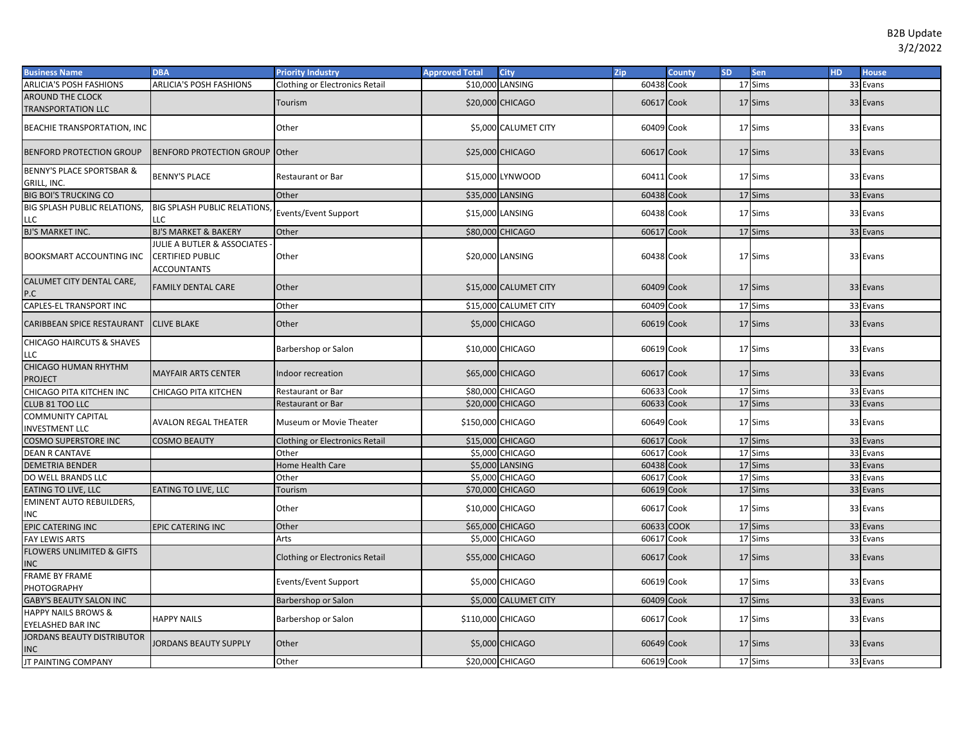| <b>Business Name</b>                                 | <b>DBA</b>                                                                   | <b>Priority Industry</b>              | <b>Approved Total</b> | <b>City</b>           | Zip        | County | <b>SD</b> | Sen     | H <sub>D</sub> | <b>House</b> |
|------------------------------------------------------|------------------------------------------------------------------------------|---------------------------------------|-----------------------|-----------------------|------------|--------|-----------|---------|----------------|--------------|
| ARLICIA'S POSH FASHIONS                              | <b>ARLICIA'S POSH FASHIONS</b>                                               | Clothing or Electronics Retail        |                       | \$10,000 LANSING      | 60438      | Cook   |           | 17 Sims |                | 33 Evans     |
| <b>AROUND THE CLOCK</b><br><b>TRANSPORTATION LLC</b> |                                                                              | Tourism                               |                       | \$20,000 CHICAGO      | 60617 Cook |        |           | 17 Sims |                | 33 Evans     |
| BEACHIE TRANSPORTATION, INC                          |                                                                              | Other                                 |                       | \$5,000 CALUMET CITY  | 60409 Cook |        |           | 17 Sims |                | 33 Evans     |
| <b>BENFORD PROTECTION GROUP</b>                      | <b>BENFORD PROTECTION GROUP Other</b>                                        |                                       |                       | \$25,000 CHICAGO      | 60617 Cook |        |           | 17 Sims |                | 33 Evans     |
| <b>BENNY'S PLACE SPORTSBAR &amp;</b><br>GRILL, INC.  | <b>BENNY'S PLACE</b>                                                         | <b>Restaurant or Bar</b>              |                       | \$15,000 LYNWOOD      | 60411 Cook |        |           | 17 Sims |                | 33 Evans     |
| <b>BIG BOI'S TRUCKING CO</b>                         |                                                                              | Other                                 |                       | \$35,000 LANSING      | 60438 Cook |        |           | 17 Sims |                | 33 Evans     |
| <b>BIG SPLASH PUBLIC RELATIONS.</b><br>LLC           | <b>BIG SPLASH PUBLIC RELATIONS,</b><br>LLC                                   | Events/Event Support                  |                       | \$15,000 LANSING      | 60438 Cook |        |           | 17 Sims |                | 33 Evans     |
| BJ'S MARKET INC.                                     | <b>BJ'S MARKET &amp; BAKERY</b>                                              | Other                                 |                       | \$80,000 CHICAGO      | 60617 Cook |        |           | 17 Sims |                | 33 Evans     |
| BOOKSMART ACCOUNTING INC                             | JULIE A BUTLER & ASSOCIATES<br><b>CERTIFIED PUBLIC</b><br><b>ACCOUNTANTS</b> | Other                                 |                       | \$20,000 LANSING      | 60438 Cook |        |           | 17 Sims |                | 33 Evans     |
| CALUMET CITY DENTAL CARE,<br>P.C                     | <b>FAMILY DENTAL CARE</b>                                                    | Other                                 |                       | \$15,000 CALUMET CITY | 60409 Cook |        |           | 17 Sims |                | 33 Evans     |
| CAPLES-EL TRANSPORT INC                              |                                                                              | Other                                 |                       | \$15,000 CALUMET CITY | 60409 Cook |        |           | 17 Sims |                | 33 Evans     |
| CARIBBEAN SPICE RESTAURANT                           | <b>CLIVE BLAKE</b>                                                           | Other                                 |                       | \$5,000 CHICAGO       | 60619 Cook |        |           | 17 Sims |                | 33 Evans     |
| <b>CHICAGO HAIRCUTS &amp; SHAVES</b><br>LLC          |                                                                              | Barbershop or Salon                   |                       | \$10,000 CHICAGO      | 60619 Cook |        |           | 17 Sims |                | 33 Evans     |
| CHICAGO HUMAN RHYTHM<br><b>PROJECT</b>               | <b>MAYFAIR ARTS CENTER</b>                                                   | Indoor recreation                     |                       | \$65,000 CHICAGO      | 60617 Cook |        |           | 17 Sims |                | 33 Evans     |
| CHICAGO PITA KITCHEN INC                             | CHICAGO PITA KITCHEN                                                         | <b>Restaurant or Bar</b>              |                       | \$80,000 CHICAGO      | 60633      | Cook   |           | 17 Sims |                | 33 Evans     |
| CLUB 81 TOO LLC                                      |                                                                              | <b>Restaurant or Bar</b>              |                       | \$20,000 CHICAGO      | 60633      | Cook   |           | 17 Sims |                | 33 Evans     |
| <b>COMMUNITY CAPITAL</b><br><b>INVESTMENT LLC</b>    | <b>AVALON REGAL THEATER</b>                                                  | Museum or Movie Theater               | \$150,000 CHICAGO     |                       | 60649 Cook |        |           | 17 Sims |                | 33 Evans     |
| <b>COSMO SUPERSTORE INC</b>                          | <b>COSMO BEAUTY</b>                                                          | <b>Clothing or Electronics Retail</b> |                       | \$15,000 CHICAGO      | 60617 Cook |        |           | 17 Sims |                | 33 Evans     |
| <b>DEAN R CANTAVE</b>                                |                                                                              | Other                                 |                       | \$5,000 CHICAGO       | 60617 Cook |        |           | 17 Sims |                | 33 Evans     |
| <b>DEMETRIA BENDER</b>                               |                                                                              | Home Health Care                      |                       | \$5,000 LANSING       | 60438      | Cook   |           | 17 Sims |                | 33 Evans     |
| DO WELL BRANDS LLC                                   |                                                                              | Other                                 |                       | \$5,000 CHICAGO       | 60617      | Cook   |           | 17 Sims |                | 33 Evans     |
| <b>EATING TO LIVE, LLC</b>                           | <b>EATING TO LIVE, LLC</b>                                                   | Tourism                               |                       | \$70,000 CHICAGO      | 60619 Cook |        |           | 17 Sims |                | 33 Evans     |
| <b>EMINENT AUTO REBUILDERS,</b><br>INC               |                                                                              | Other                                 |                       | \$10,000 CHICAGO      | 60617 Cook |        |           | 17 Sims |                | 33 Evans     |
| <b>EPIC CATERING INC</b>                             | <b>EPIC CATERING INC</b>                                                     | Other                                 |                       | \$65,000 CHICAGO      | 60633      | COOK   |           | 17 Sims |                | 33 Evans     |
| <b>FAY LEWIS ARTS</b>                                |                                                                              | Arts                                  |                       | \$5,000 CHICAGO       | 60617 Cook |        |           | 17 Sims |                | 33 Evans     |
| <b>FLOWERS UNLIMITED &amp; GIFTS</b><br><b>INC</b>   |                                                                              | <b>Clothing or Electronics Retail</b> |                       | \$55,000 CHICAGO      | 60617 Cook |        |           | 17 Sims |                | 33 Evans     |
| <b>FRAME BY FRAME</b><br>PHOTOGRAPHY                 |                                                                              | Events/Event Support                  |                       | \$5,000 CHICAGO       | 60619 Cook |        |           | 17 Sims |                | 33 Evans     |
| <b>GABY'S BEAUTY SALON INC</b>                       |                                                                              | Barbershop or Salon                   |                       | \$5,000 CALUMET CITY  | 60409 Cook |        |           | 17 Sims |                | 33 Evans     |
| <b>HAPPY NAILS BROWS &amp;</b><br>EYELASHED BAR INC  | <b>HAPPY NAILS</b>                                                           | Barbershop or Salon                   | \$110,000 CHICAGO     |                       | 60617 Cook |        |           | 17 Sims |                | 33 Evans     |
| JORDANS BEAUTY DISTRIBUTOR<br><b>INC</b>             | JORDANS BEAUTY SUPPLY                                                        | Other                                 |                       | \$5,000 CHICAGO       | 60649 Cook |        |           | 17 Sims |                | 33 Evans     |
| <b>JT PAINTING COMPANY</b>                           |                                                                              | Other                                 |                       | \$20,000 CHICAGO      | 60619 Cook |        |           | 17 Sims |                | 33 Evans     |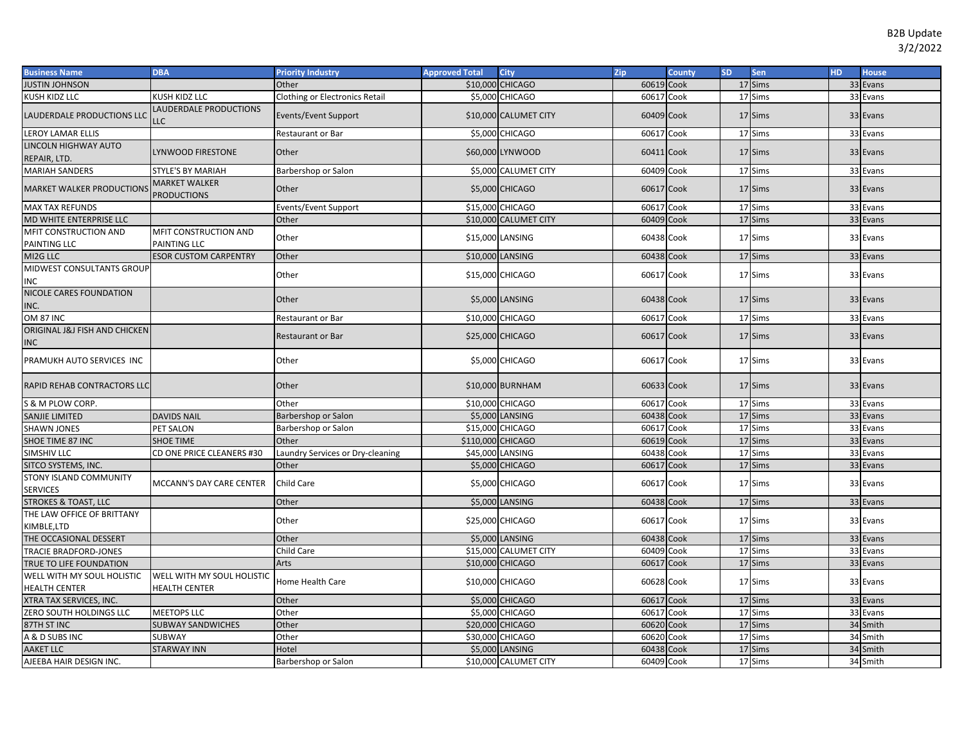| <b>Business Name</b>                      | <b>DBA</b>                                 | <b>Priority Industry</b>         | <b>Approved Total</b> | <b>City</b>            | Zip        | <b>County</b> | <b>SD</b> | <b>Sen</b> | HD. | <b>House</b> |
|-------------------------------------------|--------------------------------------------|----------------------------------|-----------------------|------------------------|------------|---------------|-----------|------------|-----|--------------|
| <b>JUSTIN JOHNSON</b>                     |                                            | Other                            |                       | \$10,000 CHICAGO       | 60619 Cook |               |           | 17 Sims    |     | 33 Evans     |
| KUSH KIDZ LLC                             | KUSH KIDZ LLC                              | Clothing or Electronics Retail   |                       | \$5,000 CHICAGO        | 60617 Cook |               |           | 17 Sims    |     | 33 Evans     |
| LAUDERDALE PRODUCTIONS LLC                | AUDERDALE PRODUCTIONS<br>LC.               | Events/Event Support             |                       | \$10,000 CALUMET CITY  | 60409 Cook |               |           | 17 Sims    |     | 33 Evans     |
| LEROY LAMAR ELLIS                         |                                            | <b>Restaurant or Bar</b>         |                       | <b>\$5,000 CHICAGO</b> | 60617 Cook |               |           | 17 Sims    |     | 33 Evans     |
| LINCOLN HIGHWAY AUTO<br>REPAIR, LTD.      | YNWOOD FIRESTONE                           | Other                            |                       | \$60,000 LYNWOOD       | 60411 Cook |               |           | 17 Sims    |     | 33 Evans     |
| <b>MARIAH SANDERS</b>                     | STYLE'S BY MARIAH                          | Barbershop or Salon              |                       | \$5,000 CALUMET CITY   | 60409 Cook |               |           | 17 Sims    |     | 33 Evans     |
| <b>MARKET WALKER PRODUCTIONS</b>          | <b>MARKET WALKER</b><br><b>PRODUCTIONS</b> | Other                            |                       | \$5,000 CHICAGO        | 60617 Cook |               |           | 17 Sims    |     | 33 Evans     |
| <b>MAX TAX REFUNDS</b>                    |                                            | Events/Event Support             | \$15,000              | <b>CHICAGO</b>         | 60617 Cook |               |           | 17 Sims    |     | 33 Evans     |
| MD WHITE ENTERPRISE LLC                   |                                            | Other                            |                       | \$10,000 CALUMET CITY  | 60409 Cook |               |           | 17 Sims    |     | 33 Evans     |
| MFIT CONSTRUCTION AND<br>PAINTING LLC     | MFIT CONSTRUCTION AND<br>PAINTING LLC      | Other                            |                       | \$15,000 LANSING       | 60438 Cook |               |           | 17 Sims    |     | 33 Evans     |
| MI2G LLC                                  | <b>ESOR CUSTOM CARPENTRY</b>               | Other                            | \$10,000 LANSING      |                        | 60438 Cook |               |           | 17 Sims    |     | 33 Evans     |
| MIDWEST CONSULTANTS GROUP<br>INC          |                                            | Other                            |                       | \$15,000 CHICAGO       | 60617 Cook |               |           | 17 Sims    |     | 33 Evans     |
| NICOLE CARES FOUNDATION<br>INC.           |                                            | Other                            |                       | \$5,000 LANSING        | 60438 Cook |               |           | 17 Sims    |     | 33 Evans     |
| <b>OM 87 INC</b>                          |                                            | Restaurant or Bar                |                       | \$10,000 CHICAGO       | 60617 Cook |               |           | 17 Sims    |     | 33 Evans     |
| ORIGINAL J&J FISH AND CHICKEN<br>INC      |                                            | <b>Restaurant or Bar</b>         |                       | \$25,000 CHICAGO       | 60617 Cook |               |           | 17 Sims    |     | 33 Evans     |
| PRAMUKH AUTO SERVICES INC                 |                                            | Other                            |                       | \$5,000 CHICAGO        | 60617 Cook |               |           | 17 Sims    |     | 33 Evans     |
| RAPID REHAB CONTRACTORS LLC               |                                            | Other                            |                       | \$10,000 BURNHAM       | 60633 Cook |               |           | 17 Sims    |     | 33 Evans     |
| S & M PLOW CORP.                          |                                            | Other                            |                       | \$10,000 CHICAGO       | 60617 Cook |               |           | 17 Sims    |     | 33 Evans     |
| SANJIE LIMITED                            | <b>DAVIDS NAIL</b>                         | Barbershop or Salon              |                       | \$5,000 LANSING        | 60438 Cook |               |           | 17 Sims    |     | 33 Evans     |
| <b>SHAWN JONES</b>                        | PET SALON                                  | Barbershop or Salon              |                       | \$15,000 CHICAGO       | 60617 Cook |               |           | 17 Sims    |     | 33 Evans     |
| SHOE TIME 87 INC                          | <b>SHOE TIME</b>                           | Other                            | \$110,000 CHICAGO     |                        | 60619 Cook |               |           | 17 Sims    |     | 33 Evans     |
| SIMSHIV LLC                               | CD ONE PRICE CLEANERS #30                  | Laundry Services or Dry-cleaning |                       | \$45,000 LANSING       | 60438 Cook |               |           | 17 Sims    |     | 33 Evans     |
| SITCO SYSTEMS, INC.                       |                                            | Other                            |                       | \$5,000 CHICAGO        | 60617 Cook |               |           | 17 Sims    |     | 33 Evans     |
| STONY ISLAND COMMUNITY<br><b>SERVICES</b> | MCCANN'S DAY CARE CENTER                   | Child Care                       |                       | \$5,000 CHICAGO        | 60617 Cook |               |           | 17 Sims    |     | 33 Evans     |
| <b>STROKES &amp; TOAST, LLC</b>           |                                            | Other                            |                       | \$5,000 LANSING        | 60438 Cook |               |           | 17 Sims    |     | 33 Evans     |
| THE LAW OFFICE OF BRITTANY                |                                            | Other                            |                       | \$25,000 CHICAGO       | 60617 Cook |               |           | 17 Sims    |     | 33 Evans     |
| KIMBLE,LTD<br>THE OCCASIONAL DESSERT      |                                            | Other                            |                       | \$5,000 LANSING        | 60438 Cook |               |           | 17 Sims    |     | 33 Evans     |
| TRACIE BRADFORD-JONES                     |                                            | Child Care                       |                       | \$15,000 CALUMET CITY  | 60409 Cook |               |           | 17 Sims    |     | 33 Evans     |
| TRUE TO LIFE FOUNDATION                   |                                            | Arts                             |                       | \$10,000 CHICAGO       | 60617      | Cook          |           | 17 Sims    |     | 33 Evans     |
| WELL WITH MY SOUL HOLISTIC                | WELL WITH MY SOUL HOLISTIC                 |                                  |                       |                        |            |               |           |            |     |              |
| <b>HEALTH CENTER</b>                      | <b>HEALTH CENTER</b>                       | Home Health Care                 |                       | \$10,000 CHICAGO       | 60628 Cook |               |           | 17 Sims    |     | 33 Evans     |
| XTRA TAX SERVICES, INC.                   |                                            | Other                            |                       | \$5,000 CHICAGO        | 60617 Cook |               |           | 17 Sims    |     | 33 Evans     |
| ZERO SOUTH HOLDINGS LLC                   | <b>MEETOPS LLC</b>                         | Other                            |                       | <b>\$5,000 CHICAGO</b> | 60617 Cook |               |           | 17 Sims    |     | 33 Evans     |
| 87TH ST INC                               | <b>SUBWAY SANDWICHES</b>                   | Other                            |                       | \$20,000 CHICAGO       | 60620      | Cook          |           | 17 Sims    |     | 34 Smith     |
| A & D SUBS INC                            | SUBWAY                                     | Other                            |                       | \$30,000 CHICAGO       | 60620      | Cook          |           | 17 Sims    |     | 34 Smith     |
| <b>AAKET LLC</b>                          | <b>STARWAY INN</b>                         | Hotel                            |                       | \$5,000 LANSING        | 60438      | Cook          |           | 17 Sims    |     | 34 Smith     |
| AJEEBA HAIR DESIGN INC.                   |                                            | Barbershop or Salon              |                       | \$10,000 CALUMET CITY  | 60409 Cook |               |           | 17 Sims    |     | 34 Smith     |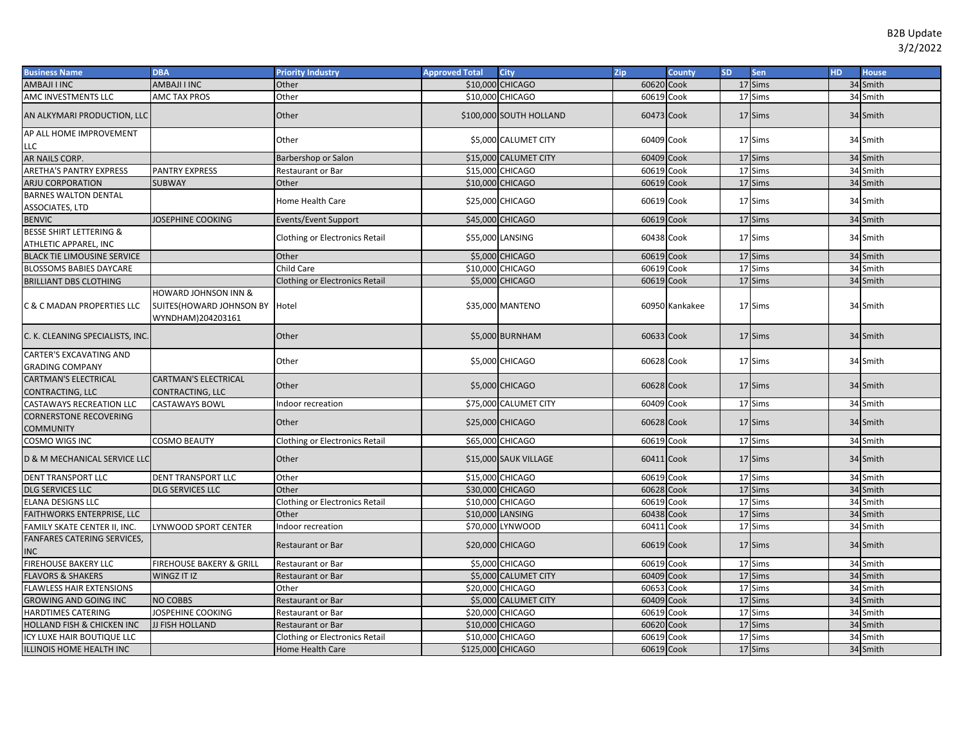| <b>Business Name</b>                              | <b>DBA</b>                                                                       | <b>Priority Industry</b>              | <b>Approved Total</b> | <b>City</b>             | Zip        | <b>County</b>  | <b>SD</b> | Sen     | <b>HD</b> | <b>House</b> |
|---------------------------------------------------|----------------------------------------------------------------------------------|---------------------------------------|-----------------------|-------------------------|------------|----------------|-----------|---------|-----------|--------------|
| AMBAJI I INC                                      | AMBAJI I INC                                                                     | Other                                 |                       | \$10,000 CHICAGO        | 60620 Cook |                |           | 17 Sims |           | 34 Smith     |
| AMC INVESTMENTS LLC                               | <b>AMC TAX PROS</b>                                                              | Other                                 |                       | \$10,000 CHICAGO        | 60619 Cook |                |           | 17 Sims |           | 34 Smith     |
| AN ALKYMARI PRODUCTION, LLC                       |                                                                                  | Other                                 |                       | \$100,000 SOUTH HOLLAND | 60473 Cook |                |           | 17 Sims |           | 34 Smith     |
| AP ALL HOME IMPROVEMENT                           |                                                                                  | Other                                 |                       | \$5,000 CALUMET CITY    | 60409 Cook |                |           | 17 Sims |           | 34 Smith     |
| LLC<br>AR NAILS CORP.                             |                                                                                  | Barbershop or Salon                   |                       | \$15,000 CALUMET CITY   | 60409 Cook |                |           | 17 Sims |           | 34 Smith     |
| <b>ARETHA'S PANTRY EXPRESS</b>                    | <b>PANTRY EXPRESS</b>                                                            | Restaurant or Bar                     |                       | \$15,000 CHICAGO        | 60619 Cook |                |           | 17 Sims |           | 34 Smith     |
| ARJU CORPORATION                                  | <b>SUBWAY</b>                                                                    | Other                                 |                       | \$10,000 CHICAGO        | 60619 Cook |                |           | 17 Sims |           | 34 Smith     |
| <b>BARNES WALTON DENTAL</b>                       |                                                                                  |                                       |                       |                         |            |                |           |         |           |              |
| ASSOCIATES, LTD                                   |                                                                                  | Home Health Care                      |                       | \$25,000 CHICAGO        | 60619 Cook |                |           | 17 Sims |           | 34 Smith     |
| <b>BENVIC</b>                                     | <b>JOSEPHINE COOKING</b>                                                         | Events/Event Support                  |                       | \$45,000 CHICAGO        | 60619 Cook |                |           | 17 Sims |           | 34 Smith     |
| <b>BESSE SHIRT LETTERING &amp;</b>                |                                                                                  | <b>Clothing or Electronics Retail</b> |                       | \$55,000 LANSING        | 60438 Cook |                |           | 17 Sims |           | 34 Smith     |
| ATHLETIC APPAREL, INC                             |                                                                                  |                                       |                       |                         |            |                |           |         |           |              |
| <b>BLACK TIE LIMOUSINE SERVICE</b>                |                                                                                  | Other                                 |                       | \$5,000 CHICAGO         | 60619 Cook |                |           | 17 Sims |           | 34 Smith     |
| <b>BLOSSOMS BABIES DAYCARE</b>                    |                                                                                  | Child Care                            |                       | \$10,000 CHICAGO        | 60619 Cook |                |           | 17 Sims |           | 34 Smith     |
| <b>BRILLIANT DBS CLOTHING</b>                     |                                                                                  | <b>Clothing or Electronics Retail</b> |                       | \$5,000 CHICAGO         | 60619 Cook |                |           | 17 Sims |           | 34 Smith     |
| C & C MADAN PROPERTIES LLC                        | <b>BOWARD JOHNSON INN &amp;</b><br>SUITES(HOWARD JOHNSON BY<br>WYNDHAM)204203161 | Hotel                                 |                       | \$35,000 MANTENO        |            | 60950 Kankakee |           | 17 Sims |           | 34 Smith     |
| C. K. CLEANING SPECIALISTS, INC.                  |                                                                                  | Other                                 |                       | \$5,000 BURNHAM         | 60633 Cook |                |           | 17 Sims |           | 34 Smith     |
| CARTER'S EXCAVATING AND                           |                                                                                  | Other                                 |                       | \$5,000 CHICAGO         | 60628 Cook |                |           | 17 Sims |           | 34 Smith     |
| <b>GRADING COMPANY</b>                            |                                                                                  |                                       |                       |                         |            |                |           |         |           |              |
| <b>CARTMAN'S ELECTRICAL</b>                       | <b>CARTMAN'S ELECTRICAL</b>                                                      | Other                                 |                       | \$5,000 CHICAGO         | 60628 Cook |                |           | 17 Sims |           | 34 Smith     |
| CONTRACTING, LLC                                  | CONTRACTING, LLC                                                                 |                                       |                       |                         |            |                |           |         |           |              |
| <b>CASTAWAYS RECREATION LLC</b>                   | <b>CASTAWAYS BOWL</b>                                                            | Indoor recreation                     |                       | \$75,000 CALUMET CITY   | 60409 Cook |                |           | 17 Sims |           | 34 Smith     |
| <b>CORNERSTONE RECOVERING</b><br><b>COMMUNITY</b> |                                                                                  | Other                                 |                       | \$25,000 CHICAGO        | 60628 Cook |                |           | 17 Sims |           | 34 Smith     |
| COSMO WIGS INC                                    | <b>COSMO BEAUTY</b>                                                              | <b>Clothing or Electronics Retail</b> |                       | \$65,000 CHICAGO        | 60619 Cook |                |           | 17 Sims |           | 34 Smith     |
| D & M MECHANICAL SERVICE LLC                      |                                                                                  | Other                                 |                       | \$15,000 SAUK VILLAGE   | 60411 Cook |                |           | 17 Sims |           | 34 Smith     |
| DENT TRANSPORT LLC                                | <b>DENT TRANSPORT LLC</b>                                                        | Other                                 |                       | \$15,000 CHICAGO        | 60619 Cook |                |           | 17 Sims |           | 34 Smith     |
| DLG SERVICES LLC                                  | DLG SERVICES LLC                                                                 | Other                                 |                       | \$30,000 CHICAGO        | 60628      | Cook           |           | 17 Sims |           | 34 Smith     |
| <b>ELANA DESIGNS LLC</b>                          |                                                                                  | <b>Clothing or Electronics Retail</b> |                       | \$10,000 CHICAGO        | 60619      | Cook           |           | 17 Sims |           | 34 Smith     |
| FAITHWORKS ENTERPRISE, LLC                        |                                                                                  | Other                                 |                       | \$10,000 LANSING        | 60438 Cook |                |           | 17 Sims |           | 34 Smith     |
| FAMILY SKATE CENTER II, INC.                      | LYNWOOD SPORT CENTER                                                             | Indoor recreation                     |                       | \$70,000 LYNWOOD        | 60411      | Cook           |           | 17 Sims |           | 34 Smith     |
| FANFARES CATERING SERVICES,<br><b>INC</b>         |                                                                                  | <b>Restaurant or Bar</b>              |                       | \$20,000 CHICAGO        | 60619 Cook |                |           | 17 Sims |           | 34 Smith     |
| <b>FIREHOUSE BAKERY LLC</b>                       | FIREHOUSE BAKERY & GRILL                                                         | Restaurant or Bar                     |                       | \$5,000 CHICAGO         | 60619 Cook |                |           | 17 Sims |           | 34 Smith     |
| <b>FLAVORS &amp; SHAKERS</b>                      | WINGZ IT IZ                                                                      | Restaurant or Bar                     |                       | \$5,000 CALUMET CITY    | 60409 Cook |                |           | 17 Sims |           | 34 Smith     |
| <b>FLAWLESS HAIR EXTENSIONS</b>                   |                                                                                  | Other                                 |                       | \$20,000 CHICAGO        | 60653 Cook |                |           | 17 Sims |           | 34 Smith     |
| <b>GROWING AND GOING INC</b>                      | <b>NO COBBS</b>                                                                  | <b>Restaurant or Bar</b>              |                       | \$5,000 CALUMET CITY    | 60409      | Cook           |           | 17 Sims |           | 34 Smith     |
| <b>HARDTIMES CATERING</b>                         | JOSPEHINE COOKING                                                                | <b>Restaurant or Bar</b>              |                       | \$20,000 CHICAGO        | 60619      | Cook           |           | 17 Sims |           | 34 Smith     |
| HOLLAND FISH & CHICKEN INC                        | <b>JJ FISH HOLLAND</b>                                                           | Restaurant or Bar                     |                       | \$10,000 CHICAGO        | 60620      | Cook           |           | 17 Sims |           | 34 Smith     |
| ICY LUXE HAIR BOUTIQUE LLC                        |                                                                                  | <b>Clothing or Electronics Retail</b> |                       | \$10,000 CHICAGO        | 60619      | Cook           |           | 17 Sims |           | 34 Smith     |
| ILLINOIS HOME HEALTH INC                          |                                                                                  | Home Health Care                      | \$125,000 CHICAGO     |                         | 60619 Cook |                |           | 17 Sims |           | 34 Smith     |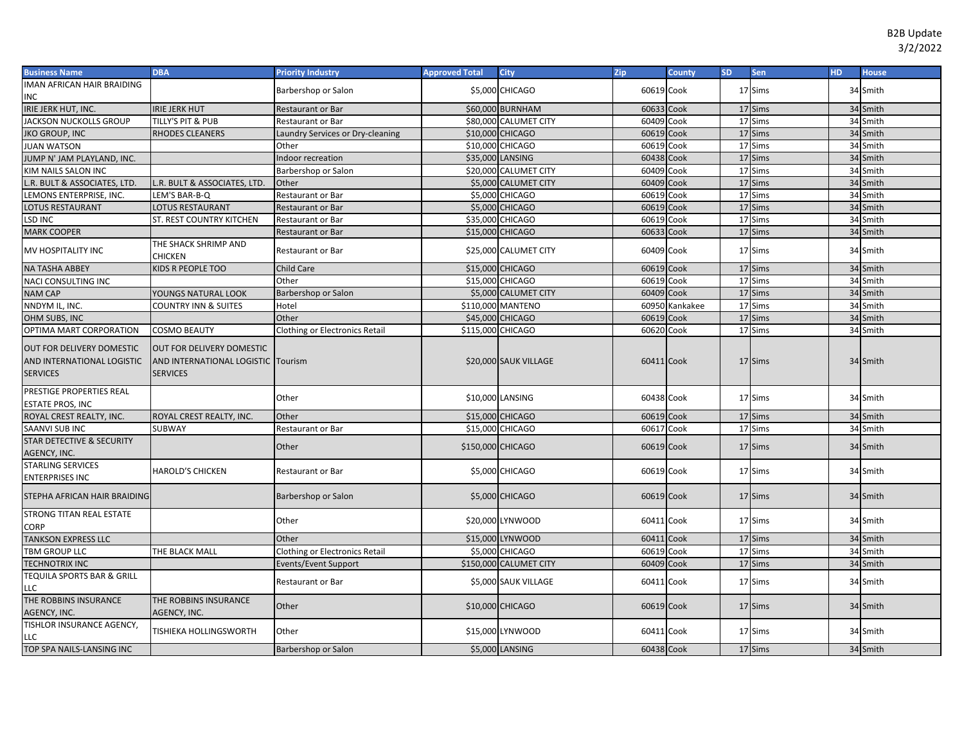| <b>Business Name</b>                                                       | <b>DBA</b>                                                                                | <b>Priority Industry</b>              | <b>Approved Total</b> | <b>City</b>            | Zip        | County         | <b>SD</b> | Sen     | <b>HD</b> | <b>House</b> |
|----------------------------------------------------------------------------|-------------------------------------------------------------------------------------------|---------------------------------------|-----------------------|------------------------|------------|----------------|-----------|---------|-----------|--------------|
| IMAN AFRICAN HAIR BRAIDING                                                 |                                                                                           | Barbershop or Salon                   |                       | \$5,000 CHICAGO        | 60619 Cook |                |           | 17 Sims |           | 34 Smith     |
| <b>INC</b>                                                                 |                                                                                           |                                       |                       |                        |            |                |           |         |           |              |
| IRIE JERK HUT, INC.                                                        | <b>IRIE JERK HUT</b>                                                                      | Restaurant or Bar                     |                       | \$60,000 BURNHAM       | 60633 Cook |                |           | 17 Sims |           | 34 Smith     |
| <b>JACKSON NUCKOLLS GROUP</b>                                              | TILLY'S PIT & PUB                                                                         | Restaurant or Bar                     |                       | \$80,000 CALUMET CITY  | 60409 Cook |                |           | 17 Sims |           | 34 Smith     |
| <b>JKO GROUP, INC</b>                                                      | <b>RHODES CLEANERS</b>                                                                    | Laundry Services or Dry-cleaning      |                       | \$10,000 CHICAGO       | 60619      | Cook           |           | 17 Sims |           | 34 Smith     |
| <b>JUAN WATSON</b>                                                         |                                                                                           | Other                                 |                       | \$10,000 CHICAGO       | 60619      | Cook           |           | 17 Sims |           | 34 Smith     |
| JUMP N' JAM PLAYLAND, INC.                                                 |                                                                                           | Indoor recreation                     |                       | \$35,000 LANSING       | 60438      | Cook           |           | 17 Sims |           | 34 Smith     |
| <b>KIM NAILS SALON INC</b>                                                 |                                                                                           | Barbershop or Salon                   |                       | \$20,000 CALUMET CITY  | 60409      | Cook           |           | 17 Sims |           | 34 Smith     |
| L.R. BULT & ASSOCIATES, LTD.                                               | L.R. BULT & ASSOCIATES, LTD.                                                              | Other                                 |                       | \$5,000 CALUMET CITY   | 60409 Cook |                |           | 17 Sims |           | 34 Smith     |
| LEMONS ENTERPRISE, INC.                                                    | LEM'S BAR-B-Q                                                                             | Restaurant or Bar                     |                       | \$5,000 CHICAGO        | 60619      | Cook           |           | 17 Sims |           | 34 Smith     |
| <b>LOTUS RESTAURANT</b>                                                    | LOTUS RESTAURANT                                                                          | Restaurant or Bar                     |                       | \$5,000 CHICAGO        | 60619 Cook |                |           | 17 Sims |           | 34 Smith     |
| <b>LSD INC</b>                                                             | ST. REST COUNTRY KITCHEN                                                                  | Restaurant or Bar                     |                       | \$35,000 CHICAGO       | 60619 Cook |                |           | 17 Sims |           | 34 Smith     |
| <b>MARK COOPER</b>                                                         |                                                                                           | Restaurant or Bar                     |                       | \$15,000 CHICAGO       | 60633 Cook |                |           | 17 Sims |           | 34 Smith     |
| MV HOSPITALITY INC                                                         | THE SHACK SHRIMP AND<br><b>CHICKEN</b>                                                    | Restaurant or Bar                     |                       | \$25,000 CALUMET CITY  | 60409 Cook |                |           | 17 Sims |           | 34 Smith     |
| <b>NA TASHA ABBEY</b>                                                      | KIDS R PEOPLE TOO                                                                         | Child Care                            |                       | \$15,000 CHICAGO       | 60619      | Cook           |           | 17 Sims |           | 34 Smith     |
| NACI CONSULTING INC                                                        |                                                                                           | Other                                 |                       | \$15,000 CHICAGO       | 60619 Cook |                |           | 17 Sims |           | 34 Smith     |
| <b>NAM CAP</b>                                                             | YOUNGS NATURAL LOOK                                                                       | Barbershop or Salon                   |                       | \$5,000 CALUMET CITY   | 60409 Cook |                |           | 17 Sims |           | 34 Smith     |
| NNDYM IL, INC.                                                             | <b>COUNTRY INN &amp; SUITES</b>                                                           | Hotel                                 |                       | \$110,000 MANTENO      |            | 60950 Kankakee |           | 17 Sims |           | 34 Smith     |
| OHM SUBS, INC                                                              |                                                                                           | Other                                 |                       | \$45,000 CHICAGO       | 60619 Cook |                |           | 17 Sims |           | 34 Smith     |
| OPTIMA MART CORPORATION                                                    | <b>COSMO BEAUTY</b>                                                                       | Clothing or Electronics Retail        | \$115,000 CHICAGO     |                        | 60620 Cook |                |           | 17 Sims |           | 34 Smith     |
| OUT FOR DELIVERY DOMESTIC<br>AND INTERNATIONAL LOGISTIC<br><b>SERVICES</b> | <b>OUT FOR DELIVERY DOMESTIC</b><br>AND INTERNATIONAL LOGISTIC Tourism<br><b>SERVICES</b> |                                       |                       | \$20,000 SAUK VILLAGE  | 60411 Cook |                |           | 17 Sims |           | 34 Smith     |
| PRESTIGE PROPERTIES REAL<br><b>ESTATE PROS, INC</b>                        |                                                                                           | Other                                 |                       | \$10,000 LANSING       | 60438 Cook |                |           | 17 Sims |           | 34 Smith     |
| ROYAL CREST REALTY, INC.                                                   | ROYAL CREST REALTY, INC.                                                                  | Other                                 |                       | \$15,000 CHICAGO       | 60619 Cook |                |           | 17 Sims |           | 34 Smith     |
| <b>SAANVI SUB INC</b>                                                      | <b>SUBWAY</b>                                                                             | Restaurant or Bar                     |                       | \$15,000 CHICAGO       | 60617 Cook |                |           | 17 Sims |           | 34 Smith     |
| STAR DETECTIVE & SECURITY<br>AGENCY, INC.                                  |                                                                                           | Other                                 | \$150,000 CHICAGO     |                        | 60619 Cook |                |           | 17 Sims |           | 34 Smith     |
| <b>STARLING SERVICES</b><br><b>ENTERPRISES INC</b>                         | <b>HAROLD'S CHICKEN</b>                                                                   | Restaurant or Bar                     |                       | \$5,000 CHICAGO        | 60619 Cook |                |           | 17 Sims |           | 34 Smith     |
| STEPHA AFRICAN HAIR BRAIDING                                               |                                                                                           | Barbershop or Salon                   |                       | \$5,000 CHICAGO        | 60619 Cook |                |           | 17 Sims |           | 34 Smith     |
| <b>STRONG TITAN REAL ESTATE</b><br><b>CORP</b>                             |                                                                                           | Other                                 |                       | \$20,000 LYNWOOD       | 60411 Cook |                |           | 17 Sims |           | 34 Smith     |
| <b>TANKSON EXPRESS LLC</b>                                                 |                                                                                           | Other                                 |                       | \$15,000 LYNWOOD       | 60411 Cook |                |           | 17 Sims |           | 34 Smith     |
| <b>TBM GROUP LLC</b>                                                       | THE BLACK MALL                                                                            | <b>Clothing or Electronics Retail</b> |                       | \$5,000 CHICAGO        | 60619 Cook |                |           | 17 Sims |           | 34 Smith     |
| <b>TECHNOTRIX INC</b>                                                      |                                                                                           | Events/Event Support                  |                       | \$150,000 CALUMET CITY | 60409 Cook |                |           | 17 Sims |           | 34 Smith     |
| <b>TEQUILA SPORTS BAR &amp; GRILL</b><br>LLC                               |                                                                                           | Restaurant or Bar                     |                       | \$5,000 SAUK VILLAGE   | 60411 Cook |                |           | 17 Sims |           | 34 Smith     |
| THE ROBBINS INSURANCE<br>AGENCY, INC.                                      | THE ROBBINS INSURANCE<br>AGENCY, INC.                                                     | Other                                 |                       | \$10,000 CHICAGO       | 60619 Cook |                |           | 17 Sims |           | 34 Smith     |
| TISHLOR INSURANCE AGENCY,<br>LLC                                           | TISHIEKA HOLLINGSWORTH                                                                    | Other                                 |                       | \$15,000 LYNWOOD       | 60411 Cook |                |           | 17 Sims |           | 34 Smith     |
| TOP SPA NAILS-LANSING INC                                                  |                                                                                           | Barbershop or Salon                   |                       | \$5,000 LANSING        | 60438 Cook |                |           | 17 Sims |           | 34 Smith     |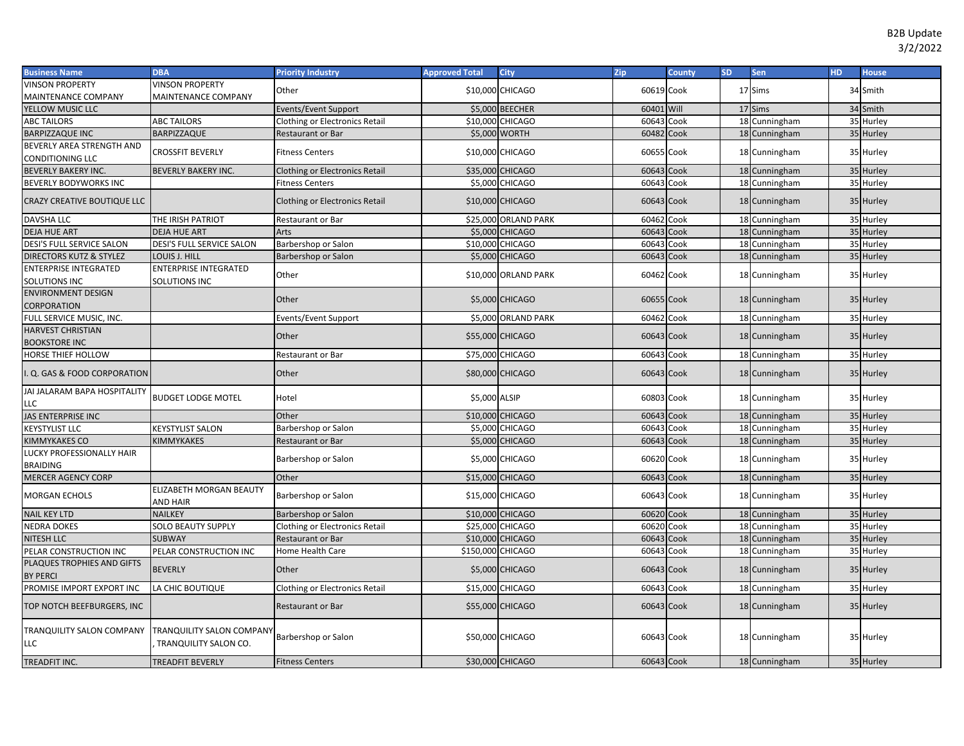| <b>Business Name</b>                     | <b>DBA</b>                                                | <b>Priority Industry</b>              | <b>Approved Total</b> | <b>City</b>            | Zip        | <b>County</b> | SD. | <b>Sen</b>    | HD. | <b>House</b> |
|------------------------------------------|-----------------------------------------------------------|---------------------------------------|-----------------------|------------------------|------------|---------------|-----|---------------|-----|--------------|
| <b>VINSON PROPERTY</b>                   | <b>VINSON PROPERTY</b>                                    | Other                                 |                       | \$10,000 CHICAGO       | 60619 Cook |               |     | 17 Sims       |     | 34 Smith     |
| MAINTENANCE COMPANY                      | <b>MAINTENANCE COMPANY</b>                                |                                       |                       |                        |            |               |     |               |     |              |
| YELLOW MUSIC LLC                         |                                                           | <b>Events/Event Support</b>           |                       | \$5,000 BEECHER        | 60401 Will |               |     | 17 Sims       |     | 34 Smith     |
| <b>ABC TAILORS</b>                       | <b>ABC TAILORS</b>                                        | <b>Clothing or Electronics Retail</b> |                       | \$10,000 CHICAGO       | 60643 Cook |               |     | 18 Cunningham |     | 35 Hurley    |
| <b>BARPIZZAQUE INC</b>                   | <b>BARPIZZAQUE</b>                                        | Restaurant or Bar                     |                       | \$5,000 WORTH          | 60482 Cook |               |     | 18 Cunningham |     | 35 Hurley    |
| BEVERLY AREA STRENGTH AND                | <b>CROSSFIT BEVERLY</b>                                   | <b>Fitness Centers</b>                |                       | \$10,000 CHICAGO       | 60655 Cook |               |     | 18 Cunningham |     | 35 Hurley    |
| CONDITIONING LLC                         |                                                           |                                       |                       |                        |            |               |     |               |     |              |
| <b>BEVERLY BAKERY INC.</b>               | <b>BEVERLY BAKERY INC.</b>                                | Clothing or Electronics Retail        |                       | \$35,000 CHICAGO       | 60643 Cook |               |     | 18 Cunningham |     | 35 Hurley    |
| BEVERLY BODYWORKS INC                    |                                                           | <b>Fitness Centers</b>                |                       | \$5,000 CHICAGO        | 60643 Cook |               |     | 18 Cunningham |     | 35 Hurley    |
| CRAZY CREATIVE BOUTIQUE LLC              |                                                           | <b>Clothing or Electronics Retail</b> |                       | \$10,000 CHICAGO       | 60643 Cook |               |     | 18 Cunningham |     | 35 Hurley    |
| DAVSHA LLC                               | THE IRISH PATRIOT                                         | Restaurant or Bar                     |                       | \$25,000 ORLAND PARK   | 60462 Cook |               |     | 18 Cunningham |     | 35 Hurley    |
| <b>DEJA HUE ART</b>                      | <b>DEJA HUE ART</b>                                       | Arts                                  |                       | \$5,000 CHICAGO        | 60643 Cook |               |     | 18 Cunningham |     | 35 Hurley    |
| DESI'S FULL SERVICE SALON                | DESI'S FULL SERVICE SALON                                 | Barbershop or Salon                   |                       | \$10,000 CHICAGO       | 60643      | Cook          |     | 18 Cunningham |     | 35 Hurley    |
| DIRECTORS KUTZ & STYLEZ                  | LOUIS J. HILL                                             | Barbershop or Salon                   |                       | \$5,000 CHICAGO        | 60643 Cook |               |     | 18 Cunningham |     | 35 Hurley    |
| ENTERPRISE INTEGRATED                    | <b>ENTERPRISE INTEGRATED</b>                              | Other                                 |                       | \$10,000 ORLAND PARK   | 60462 Cook |               |     | 18 Cunningham |     | 35 Hurley    |
| SOLUTIONS INC                            | <b>SOLUTIONS INC</b>                                      |                                       |                       |                        |            |               |     |               |     |              |
| <b>ENVIRONMENT DESIGN</b><br>CORPORATION |                                                           | Other                                 |                       | <b>\$5,000 CHICAGO</b> | 60655 Cook |               |     | 18 Cunningham |     | 35 Hurley    |
| FULL SERVICE MUSIC, INC.                 |                                                           | Events/Event Support                  |                       | \$5,000 ORLAND PARK    | 60462      | Cook          |     | 18 Cunningham |     | 35 Hurley    |
| <b>HARVEST CHRISTIAN</b>                 |                                                           | Other                                 |                       | \$55,000 CHICAGO       | 60643 Cook |               |     | 18 Cunningham |     | 35 Hurley    |
| <b>BOOKSTORE INC</b>                     |                                                           |                                       |                       |                        |            |               |     |               |     |              |
| HORSE THIEF HOLLOW                       |                                                           | Restaurant or Bar                     |                       | \$75,000 CHICAGO       | 60643 Cook |               |     | 18 Cunningham |     | 35 Hurley    |
| .Q. GAS & FOOD CORPORATION               |                                                           | Other                                 |                       | \$80,000 CHICAGO       | 60643 Cook |               |     | 18 Cunningham |     | 35 Hurley    |
| JAI JALARAM BAPA HOSPITALITY<br>LLC      | <b>BUDGET LODGE MOTEL</b>                                 | Hotel                                 | \$5,000 ALSIP         |                        | 60803 Cook |               |     | 18 Cunningham |     | 35 Hurley    |
| JAS ENTERPRISE INC                       |                                                           | Other                                 |                       | \$10,000 CHICAGO       | 60643 Cook |               |     | 18 Cunningham |     | 35 Hurley    |
| <b>KEYSTYLIST LLC</b>                    | <b>KEYSTYLIST SALON</b>                                   | Barbershop or Salon                   |                       | \$5,000 CHICAGO        | 60643 Cook |               |     | 18 Cunningham |     | 35 Hurley    |
| KIMMYKAKES CO                            | <b>KIMMYKAKES</b>                                         | Restaurant or Bar                     |                       | <b>\$5,000 CHICAGO</b> | 60643 Cook |               |     | 18 Cunningham |     | 35 Hurley    |
| LUCKY PROFESSIONALLY HAIR                |                                                           |                                       |                       |                        |            |               |     |               |     |              |
| <b>BRAIDING</b>                          |                                                           | Barbershop or Salon                   |                       | \$5,000 CHICAGO        | 60620 Cook |               |     | 18 Cunningham |     | 35 Hurley    |
| <b>MERCER AGENCY CORP</b>                |                                                           | Other                                 |                       | \$15,000 CHICAGO       | 60643 Cook |               |     | 18 Cunningham |     | 35 Hurley    |
| MORGAN ECHOLS                            | ELIZABETH MORGAN BEAUTY<br><b>AND HAIR</b>                | Barbershop or Salon                   |                       | \$15,000 CHICAGO       | 60643 Cook |               |     | 18 Cunningham |     | 35 Hurley    |
| <b>NAIL KEY LTD</b>                      | <b>NAILKEY</b>                                            | Barbershop or Salon                   |                       | \$10,000 CHICAGO       | 60620 Cook |               |     | 18 Cunningham |     | 35 Hurley    |
| <b>NEDRA DOKES</b>                       | <b>SOLO BEAUTY SUPPLY</b>                                 | <b>Clothing or Electronics Retail</b> |                       | \$25,000 CHICAGO       | 60620      | Cook          |     | 18 Cunningham |     | 35 Hurley    |
| <b>NITESH LLC</b>                        | <b>SUBWAY</b>                                             | Restaurant or Bar                     |                       | \$10,000 CHICAGO       | 60643      | Cook          |     | 18 Cunningham |     | 35 Hurley    |
| PELAR CONSTRUCTION INC                   | PELAR CONSTRUCTION INC                                    | Home Health Care                      | \$150,000 CHICAGO     |                        | 60643 Cook |               |     | 18 Cunningham |     | 35 Hurley    |
| PLAQUES TROPHIES AND GIFTS               |                                                           |                                       |                       |                        |            |               |     |               |     |              |
| <b>BY PERCI</b>                          | <b>BEVERLY</b>                                            | Other                                 |                       | \$5,000 CHICAGO        | 60643 Cook |               |     | 18 Cunningham |     | 35 Hurley    |
| PROMISE IMPORT EXPORT INC                | LA CHIC BOUTIQUE                                          | <b>Clothing or Electronics Retail</b> |                       | \$15,000 CHICAGO       | 60643 Cook |               |     | 18 Cunningham |     | 35 Hurley    |
| TOP NOTCH BEEFBURGERS, INC               |                                                           | Restaurant or Bar                     |                       | \$55,000 CHICAGO       | 60643 Cook |               |     | 18 Cunningham |     | 35 Hurley    |
| TRANQUILITY SALON COMPANY<br>LLC         | <b>TRANQUILITY SALON COMPANY</b><br>TRANQUILITY SALON CO. | Barbershop or Salon                   |                       | \$50,000 CHICAGO       | 60643 Cook |               |     | 18 Cunningham |     | 35 Hurley    |
| TREADFIT INC.                            | <b>TREADFIT BEVERLY</b>                                   | <b>Fitness Centers</b>                |                       | \$30,000 CHICAGO       | 60643 Cook |               |     | 18 Cunningham |     | 35 Hurley    |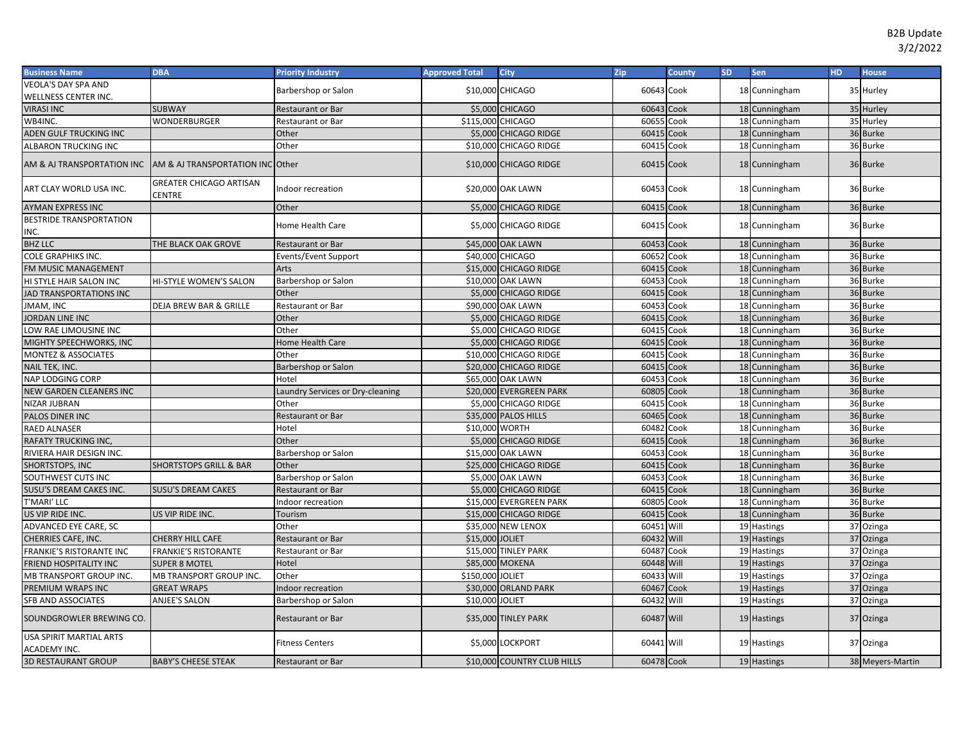| <b>Business Name</b>                                         | <b>DBA</b>                               | <b>Priority Industry</b>         | <b>Approved Total</b> | City                        | Zip        | County | <b>SD</b> | <b>Sen</b>    | HD. | <b>House</b>     |
|--------------------------------------------------------------|------------------------------------------|----------------------------------|-----------------------|-----------------------------|------------|--------|-----------|---------------|-----|------------------|
| VEOLA'S DAY SPA AND                                          |                                          | Barbershop or Salon              |                       | \$10,000 CHICAGO            | 60643 Cook |        |           | 18 Cunningham |     | 35 Hurley        |
| WELLNESS CENTER INC.                                         |                                          |                                  |                       |                             |            |        |           |               |     |                  |
| <b>VIRASI INC</b>                                            | <b>SUBWAY</b>                            | <b>Restaurant or Bar</b>         |                       | \$5,000 CHICAGO             | 60643 Cook |        |           | 18 Cunningham |     | 35 Hurley        |
| WB4INC.                                                      | WONDERBURGER                             | Restaurant or Bar                |                       | \$115,000 CHICAGO           | 60655      | Cook   |           | 18 Cunningham |     | 35 Hurley        |
| ADEN GULF TRUCKING INC                                       |                                          | Other                            |                       | \$5,000 CHICAGO RIDGE       | 60415      | Cook   |           | 18 Cunningham |     | 36 Burke         |
| ALBARON TRUCKING INC                                         |                                          | Other                            |                       | \$10,000 CHICAGO RIDGE      | 60415      | Cook   |           | 18 Cunningham |     | 36 Burke         |
| AM & AJ TRANSPORTATION INC 【AM & AJ TRANSPORTATION INC Other |                                          |                                  |                       | \$10,000 CHICAGO RIDGE      | 60415 Cook |        |           | 18 Cunningham |     | 36 Burke         |
| ART CLAY WORLD USA INC.                                      | <b>GREATER CHICAGO ARTISAN</b><br>CENTRE | Indoor recreation                |                       | \$20,000 OAK LAWN           | 60453 Cook |        |           | 18 Cunningham |     | 36 Burke         |
| <b>AYMAN EXPRESS INC</b>                                     |                                          | Other                            |                       | \$5,000 CHICAGO RIDGE       | 60415      | Cook   |           | 18 Cunningham |     | 36 Burke         |
| <b>BESTRIDE TRANSPORTATION</b><br>INC.                       |                                          | Home Health Care                 |                       | \$5,000 CHICAGO RIDGE       | 60415 Cook |        |           | 18 Cunningham |     | 36 Burke         |
| <b>BHZ LLC</b>                                               | THE BLACK OAK GROVE                      | <b>Restaurant or Bar</b>         |                       | \$45,000 OAK LAWN           | 60453 Cook |        |           | 18 Cunningham |     | 36 Burke         |
| <b>COLE GRAPHIKS INC.</b>                                    |                                          | Events/Event Support             |                       | \$40,000 CHICAGO            | 60652      | Cook   |           | 18 Cunningham |     | 36 Burke         |
| FM MUSIC MANAGEMENT                                          |                                          | Arts                             |                       | \$15,000 CHICAGO RIDGE      | 60415      | Cook   |           | 18 Cunningham |     | 36 Burke         |
| HI STYLE HAIR SALON INC                                      | HI-STYLE WOMEN'S SALON                   | Barbershop or Salon              |                       | \$10,000 OAK LAWN           | 60453      | Cook   |           | 18 Cunningham |     | 36 Burke         |
| JAD TRANSPORTATIONS INC                                      |                                          | Other                            |                       | \$5,000 CHICAGO RIDGE       | 60415      | Cook   |           | 18 Cunningham |     | 36 Burke         |
| JMAM, INC                                                    | <b>DEJA BREW BAR &amp; GRILLE</b>        | <b>Restaurant or Bar</b>         |                       | \$90,000 OAK LAWN           | 60453      | Cook   |           | 18 Cunningham |     | 36 Burke         |
| JORDAN LINE INC                                              |                                          | Other                            |                       | \$5,000 CHICAGO RIDGE       | 60415      | Cook   |           | 18 Cunningham |     | 36 Burke         |
| LOW RAE LIMOUSINE INC                                        |                                          | Other                            |                       | \$5,000 CHICAGO RIDGE       | 60415      | Cook   |           | 18 Cunningham |     | 36 Burke         |
| MIGHTY SPEECHWORKS, INC                                      |                                          | Home Health Care                 |                       | \$5,000 CHICAGO RIDGE       | 60415      | Cook   |           | 18 Cunningham |     | 36 Burke         |
| MONTEZ & ASSOCIATES                                          |                                          | Other                            |                       | \$10,000 CHICAGO RIDGE      | 60415      | Cook   |           | 18 Cunningham |     | 36 Burke         |
| NAIL TEK, INC.                                               |                                          | Barbershop or Salon              |                       | \$20,000 CHICAGO RIDGE      | 60415      | Cook   |           | 18 Cunningham |     | 36 Burke         |
| NAP LODGING CORP                                             |                                          | Hotel                            |                       | \$65,000 OAK LAWN           | 60453      | Cook   |           | 18 Cunningham |     | 36 Burke         |
| <b>NEW GARDEN CLEANERS INC</b>                               |                                          | Laundry Services or Dry-cleaning |                       | \$20,000 EVERGREEN PARK     | 60805      | Cook   |           | 18 Cunningham |     | 36 Burke         |
| NIZAR JUBRAN                                                 |                                          | Other                            |                       | \$5,000 CHICAGO RIDGE       | 60415      | Cook   |           | 18 Cunningham |     | 36 Burke         |
| PALOS DINER INC                                              |                                          | <b>Restaurant or Bar</b>         |                       | \$35,000 PALOS HILLS        | 60465      | Cook   |           | 18 Cunningham |     | 36 Burke         |
| RAED ALNASER                                                 |                                          | Hotel                            |                       | \$10,000 WORTH              | 60482      | Cook   |           | 18 Cunningham |     | 36 Burke         |
| RAFATY TRUCKING INC,                                         |                                          | Other                            |                       | \$5,000 CHICAGO RIDGE       | 60415      | Cook   |           | 18 Cunningham |     | 36 Burke         |
| RIVIERA HAIR DESIGN INC.                                     |                                          | Barbershop or Salon              |                       | \$15,000 OAK LAWN           | 60453      | Cook   |           | 18 Cunningham |     | 36 Burke         |
| SHORTSTOPS, INC                                              | <b>SHORTSTOPS GRILL &amp; BAR</b>        | Other                            |                       | \$25,000 CHICAGO RIDGE      | 60415      | Cook   |           | 18 Cunningham |     | 36 Burke         |
| SOUTHWEST CUTS INC                                           |                                          | Barbershop or Salon              |                       | \$5,000 OAK LAWN            | 60453      | Cook   |           | 18 Cunningham |     | 36 Burke         |
| SUSU'S DREAM CAKES INC.                                      | <b>SUSU'S DREAM CAKES</b>                | <b>Restaurant or Bar</b>         |                       | \$5,000 CHICAGO RIDGE       | 60415      | Cook   |           | 18 Cunningham |     | 36 Burke         |
| T'MARI' LLC                                                  |                                          | Indoor recreation                |                       | \$15,000 EVERGREEN PARK     | 60805      | Cook   |           | 18 Cunningham |     | 36 Burke         |
| US VIP RIDE INC.                                             | US VIP RIDE INC.                         | Tourism                          |                       | \$15,000 CHICAGO RIDGE      | 60415      | Cook   |           | 18 Cunningham |     | 36 Burke         |
| ADVANCED EYE CARE, SC                                        |                                          | Other                            |                       | \$35,000 NEW LENOX          | 60451      | Will   |           | 19 Hastings   |     | 37 Ozinga        |
| CHERRIES CAFE, INC.                                          | <b>CHERRY HILL CAFE</b>                  | <b>Restaurant or Bar</b>         | \$15,000 JOLIET       |                             | 60432      | Will   |           | 19 Hastings   |     | 37 Ozinga        |
| FRANKIE'S RISTORANTE INC                                     | <b>FRANKIE'S RISTORANTE</b>              | Restaurant or Bar                |                       | \$15,000 TINLEY PARK        | 60487      | Cook   |           | 19 Hastings   |     | 37 Ozinga        |
| FRIEND HOSPITALITY INC                                       | <b>SUPER 8 MOTEL</b>                     | Hotel                            |                       | \$85,000 MOKENA             | 60448      | Will   |           | 19 Hastings   |     | 37 Ozinga        |
| MB TRANSPORT GROUP INC.                                      | MB TRANSPORT GROUP INC.                  | Other                            | \$150,000 JOLIET      |                             | 60433      | Will   |           | 19 Hastings   |     | 37 Ozinga        |
| PREMIUM WRAPS INC                                            | <b>GREAT WRAPS</b>                       | Indoor recreation                |                       | \$30,000 ORLAND PARK        | 60467      | Cook   |           | 19 Hastings   |     | 37 Ozinga        |
| SFB AND ASSOCIATES                                           | ANJEE'S SALON                            | Barbershop or Salon              | \$10,000 JOLIET       |                             | 60432      | Will   |           | 19 Hastings   |     | 37 Ozinga        |
| SOUNDGROWLER BREWING CO.                                     |                                          | <b>Restaurant or Bar</b>         |                       | \$35,000 TINLEY PARK        | 60487 Will |        |           | 19 Hastings   |     | 37 Ozinga        |
| USA SPIRIT MARTIAL ARTS<br>ACADEMY INC.                      |                                          | <b>Fitness Centers</b>           |                       | \$5,000 LOCKPORT            | 60441 Will |        |           | 19 Hastings   |     | 37 Ozinga        |
| <b>3D RESTAURANT GROUP</b>                                   | <b>BABY'S CHEESE STEAK</b>               | <b>Restaurant or Bar</b>         |                       | \$10,000 COUNTRY CLUB HILLS | 60478 Cook |        |           | 19 Hastings   |     | 38 Meyers-Martin |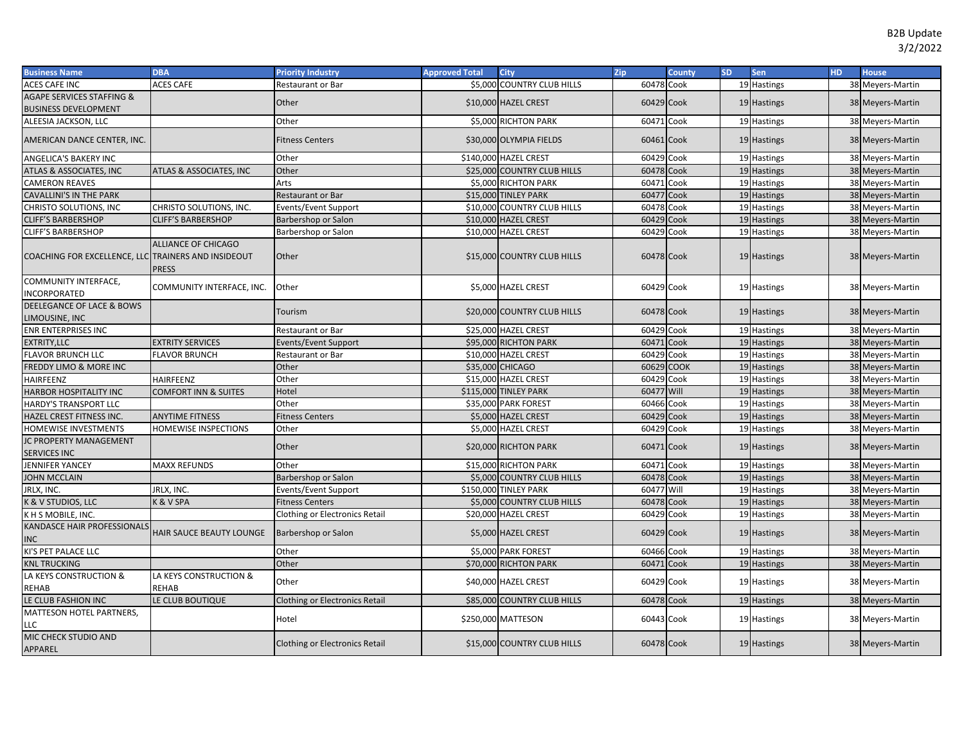| <b>Business Name</b>                                         | <b>DBA</b>                                 | <b>Priority Industry</b>              | <b>Approved Total</b> | <b>City</b>                 | Zip        | <b>County</b> | <b>SD</b> | Sen         | HD. | <b>House</b>     |
|--------------------------------------------------------------|--------------------------------------------|---------------------------------------|-----------------------|-----------------------------|------------|---------------|-----------|-------------|-----|------------------|
| <b>ACES CAFE INC</b>                                         | <b>ACES CAFE</b>                           | Restaurant or Bar                     |                       | \$5,000 COUNTRY CLUB HILLS  | 60478 Cook |               |           | 19 Hastings |     | 38 Meyers-Martin |
| <b>AGAPE SERVICES STAFFING &amp;</b><br>BUSINESS DEVELOPMENT |                                            | Other                                 |                       | \$10,000 HAZEL CREST        | 60429 Cook |               |           | 19 Hastings |     | 38 Meyers-Martin |
| ALEESIA JACKSON, LLC                                         |                                            | Other                                 |                       | \$5,000 RICHTON PARK        | 60471 Cook |               |           | 19 Hastings |     | 38 Meyers-Martin |
| AMERICAN DANCE CENTER, INC.                                  |                                            | <b>Fitness Centers</b>                |                       | \$30,000 OLYMPIA FIELDS     | 60461 Cook |               |           | 19 Hastings |     | 38 Meyers-Martin |
| <b>ANGELICA'S BAKERY INC</b>                                 |                                            | Other                                 |                       | \$140,000 HAZEL CREST       | 60429 Cook |               |           | 19 Hastings |     | 38 Meyers-Martin |
| ATLAS & ASSOCIATES, INC                                      | ATLAS & ASSOCIATES, INC                    | Other                                 |                       | \$25,000 COUNTRY CLUB HILLS | 60478 Cook |               |           | 19 Hastings |     | 38 Meyers-Martin |
| <b>CAMERON REAVES</b>                                        |                                            | Arts                                  |                       | \$5,000 RICHTON PARK        | 60471      | Cook          |           | 19 Hastings |     | 38 Meyers-Martin |
| CAVALLINI'S IN THE PARK                                      |                                            | <b>Restaurant or Bar</b>              |                       | \$15,000 TINLEY PARK        | 60477 Cook |               |           | 19 Hastings |     | 38 Meyers-Martin |
| CHRISTO SOLUTIONS, INC                                       | CHRISTO SOLUTIONS, INC.                    | Events/Event Support                  |                       | \$10,000 COUNTRY CLUB HILLS | 60478 Cook |               |           | 19 Hastings |     | 38 Meyers-Martin |
| <b>CLIFF'S BARBERSHOP</b>                                    | <b>CLIFF'S BARBERSHOP</b>                  | Barbershop or Salon                   |                       | \$10,000 HAZEL CREST        | 60429      | Cook          |           | 19 Hastings |     | 38 Meyers-Martin |
| <b>CLIFF'S BARBERSHOP</b>                                    |                                            | Barbershop or Salon                   |                       | \$10,000 HAZEL CREST        | 60429 Cook |               |           | 19 Hastings |     | 38 Meyers-Martin |
| COACHING FOR EXCELLENCE, LLC TRAINERS AND INSIDEOUT          | <b>ALLIANCE OF CHICAGO</b><br><b>PRESS</b> | Other                                 |                       | \$15,000 COUNTRY CLUB HILLS | 60478 Cook |               |           | 19 Hastings |     | 38 Meyers-Martin |
| COMMUNITY INTERFACE,<br><b>INCORPORATED</b>                  | COMMUNITY INTERFACE, INC.                  | Other                                 |                       | \$5,000 HAZEL CREST         | 60429 Cook |               |           | 19 Hastings |     | 38 Meyers-Martin |
| DEELEGANCE OF LACE & BOWS                                    |                                            | Tourism                               |                       | \$20,000 COUNTRY CLUB HILLS | 60478 Cook |               |           | 19 Hastings |     | 38 Meyers-Martin |
| LIMOUSINE, INC                                               |                                            |                                       |                       |                             |            |               |           |             |     |                  |
| ENR ENTERPRISES INC                                          |                                            | <b>Restaurant or Bar</b>              |                       | \$25,000 HAZEL CREST        | 60429 Cook |               |           | 19 Hastings |     | 38 Meyers-Martin |
| EXTRITY, LLC                                                 | <b>EXTRITY SERVICES</b>                    | Events/Event Support                  |                       | \$95,000 RICHTON PARK       | 60471      | Cook          |           | 19 Hastings |     | 38 Meyers-Martin |
| <b>FLAVOR BRUNCH LLC</b>                                     | <b>FLAVOR BRUNCH</b>                       | Restaurant or Bar                     |                       | \$10,000 HAZEL CREST        | 60429      | Cook          |           | 19 Hastings |     | 38 Meyers-Martin |
| <b>FREDDY LIMO &amp; MORE INC</b>                            |                                            | Other                                 |                       | \$35,000 CHICAGO            | 60629      | <b>COOK</b>   |           | 19 Hastings |     | 38 Meyers-Martin |
| <b>HAIRFEENZ</b>                                             | <b>HAIRFEENZ</b>                           | Other                                 |                       | \$15,000 HAZEL CREST        | 60429 Cook |               |           | 19 Hastings |     | 38 Meyers-Martin |
| HARBOR HOSPITALITY INC                                       | <b>COMFORT INN &amp; SUITES</b>            | Hotel                                 |                       | \$115,000 TINLEY PARK       | 60477 Will |               |           | 19 Hastings |     | 38 Meyers-Martin |
| HARDY'S TRANSPORT LLC                                        |                                            | Other                                 |                       | \$35,000 PARK FOREST        | 60466      | Cook          |           | 19 Hastings |     | 38 Meyers-Martin |
| HAZEL CREST FITNESS INC.                                     | <b>ANYTIME FITNESS</b>                     | <b>Fitness Centers</b>                |                       | \$5,000 HAZEL CREST         | 60429      | Cook          |           | 19 Hastings |     | 38 Meyers-Martin |
| HOMEWISE INVESTMENTS                                         | HOMEWISE INSPECTIONS                       | Other                                 |                       | \$5,000 HAZEL CREST         | 60429 Cook |               |           | 19 Hastings |     | 38 Meyers-Martin |
| <b>IC PROPERTY MANAGEMENT</b><br>SERVICES INC                |                                            | Other                                 |                       | \$20,000 RICHTON PARK       | 60471 Cook |               |           | 19 Hastings |     | 38 Meyers-Martin |
| JENNIFER YANCEY                                              | <b>MAXX REFUNDS</b>                        | Other                                 |                       | \$15,000 RICHTON PARK       | 60471      | Cook          |           | 19 Hastings |     | 38 Meyers-Martin |
| JOHN MCCLAIN                                                 |                                            | Barbershop or Salon                   |                       | \$5,000 COUNTRY CLUB HILLS  | 60478 Cook |               |           | 19 Hastings |     | 38 Meyers-Martin |
| JRLX, INC.                                                   | JRLX, INC.                                 | Events/Event Support                  | \$150,000             | <b>TINLEY PARK</b>          | 60477      | Will          |           | 19 Hastings |     | 38 Meyers-Martin |
| K & V STUDIOS, LLC                                           | K & V SPA                                  | <b>Fitness Centers</b>                | \$5,000               | <b>COUNTRY CLUB HILLS</b>   | 60478      | Cook          |           | 19 Hastings |     | 38 Meyers-Martin |
| K H S MOBILE, INC.                                           |                                            | Clothing or Electronics Retail        |                       | \$20,000 HAZEL CREST        | 60429 Cook |               |           | 19 Hastings |     | 38 Meyers-Martin |
| KANDASCE HAIR PROFESSIONALS<br>NC.                           | HAIR SAUCE BEAUTY LOUNGE                   | Barbershop or Salon                   |                       | \$5,000 HAZEL CREST         | 60429 Cook |               |           | 19 Hastings |     | 38 Meyers-Martin |
| KI'S PET PALACE LLC                                          |                                            | Other                                 |                       | \$5,000 PARK FOREST         | 60466 Cook |               |           | 19 Hastings |     | 38 Meyers-Martin |
| KNL TRUCKING                                                 |                                            | Other                                 |                       | \$70,000 RICHTON PARK       | 60471 Cook |               |           | 19 Hastings |     | 38 Meyers-Martin |
| LA KEYS CONSTRUCTION &<br>REHAB                              | LA KEYS CONSTRUCTION &<br>REHAB            | Other                                 |                       | \$40,000 HAZEL CREST        | 60429 Cook |               |           | 19 Hastings |     | 38 Meyers-Martin |
| <b>E CLUB FASHION INC</b>                                    | LE CLUB BOUTIQUE                           | <b>Clothing or Electronics Retail</b> |                       | \$85,000 COUNTRY CLUB HILLS | 60478 Cook |               |           | 19 Hastings |     | 38 Meyers-Martin |
| MATTESON HOTEL PARTNERS,<br>LLC                              |                                            | Hotel                                 |                       | \$250,000 MATTESON          | 60443 Cook |               |           | 19 Hastings |     | 38 Meyers-Martin |
| MIC CHECK STUDIO AND<br>APPAREL                              |                                            | <b>Clothing or Electronics Retail</b> |                       | \$15,000 COUNTRY CLUB HILLS | 60478 Cook |               |           | 19 Hastings |     | 38 Meyers-Martin |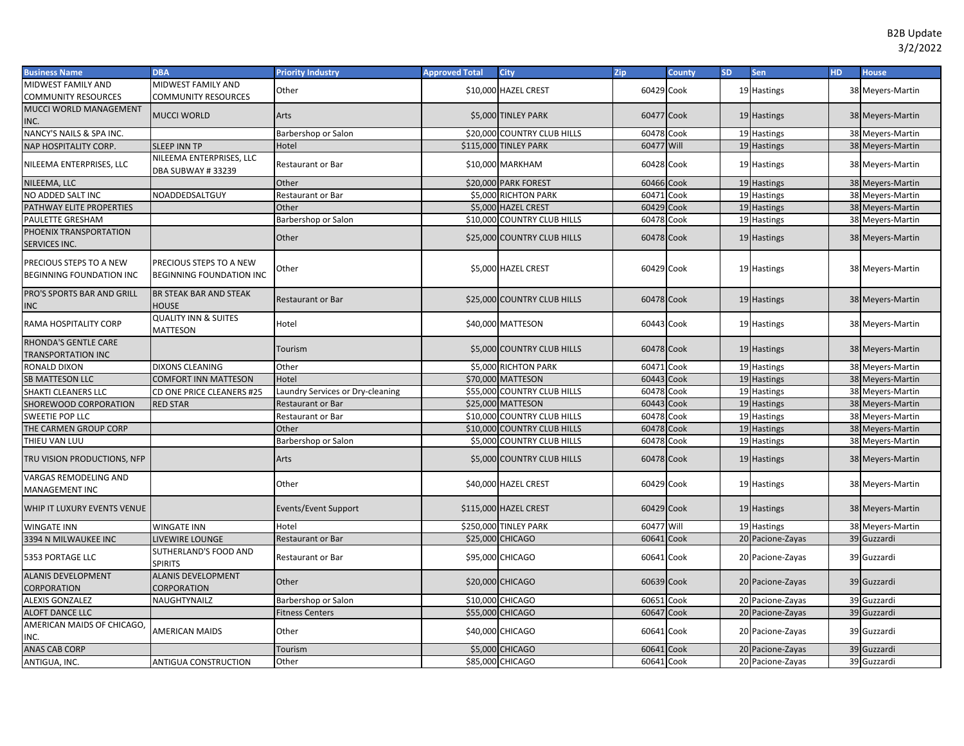| <b>Business Name</b>                                       | <b>DBA</b>                                                 | <b>Priority Industry</b>         | <b>Approved Total</b> | <b>City</b>                 | <b>Zip</b> | <b>County</b> | <b>SD</b> | <b>Sen</b>       | HD. | <b>House</b>     |
|------------------------------------------------------------|------------------------------------------------------------|----------------------------------|-----------------------|-----------------------------|------------|---------------|-----------|------------------|-----|------------------|
| MIDWEST FAMILY AND                                         | MIDWEST FAMILY AND                                         | Other                            |                       | \$10,000 HAZEL CREST        | 60429 Cook |               |           | 19 Hastings      |     | 38 Meyers-Martin |
| COMMUNITY RESOURCES                                        | COMMUNITY RESOURCES                                        |                                  |                       |                             |            |               |           |                  |     |                  |
| MUCCI WORLD MANAGEMENT                                     | <b>MUCCI WORLD</b>                                         | Arts                             |                       | \$5,000 TINLEY PARK         | 60477 Cook |               |           | 19 Hastings      |     | 38 Meyers-Martin |
| INC.                                                       |                                                            |                                  |                       |                             |            |               |           |                  |     |                  |
| NANCY'S NAILS & SPA INC.                                   |                                                            | Barbershop or Salon              |                       | \$20,000 COUNTRY CLUB HILLS | 60478 Cook |               |           | 19 Hastings      |     | 38 Meyers-Martin |
| NAP HOSPITALITY CORP.                                      | <b>SLEEP INN TP</b>                                        | Hotel                            |                       | \$115,000 TINLEY PARK       | 60477 Will |               |           | 19 Hastings      |     | 38 Meyers-Martin |
| NILEEMA ENTERPRISES, LLC                                   | NILEEMA ENTERPRISES, LLC<br>DBA SUBWAY #33239              | Restaurant or Bar                |                       | \$10,000 MARKHAM            | 60428 Cook |               |           | 19 Hastings      |     | 38 Meyers-Martin |
| NILEEMA, LLC                                               |                                                            | Other                            |                       | \$20,000 PARK FOREST        | 60466 Cook |               |           | 19 Hastings      |     | 38 Meyers-Martin |
| NO ADDED SALT INC                                          | NOADDEDSALTGUY                                             | Restaurant or Bar                |                       | \$5,000 RICHTON PARK        | 60471      | Cook          |           | 19 Hastings      |     | 38 Meyers-Martin |
| PATHWAY ELITE PROPERTIES                                   |                                                            | Other                            |                       | \$5,000 HAZEL CREST         | 60429      | Cook          |           | 19 Hastings      |     | 38 Meyers-Martin |
| PAULETTE GRESHAM                                           |                                                            | Barbershop or Salon              |                       | \$10,000 COUNTRY CLUB HILLS | 60478 Cook |               |           | 19 Hastings      |     | 38 Meyers-Martin |
| PHOENIX TRANSPORTATION<br>SERVICES INC.                    |                                                            | Other                            |                       | \$25,000 COUNTRY CLUB HILLS | 60478 Cook |               |           | 19 Hastings      |     | 38 Meyers-Martin |
| PRECIOUS STEPS TO A NEW<br><b>BEGINNING FOUNDATION INC</b> | PRECIOUS STEPS TO A NEW<br><b>BEGINNING FOUNDATION INC</b> | Other                            |                       | \$5,000 HAZEL CREST         | 60429 Cook |               |           | 19 Hastings      |     | 38 Meyers-Martin |
| PRO'S SPORTS BAR AND GRILL<br>NC                           | <b>BR STEAK BAR AND STEAK</b><br>HOUSE                     | <b>Restaurant or Bar</b>         |                       | \$25,000 COUNTRY CLUB HILLS | 60478 Cook |               |           | 19 Hastings      |     | 38 Meyers-Martin |
| RAMA HOSPITALITY CORP                                      | <b>QUALITY INN &amp; SUITES</b><br>MATTESON                | Hotel                            |                       | \$40,000 MATTESON           | 60443 Cook |               |           | 19 Hastings      |     | 38 Meyers-Martin |
| RHONDA'S GENTLE CARE<br><b>TRANSPORTATION INC</b>          |                                                            | Tourism                          |                       | \$5,000 COUNTRY CLUB HILLS  | 60478 Cook |               |           | 19 Hastings      |     | 38 Meyers-Martin |
| RONALD DIXON                                               | <b>DIXONS CLEANING</b>                                     | Other                            |                       | \$5,000 RICHTON PARK        | 60471 Cook |               |           | 19 Hastings      |     | 38 Meyers-Martin |
| <b>SB MATTESON LLC</b>                                     | COMFORT INN MATTESON                                       | Hotel                            |                       | \$70,000 MATTESON           | 60443 Cook |               |           | 19 Hastings      |     | 38 Meyers-Martin |
| SHAKTI CLEANERS LLC                                        | CD ONE PRICE CLEANERS #25                                  | Laundry Services or Dry-cleaning |                       | \$55,000 COUNTRY CLUB HILLS | 60478 Cook |               |           | 19 Hastings      |     | 38 Meyers-Martin |
| SHOREWOOD CORPORATION                                      | <b>RED STAR</b>                                            | Restaurant or Bar                |                       | \$25,000 MATTESON           | 60443 Cook |               |           | 19 Hastings      |     | 38 Meyers-Martin |
| SWEETIE POP LLC                                            |                                                            | Restaurant or Bar                |                       | \$10,000 COUNTRY CLUB HILLS | 60478 Cook |               |           | 19 Hastings      |     | 38 Meyers-Martin |
| THE CARMEN GROUP CORP                                      |                                                            | Other                            |                       | \$10,000 COUNTRY CLUB HILLS | 60478 Cook |               |           | 19 Hastings      |     | 38 Meyers-Martin |
| THIEU VAN LUU                                              |                                                            | Barbershop or Salon              |                       | \$5,000 COUNTRY CLUB HILLS  | 60478 Cook |               |           | 19 Hastings      |     | 38 Meyers-Martin |
| TRU VISION PRODUCTIONS, NFP                                |                                                            | Arts                             |                       | \$5,000 COUNTRY CLUB HILLS  | 60478 Cook |               |           | 19 Hastings      |     | 38 Meyers-Martin |
| VARGAS REMODELING AND<br><b>MANAGEMENT INC</b>             |                                                            | Other                            |                       | \$40,000 HAZEL CREST        | 60429 Cook |               |           | 19 Hastings      |     | 38 Meyers-Martin |
| WHIP IT LUXURY EVENTS VENUE                                |                                                            | Events/Event Support             |                       | \$115,000 HAZEL CREST       | 60429 Cook |               |           | 19 Hastings      |     | 38 Meyers-Martin |
| WINGATE INN                                                | WINGATE INN                                                | Hotel                            |                       | \$250,000 TINLEY PARK       | 60477 Will |               |           | 19 Hastings      |     | 38 Meyers-Martin |
| 3394 N MILWAUKEE INC                                       | LIVEWIRE LOUNGE                                            | <b>Restaurant or Bar</b>         |                       | \$25,000 CHICAGO            | 60641      | Cook          |           | 20 Pacione-Zayas |     | 39 Guzzardi      |
| 5353 PORTAGE LLC                                           | SUTHERLAND'S FOOD AND<br><b>SPIRITS</b>                    | Restaurant or Bar                |                       | \$95,000 CHICAGO            | 60641 Cook |               |           | 20 Pacione-Zayas |     | 39 Guzzardi      |
| <b>ALANIS DEVELOPMENT</b><br>CORPORATION                   | <b>ALANIS DEVELOPMENT</b><br>CORPORATION                   | Other                            |                       | \$20,000 CHICAGO            | 60639 Cook |               |           | 20 Pacione-Zayas |     | 39 Guzzardi      |
| <b>ALEXIS GONZALEZ</b>                                     | NAUGHTYNAILZ                                               | Barbershop or Salon              |                       | \$10,000 CHICAGO            | 60651      | Cook          |           | 20 Pacione-Zayas |     | 39 Guzzardi      |
| <b>ALOFT DANCE LLC</b>                                     |                                                            | <b>Fitness Centers</b>           |                       | \$55,000 CHICAGO            | 60647 Cook |               |           | 20 Pacione-Zayas |     | 39 Guzzardi      |
| AMERICAN MAIDS OF CHICAGO,<br>NC.                          | AMERICAN MAIDS                                             | Other                            |                       | \$40,000 CHICAGO            | 60641 Cook |               |           | 20 Pacione-Zayas |     | 39 Guzzardi      |
| <b>ANAS CAB CORP</b>                                       |                                                            | Tourism                          |                       | \$5,000 CHICAGO             | 60641      | Cook          |           | 20 Pacione-Zayas |     | 39 Guzzardi      |
| ANTIGUA, INC.                                              | ANTIGUA CONSTRUCTION                                       | Other                            |                       | \$85,000 CHICAGO            | 60641 Cook |               |           | 20 Pacione-Zayas |     | 39 Guzzardi      |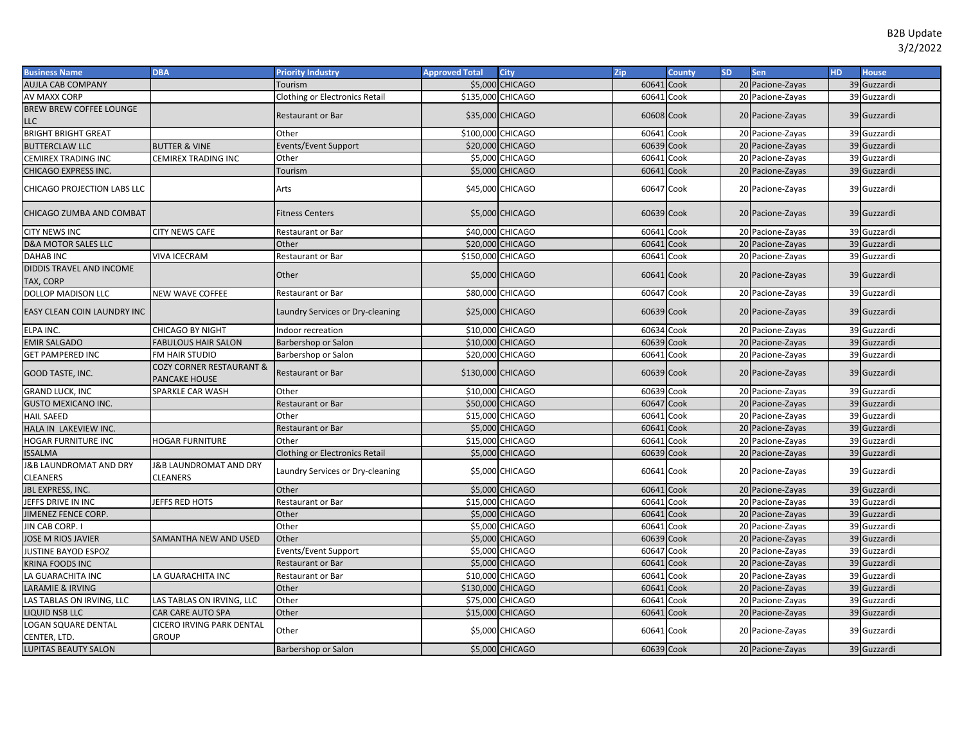| <b>Business Name</b>                         | <b>DBA</b>                                       | <b>Priority Industry</b>              | <b>Approved Total</b> | <b>City</b>            | Zip        | <b>County</b> | <b>SD</b> | Sen              | H <sub>D</sub> | <b>House</b> |
|----------------------------------------------|--------------------------------------------------|---------------------------------------|-----------------------|------------------------|------------|---------------|-----------|------------------|----------------|--------------|
| <b>AUJLA CAB COMPANY</b>                     |                                                  | Tourism                               |                       | <b>\$5,000 CHICAGO</b> | 60641      | Cook          |           | 20 Pacione-Zayas |                | 39 Guzzardi  |
| AV MAXX CORP                                 |                                                  | <b>Clothing or Electronics Retail</b> | \$135,000 CHICAGO     |                        | 60641      | Cook          |           | 20 Pacione-Zayas |                | 39 Guzzardi  |
| <b>BREW BREW COFFEE LOUNGE</b>               |                                                  | <b>Restaurant or Bar</b>              |                       | \$35,000 CHICAGO       | 60608 Cook |               |           | 20 Pacione-Zayas |                | 39 Guzzardi  |
| LLC                                          |                                                  |                                       |                       |                        |            |               |           |                  |                |              |
| <b>BRIGHT BRIGHT GREAT</b>                   |                                                  | Other                                 | \$100,000 CHICAGO     |                        | 60641      | Cook          |           | 20 Pacione-Zayas |                | 39 Guzzardi  |
| <b>BUTTERCLAW LLC</b>                        | <b>BUTTER &amp; VINE</b>                         | Events/Event Support                  |                       | \$20,000 CHICAGO       | 60639      | Cook          |           | 20 Pacione-Zayas |                | 39 Guzzardi  |
| CEMIREX TRADING INC                          | CEMIREX TRADING INC                              | Other                                 |                       | \$5,000 CHICAGO        | 60641      | Cook          |           | 20 Pacione-Zayas |                | 39 Guzzardi  |
| CHICAGO EXPRESS INC.                         |                                                  | <b>Tourism</b>                        |                       | \$5,000 CHICAGO        | 60641      | Cook          |           | 20 Pacione-Zayas |                | 39 Guzzardi  |
| CHICAGO PROJECTION LABS LLC                  |                                                  | Arts                                  |                       | \$45,000 CHICAGO       | 60647 Cook |               |           | 20 Pacione-Zayas |                | 39 Guzzardi  |
| CHICAGO ZUMBA AND COMBAT                     |                                                  | <b>Fitness Centers</b>                |                       | \$5,000 CHICAGO        | 60639 Cook |               |           | 20 Pacione-Zayas |                | 39 Guzzardi  |
| <b>CITY NEWS INC</b>                         | <b>CITY NEWS CAFE</b>                            | <b>Restaurant or Bar</b>              |                       | \$40,000 CHICAGO       | 60641      | Cook          |           | 20 Pacione-Zayas |                | 39 Guzzardi  |
| <b>D&amp;A MOTOR SALES LLC</b>               |                                                  | Other                                 |                       | \$20,000 CHICAGO       | 60641      | Cook          |           | 20 Pacione-Zayas |                | 39 Guzzardi  |
| <b>DAHAB INC</b>                             | <b>VIVA ICECRAM</b>                              | Restaurant or Bar                     | \$150,000 CHICAGO     |                        | 60641      | Cook          |           | 20 Pacione-Zayas |                | 39 Guzzardi  |
| DIDDIS TRAVEL AND INCOME<br>TAX, CORP        |                                                  | Other                                 |                       | \$5,000 CHICAGO        | 60641 Cook |               |           | 20 Pacione-Zayas |                | 39 Guzzardi  |
| DOLLOP MADISON LLC                           | NEW WAVE COFFEE                                  | Restaurant or Bar                     |                       | \$80,000 CHICAGO       | 60647 Cook |               |           | 20 Pacione-Zayas |                | 39 Guzzardi  |
| EASY CLEAN COIN LAUNDRY INC                  |                                                  | Laundry Services or Dry-cleaning      |                       | \$25,000 CHICAGO       | 60639 Cook |               |           | 20 Pacione-Zayas |                | 39 Guzzardi  |
| ELPA INC.                                    | CHICAGO BY NIGHT                                 | Indoor recreation                     |                       | \$10,000 CHICAGO       | 60634 Cook |               |           | 20 Pacione-Zayas |                | 39 Guzzardi  |
| <b>EMIR SALGADO</b>                          | <b>FABULOUS HAIR SALON</b>                       | Barbershop or Salon                   |                       | \$10,000 CHICAGO       | 60639 Cook |               |           | 20 Pacione-Zayas |                | 39 Guzzardi  |
| <b>GET PAMPERED INC</b>                      | FM HAIR STUDIO                                   | Barbershop or Salon                   |                       | \$20,000 CHICAGO       | 60641 Cook |               |           | 20 Pacione-Zayas |                | 39 Guzzardi  |
| GOOD TASTE, INC.                             | COZY CORNER RESTAURANT &<br><b>PANCAKE HOUSE</b> | <b>Restaurant or Bar</b>              | \$130,000 CHICAGO     |                        | 60639 Cook |               |           | 20 Pacione-Zayas |                | 39 Guzzardi  |
| <b>GRAND LUCK, INC</b>                       | SPARKLE CAR WASH                                 | Other                                 |                       | \$10,000 CHICAGO       | 60639 Cook |               |           | 20 Pacione-Zayas |                | 39 Guzzardi  |
| <b>GUSTO MEXICANO INC</b>                    |                                                  | <b>Restaurant or Bar</b>              |                       | \$50,000 CHICAGO       | 60647 Cook |               |           | 20 Pacione-Zayas |                | 39 Guzzardi  |
| <b>HAIL SAEED</b>                            |                                                  | Other                                 |                       | \$15,000 CHICAGO       | 60641      | Cook          |           | 20 Pacione-Zayas |                | 39 Guzzardi  |
| HALA IN LAKEVIEW INC.                        |                                                  | Restaurant or Bar                     |                       | \$5,000 CHICAGO        | 60641      | Cook          |           | 20 Pacione-Zayas |                | 39 Guzzardi  |
| <b>HOGAR FURNITURE INC</b>                   | <b>HOGAR FURNITURE</b>                           | Other                                 |                       | \$15,000 CHICAGO       | 60641      | Cook          |           | 20 Pacione-Zayas |                | 39 Guzzardi  |
| <b>SSALMA</b>                                |                                                  | <b>Clothing or Electronics Retail</b> |                       | \$5,000 CHICAGO        | 60639 Cook |               |           | 20 Pacione-Zayas |                | 39 Guzzardi  |
| <b>&amp;B LAUNDROMAT AND DRY</b><br>CLEANERS | <b>J&amp;B LAUNDROMAT AND DRY</b><br>CLEANERS    | Laundry Services or Dry-cleaning      |                       | \$5,000 CHICAGO        | 60641 Cook |               |           | 20 Pacione-Zayas |                | 39 Guzzardi  |
| JBL EXPRESS, INC.                            |                                                  | Other                                 |                       | \$5,000 CHICAGO        | 60641      | Cook          |           | 20 Pacione-Zayas |                | 39 Guzzardi  |
| JEFFS DRIVE IN INC                           | JEFFS RED HOTS                                   | Restaurant or Bar                     |                       | \$15,000 CHICAGO       | 60641      | Cook          |           | 20 Pacione-Zayas |                | 39 Guzzardi  |
| <b>JIMENEZ FENCE CORP.</b>                   |                                                  | Other                                 |                       | \$5,000 CHICAGO        | 60641      | Cook          |           | 20 Pacione-Zayas |                | 39 Guzzardi  |
| JIN CAB CORP. I                              |                                                  | Other                                 |                       | \$5,000 CHICAGO        | 60641      | Cook          |           | 20 Pacione-Zayas |                | 39 Guzzardi  |
| <b>JOSE M RIOS JAVIER</b>                    | SAMANTHA NEW AND USED                            | Other                                 |                       | \$5,000 CHICAGO        | 60639      | Cook          |           | 20 Pacione-Zayas |                | 39 Guzzardi  |
| JUSTINE BAYOD ESPOZ                          |                                                  | Events/Event Support                  |                       | \$5,000 CHICAGO        | 60647      | Cook          |           | 20 Pacione-Zayas |                | 39 Guzzardi  |
| KRINA FOODS INC                              |                                                  | Restaurant or Bar                     |                       | \$5,000 CHICAGO        | 60641      | Cook          |           | 20 Pacione-Zayas |                | 39 Guzzardi  |
| LA GUARACHITA INC                            | LA GUARACHITA INC                                | Restaurant or Bar                     |                       | \$10,000 CHICAGO       | 60641      | Cook          |           | 20 Pacione-Zayas |                | 39 Guzzardi  |
| LARAMIE & IRVING                             |                                                  | Other                                 | \$130,000 CHICAGO     |                        | 60641      | Cook          |           | 20 Pacione-Zayas |                | 39 Guzzardi  |
| LAS TABLAS ON IRVING, LLC                    | LAS TABLAS ON IRVING, LLC                        | Other                                 |                       | \$75,000 CHICAGO       | 60641      | Cook          |           | 20 Pacione-Zayas |                | 39 Guzzardi  |
| <b>LIQUID NSB LLC</b>                        | CAR CARE AUTO SPA                                | Other                                 |                       | \$15,000 CHICAGO       | 60641      | Cook          |           | 20 Pacione-Zayas |                | 39 Guzzardi  |
| LOGAN SQUARE DENTAL<br>CENTER, LTD.          | CICERO IRVING PARK DENTAL<br><b>GROUP</b>        | Other                                 |                       | \$5,000 CHICAGO        | 60641 Cook |               |           | 20 Pacione-Zayas |                | 39 Guzzardi  |
| <b>LUPITAS BEAUTY SALON</b>                  |                                                  | Barbershop or Salon                   |                       | \$5,000 CHICAGO        | 60639 Cook |               |           | 20 Pacione-Zayas |                | 39 Guzzardi  |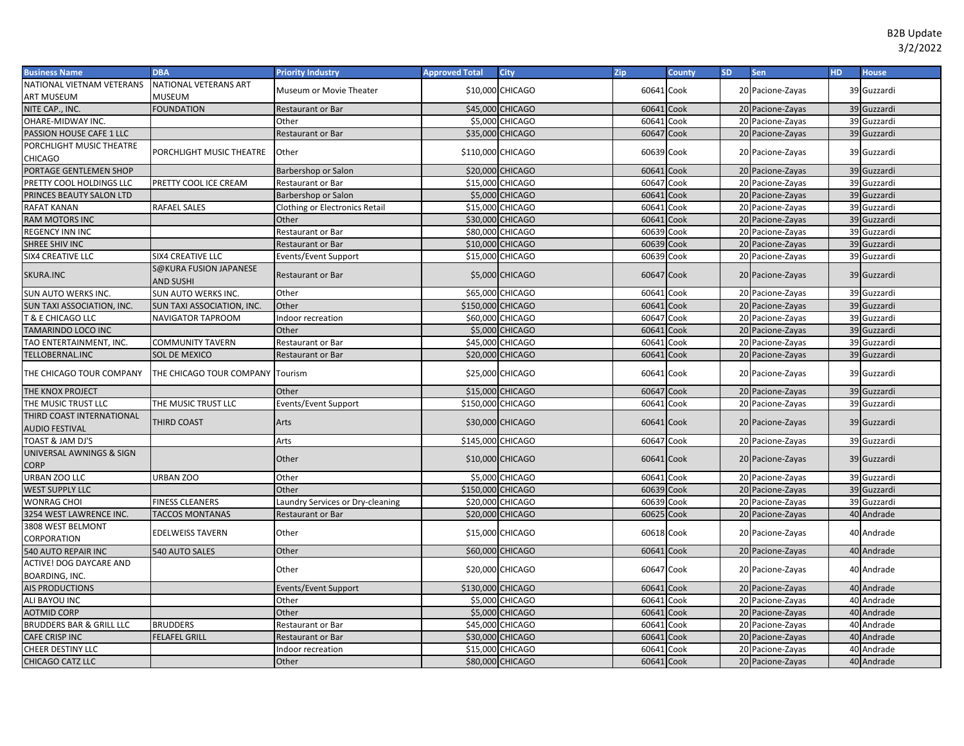| <b>Business Name</b>                               | <b>DBA</b>                                 | <b>Priority Industry</b>              | <b>Approved Total</b> | <b>City</b>                        | Zip        | <b>County</b> | SD. | <b>Sen</b>       | <b>HD</b> | <b>House</b> |
|----------------------------------------------------|--------------------------------------------|---------------------------------------|-----------------------|------------------------------------|------------|---------------|-----|------------------|-----------|--------------|
| NATIONAL VIETNAM VETERANS                          | NATIONAL VETERANS ART                      | Museum or Movie Theater               |                       | \$10,000 CHICAGO                   | 60641      | Cook          |     | 20 Pacione-Zayas |           | 39 Guzzardi  |
| ART MUSEUM                                         | <b>MUSEUM</b>                              |                                       |                       |                                    |            |               |     |                  |           |              |
| NITE CAP., INC.                                    | <b>FOUNDATION</b>                          | Restaurant or Bar                     |                       | \$45,000 CHICAGO                   | 60641      | Cook          |     | 20 Pacione-Zayas |           | 39 Guzzardi  |
| OHARE-MIDWAY INC.                                  |                                            | Other                                 |                       | \$5,000 CHICAGO                    | 60641      | Cook          |     | 20 Pacione-Zayas |           | 39 Guzzardi  |
| PASSION HOUSE CAFE 1 LLC                           |                                            | Restaurant or Bar                     |                       | \$35,000 CHICAGO                   | 60647      | Cook          |     | 20 Pacione-Zayas |           | 39 Guzzardi  |
| PORCHLIGHT MUSIC THEATRE<br>CHICAGO                | PORCHLIGHT MUSIC THEATRE                   | Other                                 | \$110,000 CHICAGO     |                                    | 60639      | Cook          |     | 20 Pacione-Zayas |           | 39 Guzzardi  |
| PORTAGE GENTLEMEN SHOP                             |                                            | Barbershop or Salon                   |                       | \$20,000 CHICAGO                   | 60641      | Cook          |     | 20 Pacione-Zayas |           | 39 Guzzardi  |
| PRETTY COOL HOLDINGS LLC                           | PRETTY COOL ICE CREAM                      | Restaurant or Bar                     |                       | \$15,000 CHICAGO                   | 60647      | Cook          |     | 20 Pacione-Zayas |           | 39 Guzzardi  |
| PRINCES BEAUTY SALON LTD                           |                                            | Barbershop or Salon                   |                       | \$5,000 CHICAGO                    | 60641      | Cook          |     | 20 Pacione-Zayas |           | 39 Guzzardi  |
| RAFAT KANAN                                        | <b>RAFAEL SALES</b>                        | <b>Clothing or Electronics Retail</b> |                       | \$15,000 CHICAGO                   | 60641      | Cook          |     | 20 Pacione-Zayas |           | 39 Guzzardi  |
| RAM MOTORS INC                                     |                                            | Other                                 |                       | \$30,000 CHICAGO                   | 60641      | Cook          |     | 20 Pacione-Zayas |           | 39 Guzzardi  |
| <b>REGENCY INN INC</b>                             |                                            | Restaurant or Bar                     |                       | \$80,000 CHICAGO                   | 60639      | Cook          |     | 20 Pacione-Zayas |           | 39 Guzzardi  |
| SHREE SHIV INC                                     |                                            | Restaurant or Bar                     |                       | \$10,000 CHICAGO                   | 60639      | Cook          |     | 20 Pacione-Zayas |           | 39 Guzzardi  |
| SIX4 CREATIVE LLC                                  | <b>SIX4 CREATIVE LLC</b>                   | Events/Event Support                  |                       | \$15,000 CHICAGO                   | 60639      | Cook          |     | 20 Pacione-Zayas |           | 39 Guzzardi  |
| SKURA.INC                                          | S@KURA FUSION JAPANESE<br><b>AND SUSHI</b> | <b>Restaurant or Bar</b>              |                       | <b>\$5,000 CHICAGO</b>             | 60647 Cook |               |     | 20 Pacione-Zayas |           | 39 Guzzardi  |
| SUN AUTO WERKS INC                                 | <b>SUN AUTO WERKS INC.</b>                 | Other                                 |                       | \$65,000 CHICAGO                   | 6064       | Cook          |     | 20 Pacione-Zayas |           | 39 Guzzardi  |
| SUN TAXI ASSOCIATION, INC.                         | SUN TAXI ASSOCIATION, INC.                 | Other                                 | \$150,000 CHICAGO     |                                    | 60641      | Cook          |     | 20 Pacione-Zayas |           | 39 Guzzardi  |
| <b>T &amp; E CHICAGO LLC</b>                       | <b>NAVIGATOR TAPROOM</b>                   | Indoor recreation                     |                       | \$60,000 CHICAGO                   | 60647      | Cook          |     | 20 Pacione-Zayas |           | 39 Guzzardi  |
| TAMARINDO LOCO INC                                 |                                            | Other                                 |                       | \$5,000 CHICAGO                    | 60641      | Cook          |     | 20 Pacione-Zayas |           | 39 Guzzardi  |
| TAO ENTERTAINMENT, INC.                            | <b>COMMUNITY TAVERN</b>                    | Restaurant or Bar                     |                       | \$45,000 CHICAGO                   | 60643      | Cook          |     | 20 Pacione-Zayas |           | 39 Guzzardi  |
| TELLOBERNAL.INC                                    | SOL DE MEXICO                              | Restaurant or Bar                     |                       | \$20,000 CHICAGO                   | 60641      | Cook          |     | 20 Pacione-Zayas |           | 39 Guzzardi  |
| THE CHICAGO TOUR COMPANY                           | THE CHICAGO TOUR COMPANY                   | Tourism                               |                       | \$25,000 CHICAGO                   | 60641 Cook |               |     | 20 Pacione-Zayas |           | 39 Guzzardi  |
| THE KNOX PROJECT                                   |                                            | Other                                 |                       | \$15,000 CHICAGO                   | 60647      | Cook          |     | 20 Pacione-Zayas |           | 39 Guzzardi  |
| THE MUSIC TRUST LLC                                | THE MUSIC TRUST LLC                        | Events/Event Support                  | \$150,000 CHICAGO     |                                    | 60641      | Cook          |     | 20 Pacione-Zayas |           | 39 Guzzardi  |
| THIRD COAST INTERNATIONAL<br><b>AUDIO FESTIVAL</b> | THIRD COAST                                | Arts                                  |                       | \$30,000 CHICAGO                   | 60641 Cook |               |     | 20 Pacione-Zayas |           | 39 Guzzardi  |
| TOAST & JAM DJ'S                                   |                                            | Arts                                  | \$145,000 CHICAGO     |                                    | 60647      | Cook          |     | 20 Pacione-Zayas |           | 39 Guzzardi  |
| UNIVERSAL AWNINGS & SIGN<br><b>CORP</b>            |                                            | Other                                 |                       | \$10,000 CHICAGO                   | 60641      | Cook          |     | 20 Pacione-Zayas |           | 39 Guzzardi  |
| URBAN ZOO LLC                                      | URBAN ZOO                                  | Other                                 |                       | \$5,000 CHICAGO                    | 60641      | Cook          |     | 20 Pacione-Zayas |           | 39 Guzzardi  |
| <b>WEST SUPPLY LLC</b>                             |                                            | Other                                 | \$150,000 CHICAGO     |                                    | 60639      | Cook          |     | 20 Pacione-Zayas |           | 39 Guzzardi  |
| WONRAG CHOI                                        | <b>FINESS CLEANERS</b>                     | Laundry Services or Dry-cleaning      |                       | \$20,000 CHICAGO                   | 60639      | Cook          |     | 20 Pacione-Zayas |           | 39 Guzzardi  |
| 3254 WEST LAWRENCE INC.                            | <b>TACCOS MONTANAS</b>                     | Restaurant or Bar                     |                       | \$20,000 CHICAGO                   | 60625      | Cook          |     | 20 Pacione-Zayas |           | 40 Andrade   |
| 3808 WEST BELMONT<br>CORPORATION                   | <b>EDELWEISS TAVERN</b>                    | Other                                 |                       | \$15,000 CHICAGO                   | 60618 Cook |               |     | 20 Pacione-Zayas |           | 40 Andrade   |
| 540 AUTO REPAIR INC                                | 540 AUTO SALES                             | Other                                 |                       | \$60,000 CHICAGO                   | 60641      | Cook          |     | 20 Pacione-Zayas |           | 40 Andrade   |
| <b>ACTIVE! DOG DAYCARE AND</b>                     |                                            | Other                                 |                       | \$20,000 CHICAGO                   | 60647      | Cook          |     | 20 Pacione-Zayas |           | 40 Andrade   |
| BOARDING, INC.<br>AIS PRODUCTIONS                  |                                            | <b>Events/Event Support</b>           | \$130,000 CHICAGO     |                                    | 60641      | Cook          |     | 20 Pacione-Zayas |           | 40 Andrade   |
|                                                    |                                            | Other                                 |                       |                                    | 60641      | Cook          |     |                  |           | 40 Andrade   |
| ALI BAYOU INC                                      |                                            |                                       |                       | \$5,000 CHICAGO<br>\$5,000 CHICAGO | 6064       |               |     | 20 Pacione-Zayas |           | 40 Andrade   |
| <b>AOTMID CORP</b>                                 |                                            | Other                                 |                       |                                    |            | Cook          |     | 20 Pacione-Zayas |           |              |
| BRUDDERS BAR & GRILL LLC                           | <b>BRUDDERS</b>                            | Restaurant or Bar                     |                       | \$45,000 CHICAGO                   | 6064       | Cook          |     | 20 Pacione-Zayas |           | 40 Andrade   |
| <b>CAFE CRISP INC</b>                              | <b>FELAFEL GRILL</b>                       | Restaurant or Bar                     |                       | \$30,000 CHICAGO                   | 60643      | Cook          |     | 20 Pacione-Zayas |           | 40 Andrade   |
| <b>CHEER DESTINY LLC</b>                           |                                            | Indoor recreation                     |                       | \$15,000 CHICAGO                   | 6064       | Cook          |     | 20 Pacione-Zayas |           | 40 Andrade   |
| CHICAGO CATZ LLC                                   |                                            | Other                                 |                       | \$80,000 CHICAGO                   | 60641      | Cook          |     | 20 Pacione-Zayas |           | 40 Andrade   |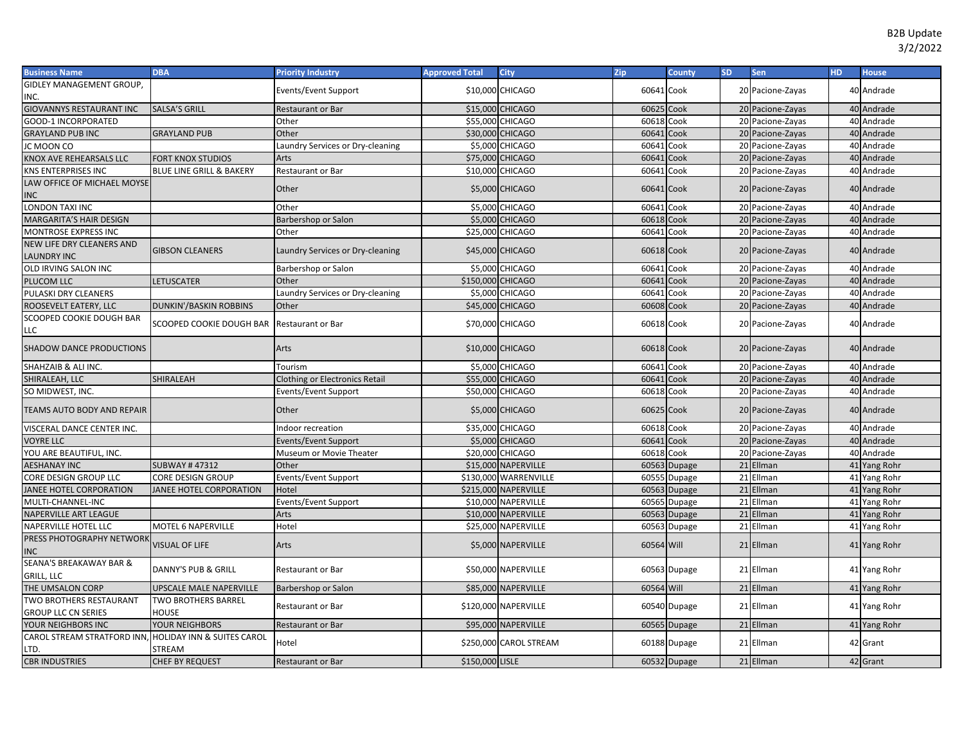| <b>Business Name</b>            | <b>DBA</b>                          | <b>Priority Industry</b>         | <b>Approved Total</b> | <b>City</b>            | Zip        | <b>County</b> | <b>SD</b> | Sen              | <b>HD</b> | <b>House</b> |
|---------------------------------|-------------------------------------|----------------------------------|-----------------------|------------------------|------------|---------------|-----------|------------------|-----------|--------------|
| GIDLEY MANAGEMENT GROUP,        |                                     | Events/Event Support             |                       | \$10,000 CHICAGO       | 60641 Cook |               |           |                  |           | 40 Andrade   |
| NC.                             |                                     |                                  |                       |                        |            |               |           | 20 Pacione-Zayas |           |              |
| <b>GIOVANNYS RESTAURANT INC</b> | SALSA'S GRILL                       | Restaurant or Bar                |                       | \$15,000 CHICAGO       | 60625 Cook |               |           | 20 Pacione-Zayas |           | 40 Andrade   |
| <b>GOOD-1 INCORPORATED</b>      |                                     | Other                            |                       | \$55,000 CHICAGO       | 60618 Cook |               |           | 20 Pacione-Zayas |           | 40 Andrade   |
| <b>GRAYLAND PUB INC</b>         | <b>GRAYLAND PUB</b>                 | Other                            |                       | \$30,000 CHICAGO       | 60641      | Cook          |           | 20 Pacione-Zayas |           | 40 Andrade   |
| IC MOON CO                      |                                     | aundry Services or Dry-cleaning  |                       | \$5,000 CHICAGO        | 60641      | Cook          |           | 20 Pacione-Zayas |           | 40 Andrade   |
| KNOX AVE REHEARSALS LLC         | <b>FORT KNOX STUDIOS</b>            | Arts                             |                       | \$75,000 CHICAGO       | 60641      | Cook          |           | 20 Pacione-Zayas |           | 40 Andrade   |
| KNS ENTERPRISES INC             | <b>BLUE LINE GRILL &amp; BAKERY</b> | Restaurant or Bar                |                       | \$10,000 CHICAGO       | 60641 Cook |               |           | 20 Pacione-Zayas |           | 40 Andrade   |
| LAW OFFICE OF MICHAEL MOYSE     |                                     | Other                            |                       | \$5,000 CHICAGO        | 60641 Cook |               |           | 20 Pacione-Zayas |           | 40 Andrade   |
| INC                             |                                     |                                  |                       |                        |            |               |           |                  |           |              |
| LONDON TAXI INC                 |                                     | Other                            |                       | \$5,000 CHICAGO        | 60641      | Cook          |           | 20 Pacione-Zayas |           | 40 Andrade   |
| MARGARITA'S HAIR DESIGN         |                                     | Barbershop or Salon              |                       | \$5,000 CHICAGO        | 60618      | Cook          |           | 20 Pacione-Zayas |           | 40 Andrade   |
| MONTROSE EXPRESS INC            |                                     | Other                            |                       | \$25,000 CHICAGO       | 60641      | Cook          |           | 20 Pacione-Zayas |           | 40 Andrade   |
| NEW LIFE DRY CLEANERS AND       | <b>GIBSON CLEANERS</b>              | Laundry Services or Dry-cleaning |                       | \$45,000 CHICAGO       | 60618 Cook |               |           | 20 Pacione-Zayas |           | 40 Andrade   |
| <b>LAUNDRY INC</b>              |                                     |                                  |                       |                        |            |               |           |                  |           |              |
| OLD IRVING SALON INC            |                                     | Barbershop or Salon              |                       | \$5,000 CHICAGO        | 60641      | Cook          |           | 20 Pacione-Zayas |           | 40 Andrade   |
| PLUCOM LLC                      | LETUSCATER                          | Other                            | \$150,000 CHICAGO     |                        | 60641      | Cook          |           | 20 Pacione-Zayas |           | 40 Andrade   |
| PULASKI DRY CLEANERS            |                                     | Laundry Services or Dry-cleaning |                       | \$5,000 CHICAGO        | 60641      | Cook          |           | 20 Pacione-Zayas |           | 40 Andrade   |
| ROOSEVELT EATERY, LLC           | <b>DUNKIN'/BASKIN ROBBINS</b>       | Other                            |                       | \$45,000 CHICAGO       | 60608      | Cook          |           | 20 Pacione-Zayas |           | 40 Andrade   |
| SCOOPED COOKIE DOUGH BAR        | SCOOPED COOKIE DOUGH BAR            | <b>Restaurant or Bar</b>         |                       | \$70,000 CHICAGO       | 60618 Cook |               |           | 20 Pacione-Zayas |           | 40 Andrade   |
| LLC                             |                                     |                                  |                       |                        |            |               |           |                  |           |              |
| <b>SHADOW DANCE PRODUCTIONS</b> |                                     | Arts                             |                       | \$10,000 CHICAGO       | 60618 Cook |               |           | 20 Pacione-Zayas |           | 40 Andrade   |
|                                 |                                     |                                  |                       |                        |            |               |           |                  |           |              |
| SHAHZAIB & ALI INC.             |                                     | Tourism                          |                       | \$5,000 CHICAGO        | 60641      | Cook          |           | 20 Pacione-Zayas |           | 40 Andrade   |
| SHIRALEAH, LLC                  | SHIRALEAH                           | Clothing or Electronics Retail   |                       | \$55,000 CHICAGO       | 60641      | Cook          |           | 20 Pacione-Zayas |           | 40 Andrade   |
| SO MIDWEST, INC.                |                                     | Events/Event Support             |                       | \$50,000 CHICAGO       | 60618      | Cook          |           | 20 Pacione-Zayas |           | 40 Andrade   |
| TEAMS AUTO BODY AND REPAIR      |                                     | Other                            |                       | \$5,000 CHICAGO        | 60625 Cook |               |           | 20 Pacione-Zayas |           | 40 Andrade   |
| VISCERAL DANCE CENTER INC.      |                                     | ndoor recreation                 |                       | \$35,000 CHICAGO       | 60618 Cook |               |           | 20 Pacione-Zayas |           | 40 Andrade   |
| <b>JOYRE LLC</b>                |                                     | Events/Event Support             |                       | \$5,000 CHICAGO        | 60641      | Cook          |           | 20 Pacione-Zayas |           | 40 Andrade   |
| YOU ARE BEAUTIFUL, INC.         |                                     | Museum or Movie Theater          |                       | \$20,000 CHICAGO       | 60618 Cook |               |           | 20 Pacione-Zayas |           | 40 Andrade   |
| <b>AESHANAY INC</b>             | <b>SUBWAY #47312</b>                | Other                            |                       | \$15,000 NAPERVILLE    | 60563      | Dupage        |           | 21 Ellman        |           | 41 Yang Rohr |
| CORE DESIGN GROUP LLC           | CORE DESIGN GROUP                   | Events/Event Support             |                       | \$130,000 WARRENVILLE  |            | 60555 Dupage  |           | 21 Ellman        |           | 41 Yang Rohr |
| <b>IANEE HOTEL CORPORATION</b>  | JANEE HOTEL CORPORATION             | Hotel                            |                       | \$215,000 NAPERVILLE   |            | 60563 Dupage  |           | 21 Ellman        |           | 41 Yang Rohr |
| MULTI-CHANNEL-INC               |                                     | Events/Event Support             |                       | \$10,000 NAPERVILLE    |            | 60565 Dupage  |           | 21 Ellman        |           | 41 Yang Rohr |
| NAPERVILLE ART LEAGUE           |                                     | Arts                             |                       | \$10,000 NAPERVILLE    |            | 60563 Dupage  |           | 21 Ellman        |           | 41 Yang Rohr |
| <b>NAPERVILLE HOTEL LLC</b>     | <b>MOTEL 6 NAPERVILLE</b>           | Hotel                            |                       | \$25,000 NAPERVILLE    |            | 60563 Dupage  |           | 21 Ellman        |           | 41 Yang Rohr |
| PRESS PHOTOGRAPHY NETWORK       | <b>VISUAL OF LIFE</b>               | Arts                             |                       | \$5,000 NAPERVILLE     | 60564 Will |               |           | 21 Ellman        |           | 41 Yang Rohr |
| INC                             |                                     |                                  |                       |                        |            |               |           |                  |           |              |
| SEANA'S BREAKAWAY BAR &         | <b>DANNY'S PUB &amp; GRILL</b>      |                                  |                       | \$50,000 NAPERVILLE    |            |               |           | 21 Ellman        |           |              |
| GRILL, LLC                      |                                     | Restaurant or Bar                |                       |                        |            | 60563 Dupage  |           |                  |           | 41 Yang Rohr |
| THE UMSALON CORP                | UPSCALE MALE NAPERVILLE             | Barbershop or Salon              |                       | \$85,000 NAPERVILLE    | 60564 Will |               |           | 21 Ellman        |           | 41 Yang Rohr |
| TWO BROTHERS RESTAURANT         | <b>TWO BROTHERS BARREL</b>          | Restaurant or Bar                |                       | \$120,000 NAPERVILLE   |            | 60540 Dupage  |           | 21 Ellman        |           | 41 Yang Rohr |
| <b>GROUP LLC CN SERIES</b>      | HOUSE                               |                                  |                       |                        |            |               |           |                  |           |              |
| YOUR NEIGHBORS INC              | YOUR NEIGHBORS                      | Restaurant or Bar                |                       | \$95,000 NAPERVILLE    |            | 60565 Dupage  |           | 21 Ellman        |           | 41 Yang Rohr |
| CAROL STREAM STRATFORD INN,     | HOLIDAY INN & SUITES CAROL          | Hotel                            |                       | \$250,000 CAROL STREAM |            | 60188 Dupage  |           | 21 Ellman        |           | 42 Grant     |
| LTD.                            | STREAM                              |                                  |                       |                        |            |               |           |                  |           |              |
| <b>CBR INDUSTRIES</b>           | <b>CHEF BY REQUEST</b>              | Restaurant or Bar                | \$150,000 LISLE       |                        |            | 60532 Dupage  |           | 21 Ellman        |           | 42 Grant     |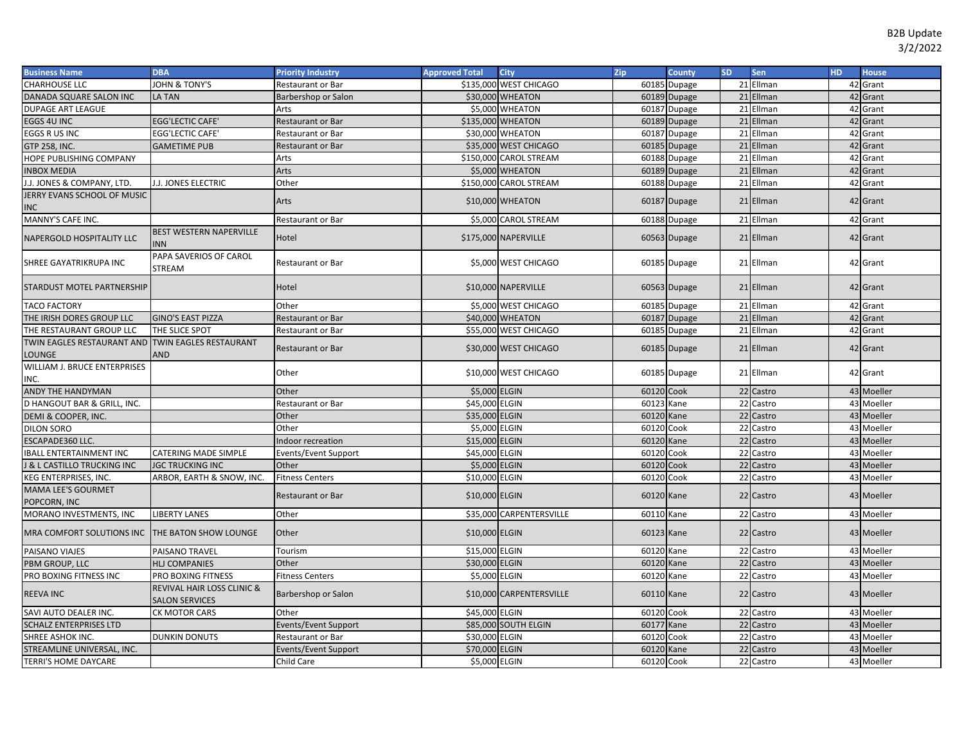| <b>Business Name</b>                                        | <b>DBA</b>                                          | <b>Priority Industry</b>    | <b>Approved Total</b> | <b>City</b>              | Zip        | County        | <b>SD</b> | Sen       | HD. | <b>House</b> |
|-------------------------------------------------------------|-----------------------------------------------------|-----------------------------|-----------------------|--------------------------|------------|---------------|-----------|-----------|-----|--------------|
| <b>CHARHOUSE LLC</b>                                        | JOHN & TONY'S                                       | Restaurant or Bar           |                       | \$135,000 WEST CHICAGO   |            | 60185 Dupage  |           | 21 Ellman |     | 42 Grant     |
| DANADA SQUARE SALON INC                                     | LA TAN                                              | Barbershop or Salon         |                       | \$30,000 WHEATON         |            | 60189 Dupage  |           | 21 Ellman |     | 42 Grant     |
| DUPAGE ART LEAGUE                                           |                                                     | Arts                        |                       | \$5,000 WHEATON          | 60187      | Dupage        |           | 21 Ellman |     | 42 Grant     |
| EGGS 4U INC                                                 | <b>EGG'LECTIC CAFE'</b>                             | Restaurant or Bar           |                       | \$135,000 WHEATON        |            | 60189 Dupage  |           | 21 Ellman |     | 42 Grant     |
| EGGS R US INC                                               | <b>EGG'LECTIC CAFE'</b>                             | Restaurant or Bar           |                       | \$30,000 WHEATON         | 60187      | <b>Dupage</b> |           | 21 Ellman |     | 42 Grant     |
| <b>GTP 258, INC.</b>                                        | <b>GAMETIME PUB</b>                                 | Restaurant or Bar           |                       | \$35,000 WEST CHICAGO    |            | 60185 Dupage  |           | 21 Ellman |     | 42 Grant     |
| HOPE PUBLISHING COMPANY                                     |                                                     | Arts                        |                       | \$150,000 CAROL STREAM   |            | 60188 Dupage  |           | 21 Ellman |     | 42 Grant     |
| <b>INBOX MEDIA</b>                                          |                                                     | Arts                        |                       | \$5,000 WHEATON          |            | 60189 Dupage  |           | 21 Ellman |     | 42 Grant     |
| J.J. JONES & COMPANY, LTD.                                  | I.J. JONES ELECTRIC                                 | Other                       |                       | \$150,000 CAROL STREAM   |            | 60188 Dupage  |           | 21 Ellman |     | 42 Grant     |
| JERRY EVANS SCHOOL OF MUSIC                                 |                                                     | Arts                        |                       | \$10,000 WHEATON         |            | 60187 Dupage  |           | 21 Ellman |     | 42 Grant     |
| <b>INC</b>                                                  |                                                     |                             |                       |                          |            |               |           |           |     |              |
| MANNY'S CAFE INC.                                           |                                                     | <b>Restaurant or Bar</b>    |                       | \$5,000 CAROL STREAM     |            | 60188 Dupage  |           | 21 Ellman |     | 42 Grant     |
| NAPERGOLD HOSPITALITY LLC                                   | <b>BEST WESTERN NAPERVILLE</b><br>NN.               | Hotel                       |                       | \$175,000 NAPERVILLE     |            | 60563 Dupage  |           | 21 Ellman |     | 42 Grant     |
| SHREE GAYATRIKRUPA INC                                      | PAPA SAVERIOS OF CAROL<br>STREAM                    | Restaurant or Bar           |                       | \$5,000 WEST CHICAGO     |            | 60185 Dupage  |           | 21 Ellman |     | 42 Grant     |
| STARDUST MOTEL PARTNERSHIP                                  |                                                     | Hotel                       |                       | \$10,000 NAPERVILLE      |            | 60563 Dupage  |           | 21 Ellman |     | 42 Grant     |
| <b>TACO FACTORY</b>                                         |                                                     | Other                       |                       | \$5,000 WEST CHICAGO     |            | 60185 Dupage  |           | 21 Ellman |     | 42 Grant     |
| THE IRISH DORES GROUP LLC                                   | <b>GINO'S EAST PIZZA</b>                            | <b>Restaurant or Bar</b>    |                       | \$40,000 WHEATON         |            | 60187 Dupage  |           | 21 Ellman |     | 42 Grant     |
| THE RESTAURANT GROUP LLC                                    | THE SLICE SPOT                                      | <b>Restaurant or Bar</b>    |                       | \$55,000 WEST CHICAGO    |            | 60185 Dupage  |           | 21 Ellman |     | 42 Grant     |
| TWIN EAGLES RESTAURANT AND TWIN EAGLES RESTAURANT<br>LOUNGE | <b>AND</b>                                          | <b>Restaurant or Bar</b>    |                       | \$30,000 WEST CHICAGO    |            | 60185 Dupage  |           | 21 Ellman |     | 42 Grant     |
| WILLIAM J. BRUCE ENTERPRISES<br>INC.                        |                                                     | Other                       |                       | \$10,000 WEST CHICAGO    |            | 60185 Dupage  |           | 21 Ellman |     | 42 Grant     |
| ANDY THE HANDYMAN                                           |                                                     | Other                       | \$5,000 ELGIN         |                          | 60120 Cook |               |           | 22 Castro |     | 43 Moeller   |
| D HANGOUT BAR & GRILL. INC.                                 |                                                     | Restaurant or Bar           | \$45,000 ELGIN        |                          | 60123      | Kane          |           | 22 Castro |     | 43 Moeller   |
| DEMI & COOPER, INC.                                         |                                                     | Other                       | \$35,000 ELGIN        |                          | 60120      | Kane          |           | 22 Castro |     | 43 Moeller   |
| DILON SORO                                                  |                                                     | Other                       | \$5,000 ELGIN         |                          | 60120      | Cook          |           | 22 Castro |     | 43 Moeller   |
| ESCAPADE360 LLC.                                            |                                                     | Indoor recreation           | \$15,000 ELGIN        |                          | 60120      | Kane          |           | 22 Castro |     | 43 Moeller   |
| <b>IBALL ENTERTAINMENT INC</b>                              | CATERING MADE SIMPLE                                | Events/Event Support        | \$45,000 ELGIN        |                          | 60120      | Cook          |           | 22 Castro |     | 43 Moeller   |
| J & L CASTILLO TRUCKING INC                                 | <b>JGC TRUCKING INC</b>                             | Other                       | \$5,000 ELGIN         |                          | 60120      | Cook          |           | 22 Castro |     | 43 Moeller   |
| KEG ENTERPRISES, INC.                                       | ARBOR, EARTH & SNOW, INC.                           | <b>Fitness Centers</b>      | \$10,000 ELGIN        |                          | 60120 Cook |               |           | 22 Castro |     | 43 Moeller   |
| <b>MAMA LEE'S GOURMET</b><br>POPCORN, INC                   |                                                     | Restaurant or Bar           | \$10,000 ELGIN        |                          | 60120 Kane |               |           | 22 Castro |     | 43 Moeller   |
| MORANO INVESTMENTS, INC                                     | <b>LIBERTY LANES</b>                                | Other                       |                       | \$35,000 CARPENTERSVILLE | 60110      | Kane          |           | 22 Castro |     | 43 Moeller   |
| MRA COMFORT SOLUTIONS INC                                   | <b>THE BATON SHOW LOUNGE</b>                        | Other                       | \$10,000 ELGIN        |                          | 60123 Kane |               |           | 22 Castro |     | 43 Moeller   |
| PAISANO VIAJES                                              | PAISANO TRAVEL                                      | Tourism                     | \$15,000 ELGIN        |                          | 60120 Kane |               |           | 22 Castro |     | 43 Moeller   |
| PBM GROUP, LLC                                              | <b>HLJ COMPANIES</b>                                | Other                       | \$30,000 ELGIN        |                          | 60120      | Kane          |           | 22 Castro |     | 43 Moeller   |
| PRO BOXING FITNESS INC                                      | PRO BOXING FITNESS                                  | <b>Fitness Centers</b>      | \$5,000 ELGIN         |                          | 60120      | Kane          |           | 22 Castro |     | 43 Moeller   |
| <b>REEVA INC</b>                                            | REVIVAL HAIR LOSS CLINIC &<br><b>SALON SERVICES</b> | Barbershop or Salon         |                       | \$10,000 CARPENTERSVILLE | 60110 Kane |               |           | 22 Castro |     | 43 Moeller   |
| SAVI AUTO DEALER INC.                                       | CK MOTOR CARS                                       | Other                       | \$45,000 ELGIN        |                          | 60120 Cook |               |           | 22 Castro |     | 43 Moeller   |
| <b>SCHALZ ENTERPRISES LTD</b>                               |                                                     | <b>Events/Event Support</b> |                       | \$85,000 SOUTH ELGIN     | 60177      | Kane          |           | 22 Castro |     | 43 Moeller   |
| SHREE ASHOK INC.                                            | <b>DUNKIN DONUTS</b>                                | Restaurant or Bar           | \$30,000 ELGIN        |                          | 60120      | Cook          |           | 22 Castro |     | 43 Moeller   |
| STREAMLINE UNIVERSAL, INC.                                  |                                                     | <b>Events/Event Support</b> | \$70,000 ELGIN        |                          | 60120      | Kane          |           | 22 Castro |     | 43 Moeller   |
| TERRI'S HOME DAYCARE                                        |                                                     | Child Care                  | \$5,000 ELGIN         |                          | 60120 Cook |               |           | 22 Castro |     | 43 Moeller   |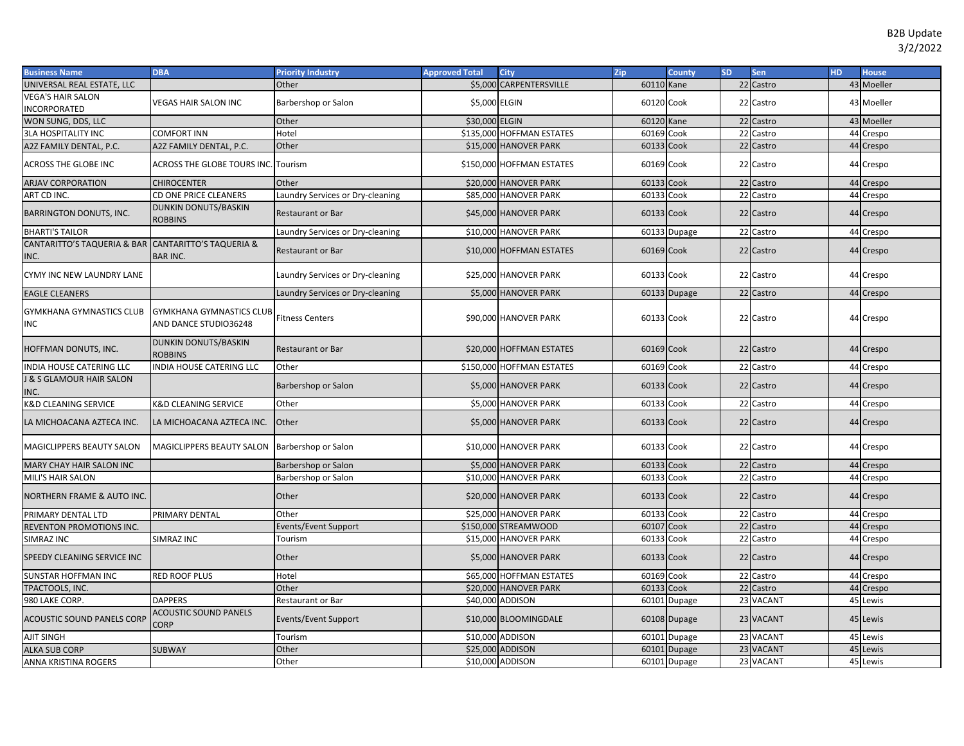| <b>Business Name</b>                                        | <b>DBA</b>                                               | <b>Priority Industry</b>         | <b>Approved Total</b> | <b>City</b>               | Zip        | County       | <b>SD</b> | Sen           | HD. | <b>House</b> |
|-------------------------------------------------------------|----------------------------------------------------------|----------------------------------|-----------------------|---------------------------|------------|--------------|-----------|---------------|-----|--------------|
| UNIVERSAL REAL ESTATE, LLC                                  |                                                          | Other                            |                       | \$5,000 CARPENTERSVILLE   | 60110 Kane |              |           | 22 Castro     |     | 43 Moeller   |
| <b>VEGA'S HAIR SALON</b><br>INCORPORATED                    | <b>VEGAS HAIR SALON INC</b>                              | Barbershop or Salon              | \$5,000 ELGIN         |                           | 60120 Cook |              |           | 22 Castro     |     | 43 Moeller   |
| WON SUNG, DDS, LLC                                          |                                                          | Other                            | \$30,000 ELGIN        |                           | 60120 Kane |              |           | 22 Castro     |     | 43 Moeller   |
| <b>3LA HOSPITALITY INC</b>                                  | COMFORT INN                                              | Hotel                            |                       | \$135,000 HOFFMAN ESTATES | 60169 Cook |              | 22        | Castro        | 44  | Crespo       |
| A2Z FAMILY DENTAL, P.C.                                     | A2Z FAMILY DENTAL, P.C.                                  | Other                            |                       | \$15,000 HANOVER PARK     | 60133 Cook |              | 22        | Castro        | 44  | Crespo       |
| <b>ACROSS THE GLOBE INC</b>                                 | <b>ACROSS THE GLOBE TOURS INC.</b>                       | Tourism                          |                       | \$150,000 HOFFMAN ESTATES | 60169 Cook |              |           | 22 Castro     | 44  | Crespo       |
| <b>ARJAV CORPORATION</b>                                    | <b>CHIROCENTER</b>                                       | Other                            |                       | \$20,000 HANOVER PARK     | 60133 Cook |              |           | 22 Castro     |     | 44 Crespo    |
| ART CD INC.                                                 | CD ONE PRICE CLEANERS                                    | Laundry Services or Dry-cleaning |                       | \$85,000 HANOVER PARK     | 60133 Cook |              | 22        | Castro        | 44  | Crespo       |
| <b>BARRINGTON DONUTS, INC.</b>                              | DUNKIN DONUTS/BASKIN<br>ROBBINS                          | <b>Restaurant or Bar</b>         |                       | \$45,000 HANOVER PARK     | 60133 Cook |              |           | 22 Castro     | 44  | Crespo       |
| <b>BHARTI'S TAILOR</b>                                      |                                                          | Laundry Services or Dry-cleaning |                       | \$10,000 HANOVER PARK     |            | 60133 Dupage |           | 22 Castro     |     | 44 Crespo    |
| CANTARITTO'S TAQUERIA & BAR CANTARITTO'S TAQUERIA &<br>INC. | <b>BAR INC.</b>                                          | <b>Restaurant or Bar</b>         |                       | \$10,000 HOFFMAN ESTATES  | 60169 Cook |              |           | 22 Castro     |     | 44 Crespo    |
| CYMY INC NEW LAUNDRY LANE                                   |                                                          | Laundry Services or Dry-cleaning |                       | \$25,000 HANOVER PARK     | 60133 Cook |              |           | 22 Castro     |     | 44 Crespo    |
| <b>EAGLE CLEANERS</b>                                       |                                                          | Laundry Services or Dry-cleaning |                       | \$5,000 HANOVER PARK      |            | 60133 Dupage |           | 22 Castro     |     | 44 Crespo    |
| <b>GYMKHANA GYMNASTICS CLUB</b><br>INC                      | <b>GYMKHANA GYMNASTICS CLUB</b><br>AND DANCE STUDIO36248 | <b>Fitness Centers</b>           |                       | \$90,000 HANOVER PARK     | 60133 Cook |              |           | 22 Castro     |     | 44 Crespo    |
| HOFFMAN DONUTS, INC.                                        | <b>DUNKIN DONUTS/BASKIN</b><br><b>ROBBINS</b>            | <b>Restaurant or Bar</b>         |                       | \$20,000 HOFFMAN ESTATES  | 60169 Cook |              |           | 22 Castro     |     | 44 Crespo    |
| INDIA HOUSE CATERING LLC                                    | NDIA HOUSE CATERING LLC                                  | Other                            |                       | \$150,000 HOFFMAN ESTATES | 60169 Cook |              |           | 22 Castro     | 44  | Crespo       |
| J & S GLAMOUR HAIR SALON<br>INC.                            |                                                          | Barbershop or Salon              |                       | \$5,000 HANOVER PARK      | 60133 Cook |              |           | 22 Castro     | 44  | Crespo       |
| K&D CLEANING SERVICE                                        | K&D CLEANING SERVICE                                     | Other                            |                       | \$5,000 HANOVER PARK      | 60133 Cook |              |           | 22 Castro     | 44  | Crespo       |
| LA MICHOACANA AZTECA INC.                                   | LA MICHOACANA AZTECA INC.                                | Other                            |                       | \$5,000 HANOVER PARK      | 60133 Cook |              |           | 22 Castro     |     | 44 Crespo    |
| MAGICLIPPERS BEAUTY SALON                                   | MAGICLIPPERS BEAUTY SALON Barbershop or Salon            |                                  |                       | \$10,000 HANOVER PARK     | 60133 Cook |              |           | 22 Castro     |     | 44 Crespo    |
| MARY CHAY HAIR SALON INC                                    |                                                          | Barbershop or Salon              |                       | \$5,000 HANOVER PARK      | 60133 Cook |              |           | 22 Castro     |     | 44 Crespo    |
| MILI'S HAIR SALON                                           |                                                          | Barbershop or Salon              |                       | \$10,000 HANOVER PARK     | 60133 Cook |              | 22        | Castro        | 44  | Crespo       |
| NORTHERN FRAME & AUTO INC.                                  |                                                          | Other                            |                       | \$20,000 HANOVER PARK     | 60133 Cook |              |           | 22 Castro     | 44  | Crespo       |
| PRIMARY DENTAL LTD                                          | PRIMARY DENTAL                                           | Other                            |                       | \$25,000 HANOVER PARK     | 60133 Cook |              |           | 22 Castro     |     | 44 Crespo    |
| REVENTON PROMOTIONS INC.                                    |                                                          | Events/Event Support             |                       | \$150,000 STREAMWOOD      | 60107 Cook |              |           | 22 Castro     | 44  | Crespo       |
| SIMRAZ INC                                                  | SIMRAZ INC                                               | Tourism                          |                       | \$15,000 HANOVER PARK     | 60133 Cook |              |           | 22 Castro     | 44  | Crespo       |
| SPEEDY CLEANING SERVICE INC                                 |                                                          | Other                            |                       | \$5,000 HANOVER PARK      | 60133 Cook |              |           | 22 Castro     | 44  | Crespo       |
| <b>SUNSTAR HOFFMAN INC</b>                                  | <b>RED ROOF PLUS</b>                                     | Hotel                            |                       | \$65,000 HOFFMAN ESTATES  | 60169 Cook |              |           | 22 Castro     | 44  | Crespo       |
| TPACTOOLS, INC.                                             |                                                          | Other                            |                       | \$20,000 HANOVER PARK     | 60133      | Cook         | 22        | Castro        | 44  | Crespo       |
| 980 LAKE CORP.                                              | <b>DAPPERS</b>                                           | <b>Restaurant or Bar</b>         |                       | \$40,000 ADDISON          |            | 60101 Dupage | 23        | <b>VACANT</b> | 45  | Lewis        |
| <b>ACOUSTIC SOUND PANELS CORP</b>                           | <b>ACOUSTIC SOUND PANELS</b><br><b>CORP</b>              | Events/Event Support             |                       | \$10,000 BLOOMINGDALE     |            | 60108 Dupage |           | 23 VACANT     |     | 45 Lewis     |
| AJIT SINGH                                                  |                                                          | Tourism                          |                       | \$10,000 ADDISON          |            | 60101 Dupage |           | 23 VACANT     | 45  | Lewis        |
| <b>ALKA SUB CORP</b>                                        | <b>SUBWAY</b>                                            | Other                            |                       | \$25,000 ADDISON          |            | 60101 Dupage |           | 23 VACANT     | 45  | Lewis        |
| ANNA KRISTINA ROGERS                                        |                                                          | Other                            |                       | \$10,000 ADDISON          |            | 60101 Dupage |           | 23 VACANT     |     | 45 Lewis     |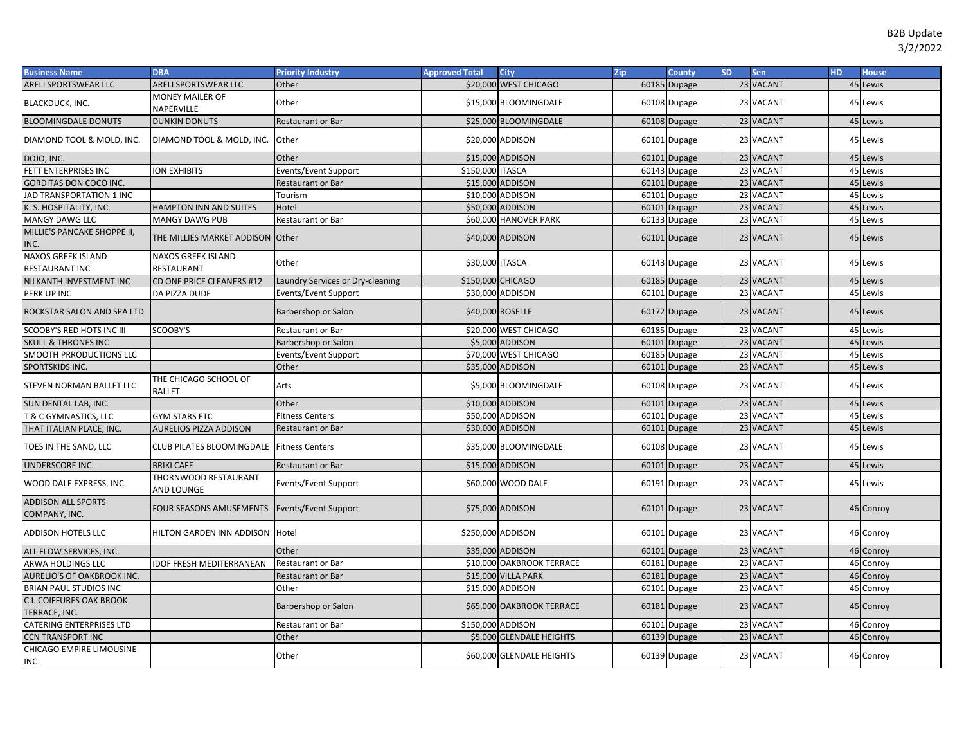| <b>Business Name</b>                             | <b>DBA</b>                                   | <b>Priority Industry</b>         | <b>Approved Total</b> | <b>City</b>               | Zip | <b>County</b>             | <b>SD</b> | <b>Sen</b> | HD. | <b>House</b> |
|--------------------------------------------------|----------------------------------------------|----------------------------------|-----------------------|---------------------------|-----|---------------------------|-----------|------------|-----|--------------|
| ARELI SPORTSWEAR LLC                             | ARELI SPORTSWEAR LLC                         | Other                            |                       | \$20,000 WEST CHICAGO     |     | 60185 Dupage              |           | 23 VACANT  |     | 45 Lewis     |
| <b>BLACKDUCK, INC.</b>                           | <b>MONEY MAILER OF</b><br>NAPERVILLE         | Other                            |                       | \$15,000 BLOOMINGDALE     |     | 60108 Dupage              |           | 23 VACANT  |     | 45 Lewis     |
| <b>BLOOMINGDALE DONUTS</b>                       | <b>DUNKIN DONUTS</b>                         | <b>Restaurant or Bar</b>         |                       | \$25,000 BLOOMINGDALE     |     | 60108 Dupage              |           | 23 VACANT  |     | 45 Lewis     |
| DIAMOND TOOL & MOLD, INC.                        | DIAMOND TOOL & MOLD, INC.                    | Other                            |                       | \$20,000 ADDISON          |     | 60101 Dupage              |           | 23 VACANT  | 45  | Lewis        |
| DOJO, INC.                                       |                                              | Other                            |                       | \$15,000 ADDISON          |     | 60101 Dupage              |           | 23 VACANT  |     | 45 Lewis     |
| FETT ENTERPRISES INC                             | <b>ION EXHIBITS</b>                          | <b>Events/Event Support</b>      | \$150,000 ITASCA      |                           |     | 60143 Dupage              |           | 23 VACANT  |     | 45 Lewis     |
| GORDITAS DON COCO INC.                           |                                              | <b>Restaurant or Bar</b>         |                       | \$15,000 ADDISON          |     | 60101 Dupage              |           | 23 VACANT  |     | 45 Lewis     |
| JAD TRANSPORTATION 1 INC                         |                                              | Tourism                          |                       | \$10,000 ADDISON          |     | 60101 Dupage              |           | 23 VACANT  |     | 45 Lewis     |
| K. S. HOSPITALITY, INC.                          | <b>HAMPTON INN AND SUITES</b>                | Hotel                            |                       | \$50,000 ADDISON          |     | 60101 Dupage              |           | 23 VACANT  |     | 45 Lewis     |
| MANGY DAWG LLC                                   | <b>MANGY DAWG PUB</b>                        | Restaurant or Bar                |                       | \$60,000 HANOVER PARK     |     | $\overline{601}33$ Dupage |           | 23 VACANT  |     | 45 Lewis     |
| MILLIE'S PANCAKE SHOPPE II,<br>INC.              | THE MILLIES MARKET ADDISON                   | Other                            |                       | \$40,000 ADDISON          |     | 60101 Dupage              |           | 23 VACANT  |     | 45 Lewis     |
| <b>NAXOS GREEK ISLAND</b><br>RESTAURANT INC      | NAXOS GREEK ISLAND<br>RESTAURANT             | Other                            | \$30,000 ITASCA       |                           |     | 60143 Dupage              |           | 23 VACANT  |     | 45 Lewis     |
| NILKANTH INVESTMENT INC                          | CD ONE PRICE CLEANERS #12                    | Laundry Services or Dry-cleaning | \$150,000 CHICAGO     |                           |     | 60185 Dupage              |           | 23 VACANT  |     | 45 Lewis     |
| PERK UP INC                                      | DA PIZZA DUDE                                | <b>Events/Event Support</b>      |                       | \$30,000 ADDISON          |     | 60101 Dupage              |           | 23 VACANT  |     | 45 Lewis     |
| ROCKSTAR SALON AND SPA LTD                       |                                              | <b>Barbershop or Salon</b>       |                       | \$40,000 ROSELLE          |     | 60172 Dupage              |           | 23 VACANT  |     | 45 Lewis     |
| SCOOBY'S RED HOTS INC III                        | SCOOBY'S                                     | Restaurant or Bar                |                       | \$20,000 WEST CHICAGO     |     | 60185 Dupage              |           | 23 VACANT  |     | 45 Lewis     |
| <b>SKULL &amp; THRONES INC</b>                   |                                              | Barbershop or Salon              |                       | \$5,000 ADDISON           |     | 60101 Dupage              |           | 23 VACANT  |     | 45 Lewis     |
| SMOOTH PRRODUCTIONS LLC                          |                                              | Events/Event Support             |                       | \$70,000 WEST CHICAGO     |     | 60185 Dupage              |           | 23 VACANT  |     | 45 Lewis     |
| SPORTSKIDS INC.                                  |                                              | Other                            |                       | \$35,000 ADDISON          |     | 60101 Dupage              |           | 23 VACANT  |     | 45 Lewis     |
| STEVEN NORMAN BALLET LLC                         | THE CHICAGO SCHOOL OF<br><b>BALLET</b>       | Arts                             |                       | \$5,000 BLOOMINGDALE      |     | 60108 Dupage              |           | 23 VACANT  |     | 45 Lewis     |
| SUN DENTAL LAB, INC.                             |                                              | Other                            |                       | \$10,000 ADDISON          |     | 60101 Dupage              |           | 23 VACANT  |     | 45 Lewis     |
| T & C GYMNASTICS, LLC                            | <b>GYM STARS ETC</b>                         | <b>Fitness Centers</b>           |                       | \$50,000 ADDISON          |     | 60101 Dupage              |           | 23 VACANT  |     | 45 Lewis     |
| THAT ITALIAN PLACE, INC.                         | <b>AURELIOS PIZZA ADDISON</b>                | <b>Restaurant or Bar</b>         |                       | \$30,000 ADDISON          |     | 60101 Dupage              |           | 23 VACANT  | 45  | Lewis        |
| TOES IN THE SAND, LLC                            | CLUB PILATES BLOOMINGDALE                    | <b>Fitness Centers</b>           |                       | \$35,000 BLOOMINGDALE     |     | 60108 Dupage              |           | 23 VACANT  |     | 45 Lewis     |
| UNDERSCORE INC.                                  | <b>BRIKI CAFE</b>                            | <b>Restaurant or Bar</b>         |                       | \$15,000 ADDISON          |     | 60101 Dupage              |           | 23 VACANT  |     | 45 Lewis     |
| WOOD DALE EXPRESS, INC.                          | THORNWOOD RESTAURANT<br>AND LOUNGE           | Events/Event Support             |                       | \$60,000 WOOD DALE        |     | 60191 Dupage              |           | 23 VACANT  |     | 45 Lewis     |
| <b>ADDISON ALL SPORTS</b><br>COMPANY, INC.       | FOUR SEASONS AMUSEMENTS Events/Event Support |                                  |                       | \$75,000 ADDISON          |     | 60101 Dupage              |           | 23 VACANT  |     | 46 Conroy    |
| <b>ADDISON HOTELS LLC</b>                        | HILTON GARDEN INN ADDISON Hotel              |                                  | \$250,000 ADDISON     |                           |     | 60101 Dupage              |           | 23 VACANT  |     | 46 Conroy    |
| ALL FLOW SERVICES, INC.                          |                                              | Other                            |                       | \$35,000 ADDISON          |     | 60101 Dupage              |           | 23 VACANT  |     | 46 Conroy    |
| ARWA HOLDINGS LLC                                | <b>IDOF FRESH MEDITERRANEAN</b>              | Restaurant or Bar                |                       | \$10,000 OAKBROOK TERRACE |     | 60181 Dupage              |           | 23 VACANT  |     | 46 Conroy    |
| AURELIO'S OF OAKBROOK INC.                       |                                              | <b>Restaurant or Bar</b>         |                       | \$15,000 VILLA PARK       |     | 60181 Dupage              |           | 23 VACANT  | 46  | Conroy       |
| <b>BRIAN PAUL STUDIOS INC</b>                    |                                              | Other                            |                       | \$15,000 ADDISON          |     | 60101 Dupage              |           | 23 VACANT  |     | 46 Conroy    |
| <b>C.I. COIFFURES OAK BROOK</b><br>TERRACE, INC. |                                              | Barbershop or Salon              |                       | \$65,000 OAKBROOK TERRACE |     | 60181 Dupage              |           | 23 VACANT  |     | 46 Conroy    |
| CATERING ENTERPRISES LTD                         |                                              | Restaurant or Bar                | \$150,000 ADDISON     |                           |     | 60101 Dupage              |           | 23 VACANT  |     | 46 Conroy    |
| <b>CCN TRANSPORT INC</b>                         |                                              | Other                            |                       | \$5,000 GLENDALE HEIGHTS  |     | 60139 Dupage              |           | 23 VACANT  |     | 46 Conroy    |
| CHICAGO EMPIRE LIMOUSINE                         |                                              |                                  |                       |                           |     |                           |           |            |     |              |
| INC                                              |                                              | Other                            |                       | \$60,000 GLENDALE HEIGHTS |     | 60139 Dupage              |           | 23 VACANT  |     | 46 Conroy    |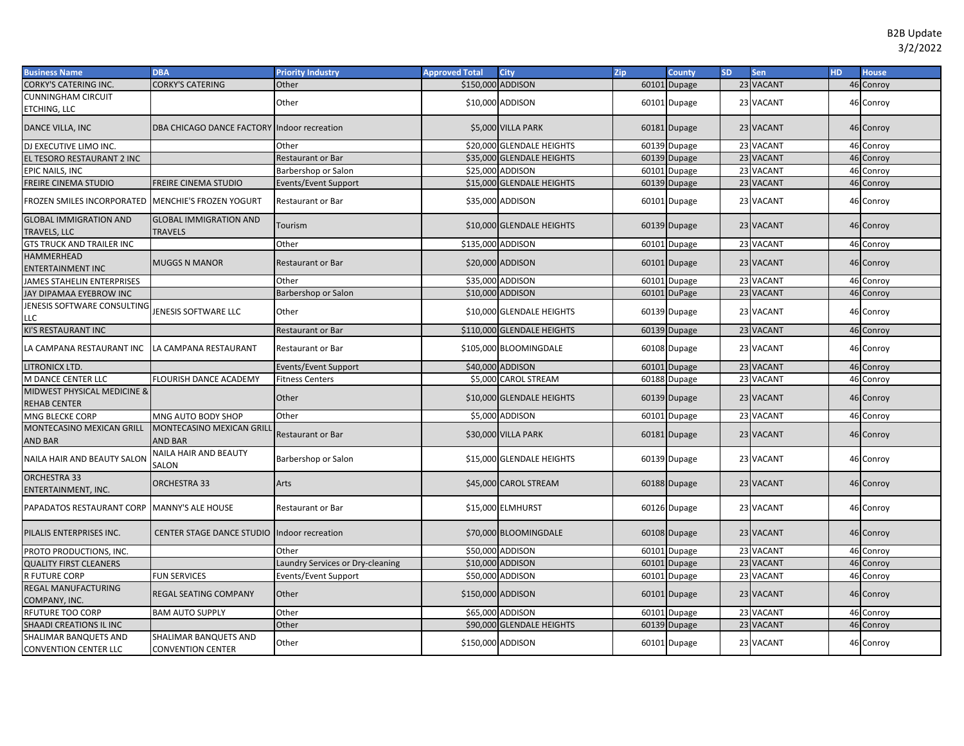| <b>Business Name</b>                           | <b>DBA</b>                                        | <b>Priority Industry</b>        | <b>Approved Total</b> | <b>City</b>                | Zip | <b>County</b> | <b>SD</b> | Sen       | HD. | <b>House</b> |
|------------------------------------------------|---------------------------------------------------|---------------------------------|-----------------------|----------------------------|-----|---------------|-----------|-----------|-----|--------------|
| CORKY'S CATERING INC.                          | CORKY'S CATERING                                  | Other                           | \$150,000 ADDISON     |                            |     | 60101 Dupage  |           | 23 VACANT |     | 46 Conroy    |
| CUNNINGHAM CIRCUIT<br>ETCHING, LLC             |                                                   | Other                           |                       | \$10,000 ADDISON           |     | 60101 Dupage  |           | 23 VACANT |     | 46 Conroy    |
| DANCE VILLA, INC                               | DBA CHICAGO DANCE FACTORY Indoor recreation       |                                 |                       | \$5,000 VILLA PARK         |     | 60181 Dupage  |           | 23 VACANT |     | 46 Conroy    |
| DJ EXECUTIVE LIMO INC.                         |                                                   | Other                           |                       | \$20,000 GLENDALE HEIGHTS  |     | 60139 Dupage  |           | 23 VACANT |     | 46 Conroy    |
| EL TESORO RESTAURANT 2 INC                     |                                                   | <b>Restaurant or Bar</b>        |                       | \$35,000 GLENDALE HEIGHTS  |     | 60139 Dupage  |           | 23 VACANT |     | 46 Conroy    |
| EPIC NAILS, INC                                |                                                   | Barbershop or Salon             |                       | \$25,000 ADDISON           |     | 60101 Dupage  |           | 23 VACANT |     | 46 Conroy    |
| FREIRE CINEMA STUDIO                           | FREIRE CINEMA STUDIO                              | Events/Event Support            |                       | \$15,000 GLENDALE HEIGHTS  |     | 60139 Dupage  |           | 23 VACANT |     | 46 Conroy    |
| FROZEN SMILES INCORPORATED                     | <b>MENCHIE'S FROZEN YOGURT</b>                    | Restaurant or Bar               |                       | \$35,000 ADDISON           |     | 60101 Dupage  |           | 23 VACANT |     | 46 Conroy    |
| <b>GLOBAL IMMIGRATION AND</b><br>TRAVELS, LLC  | <b>GLOBAL IMMIGRATION AND</b><br>TRAVELS          | Tourism                         |                       | \$10,000 GLENDALE HEIGHTS  |     | 60139 Dupage  |           | 23 VACANT |     | 46 Conroy    |
| <b>GTS TRUCK AND TRAILER INC</b>               |                                                   | Other                           | \$135,000 ADDISON     |                            |     | 60101 Dupage  |           | 23 VACANT |     | 46 Conroy    |
| HAMMERHEAD<br>ENTERTAINMENT INC                | MUGGS N MANOR                                     | <b>Restaurant or Bar</b>        |                       | \$20,000 ADDISON           |     | 60101 Dupage  |           | 23 VACANT |     | 46 Conroy    |
| <b>JAMES STAHELIN ENTERPRISES</b>              |                                                   | Other                           |                       | \$35,000 ADDISON           |     | 60101 Dupage  |           | 23 VACANT |     | 46 Conroy    |
| JAY DIPAMAA EYEBROW INC                        |                                                   | Barbershop or Salon             |                       | \$10,000 ADDISON           |     | 60101 DuPage  |           | 23 VACANT |     | 46 Conroy    |
| JENESIS SOFTWARE CONSULTING<br>LLC             | <b>JENESIS SOFTWARE LLC</b>                       | Other                           |                       | \$10,000 GLENDALE HEIGHTS  |     | 60139 Dupage  |           | 23 VACANT |     | 46 Conroy    |
| KI'S RESTAURANT INC                            |                                                   | <b>Restaurant or Bar</b>        |                       | \$110,000 GLENDALE HEIGHTS |     | 60139 Dupage  |           | 23 VACANT |     | 46 Conroy    |
| LA CAMPANA RESTAURANT INC                      | LA CAMPANA RESTAURANT                             | <b>Restaurant or Bar</b>        |                       | \$105,000 BLOOMINGDALE     |     | 60108 Dupage  |           | 23 VACANT |     | 46 Conroy    |
| LITRONICX LTD.                                 |                                                   | Events/Event Support            |                       | \$40,000 ADDISON           |     | 60101 Dupage  |           | 23 VACANT |     | 46 Conroy    |
| M DANCE CENTER LLC                             | FLOURISH DANCE ACADEMY                            | <b>Fitness Centers</b>          |                       | \$5,000 CAROL STREAM       |     | 60188 Dupage  |           | 23 VACANT |     | 46 Conroy    |
| MIDWEST PHYSICAL MEDICINE &<br>REHAB CENTER    |                                                   | Other                           |                       | \$10,000 GLENDALE HEIGHTS  |     | 60139 Dupage  |           | 23 VACANT |     | 46 Conroy    |
| MNG BLECKE CORP                                | MNG AUTO BODY SHOP                                | Other                           |                       | \$5,000 ADDISON            |     | 60101 Dupage  |           | 23 VACANT |     | 46 Conroy    |
| MONTECASINO MEXICAN GRILL<br>AND BAR           | MONTECASINO MEXICAN GRILL<br><b>AND BAR</b>       | <b>Restaurant or Bar</b>        |                       | \$30,000 VILLA PARK        |     | 60181 Dupage  |           | 23 VACANT |     | 46 Conroy    |
| NAILA HAIR AND BEAUTY SALON                    | <b>NAILA HAIR AND BEAUTY</b><br>SALON             | Barbershop or Salon             |                       | \$15,000 GLENDALE HEIGHTS  |     | 60139 Dupage  |           | 23 VACANT |     | 46 Conroy    |
| <b>ORCHESTRA 33</b><br>ENTERTAINMENT, INC.     | <b>ORCHESTRA 33</b>                               | Arts                            |                       | \$45,000 CAROL STREAM      |     | 60188 Dupage  |           | 23 VACANT |     | 46 Conroy    |
| PAPADATOS RESTAURANT CORP                      | <b>MANNY'S ALE HOUSE</b>                          | <b>Restaurant or Bar</b>        |                       | \$15,000 ELMHURST          |     | 60126 Dupage  |           | 23 VACANT |     | 46 Conroy    |
| PILALIS ENTERPRISES INC.                       | CENTER STAGE DANCE STUDIO Indoor recreation       |                                 |                       | \$70,000 BLOOMINGDALE      |     | 60108 Dupage  |           | 23 VACANT |     | 46 Conroy    |
| PROTO PRODUCTIONS, INC.                        |                                                   | Other                           |                       | \$50,000 ADDISON           |     | 60101 Dupage  |           | 23 VACANT |     | 46 Conroy    |
| <b>QUALITY FIRST CLEANERS</b>                  |                                                   | aundry Services or Dry-cleaning |                       | \$10,000 ADDISON           |     | 60101 Dupage  |           | 23 VACANT |     | 46 Conroy    |
| R FUTURE CORP                                  | <b>FUN SERVICES</b>                               | Events/Event Support            |                       | \$50,000 ADDISON           |     | 60101 Dupage  |           | 23 VACANT |     | 46 Conroy    |
| REGAL MANUFACTURING<br>COMPANY, INC.           | REGAL SEATING COMPANY                             | Other                           | \$150,000 ADDISON     |                            |     | 60101 Dupage  |           | 23 VACANT |     | 46 Conroy    |
| RFUTURE TOO CORP                               | <b>BAM AUTO SUPPLY</b>                            | Other                           |                       | \$65,000 ADDISON           |     | 60101 Dupage  |           | 23 VACANT |     | 46 Conroy    |
| SHAADI CREATIONS IL INC                        |                                                   | Other                           |                       | \$90,000 GLENDALE HEIGHTS  |     | 60139 Dupage  |           | 23 VACANT |     | 46 Conroy    |
| SHALIMAR BANQUETS AND<br>CONVENTION CENTER LLC | SHALIMAR BANQUETS AND<br><b>CONVENTION CENTER</b> | Other                           | \$150,000 ADDISON     |                            |     | 60101 Dupage  |           | 23 VACANT |     | 46 Conroy    |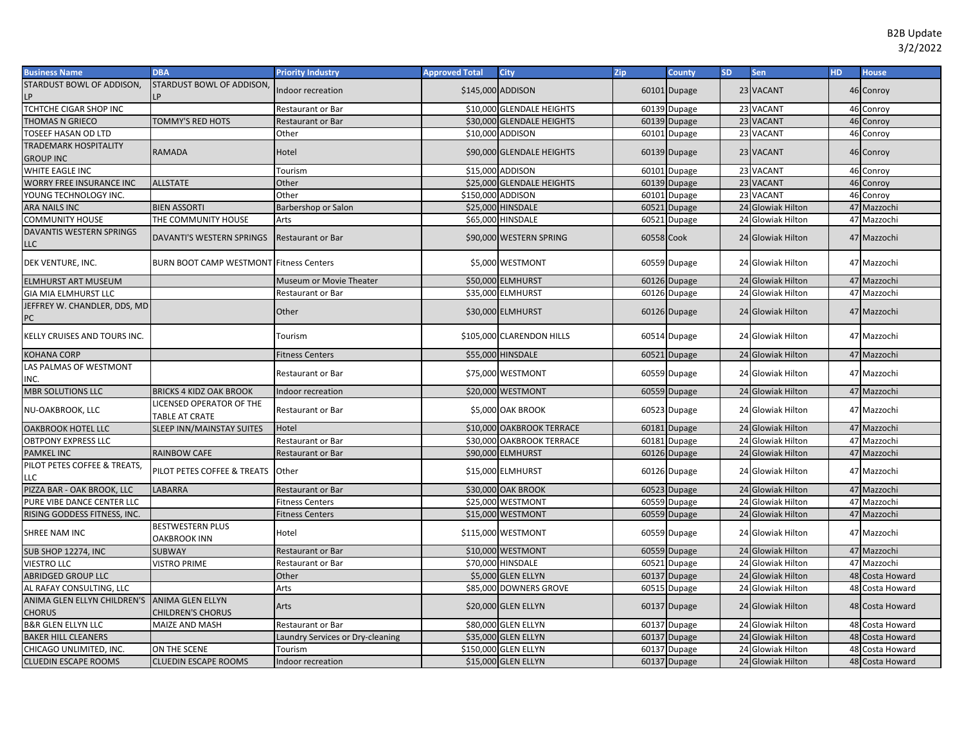| <b>Business Name</b>                                          | <b>DBA</b>                                        | <b>Priority Industry</b>         | <b>Approved Total</b> | <b>City</b>               | Zip        | <b>County</b> | <b>SD</b> | Sen               | <b>HD</b> | <b>House</b>    |
|---------------------------------------------------------------|---------------------------------------------------|----------------------------------|-----------------------|---------------------------|------------|---------------|-----------|-------------------|-----------|-----------------|
| STARDUST BOWL OF ADDISON,                                     | STARDUST BOWL OF ADDISON,                         | Indoor recreation                | \$145,000 ADDISON     |                           |            | 60101 Dupage  |           | 23 VACANT         |           | 46 Conroy       |
| TCHTCHE CIGAR SHOP INC                                        |                                                   | Restaurant or Bar                |                       | \$10,000 GLENDALE HEIGHTS |            | 60139 Dupage  |           | 23 VACANT         |           | 46 Conroy       |
| THOMAS N GRIECO                                               | TOMMY'S RED HOTS                                  | Restaurant or Bar                |                       | \$30,000 GLENDALE HEIGHTS |            | 60139 Dupage  |           | 23 VACANT         |           | 46 Conroy       |
| <b>TOSEEF HASAN OD LTD</b>                                    |                                                   | Other                            |                       | \$10,000 ADDISON          |            | 60101 Dupage  |           | 23 VACANT         |           | 46 Conroy       |
| <b>TRADEMARK HOSPITALITY</b><br><b>GROUP INC</b>              | RAMADA                                            | Hotel                            |                       | \$90,000 GLENDALE HEIGHTS |            | 60139 Dupage  |           | 23 VACANT         |           | 46 Conroy       |
| WHITE EAGLE INC                                               |                                                   | Tourism                          |                       | \$15,000 ADDISON          |            | 60101 Dupage  |           | 23 VACANT         |           | 46 Conroy       |
| <b>WORRY FREE INSURANCE INC</b>                               | <b>ALLSTATE</b>                                   | Other                            |                       | \$25,000 GLENDALE HEIGHTS |            | 60139 Dupage  |           | 23 VACANT         |           | 46 Conroy       |
| YOUNG TECHNOLOGY INC.                                         |                                                   | Other                            | \$150,000 ADDISON     |                           |            | 60101 Dupage  |           | 23 VACANT         |           | 46 Conroy       |
| <b>ARA NAILS INC</b>                                          | <b>BIEN ASSORTI</b>                               | Barbershop or Salon              |                       | \$25,000 HINSDALE         |            | 60521 Dupage  |           | 24 Glowiak Hilton |           | 47 Mazzochi     |
| <b>COMMUNITY HOUSE</b>                                        | THE COMMUNITY HOUSE                               | Arts                             |                       | \$65,000 HINSDALE         |            | 60521 Dupage  |           | 24 Glowiak Hilton |           | 47 Mazzochi     |
| DAVANTIS WESTERN SPRINGS<br>LLC                               | DAVANTI'S WESTERN SPRINGS                         | <b>Restaurant or Bar</b>         |                       | \$90,000 WESTERN SPRING   | 60558 Cook |               |           | 24 Glowiak Hilton |           | 47 Mazzochi     |
| DEK VENTURE, INC.                                             | <b>BURN BOOT CAMP WESTMONT Fitness Centers</b>    |                                  |                       | \$5,000 WESTMONT          |            | 60559 Dupage  |           | 24 Glowiak Hilton |           | 47 Mazzochi     |
| <b>ELMHURST ART MUSEUM</b>                                    |                                                   | Museum or Movie Theater          |                       | \$50,000 ELMHURST         |            | 60126 Dupage  |           | 24 Glowiak Hilton |           | 47 Mazzochi     |
| <b>GIA MIA ELMHURST LLC</b>                                   |                                                   | Restaurant or Bar                |                       | \$35,000 ELMHURST         |            | 60126 Dupage  |           | 24 Glowiak Hilton |           | 47 Mazzochi     |
| JEFFREY W. CHANDLER, DDS, MD<br>PC                            |                                                   | Other                            |                       | \$30,000 ELMHURST         |            | 60126 Dupage  |           | 24 Glowiak Hilton |           | 47 Mazzochi     |
| KELLY CRUISES AND TOURS INC.                                  |                                                   | Tourism                          |                       | \$105,000 CLARENDON HILLS |            | 60514 Dupage  |           | 24 Glowiak Hilton |           | 47 Mazzochi     |
| <b>KOHANA CORP</b>                                            |                                                   | <b>Fitness Centers</b>           |                       | \$55,000 HINSDALE         |            | 60521 Dupage  |           | 24 Glowiak Hilton |           | 47 Mazzochi     |
| LAS PALMAS OF WESTMONT<br>INC.                                |                                                   | Restaurant or Bar                |                       | \$75,000 WESTMONT         |            | 60559 Dupage  |           | 24 Glowiak Hilton |           | 47 Mazzochi     |
| <b>MBR SOLUTIONS LLC</b>                                      | <b>BRICKS 4 KIDZ OAK BROOK</b>                    | Indoor recreation                |                       | \$20,000 WESTMONT         |            | 60559 Dupage  |           | 24 Glowiak Hilton |           | 47 Mazzochi     |
| NU-OAKBROOK, LLC                                              | <b>LICENSED OPERATOR OF THE</b><br>TABLE AT CRATE | Restaurant or Bar                |                       | \$5,000 OAK BROOK         |            | 60523 Dupage  |           | 24 Glowiak Hilton |           | 47 Mazzochi     |
| <b>OAKBROOK HOTEL LLC</b>                                     | SLEEP INN/MAINSTAY SUITES                         | Hotel                            |                       | \$10,000 OAKBROOK TERRACE |            | 60181 Dupage  |           | 24 Glowiak Hilton |           | 47 Mazzochi     |
| <b>OBTPONY EXPRESS LLC</b>                                    |                                                   | Restaurant or Bar                |                       | \$30,000 OAKBROOK TERRACE |            | 60181 Dupage  |           | 24 Glowiak Hilton |           | 47 Mazzochi     |
| <b>PAMKEL INC</b>                                             | RAINBOW CAFE                                      | Restaurant or Bar                |                       | \$90,000 ELMHURST         |            | 60126 Dupage  |           | 24 Glowiak Hilton |           | 47 Mazzochi     |
| PILOT PETES COFFEE & TREATS,<br>LLC                           | PILOT PETES COFFEE & TREATS                       | Other                            |                       | \$15,000 ELMHURST         |            | 60126 Dupage  |           | 24 Glowiak Hilton |           | 47 Mazzochi     |
| PIZZA BAR - OAK BROOK, LLC                                    | LABARRA                                           | Restaurant or Bar                |                       | \$30,000 OAK BROOK        |            | 60523 Dupage  |           | 24 Glowiak Hilton |           | 47 Mazzochi     |
| PURE VIBE DANCE CENTER LLC                                    |                                                   | <b>Fitness Centers</b>           |                       | \$25,000 WESTMONT         |            | 60559 Dupage  |           | 24 Glowiak Hilton |           | 47 Mazzochi     |
| RISING GODDESS FITNESS, INC.                                  |                                                   | <b>Fitness Centers</b>           |                       | \$15,000 WESTMONT         |            | 60559 Dupage  |           | 24 Glowiak Hilton |           | 47 Mazzochi     |
| SHREE NAM INC                                                 | BESTWESTERN PLUS<br><b>OAKBROOK INN</b>           | Hotel                            |                       | \$115,000 WESTMONT        |            | 60559 Dupage  |           | 24 Glowiak Hilton |           | 47 Mazzochi     |
| <b>SUB SHOP 12274, INC</b>                                    | <b>SUBWAY</b>                                     | Restaurant or Bar                |                       | \$10,000 WESTMONT         |            | 60559 Dupage  |           | 24 Glowiak Hilton |           | 47 Mazzochi     |
| <b>VIESTRO LLC</b>                                            | <b>VISTRO PRIME</b>                               | Restaurant or Bar                |                       | \$70,000 HINSDALE         |            | 60521 Dupage  |           | 24 Glowiak Hilton |           | 47 Mazzochi     |
| <b>ABRIDGED GROUP LLC</b>                                     |                                                   | Other                            |                       | \$5,000 GLEN ELLYN        |            | 60137 Dupage  |           | 24 Glowiak Hilton |           | 48 Costa Howard |
| AL RAFAY CONSULTING, LLC                                      |                                                   | Arts                             |                       | \$85,000 DOWNERS GROVE    |            | 60515 Dupage  |           | 24 Glowiak Hilton |           | 48 Costa Howard |
| ANIMA GLEN ELLYN CHILDREN'S ANIMA GLEN ELLYN<br><b>CHORUS</b> | <b>CHILDREN'S CHORUS</b>                          | Arts                             |                       | \$20,000 GLEN ELLYN       |            | 60137 Dupage  |           | 24 Glowiak Hilton |           | 48 Costa Howard |
| <b>B&amp;R GLEN ELLYN LLC</b>                                 | MAIZE AND MASH                                    | Restaurant or Bar                |                       | \$80,000 GLEN ELLYN       |            | 60137 Dupage  |           | 24 Glowiak Hilton |           | 48 Costa Howard |
| <b>BAKER HILL CLEANERS</b>                                    |                                                   | Laundry Services or Dry-cleaning |                       | \$35,000 GLEN ELLYN       |            | 60137 Dupage  |           | 24 Glowiak Hilton |           | 48 Costa Howard |
| CHICAGO UNLIMITED, INC.                                       | ON THE SCENE                                      | Tourism                          |                       | \$150,000 GLEN ELLYN      |            | 60137 Dupage  |           | 24 Glowiak Hilton |           | 48 Costa Howard |
| <b>CLUEDIN ESCAPE ROOMS</b>                                   | <b>CLUEDIN ESCAPE ROOMS</b>                       | Indoor recreation                |                       | \$15,000 GLEN ELLYN       |            | 60137 Dupage  |           | 24 Glowiak Hilton |           | 48 Costa Howard |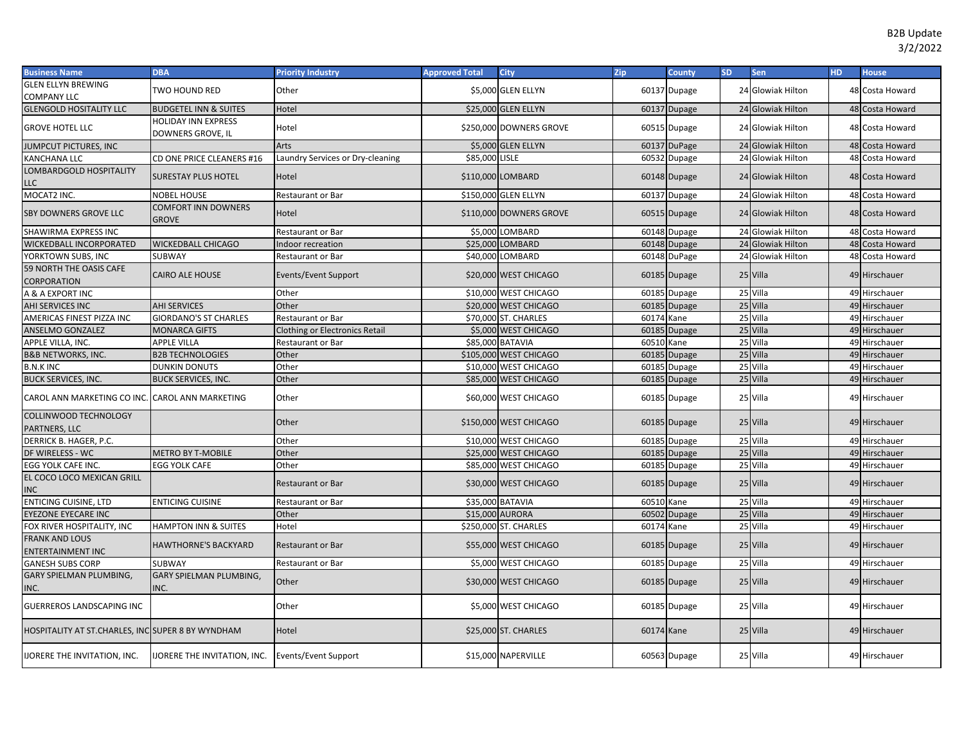| <b>Business Name</b>                              | <b>DBA</b>                                        | <b>Priority Industry</b>              | <b>Approved Total</b> | <b>City</b>             | Zip        | <b>County</b> | <b>SD</b> | Sen               | <b>HD</b> | <b>House</b>    |
|---------------------------------------------------|---------------------------------------------------|---------------------------------------|-----------------------|-------------------------|------------|---------------|-----------|-------------------|-----------|-----------------|
| <b>GLEN ELLYN BREWING</b><br><b>COMPANY LLC</b>   | TWO HOUND RED                                     | Other                                 |                       | \$5,000 GLEN ELLYN      |            | 60137 Dupage  |           | 24 Glowiak Hilton |           | 48 Costa Howard |
| <b>GLENGOLD HOSITALITY LLC</b>                    | <b>BUDGETEL INN &amp; SUITES</b>                  | Hotel                                 |                       | \$25,000 GLEN ELLYN     |            | 60137 Dupage  |           | 24 Glowiak Hilton |           | 48 Costa Howard |
| <b>GROVE HOTEL LLC</b>                            | <b>HOLIDAY INN EXPRESS</b><br>DOWNERS GROVE, IL   | Hotel                                 |                       | \$250,000 DOWNERS GROVE |            | 60515 Dupage  |           | 24 Glowiak Hilton |           | 48 Costa Howard |
| JUMPCUT PICTURES, INC                             |                                                   | Arts                                  |                       | \$5,000 GLEN ELLYN      |            | 60137 DuPage  |           | 24 Glowiak Hilton |           | 48 Costa Howard |
| KANCHANA LLC                                      | CD ONE PRICE CLEANERS #16                         | Laundry Services or Dry-cleaning      | \$85,000 LISLE        |                         |            | 60532 Dupage  |           | 24 Glowiak Hilton |           | 48 Costa Howard |
| LOMBARDGOLD HOSPITALITY<br>LLC                    | <b>SURESTAY PLUS HOTEL</b>                        | Hotel                                 |                       | \$110,000 LOMBARD       |            | 60148 Dupage  |           | 24 Glowiak Hilton |           | 48 Costa Howard |
| MOCAT2 INC.                                       | NOBEL HOUSE                                       | <b>Restaurant or Bar</b>              |                       | \$150,000 GLEN ELLYN    |            | 60137 Dupage  |           | 24 Glowiak Hilton |           | 48 Costa Howard |
| <b>SBY DOWNERS GROVE LLC</b>                      | COMFORT INN DOWNERS<br><b>GROVE</b>               | Hotel                                 |                       | \$110,000 DOWNERS GROVE |            | 60515 Dupage  |           | 24 Glowiak Hilton |           | 48 Costa Howard |
| SHAWIRMA EXPRESS INC                              |                                                   | Restaurant or Bar                     |                       | \$5,000 LOMBARD         |            | 60148 Dupage  |           | 24 Glowiak Hilton |           | 48 Costa Howard |
| <b>WICKEDBALL INCORPORATED</b>                    | <b>WICKEDBALL CHICAGO</b>                         | Indoor recreation                     |                       | \$25,000 LOMBARD        |            | 60148 Dupage  |           | 24 Glowiak Hilton |           | 48 Costa Howard |
| YORKTOWN SUBS, INC                                | SUBWAY                                            | Restaurant or Bar                     |                       | \$40,000 LOMBARD        |            | 60148 DuPage  |           | 24 Glowiak Hilton |           | 48 Costa Howard |
| 59 NORTH THE OASIS CAFE<br><b>CORPORATION</b>     | <b>CAIRO ALE HOUSE</b>                            | Events/Event Support                  |                       | \$20,000 WEST CHICAGO   |            | 60185 Dupage  |           | 25 Villa          |           | 49 Hirschauer   |
| A & A EXPORT INC                                  |                                                   | Other                                 |                       | \$10,000 WEST CHICAGO   |            | 60185 Dupage  |           | 25 Villa          |           | 49 Hirschauer   |
| AHI SERVICES INC                                  | <b>AHI SERVICES</b>                               | Other                                 |                       | \$20,000 WEST CHICAGO   |            | 60185 Dupage  |           | 25 Villa          |           | 49 Hirschauer   |
| AMERICAS FINEST PIZZA INC                         | <b>GIORDANO'S ST CHARLES</b>                      | <b>Restaurant or Bar</b>              |                       | \$70,000 ST. CHARLES    | 60174      | Kane          |           | 25 Villa          |           | 49 Hirschauer   |
| <b>ANSELMO GONZALEZ</b>                           | <b>MONARCA GIFTS</b>                              | <b>Clothing or Electronics Retail</b> |                       | \$5,000 WEST CHICAGO    |            | 60185 Dupage  |           | 25 Villa          |           | 49 Hirschauer   |
| APPLE VILLA, INC.                                 | <b>APPLE VILLA</b>                                | Restaurant or Bar                     |                       | \$85,000 BATAVIA        | 60510      | Kane          |           | 25 Villa          |           | 49 Hirschauer   |
| <b>B&amp;B NETWORKS, INC.</b>                     | <b>B2B TECHNOLOGIES</b>                           | Other                                 |                       | \$105,000 WEST CHICAGO  |            | 60185 Dupage  |           | 25 Villa          |           | 49 Hirschauer   |
| <b>B.N.K INC</b>                                  | <b>DUNKIN DONUTS</b>                              | Other                                 |                       | \$10,000 WEST CHICAGO   | 60185      | <b>Dupage</b> |           | 25 Villa          | 49        | Hirschauer      |
| <b>BUCK SERVICES, INC.</b>                        | <b>BUCK SERVICES, INC.</b>                        | Other                                 |                       | \$85,000 WEST CHICAGO   |            | 60185 Dupage  |           | 25 Villa          |           | 49 Hirschauer   |
| CAROL ANN MARKETING CO INC. CAROL ANN MARKETING   |                                                   | Other                                 |                       | \$60,000 WEST CHICAGO   |            | 60185 Dupage  |           | 25 Villa          |           | 49 Hirschauer   |
| <b>COLLINWOOD TECHNOLOGY</b><br>PARTNERS, LLC     |                                                   | Other                                 |                       | \$150,000 WEST CHICAGO  |            | 60185 Dupage  |           | 25 Villa          |           | 49 Hirschauer   |
| DERRICK B. HAGER, P.C.                            |                                                   | Other                                 |                       | \$10,000 WEST CHICAGO   | 60185      | Dupage        |           | 25 Villa          |           | 49 Hirschauer   |
| DF WIRELESS - WC                                  | <b>METRO BY T-MOBILE</b>                          | Other                                 |                       | \$25,000 WEST CHICAGO   |            | 60185 Dupage  |           | 25 Villa          |           | 49 Hirschauer   |
| EGG YOLK CAFE INC.                                | EGG YOLK CAFE                                     | Other                                 |                       | \$85,000 WEST CHICAGO   | 60185      | Dupage        |           | 25 Villa          |           | 49 Hirschauer   |
| EL COCO LOCO MEXICAN GRILL<br><b>INC</b>          |                                                   | <b>Restaurant or Bar</b>              |                       | \$30,000 WEST CHICAGO   |            | 60185 Dupage  |           | 25 Villa          |           | 49 Hirschauer   |
| <b>ENTICING CUISINE, LTD</b>                      | <b>ENTICING CUISINE</b>                           | Restaurant or Bar                     |                       | \$35,000 BATAVIA        | 60510 Kane |               |           | 25 Villa          |           | 49 Hirschauer   |
| EYEZONE EYECARE INC                               |                                                   | Other                                 |                       | \$15,000 AURORA         | 60502      | Dupage        |           | 25 Villa          |           | 49 Hirschauer   |
| FOX RIVER HOSPITALITY, INC                        | <b>HAMPTON INN &amp; SUITES</b>                   | Hotel                                 |                       | \$250,000 ST. CHARLES   | 60174 Kane |               |           | 25 Villa          |           | 49 Hirschauer   |
| <b>FRANK AND LOUS</b><br><b>ENTERTAINMENT INC</b> | <b>HAWTHORNE'S BACKYARD</b>                       | <b>Restaurant or Bar</b>              |                       | \$55,000 WEST CHICAGO   |            | 60185 Dupage  |           | 25 Villa          |           | 49 Hirschauer   |
| <b>GANESH SUBS CORP</b>                           | SUBWAY                                            | Restaurant or Bar                     |                       | \$5,000 WEST CHICAGO    |            | 60185 Dupage  |           | 25 Villa          |           | 49 Hirschauer   |
| GARY SPIELMAN PLUMBING,<br>INC.                   | <b>GARY SPIELMAN PLUMBING,</b><br>INC.            | Other                                 |                       | \$30,000 WEST CHICAGO   |            | 60185 Dupage  |           | 25 Villa          |           | 49 Hirschauer   |
| GUERREROS LANDSCAPING INC                         |                                                   | Other                                 |                       | \$5,000 WEST CHICAGO    |            | 60185 Dupage  |           | 25 Villa          |           | 49 Hirschauer   |
| HOSPITALITY AT ST.CHARLES, INC SUPER 8 BY WYNDHAM |                                                   | Hotel                                 |                       | \$25,000 ST. CHARLES    | 60174 Kane |               |           | 25 Villa          |           | 49 Hirschauer   |
| <b>IJORERE THE INVITATION, INC.</b>               | IJORERE THE INVITATION, INC. Events/Event Support |                                       |                       | \$15,000 NAPERVILLE     |            | 60563 Dupage  |           | 25 Villa          |           | 49 Hirschauer   |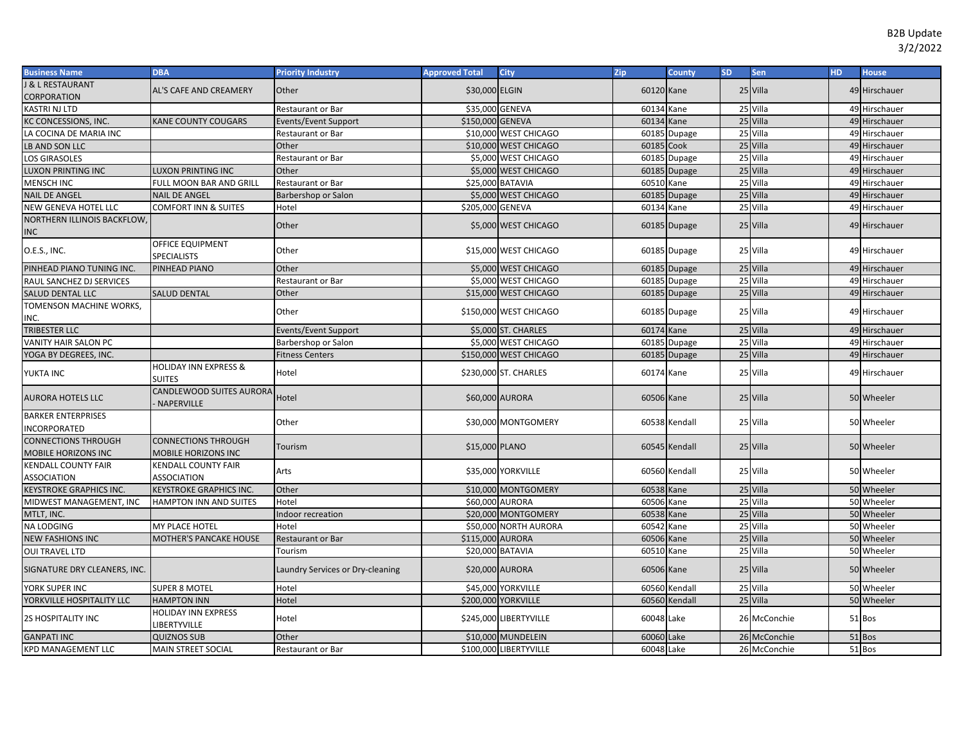| <b>Business Name</b>                              | <b>DBA</b>                                        | <b>Priority Industry</b>         | <b>Approved Total</b> | <b>City</b>            | Zip        | <b>County</b> | <b>SD</b> | Sen          | <b>HD</b> | <b>House</b>  |
|---------------------------------------------------|---------------------------------------------------|----------------------------------|-----------------------|------------------------|------------|---------------|-----------|--------------|-----------|---------------|
| <b>&amp; L RESTAURANT</b>                         | <b>AL'S CAFE AND CREAMERY</b>                     | Other                            | \$30,000 ELGIN        |                        | 60120 Kane |               |           | 25 Villa     |           | 49 Hirschauer |
| CORPORATION                                       |                                                   |                                  |                       |                        |            |               |           |              |           |               |
| KASTRI NJ LTD                                     |                                                   | Restaurant or Bar                | \$35,000 GENEVA       |                        | 60134      | Kane          |           | 25 Villa     |           | 49 Hirschauer |
| KC CONCESSIONS, INC.                              | <b>KANE COUNTY COUGARS</b>                        | <b>Events/Event Support</b>      | \$150,000 GENEVA      |                        | 60134      | Kane          |           | 25 Villa     |           | 49 Hirschauer |
| LA COCINA DE MARIA INC                            |                                                   | Restaurant or Bar                |                       | \$10,000 WEST CHICAGO  | 60185      | Dupage        |           | 25 Villa     |           | 49 Hirschauer |
| LB AND SON LLC                                    |                                                   | Other                            |                       | \$10,000 WEST CHICAGO  | 60185      | Cook          |           | 25 Villa     |           | 49 Hirschauer |
| LOS GIRASOLES                                     |                                                   | Restaurant or Bar                |                       | \$5,000 WEST CHICAGO   | 60185      | Dupage        |           | 25 Villa     |           | 49 Hirschauer |
| LUXON PRINTING INC                                | <b>LUXON PRINTING INC</b>                         | Other                            |                       | \$5,000 WEST CHICAGO   |            | 60185 Dupage  |           | 25 Villa     |           | 49 Hirschauer |
| <b>MENSCH INC</b>                                 | FULL MOON BAR AND GRILL                           | Restaurant or Bar                | \$25,000 BATAVIA      |                        | 60510 Kane |               |           | 25 Villa     |           | 49 Hirschauer |
| <b>NAIL DE ANGEL</b>                              | <b>NAIL DE ANGEL</b>                              | Barbershop or Salon              |                       | \$5,000 WEST CHICAGO   |            | 60185 Dupage  |           | 25 Villa     |           | 49 Hirschauer |
| NEW GENEVA HOTEL LLC                              | COMFORT INN & SUITES                              | Hotel                            | \$205,000 GENEVA      |                        | 60134      | Kane          |           | 25 Villa     |           | 49 Hirschauer |
| NORTHERN ILLINOIS BACKFLOW,                       |                                                   |                                  |                       |                        |            |               |           |              |           |               |
| INC                                               |                                                   | Other                            |                       | \$5,000 WEST CHICAGO   |            | 60185 Dupage  |           | 25 Villa     |           | 49 Hirschauer |
|                                                   | <b>OFFICE EQUIPMENT</b>                           |                                  |                       |                        |            |               |           |              |           |               |
| O.E.S., INC.                                      | <b>SPECIALISTS</b>                                | Other                            |                       | \$15,000 WEST CHICAGO  |            | 60185 Dupage  |           | 25 Villa     |           | 49 Hirschauer |
| PINHEAD PIANO TUNING INC.                         | PINHEAD PIANO                                     | Other                            |                       | \$5,000 WEST CHICAGO   |            | 60185 Dupage  |           | 25 Villa     |           | 49 Hirschauer |
| RAUL SANCHEZ DJ SERVICES                          |                                                   | Restaurant or Bar                |                       | \$5,000 WEST CHICAGO   |            | 60185 Dupage  |           | 25 Villa     |           | 49 Hirschauer |
| <b>SALUD DENTAL LLC</b>                           | <b>SALUD DENTAL</b>                               | Other                            |                       | \$15,000 WEST CHICAGO  |            | 60185 Dupage  |           | 25 Villa     |           | 49 Hirschauer |
| TOMENSON MACHINE WORKS,                           |                                                   |                                  |                       |                        |            |               |           |              |           |               |
| INC.                                              |                                                   | Other                            |                       | \$150,000 WEST CHICAGO |            | 60185 Dupage  |           | 25 Villa     |           | 49 Hirschauer |
| TRIBESTER LLC                                     |                                                   | Events/Event Support             |                       | \$5,000 ST. CHARLES    | 60174      | Kane          |           | 25 Villa     |           | 49 Hirschauer |
| VANITY HAIR SALON PC                              |                                                   | Barbershop or Salon              |                       | \$5,000 WEST CHICAGO   |            | 60185 Dupage  |           | 25 Villa     |           | 49 Hirschauer |
| YOGA BY DEGREES, INC.                             |                                                   | <b>Fitness Centers</b>           |                       | \$150,000 WEST CHICAGO |            | 60185 Dupage  |           | 25 Villa     |           | 49 Hirschauer |
| YUKTA INC                                         | <b>HOLIDAY INN EXPRESS &amp;</b><br><b>SUITES</b> | Hotel                            |                       | \$230,000 ST. CHARLES  | 60174 Kane |               |           | 25 Villa     |           | 49 Hirschauer |
| AURORA HOTELS LLC                                 | <b>CANDLEWOOD SUITES AURORA</b><br>NAPERVILLE     | Hotel                            | \$60,000 AURORA       |                        | 60506 Kane |               |           | 25 Villa     |           | 50 Wheeler    |
| <b>BARKER ENTERPRISES</b><br>INCORPORATED         |                                                   | Other                            |                       | \$30,000 MONTGOMERY    |            | 60538 Kendall |           | 25 Villa     |           | 50 Wheeler    |
| <b>CONNECTIONS THROUGH</b><br>MOBILE HORIZONS INC | <b>CONNECTIONS THROUGH</b><br>MOBILE HORIZONS INC | Tourism                          | \$15,000 PLANO        |                        |            | 60545 Kendall |           | 25 Villa     |           | 50 Wheeler    |
| KENDALL COUNTY FAIR<br><b>ASSOCIATION</b>         | <b>KENDALL COUNTY FAIR</b><br><b>ASSOCIATION</b>  | Arts                             |                       | \$35,000 YORKVILLE     |            | 60560 Kendall |           | 25 Villa     |           | 50 Wheeler    |
| <b>KEYSTROKE GRAPHICS INC.</b>                    | <b>KEYSTROKE GRAPHICS INC.</b>                    | Other                            |                       | \$10,000 MONTGOMERY    | 60538 Kane |               |           | 25 Villa     |           | 50 Wheeler    |
| MIDWEST MANAGEMENT, INC                           | <b>HAMPTON INN AND SUITES</b>                     | Hotel                            | \$60,000 AURORA       |                        | 60506 Kane |               |           | 25 Villa     |           | 50 Wheeler    |
| MTLT, INC.                                        |                                                   | Indoor recreation                |                       | \$20,000 MONTGOMERY    | 60538      | Kane          |           | 25 Villa     |           | 50 Wheeler    |
| NA LODGING                                        | <b>MY PLACE HOTEL</b>                             | Hotel                            |                       | \$50,000 NORTH AURORA  | 60542      | Kane          |           | 25 Villa     |           | 50 Wheeler    |
| <b>NEW FASHIONS INC</b>                           | <b>MOTHER'S PANCAKE HOUSE</b>                     | <b>Restaurant or Bar</b>         | \$115,000 AURORA      |                        | 60506      | Kane          |           | 25 Villa     |           | 50 Wheeler    |
| <b>OUI TRAVEL LTD</b>                             |                                                   | Tourism                          | \$20,000 BATAVIA      |                        | 60510      | Kane          |           | 25 Villa     |           | 50 Wheeler    |
| SIGNATURE DRY CLEANERS, INC.                      |                                                   | Laundry Services or Dry-cleaning | \$20,000 AURORA       |                        | 60506 Kane |               |           | 25 Villa     |           | 50 Wheeler    |
| YORK SUPER INC                                    | <b>SUPER 8 MOTEL</b>                              | Hotel                            |                       | \$45,000 YORKVILLE     |            | 60560 Kendall |           | 25 Villa     |           | 50 Wheeler    |
| YORKVILLE HOSPITALITY LLC                         | <b>HAMPTON INN</b>                                | Hotel                            |                       | \$200,000 YORKVILLE    |            | 60560 Kendall |           | 25 Villa     |           | 50 Wheeler    |
| 2S HOSPITALITY INC                                | <b>HOLIDAY INN EXPRESS</b><br><b>IBERTYVILLE</b>  | Hotel                            |                       | \$245,000 LIBERTYVILLE | 60048 Lake |               |           | 26 McConchie |           | 51 Bos        |
| <b>GANPATI INC</b>                                | <b>QUIZNOS SUB</b>                                | Other                            |                       | \$10,000 MUNDELEIN     | 60060 Lake |               |           | 26 McConchie |           | 51 Bos        |
| <b>KPD MANAGEMENT LLC</b>                         | <b>MAIN STREET SOCIAL</b>                         | Restaurant or Bar                |                       | \$100,000 LIBERTYVILLE | 60048 Lake |               |           | 26 McConchie |           | 51 Bos        |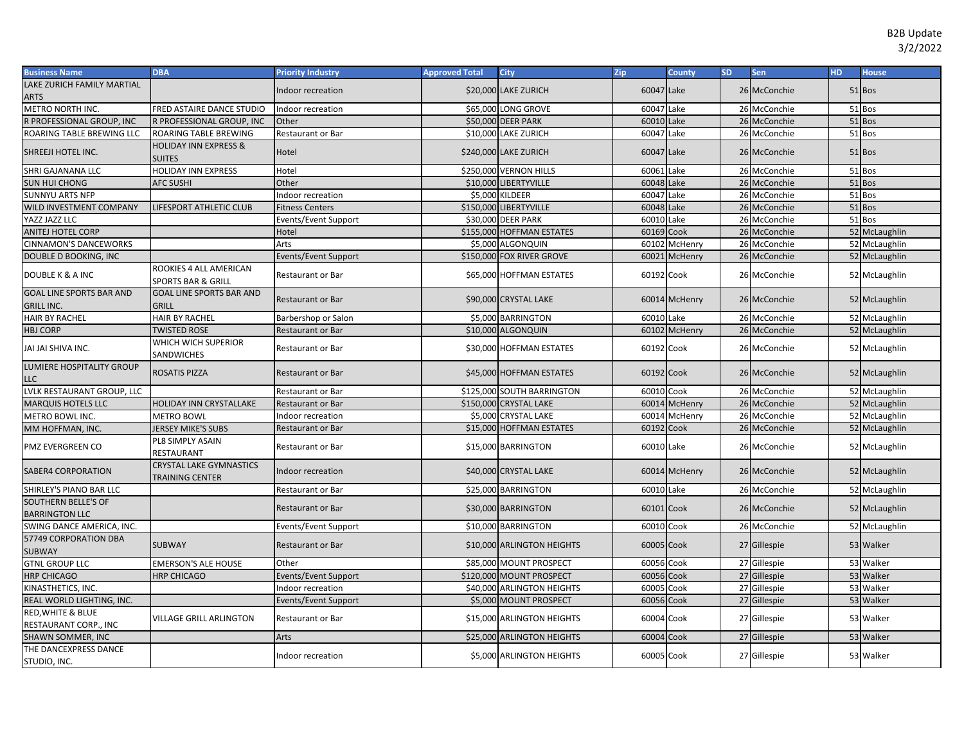| <b>Business Name</b>                                 | <b>DBA</b>                                               | <b>Priority Industry</b>    | <b>Approved Total</b> | <b>City</b>                | Zip        | <b>County</b>  | SD. | Sen          | <b>HD</b> | <b>House</b>  |
|------------------------------------------------------|----------------------------------------------------------|-----------------------------|-----------------------|----------------------------|------------|----------------|-----|--------------|-----------|---------------|
| LAKE ZURICH FAMILY MARTIAL                           |                                                          | Indoor recreation           |                       | \$20,000 LAKE ZURICH       | 60047 Lake |                |     | 26 McConchie |           | 51 Bos        |
| ARTS                                                 |                                                          |                             |                       |                            |            |                |     |              |           |               |
| METRO NORTH INC.                                     | FRED ASTAIRE DANCE STUDIO                                | Indoor recreation           |                       | \$65,000 LONG GROVE        | 60047      | Lake           |     | 26 McConchie |           | 51 Bos        |
| R PROFESSIONAL GROUP, INC                            | R PROFESSIONAL GROUP, INC                                | Other                       |                       | \$50,000 DEER PARK         | 60010      | Lake           |     | 26 McConchie |           | 51 Bos        |
| ROARING TABLE BREWING LLC                            | ROARING TABLE BREWING                                    | Restaurant or Bar           |                       | \$10,000 LAKE ZURICH       | 60047      | Lake           |     | 26 McConchie |           | 51 Bos        |
| SHREEJI HOTEL INC.                                   | <b>HOLIDAY INN EXPRESS &amp;</b><br><b>SUITES</b>        | Hotel                       |                       | \$240,000 LAKE ZURICH      | 60047      | Lake           |     | 26 McConchie |           | 51 Bos        |
| SHRI GAJANANA LLC                                    | HOLIDAY INN EXPRESS                                      | Hotel                       |                       | \$250,000 VERNON HILLS     | 60061      | Lake           |     | 26 McConchie |           | 51 Bos        |
| SUN HUI CHONG                                        | <b>AFC SUSHI</b>                                         | Other                       |                       | \$10,000 LIBERTYVILLE      | 60048      | Lake           |     | 26 McConchie |           | 51 Bos        |
| <b>SUNNYU ARTS NFP</b>                               |                                                          | Indoor recreation           |                       | \$5,000 KILDEER            | 60047      | Lake           |     | 26 McConchie |           | 51 Bos        |
| WILD INVESTMENT COMPANY                              | LIFESPORT ATHLETIC CLUB                                  | <b>Fitness Centers</b>      |                       | \$150,000 LIBERTYVILLE     | 60048 Lake |                |     | 26 McConchie |           | 51 Bos        |
| YAZZ JAZZ LLC                                        |                                                          | Events/Event Support        |                       | \$30,000 DEER PARK         | 60010 Lake |                |     | 26 McConchie |           | 51 Bos        |
| <b>ANITEJ HOTEL CORP</b>                             |                                                          | Hotel                       |                       | \$155,000 HOFFMAN ESTATES  | 60169      | Cook           |     | 26 McConchie |           | 52 McLaughlin |
| <b>CINNAMON'S DANCEWORKS</b>                         |                                                          | Arts                        |                       | \$5,000 ALGONQUIN          |            | 60102 McHenry  |     | 26 McConchie |           | 52 McLaughlin |
| DOUBLE D BOOKING, INC                                |                                                          | <b>Events/Event Support</b> |                       | \$150,000 FOX RIVER GROVE  | 60021      | McHenry        |     | 26 McConchie |           | 52 McLaughlin |
| DOUBLE K & A INC                                     | ROOKIES 4 ALL AMERICAN<br><b>SPORTS BAR &amp; GRILL</b>  | Restaurant or Bar           |                       | \$65,000 HOFFMAN ESTATES   | 60192 Cook |                |     | 26 McConchie |           | 52 McLaughlin |
| <b>GOAL LINE SPORTS BAR AND</b><br><b>GRILL INC.</b> | <b>GOAL LINE SPORTS BAR AND</b><br><b>GRILL</b>          | Restaurant or Bar           |                       | \$90,000 CRYSTAL LAKE      |            | 60014 McHenry  |     | 26 McConchie |           | 52 McLaughlin |
| <b>HAIR BY RACHEL</b>                                | <b>HAIR BY RACHEL</b>                                    | Barbershop or Salon         |                       | \$5,000 BARRINGTON         | 60010      | Lake           |     | 26 McConchie |           | 52 McLaughlin |
| <b>HBJ CORP</b>                                      | <b>IWISTED ROSE</b>                                      | Restaurant or Bar           |                       | \$10,000 ALGONQUIN         | 60102      | <b>McHenry</b> |     | 26 McConchie |           | 52 McLaughlin |
| JAI JAI SHIVA INC.                                   | WHICH WICH SUPERIOR<br>SANDWICHES                        | Restaurant or Bar           |                       | \$30,000 HOFFMAN ESTATES   | 60192 Cook |                |     | 26 McConchie |           | 52 McLaughlin |
| LUMIERE HOSPITALITY GROUP<br>LLC                     | ROSATIS PIZZA                                            | Restaurant or Bar           |                       | \$45,000 HOFFMAN ESTATES   | 60192 Cook |                |     | 26 McConchie |           | 52 McLaughlin |
| LVLK RESTAURANT GROUP, LLC                           |                                                          | Restaurant or Bar           |                       | \$125,000 SOUTH BARRINGTON | 60010      | Cook           |     | 26 McConchie |           | 52 McLaughlin |
| <b>MARQUIS HOTELS LLC</b>                            | <b>HOLIDAY INN CRYSTALLAKE</b>                           | Restaurant or Bar           |                       | \$150,000 CRYSTAL LAKE     |            | 60014 McHenry  |     | 26 McConchie |           | 52 McLaughlin |
| METRO BOWL INC.                                      | <b>METRO BOWL</b>                                        | Indoor recreation           |                       | \$5,000 CRYSTAL LAKE       | 60014      | McHenry        |     | 26 McConchie |           | 52 McLaughlin |
| MM HOFFMAN, INC.                                     | <b>JERSEY MIKE'S SUBS</b>                                | Restaurant or Bar           |                       | \$15,000 HOFFMAN ESTATES   | 60192      | Cook           |     | 26 McConchie |           | 52 McLaughlin |
| PMZ EVERGREEN CO                                     | PL8 SIMPLY ASAIN<br>RESTAURANT                           | Restaurant or Bar           |                       | \$15,000 BARRINGTON        | 60010 Lake |                |     | 26 McConchie |           | 52 McLaughlin |
| SABER4 CORPORATION                                   | <b>CRYSTAL LAKE GYMNASTICS</b><br><b>TRAINING CENTER</b> | Indoor recreation           |                       | \$40,000 CRYSTAL LAKE      |            | 60014 McHenry  |     | 26 McConchie |           | 52 McLaughlin |
| SHIRLEY'S PIANO BAR LLC                              |                                                          | Restaurant or Bar           |                       | \$25,000 BARRINGTON        | 60010      | Lake           |     | 26 McConchie |           | 52 McLaughlin |
| SOUTHERN BELLE'S OF<br><b>BARRINGTON LLC</b>         |                                                          | Restaurant or Bar           |                       | \$30,000 BARRINGTON        | 60101 Cook |                |     | 26 McConchie |           | 52 McLaughlin |
| SWING DANCE AMERICA, INC.                            |                                                          | <b>Events/Event Support</b> |                       | \$10,000 BARRINGTON        | 60010 Cook |                |     | 26 McConchie |           | 52 McLaughlin |
| 57749 CORPORATION DBA<br><b>SUBWAY</b>               | <b>SUBWAY</b>                                            | Restaurant or Bar           |                       | \$10,000 ARLINGTON HEIGHTS | 60005 Cook |                |     | 27 Gillespie |           | 53 Walker     |
| <b>GTNL GROUP LLC</b>                                | <b>EMERSON'S ALE HOUSE</b>                               | Other                       |                       | \$85,000 MOUNT PROSPECT    | 60056 Cook |                |     | 27 Gillespie |           | 53 Walker     |
| <b>HRP CHICAGO</b>                                   | <b>HRP CHICAGO</b>                                       | <b>Events/Event Support</b> |                       | \$120,000 MOUNT PROSPECT   | 60056      | Cook           |     | 27 Gillespie |           | 53 Walker     |
| KINASTHETICS, INC.                                   |                                                          | Indoor recreation           |                       | \$40,000 ARLINGTON HEIGHTS | 60005      | Cook           |     | 27 Gillespie |           | 53 Walker     |
| REAL WORLD LIGHTING, INC.                            |                                                          | <b>Events/Event Support</b> |                       | \$5,000 MOUNT PROSPECT     | 60056      | Cook           |     | 27 Gillespie |           | 53 Walker     |
| RED, WHITE & BLUE<br>RESTAURANT CORP., INC           | <b>VILLAGE GRILL ARLINGTON</b>                           | Restaurant or Bar           |                       | \$15,000 ARLINGTON HEIGHTS | 60004      | Cook           |     | 27 Gillespie |           | 53 Walker     |
| SHAWN SOMMER, INC                                    |                                                          | Arts                        |                       | \$25,000 ARLINGTON HEIGHTS | 60004      | Cook           |     | 27 Gillespie |           | 53 Walker     |
| THE DANCEXPRESS DANCE<br>STUDIO, INC.                |                                                          | Indoor recreation           |                       | \$5,000 ARLINGTON HEIGHTS  | 60005 Cook |                |     | 27 Gillespie |           | 53 Walker     |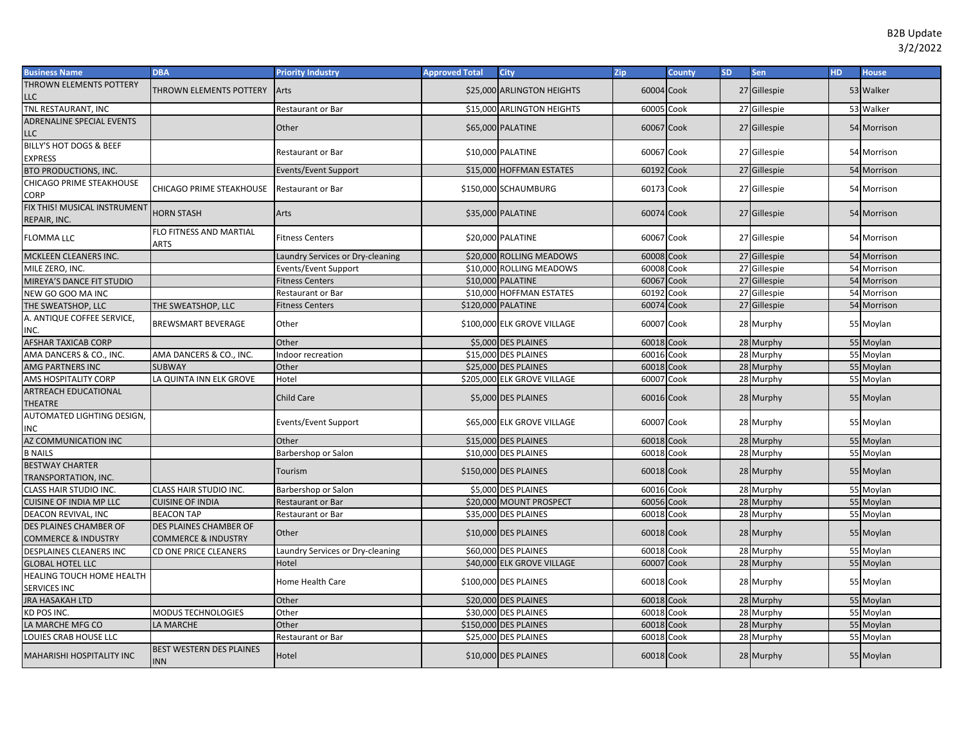| <b>Business Name</b>                                            | <b>DBA</b>                                               | <b>Priority Industry</b>         | <b>Approved Total</b> | <b>City</b>                 | Zip        | <b>County</b> | <b>SD</b> | Sen          | HD. | <b>House</b> |
|-----------------------------------------------------------------|----------------------------------------------------------|----------------------------------|-----------------------|-----------------------------|------------|---------------|-----------|--------------|-----|--------------|
| <b>THROWN ELEMENTS POTTERY</b>                                  | THROWN ELEMENTS POTTERY                                  | Arts                             |                       | \$25,000 ARLINGTON HEIGHTS  | 60004 Cook |               |           | 27 Gillespie |     | 53 Walker    |
| LLC                                                             |                                                          |                                  |                       |                             |            |               |           |              |     |              |
| <b>TNL RESTAURANT, INC</b>                                      |                                                          | Restaurant or Bar                |                       | \$15,000 ARLINGTON HEIGHTS  | 60005 Cook |               |           | 27 Gillespie |     | 53 Walker    |
| ADRENALINE SPECIAL EVENTS<br>LLC                                |                                                          | Other                            |                       | \$65,000 PALATINE           | 60067 Cook |               |           | 27 Gillespie |     | 54 Morrison  |
| BILLY'S HOT DOGS & BEEF<br><b>EXPRESS</b>                       |                                                          | Restaurant or Bar                |                       | \$10,000 PALATINE           | 60067 Cook |               |           | 27 Gillespie |     | 54 Morrison  |
| <b>BTO PRODUCTIONS, INC.</b>                                    |                                                          | Events/Event Support             |                       | \$15,000 HOFFMAN ESTATES    | 60192 Cook |               |           | 27 Gillespie |     | 54 Morrison  |
| <b>CHICAGO PRIME STEAKHOUSE</b><br><b>CORP</b>                  | CHICAGO PRIME STEAKHOUSE                                 | Restaurant or Bar                |                       | \$150,000 SCHAUMBURG        | 60173 Cook |               |           | 27 Gillespie |     | 54 Morrison  |
| FIX THIS! MUSICAL INSTRUMENT<br>REPAIR, INC.                    | <b>HORN STASH</b>                                        | Arts                             |                       | \$35,000 PALATINE           | 60074 Cook |               |           | 27 Gillespie |     | 54 Morrison  |
| <b>FLOMMA LLC</b>                                               | FLO FITNESS AND MARTIAL<br>ARTS                          | <b>Fitness Centers</b>           |                       | \$20,000 PALATINE           | 60067 Cook |               |           | 27 Gillespie |     | 54 Morrison  |
| MCKLEEN CLEANERS INC.                                           |                                                          | Laundry Services or Dry-cleaning |                       | \$20,000 ROLLING MEADOWS    | 60008 Cook |               |           | 27 Gillespie |     | 54 Morrison  |
| MILE ZERO, INC.                                                 |                                                          | Events/Event Support             |                       | \$10,000 ROLLING MEADOWS    | 60008 Cook |               |           | 27 Gillespie |     | 54 Morrison  |
| MIREYA'S DANCE FIT STUDIO                                       |                                                          | <b>Fitness Centers</b>           |                       | \$10,000 PALATINE           | 60067      | Cook          |           | 27 Gillespie |     | 54 Morrison  |
| NEW GO GOO MA INC                                               |                                                          | Restaurant or Bar                |                       | \$10,000 HOFFMAN ESTATES    | 60192      | Cook          |           | 27 Gillespie |     | 54 Morrison  |
| THE SWEATSHOP, LLC                                              | THE SWEATSHOP, LLC                                       | <b>Fitness Centers</b>           |                       | \$120,000 PALATINE          | 60074 Cook |               |           | 27 Gillespie |     | 54 Morrison  |
| A. ANTIQUE COFFEE SERVICE,<br>INC.                              | <b>BREWSMART BEVERAGE</b>                                | Other                            |                       | \$100,000 ELK GROVE VILLAGE | 60007 Cook |               |           | 28 Murphy    |     | 55 Moylan    |
| <b>AFSHAR TAXICAB CORP</b>                                      |                                                          | Other                            |                       | \$5,000 DES PLAINES         | 60018 Cook |               |           | 28 Murphy    |     | 55 Moylan    |
| AMA DANCERS & CO., INC.                                         | AMA DANCERS & CO., INC.                                  | Indoor recreation                |                       | \$15,000 DES PLAINES        | 60016 Cook |               |           | 28 Murphy    |     | 55 Moylan    |
| <b>AMG PARTNERS INC</b>                                         | <b>SUBWAY</b>                                            | Other                            |                       | \$25,000 DES PLAINES        | 60018 Cook |               |           | 28 Murphy    |     | 55 Moylan    |
| AMS HOSPITALITY CORP                                            | LA QUINTA INN ELK GROVE                                  | Hotel                            |                       | \$205,000 ELK GROVE VILLAGE | 60007 Cook |               |           | 28 Murphy    |     | 55 Moylan    |
| <b>ARTREACH EDUCATIONAL</b><br>THEATRE                          |                                                          | <b>Child Care</b>                |                       | \$5,000 DES PLAINES         | 60016 Cook |               |           | 28 Murphy    |     | 55 Moylan    |
| AUTOMATED LIGHTING DESIGN,<br>INC                               |                                                          | Events/Event Support             |                       | \$65,000 ELK GROVE VILLAGE  | 60007 Cook |               |           | 28 Murphy    |     | 55 Moylan    |
| AZ COMMUNICATION INC                                            |                                                          | Other                            |                       | \$15,000 DES PLAINES        | 60018 Cook |               |           | 28 Murphy    |     | 55 Moylan    |
| <b>B NAILS</b>                                                  |                                                          | Barbershop or Salon              |                       | \$10,000 DES PLAINES        | 60018 Cook |               |           | 28 Murphy    |     | 55 Moylan    |
| <b>BESTWAY CHARTER</b><br>TRANSPORTATION, INC.                  |                                                          | Tourism                          |                       | \$150,000 DES PLAINES       | 60018 Cook |               |           | 28 Murphy    |     | 55 Moylan    |
| CLASS HAIR STUDIO INC.                                          | <b>CLASS HAIR STUDIO INC.</b>                            | Barbershop or Salon              |                       | \$5,000 DES PLAINES         | 60016 Cook |               |           | 28 Murphy    |     | 55 Moylan    |
| <b>CUISINE OF INDIA MP LLC</b>                                  | <b>CUISINE OF INDIA</b>                                  | <b>Restaurant or Bar</b>         |                       | \$20,000 MOUNT PROSPECT     | 60056 Cook |               |           | 28 Murphy    |     | 55 Moylan    |
| DEACON REVIVAL, INC                                             | <b>BEACON TAP</b>                                        | Restaurant or Bar                |                       | \$35,000 DES PLAINES        | 60018 Cook |               |           | 28 Murphy    |     | 55 Moylan    |
| <b>DES PLAINES CHAMBER OF</b><br><b>COMMERCE &amp; INDUSTRY</b> | DES PLAINES CHAMBER OF<br><b>COMMERCE &amp; INDUSTRY</b> | Other                            |                       | \$10,000 DES PLAINES        | 60018 Cook |               |           | 28 Murphy    |     | 55 Moylan    |
| DESPLAINES CLEANERS INC                                         | <b>CD ONE PRICE CLEANERS</b>                             | Laundry Services or Dry-cleaning |                       | \$60,000 DES PLAINES        | 60018 Cook |               |           | 28 Murphy    |     | 55 Moylan    |
| <b>GLOBAL HOTEL LLC</b>                                         |                                                          | Hotel                            |                       | \$40,000 ELK GROVE VILLAGE  | 60007      | Cook          |           | 28 Murphy    |     | 55 Moylan    |
| HEALING TOUCH HOME HEALTH<br>SERVICES INC                       |                                                          | Home Health Care                 |                       | \$100,000 DES PLAINES       | 60018 Cook |               |           | 28 Murphy    |     | 55 Moylan    |
| <b>JRA HASAKAH LTD</b>                                          |                                                          | Other                            |                       | \$20,000 DES PLAINES        | 60018 Cook |               |           | 28 Murphy    |     | 55 Moylan    |
| KD POS INC.                                                     | <b>MODUS TECHNOLOGIES</b>                                | Other                            |                       | \$30,000 DES PLAINES        | 60018 Cook |               |           | 28 Murphy    |     | 55 Moylan    |
| LA MARCHE MFG CO                                                | LA MARCHE                                                | Other                            |                       | \$150,000 DES PLAINES       | 60018      | Cook          |           | 28 Murphy    |     | 55 Moylan    |
| LOUIES CRAB HOUSE LLC                                           |                                                          | Restaurant or Bar                |                       | \$25,000 DES PLAINES        | 60018 Cook |               |           | 28 Murphy    |     | 55 Moylan    |
| <b>MAHARISHI HOSPITALITY INC</b>                                | BEST WESTERN DES PLAINES<br><b>INN</b>                   | Hotel                            |                       | \$10,000 DES PLAINES        | 60018 Cook |               |           | 28 Murphy    |     | 55 Moylan    |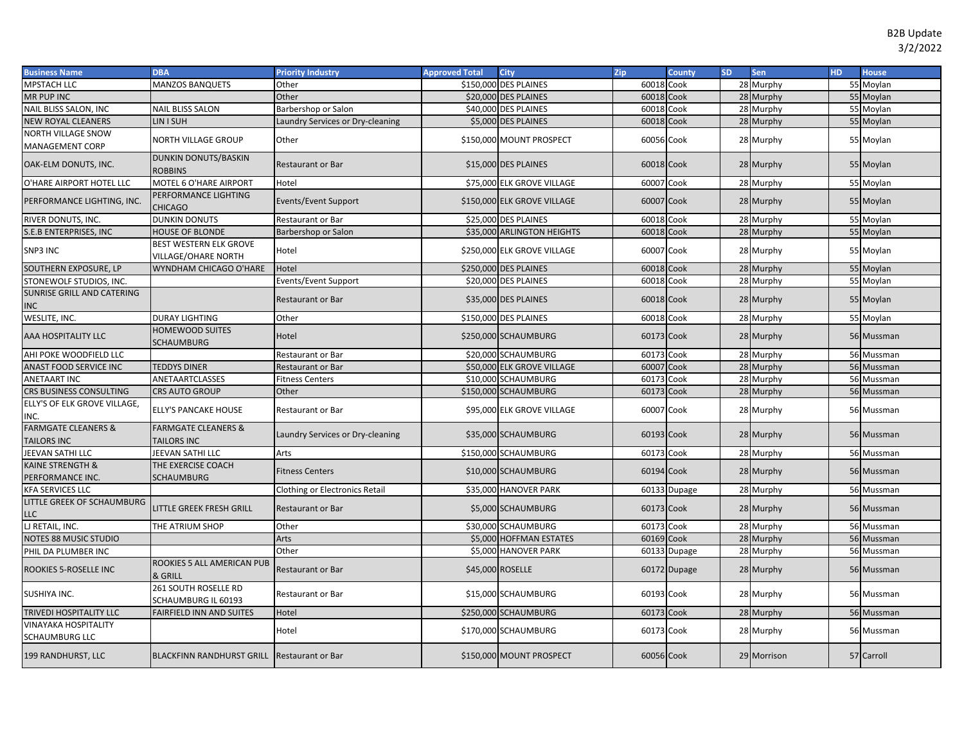| <b>Business Name</b>                                 | <b>DBA</b>                                           | <b>Priority Industry</b>              | <b>Approved Total</b> | <b>City</b>                 | Zip        | <b>County</b> | SD. | <b>Sen</b>  | <b>HD</b> | <b>House</b> |
|------------------------------------------------------|------------------------------------------------------|---------------------------------------|-----------------------|-----------------------------|------------|---------------|-----|-------------|-----------|--------------|
| <b>MPSTACH LLC</b>                                   | <b>MANZOS BANQUETS</b>                               | Other                                 |                       | \$150,000 DES PLAINES       | 60018 Cook |               |     | 28 Murphy   |           | 55 Moylan    |
| <b>MR PUP INC</b>                                    |                                                      | Other                                 |                       | \$20,000 DES PLAINES        | 60018      | Cook          |     | 28 Murphy   |           | 55 Moylan    |
| NAIL BLISS SALON, INC                                | <b>NAIL BLISS SALON</b>                              | Barbershop or Salon                   |                       | \$40,000 DES PLAINES        | 60018      | Cook          |     | 28 Murphy   |           | 55 Moylan    |
| <b>NEW ROYAL CLEANERS</b>                            | LIN I SUH                                            | Laundry Services or Dry-cleaning      |                       | \$5,000 DES PLAINES         | 60018      | Cook          |     | 28 Murphy   |           | 55 Moylan    |
| <b>NORTH VILLAGE SNOW</b><br>MANAGEMENT CORP         | NORTH VILLAGE GROUP                                  | Other                                 |                       | \$150,000 MOUNT PROSPECT    | 60056 Cook |               |     | 28 Murphy   |           | 55 Moylan    |
| OAK-ELM DONUTS, INC.                                 | <b>DUNKIN DONUTS/BASKIN</b><br><b>ROBBINS</b>        | Restaurant or Bar                     |                       | \$15,000 DES PLAINES        | 60018 Cook |               |     | 28 Murphy   |           | 55 Moylan    |
| O'HARE AIRPORT HOTEL LLC                             | MOTEL 6 O'HARE AIRPORT                               | Hotel                                 |                       | \$75,000 ELK GROVE VILLAGE  | 60007      | Cook          |     | 28 Murphy   |           | 55 Moylan    |
| PERFORMANCE LIGHTING, INC.                           | PERFORMANCE LIGHTING<br><b>CHICAGO</b>               | Events/Event Support                  |                       | \$150,000 ELK GROVE VILLAGE | 60007 Cook |               |     | 28 Murphy   |           | 55 Moylan    |
| RIVER DONUTS, INC.                                   | <b>DUNKIN DONUTS</b>                                 | Restaurant or Bar                     |                       | \$25,000 DES PLAINES        | 60018 Cook |               |     | 28 Murphy   |           | 55 Moylan    |
| S.E.B ENTERPRISES, INC                               | <b>HOUSE OF BLONDE</b>                               | Barbershop or Salon                   |                       | \$35,000 ARLINGTON HEIGHTS  | 60018 Cook |               |     | 28 Murphy   |           | 55 Moylan    |
| SNP3 INC                                             | BEST WESTERN ELK GROVE<br><b>VILLAGE/OHARE NORTH</b> | Hotel                                 |                       | \$250,000 ELK GROVE VILLAGE | 60007 Cook |               |     | 28 Murphy   |           | 55 Moylan    |
| SOUTHERN EXPOSURE, LP                                | WYNDHAM CHICAGO O'HARE                               | Hotel                                 |                       | \$250,000 DES PLAINES       | 60018      | Cook          |     | 28 Murphy   |           | 55 Moylan    |
| STONEWOLF STUDIOS, INC.                              |                                                      | Events/Event Support                  |                       | \$20,000 DES PLAINES        | 60018 Cook |               |     | 28 Murphy   |           | 55 Moylan    |
| SUNRISE GRILL AND CATERING<br>INC                    |                                                      | Restaurant or Bar                     |                       | \$35,000 DES PLAINES        | 60018 Cook |               |     | 28 Murphy   |           | 55 Moylan    |
| WESLITE, INC.                                        | <b>DURAY LIGHTING</b>                                | Other                                 |                       | \$150,000 DES PLAINES       | 60018      | Cook          |     | 28 Murphy   |           | 55 Moylan    |
| AAA HOSPITALITY LLC                                  | <b>HOMEWOOD SUITES</b><br>SCHAUMBURG                 | Hotel                                 |                       | \$250,000 SCHAUMBURG        | 60173 Cook |               |     | 28 Murphy   |           | 56 Mussman   |
| AHI POKE WOODFIELD LLC                               |                                                      | Restaurant or Bar                     |                       | \$20,000 SCHAUMBURG         | 60173 Cook |               |     | 28 Murphy   |           | 56 Mussman   |
| ANAST FOOD SERVICE INC                               | <b>TEDDYS DINER</b>                                  | Restaurant or Bar                     |                       | \$50,000 ELK GROVE VILLAGE  | 60007      | Cook          |     | 28 Murphy   |           | 56 Mussman   |
| ANETAART INC                                         | ANETAARTCLASSES                                      | <b>Fitness Centers</b>                |                       | \$10,000 SCHAUMBURG         | 60173 Cook |               |     | 28 Murphy   |           | 56 Mussman   |
| CRS BUSINESS CONSULTING                              | <b>CRS AUTO GROUP</b>                                | Other                                 |                       | \$150,000 SCHAUMBURG        | 60173      | Cook          |     | 28 Murphy   |           | 56 Mussman   |
| ELLY'S OF ELK GROVE VILLAGE,<br>INC.                 | <b>ELLY'S PANCAKE HOUSE</b>                          | Restaurant or Bar                     |                       | \$95,000 ELK GROVE VILLAGE  | 60007      | Cook          |     | 28 Murphy   |           | 56 Mussman   |
| <b>FARMGATE CLEANERS &amp;</b><br><b>TAILORS INC</b> | <b>FARMGATE CLEANERS &amp;</b><br><b>TAILORS INC</b> | Laundry Services or Dry-cleaning      |                       | \$35,000 SCHAUMBURG         | 60193 Cook |               |     | 28 Murphy   |           | 56 Mussman   |
| JEEVAN SATHI LLC                                     | JEEVAN SATHI LLC                                     | Arts                                  |                       | \$150,000 SCHAUMBURG        | 60173      | Cook          |     | 28 Murphy   |           | 56 Mussman   |
| KAINE STRENGTH &<br>PERFORMANCE INC.                 | THE EXERCISE COACH<br>SCHAUMBURG                     | <b>Fitness Centers</b>                |                       | \$10,000 SCHAUMBURG         | 60194 Cook |               |     | 28 Murphy   |           | 56 Mussman   |
| KFA SERVICES LLC                                     |                                                      | <b>Clothing or Electronics Retail</b> |                       | \$35,000 HANOVER PARK       |            | 60133 Dupage  |     | 28 Murphy   |           | 56 Mussman   |
| LITTLE GREEK OF SCHAUMBURG<br>LLC                    | LITTLE GREEK FRESH GRILL                             | <b>Restaurant or Bar</b>              |                       | \$5,000 SCHAUMBURG          | 60173 Cook |               |     | 28 Murphy   |           | 56 Mussman   |
| LJ RETAIL, INC.                                      | THE ATRIUM SHOP                                      | Other                                 |                       | \$30,000 SCHAUMBURG         | 60173 Cook |               |     | 28 Murphy   |           | 56 Mussman   |
| NOTES 88 MUSIC STUDIO                                |                                                      | Arts                                  |                       | \$5,000 HOFFMAN ESTATES     | 60169      | Cook          |     | 28 Murphy   |           | 56 Mussman   |
| PHIL DA PLUMBER INC                                  |                                                      | Other                                 |                       | \$5,000 HANOVER PARK        | 60133      | Dupage        |     | 28 Murphy   |           | 56 Mussman   |
| ROOKIES 5-ROSELLE INC                                | ROOKIES 5 ALL AMERICAN PUB<br>& GRILL                | <b>Restaurant or Bar</b>              |                       | \$45,000 ROSELLE            |            | 60172 Dupage  |     | 28 Murphy   |           | 56 Mussman   |
| SUSHIYA INC.                                         | 261 SOUTH ROSELLE RD<br>SCHAUMBURG IL 60193          | Restaurant or Bar                     |                       | \$15,000 SCHAUMBURG         | 60193 Cook |               |     | 28 Murphy   |           | 56 Mussman   |
| TRIVEDI HOSPITALITY LLC                              | FAIRFIELD INN AND SUITES                             | Hotel                                 |                       | \$250,000 SCHAUMBURG        | 60173 Cook |               |     | 28 Murphy   |           | 56 Mussman   |
| <b>VINAYAKA HOSPITALITY</b><br>SCHAUMBURG LLC        |                                                      | Hotel                                 |                       | \$170,000 SCHAUMBURG        | 60173 Cook |               |     | 28 Murphy   |           | 56 Mussman   |
| 199 RANDHURST, LLC                                   | <b>BLACKFINN RANDHURST GRILL</b>                     | <b>Restaurant or Bar</b>              |                       | \$150,000 MOUNT PROSPECT    | 60056 Cook |               |     | 29 Morrison |           | 57 Carroll   |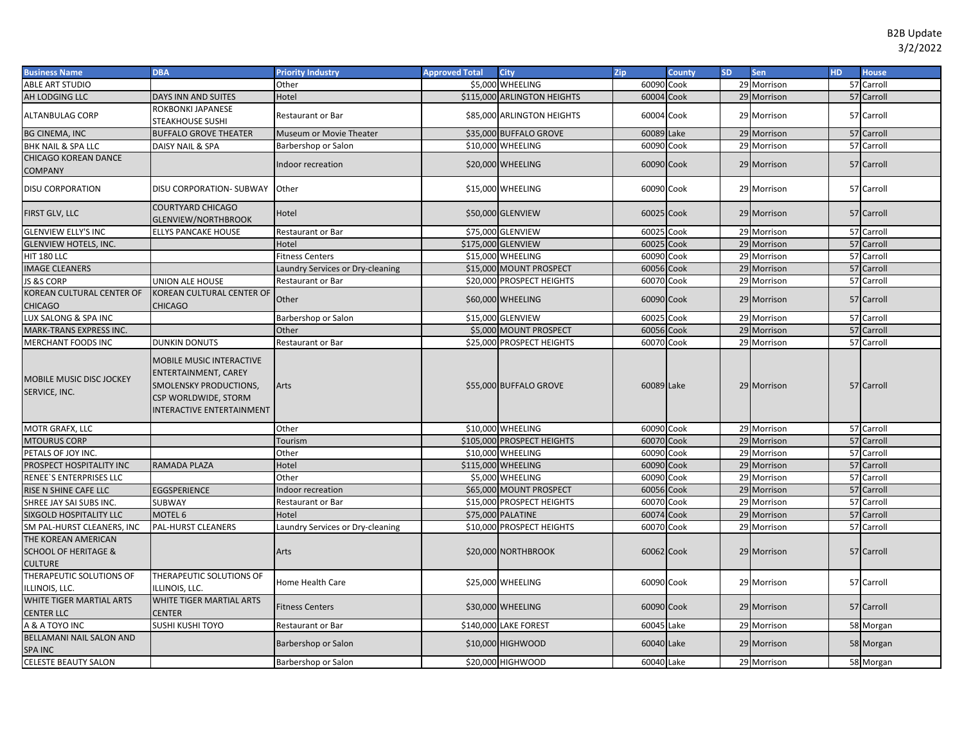| <b>Business Name</b>                                          | <b>DBA</b>                                                                                                                                           | <b>Priority Industry</b>         | <b>Approved Total</b> | <b>City</b>                 | Zip        | <b>County</b> | <b>SD</b> | Sen         | <b>HD</b> | <b>House</b> |
|---------------------------------------------------------------|------------------------------------------------------------------------------------------------------------------------------------------------------|----------------------------------|-----------------------|-----------------------------|------------|---------------|-----------|-------------|-----------|--------------|
| <b>ABLE ART STUDIO</b>                                        |                                                                                                                                                      | Other                            |                       | \$5,000 WHEELING            | 60090      | Cook          |           | 29 Morrison |           | 57 Carroll   |
| AH LODGING LLC                                                | DAYS INN AND SUITES                                                                                                                                  | Hotel                            |                       | \$115,000 ARLINGTON HEIGHTS | 60004      | Cook          |           | 29 Morrison |           | 57 Carroll   |
| <b>ALTANBULAG CORP</b>                                        | <b>ROKBONKI JAPANESE</b><br>STEAKHOUSE SUSHI                                                                                                         | <b>Restaurant or Bar</b>         |                       | \$85,000 ARLINGTON HEIGHTS  | 60004      | Cook          |           | 29 Morrison |           | 57 Carroll   |
| <b>BG CINEMA, INC</b>                                         | <b>BUFFALO GROVE THEATER</b>                                                                                                                         | Museum or Movie Theater          |                       | \$35,000 BUFFALO GROVE      | 60089      | Lake          |           | 29 Morrison |           | 57 Carroll   |
| <b>BHK NAIL &amp; SPA LLC</b>                                 | DAISY NAIL & SPA                                                                                                                                     | Barbershop or Salon              |                       | \$10,000 WHEELING           | 60090 Cook |               |           | 29 Morrison |           | 57 Carroll   |
| <b>CHICAGO KOREAN DANCE</b><br><b>COMPANY</b>                 |                                                                                                                                                      | Indoor recreation                |                       | \$20,000 WHEELING           | 60090 Cook |               |           | 29 Morrison |           | 57 Carroll   |
| DISU CORPORATION                                              | <b>DISU CORPORATION- SUBWAY</b>                                                                                                                      | Other                            |                       | \$15,000 WHEELING           | 60090 Cook |               |           | 29 Morrison |           | 57 Carroll   |
| FIRST GLV, LLC                                                | <b>COURTYARD CHICAGO</b><br><b>GLENVIEW/NORTHBROOK</b>                                                                                               | Hotel                            |                       | \$50,000 GLENVIEW           | 60025 Cook |               |           | 29 Morrison |           | 57 Carroll   |
| <b>GLENVIEW ELLY'S INC</b>                                    | <b>ELLYS PANCAKE HOUSE</b>                                                                                                                           | Restaurant or Bar                |                       | \$75,000 GLENVIEW           | 60025 Cook |               |           | 29 Morrison |           | 57 Carroll   |
| <b>GLENVIEW HOTELS, INC.</b>                                  |                                                                                                                                                      | Hotel                            |                       | \$175,000 GLENVIEW          | 60025      | Cook          |           | 29 Morrison |           | 57 Carroll   |
| HIT 180 LLC                                                   |                                                                                                                                                      | <b>Fitness Centers</b>           |                       | \$15,000 WHEELING           | 60090 Cook |               |           | 29 Morrison |           | 57 Carroll   |
| <b>IMAGE CLEANERS</b>                                         |                                                                                                                                                      | Laundry Services or Dry-cleaning |                       | \$15,000 MOUNT PROSPECT     | 60056      | Cook          |           | 29 Morrison |           | 57 Carroll   |
| JS &S CORP                                                    | <b>UNION ALE HOUSE</b>                                                                                                                               | Restaurant or Bar                |                       | \$20,000 PROSPECT HEIGHTS   | 60070 Cook |               |           | 29 Morrison |           | 57 Carroll   |
| KOREAN CULTURAL CENTER OF<br><b>CHICAGO</b>                   | <b>KOREAN CULTURAL CENTER OF</b><br><b>CHICAGO</b>                                                                                                   | Other                            |                       | \$60,000 WHEELING           | 60090 Cook |               |           | 29 Morrison |           | 57 Carroll   |
| LUX SALONG & SPA INC                                          |                                                                                                                                                      | Barbershop or Salon              |                       | \$15,000 GLENVIEW           | 60025      | Cook          |           | 29 Morrison |           | 57 Carroll   |
| MARK-TRANS EXPRESS INC.                                       |                                                                                                                                                      | Other                            |                       | \$5,000 MOUNT PROSPECT      | 60056      | Cook          |           | 29 Morrison |           | 57 Carroll   |
| MERCHANT FOODS INC                                            | <b>DUNKIN DONUTS</b>                                                                                                                                 | Restaurant or Bar                |                       | \$25,000 PROSPECT HEIGHTS   | 60070 Cook |               |           | 29 Morrison |           | 57 Carroll   |
| MOBILE MUSIC DISC JOCKEY<br>SERVICE, INC.                     | <b>MOBILE MUSIC INTERACTIVE</b><br><b>ENTERTAINMENT, CAREY</b><br><b>SMOLENSKY PRODUCTIONS,</b><br>CSP WORLDWIDE, STORM<br>INTERACTIVE ENTERTAINMENT | Arts                             |                       | \$55,000 BUFFALO GROVE      | 60089 Lake |               |           | 29 Morrison |           | 57 Carroll   |
| MOTR GRAFX, LLC                                               |                                                                                                                                                      | Other                            |                       | \$10,000 WHEELING           | 60090 Cook |               |           | 29 Morrison |           | 57 Carroll   |
| <b>MTOURUS CORP</b>                                           |                                                                                                                                                      | Tourism                          |                       | \$105,000 PROSPECT HEIGHTS  | 60070 Cook |               |           | 29 Morrison |           | 57 Carroll   |
| PETALS OF JOY INC.                                            |                                                                                                                                                      | Other                            |                       | \$10,000 WHEELING           | 60090 Cook |               |           | 29 Morrison |           | 57 Carroll   |
| PROSPECT HOSPITALITY INC                                      | <b>RAMADA PLAZA</b>                                                                                                                                  | Hotel                            |                       | \$115,000 WHEELING          | 60090      | Cook          |           | 29 Morrison |           | 57 Carroll   |
| RENEE`S ENTERPRISES LLC                                       |                                                                                                                                                      | Other                            |                       | \$5,000 WHEELING            | 60090      | Cook          |           | 29 Morrison |           | 57 Carroll   |
| RISE N SHINE CAFE LLC                                         | <b>EGGSPERIENCE</b>                                                                                                                                  | Indoor recreation                |                       | \$65,000 MOUNT PROSPECT     | 60056      | Cook          |           | 29 Morrison |           | 57 Carroll   |
| SHREE JAY SAI SUBS INC.                                       | SUBWAY                                                                                                                                               | Restaurant or Bar                |                       | \$15,000 PROSPECT HEIGHTS   | 60070      | Cook          |           | 29 Morrison |           | 57 Carroll   |
| SIXGOLD HOSPITALITY LLC                                       | MOTEL 6                                                                                                                                              | Hotel                            |                       | \$75,000 PALATINE           | 60074      | Cook          |           | 29 Morrison |           | 57 Carroll   |
| SM PAL-HURST CLEANERS, INC                                    | PAL-HURST CLEANERS                                                                                                                                   | Laundry Services or Dry-cleaning |                       | \$10,000 PROSPECT HEIGHTS   | 60070      | Cook          |           | 29 Morrison |           | 57 Carroll   |
| THE KOREAN AMERICAN<br>SCHOOL OF HERITAGE &<br><b>CULTURE</b> |                                                                                                                                                      | Arts                             |                       | \$20,000 NORTHBROOK         | 60062 Cook |               |           | 29 Morrison |           | 57 Carroll   |
| THERAPEUTIC SOLUTIONS OF<br>ILLINOIS, LLC.                    | THERAPEUTIC SOLUTIONS OF<br>ILLINOIS, LLC.                                                                                                           | Home Health Care                 |                       | \$25,000 WHEELING           | 60090 Cook |               |           | 29 Morrison |           | 57 Carroll   |
| WHITE TIGER MARTIAL ARTS<br><b>CENTER LLC</b>                 | WHITE TIGER MARTIAL ARTS<br><b>CENTER</b>                                                                                                            | <b>Fitness Centers</b>           |                       | \$30,000 WHEELING           | 60090 Cook |               |           | 29 Morrison |           | 57 Carroll   |
| A & A TOYO INC                                                | SUSHI KUSHI TOYO                                                                                                                                     | Restaurant or Bar                |                       | \$140,000 LAKE FOREST       | 60045      | Lake          |           | 29 Morrison |           | 58 Morgan    |
| <b>BELLAMANI NAIL SALON AND</b><br><b>SPA INC</b>             |                                                                                                                                                      | Barbershop or Salon              |                       | \$10,000 HIGHWOOD           | 60040 Lake |               |           | 29 Morrison |           | 58 Morgan    |
| <b>CELESTE BEAUTY SALON</b>                                   |                                                                                                                                                      | Barbershop or Salon              |                       | \$20,000 HIGHWOOD           | 60040 Lake |               |           | 29 Morrison |           | 58 Morgan    |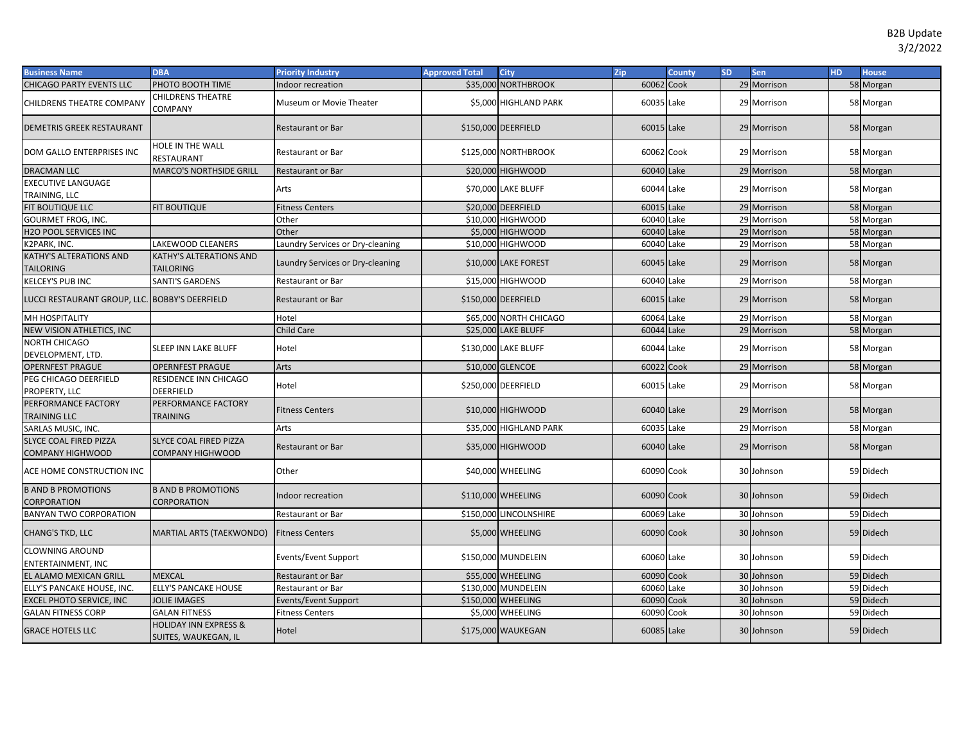| <b>Business Name</b>                                     | <b>DBA</b>                                               | <b>Priority Industry</b>         | <b>Approved Total</b> | City                   | Zip        | <b>County</b> | <b>SD</b> | Sen         | HD. | <b>House</b> |
|----------------------------------------------------------|----------------------------------------------------------|----------------------------------|-----------------------|------------------------|------------|---------------|-----------|-------------|-----|--------------|
| <b>CHICAGO PARTY EVENTS LLC</b>                          | PHOTO BOOTH TIME                                         | Indoor recreation                | \$35,000              | <b>NORTHBROOK</b>      | 60062 Cook |               |           | 29 Morrison |     | 58 Morgan    |
| <b>CHILDRENS THEATRE COMPANY</b>                         | CHILDRENS THEATRE<br>COMPANY                             | Museum or Movie Theater          |                       | \$5,000 HIGHLAND PARK  | 60035 Lake |               |           | 29 Morrison |     | 58 Morgan    |
| DEMETRIS GREEK RESTAURANT                                |                                                          | <b>Restaurant or Bar</b>         |                       | \$150,000 DEERFIELD    | 60015 Lake |               |           | 29 Morrison |     | 58 Morgan    |
| DOM GALLO ENTERPRISES INC                                | HOLE IN THE WALL<br>RESTAURANT                           | Restaurant or Bar                |                       | \$125,000 NORTHBROOK   | 60062 Cook |               |           | 29 Morrison |     | 58 Morgan    |
| <b>DRACMAN LLC</b>                                       | <b>MARCO'S NORTHSIDE GRILL</b>                           | <b>Restaurant or Bar</b>         |                       | \$20,000 HIGHWOOD      | 60040 Lake |               |           | 29 Morrison |     | 58 Morgan    |
| <b>EXECUTIVE LANGUAGE</b><br>TRAINING, LLC               |                                                          | Arts                             |                       | \$70,000 LAKE BLUFF    | 60044 Lake |               |           | 29 Morrison |     | 58 Morgan    |
| FIT BOUTIQUE LLC                                         | <b>FIT BOUTIQUE</b>                                      | <b>Fitness Centers</b>           |                       | \$20,000 DEERFIELD     | 60015 Lake |               |           | 29 Morrison |     | 58 Morgan    |
| <b>GOURMET FROG, INC.</b>                                |                                                          | Other                            |                       | \$10,000 HIGHWOOD      | 60040 Lake |               |           | 29 Morrison |     | 58 Morgan    |
| H2O POOL SERVICES INC                                    |                                                          | Other                            |                       | \$5,000 HIGHWOOD       | 60040 Lake |               |           | 29 Morrison |     | 58 Morgan    |
| K2PARK, INC.                                             | LAKEWOOD CLEANERS                                        | Laundry Services or Dry-cleaning |                       | \$10,000 HIGHWOOD      | 60040 Lake |               |           | 29 Morrison |     | 58 Morgan    |
| <b>KATHY'S ALTERATIONS AND</b><br><b>TAILORING</b>       | <b>KATHY'S ALTERATIONS AND</b><br><b>TAILORING</b>       | Laundry Services or Dry-cleaning |                       | \$10,000 LAKE FOREST   | 60045 Lake |               |           | 29 Morrison |     | 58 Morgan    |
| <b>KELCEY'S PUB INC</b>                                  | <b>SANTI'S GARDENS</b>                                   | Restaurant or Bar                |                       | \$15,000 HIGHWOOD      | 60040 Lake |               |           | 29 Morrison |     | 58 Morgan    |
| LUCCI RESTAURANT GROUP, LLC. BOBBY'S DEERFIELD           |                                                          | <b>Restaurant or Bar</b>         |                       | \$150,000 DEERFIELD    | 60015 Lake |               |           | 29 Morrison |     | 58 Morgan    |
| MH HOSPITALITY                                           |                                                          | Hotel                            |                       | \$65,000 NORTH CHICAGO | 60064 Lake |               |           | 29 Morrison |     | 58 Morgan    |
| NEW VISION ATHLETICS, INC                                |                                                          | Child Care                       |                       | \$25,000 LAKE BLUFF    | 60044 Lake |               |           | 29 Morrison |     | 58 Morgan    |
| <b>NORTH CHICAGO</b><br>DEVELOPMENT, LTD.                | <b>SLEEP INN LAKE BLUFF</b>                              | Hotel                            |                       | \$130,000 LAKE BLUFF   | 60044 Lake |               |           | 29 Morrison |     | 58 Morgan    |
| <b>OPERNFEST PRAGUE</b>                                  | <b>OPERNFEST PRAGUE</b>                                  | Arts                             |                       | \$10,000 GLENCOE       | 60022 Cook |               |           | 29 Morrison |     | 58 Morgan    |
| PEG CHICAGO DEERFIELD<br>PROPERTY, LLC                   | RESIDENCE INN CHICAGO<br><b>DEERFIELD</b>                | Hotel                            |                       | \$250,000 DEERFIELD    | 60015 Lake |               |           | 29 Morrison |     | 58 Morgan    |
| PERFORMANCE FACTORY<br><b>TRAINING LLC</b>               | PERFORMANCE FACTORY<br><b>TRAINING</b>                   | <b>Fitness Centers</b>           |                       | \$10,000 HIGHWOOD      | 60040 Lake |               |           | 29 Morrison |     | 58 Morgan    |
| SARLAS MUSIC, INC.                                       |                                                          | Arts                             |                       | \$35,000 HIGHLAND PARK | 60035 Lake |               |           | 29 Morrison |     | 58 Morgan    |
| <b>SLYCE COAL FIRED PIZZA</b><br><b>COMPANY HIGHWOOD</b> | <b>SLYCE COAL FIRED PIZZA</b><br><b>COMPANY HIGHWOOD</b> | <b>Restaurant or Bar</b>         |                       | \$35,000 HIGHWOOD      | 60040 Lake |               |           | 29 Morrison |     | 58 Morgan    |
| ACE HOME CONSTRUCTION INC                                |                                                          | Other                            |                       | \$40,000 WHEELING      | 60090 Cook |               |           | 30 Johnson  |     | 59 Didech    |
| <b>B AND B PROMOTIONS</b><br><b>CORPORATION</b>          | <b>B AND B PROMOTIONS</b><br><b>CORPORATION</b>          | Indoor recreation                |                       | \$110,000 WHEELING     | 60090 Cook |               |           | 30 Johnson  |     | 59 Didech    |
| <b>BANYAN TWO CORPORATION</b>                            |                                                          | Restaurant or Bar                |                       | \$150,000 LINCOLNSHIRE | 60069 Lake |               |           | 30 Johnson  |     | 59 Didech    |
| CHANG'S TKD, LLC                                         | <b>MARTIAL ARTS (TAEKWONDO)</b>                          | <b>Fitness Centers</b>           |                       | \$5,000 WHEELING       | 60090 Cook |               |           | 30 Johnson  |     | 59 Didech    |
| <b>CLOWNING AROUND</b><br><b>ENTERTAINMENT, INC</b>      |                                                          | Events/Event Support             |                       | \$150,000 MUNDELEIN    | 60060 Lake |               |           | 30 Johnson  |     | 59 Didech    |
| EL ALAMO MEXICAN GRILL                                   | <b>MEXCAL</b>                                            | <b>Restaurant or Bar</b>         |                       | \$55,000 WHEELING      | 60090 Cook |               |           | 30 Johnson  |     | 59 Didech    |
| ELLY'S PANCAKE HOUSE, INC.                               | <b>ELLY'S PANCAKE HOUSE</b>                              | Restaurant or Bar                |                       | \$130,000 MUNDELEIN    | 60060 Lake |               |           | 30 Johnson  |     | 59 Didech    |
| <b>EXCEL PHOTO SERVICE, INC</b>                          | <b>JOLIE IMAGES</b>                                      | Events/Event Support             |                       | \$150,000 WHEELING     | 60090 Cook |               |           | 30 Johnson  |     | 59 Didech    |
| <b>GALAN FITNESS CORP</b>                                | <b>GALAN FITNESS</b>                                     | <b>Fitness Centers</b>           |                       | \$5,000 WHEELING       | 60090 Cook |               |           | 30 Johnson  |     | 59 Didech    |
| <b>GRACE HOTELS LLC</b>                                  | <b>HOLIDAY INN EXPRESS &amp;</b><br>SUITES, WAUKEGAN, IL | Hotel                            |                       | \$175,000 WAUKEGAN     | 60085 Lake |               |           | 30 Johnson  |     | 59 Didech    |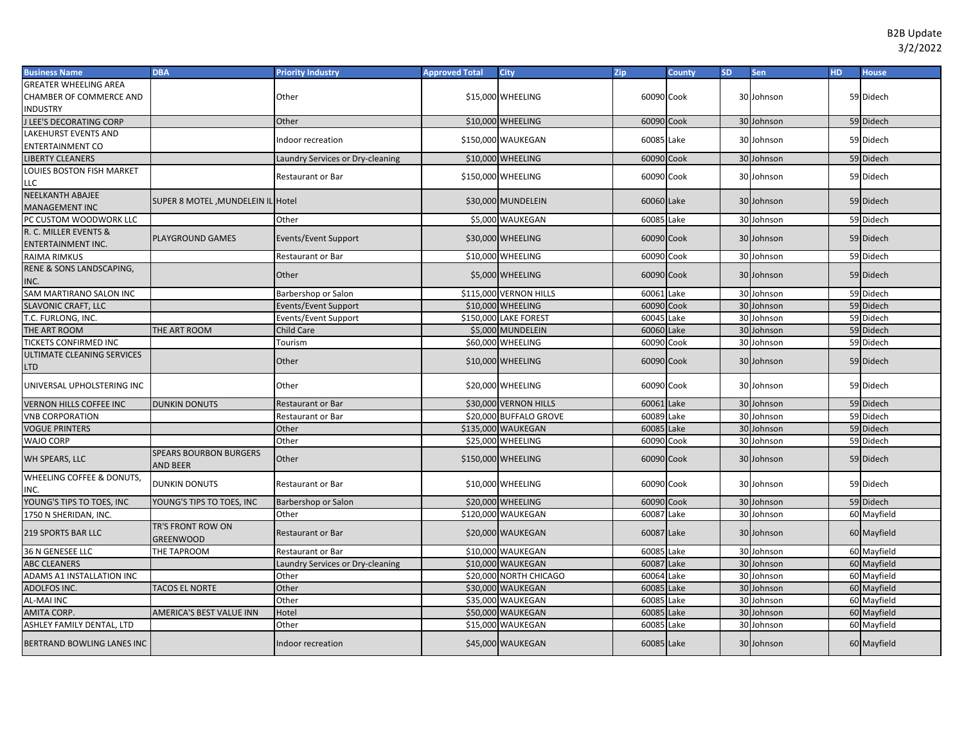| <b>Business Name</b>              | <b>DBA</b>                                       | <b>Priority Industry</b>         | <b>Approved Total</b> | <b>City</b>            | Zip        | <b>County</b> | <b>SD</b> | Sen        | HD. | <b>House</b> |
|-----------------------------------|--------------------------------------------------|----------------------------------|-----------------------|------------------------|------------|---------------|-----------|------------|-----|--------------|
| <b>GREATER WHEELING AREA</b>      |                                                  |                                  |                       |                        |            |               |           |            |     |              |
| CHAMBER OF COMMERCE AND           |                                                  | Other                            |                       | \$15,000 WHEELING      | 60090 Cook |               |           | 30 Johnson |     | 59 Didech    |
| <b>NDUSTRY</b>                    |                                                  |                                  |                       |                        |            |               |           |            |     |              |
| <b>J LEE'S DECORATING CORP</b>    |                                                  | Other                            |                       | \$10,000 WHEELING      | 60090 Cook |               |           | 30 Johnson |     | 59 Didech    |
| <b>LAKEHURST EVENTS AND</b>       |                                                  | ndoor recreation                 |                       | \$150,000 WAUKEGAN     | 60085 Lake |               |           | 30 Johnson |     | 59 Didech    |
| <b>ENTERTAINMENT CO</b>           |                                                  |                                  |                       |                        |            |               |           |            |     |              |
| <b>LIBERTY CLEANERS</b>           |                                                  | Laundry Services or Dry-cleaning |                       | \$10,000 WHEELING      | 60090 Cook |               |           | 30 Johnson |     | 59 Didech    |
| LOUIES BOSTON FISH MARKET         |                                                  | <b>Restaurant or Bar</b>         |                       | \$150,000 WHEELING     | 60090 Cook |               |           | 30 Johnson |     | 59 Didech    |
| LLC                               |                                                  |                                  |                       |                        |            |               |           |            |     |              |
| <b>NEELKANTH ABAJEE</b>           | SUPER 8 MOTEL, MUNDELEIN IL Hotel                |                                  |                       | \$30,000 MUNDELEIN     | 60060 Lake |               |           | 30 Johnson |     | 59 Didech    |
| <b>MANAGEMENT INC</b>             |                                                  |                                  |                       |                        |            |               |           |            |     |              |
| PC CUSTOM WOODWORK LLC            |                                                  | Other                            |                       | \$5,000 WAUKEGAN       | 60085 Lake |               |           | 30 Johnson |     | 59 Didech    |
| R. C. MILLER EVENTS &             | <b>PLAYGROUND GAMES</b>                          | Events/Event Support             |                       | \$30,000 WHEELING      | 60090 Cook |               |           | 30 Johnson |     | 59 Didech    |
| <b>ENTERTAINMENT INC.</b>         |                                                  |                                  |                       |                        |            |               |           |            |     |              |
| <b>RAIMA RIMKUS</b>               |                                                  | <b>Restaurant or Bar</b>         |                       | \$10,000 WHEELING      | 60090 Cook |               |           | 30 Johnson |     | 59 Didech    |
| RENE & SONS LANDSCAPING,          |                                                  | Other                            |                       | \$5,000 WHEELING       | 60090 Cook |               |           | 30 Johnson |     | 59 Didech    |
| INC.                              |                                                  |                                  |                       |                        |            |               |           |            |     |              |
| SAM MARTIRANO SALON INC           |                                                  | Barbershop or Salon              |                       | \$115,000 VERNON HILLS | 60061 Lake |               |           | 30 Johnson |     | 59 Didech    |
| <b>SLAVONIC CRAFT, LLC</b>        |                                                  | Events/Event Support             |                       | \$10,000 WHEELING      | 60090 Cook |               |           | 30 Johnson |     | 59 Didech    |
| T.C. FURLONG, INC.                |                                                  | Events/Event Support             |                       | \$150,000 LAKE FOREST  | 60045 Lake |               |           | 30 Johnson |     | 59 Didech    |
| THE ART ROOM                      | THE ART ROOM                                     | Child Care                       |                       | \$5,000 MUNDELEIN      | 60060 Lake |               |           | 30 Johnson |     | 59 Didech    |
| TICKETS CONFIRMED INC             |                                                  | Tourism                          |                       | \$60,000 WHEELING      | 60090 Cook |               |           | 30 Johnson |     | 59 Didech    |
| ULTIMATE CLEANING SERVICES        |                                                  | Other                            |                       | \$10,000 WHEELING      | 60090 Cook |               |           | 30 Johnson |     | 59 Didech    |
| LTD                               |                                                  |                                  |                       |                        |            |               |           |            |     |              |
| UNIVERSAL UPHOLSTERING INC        |                                                  | Other                            |                       | \$20,000 WHEELING      | 60090 Cook |               |           | 30 Johnson |     | 59 Didech    |
| <b>VERNON HILLS COFFEE INC</b>    | <b>DUNKIN DONUTS</b>                             | <b>Restaurant or Bar</b>         |                       | \$30,000 VERNON HILLS  | 60061 Lake |               |           | 30 Johnson |     | 59 Didech    |
| <b>VNB CORPORATION</b>            |                                                  | Restaurant or Bar                |                       | \$20,000 BUFFALO GROVE | 60089 Lake |               |           | 30 Johnson |     | 59 Didech    |
| <b>VOGUE PRINTERS</b>             |                                                  | Other                            |                       | \$135,000 WAUKEGAN     | 60085 Lake |               |           | 30 Johnson |     | 59 Didech    |
| WAJO CORP                         |                                                  | Other                            |                       | \$25,000 WHEELING      | 60090      | Cook          |           | 30 Johnson |     | 59 Didech    |
| WH SPEARS, LLC                    | <b>SPEARS BOURBON BURGERS</b><br><b>AND BEER</b> | Other                            |                       | \$150,000 WHEELING     | 60090 Cook |               |           | 30 Johnson |     | 59 Didech    |
| WHEELING COFFEE & DONUTS,         |                                                  |                                  |                       |                        |            |               |           |            |     |              |
| NC.                               | <b>DUNKIN DONUTS</b>                             | <b>Restaurant or Bar</b>         |                       | \$10,000 WHEELING      | 60090 Cook |               |           | 30 Johnson |     | 59 Didech    |
| YOUNG'S TIPS TO TOES, INC         | YOUNG'S TIPS TO TOES, INC                        | <b>Barbershop or Salon</b>       |                       | \$20,000 WHEELING      | 60090 Cook |               |           | 30 Johnson |     | 59 Didech    |
| 1750 N SHERIDAN, INC.             |                                                  | Other                            |                       | \$120,000 WAUKEGAN     | 60087 Lake |               |           | 30 Johnson |     | 60 Mayfield  |
| 219 SPORTS BAR LLC                | TR'S FRONT ROW ON<br><b>GREENWOOD</b>            | <b>Restaurant or Bar</b>         |                       | \$20,000 WAUKEGAN      | 60087 Lake |               |           | 30 Johnson |     | 60 Mayfield  |
| 36 N GENESEE LLC                  | THE TAPROOM                                      | Restaurant or Bar                |                       | \$10,000 WAUKEGAN      | 60085 Lake |               |           | 30 Johnson |     | 60 Mayfield  |
| <b>ABC CLEANERS</b>               |                                                  | Laundry Services or Dry-cleaning |                       | \$10,000 WAUKEGAN      | 60087 Lake |               | 30        | Johnson    |     | 60 Mayfield  |
| ADAMS A1 INSTALLATION INC         |                                                  | Other                            |                       | \$20,000 NORTH CHICAGO | 60064 Lake |               |           | 30 Johnson |     | 60 Mayfield  |
| ADOLFOS INC.                      | <b>TACOS EL NORTE</b>                            | Other                            |                       | \$30,000 WAUKEGAN      | 60085 Lake |               |           | 30 Johnson |     | 60 Mayfield  |
| AL-MAI INC                        |                                                  | Other                            |                       | \$35,000 WAUKEGAN      | 60085 Lake |               |           | 30 Johnson |     | 60 Mayfield  |
| AMITA CORP.                       | <b>AMERICA'S BEST VALUE INN</b>                  | Hotel                            |                       | \$50,000 WAUKEGAN      | 60085 Lake |               |           | 30 Johnson |     | 60 Mayfield  |
| ASHLEY FAMILY DENTAL, LTD         |                                                  | Other                            |                       | \$15,000 WAUKEGAN      | 60085 Lake |               |           | 30 Johnson |     | 60 Mayfield  |
| <b>BERTRAND BOWLING LANES INC</b> |                                                  | Indoor recreation                |                       | \$45,000 WAUKEGAN      | 60085 Lake |               |           | 30 Johnson |     | 60 Mayfield  |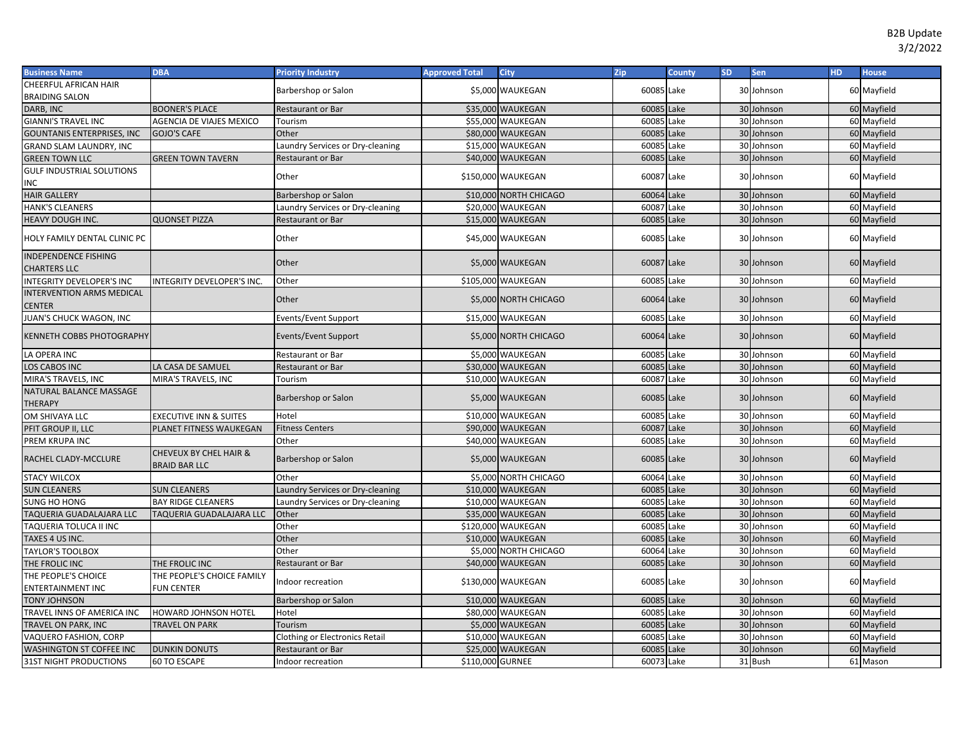| <b>Business Name</b>                      | <b>DBA</b>                                     | <b>Priority Industry</b>              | <b>Approved Total</b> | <b>City</b>            | Zip        | <b>County</b> | <b>SD</b> | Sen        | H <sub>D</sub> | <b>House</b> |
|-------------------------------------------|------------------------------------------------|---------------------------------------|-----------------------|------------------------|------------|---------------|-----------|------------|----------------|--------------|
| <b>CHEERFUL AFRICAN HAIR</b>              |                                                | Barbershop or Salon                   |                       | \$5,000 WAUKEGAN       | 60085 Lake |               |           | 30 Johnson |                | 60 Mayfield  |
| <b>BRAIDING SALON</b>                     |                                                |                                       |                       |                        |            |               |           |            |                |              |
| DARB, INC                                 | <b>BOONER'S PLACE</b>                          | <b>Restaurant or Bar</b>              |                       | \$35,000 WAUKEGAN      | 60085      | Lake          |           | 30 Johnson |                | 60 Mayfield  |
| <b>GIANNI'S TRAVEL INC</b>                | <b>AGENCIA DE VIAJES MEXICO</b>                | Tourism                               |                       | \$55,000 WAUKEGAN      | 60085      | Lake          |           | 30 Johnson |                | 60 Mayfield  |
| <b>GOUNTANIS ENTERPRISES, INC</b>         | GOJO'S CAFE                                    | Other                                 |                       | \$80,000 WAUKEGAN      | 60085      | Lake          |           | 30 Johnson |                | 60 Mayfield  |
| <b>GRAND SLAM LAUNDRY, INC</b>            |                                                | Laundry Services or Dry-cleaning      |                       | \$15,000 WAUKEGAN      | 60085      | Lake          |           | 30 Johnson |                | 60 Mayfield  |
| <b>GREEN TOWN LLC</b>                     | <b>GREEN TOWN TAVERN</b>                       | Restaurant or Bar                     |                       | \$40,000 WAUKEGAN      | 60085      | Lake          |           | 30 Johnson |                | 60 Mayfield  |
| <b>GULF INDUSTRIAL SOLUTIONS</b>          |                                                | Other                                 |                       |                        |            |               |           |            |                |              |
| INC                                       |                                                |                                       |                       | \$150,000 WAUKEGAN     | 60087      | Lake          |           | 30 Johnson |                | 60 Mayfield  |
| <b>HAIR GALLERY</b>                       |                                                | Barbershop or Salon                   |                       | \$10,000 NORTH CHICAGO | 60064 Lake |               |           | 30 Johnson |                | 60 Mayfield  |
| <b>HANK'S CLEANERS</b>                    |                                                | Laundry Services or Dry-cleaning      |                       | \$20,000 WAUKEGAN      | 60087      | Lake          |           | 30 Johnson |                | 60 Mayfield  |
| HEAVY DOUGH INC.                          | <b>QUONSET PIZZA</b>                           | Restaurant or Bar                     |                       | \$15,000 WAUKEGAN      | 60085      | Lake          |           | 30 Johnson |                | 60 Mayfield  |
| HOLY FAMILY DENTAL CLINIC PC              |                                                | Other                                 |                       | \$45,000 WAUKEGAN      | 60085 Lake |               |           | 30 Johnson |                | 60 Mayfield  |
| <b>INDEPENDENCE FISHING</b>               |                                                |                                       |                       |                        |            |               |           |            |                |              |
| <b>CHARTERS LLC</b>                       |                                                | Other                                 |                       | \$5,000 WAUKEGAN       | 60087 Lake |               |           | 30 Johnson |                | 60 Mayfield  |
| INTEGRITY DEVELOPER'S INC                 | NTEGRITY DEVELOPER'S INC.                      | Other                                 |                       | \$105,000 WAUKEGAN     | 60085      | Lake          |           | 30 Johnson |                | 60 Mayfield  |
| <b>INTERVENTION ARMS MEDICAL</b>          |                                                |                                       |                       |                        |            |               |           |            |                |              |
| CENTER                                    |                                                | Other                                 |                       | \$5,000 NORTH CHICAGO  | 60064 Lake |               |           | 30 Johnson |                | 60 Mayfield  |
| JUAN'S CHUCK WAGON, INC                   |                                                | Events/Event Support                  |                       | \$15,000 WAUKEGAN      | 60085      | Lake          |           | 30 Johnson |                | 60 Mayfield  |
| <b>KENNETH COBBS PHOTOGRAPHY</b>          |                                                | Events/Event Support                  |                       | \$5,000 NORTH CHICAGO  | 60064 Lake |               |           | 30 Johnson |                | 60 Mayfield  |
| LA OPERA INC                              |                                                | Restaurant or Bar                     |                       | \$5,000 WAUKEGAN       | 60085      | Lake          |           | 30 Johnson |                | 60 Mayfield  |
| <b>LOS CABOS INC</b>                      | LA CASA DE SAMUEL                              | <b>Restaurant or Bar</b>              |                       | \$30,000 WAUKEGAN      | 60085      | Lake          |           | 30 Johnson |                | 60 Mayfield  |
| MIRA'S TRAVELS, INC                       | MIRA'S TRAVELS, INC                            | Tourism                               |                       | \$10,000 WAUKEGAN      | 60087      | Lake          |           | 30 Johnson |                | 60 Mayfield  |
| NATURAL BALANCE MASSAGE<br><b>THERAPY</b> |                                                | Barbershop or Salon                   |                       | \$5,000 WAUKEGAN       | 60085 Lake |               |           | 30 Johnson |                | 60 Mayfield  |
| OM SHIVAYA LLC                            | <b>EXECUTIVE INN &amp; SUITES</b>              | Hotel                                 |                       | \$10,000 WAUKEGAN      | 60085      | Lake          |           | 30 Johnson |                | 60 Mayfield  |
| PFIT GROUP II, LLC                        | PLANET FITNESS WAUKEGAN                        | <b>Fitness Centers</b>                |                       | \$90,000 WAUKEGAN      | 60087      | Lake          |           | 30 Johnson |                | 60 Mayfield  |
| PREM KRUPA INC                            |                                                | Other                                 |                       | \$40,000 WAUKEGAN      | 60085      | Lake          |           | 30 Johnson |                | 60 Mayfield  |
| RACHEL CLADY-MCCLURE                      | CHEVEUX BY CHEL HAIR &<br><b>BRAID BAR LLC</b> | Barbershop or Salon                   |                       | \$5,000 WAUKEGAN       | 60085 Lake |               |           | 30 Johnson |                | 60 Mayfield  |
| <b>STACY WILCOX</b>                       |                                                | Other                                 |                       | \$5,000 NORTH CHICAGO  | 60064 Lake |               |           | 30 Johnson |                | 60 Mayfield  |
| <b>SUN CLEANERS</b>                       | <b>SUN CLEANERS</b>                            | Laundry Services or Dry-cleaning      |                       | \$10,000 WAUKEGAN      | 60085      | Lake          |           | 30 Johnson |                | 60 Mayfield  |
| <b>SUNG HO HONG</b>                       | <b>BAY RIDGE CLEANERS</b>                      | Laundry Services or Dry-cleaning      |                       | \$10,000 WAUKEGAN      | 60085      | Lake          |           | 30 Johnson |                | 60 Mayfield  |
| TAQUERIA GUADALAJARA LLC                  | TAQUERIA GUADALAJARA LLC                       | Other                                 |                       | \$35,000 WAUKEGAN      | 60085      | Lake          |           | 30 Johnson |                | 60 Mayfield  |
| TAQUERIA TOLUCA II INC                    |                                                | Other                                 |                       | \$120,000 WAUKEGAN     | 60085      | Lake          |           | 30 Johnson |                | 60 Mayfield  |
| TAXES 4 US INC.                           |                                                | Other                                 |                       | \$10,000 WAUKEGAN      | 60085      | Lake          |           | 30 Johnson |                | 60 Mayfield  |
| <b>TAYLOR'S TOOLBOX</b>                   |                                                | Other                                 |                       | \$5,000 NORTH CHICAGO  | 60064      | Lake          |           | 30 Johnson |                | 60 Mayfield  |
| THE FROLIC INC                            | THE FROLIC INC                                 | <b>Restaurant or Bar</b>              |                       | \$40,000 WAUKEGAN      | 60085      | Lake          |           | 30 Johnson |                | 60 Mayfield  |
| THE PEOPLE'S CHOICE                       | THE PEOPLE'S CHOICE FAMILY                     |                                       |                       |                        |            |               |           |            |                |              |
| ENTERTAINMENT INC                         | <b>FUN CENTER</b>                              | Indoor recreation                     |                       | \$130,000 WAUKEGAN     | 60085      | Lake          |           | 30 Johnson |                | 60 Mayfield  |
| <b>TONY JOHNSON</b>                       |                                                | Barbershop or Salon                   |                       | \$10,000 WAUKEGAN      | 60085      | Lake          |           | 30 Johnson |                | 60 Mayfield  |
| TRAVEL INNS OF AMERICA INC                | HOWARD JOHNSON HOTEL                           | Hotel                                 |                       | \$80,000 WAUKEGAN      | 60085      | Lake          |           | 30 Johnson |                | 60 Mayfield  |
| TRAVEL ON PARK, INC                       | <b>TRAVEL ON PARK</b>                          | Tourism                               |                       | \$5,000 WAUKEGAN       | 60085      | Lake          |           | 30 Johnson |                | 60 Mayfield  |
| VAQUERO FASHION, CORP                     |                                                | <b>Clothing or Electronics Retail</b> |                       | \$10,000 WAUKEGAN      | 60085      | Lake          |           | 30 Johnson |                | 60 Mayfield  |
| <b>WASHINGTON ST COFFEE INC</b>           | <b>DUNKIN DONUTS</b>                           | Restaurant or Bar                     |                       | \$25,000 WAUKEGAN      | 60085      | Lake          |           | 30 Johnson |                | 60 Mayfield  |
| <b>31ST NIGHT PRODUCTIONS</b>             | <b>60 TO ESCAPE</b>                            | Indoor recreation                     | \$110,000 GURNEE      |                        | 60073 Lake |               |           | 31 Bush    |                | 61 Mason     |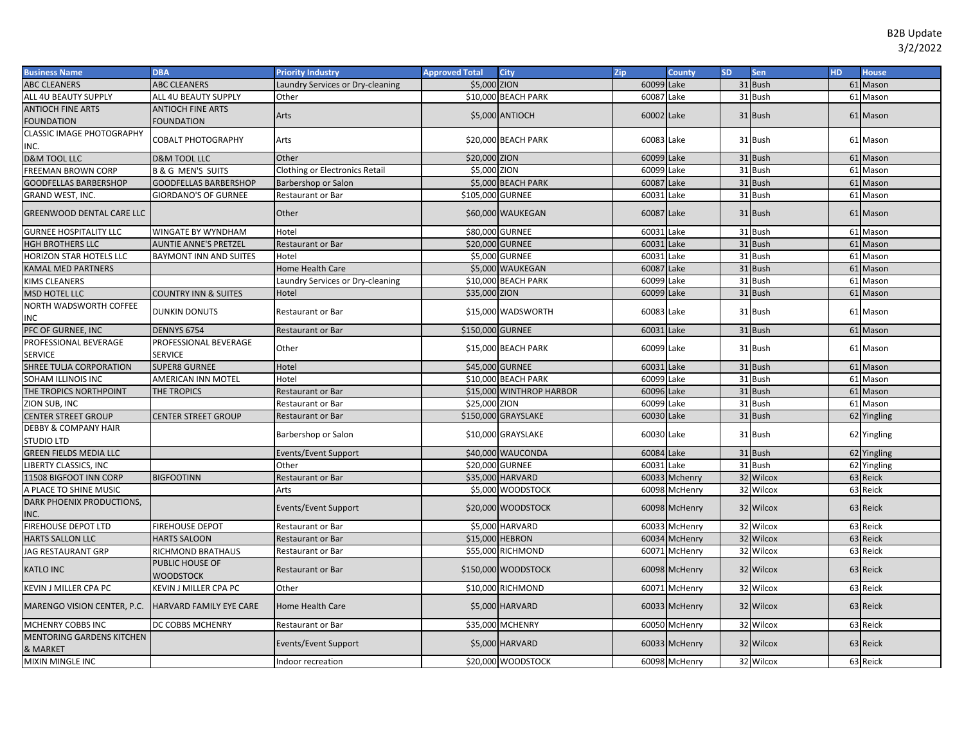| <b>Business Name</b>                                 | <b>DBA</b>                          | <b>Priority Industry</b>              | <b>Approved Total</b> | <b>City</b>              | Zip        | <b>County</b> | SD. | <b>Sen</b> | <b>HD</b> | <b>House</b> |
|------------------------------------------------------|-------------------------------------|---------------------------------------|-----------------------|--------------------------|------------|---------------|-----|------------|-----------|--------------|
| <b>ABC CLEANERS</b>                                  | <b>ABC CLEANERS</b>                 | Laundry Services or Dry-cleaning      | \$5,000 ZION          |                          | 60099 Lake |               |     | 31 Bush    |           | 61 Mason     |
| ALL 4U BEAUTY SUPPLY                                 | ALL 4U BEAUTY SUPPLY                | Other                                 |                       | \$10,000 BEACH PARK      | 60087 Lake |               |     | 31 Bush    |           | 61 Mason     |
| <b>ANTIOCH FINE ARTS</b>                             | <b>ANTIOCH FINE ARTS</b>            | Arts                                  |                       | \$5,000 ANTIOCH          | 60002 Lake |               |     | 31 Bush    |           | 61 Mason     |
| <b>FOUNDATION</b>                                    | <b>FOUNDATION</b>                   |                                       |                       |                          |            |               |     |            |           |              |
| CLASSIC IMAGE PHOTOGRAPHY                            | COBALT PHOTOGRAPHY                  | Arts                                  |                       | \$20,000 BEACH PARK      | 60083      | Lake          |     | 31 Bush    |           | 61 Mason     |
| INC.                                                 |                                     |                                       |                       |                          |            |               |     |            |           |              |
| <b>D&amp;M TOOL LLC</b>                              | <b>D&amp;M TOOL LLC</b>             | Other                                 | \$20,000 ZION         |                          | 60099 Lake |               |     | 31 Bush    |           | 61 Mason     |
| <b>FREEMAN BROWN CORP</b>                            | <b>B &amp; G MEN'S SUITS</b>        | <b>Clothing or Electronics Retail</b> | \$5,000 ZION          |                          | 60099      | Lake          |     | 31 Bush    |           | 61 Mason     |
| GOODFELLAS BARBERSHOP                                | <b>GOODFELLAS BARBERSHOP</b>        | Barbershop or Salon                   |                       | \$5,000 BEACH PARK       | 60087      | Lake          |     | 31 Bush    |           | 61 Mason     |
| GRAND WEST, INC.                                     | <b>GIORDANO'S OF GURNEE</b>         | Restaurant or Bar                     | \$105,000 GURNEE      |                          | 6003:      | Lake          |     | 31 Bush    |           | 61 Mason     |
| <b>GREENWOOD DENTAL CARE LLC</b>                     |                                     | Other                                 |                       | \$60,000 WAUKEGAN        | 60087      | Lake          |     | 31 Bush    |           | 61 Mason     |
| <b>GURNEE HOSPITALITY LLC</b>                        | <b>WINGATE BY WYNDHAM</b>           | Hotel                                 | \$80,000 GURNEE       |                          | 6003       | Lake          |     | 31 Bush    |           | 61 Mason     |
| <b>HGH BROTHERS LLC</b>                              | <b>AUNTIE ANNE'S PRETZEL</b>        | <b>Restaurant or Bar</b>              | \$20,000 GURNEE       |                          | 60031      | Lake          |     | 31 Bush    |           | 61 Mason     |
| HORIZON STAR HOTELS LLC                              | <b>BAYMONT INN AND SUITES</b>       | Hotel                                 |                       | \$5,000 GURNEE           | 6003:      | Lake          |     | 31 Bush    |           | 61 Mason     |
| KAMAL MED PARTNERS                                   |                                     | Home Health Care                      |                       | \$5,000 WAUKEGAN         | 60087      | Lake          |     | 31 Bush    |           | 61 Mason     |
| <b>KIMS CLEANERS</b>                                 |                                     | Laundry Services or Dry-cleaning      |                       | \$10,000 BEACH PARK      | 60099      | Lake          |     | 31 Bush    |           | 61 Mason     |
| <b>MSD HOTEL LLC</b>                                 | <b>COUNTRY INN &amp; SUITES</b>     | Hotel                                 | \$35,000 ZION         |                          | 60099      | Lake          |     | 31 Bush    |           | 61 Mason     |
| NORTH WADSWORTH COFFEE<br>INC                        | <b>DUNKIN DONUTS</b>                | Restaurant or Bar                     |                       | \$15,000 WADSWORTH       | 60083 Lake |               |     | 31 Bush    |           | 61 Mason     |
| PFC OF GURNEE, INC                                   | DENNYS 6754                         | Restaurant or Bar                     | \$150,000 GURNEE      |                          | 60031      | Lake          |     | 31 Bush    |           | 61 Mason     |
| PROFESSIONAL BEVERAGE                                | PROFESSIONAL BEVERAGE               |                                       |                       |                          | 60099 Lake |               |     |            |           |              |
| <b>SERVICE</b>                                       | <b>SERVICE</b>                      | Other                                 |                       | \$15,000 BEACH PARK      |            |               |     | 31 Bush    |           | 61 Mason     |
| SHREE TULJA CORPORATION                              | <b>SUPER8 GURNEE</b>                | Hotel                                 | \$45,000 GURNEE       |                          | 60031      | Lake          |     | 31 Bush    |           | 61 Mason     |
| SOHAM ILLINOIS INC                                   | AMERICAN INN MOTEL                  | Hotel                                 |                       | \$10,000 BEACH PARK      | 60099 Lake |               |     | 31 Bush    |           | 61 Mason     |
| THE TROPICS NORTHPOINT                               | THE TROPICS                         | Restaurant or Bar                     |                       | \$15,000 WINTHROP HARBOR | 60096 Lake |               |     | 31 Bush    |           | 61 Mason     |
| ZION SUB, INC                                        |                                     | Restaurant or Bar                     | \$25,000 ZION         |                          | 60099      | Lake          |     | 31 Bush    |           | 61 Mason     |
| CENTER STREET GROUP                                  | <b>CENTER STREET GROUP</b>          | Restaurant or Bar                     |                       | \$150,000 GRAYSLAKE      | 60030      | Lake          |     | 31 Bush    |           | 62 Yingling  |
| <b>DEBBY &amp; COMPANY HAIR</b><br><b>STUDIO LTD</b> |                                     | Barbershop or Salon                   |                       | \$10,000 GRAYSLAKE       | 60030 Lake |               |     | 31 Bush    |           | 62 Yingling  |
| <b>GREEN FIELDS MEDIA LLC</b>                        |                                     | Events/Event Support                  |                       | \$40,000 WAUCONDA        | 60084 Lake |               |     | 31 Bush    |           | 62 Yingling  |
| LIBERTY CLASSICS, INC                                |                                     | Other                                 | \$20,000 GURNEE       |                          | 60031      | Lake          |     | 31 Bush    |           | 62 Yingling  |
| 11508 BIGFOOT INN CORP                               | <b>BIGFOOTINN</b>                   | Restaurant or Bar                     |                       | \$35,000 HARVARD         |            | 60033 Mchenry |     | 32 Wilcox  |           | 63 Reick     |
| A PLACE TO SHINE MUSIC                               |                                     | Arts                                  |                       | \$5,000 WOODSTOCK        |            | 60098 McHenry |     | 32 Wilcox  |           | 63 Reick     |
| DARK PHOENIX PRODUCTIONS,<br>INC.                    |                                     | Events/Event Support                  |                       | \$20,000 WOODSTOCK       |            | 60098 McHenry |     | 32 Wilcox  |           | 63 Reick     |
| FIREHOUSE DEPOT LTD                                  | <b>FIREHOUSE DEPOT</b>              | Restaurant or Bar                     |                       | \$5,000 HARVARD          |            | 60033 McHenry |     | 32 Wilcox  |           | 63 Reick     |
| <b>HARTS SALLON LLC</b>                              | <b>HARTS SALOON</b>                 | <b>Restaurant or Bar</b>              | \$15,000 HEBRON       |                          |            | 60034 McHenry |     | 32 Wilcox  |           | 63 Reick     |
| JAG RESTAURANT GRP                                   | RICHMOND BRATHAUS                   | Restaurant or Bar                     |                       | \$55,000 RICHMOND        |            | 60071 McHenry |     | 32 Wilcox  |           | 63 Reick     |
| KATLO INC                                            | PUBLIC HOUSE OF<br><b>WOODSTOCK</b> | <b>Restaurant or Bar</b>              |                       | \$150,000 WOODSTOCK      |            | 60098 McHenry |     | 32 Wilcox  |           | 63 Reick     |
| KEVIN J MILLER CPA PC                                | <b>KEVIN J MILLER CPA PC</b>        | Other                                 |                       | \$10,000 RICHMOND        | 60071      | McHenry       |     | 32 Wilcox  |           | 63 Reick     |
| MARENGO VISION CENTER, P.C.                          | <b>HARVARD FAMILY EYE CARE</b>      | Home Health Care                      |                       | \$5,000 HARVARD          |            | 60033 McHenry |     | 32 Wilcox  |           | 63 Reick     |
| MCHENRY COBBS INC                                    | DC COBBS MCHENRY                    | Restaurant or Bar                     |                       | \$35,000 MCHENRY         | 6005C      | McHenry       |     | 32 Wilcox  |           | 63 Reick     |
| <b>MENTORING GARDENS KITCHEN</b><br>& MARKET         |                                     | Events/Event Support                  |                       | \$5,000 HARVARD          |            | 60033 McHenry |     | 32 Wilcox  |           | 63 Reick     |
| <b>MIXIN MINGLE INC</b>                              |                                     | Indoor recreation                     |                       | \$20,000 WOODSTOCK       |            | 60098 McHenry |     | 32 Wilcox  |           | 63 Reick     |
|                                                      |                                     |                                       |                       |                          |            |               |     |            |           |              |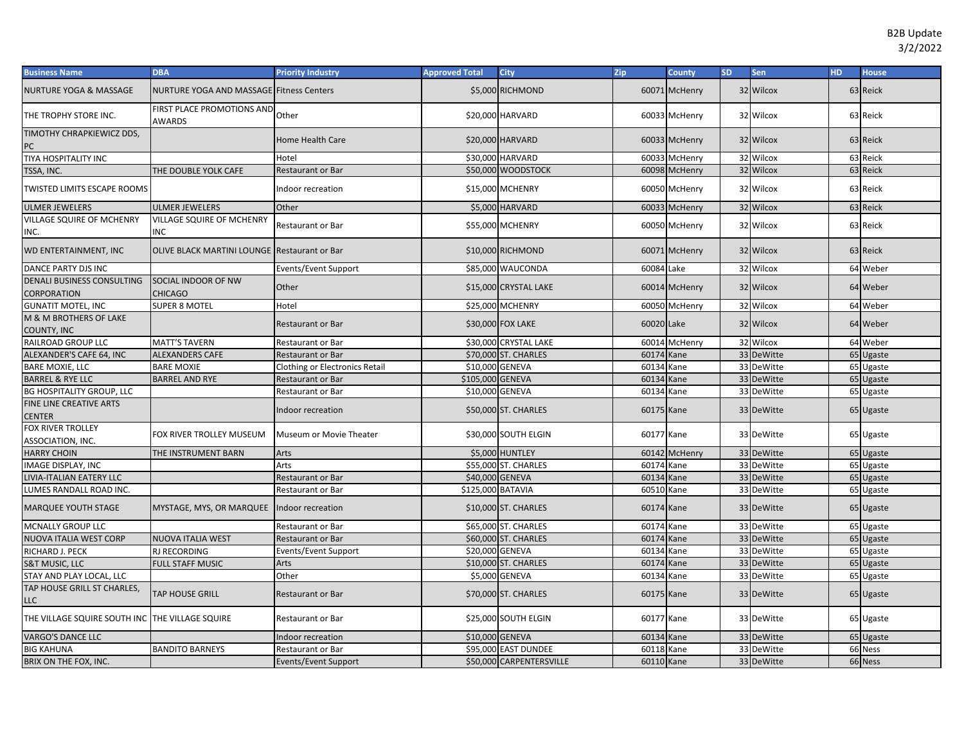| <b>Business Name</b>                            | <b>DBA</b>                                          | <b>Priority Industry</b>              | <b>Approved Total</b> | <b>City</b>              | <b>Zip</b> | <b>County</b> | <b>SD</b> | Sen        | <b>HD</b> | <b>House</b> |
|-------------------------------------------------|-----------------------------------------------------|---------------------------------------|-----------------------|--------------------------|------------|---------------|-----------|------------|-----------|--------------|
| <b>NURTURE YOGA &amp; MASSAGE</b>               | <b>NURTURE YOGA AND MASSAGE Fitness Centers</b>     |                                       |                       | \$5,000 RICHMOND         |            | 60071 McHenry |           | 32 Wilcox  |           | 63 Reick     |
| THE TROPHY STORE INC.                           | FIRST PLACE PROMOTIONS AND<br><b>AWARDS</b>         | Other                                 |                       | \$20,000 HARVARD         |            | 60033 McHenry |           | 32 Wilcox  |           | 63 Reick     |
| TIMOTHY CHRAPKIEWICZ DDS,<br>PC                 |                                                     | Home Health Care                      |                       | \$20,000 HARVARD         |            | 60033 McHenry |           | 32 Wilcox  |           | 63 Reick     |
| TIYA HOSPITALITY INC                            |                                                     | Hotel                                 |                       | \$30,000 HARVARD         |            | 60033 McHenry |           | 32 Wilcox  |           | 63 Reick     |
| TSSA, INC.                                      | THE DOUBLE YOLK CAFE                                | <b>Restaurant or Bar</b>              |                       | \$50,000 WOODSTOCK       |            | 60098 McHenry |           | 32 Wilcox  |           | 63 Reick     |
| <b>TWISTED LIMITS ESCAPE ROOMS</b>              |                                                     | Indoor recreation                     |                       | \$15,000 MCHENRY         |            | 60050 McHenry |           | 32 Wilcox  |           | 63 Reick     |
| <b>ULMER JEWELERS</b>                           | <b>ULMER JEWELERS</b>                               | Other                                 |                       | \$5,000 HARVARD          |            | 60033 McHenry |           | 32 Wilcox  |           | 63 Reick     |
| <b>VILLAGE SQUIRE OF MCHENRY</b><br>INC.        | <b>VILLAGE SQUIRE OF MCHENRY</b><br><b>INC</b>      | Restaurant or Bar                     |                       | \$55,000 MCHENRY         |            | 60050 McHenry |           | 32 Wilcox  |           | 63 Reick     |
| WD ENTERTAINMENT, INC                           | <b>OLIVE BLACK MARTINI LOUNGE Restaurant or Bar</b> |                                       |                       | \$10,000 RICHMOND        |            | 60071 McHenry |           | 32 Wilcox  |           | 63 Reick     |
| <b>DANCE PARTY DJS INC</b>                      |                                                     | Events/Event Support                  |                       | \$85,000 WAUCONDA        | 60084 Lake |               |           | 32 Wilcox  |           | 64 Weber     |
| DENALI BUSINESS CONSULTING<br>CORPORATION       | SOCIAL INDOOR OF NW<br><b>CHICAGO</b>               | Other                                 |                       | \$15,000 CRYSTAL LAKE    |            | 60014 McHenry |           | 32 Wilcox  |           | 64 Weber     |
| <b>GUNATIT MOTEL, INC</b>                       | <b>SUPER 8 MOTEL</b>                                | Hotel                                 |                       | \$25,000 MCHENRY         |            | 60050 McHenry |           | 32 Wilcox  |           | 64 Weber     |
| M & M BROTHERS OF LAKE<br>COUNTY, INC           |                                                     | Restaurant or Bar                     |                       | \$30,000 FOX LAKE        | 60020 Lake |               |           | 32 Wilcox  |           | 64 Weber     |
| RAILROAD GROUP LLC                              | MATT'S TAVERN                                       | Restaurant or Bar                     |                       | \$30,000 CRYSTAL LAKE    |            | 60014 McHenry |           | 32 Wilcox  |           | 64 Weber     |
| ALEXANDER'S CAFE 64, INC                        | <b>ALEXANDERS CAFE</b>                              | Restaurant or Bar                     |                       | \$70,000 ST. CHARLES     | 60174 Kane |               |           | 33 DeWitte |           | 65 Ugaste    |
| <b>BARE MOXIE, LLC</b>                          | <b>BARE MOXIE</b>                                   | <b>Clothing or Electronics Retail</b> | \$10,000 GENEVA       |                          | 60134 Kane |               |           | 33 DeWitte |           | 65 Ugaste    |
| <b>BARREL &amp; RYE LLC</b>                     | <b>BARREL AND RYE</b>                               | Restaurant or Bar                     | \$105,000 GENEVA      |                          | 60134 Kane |               |           | 33 DeWitte |           | 65 Ugaste    |
| <b>BG HOSPITALITY GROUP, LLC</b>                |                                                     | Restaurant or Bar                     |                       | \$10,000 GENEVA          | 60134 Kane |               |           | 33 DeWitte |           | 65 Ugaste    |
| FINE LINE CREATIVE ARTS<br><b>CENTER</b>        |                                                     | Indoor recreation                     |                       | \$50,000 ST. CHARLES     | 60175 Kane |               |           | 33 DeWitte |           | 65 Ugaste    |
| FOX RIVER TROLLEY<br>ASSOCIATION, INC.          | FOX RIVER TROLLEY MUSEUM                            | Museum or Movie Theater               |                       | \$30,000 SOUTH ELGIN     | 60177 Kane |               |           | 33 DeWitte |           | 65 Ugaste    |
| <b>HARRY CHOIN</b>                              | THE INSTRUMENT BARN                                 | Arts                                  |                       | \$5,000 HUNTLEY          |            | 60142 McHenry |           | 33 DeWitte |           | 65 Ugaste    |
| IMAGE DISPLAY, INC                              |                                                     | Arts                                  |                       | \$55,000 ST. CHARLES     | 60174 Kane |               |           | 33 DeWitte |           | 65 Ugaste    |
| LIVIA-ITALIAN EATERY LLC                        |                                                     | <b>Restaurant or Bar</b>              | \$40,000 GENEVA       |                          | 60134 Kane |               |           | 33 DeWitte |           | 65 Ugaste    |
| LUMES RANDALL ROAD INC.                         |                                                     | Restaurant or Bar                     | \$125,000 BATAVIA     |                          | 60510 Kane |               |           | 33 DeWitte |           | 65 Ugaste    |
| <b>MARQUEE YOUTH STAGE</b>                      | MYSTAGE, MYS, OR MARQUEE Indoor recreation          |                                       |                       | \$10,000 ST. CHARLES     | 60174 Kane |               |           | 33 DeWitte |           | 65 Ugaste    |
| <b>MCNALLY GROUP LLC</b>                        |                                                     | <b>Restaurant or Bar</b>              |                       | \$65,000 ST. CHARLES     | 60174 Kane |               |           | 33 DeWitte |           | 65 Ugaste    |
| NUOVA ITALIA WEST CORP                          | <b>NUOVA ITALIA WEST</b>                            | <b>Restaurant or Bar</b>              |                       | \$60,000 ST. CHARLES     | 60174      | Kane          |           | 33 DeWitte | 65        | Ugaste       |
| RICHARD J. PECK                                 | RJ RECORDING                                        | Events/Event Support                  | \$20,000 GENEVA       |                          | 60134 Kane |               |           | 33 DeWitte | 65        | Ugaste       |
| <b>S&amp;T MUSIC, LLC</b>                       | <b>FULL STAFF MUSIC</b>                             | Arts                                  |                       | \$10,000 ST. CHARLES     | 60174      | Kane          |           | 33 DeWitte | 65        | Ugaste       |
| STAY AND PLAY LOCAL, LLC                        |                                                     | Other                                 |                       | \$5,000 GENEVA           | 60134 Kane |               |           | 33 DeWitte | 65        | Ugaste       |
| TAP HOUSE GRILL ST CHARLES,<br>LLC              | TAP HOUSE GRILL                                     | Restaurant or Bar                     |                       | \$70,000 ST. CHARLES     | 60175 Kane |               |           | 33 DeWitte |           | 65 Ugaste    |
| THE VILLAGE SQUIRE SOUTH INC THE VILLAGE SQUIRE |                                                     | Restaurant or Bar                     |                       | \$25,000 SOUTH ELGIN     | 60177 Kane |               |           | 33 DeWitte |           | 65 Ugaste    |
| <b>VARGO'S DANCE LLC</b>                        |                                                     | Indoor recreation                     | \$10,000 GENEVA       |                          | 60134 Kane |               |           | 33 DeWitte |           | 65 Ugaste    |
| <b>BIG KAHUNA</b>                               | <b>BANDITO BARNEYS</b>                              | <b>Restaurant or Bar</b>              |                       | \$95,000 EAST DUNDEE     | 60118 Kane |               |           | 33 DeWitte |           | 66 Ness      |
| BRIX ON THE FOX, INC.                           |                                                     | Events/Event Support                  |                       | \$50,000 CARPENTERSVILLE | 60110 Kane |               |           | 33 DeWitte |           | 66 Ness      |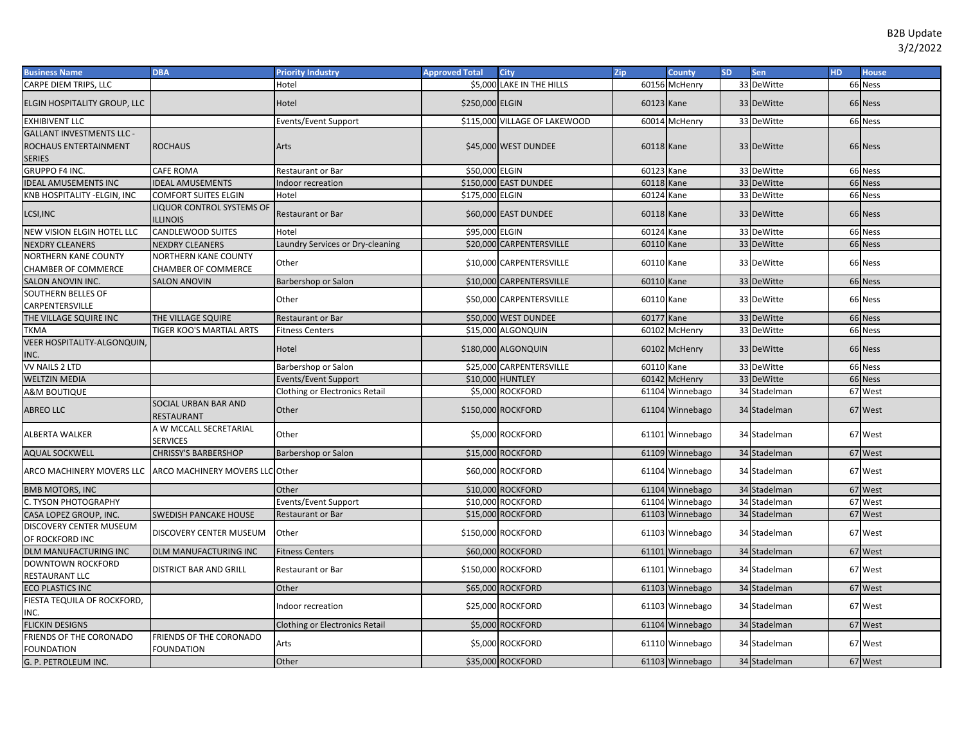| <b>Business Name</b>                                                              | <b>DBA</b>                                         | <b>Priority Industry</b>              | <b>Approved Total</b> | <b>City</b>                   | Zip        | <b>County</b>   | <b>SD</b> | <b>Sen</b>   | HD. | <b>House</b> |
|-----------------------------------------------------------------------------------|----------------------------------------------------|---------------------------------------|-----------------------|-------------------------------|------------|-----------------|-----------|--------------|-----|--------------|
| CARPE DIEM TRIPS, LLC                                                             |                                                    | Hotel                                 |                       | \$5,000 LAKE IN THE HILLS     |            | 60156 McHenry   |           | 33 DeWitte   |     | 66 Ness      |
| ELGIN HOSPITALITY GROUP, LLC                                                      |                                                    | Hotel                                 | \$250,000 ELGIN       |                               | 60123 Kane |                 |           | 33 DeWitte   |     | 66 Ness      |
| <b>EXHIBIVENT LLC</b>                                                             |                                                    | Events/Event Support                  |                       | \$115,000 VILLAGE OF LAKEWOOD |            | 60014 McHenry   |           | 33 DeWitte   |     | 66 Ness      |
| <b>GALLANT INVESTMENTS LLC -</b><br><b>ROCHAUS ENTERTAINMENT</b><br><b>SERIES</b> | <b>ROCHAUS</b>                                     | Arts                                  |                       | \$45,000 WEST DUNDEE          | 60118 Kane |                 |           | 33 DeWitte   |     | 66 Ness      |
| GRUPPO F4 INC.                                                                    | <b>CAFE ROMA</b>                                   | Restaurant or Bar                     | \$50,000 ELGIN        |                               | 60123 Kane |                 |           | 33 DeWitte   |     | 66 Ness      |
| <b>IDEAL AMUSEMENTS INC</b>                                                       | <b>IDEAL AMUSEMENTS</b>                            | Indoor recreation                     |                       | \$150,000 EAST DUNDEE         | 60118 Kane |                 |           | 33 DeWitte   |     | 66 Ness      |
| KNB HOSPITALITY - ELGIN, INC                                                      | <b>COMFORT SUITES ELGIN</b>                        | Hotel                                 | \$175,000 ELGIN       |                               | 60124 Kane |                 |           | 33 DeWitte   |     | 66 Ness      |
| LCSI, INC                                                                         | LIQUOR CONTROL SYSTEMS OF<br><b>ILLINOIS</b>       | Restaurant or Bar                     |                       | \$60,000 EAST DUNDEE          | 60118 Kane |                 |           | 33 DeWitte   |     | 66 Ness      |
| NEW VISION ELGIN HOTEL LLC                                                        | <b>CANDLEWOOD SUITES</b>                           | Hotel                                 | \$95,000 ELGIN        |                               | 60124 Kane |                 |           | 33 DeWitte   |     | 66 Ness      |
| <b>NEXDRY CLEANERS</b>                                                            | <b>NEXDRY CLEANERS</b>                             | Laundry Services or Dry-cleaning      |                       | \$20,000 CARPENTERSVILLE      | 60110 Kane |                 |           | 33 DeWitte   |     | 66 Ness      |
| <b>NORTHERN KANE COUNTY</b><br><b>CHAMBER OF COMMERCE</b>                         | <b>NORTHERN KANE COUNTY</b><br>CHAMBER OF COMMERCE | Other                                 |                       | \$10,000 CARPENTERSVILLE      | 60110 Kane |                 |           | 33 DeWitte   |     | 66 Ness      |
| <b>SALON ANOVIN INC.</b>                                                          | <b>SALON ANOVIN</b>                                | Barbershop or Salon                   |                       | \$10,000 CARPENTERSVILLE      | 60110 Kane |                 |           | 33 DeWitte   |     | 66 Ness      |
| <b>SOUTHERN BELLES OF</b><br>CARPENTERSVILLE                                      |                                                    | Other                                 |                       | \$50,000 CARPENTERSVILLE      | 60110 Kane |                 |           | 33 DeWitte   |     | 66 Ness      |
| THE VILLAGE SQUIRE INC                                                            | THE VILLAGE SQUIRE                                 | Restaurant or Bar                     |                       | \$50,000 WEST DUNDEE          | 60177 Kane |                 |           | 33 DeWitte   |     | 66 Ness      |
| <b>TKMA</b>                                                                       | TIGER KOO'S MARTIAL ARTS                           | <b>Fitness Centers</b>                |                       | \$15,000 ALGONQUIN            |            | 60102 McHenry   |           | 33 DeWitte   |     | 66 Ness      |
| <b>VEER HOSPITALITY-ALGONQUIN,</b><br>INC.                                        |                                                    | Hotel                                 |                       | \$180,000 ALGONQUIN           |            | 60102 McHenry   |           | 33 DeWitte   |     | 66 Ness      |
| VV NAILS 2 LTD                                                                    |                                                    | Barbershop or Salon                   |                       | \$25,000 CARPENTERSVILLE      | 60110 Kane |                 |           | 33 DeWitte   |     | 66 Ness      |
| <b>WELTZIN MEDIA</b>                                                              |                                                    | <b>Events/Event Support</b>           |                       | \$10,000 HUNTLEY              |            | 60142 McHenry   |           | 33 DeWitte   |     | 66 Ness      |
| A&M BOUTIQUE                                                                      |                                                    | Clothing or Electronics Retail        |                       | \$5,000 ROCKFORD              |            | 61104 Winnebago |           | 34 Stadelman |     | 67 West      |
| <b>ABREO LLC</b>                                                                  | SOCIAL URBAN BAR AND<br>RESTAURANT                 | Other                                 |                       | \$150,000 ROCKFORD            |            | 61104 Winnebago |           | 34 Stadelman | 67  | West         |
| ALBERTA WALKER                                                                    | A W MCCALL SECRETARIAL<br><b>SERVICES</b>          | Other                                 |                       | \$5,000 ROCKFORD              |            | 61101 Winnebago |           | 34 Stadelman | 67  | West         |
| <b>AQUAL SOCKWELL</b>                                                             | <b>CHRISSY'S BARBERSHOP</b>                        | Barbershop or Salon                   |                       | \$15,000 ROCKFORD             |            | 61109 Winnebago |           | 34 Stadelman |     | 67 West      |
| ARCO MACHINERY MOVERS LLC                                                         | <b>ARCO MACHINERY MOVERS LLC Other</b>             |                                       |                       | \$60,000 ROCKFORD             |            | 61104 Winnebago |           | 34 Stadelman |     | 67 West      |
| <b>BMB MOTORS, INC</b>                                                            |                                                    | Other                                 |                       | \$10,000 ROCKFORD             |            | 61104 Winnebago |           | 34 Stadelman |     | 67 West      |
| C. TYSON PHOTOGRAPHY                                                              |                                                    | Events/Event Support                  |                       | \$10,000 ROCKFORD             |            | 61104 Winnebago |           | 34 Stadelman | 67  | West         |
| CASA LOPEZ GROUP, INC.                                                            | <b>SWEDISH PANCAKE HOUSE</b>                       | Restaurant or Bar                     |                       | \$15,000 ROCKFORD             |            | 61103 Winnebago |           | 34 Stadelman | 67  | West         |
| DISCOVERY CENTER MUSEUM<br>OF ROCKFORD INC                                        | DISCOVERY CENTER MUSEUM                            | Other                                 |                       | \$150,000 ROCKFORD            |            | 61103 Winnebago |           | 34 Stadelman |     | 67 West      |
| DLM MANUFACTURING INC                                                             | <b>DLM MANUFACTURING INC</b>                       | <b>Fitness Centers</b>                |                       | \$60,000 ROCKFORD             |            | 61101 Winnebago |           | 34 Stadelman |     | 67 West      |
| <b>DOWNTOWN ROCKFORD</b><br>RESTAURANT LLC                                        | <b>DISTRICT BAR AND GRILL</b>                      | Restaurant or Bar                     |                       | \$150,000 ROCKFORD            |            | 61101 Winnebago |           | 34 Stadelman |     | 67 West      |
| <b>ECO PLASTICS INC</b>                                                           |                                                    | Other                                 |                       | \$65,000 ROCKFORD             |            | 61103 Winnebago |           | 34 Stadelman |     | 67 West      |
| FIESTA TEQUILA OF ROCKFORD,<br>INC.                                               |                                                    | Indoor recreation                     |                       | \$25,000 ROCKFORD             |            | 61103 Winnebago |           | 34 Stadelman |     | 67 West      |
| <b>FLICKIN DESIGNS</b>                                                            |                                                    | <b>Clothing or Electronics Retail</b> |                       | \$5,000 ROCKFORD              |            | 61104 Winnebago |           | 34 Stadelman |     | 67 West      |
| FRIENDS OF THE CORONADO<br><b>FOUNDATION</b>                                      | FRIENDS OF THE CORONADO<br>FOUNDATION              | Arts                                  |                       | \$5,000 ROCKFORD              |            | 61110 Winnebago |           | 34 Stadelman |     | 67 West      |
| G. P. PETROLEUM INC.                                                              |                                                    | Other                                 |                       | \$35,000 ROCKFORD             |            | 61103 Winnebago |           | 34 Stadelman |     | 67 West      |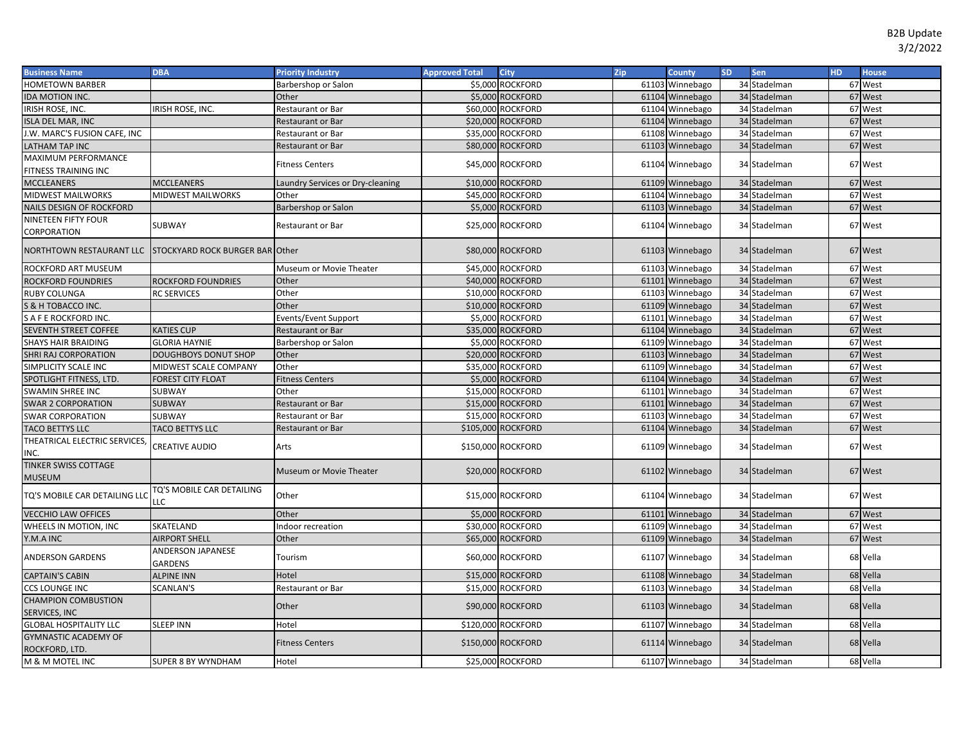| <b>Business Name</b>                                     | <b>DBA</b>                       | <b>Priority Industry</b>         | <b>Approved Total</b> | <b>City</b>        | Zip | County          | <b>SD</b> | Sen          | <b>HD</b> | <b>House</b> |
|----------------------------------------------------------|----------------------------------|----------------------------------|-----------------------|--------------------|-----|-----------------|-----------|--------------|-----------|--------------|
| <b>HOMETOWN BARBER</b>                                   |                                  | Barbershop or Salon              |                       | \$5,000 ROCKFORD   |     | 61103 Winnebago |           | 34 Stadelman |           | 67 West      |
| IDA MOTION INC.                                          |                                  | Other                            |                       | \$5,000 ROCKFORD   |     | 61104 Winnebago |           | 34 Stadelman |           | 67 West      |
| IRISH ROSE, INC.                                         | IRISH ROSE, INC.                 | Restaurant or Bar                |                       | \$60,000 ROCKFORD  |     | 61104 Winnebago |           | 34 Stadelman |           | 67 West      |
| <b>ISLA DEL MAR, INC</b>                                 |                                  | Restaurant or Bar                |                       | \$20,000 ROCKFORD  |     | 61104 Winnebago |           | 34 Stadelman |           | 67 West      |
| J.W. MARC'S FUSION CAFE, INC                             |                                  | Restaurant or Bar                |                       | \$35,000 ROCKFORD  |     | 61108 Winnebago |           | 34 Stadelman |           | 67 West      |
| LATHAM TAP INC                                           |                                  | Restaurant or Bar                |                       | \$80,000 ROCKFORD  |     | 61103 Winnebago |           | 34 Stadelman |           | 67 West      |
| MAXIMUM PERFORMANCE                                      |                                  | <b>Fitness Centers</b>           |                       | \$45,000 ROCKFORD  |     | 61104 Winnebago |           | 34 Stadelman |           | 67 West      |
| FITNESS TRAINING INC                                     |                                  |                                  |                       |                    |     |                 |           |              |           |              |
| <b>MCCLEANERS</b>                                        | <b>MCCLEANERS</b>                | Laundry Services or Dry-cleaning |                       | \$10,000 ROCKFORD  |     | 61109 Winnebago |           | 34 Stadelman |           | 67 West      |
| <b>MIDWEST MAILWORKS</b>                                 | <b>MIDWEST MAILWORKS</b>         | Other                            |                       | \$45,000 ROCKFORD  |     | 61104 Winnebago |           | 34 Stadelman |           | 67 West      |
| NAILS DESIGN OF ROCKFORD                                 |                                  | Barbershop or Salon              |                       | \$5,000 ROCKFORD   |     | 61103 Winnebago |           | 34 Stadelman |           | 67 West      |
| NINETEEN FIFTY FOUR<br>CORPORATION                       | SUBWAY                           | Restaurant or Bar                |                       | \$25,000 ROCKFORD  |     | 61104 Winnebago |           | 34 Stadelman |           | 67 West      |
| NORTHTOWN RESTAURANT LLC STOCKYARD ROCK BURGER BAR Other |                                  |                                  |                       | \$80,000 ROCKFORD  |     | 61103 Winnebago |           | 34 Stadelman |           | 67 West      |
| <b>ROCKFORD ART MUSEUM</b>                               |                                  | Museum or Movie Theater          |                       | \$45,000 ROCKFORD  |     | 61103 Winnebago |           | 34 Stadelman |           | 67 West      |
| <b>ROCKFORD FOUNDRIES</b>                                | <b>ROCKFORD FOUNDRIES</b>        | Other                            |                       | \$40,000 ROCKFORD  |     | 61101 Winnebago |           | 34 Stadelman |           | 67 West      |
| <b>RUBY COLUNGA</b>                                      | <b>RC SERVICES</b>               | Other                            |                       | \$10,000 ROCKFORD  |     | 61103 Winnebago |           | 34 Stadelman |           | 67 West      |
| S & H TOBACCO INC.                                       |                                  | Other                            |                       | \$10,000 ROCKFORD  |     | 61109 Winnebago |           | 34 Stadelman |           | 67 West      |
| S A F E ROCKFORD INC.                                    |                                  | Events/Event Support             |                       | \$5,000 ROCKFORD   |     | 61101 Winnebago |           | 34 Stadelman |           | 67 West      |
| <b>SEVENTH STREET COFFEE</b>                             | <b>KATIES CUP</b>                | Restaurant or Bar                |                       | \$35,000 ROCKFORD  |     | 61104 Winnebago |           | 34 Stadelman | 67        | West         |
| SHAYS HAIR BRAIDING                                      | <b>GLORIA HAYNIE</b>             | Barbershop or Salon              |                       | \$5,000 ROCKFORD   |     | 61109 Winnebago |           | 34 Stadelman |           | 67 West      |
| SHRI RAJ CORPORATION                                     | DOUGHBOYS DONUT SHOP             | Other                            |                       | \$20,000 ROCKFORD  |     | 61103 Winnebago |           | 34 Stadelman |           | 67 West      |
| SIMPLICITY SCALE INC                                     | MIDWEST SCALE COMPANY            | Other                            |                       | \$35,000 ROCKFORD  |     | 61109 Winnebago |           | 34 Stadelman |           | 67 West      |
| SPOTLIGHT FITNESS, LTD.                                  | <b>FOREST CITY FLOAT</b>         | <b>Fitness Centers</b>           |                       | \$5,000 ROCKFORD   |     | 61104 Winnebago |           | 34 Stadelman |           | 67 West      |
| SWAMIN SHREE INC                                         | SUBWAY                           | Other                            |                       | \$15,000 ROCKFORD  |     | 61101 Winnebago |           | 34 Stadelman |           | 67 West      |
| <b>SWAR 2 CORPORATION</b>                                | <b>SUBWAY</b>                    | Restaurant or Bar                |                       | \$15,000 ROCKFORD  |     | 61101 Winnebago |           | 34 Stadelman |           | 67 West      |
| <b>SWAR CORPORATION</b>                                  | SUBWAY                           | Restaurant or Bar                |                       | \$15,000 ROCKFORD  |     | 61103 Winnebago |           | 34 Stadelman |           | 67 West      |
| TACO BETTYS LLC                                          | TACO BETTYS LLC                  | Restaurant or Bar                |                       | \$105,000 ROCKFORD |     | 61104 Winnebago |           | 34 Stadelman |           | 67 West      |
| THEATRICAL ELECTRIC SERVICES,<br>INC.                    | CREATIVE AUDIO                   | Arts                             |                       | \$150,000 ROCKFORD |     | 61109 Winnebago |           | 34 Stadelman |           | 67 West      |
| <b>TINKER SWISS COTTAGE</b><br>MUSEUM                    |                                  | Museum or Movie Theater          |                       | \$20,000 ROCKFORD  |     | 61102 Winnebago |           | 34 Stadelman |           | 67 West      |
| TQ'S MOBILE CAR DETAILING LLC                            | TQ'S MOBILE CAR DETAILING<br>LLC | Other                            |                       | \$15,000 ROCKFORD  |     | 61104 Winnebago |           | 34 Stadelman |           | 67 West      |
| <b>VECCHIO LAW OFFICES</b>                               |                                  | Other                            |                       | \$5,000 ROCKFORD   |     | 61101 Winnebago |           | 34 Stadelman |           | 67 West      |
| WHEELS IN MOTION, INC                                    | SKATELAND                        | Indoor recreation                |                       | \$30,000 ROCKFORD  |     | 61109 Winnebago |           | 34 Stadelman |           | 67 West      |
| Y.M.A INC                                                | <b>AIRPORT SHELL</b>             | Other                            |                       | \$65,000 ROCKFORD  |     | 61109 Winnebago |           | 34 Stadelman |           | 67 West      |
| <b>ANDERSON GARDENS</b>                                  | ANDERSON JAPANESE<br>GARDENS     | Tourism                          |                       | \$60,000 ROCKFORD  |     | 61107 Winnebago |           | 34 Stadelman |           | 68 Vella     |
| <b>CAPTAIN'S CABIN</b>                                   | <b>ALPINE INN</b>                | Hotel                            |                       | \$15,000 ROCKFORD  |     | 61108 Winnebago |           | 34 Stadelman |           | 68 Vella     |
| <b>CCS LOUNGE INC</b>                                    | <b>SCANLAN'S</b>                 | Restaurant or Bar                |                       | \$15,000 ROCKFORD  |     | 61103 Winnebago |           | 34 Stadelman |           | 68 Vella     |
| <b>CHAMPION COMBUSTION</b>                               |                                  | Other                            |                       | \$90,000 ROCKFORD  |     | 61103 Winnebago |           | 34 Stadelman |           | 68 Vella     |
| SERVICES, INC                                            |                                  |                                  |                       |                    |     |                 |           |              |           |              |
| <b>GLOBAL HOSPITALITY LLC</b>                            | <b>SLEEP INN</b>                 | Hotel                            |                       | \$120,000 ROCKFORD |     | 61107 Winnebago |           | 34 Stadelman |           | 68 Vella     |
| <b>GYMNASTIC ACADEMY OF</b><br>ROCKFORD, LTD.            |                                  | <b>Fitness Centers</b>           |                       | \$150,000 ROCKFORD |     | 61114 Winnebago |           | 34 Stadelman |           | 68 Vella     |
| M & M MOTEL INC                                          | SUPER 8 BY WYNDHAM               | Hotel                            |                       | \$25,000 ROCKFORD  |     | 61107 Winnebago |           | 34 Stadelman |           | 68 Vella     |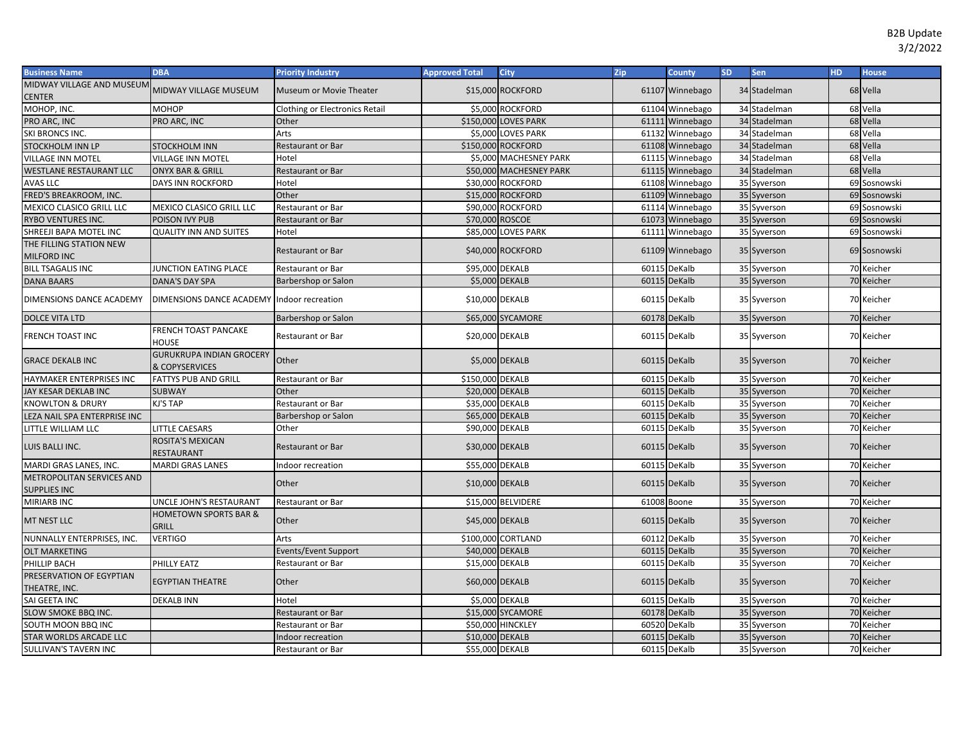| <b>Business Name</b>                             | <b>DBA</b>                                        | <b>Priority Industry</b>              | <b>Approved Total</b> | <b>City</b>             | Zip          | <b>County</b>   | SD. | Sen          | <b>HD</b> | <b>House</b> |
|--------------------------------------------------|---------------------------------------------------|---------------------------------------|-----------------------|-------------------------|--------------|-----------------|-----|--------------|-----------|--------------|
| MIDWAY VILLAGE AND MUSEUM                        | MIDWAY VILLAGE MUSEUM                             | Museum or Movie Theater               |                       | \$15,000 ROCKFORD       |              | 61107 Winnebago |     | 34 Stadelman |           | 68 Vella     |
| CENTER                                           |                                                   |                                       |                       |                         |              |                 |     |              |           |              |
| MOHOP, INC.                                      | <b>MOHOP</b>                                      | <b>Clothing or Electronics Retail</b> |                       | \$5,000 ROCKFORD        |              | 61104 Winnebago |     | 34 Stadelman |           | 68 Vella     |
| PRO ARC, INC                                     | PRO ARC, INC                                      | Other                                 |                       | \$150,000 LOVES PARK    |              | 61111 Winnebago |     | 34 Stadelman |           | 68 Vella     |
| SKI BRONCS INC.                                  |                                                   | Arts                                  |                       | \$5,000 LOVES PARK      |              | 61132 Winnebago |     | 34 Stadelman |           | 68 Vella     |
| <b>STOCKHOLM INN LP</b>                          | <b>STOCKHOLM INN</b>                              | Restaurant or Bar                     |                       | \$150,000 ROCKFORD      |              | 61108 Winnebago |     | 34 Stadelman |           | 68 Vella     |
| <b>VILLAGE INN MOTEL</b>                         | <b>VILLAGE INN MOTEL</b>                          | Hotel                                 |                       | \$5,000 MACHESNEY PARK  |              | 61115 Winnebago |     | 34 Stadelman |           | 68 Vella     |
| WESTLANE RESTAURANT LLC                          | <b>ONYX BAR &amp; GRILL</b>                       | Restaurant or Bar                     |                       | \$50,000 MACHESNEY PARK |              | 61115 Winnebago |     | 34 Stadelman |           | 68 Vella     |
| <b>AVAS LLC</b>                                  | <b>DAYS INN ROCKFORD</b>                          | Hotel                                 |                       | \$30,000 ROCKFORD       |              | 61108 Winnebago |     | 35 Syverson  |           | 69 Sosnowski |
| FRED'S BREAKROOM, INC.                           |                                                   | Other                                 |                       | \$15,000 ROCKFORD       |              | 61109 Winnebago |     | 35 Syverson  |           | 69 Sosnowski |
| MEXICO CLASICO GRILL LLC                         | MEXICO CLASICO GRILL LLC                          | Restaurant or Bar                     |                       | \$90,000 ROCKFORD       |              | 61114 Winnebago |     | 35 Syverson  |           | 69 Sosnowski |
| RYBO VENTURES INC.                               | POISON IVY PUB                                    | Restaurant or Bar                     | \$70,000 ROSCOE       |                         |              | 61073 Winnebago |     | 35 Syverson  |           | 69 Sosnowski |
| SHREEJI BAPA MOTEL INC                           | <b>QUALITY INN AND SUITES</b>                     | Hotel                                 |                       | \$85,000 LOVES PARK     |              | 61111 Winnebago |     | 35 Syverson  |           | 69 Sosnowski |
| THE FILLING STATION NEW                          |                                                   | Restaurant or Bar                     |                       | \$40,000 ROCKFORD       |              | 61109 Winnebago |     | 35 Syverson  |           | 69 Sosnowski |
| <b>MILFORD INC</b>                               |                                                   |                                       |                       |                         |              |                 |     |              |           |              |
| <b>BILL TSAGALIS INC</b>                         | JUNCTION EATING PLACE                             | Restaurant or Bar                     | \$95,000 DEKALB       |                         | 60115 DeKalb |                 |     | 35 Syverson  |           | 70 Keicher   |
| <b>DANA BAARS</b>                                | <b>DANA'S DAY SPA</b>                             | Barbershop or Salon                   | \$5,000 DEKALB        |                         |              | 60115 DeKalb    |     | 35 Syverson  |           | 70 Keicher   |
| DIMENSIONS DANCE ACADEMY                         | DIMENSIONS DANCE ACADEMY                          | Indoor recreation                     | \$10,000 DEKALB       |                         |              | 60115 DeKalb    |     | 35 Syverson  |           | 70 Keicher   |
| DOLCE VITA LTD                                   |                                                   | Barbershop or Salon                   |                       | \$65,000 SYCAMORE       |              | 60178 DeKalb    |     | 35 Syverson  |           | 70 Keicher   |
| FRENCH TOAST INC                                 | <b>FRENCH TOAST PANCAKE</b><br>HOUSE              | Restaurant or Bar                     | \$20,000 DEKALB       |                         |              | 60115 DeKalb    |     | 35 Syverson  |           | 70 Keicher   |
| <b>GRACE DEKALB INC</b>                          | <b>GURUKRUPA INDIAN GROCERY</b><br>& COPYSERVICES | Other                                 |                       | \$5,000 DEKALB          |              | 60115 DeKalb    |     | 35 Syverson  |           | 70 Keicher   |
| HAYMAKER ENTERPRISES INC                         | <b>FATTYS PUB AND GRILL</b>                       | Restaurant or Bar                     | \$150,000 DEKALB      |                         | 60115        | DeKalb          |     | 35 Syverson  |           | 70 Keicher   |
| JAY KESAR DEKLAB INC                             | <b>SUBWAY</b>                                     | Other                                 | \$20,000 DEKALB       |                         |              | 60115 DeKalb    |     | 35 Syverson  |           | 70 Keicher   |
| <b>KNOWLTON &amp; DRURY</b>                      | KJ'S TAP                                          | Restaurant or Bar                     | \$35,000 DEKALB       |                         |              | 60115 DeKalb    |     | 35 Syverson  |           | 70 Keicher   |
| LEZA NAIL SPA ENTERPRISE INC                     |                                                   | Barbershop or Salon                   | \$65,000 DEKALB       |                         | 60115        | <b>DeKalb</b>   |     | 35 Syverson  |           | 70 Keicher   |
| LITTLE WILLIAM LLC                               | <b>LITTLE CAESARS</b>                             | Other                                 | \$90,000 DEKALB       |                         | 60115        | DeKalb          |     | 35 Syverson  |           | 70 Keicher   |
| LUIS BALLI INC.                                  | ROSITA'S MEXICAN<br>RESTAURANT                    | Restaurant or Bar                     | \$30,000 DEKALB       |                         |              | 60115 DeKalb    |     | 35 Syverson  |           | 70 Keicher   |
| MARDI GRAS LANES, INC.                           | <b>MARDI GRAS LANES</b>                           | ndoor recreation                      | \$55,000 DEKALB       |                         |              | 60115 DeKalb    |     | 35 Syverson  |           | 70 Keicher   |
| METROPOLITAN SERVICES AND<br><b>SUPPLIES INC</b> |                                                   | Other                                 | \$10,000 DEKALB       |                         |              | 60115 DeKalb    |     | 35 Syverson  |           | 70 Keicher   |
| MIRIARB INC                                      | UNCLE JOHN'S RESTAURANT                           | Restaurant or Bar                     |                       | \$15,000 BELVIDERE      | 61008 Boone  |                 |     | 35 Syverson  |           | 70 Keicher   |
| MT NEST LLC                                      | <b>HOMETOWN SPORTS BAR &amp;</b><br><b>GRILL</b>  | Other                                 | \$45,000 DEKALB       |                         |              | 60115 DeKalb    |     | 35 Syverson  |           | 70 Keicher   |
| NUNNALLY ENTERPRISES, INC.                       | <b>VERTIGO</b>                                    | Arts                                  |                       | \$100,000 CORTLAND      | 60112 DeKalb |                 |     | 35 Syverson  |           | 70 Keicher   |
| <b>OLT MARKETING</b>                             |                                                   | <b>Events/Event Support</b>           | \$40,000 DEKALB       |                         |              | 60115 DeKalb    |     | 35 Syverson  |           | 70 Keicher   |
| PHILLIP BACH                                     | PHILLY EATZ                                       | Restaurant or Bar                     | \$15,000 DEKALB       |                         | 60115        | DeKalb          |     | 35 Syverson  |           | 70 Keicher   |
| PRESERVATION OF EGYPTIAN<br>THEATRE, INC.        | <b>EGYPTIAN THEATRE</b>                           | Other                                 | \$60,000 DEKALB       |                         |              | 60115 DeKalb    |     | 35 Syverson  |           | 70 Keicher   |
| SAI GEETA INC                                    | <b>DEKALB INN</b>                                 | Hotel                                 |                       | \$5,000 DEKALB          | 60115        | DeKalb          |     | 35 Syverson  |           | 70 Keicher   |
| SLOW SMOKE BBQ INC.                              |                                                   | Restaurant or Bar                     |                       | \$15,000 SYCAMORE       |              | 60178 DeKalb    |     | 35 Syverson  |           | 70 Keicher   |
| SOUTH MOON BBQ INC                               |                                                   | Restaurant or Bar                     |                       | \$50,000 HINCKLEY       | 60520        | DeKalb          |     | 35 Syverson  |           | 70 Keicher   |
| STAR WORLDS ARCADE LLC                           |                                                   | Indoor recreation                     | \$10,000 DEKALB       |                         |              | 60115 DeKalb    |     | 35 Syverson  |           | 70 Keicher   |
| SULLIVAN'S TAVERN INC                            |                                                   | Restaurant or Bar                     | \$55,000 DEKALB       |                         |              | 60115 DeKalb    |     | 35 Syverson  |           | 70 Keicher   |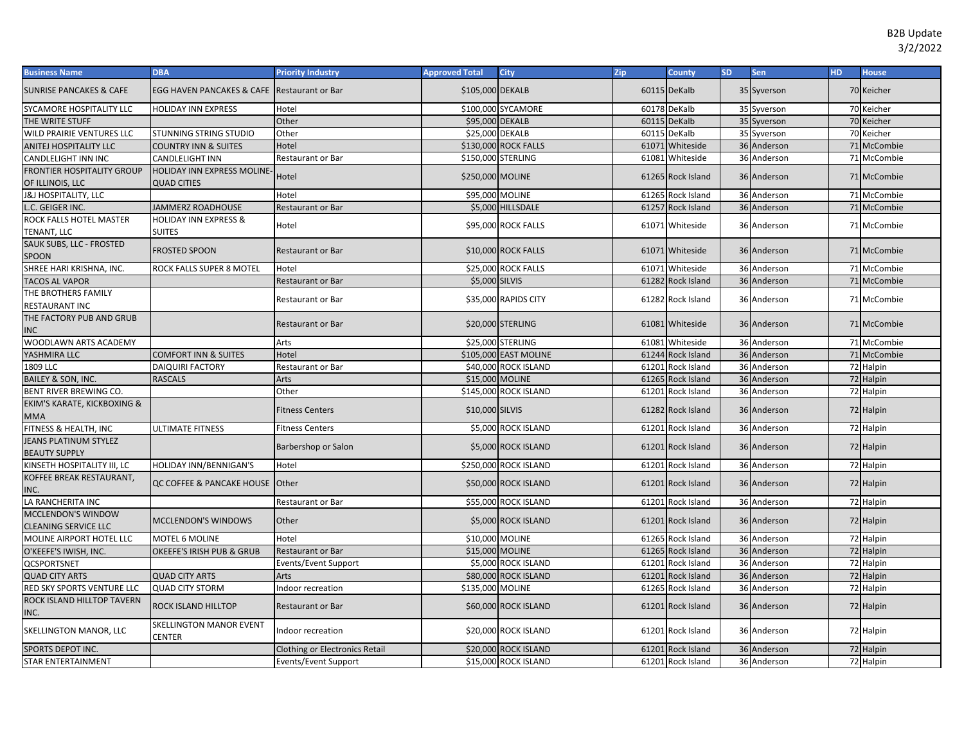| <b>Business Name</b>                                 | <b>DBA</b>                                             | <b>Priority Industry</b>              | <b>Approved Total</b> | <b>City</b>           | Zip | <b>County</b>     | <b>SD</b> | Sen         | HD. | <b>House</b> |
|------------------------------------------------------|--------------------------------------------------------|---------------------------------------|-----------------------|-----------------------|-----|-------------------|-----------|-------------|-----|--------------|
| <b>SUNRISE PANCAKES &amp; CAFE</b>                   | <b>EGG HAVEN PANCAKES &amp; CAFE Restaurant or Bar</b> |                                       | \$105,000 DEKALB      |                       |     | 60115 DeKalb      |           | 35 Syverson |     | 70 Keicher   |
| SYCAMORE HOSPITALITY LLC                             | <b>HOLIDAY INN EXPRESS</b>                             | Hotel                                 |                       | \$100,000 SYCAMORE    |     | 60178 DeKalb      |           | 35 Syverson |     | 70 Keicher   |
| THE WRITE STUFF                                      |                                                        | Other                                 | \$95,000 DEKALB       |                       |     | 60115 DeKalb      |           | 35 Syverson |     | 70 Keicher   |
| WILD PRAIRIE VENTURES LLC                            | STUNNING STRING STUDIO                                 | Other                                 | \$25,000 DEKALB       |                       |     | 60115 DeKalb      |           | 35 Syverson |     | 70 Keicher   |
| ANITEJ HOSPITALITY LLC                               | <b>COUNTRY INN &amp; SUITES</b>                        | Hotel                                 |                       | \$130,000 ROCK FALLS  |     | 61071 Whiteside   |           | 36 Anderson |     | 71 McCombie  |
| CANDLELIGHT INN INC                                  | <b>CANDLELIGHT INN</b>                                 | Restaurant or Bar                     | \$150,000 STERLING    |                       |     | 61081 Whiteside   |           | 36 Anderson |     | 71 McCombie  |
| FRONTIER HOSPITALITY GROUP<br>OF ILLINOIS, LLC       | HOLIDAY INN EXPRESS MOLINE-<br><b>QUAD CITIES</b>      | Hotel                                 | \$250,000 MOLINE      |                       |     | 61265 Rock Island |           | 36 Anderson |     | 71 McCombie  |
| J&J HOSPITALITY, LLC                                 |                                                        | Hotel                                 | \$95,000 MOLINE       |                       |     | 61265 Rock Island |           | 36 Anderson |     | 71 McCombie  |
| C. GEIGER INC.                                       | <b>JAMMERZ ROADHOUSE</b>                               | <b>Restaurant or Bar</b>              |                       | \$5,000 HILLSDALE     |     | 61257 Rock Island |           | 36 Anderson |     | 71 McCombie  |
| ROCK FALLS HOTEL MASTER<br>TENANT, LLC               | <b>HOLIDAY INN EXPRESS &amp;</b><br><b>SUITES</b>      | Hotel                                 |                       | \$95,000 ROCK FALLS   |     | 61071 Whiteside   |           | 36 Anderson |     | 71 McCombie  |
| SAUK SUBS, LLC - FROSTED<br>SPOON                    | <b>FROSTED SPOON</b>                                   | <b>Restaurant or Bar</b>              |                       | \$10,000 ROCK FALLS   |     | 61071 Whiteside   |           | 36 Anderson |     | 71 McCombie  |
| SHREE HARI KRISHNA, INC.                             | ROCK FALLS SUPER 8 MOTEL                               | Hotel                                 |                       | \$25,000 ROCK FALLS   |     | 61071 Whiteside   |           | 36 Anderson |     | 71 McCombie  |
| <b>TACOS AL VAPOR</b>                                |                                                        | <b>Restaurant or Bar</b>              | \$5,000 SILVIS        |                       |     | 61282 Rock Island |           | 36 Anderson |     | 71 McCombie  |
| THE BROTHERS FAMILY<br>RESTAURANT INC                |                                                        | Restaurant or Bar                     |                       | \$35,000 RAPIDS CITY  |     | 61282 Rock Island |           | 36 Anderson |     | 71 McCombie  |
| THE FACTORY PUB AND GRUB<br>INC                      |                                                        | Restaurant or Bar                     |                       | \$20,000 STERLING     |     | 61081 Whiteside   |           | 36 Anderson |     | 71 McCombie  |
| WOODLAWN ARTS ACADEMY                                |                                                        | Arts                                  |                       | \$25,000 STERLING     |     | 61081 Whiteside   |           | 36 Anderson |     | 71 McCombie  |
| YASHMIRA LLC                                         | <b>COMFORT INN &amp; SUITES</b>                        | Hotel                                 |                       | \$105,000 EAST MOLINE |     | 61244 Rock Island |           | 36 Anderson |     | 71 McCombie  |
| 1809 LLC                                             | <b>DAIQUIRI FACTORY</b>                                | Restaurant or Bar                     |                       | \$40,000 ROCK ISLAND  |     | 61201 Rock Island |           | 36 Anderson |     | 72 Halpin    |
| <b>BAILEY &amp; SON, INC.</b>                        | <b>RASCALS</b>                                         | <b>Arts</b>                           | \$15,000 MOLINE       |                       |     | 61265 Rock Island |           | 36 Anderson |     | 72 Halpin    |
| BENT RIVER BREWING CO.                               |                                                        | Other                                 |                       | \$145,000 ROCK ISLAND |     | 61201 Rock Island |           | 36 Anderson |     | 72 Halpin    |
| EKIM'S KARATE, KICKBOXING &<br>MMA                   |                                                        | <b>Fitness Centers</b>                | \$10,000 SILVIS       |                       |     | 61282 Rock Island |           | 36 Anderson |     | 72 Halpin    |
| FITNESS & HEALTH, INC                                | <b>ULTIMATE FITNESS</b>                                | Fitness Centers                       |                       | \$5,000 ROCK ISLAND   |     | 61201 Rock Island |           | 36 Anderson |     | 72 Halpin    |
| <b>JEANS PLATINUM STYLEZ</b><br><b>BEAUTY SUPPLY</b> |                                                        | Barbershop or Salon                   |                       | \$5,000 ROCK ISLAND   |     | 61201 Rock Island |           | 36 Anderson |     | 72 Halpin    |
| KINSETH HOSPITALITY III, LC                          | <b>HOLIDAY INN/BENNIGAN'S</b>                          | Hotel                                 |                       | \$250,000 ROCK ISLAND |     | 61201 Rock Island |           | 36 Anderson |     | 72 Halpin    |
| KOFFEE BREAK RESTAURANT,<br>INC.                     | QC COFFEE & PANCAKE HOUSE                              | Other                                 |                       | \$50,000 ROCK ISLAND  |     | 61201 Rock Island |           | 36 Anderson |     | 72 Halpin    |
| LA RANCHERITA INC                                    |                                                        | Restaurant or Bar                     |                       | \$55,000 ROCK ISLAND  |     | 61201 Rock Island |           | 36 Anderson |     | 72 Halpin    |
| MCCLENDON'S WINDOW<br><b>CLEANING SERVICE LLC</b>    | MCCLENDON'S WINDOWS                                    | Other                                 |                       | \$5,000 ROCK ISLAND   |     | 61201 Rock Island |           | 36 Anderson |     | 72 Halpin    |
| MOLINE AIRPORT HOTEL LLC                             | <b>MOTEL 6 MOLINE</b>                                  | Hotel                                 | \$10,000 MOLINE       |                       |     | 61265 Rock Island |           | 36 Anderson |     | 72 Halpin    |
| O'KEEFE'S IWISH, INC.                                | OKEEFE'S IRISH PUB & GRUB                              | Restaurant or Bar                     | \$15,000 MOLINE       |                       |     | 61265 Rock Island |           | 36 Anderson |     | 72 Halpin    |
| <b>QCSPORTSNET</b>                                   |                                                        | Events/Event Support                  |                       | \$5,000 ROCK ISLAND   |     | 61201 Rock Island |           | 36 Anderson |     | 72 Halpin    |
| <b>QUAD CITY ARTS</b>                                | <b>QUAD CITY ARTS</b>                                  | Arts                                  |                       | \$80,000 ROCK ISLAND  |     | 61201 Rock Island |           | 36 Anderson |     | 72 Halpin    |
| RED SKY SPORTS VENTURE LLC                           | <b>QUAD CITY STORM</b>                                 | Indoor recreation                     | \$135,000 MOLINE      |                       |     | 61265 Rock Island |           | 36 Anderson |     | 72 Halpin    |
| ROCK ISLAND HILLTOP TAVERN<br>INC.                   | ROCK ISLAND HILLTOP                                    | Restaurant or Bar                     |                       | \$60,000 ROCK ISLAND  |     | 61201 Rock Island |           | 36 Anderson |     | 72 Halpin    |
| SKELLINGTON MANOR, LLC                               | <b>SKELLINGTON MANOR EVENT</b><br><b>CENTER</b>        | Indoor recreation                     |                       | \$20,000 ROCK ISLAND  |     | 61201 Rock Island |           | 36 Anderson |     | 72 Halpin    |
| <b>SPORTS DEPOT INC.</b>                             |                                                        | <b>Clothing or Electronics Retail</b> |                       | \$20,000 ROCK ISLAND  |     | 61201 Rock Island |           | 36 Anderson |     | 72 Halpin    |
| <b>STAR ENTERTAINMENT</b>                            |                                                        | Events/Event Support                  |                       | \$15,000 ROCK ISLAND  |     | 61201 Rock Island |           | 36 Anderson |     | 72 Halpin    |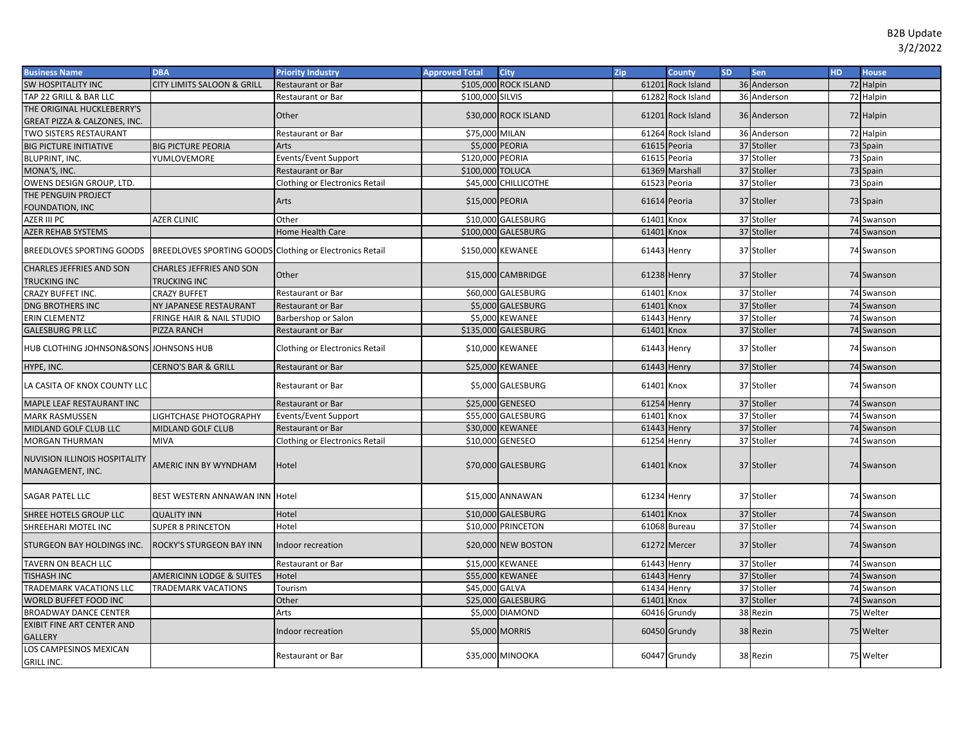| <b>Business Name</b>                                     | <b>DBA</b>                                               | <b>Priority Industry</b>              | <b>Approved Total</b> | <b>City</b>           | Zip          | <b>County</b>     | <b>SD</b> | Sen         | HD. | <b>House</b> |
|----------------------------------------------------------|----------------------------------------------------------|---------------------------------------|-----------------------|-----------------------|--------------|-------------------|-----------|-------------|-----|--------------|
| <b>SW HOSPITALITY INC</b>                                | CITY LIMITS SALOON & GRILL                               | <b>Restaurant or Bar</b>              |                       | \$105,000 ROCK ISLAND |              | 61201 Rock Island |           | 36 Anderson |     | 72 Halpin    |
| TAP 22 GRILL & BAR LLC                                   |                                                          | Restaurant or Bar                     | \$100,000 SILVIS      |                       |              | 61282 Rock Island |           | 36 Anderson |     | 72 Halpin    |
| THE ORIGINAL HUCKLEBERRY'S                               |                                                          | Other                                 |                       | \$30,000 ROCK ISLAND  |              | 61201 Rock Island |           | 36 Anderson |     |              |
| GREAT PIZZA & CALZONES, INC.                             |                                                          |                                       |                       |                       |              |                   |           |             |     | 72 Halpin    |
| <b>TWO SISTERS RESTAURANT</b>                            |                                                          | Restaurant or Bar                     | \$75,000 MILAN        |                       |              | 61264 Rock Island |           | 36 Anderson |     | 72 Halpin    |
| <b>BIG PICTURE INITIATIVE</b>                            | <b>BIG PICTURE PEORIA</b>                                | Arts                                  |                       | \$5,000 PEORIA        | 61615 Peoria |                   |           | 37 Stoller  |     | 73 Spain     |
| BLUPRINT, INC.                                           | YUMLOVEMORE                                              | Events/Event Support                  | \$120,000 PEORIA      |                       | 61615 Peoria |                   |           | 37 Stoller  |     | 73 Spain     |
| MONA'S, INC.                                             |                                                          | <b>Restaurant or Bar</b>              | \$100,000 TOLUCA      |                       |              | 61369 Marshall    |           | 37 Stoller  |     | 73 Spain     |
| OWENS DESIGN GROUP, LTD                                  |                                                          | Clothing or Electronics Retail        |                       | \$45,000 CHILLICOTHE  | 61523 Peoria |                   |           | 37 Stoller  |     | 73 Spain     |
| THE PENGUIN PROJECT                                      |                                                          |                                       |                       |                       |              |                   |           |             |     |              |
| FOUNDATION, INC                                          |                                                          | Arts                                  | \$15,000 PEORIA       |                       | 61614 Peoria |                   |           | 37 Stoller  |     | 73 Spain     |
| AZER III PC                                              | <b>AZER CLINIC</b>                                       | Other                                 |                       | \$10,000 GALESBURG    | 61401 Knox   |                   |           | 37 Stoller  |     | 74 Swanson   |
| AZER REHAB SYSTEMS                                       |                                                          | Home Health Care                      |                       | \$100,000 GALESBURG   | 61401 Knox   |                   |           | 37 Stoller  |     | 74 Swanson   |
| <b>BREEDLOVES SPORTING GOODS</b>                         | BREEDLOVES SPORTING GOODS Clothing or Electronics Retail |                                       |                       | \$150,000 KEWANEE     | 61443 Henry  |                   |           | 37 Stoller  |     | 74 Swanson   |
| <b>CHARLES JEFFRIES AND SON</b><br><b>TRUCKING INC</b>   | <b>CHARLES JEFFRIES AND SON</b><br><b>TRUCKING INC</b>   | Other                                 |                       | \$15,000 CAMBRIDGE    | 61238 Henry  |                   |           | 37 Stoller  |     | 74 Swanson   |
| <b>CRAZY BUFFET INC.</b>                                 | <b>CRAZY BUFFET</b>                                      | Restaurant or Bar                     |                       | \$60,000 GALESBURG    | 61401        | Knox              |           | 37 Stoller  |     | 74 Swanson   |
| DNG BROTHERS INC                                         | NY JAPANESE RESTAURANT                                   | Restaurant or Bar                     |                       | \$5,000 GALESBURG     | 61401 Knox   |                   |           | 37 Stoller  |     | 74 Swanson   |
| ERIN CLEMENTZ                                            | FRINGE HAIR & NAIL STUDIO                                | Barbershop or Salon                   |                       | \$5,000 KEWANEE       | 61443 Henry  |                   |           | 37 Stoller  |     | 74 Swanson   |
| <b>GALESBURG PR LLC</b>                                  | PIZZA RANCH                                              | Restaurant or Bar                     |                       | \$135,000 GALESBURG   | 61401 Knox   |                   |           | 37 Stoller  |     | 74 Swanson   |
| HUB CLOTHING JOHNSON&SONS JOHNSONS HUB                   |                                                          | <b>Clothing or Electronics Retail</b> |                       | \$10,000 KEWANEE      | 61443 Henry  |                   |           | 37 Stoller  |     | 74 Swanson   |
| HYPE, INC.                                               | <b>CERNO'S BAR &amp; GRILL</b>                           | Restaurant or Bar                     |                       | \$25,000 KEWANEE      | 61443 Henry  |                   |           | 37 Stoller  |     | 74 Swanson   |
| LA CASITA OF KNOX COUNTY LLC                             |                                                          | Restaurant or Bar                     |                       | \$5,000 GALESBURG     | 61401 Knox   |                   |           | 37 Stoller  |     | 74 Swanson   |
| MAPLE LEAF RESTAURANT INC                                |                                                          | <b>Restaurant or Bar</b>              |                       | \$25,000 GENESEO      | 61254 Henry  |                   |           | 37 Stoller  |     | 74 Swanson   |
| <b>MARK RASMUSSEN</b>                                    | LIGHTCHASE PHOTOGRAPHY                                   | Events/Event Support                  |                       | \$55,000 GALESBURG    | 61401        | Knox              |           | 37 Stoller  |     | 74 Swanson   |
| MIDLAND GOLF CLUB LLC                                    | <b>MIDLAND GOLF CLUB</b>                                 | <b>Restaurant or Bar</b>              |                       | \$30,000 KEWANEE      | 61443 Henry  |                   |           | 37 Stoller  |     | 74 Swanson   |
| <b>MORGAN THURMAN</b>                                    | <b>MIVA</b>                                              | Clothing or Electronics Retail        |                       | \$10,000 GENESEO      | 61254 Henry  |                   |           | 37 Stoller  |     | 74 Swanson   |
| <b>NUVISION ILLINOIS HOSPITALITY</b><br>MANAGEMENT, INC. | AMERIC INN BY WYNDHAM                                    | Hotel                                 |                       | \$70,000 GALESBURG    | 61401 Knox   |                   |           | 37 Stoller  |     | 74 Swanson   |
| SAGAR PATEL LLC                                          | BEST WESTERN ANNAWAN INN Hotel                           |                                       |                       | \$15,000 ANNAWAN      | 61234 Henry  |                   |           | 37 Stoller  |     | 74 Swanson   |
| SHREE HOTELS GROUP LLC                                   | <b>QUALITY INN</b>                                       | Hotel                                 |                       | \$10,000 GALESBURG    | 61401 Knox   |                   |           | 37 Stoller  |     | 74 Swanson   |
| SHREEHARI MOTEL INC                                      | <b>SUPER 8 PRINCETON</b>                                 | Hotel                                 |                       | \$10,000 PRINCETON    |              | 61068 Bureau      |           | 37 Stoller  |     | 74 Swanson   |
| STURGEON BAY HOLDINGS INC.                               | ROCKY'S STURGEON BAY INN                                 | Indoor recreation                     |                       | \$20,000 NEW BOSTON   |              | 61272 Mercer      |           | 37 Stoller  |     | 74 Swanson   |
| TAVERN ON BEACH LLC                                      |                                                          | Restaurant or Bar                     |                       | \$15,000 KEWANEE      | 61443 Henry  |                   |           | 37 Stoller  |     | 74 Swanson   |
| <b>TISHASH INC</b>                                       | <b>AMERICINN LODGE &amp; SUITES</b>                      | Hotel                                 |                       | \$55,000 KEWANEE      | 61443 Henry  |                   |           | 37 Stoller  |     | 74 Swanson   |
| TRADEMARK VACATIONS LLC                                  | <b>TRADEMARK VACATIONS</b>                               | Tourism                               | \$45,000 GALVA        |                       | 61434 Henry  |                   |           | 37 Stoller  |     | 74 Swanson   |
| WORLD BUFFET FOOD INC                                    |                                                          | Other                                 |                       | \$25,000 GALESBURG    | 61401 Knox   |                   |           | 37 Stoller  |     | 74 Swanson   |
| <b>BROADWAY DANCE CENTER</b>                             |                                                          | Arts                                  |                       | \$5,000 DIAMOND       |              | 60416 Grundy      |           | 38 Rezin    |     | 75 Welter    |
| <b>EXIBIT FINE ART CENTER AND</b>                        |                                                          |                                       |                       |                       |              |                   |           |             |     |              |
| <b>GALLERY</b>                                           |                                                          | Indoor recreation                     |                       | \$5,000 MORRIS        |              | 60450 Grundy      |           | 38 Rezin    |     | 75 Welter    |
| <b>LOS CAMPESINOS MEXICAN</b><br><b>GRILL INC.</b>       |                                                          | <b>Restaurant or Bar</b>              |                       | \$35,000 MINOOKA      |              | 60447 Grundy      |           | 38 Rezin    |     | 75 Welter    |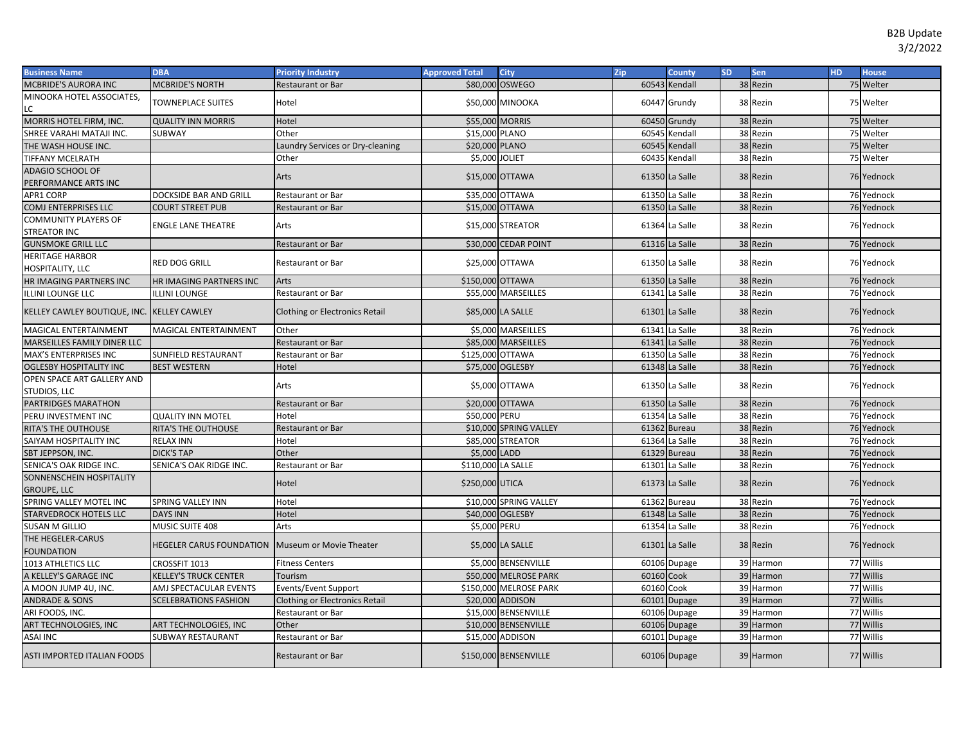| <b>Business Name</b>                               | <b>DBA</b>                      | <b>Priority Industry</b>              | <b>Approved Total</b> | <b>City</b>            | Zip        | <b>County</b>  | <b>SD</b> | <b>Sen</b> | HD. | <b>House</b> |
|----------------------------------------------------|---------------------------------|---------------------------------------|-----------------------|------------------------|------------|----------------|-----------|------------|-----|--------------|
| MCBRIDE'S AURORA INC                               | <b>MCBRIDE'S NORTH</b>          | Restaurant or Bar                     |                       | \$80,000 OSWEGO        |            | 60543 Kendall  |           | 38 Rezin   |     | 75 Welter    |
| MINOOKA HOTEL ASSOCIATES,<br>LC                    | <b>TOWNEPLACE SUITES</b>        | Hotel                                 |                       | \$50,000 MINOOKA       |            | 60447 Grundy   |           | 38 Rezin   |     | 75 Welter    |
| MORRIS HOTEL FIRM, INC.                            | <b>QUALITY INN MORRIS</b>       | Hotel                                 | \$55,000 MORRIS       |                        |            | 60450 Grundy   |           | 38 Rezin   |     | 75 Welter    |
| SHREE VARAHI MATAJI INC.                           | SUBWAY                          | Other                                 | \$15,000 PLANO        |                        |            | 60545 Kendall  |           | 38 Rezin   |     | 75 Welter    |
| THE WASH HOUSE INC.                                |                                 | Laundry Services or Dry-cleaning      | \$20,000 PLANO        |                        |            | 60545 Kendall  |           | 38 Rezin   |     | 75 Welter    |
| TIFFANY MCELRATH                                   |                                 | Other                                 | \$5,000 JOLIET        |                        |            | 60435 Kendall  |           | 38 Rezin   |     | 75 Welter    |
| <b>ADAGIO SCHOOL OF</b>                            |                                 |                                       |                       |                        |            |                |           |            |     |              |
| PERFORMANCE ARTS INC                               |                                 | Arts                                  |                       | \$15,000 OTTAWA        |            | 61350 La Salle |           | 38 Rezin   |     | 76 Yednock   |
| APR1 CORP                                          | DOCKSIDE BAR AND GRILL          | <b>Restaurant or Bar</b>              |                       | \$35,000 OTTAWA        |            | 61350 La Salle |           | 38 Rezin   |     | 76 Yednock   |
| COMJ ENTERPRISES LLC                               | <b>COURT STREET PUB</b>         | <b>Restaurant or Bar</b>              |                       | \$15,000 OTTAWA        |            | 61350 La Salle |           | 38 Rezin   |     | 76 Yednock   |
| <b>COMMUNITY PLAYERS OF</b><br><b>STREATOR INC</b> | <b>ENGLE LANE THEATRE</b>       | Arts                                  |                       | \$15,000 STREATOR      |            | 61364 La Salle |           | 38 Rezin   |     | 76 Yednock   |
| <b>GUNSMOKE GRILL LLC</b>                          |                                 | <b>Restaurant or Bar</b>              |                       | \$30,000 CEDAR POINT   |            | 61316 La Salle |           | 38 Rezin   |     | 76 Yednock   |
| <b>HERITAGE HARBOR</b><br>HOSPITALITY, LLC         | <b>RED DOG GRILL</b>            | <b>Restaurant or Bar</b>              |                       | \$25,000 OTTAWA        |            | 61350 La Salle |           | 38 Rezin   |     | 76 Yednock   |
| HR IMAGING PARTNERS INC                            | HR IMAGING PARTNERS INC         | Arts                                  | \$150,000 OTTAWA      |                        |            | 61350 La Salle |           | 38 Rezin   |     | 76 Yednock   |
| <b>ILLINI LOUNGE LLC</b>                           | <b>ILLINI LOUNGE</b>            | Restaurant or Bar                     |                       | \$55,000 MARSEILLES    |            | 61341 La Salle |           | 38 Rezin   |     | 76 Yednock   |
| KELLEY CAWLEY BOUTIQUE, INC. KELLEY CAWLEY         |                                 | Clothing or Electronics Retail        |                       | \$85,000 LA SALLE      |            | 61301 La Salle |           | 38 Rezin   |     | 76 Yednock   |
| MAGICAL ENTERTAINMENT                              | MAGICAL ENTERTAINMENT           | Other                                 |                       | \$5,000 MARSEILLES     |            | 61341 La Salle |           | 38 Rezin   |     | 76 Yednock   |
| MARSEILLES FAMILY DINER LLC                        |                                 | <b>Restaurant or Bar</b>              |                       | \$85,000 MARSEILLES    |            | 61341 La Salle |           | 38 Rezin   |     | 76 Yednock   |
| MAX'S ENTERPRISES INC                              | SUNFIELD RESTAURANT             | Restaurant or Bar                     | \$125,000 OTTAWA      |                        |            | 61350 La Salle |           | 38 Rezin   |     | 76 Yednock   |
| <b>OGLESBY HOSPITALITY INC</b>                     | <b>BEST WESTERN</b>             | Hotel                                 |                       | \$75,000 OGLESBY       |            | 61348 La Salle |           | 38 Rezin   |     | 76 Yednock   |
| OPEN SPACE ART GALLERY AND                         |                                 |                                       |                       |                        |            |                |           | 38 Rezin   |     |              |
| STUDIOS, LLC                                       |                                 | Arts                                  |                       | \$5,000 OTTAWA         |            | 61350 La Salle |           |            |     | 76 Yednock   |
| PARTRIDGES MARATHON                                |                                 | Restaurant or Bar                     |                       | \$20,000 OTTAWA        |            | 61350 La Salle |           | 38 Rezin   |     | 76 Yednock   |
| PERU INVESTMENT INC                                | <b>QUALITY INN MOTEL</b>        | Hotel                                 | \$50,000 PERU         |                        |            | 61354 La Salle |           | 38 Rezin   |     | 76 Yednock   |
| RITA'S THE OUTHOUSE                                | RITA'S THE OUTHOUSE             | Restaurant or Bar                     |                       | \$10,000 SPRING VALLEY |            | 61362 Bureau   |           | 38 Rezin   |     | 76 Yednock   |
| SAIYAM HOSPITALITY INC                             | <b>RELAX INN</b>                | Hotel                                 |                       | \$85,000 STREATOR      |            | 61364 La Salle |           | 38 Rezin   |     | 76 Yednock   |
| SBT JEPPSON, INC.                                  | <b>DICK'S TAP</b>               | Other                                 | \$5,000 LADD          |                        |            | 61329 Bureau   |           | 38 Rezin   |     | 76 Yednock   |
| SENICA'S OAK RIDGE INC.                            | SENICA'S OAK RIDGE INC.         | <b>Restaurant or Bar</b>              | \$110,000 LA SALLE    |                        |            | 61301 La Salle |           | 38 Rezin   |     | 76 Yednock   |
| SONNENSCHEIN HOSPITALITY<br><b>GROUPE, LLC</b>     |                                 | Hotel                                 | \$250,000 UTICA       |                        |            | 61373 La Salle |           | 38 Rezin   |     | 76 Yednock   |
| SPRING VALLEY MOTEL INC                            | <b>SPRING VALLEY INN</b>        | Hotel                                 |                       | \$10,000 SPRING VALLEY |            | 61362 Bureau   |           | 38 Rezin   |     | 76 Yednock   |
| <b>STARVEDROCK HOTELS LLC</b>                      | <b>DAYS INN</b>                 | Hotel                                 |                       | \$40,000 OGLESBY       |            | 61348 La Salle |           | 38 Rezin   |     | 76 Yednock   |
| <b>SUSAN M GILLIO</b>                              | MUSIC SUITE 408                 | Arts                                  | \$5,000 PERU          |                        |            | 61354 La Salle |           | 38 Rezin   |     | 76 Yednock   |
| THE HEGELER-CARUS<br><b>FOUNDATION</b>             | <b>HEGELER CARUS FOUNDATION</b> | Museum or Movie Theater               |                       | \$5,000 LA SALLE       |            | 61301 La Salle |           | 38 Rezin   |     | 76 Yednock   |
| 1013 ATHLETICS LLC                                 | CROSSFIT 1013                   | <b>Fitness Centers</b>                |                       | \$5,000 BENSENVILLE    |            | 60106 Dupage   |           | 39 Harmon  |     | 77 Willis    |
| A KELLEY'S GARAGE INC                              | KELLEY'S TRUCK CENTER           | Tourism                               |                       | \$50,000 MELROSE PARK  | 60160 Cook |                |           | 39 Harmon  |     | 77 Willis    |
| A MOON JUMP 4U, INC.                               | AMJ SPECTACULAR EVENTS          | Events/Event Support                  |                       | \$150,000 MELROSE PARK | 60160 Cook |                |           | 39 Harmon  |     | 77 Willis    |
| <b>ANDRADE &amp; SONS</b>                          | <b>SCELEBRATIONS FASHION</b>    | <b>Clothing or Electronics Retail</b> |                       | \$20,000 ADDISON       |            | 60101 Dupage   |           | 39 Harmon  |     | 77 Willis    |
| ARI FOODS, INC.                                    |                                 | Restaurant or Bar                     |                       | \$15,000 BENSENVILLE   |            | 60106 Dupage   |           | 39 Harmon  |     | 77 Willis    |
| ART TECHNOLOGIES, INC                              | ART TECHNOLOGIES, INC           | Other                                 |                       | \$10,000 BENSENVILLE   |            | 60106 Dupage   |           | 39 Harmon  |     | 77 Willis    |
| ASAI INC                                           | SUBWAY RESTAURANT               | Restaurant or Bar                     |                       | \$15,000 ADDISON       |            | 60101 Dupage   |           | 39 Harmon  |     | 77 Willis    |
| <b>ASTI IMPORTED ITALIAN FOODS</b>                 |                                 | <b>Restaurant or Bar</b>              |                       | \$150,000 BENSENVILLE  |            | 60106 Dupage   |           | 39 Harmon  |     | 77 Willis    |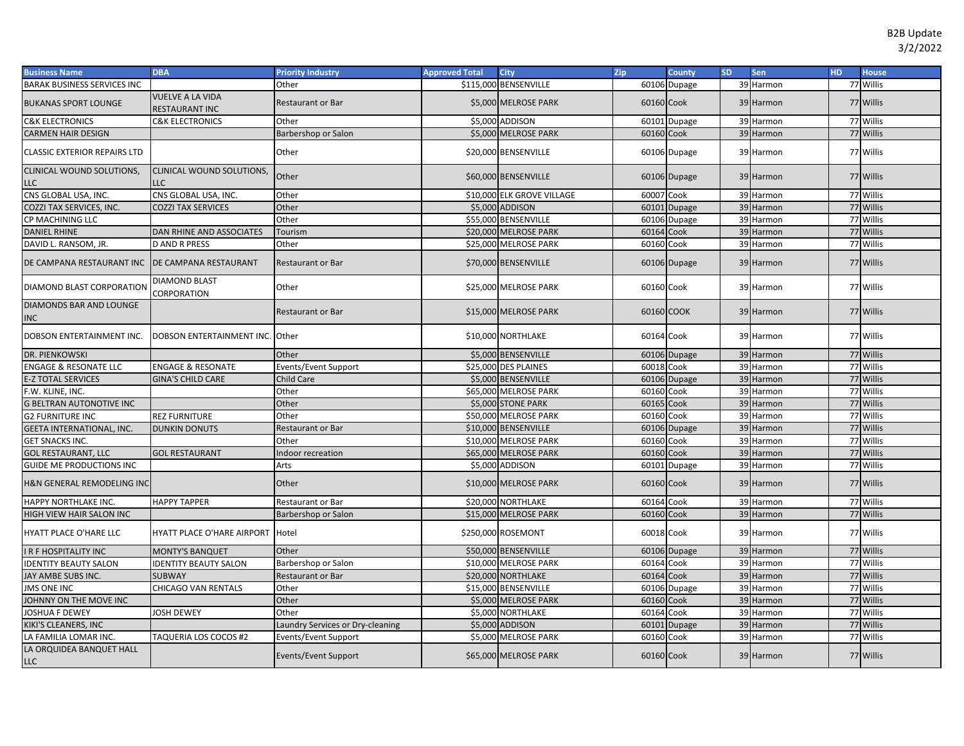| <b>Business Name</b>                              | <b>DBA</b>                                | <b>Priority Industry</b>         | <b>Approved Total</b> | <b>City</b>                | Zip        | <b>County</b> | <b>SD</b> | <b>Sen</b> | H <sub>D</sub> | <b>House</b> |
|---------------------------------------------------|-------------------------------------------|----------------------------------|-----------------------|----------------------------|------------|---------------|-----------|------------|----------------|--------------|
| <b>BARAK BUSINESS SERVICES INC</b>                |                                           | Other                            |                       | \$115,000 BENSENVILLE      |            | 60106 Dupage  |           | 39 Harmon  |                | 77 Willis    |
| <b>BUKANAS SPORT LOUNGE</b>                       | <b>VUELVE A LA VIDA</b><br>RESTAURANT INC | <b>Restaurant or Bar</b>         |                       | \$5,000 MELROSE PARK       | 60160 Cook |               |           | 39 Harmon  |                | 77 Willis    |
| <b>C&amp;K ELECTRONICS</b>                        | <b>C&amp;K ELECTRONICS</b>                | Other                            |                       | \$5,000 ADDISON            |            | 60101 Dupage  |           | 39 Harmon  |                | 77 Willis    |
| <b>CARMEN HAIR DESIGN</b>                         |                                           | Barbershop or Salon              |                       | \$5,000 MELROSE PARK       | 60160 Cook |               |           | 39 Harmon  |                | 77 Willis    |
| <b>CLASSIC EXTERIOR REPAIRS LTD</b>               |                                           | Other                            |                       | \$20,000 BENSENVILLE       |            | 60106 Dupage  |           | 39 Harmon  |                | 77 Willis    |
| CLINICAL WOUND SOLUTIONS,<br><b>LLC</b>           | CLINICAL WOUND SOLUTIONS,<br><b>LLC</b>   | Other                            |                       | \$60,000 BENSENVILLE       |            | 60106 Dupage  |           | 39 Harmon  |                | 77 Willis    |
| CNS GLOBAL USA, INC.                              | CNS GLOBAL USA, INC.                      | Other                            |                       | \$10,000 ELK GROVE VILLAGE | 60007      | Cook          |           | 39 Harmon  |                | 77 Willis    |
| COZZI TAX SERVICES, INC.                          | <b>COZZI TAX SERVICES</b>                 | Other                            |                       | \$5,000 ADDISON            | 60101      | Dupage        |           | 39 Harmon  |                | 77 Willis    |
| CP MACHINING LLC                                  |                                           | Other                            |                       | \$55,000 BENSENVILLE       | 60106      | Dupage        |           | 39 Harmon  |                | 77 Willis    |
| <b>DANIEL RHINE</b>                               | DAN RHINE AND ASSOCIATES                  | Tourism                          |                       | \$20,000 MELROSE PARK      | 60164      | Cook          |           | 39 Harmon  |                | 77 Willis    |
| DAVID L. RANSOM, JR.                              | <b>D AND R PRESS</b>                      | Other                            |                       | \$25,000 MELROSE PARK      | 60160      | Cook          |           | 39 Harmon  |                | 77 Willis    |
| DE CAMPANA RESTAURANT INC   DE CAMPANA RESTAURANT |                                           | <b>Restaurant or Bar</b>         |                       | \$70,000 BENSENVILLE       |            | 60106 Dupage  |           | 39 Harmon  |                | 77 Willis    |
| DIAMOND BLAST CORPORATION                         | <b>DIAMOND BLAST</b><br>CORPORATION       | Other                            |                       | \$25,000 MELROSE PARK      | 60160 Cook |               |           | 39 Harmon  |                | 77 Willis    |
| DIAMONDS BAR AND LOUNGE<br><b>INC</b>             |                                           | <b>Restaurant or Bar</b>         |                       | \$15,000 MELROSE PARK      | 60160 COOK |               |           | 39 Harmon  |                | 77 Willis    |
| DOBSON ENTERTAINMENT INC.                         | DOBSON ENTERTAINMENT INC.                 | Other                            |                       | \$10,000 NORTHLAKE         | 60164 Cook |               |           | 39 Harmon  |                | 77 Willis    |
| DR. PIENKOWSKI                                    |                                           | Other                            |                       | \$5,000 BENSENVILLE        |            | 60106 Dupage  |           | 39 Harmon  |                | 77 Willis    |
| <b>ENGAGE &amp; RESONATE LLC</b>                  | <b>ENGAGE &amp; RESONATE</b>              | Events/Event Support             |                       | \$25,000 DES PLAINES       | 60018      | Cook          |           | 39 Harmon  |                | 77 Willis    |
| <b>E-Z TOTAL SERVICES</b>                         | <b>GINA'S CHILD CARE</b>                  | Child Care                       |                       | \$5,000 BENSENVILLE        | 60106      | Dupage        |           | 39 Harmon  |                | 77 Willis    |
| F.W. KLINE, INC.                                  |                                           | Other                            |                       | \$65,000 MELROSE PARK      | 60160      | Cook          |           | 39 Harmon  |                | 77 Willis    |
| <b>G BELTRAN AUTONOTIVE INC</b>                   |                                           | Other                            |                       | \$5,000 STONE PARK         | 60165      | Cook          |           | 39 Harmon  |                | 77 Willis    |
| <b>G2 FURNITURE INC</b>                           | <b>REZ FURNITURE</b>                      | Other                            |                       | \$50,000 MELROSE PARK      | 60160      | Cook          |           | 39 Harmon  |                | 77 Willis    |
| <b>GEETA INTERNATIONAL, INC.</b>                  | <b>DUNKIN DONUTS</b>                      | Restaurant or Bar                |                       | \$10,000 BENSENVILLE       |            | 60106 Dupage  |           | 39 Harmon  |                | 77 Willis    |
| <b>GET SNACKS INC.</b>                            |                                           | Other                            |                       | \$10,000 MELROSE PARK      | 60160      | Cook          |           | 39 Harmon  |                | 77 Willis    |
| <b>GOL RESTAURANT, LLC</b>                        | <b>GOL RESTAURANT</b>                     | Indoor recreation                |                       | \$65,000 MELROSE PARK      | 60160      | Cook          |           | 39 Harmon  |                | 77 Willis    |
| <b>GUIDE ME PRODUCTIONS INC</b>                   |                                           | Arts                             |                       | \$5,000 ADDISON            |            | 60101 Dupage  |           | 39 Harmon  |                | 77 Willis    |
| H&N GENERAL REMODELING INC                        |                                           | Other                            |                       | \$10,000 MELROSE PARK      | 60160 Cook |               |           | 39 Harmon  |                | 77 Willis    |
| HAPPY NORTHLAKE INC.                              | <b>HAPPY TAPPER</b>                       | Restaurant or Bar                |                       | \$20,000 NORTHLAKE         | 60164      | Cook          |           | 39 Harmon  |                | 77 Willis    |
| HIGH VIEW HAIR SALON INC                          |                                           | Barbershop or Salon              |                       | \$15,000 MELROSE PARK      | 60160 Cook |               |           | 39 Harmon  |                | 77 Willis    |
| HYATT PLACE O'HARE LLC                            | <b>HYATT PLACE O'HARE AIRPORT</b>         | Hotel                            |                       | \$250,000 ROSEMONT         | 60018 Cook |               |           | 39 Harmon  |                | 77 Willis    |
| <b>IR F HOSPITALITY INC</b>                       | <b>MONTY'S BANQUET</b>                    | Other                            |                       | \$50,000 BENSENVILLE       |            | 60106 Dupage  |           | 39 Harmon  |                | 77 Willis    |
| <b>IDENTITY BEAUTY SALON</b>                      | <b>IDENTITY BEAUTY SALON</b>              | Barbershop or Salon              |                       | \$10,000 MELROSE PARK      | 60164      | Cook          |           | 39 Harmon  |                | 77 Willis    |
| JAY AMBE SUBS INC.                                | <b>SUBWAY</b>                             | Restaurant or Bar                |                       | \$20,000 NORTHLAKE         | 60164      | Cook          |           | 39 Harmon  |                | 77 Willis    |
| <b>JMS ONE INC</b>                                | CHICAGO VAN RENTALS                       | Other                            |                       | \$15,000 BENSENVILLE       |            | 60106 Dupage  |           | 39 Harmon  |                | 77 Willis    |
| JOHNNY ON THE MOVE INC                            |                                           | Other                            |                       | \$5,000 MELROSE PARK       | 60160 Cook |               |           | 39 Harmon  |                | 77 Willis    |
| JOSHUA F DEWEY                                    | JOSH DEWEY                                | Other                            |                       | \$5,000 NORTHLAKE          | 60164      | Cook          |           | 39 Harmon  |                | 77 Willis    |
| KIKI'S CLEANERS, INC                              |                                           | Laundry Services or Dry-cleaning |                       | \$5,000 ADDISON            | 60101      | <b>Dupage</b> |           | 39 Harmon  |                | 77 Willis    |
| LA FAMILIA LOMAR INC.                             | TAQUERIA LOS COCOS #2                     | Events/Event Support             |                       | \$5,000 MELROSE PARK       | 60160 Cook |               |           | 39 Harmon  |                | 77 Willis    |
| LA ORQUIDEA BANQUET HALL<br><b>LLC</b>            |                                           | Events/Event Support             |                       | \$65,000 MELROSE PARK      | 60160 Cook |               |           | 39 Harmon  |                | 77 Willis    |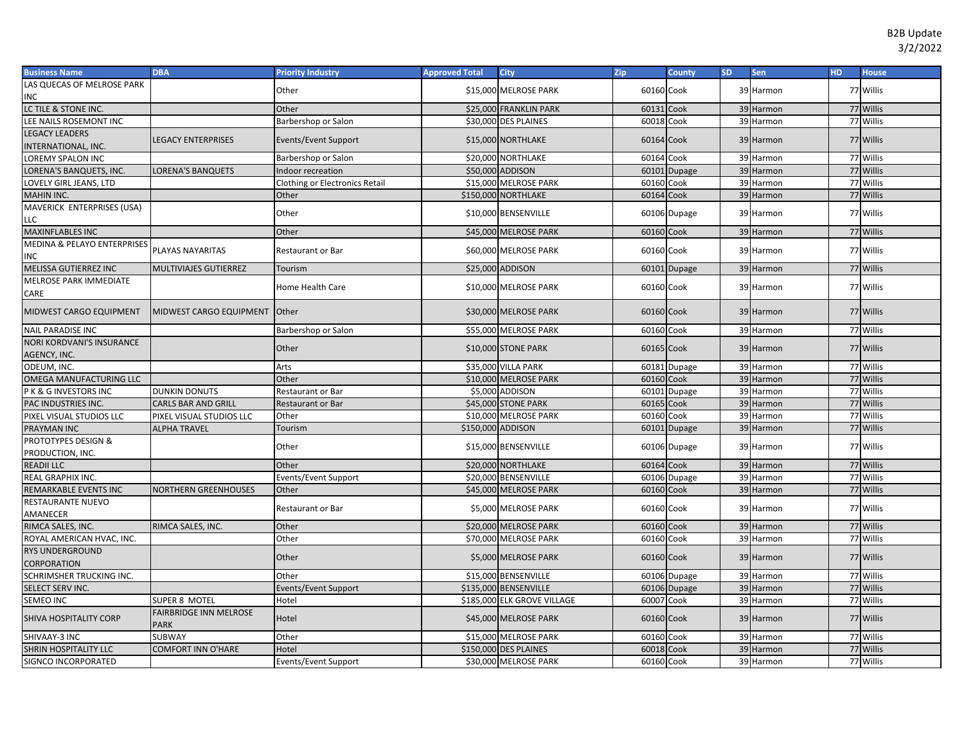| <b>Business Name</b>             | <b>DBA</b>                                   | <b>Priority Industry</b>              | <b>Approved Total</b> | <b>City</b>                 | Zip        | County       | <b>SD</b> | Sen       | <b>HD</b> | <b>House</b> |
|----------------------------------|----------------------------------------------|---------------------------------------|-----------------------|-----------------------------|------------|--------------|-----------|-----------|-----------|--------------|
| LAS QUECAS OF MELROSE PARK       |                                              | Other                                 |                       | \$15,000 MELROSE PARK       | 60160 Cook |              |           | 39 Harmon |           | 77 Willis    |
| INC                              |                                              |                                       |                       |                             |            |              |           |           |           |              |
| LC TILE & STONE INC.             |                                              | Other                                 |                       | \$25,000 FRANKLIN PARK      | 60131 Cook |              |           | 39 Harmon |           | 77 Willis    |
| LEE NAILS ROSEMONT INC           |                                              | Barbershop or Salon                   |                       | \$30,000 DES PLAINES        | 60018 Cook |              |           | 39 Harmon |           | 77 Willis    |
| <b>LEGACY LEADERS</b>            |                                              |                                       |                       |                             | 60164 Cook |              |           | 39 Harmon |           | 77 Willis    |
| <b>INTERNATIONAL, INC.</b>       | <b>LEGACY ENTERPRISES</b>                    | Events/Event Support                  |                       | \$15,000 NORTHLAKE          |            |              |           |           |           |              |
| LOREMY SPALON INC                |                                              | Barbershop or Salon                   |                       | \$20,000 NORTHLAKE          | 60164 Cook |              |           | 39 Harmon |           | 77 Willis    |
| LORENA'S BANQUETS, INC.          | <b>LORENA'S BANQUETS</b>                     | Indoor recreation                     |                       | \$50,000 ADDISON            |            | 60101 Dupage |           | 39 Harmon |           | 77 Willis    |
| LOVELY GIRL JEANS, LTD           |                                              | <b>Clothing or Electronics Retail</b> |                       | \$15,000 MELROSE PARK       | 60160 Cook |              |           | 39 Harmon |           | 77 Willis    |
| MAHIN INC.                       |                                              | Other                                 |                       | \$150,000 NORTHLAKE         | 60164 Cook |              |           | 39 Harmon |           | 77 Willis    |
| MAVERICK ENTERPRISES (USA)       |                                              | Other                                 |                       | \$10,000 BENSENVILLE        |            |              |           | 39 Harmon |           | 77 Willis    |
| LLC                              |                                              |                                       |                       |                             |            | 60106 Dupage |           |           |           |              |
| <b>MAXINFLABLES INC</b>          |                                              | Other                                 |                       | \$45,000 MELROSE PARK       | 60160 Cook |              |           | 39 Harmon |           | 77 Willis    |
| MEDINA & PELAYO ENTERPRISES      | PLAYAS NAYARITAS                             | <b>Restaurant or Bar</b>              |                       | \$60,000 MELROSE PARK       | 60160 Cook |              |           | 39 Harmon |           | 77 Willis    |
| INC                              |                                              |                                       |                       |                             |            |              |           |           |           |              |
| MELISSA GUTIERREZ INC            | MULTIVIAJES GUTIERREZ                        | Tourism                               |                       | \$25,000 ADDISON            |            | 60101 Dupage |           | 39 Harmon |           | 77 Willis    |
| MELROSE PARK IMMEDIATE           |                                              | Home Health Care                      |                       | \$10,000 MELROSE PARK       | 60160 Cook |              |           | 39 Harmon |           | 77 Willis    |
| CARE                             |                                              |                                       |                       |                             |            |              |           |           |           |              |
| MIDWEST CARGO EQUIPMENT          | MIDWEST CARGO EQUIPMENT                      | Other                                 |                       | \$30,000 MELROSE PARK       | 60160 Cook |              |           | 39 Harmon |           | 77 Willis    |
|                                  |                                              |                                       |                       |                             |            |              |           |           |           |              |
| <b>NAIL PARADISE INC</b>         |                                              | Barbershop or Salon                   |                       | \$55,000 MELROSE PARK       | 60160 Cook |              |           | 39 Harmon |           | 77 Willis    |
| <b>NORI KORDVANI'S INSURANCE</b> |                                              | Other                                 |                       | \$10,000 STONE PARK         | 60165 Cook |              |           | 39 Harmon |           | 77 Willis    |
| AGENCY, INC.                     |                                              |                                       |                       |                             |            |              |           |           |           |              |
| ODEUM, INC.                      |                                              | Arts                                  |                       | \$35,000 VILLA PARK         |            | 60181 Dupage |           | 39 Harmon |           | 77 Willis    |
| OMEGA MANUFACTURING LLC          |                                              | Other                                 |                       | \$10,000 MELROSE PARK       | 60160 Cook |              |           | 39 Harmon |           | 77 Willis    |
| PK & G INVESTORS INC             | <b>DUNKIN DONUTS</b>                         | Restaurant or Bar                     |                       | \$5,000 ADDISON             |            | 60101 Dupage |           | 39 Harmon |           | 77 Willis    |
| PAC INDUSTRIES INC.              | <b>CARLS BAR AND GRILL</b>                   | <b>Restaurant or Bar</b>              |                       | \$45,000 STONE PARK         | 60165 Cook |              |           | 39 Harmon |           | 77 Willis    |
| PIXEL VISUAL STUDIOS LLC         | PIXEL VISUAL STUDIOS LLC                     | Other                                 |                       | \$10,000 MELROSE PARK       | 60160 Cook |              |           | 39 Harmon |           | 77 Willis    |
| PRAYMAN INC                      | <b>ALPHA TRAVEL</b>                          | Tourism                               | \$150,000 ADDISON     |                             |            | 60101 Dupage |           | 39 Harmon |           | 77 Willis    |
| PROTOTYPES DESIGN &              |                                              | Other                                 |                       | \$15,000 BENSENVILLE        |            | 60106 Dupage |           | 39 Harmon |           | 77 Willis    |
| PRODUCTION, INC.                 |                                              |                                       |                       |                             |            |              |           |           |           |              |
| <b>READII LLC</b>                |                                              | Other                                 |                       | \$20,000 NORTHLAKE          | 60164 Cook |              |           | 39 Harmon |           | 77 Willis    |
| REAL GRAPHIX INC.                |                                              | Events/Event Support                  |                       | \$20,000 BENSENVILLE        |            | 60106 Dupage |           | 39 Harmon |           | 77 Willis    |
| REMARKABLE EVENTS INC            | <b>NORTHERN GREENHOUSES</b>                  | Other                                 |                       | \$45,000 MELROSE PARK       | 60160 Cook |              |           | 39 Harmon |           | 77 Willis    |
| RESTAURANTE NUEVO                |                                              | <b>Restaurant or Bar</b>              |                       | \$5,000 MELROSE PARK        | 60160 Cook |              |           | 39 Harmon |           | 77 Willis    |
| AMANECER                         |                                              |                                       |                       |                             |            |              |           |           |           |              |
| RIMCA SALES, INC.                | RIMCA SALES, INC.                            | Other                                 |                       | \$20,000 MELROSE PARK       | 60160 Cook |              |           | 39 Harmon |           | 77 Willis    |
| ROYAL AMERICAN HVAC, INC.        |                                              | Other                                 |                       | \$70,000 MELROSE PARK       | 60160 Cook |              |           | 39 Harmon |           | 77 Willis    |
| RYS UNDERGROUND                  |                                              | Other                                 |                       | \$5,000 MELROSE PARK        | 60160 Cook |              |           | 39 Harmon |           | 77 Willis    |
| CORPORATION                      |                                              |                                       |                       |                             |            |              |           |           |           |              |
| SCHRIMSHER TRUCKING INC.         |                                              | Other                                 |                       | \$15,000 BENSENVILLE        |            | 60106 Dupage |           | 39 Harmon |           | 77 Willis    |
| SELECT SERV INC.                 |                                              | Events/Event Support                  |                       | \$135,000 BENSENVILLE       |            | 60106 Dupage |           | 39 Harmon |           | 77 Willis    |
| SEMEO INC                        | SUPER 8 MOTEL                                | Hotel                                 |                       | \$185,000 ELK GROVE VILLAGE | 60007 Cook |              |           | 39 Harmon |           | 77 Willis    |
| SHIVA HOSPITALITY CORP           | <b>FAIRBRIDGE INN MELROSE</b><br><b>PARK</b> | Hotel                                 |                       | \$45,000 MELROSE PARK       | 60160 Cook |              |           | 39 Harmon |           | 77 Willis    |
| SHIVAAY-3 INC                    | SUBWAY                                       | Other                                 |                       | \$15,000 MELROSE PARK       | 60160 Cook |              |           | 39 Harmon |           | 77 Willis    |
| SHRIN HOSPITALITY LLC            | <b>COMFORT INN O'HARE</b>                    | Hotel                                 |                       | \$150,000 DES PLAINES       | 60018      | Cook         |           | 39 Harmon |           | 77 Willis    |
| SIGNCO INCORPORATED              |                                              | Events/Event Support                  |                       | \$30,000 MELROSE PARK       | 60160 Cook |              |           | 39 Harmon |           | 77 Willis    |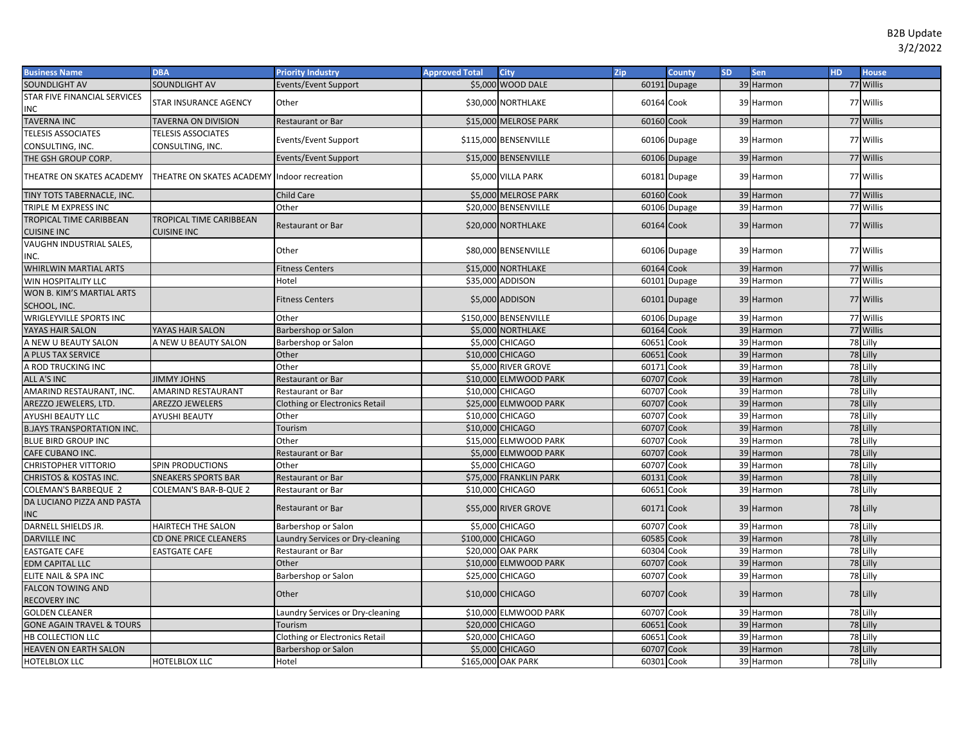| 77 Willis<br>SOUNDLIGHT AV<br>SOUNDLIGHT AV<br>\$5,000 WOOD DALE<br>60191 Dupage<br>39 Harmon<br>Events/Event Support<br>STAR FIVE FINANCIAL SERVICES<br>STAR INSURANCE AGENCY<br>Other<br>\$30,000 NORTHLAKE<br>60164 Cook<br>77 Willis<br>39 Harmon<br>INC<br><b>TAVERNA INC</b><br>60160 Cook<br>77 Willis<br><b>TAVERNA ON DIVISION</b><br><b>Restaurant or Bar</b><br>\$15,000 MELROSE PARK<br>39 Harmon<br><b>TELESIS ASSOCIATES</b><br><b>TELESIS ASSOCIATES</b><br>77 Willis<br>\$115,000 BENSENVILLE<br>60106 Dupage<br>39 Harmon<br>Events/Event Support<br>CONSULTING, INC.<br>CONSULTING, INC.<br>\$15,000 BENSENVILLE<br>77 Willis<br>60106 Dupage<br>39 Harmon<br>THE GSH GROUP CORP.<br><b>Events/Event Support</b><br>77 Willis<br>THEATRE ON SKATES ACADEMY Indoor recreation<br>THEATRE ON SKATES ACADEMY<br>\$5,000 VILLA PARK<br>60181 Dupage<br>39 Harmon<br>60160 Cook<br>39 Harmon<br>77 Willis<br>TINY TOTS TABERNACLE, INC.<br><b>Child Care</b><br>\$5,000 MELROSE PARK<br>77 Willis<br>TRIPLE M EXPRESS INC<br>\$20,000 BENSENVILLE<br>60106 Dupage<br>39 Harmon<br>Other<br>TROPICAL TIME CARIBBEAN<br>TROPICAL TIME CARIBBEAN<br>\$20,000 NORTHLAKE<br>60164 Cook<br>77 Willis<br>39 Harmon<br><b>Restaurant or Bar</b><br><b>CUISINE INC</b><br><b>CUISINE INC</b><br>VAUGHN INDUSTRIAL SALES,<br>\$80,000 BENSENVILLE<br>77 Willis<br>Other<br>60106 Dupage<br>39 Harmon<br>INC.<br>\$15,000 NORTHLAKE<br>60164 Cook<br>WHIRLWIN MARTIAL ARTS<br>39 Harmon<br>77 Willis<br><b>Fitness Centers</b><br>77 Willis<br>WIN HOSPITALITY LLC<br>Hotel<br>\$35,000 ADDISON<br>60101 Dupage<br>39 Harmon<br>WON B. KIM'S MARTIAL ARTS<br>\$5,000 ADDISON<br>77 Willis<br>60101 Dupage<br>39 Harmon<br><b>Fitness Centers</b><br>SCHOOL, INC.<br>WRIGLEYVILLE SPORTS INC<br>\$150,000 BENSENVILLE<br>39 Harmon<br>77 Willis<br>Other<br>60106 Dupage<br>\$5,000 NORTHLAKE<br>39 Harmon<br>77 Willis<br>YAYAS HAIR SALON<br>YAYAS HAIR SALON<br>60164 Cook<br>Barbershop or Salon<br>60651<br>39 Harmon<br>78 Lilly<br>\$5,000 CHICAGO<br>Cook<br>A NEW U BEAUTY SALON<br>A NEW U BEAUTY SALON<br>Barbershop or Salon<br>78 Lilly<br>\$10,000 CHICAGO<br>60651<br>Cook<br>39 Harmon<br>Other<br>A PLUS TAX SERVICE<br>Other<br>\$5,000 RIVER GROVE<br>60171<br>Cook<br>39 Harmon<br>78 Lilly<br>A ROD TRUCKING INC<br>39 Harmon<br>78 Lilly<br><b>JIMMY JOHNS</b><br>\$10,000 ELMWOOD PARK<br>60707<br>Cook<br>ALL A'S INC<br>Restaurant or Bar<br>78 Lilly<br>\$10,000 CHICAGO<br>Cook<br>39 Harmon<br>AMARIND RESTAURANT, INC.<br><b>AMARIND RESTAURANT</b><br>60707<br><b>Restaurant or Bar</b><br>78 Lilly<br>60707 Cook<br>39 Harmon<br>AREZZO JEWELERS, LTD.<br>AREZZO JEWELERS<br>\$25,000 ELMWOOD PARK<br><b>Clothing or Electronics Retail</b><br>78 Lilly<br>AYUSHI BEAUTY LLC<br>\$10,000 CHICAGO<br>60707<br>Cook<br>39 Harmon<br><b>AYUSHI BEAUTY</b><br>Other<br>\$10,000 CHICAGO<br>60707<br>39 Harmon<br>78 Lilly<br><b>B.JAYS TRANSPORTATION INC.</b><br>Cook<br>Tourism<br>39 Harmon<br>78 Lilly<br>BLUE BIRD GROUP INC<br>Other<br>\$15,000 ELMWOOD PARK<br>60707<br>Cook<br>60707<br>Cook<br>78 Lilly<br>\$5,000 ELMWOOD PARK<br>39 Harmon<br>CAFE CUBANO INC.<br>Restaurant or Bar<br>78 Lilly<br>Other<br>\$5,000 CHICAGO<br>60707<br>Cook<br>39 Harmon<br>CHRISTOPHER VITTORIO<br><b>SPIN PRODUCTIONS</b><br>\$75,000 FRANKLIN PARK<br>60131<br>Cook<br>39 Harmon<br>78 Lilly<br><b>CHRISTOS &amp; KOSTAS INC.</b><br><b>SNEAKERS SPORTS BAR</b><br><b>Restaurant or Bar</b><br>78 Lilly<br>\$10,000 CHICAGO<br>60651<br>Cook<br>39 Harmon<br>COLEMAN'S BARBEQUE 2<br>COLEMAN'S BAR-B-QUE 2<br>Restaurant or Bar<br>DA LUCIANO PIZZA AND PASTA<br>\$55,000 RIVER GROVE<br>60171 Cook<br>78 Lilly<br>39 Harmon<br><b>Restaurant or Bar</b><br>INC<br>DARNELL SHIELDS JR.<br>\$5,000 CHICAGO<br>39 Harmon<br>78 Lilly<br>HAIRTECH THE SALON<br>60707<br>Cook<br>Barbershop or Salon<br>39 Harmon<br>78 Lilly<br>\$100,000 CHICAGO<br>60585<br>Cook<br><b>DARVILLE INC</b><br>CD ONE PRICE CLEANERS<br>Laundry Services or Dry-cleaning<br>39 Harmon<br>78 Lilly<br>\$20,000 OAK PARK<br>60304<br>Cook<br><b>EASTGATE CAFE</b><br><b>EASTGATE CAFE</b><br>Restaurant or Bar<br>39 Harmon<br>78 Lilly<br><b>EDM CAPITAL LLC</b><br>Other<br>\$10,000 ELMWOOD PARK<br>60707<br>Cook<br>78 Lilly<br>Barbershop or Salon<br>\$25,000 CHICAGO<br>60707<br>Cook<br>39 Harmon<br>ELITE NAIL & SPA INC<br><b>FALCON TOWING AND</b><br>Other<br>\$10,000 CHICAGO<br>60707 Cook<br>78 Lilly<br>39 Harmon<br><b>RECOVERY INC</b><br>\$10,000 ELMWOOD PARK<br>78 Lilly<br><b>GOLDEN CLEANER</b><br>60707<br>Cook<br>39 Harmon<br>Laundry Services or Dry-cleaning<br>39 Harmon<br>78 Lilly<br><b>GONE AGAIN TRAVEL &amp; TOURS</b><br>\$20,000 CHICAGO<br>60651<br>Cook<br>Tourism<br>78 Lilly<br>HB COLLECTION LLC<br><b>Clothing or Electronics Retail</b><br>\$20,000 CHICAGO<br>60651<br>Cook<br>39 Harmon<br>78 Lilly<br>\$5,000 CHICAGO<br>60707<br>Cook<br>39 Harmon<br><b>HEAVEN ON EARTH SALON</b><br>Barbershop or Salon<br>78 Lilly<br>\$165,000 OAK PARK<br>60301 Cook<br>39 Harmon<br>HOTELBLOX LLC<br>Hotel<br>HOTELBLOX LLC | <b>Business Name</b> | <b>DBA</b> | <b>Priority Industry</b> | <b>Approved Total</b> | <b>City</b> | Zip | County | <b>SD</b> | Sen | HD. | <b>House</b> |
|------------------------------------------------------------------------------------------------------------------------------------------------------------------------------------------------------------------------------------------------------------------------------------------------------------------------------------------------------------------------------------------------------------------------------------------------------------------------------------------------------------------------------------------------------------------------------------------------------------------------------------------------------------------------------------------------------------------------------------------------------------------------------------------------------------------------------------------------------------------------------------------------------------------------------------------------------------------------------------------------------------------------------------------------------------------------------------------------------------------------------------------------------------------------------------------------------------------------------------------------------------------------------------------------------------------------------------------------------------------------------------------------------------------------------------------------------------------------------------------------------------------------------------------------------------------------------------------------------------------------------------------------------------------------------------------------------------------------------------------------------------------------------------------------------------------------------------------------------------------------------------------------------------------------------------------------------------------------------------------------------------------------------------------------------------------------------------------------------------------------------------------------------------------------------------------------------------------------------------------------------------------------------------------------------------------------------------------------------------------------------------------------------------------------------------------------------------------------------------------------------------------------------------------------------------------------------------------------------------------------------------------------------------------------------------------------------------------------------------------------------------------------------------------------------------------------------------------------------------------------------------------------------------------------------------------------------------------------------------------------------------------------------------------------------------------------------------------------------------------------------------------------------------------------------------------------------------------------------------------------------------------------------------------------------------------------------------------------------------------------------------------------------------------------------------------------------------------------------------------------------------------------------------------------------------------------------------------------------------------------------------------------------------------------------------------------------------------------------------------------------------------------------------------------------------------------------------------------------------------------------------------------------------------------------------------------------------------------------------------------------------------------------------------------------------------------------------------------------------------------------------------------------------------------------------------------------------------------------------------------------------------------------------------------------------------------------------------------------------------------------------------------------------------------------------------------------------------------------------------------------------------------------------------------------------------------------------------------------------------------------------------------------------------------------------------------------------------------------------------------------------------------------------------------------------------------------------------------------------------------------------------------------------------------------------------------------------------------------------------------------------------------------------------------------------------------------------------------------------------------------------------------------------------------|----------------------|------------|--------------------------|-----------------------|-------------|-----|--------|-----------|-----|-----|--------------|
|                                                                                                                                                                                                                                                                                                                                                                                                                                                                                                                                                                                                                                                                                                                                                                                                                                                                                                                                                                                                                                                                                                                                                                                                                                                                                                                                                                                                                                                                                                                                                                                                                                                                                                                                                                                                                                                                                                                                                                                                                                                                                                                                                                                                                                                                                                                                                                                                                                                                                                                                                                                                                                                                                                                                                                                                                                                                                                                                                                                                                                                                                                                                                                                                                                                                                                                                                                                                                                                                                                                                                                                                                                                                                                                                                                                                                                                                                                                                                                                                                                                                                                                                                                                                                                                                                                                                                                                                                                                                                                                                                                                                                                                                                                                                                                                                                                                                                                                                                                                                                                                                                                                                                                        |                      |            |                          |                       |             |     |        |           |     |     |              |
|                                                                                                                                                                                                                                                                                                                                                                                                                                                                                                                                                                                                                                                                                                                                                                                                                                                                                                                                                                                                                                                                                                                                                                                                                                                                                                                                                                                                                                                                                                                                                                                                                                                                                                                                                                                                                                                                                                                                                                                                                                                                                                                                                                                                                                                                                                                                                                                                                                                                                                                                                                                                                                                                                                                                                                                                                                                                                                                                                                                                                                                                                                                                                                                                                                                                                                                                                                                                                                                                                                                                                                                                                                                                                                                                                                                                                                                                                                                                                                                                                                                                                                                                                                                                                                                                                                                                                                                                                                                                                                                                                                                                                                                                                                                                                                                                                                                                                                                                                                                                                                                                                                                                                                        |                      |            |                          |                       |             |     |        |           |     |     |              |
|                                                                                                                                                                                                                                                                                                                                                                                                                                                                                                                                                                                                                                                                                                                                                                                                                                                                                                                                                                                                                                                                                                                                                                                                                                                                                                                                                                                                                                                                                                                                                                                                                                                                                                                                                                                                                                                                                                                                                                                                                                                                                                                                                                                                                                                                                                                                                                                                                                                                                                                                                                                                                                                                                                                                                                                                                                                                                                                                                                                                                                                                                                                                                                                                                                                                                                                                                                                                                                                                                                                                                                                                                                                                                                                                                                                                                                                                                                                                                                                                                                                                                                                                                                                                                                                                                                                                                                                                                                                                                                                                                                                                                                                                                                                                                                                                                                                                                                                                                                                                                                                                                                                                                                        |                      |            |                          |                       |             |     |        |           |     |     |              |
|                                                                                                                                                                                                                                                                                                                                                                                                                                                                                                                                                                                                                                                                                                                                                                                                                                                                                                                                                                                                                                                                                                                                                                                                                                                                                                                                                                                                                                                                                                                                                                                                                                                                                                                                                                                                                                                                                                                                                                                                                                                                                                                                                                                                                                                                                                                                                                                                                                                                                                                                                                                                                                                                                                                                                                                                                                                                                                                                                                                                                                                                                                                                                                                                                                                                                                                                                                                                                                                                                                                                                                                                                                                                                                                                                                                                                                                                                                                                                                                                                                                                                                                                                                                                                                                                                                                                                                                                                                                                                                                                                                                                                                                                                                                                                                                                                                                                                                                                                                                                                                                                                                                                                                        |                      |            |                          |                       |             |     |        |           |     |     |              |
|                                                                                                                                                                                                                                                                                                                                                                                                                                                                                                                                                                                                                                                                                                                                                                                                                                                                                                                                                                                                                                                                                                                                                                                                                                                                                                                                                                                                                                                                                                                                                                                                                                                                                                                                                                                                                                                                                                                                                                                                                                                                                                                                                                                                                                                                                                                                                                                                                                                                                                                                                                                                                                                                                                                                                                                                                                                                                                                                                                                                                                                                                                                                                                                                                                                                                                                                                                                                                                                                                                                                                                                                                                                                                                                                                                                                                                                                                                                                                                                                                                                                                                                                                                                                                                                                                                                                                                                                                                                                                                                                                                                                                                                                                                                                                                                                                                                                                                                                                                                                                                                                                                                                                                        |                      |            |                          |                       |             |     |        |           |     |     |              |
|                                                                                                                                                                                                                                                                                                                                                                                                                                                                                                                                                                                                                                                                                                                                                                                                                                                                                                                                                                                                                                                                                                                                                                                                                                                                                                                                                                                                                                                                                                                                                                                                                                                                                                                                                                                                                                                                                                                                                                                                                                                                                                                                                                                                                                                                                                                                                                                                                                                                                                                                                                                                                                                                                                                                                                                                                                                                                                                                                                                                                                                                                                                                                                                                                                                                                                                                                                                                                                                                                                                                                                                                                                                                                                                                                                                                                                                                                                                                                                                                                                                                                                                                                                                                                                                                                                                                                                                                                                                                                                                                                                                                                                                                                                                                                                                                                                                                                                                                                                                                                                                                                                                                                                        |                      |            |                          |                       |             |     |        |           |     |     |              |
|                                                                                                                                                                                                                                                                                                                                                                                                                                                                                                                                                                                                                                                                                                                                                                                                                                                                                                                                                                                                                                                                                                                                                                                                                                                                                                                                                                                                                                                                                                                                                                                                                                                                                                                                                                                                                                                                                                                                                                                                                                                                                                                                                                                                                                                                                                                                                                                                                                                                                                                                                                                                                                                                                                                                                                                                                                                                                                                                                                                                                                                                                                                                                                                                                                                                                                                                                                                                                                                                                                                                                                                                                                                                                                                                                                                                                                                                                                                                                                                                                                                                                                                                                                                                                                                                                                                                                                                                                                                                                                                                                                                                                                                                                                                                                                                                                                                                                                                                                                                                                                                                                                                                                                        |                      |            |                          |                       |             |     |        |           |     |     |              |
|                                                                                                                                                                                                                                                                                                                                                                                                                                                                                                                                                                                                                                                                                                                                                                                                                                                                                                                                                                                                                                                                                                                                                                                                                                                                                                                                                                                                                                                                                                                                                                                                                                                                                                                                                                                                                                                                                                                                                                                                                                                                                                                                                                                                                                                                                                                                                                                                                                                                                                                                                                                                                                                                                                                                                                                                                                                                                                                                                                                                                                                                                                                                                                                                                                                                                                                                                                                                                                                                                                                                                                                                                                                                                                                                                                                                                                                                                                                                                                                                                                                                                                                                                                                                                                                                                                                                                                                                                                                                                                                                                                                                                                                                                                                                                                                                                                                                                                                                                                                                                                                                                                                                                                        |                      |            |                          |                       |             |     |        |           |     |     |              |
|                                                                                                                                                                                                                                                                                                                                                                                                                                                                                                                                                                                                                                                                                                                                                                                                                                                                                                                                                                                                                                                                                                                                                                                                                                                                                                                                                                                                                                                                                                                                                                                                                                                                                                                                                                                                                                                                                                                                                                                                                                                                                                                                                                                                                                                                                                                                                                                                                                                                                                                                                                                                                                                                                                                                                                                                                                                                                                                                                                                                                                                                                                                                                                                                                                                                                                                                                                                                                                                                                                                                                                                                                                                                                                                                                                                                                                                                                                                                                                                                                                                                                                                                                                                                                                                                                                                                                                                                                                                                                                                                                                                                                                                                                                                                                                                                                                                                                                                                                                                                                                                                                                                                                                        |                      |            |                          |                       |             |     |        |           |     |     |              |
|                                                                                                                                                                                                                                                                                                                                                                                                                                                                                                                                                                                                                                                                                                                                                                                                                                                                                                                                                                                                                                                                                                                                                                                                                                                                                                                                                                                                                                                                                                                                                                                                                                                                                                                                                                                                                                                                                                                                                                                                                                                                                                                                                                                                                                                                                                                                                                                                                                                                                                                                                                                                                                                                                                                                                                                                                                                                                                                                                                                                                                                                                                                                                                                                                                                                                                                                                                                                                                                                                                                                                                                                                                                                                                                                                                                                                                                                                                                                                                                                                                                                                                                                                                                                                                                                                                                                                                                                                                                                                                                                                                                                                                                                                                                                                                                                                                                                                                                                                                                                                                                                                                                                                                        |                      |            |                          |                       |             |     |        |           |     |     |              |
|                                                                                                                                                                                                                                                                                                                                                                                                                                                                                                                                                                                                                                                                                                                                                                                                                                                                                                                                                                                                                                                                                                                                                                                                                                                                                                                                                                                                                                                                                                                                                                                                                                                                                                                                                                                                                                                                                                                                                                                                                                                                                                                                                                                                                                                                                                                                                                                                                                                                                                                                                                                                                                                                                                                                                                                                                                                                                                                                                                                                                                                                                                                                                                                                                                                                                                                                                                                                                                                                                                                                                                                                                                                                                                                                                                                                                                                                                                                                                                                                                                                                                                                                                                                                                                                                                                                                                                                                                                                                                                                                                                                                                                                                                                                                                                                                                                                                                                                                                                                                                                                                                                                                                                        |                      |            |                          |                       |             |     |        |           |     |     |              |
|                                                                                                                                                                                                                                                                                                                                                                                                                                                                                                                                                                                                                                                                                                                                                                                                                                                                                                                                                                                                                                                                                                                                                                                                                                                                                                                                                                                                                                                                                                                                                                                                                                                                                                                                                                                                                                                                                                                                                                                                                                                                                                                                                                                                                                                                                                                                                                                                                                                                                                                                                                                                                                                                                                                                                                                                                                                                                                                                                                                                                                                                                                                                                                                                                                                                                                                                                                                                                                                                                                                                                                                                                                                                                                                                                                                                                                                                                                                                                                                                                                                                                                                                                                                                                                                                                                                                                                                                                                                                                                                                                                                                                                                                                                                                                                                                                                                                                                                                                                                                                                                                                                                                                                        |                      |            |                          |                       |             |     |        |           |     |     |              |
|                                                                                                                                                                                                                                                                                                                                                                                                                                                                                                                                                                                                                                                                                                                                                                                                                                                                                                                                                                                                                                                                                                                                                                                                                                                                                                                                                                                                                                                                                                                                                                                                                                                                                                                                                                                                                                                                                                                                                                                                                                                                                                                                                                                                                                                                                                                                                                                                                                                                                                                                                                                                                                                                                                                                                                                                                                                                                                                                                                                                                                                                                                                                                                                                                                                                                                                                                                                                                                                                                                                                                                                                                                                                                                                                                                                                                                                                                                                                                                                                                                                                                                                                                                                                                                                                                                                                                                                                                                                                                                                                                                                                                                                                                                                                                                                                                                                                                                                                                                                                                                                                                                                                                                        |                      |            |                          |                       |             |     |        |           |     |     |              |
|                                                                                                                                                                                                                                                                                                                                                                                                                                                                                                                                                                                                                                                                                                                                                                                                                                                                                                                                                                                                                                                                                                                                                                                                                                                                                                                                                                                                                                                                                                                                                                                                                                                                                                                                                                                                                                                                                                                                                                                                                                                                                                                                                                                                                                                                                                                                                                                                                                                                                                                                                                                                                                                                                                                                                                                                                                                                                                                                                                                                                                                                                                                                                                                                                                                                                                                                                                                                                                                                                                                                                                                                                                                                                                                                                                                                                                                                                                                                                                                                                                                                                                                                                                                                                                                                                                                                                                                                                                                                                                                                                                                                                                                                                                                                                                                                                                                                                                                                                                                                                                                                                                                                                                        |                      |            |                          |                       |             |     |        |           |     |     |              |
|                                                                                                                                                                                                                                                                                                                                                                                                                                                                                                                                                                                                                                                                                                                                                                                                                                                                                                                                                                                                                                                                                                                                                                                                                                                                                                                                                                                                                                                                                                                                                                                                                                                                                                                                                                                                                                                                                                                                                                                                                                                                                                                                                                                                                                                                                                                                                                                                                                                                                                                                                                                                                                                                                                                                                                                                                                                                                                                                                                                                                                                                                                                                                                                                                                                                                                                                                                                                                                                                                                                                                                                                                                                                                                                                                                                                                                                                                                                                                                                                                                                                                                                                                                                                                                                                                                                                                                                                                                                                                                                                                                                                                                                                                                                                                                                                                                                                                                                                                                                                                                                                                                                                                                        |                      |            |                          |                       |             |     |        |           |     |     |              |
|                                                                                                                                                                                                                                                                                                                                                                                                                                                                                                                                                                                                                                                                                                                                                                                                                                                                                                                                                                                                                                                                                                                                                                                                                                                                                                                                                                                                                                                                                                                                                                                                                                                                                                                                                                                                                                                                                                                                                                                                                                                                                                                                                                                                                                                                                                                                                                                                                                                                                                                                                                                                                                                                                                                                                                                                                                                                                                                                                                                                                                                                                                                                                                                                                                                                                                                                                                                                                                                                                                                                                                                                                                                                                                                                                                                                                                                                                                                                                                                                                                                                                                                                                                                                                                                                                                                                                                                                                                                                                                                                                                                                                                                                                                                                                                                                                                                                                                                                                                                                                                                                                                                                                                        |                      |            |                          |                       |             |     |        |           |     |     |              |
|                                                                                                                                                                                                                                                                                                                                                                                                                                                                                                                                                                                                                                                                                                                                                                                                                                                                                                                                                                                                                                                                                                                                                                                                                                                                                                                                                                                                                                                                                                                                                                                                                                                                                                                                                                                                                                                                                                                                                                                                                                                                                                                                                                                                                                                                                                                                                                                                                                                                                                                                                                                                                                                                                                                                                                                                                                                                                                                                                                                                                                                                                                                                                                                                                                                                                                                                                                                                                                                                                                                                                                                                                                                                                                                                                                                                                                                                                                                                                                                                                                                                                                                                                                                                                                                                                                                                                                                                                                                                                                                                                                                                                                                                                                                                                                                                                                                                                                                                                                                                                                                                                                                                                                        |                      |            |                          |                       |             |     |        |           |     |     |              |
|                                                                                                                                                                                                                                                                                                                                                                                                                                                                                                                                                                                                                                                                                                                                                                                                                                                                                                                                                                                                                                                                                                                                                                                                                                                                                                                                                                                                                                                                                                                                                                                                                                                                                                                                                                                                                                                                                                                                                                                                                                                                                                                                                                                                                                                                                                                                                                                                                                                                                                                                                                                                                                                                                                                                                                                                                                                                                                                                                                                                                                                                                                                                                                                                                                                                                                                                                                                                                                                                                                                                                                                                                                                                                                                                                                                                                                                                                                                                                                                                                                                                                                                                                                                                                                                                                                                                                                                                                                                                                                                                                                                                                                                                                                                                                                                                                                                                                                                                                                                                                                                                                                                                                                        |                      |            |                          |                       |             |     |        |           |     |     |              |
|                                                                                                                                                                                                                                                                                                                                                                                                                                                                                                                                                                                                                                                                                                                                                                                                                                                                                                                                                                                                                                                                                                                                                                                                                                                                                                                                                                                                                                                                                                                                                                                                                                                                                                                                                                                                                                                                                                                                                                                                                                                                                                                                                                                                                                                                                                                                                                                                                                                                                                                                                                                                                                                                                                                                                                                                                                                                                                                                                                                                                                                                                                                                                                                                                                                                                                                                                                                                                                                                                                                                                                                                                                                                                                                                                                                                                                                                                                                                                                                                                                                                                                                                                                                                                                                                                                                                                                                                                                                                                                                                                                                                                                                                                                                                                                                                                                                                                                                                                                                                                                                                                                                                                                        |                      |            |                          |                       |             |     |        |           |     |     |              |
|                                                                                                                                                                                                                                                                                                                                                                                                                                                                                                                                                                                                                                                                                                                                                                                                                                                                                                                                                                                                                                                                                                                                                                                                                                                                                                                                                                                                                                                                                                                                                                                                                                                                                                                                                                                                                                                                                                                                                                                                                                                                                                                                                                                                                                                                                                                                                                                                                                                                                                                                                                                                                                                                                                                                                                                                                                                                                                                                                                                                                                                                                                                                                                                                                                                                                                                                                                                                                                                                                                                                                                                                                                                                                                                                                                                                                                                                                                                                                                                                                                                                                                                                                                                                                                                                                                                                                                                                                                                                                                                                                                                                                                                                                                                                                                                                                                                                                                                                                                                                                                                                                                                                                                        |                      |            |                          |                       |             |     |        |           |     |     |              |
|                                                                                                                                                                                                                                                                                                                                                                                                                                                                                                                                                                                                                                                                                                                                                                                                                                                                                                                                                                                                                                                                                                                                                                                                                                                                                                                                                                                                                                                                                                                                                                                                                                                                                                                                                                                                                                                                                                                                                                                                                                                                                                                                                                                                                                                                                                                                                                                                                                                                                                                                                                                                                                                                                                                                                                                                                                                                                                                                                                                                                                                                                                                                                                                                                                                                                                                                                                                                                                                                                                                                                                                                                                                                                                                                                                                                                                                                                                                                                                                                                                                                                                                                                                                                                                                                                                                                                                                                                                                                                                                                                                                                                                                                                                                                                                                                                                                                                                                                                                                                                                                                                                                                                                        |                      |            |                          |                       |             |     |        |           |     |     |              |
|                                                                                                                                                                                                                                                                                                                                                                                                                                                                                                                                                                                                                                                                                                                                                                                                                                                                                                                                                                                                                                                                                                                                                                                                                                                                                                                                                                                                                                                                                                                                                                                                                                                                                                                                                                                                                                                                                                                                                                                                                                                                                                                                                                                                                                                                                                                                                                                                                                                                                                                                                                                                                                                                                                                                                                                                                                                                                                                                                                                                                                                                                                                                                                                                                                                                                                                                                                                                                                                                                                                                                                                                                                                                                                                                                                                                                                                                                                                                                                                                                                                                                                                                                                                                                                                                                                                                                                                                                                                                                                                                                                                                                                                                                                                                                                                                                                                                                                                                                                                                                                                                                                                                                                        |                      |            |                          |                       |             |     |        |           |     |     |              |
|                                                                                                                                                                                                                                                                                                                                                                                                                                                                                                                                                                                                                                                                                                                                                                                                                                                                                                                                                                                                                                                                                                                                                                                                                                                                                                                                                                                                                                                                                                                                                                                                                                                                                                                                                                                                                                                                                                                                                                                                                                                                                                                                                                                                                                                                                                                                                                                                                                                                                                                                                                                                                                                                                                                                                                                                                                                                                                                                                                                                                                                                                                                                                                                                                                                                                                                                                                                                                                                                                                                                                                                                                                                                                                                                                                                                                                                                                                                                                                                                                                                                                                                                                                                                                                                                                                                                                                                                                                                                                                                                                                                                                                                                                                                                                                                                                                                                                                                                                                                                                                                                                                                                                                        |                      |            |                          |                       |             |     |        |           |     |     |              |
|                                                                                                                                                                                                                                                                                                                                                                                                                                                                                                                                                                                                                                                                                                                                                                                                                                                                                                                                                                                                                                                                                                                                                                                                                                                                                                                                                                                                                                                                                                                                                                                                                                                                                                                                                                                                                                                                                                                                                                                                                                                                                                                                                                                                                                                                                                                                                                                                                                                                                                                                                                                                                                                                                                                                                                                                                                                                                                                                                                                                                                                                                                                                                                                                                                                                                                                                                                                                                                                                                                                                                                                                                                                                                                                                                                                                                                                                                                                                                                                                                                                                                                                                                                                                                                                                                                                                                                                                                                                                                                                                                                                                                                                                                                                                                                                                                                                                                                                                                                                                                                                                                                                                                                        |                      |            |                          |                       |             |     |        |           |     |     |              |
|                                                                                                                                                                                                                                                                                                                                                                                                                                                                                                                                                                                                                                                                                                                                                                                                                                                                                                                                                                                                                                                                                                                                                                                                                                                                                                                                                                                                                                                                                                                                                                                                                                                                                                                                                                                                                                                                                                                                                                                                                                                                                                                                                                                                                                                                                                                                                                                                                                                                                                                                                                                                                                                                                                                                                                                                                                                                                                                                                                                                                                                                                                                                                                                                                                                                                                                                                                                                                                                                                                                                                                                                                                                                                                                                                                                                                                                                                                                                                                                                                                                                                                                                                                                                                                                                                                                                                                                                                                                                                                                                                                                                                                                                                                                                                                                                                                                                                                                                                                                                                                                                                                                                                                        |                      |            |                          |                       |             |     |        |           |     |     |              |
|                                                                                                                                                                                                                                                                                                                                                                                                                                                                                                                                                                                                                                                                                                                                                                                                                                                                                                                                                                                                                                                                                                                                                                                                                                                                                                                                                                                                                                                                                                                                                                                                                                                                                                                                                                                                                                                                                                                                                                                                                                                                                                                                                                                                                                                                                                                                                                                                                                                                                                                                                                                                                                                                                                                                                                                                                                                                                                                                                                                                                                                                                                                                                                                                                                                                                                                                                                                                                                                                                                                                                                                                                                                                                                                                                                                                                                                                                                                                                                                                                                                                                                                                                                                                                                                                                                                                                                                                                                                                                                                                                                                                                                                                                                                                                                                                                                                                                                                                                                                                                                                                                                                                                                        |                      |            |                          |                       |             |     |        |           |     |     |              |
|                                                                                                                                                                                                                                                                                                                                                                                                                                                                                                                                                                                                                                                                                                                                                                                                                                                                                                                                                                                                                                                                                                                                                                                                                                                                                                                                                                                                                                                                                                                                                                                                                                                                                                                                                                                                                                                                                                                                                                                                                                                                                                                                                                                                                                                                                                                                                                                                                                                                                                                                                                                                                                                                                                                                                                                                                                                                                                                                                                                                                                                                                                                                                                                                                                                                                                                                                                                                                                                                                                                                                                                                                                                                                                                                                                                                                                                                                                                                                                                                                                                                                                                                                                                                                                                                                                                                                                                                                                                                                                                                                                                                                                                                                                                                                                                                                                                                                                                                                                                                                                                                                                                                                                        |                      |            |                          |                       |             |     |        |           |     |     |              |
|                                                                                                                                                                                                                                                                                                                                                                                                                                                                                                                                                                                                                                                                                                                                                                                                                                                                                                                                                                                                                                                                                                                                                                                                                                                                                                                                                                                                                                                                                                                                                                                                                                                                                                                                                                                                                                                                                                                                                                                                                                                                                                                                                                                                                                                                                                                                                                                                                                                                                                                                                                                                                                                                                                                                                                                                                                                                                                                                                                                                                                                                                                                                                                                                                                                                                                                                                                                                                                                                                                                                                                                                                                                                                                                                                                                                                                                                                                                                                                                                                                                                                                                                                                                                                                                                                                                                                                                                                                                                                                                                                                                                                                                                                                                                                                                                                                                                                                                                                                                                                                                                                                                                                                        |                      |            |                          |                       |             |     |        |           |     |     |              |
|                                                                                                                                                                                                                                                                                                                                                                                                                                                                                                                                                                                                                                                                                                                                                                                                                                                                                                                                                                                                                                                                                                                                                                                                                                                                                                                                                                                                                                                                                                                                                                                                                                                                                                                                                                                                                                                                                                                                                                                                                                                                                                                                                                                                                                                                                                                                                                                                                                                                                                                                                                                                                                                                                                                                                                                                                                                                                                                                                                                                                                                                                                                                                                                                                                                                                                                                                                                                                                                                                                                                                                                                                                                                                                                                                                                                                                                                                                                                                                                                                                                                                                                                                                                                                                                                                                                                                                                                                                                                                                                                                                                                                                                                                                                                                                                                                                                                                                                                                                                                                                                                                                                                                                        |                      |            |                          |                       |             |     |        |           |     |     |              |
|                                                                                                                                                                                                                                                                                                                                                                                                                                                                                                                                                                                                                                                                                                                                                                                                                                                                                                                                                                                                                                                                                                                                                                                                                                                                                                                                                                                                                                                                                                                                                                                                                                                                                                                                                                                                                                                                                                                                                                                                                                                                                                                                                                                                                                                                                                                                                                                                                                                                                                                                                                                                                                                                                                                                                                                                                                                                                                                                                                                                                                                                                                                                                                                                                                                                                                                                                                                                                                                                                                                                                                                                                                                                                                                                                                                                                                                                                                                                                                                                                                                                                                                                                                                                                                                                                                                                                                                                                                                                                                                                                                                                                                                                                                                                                                                                                                                                                                                                                                                                                                                                                                                                                                        |                      |            |                          |                       |             |     |        |           |     |     |              |
|                                                                                                                                                                                                                                                                                                                                                                                                                                                                                                                                                                                                                                                                                                                                                                                                                                                                                                                                                                                                                                                                                                                                                                                                                                                                                                                                                                                                                                                                                                                                                                                                                                                                                                                                                                                                                                                                                                                                                                                                                                                                                                                                                                                                                                                                                                                                                                                                                                                                                                                                                                                                                                                                                                                                                                                                                                                                                                                                                                                                                                                                                                                                                                                                                                                                                                                                                                                                                                                                                                                                                                                                                                                                                                                                                                                                                                                                                                                                                                                                                                                                                                                                                                                                                                                                                                                                                                                                                                                                                                                                                                                                                                                                                                                                                                                                                                                                                                                                                                                                                                                                                                                                                                        |                      |            |                          |                       |             |     |        |           |     |     |              |
|                                                                                                                                                                                                                                                                                                                                                                                                                                                                                                                                                                                                                                                                                                                                                                                                                                                                                                                                                                                                                                                                                                                                                                                                                                                                                                                                                                                                                                                                                                                                                                                                                                                                                                                                                                                                                                                                                                                                                                                                                                                                                                                                                                                                                                                                                                                                                                                                                                                                                                                                                                                                                                                                                                                                                                                                                                                                                                                                                                                                                                                                                                                                                                                                                                                                                                                                                                                                                                                                                                                                                                                                                                                                                                                                                                                                                                                                                                                                                                                                                                                                                                                                                                                                                                                                                                                                                                                                                                                                                                                                                                                                                                                                                                                                                                                                                                                                                                                                                                                                                                                                                                                                                                        |                      |            |                          |                       |             |     |        |           |     |     |              |
|                                                                                                                                                                                                                                                                                                                                                                                                                                                                                                                                                                                                                                                                                                                                                                                                                                                                                                                                                                                                                                                                                                                                                                                                                                                                                                                                                                                                                                                                                                                                                                                                                                                                                                                                                                                                                                                                                                                                                                                                                                                                                                                                                                                                                                                                                                                                                                                                                                                                                                                                                                                                                                                                                                                                                                                                                                                                                                                                                                                                                                                                                                                                                                                                                                                                                                                                                                                                                                                                                                                                                                                                                                                                                                                                                                                                                                                                                                                                                                                                                                                                                                                                                                                                                                                                                                                                                                                                                                                                                                                                                                                                                                                                                                                                                                                                                                                                                                                                                                                                                                                                                                                                                                        |                      |            |                          |                       |             |     |        |           |     |     |              |
|                                                                                                                                                                                                                                                                                                                                                                                                                                                                                                                                                                                                                                                                                                                                                                                                                                                                                                                                                                                                                                                                                                                                                                                                                                                                                                                                                                                                                                                                                                                                                                                                                                                                                                                                                                                                                                                                                                                                                                                                                                                                                                                                                                                                                                                                                                                                                                                                                                                                                                                                                                                                                                                                                                                                                                                                                                                                                                                                                                                                                                                                                                                                                                                                                                                                                                                                                                                                                                                                                                                                                                                                                                                                                                                                                                                                                                                                                                                                                                                                                                                                                                                                                                                                                                                                                                                                                                                                                                                                                                                                                                                                                                                                                                                                                                                                                                                                                                                                                                                                                                                                                                                                                                        |                      |            |                          |                       |             |     |        |           |     |     |              |
|                                                                                                                                                                                                                                                                                                                                                                                                                                                                                                                                                                                                                                                                                                                                                                                                                                                                                                                                                                                                                                                                                                                                                                                                                                                                                                                                                                                                                                                                                                                                                                                                                                                                                                                                                                                                                                                                                                                                                                                                                                                                                                                                                                                                                                                                                                                                                                                                                                                                                                                                                                                                                                                                                                                                                                                                                                                                                                                                                                                                                                                                                                                                                                                                                                                                                                                                                                                                                                                                                                                                                                                                                                                                                                                                                                                                                                                                                                                                                                                                                                                                                                                                                                                                                                                                                                                                                                                                                                                                                                                                                                                                                                                                                                                                                                                                                                                                                                                                                                                                                                                                                                                                                                        |                      |            |                          |                       |             |     |        |           |     |     |              |
|                                                                                                                                                                                                                                                                                                                                                                                                                                                                                                                                                                                                                                                                                                                                                                                                                                                                                                                                                                                                                                                                                                                                                                                                                                                                                                                                                                                                                                                                                                                                                                                                                                                                                                                                                                                                                                                                                                                                                                                                                                                                                                                                                                                                                                                                                                                                                                                                                                                                                                                                                                                                                                                                                                                                                                                                                                                                                                                                                                                                                                                                                                                                                                                                                                                                                                                                                                                                                                                                                                                                                                                                                                                                                                                                                                                                                                                                                                                                                                                                                                                                                                                                                                                                                                                                                                                                                                                                                                                                                                                                                                                                                                                                                                                                                                                                                                                                                                                                                                                                                                                                                                                                                                        |                      |            |                          |                       |             |     |        |           |     |     |              |
|                                                                                                                                                                                                                                                                                                                                                                                                                                                                                                                                                                                                                                                                                                                                                                                                                                                                                                                                                                                                                                                                                                                                                                                                                                                                                                                                                                                                                                                                                                                                                                                                                                                                                                                                                                                                                                                                                                                                                                                                                                                                                                                                                                                                                                                                                                                                                                                                                                                                                                                                                                                                                                                                                                                                                                                                                                                                                                                                                                                                                                                                                                                                                                                                                                                                                                                                                                                                                                                                                                                                                                                                                                                                                                                                                                                                                                                                                                                                                                                                                                                                                                                                                                                                                                                                                                                                                                                                                                                                                                                                                                                                                                                                                                                                                                                                                                                                                                                                                                                                                                                                                                                                                                        |                      |            |                          |                       |             |     |        |           |     |     |              |
|                                                                                                                                                                                                                                                                                                                                                                                                                                                                                                                                                                                                                                                                                                                                                                                                                                                                                                                                                                                                                                                                                                                                                                                                                                                                                                                                                                                                                                                                                                                                                                                                                                                                                                                                                                                                                                                                                                                                                                                                                                                                                                                                                                                                                                                                                                                                                                                                                                                                                                                                                                                                                                                                                                                                                                                                                                                                                                                                                                                                                                                                                                                                                                                                                                                                                                                                                                                                                                                                                                                                                                                                                                                                                                                                                                                                                                                                                                                                                                                                                                                                                                                                                                                                                                                                                                                                                                                                                                                                                                                                                                                                                                                                                                                                                                                                                                                                                                                                                                                                                                                                                                                                                                        |                      |            |                          |                       |             |     |        |           |     |     |              |
|                                                                                                                                                                                                                                                                                                                                                                                                                                                                                                                                                                                                                                                                                                                                                                                                                                                                                                                                                                                                                                                                                                                                                                                                                                                                                                                                                                                                                                                                                                                                                                                                                                                                                                                                                                                                                                                                                                                                                                                                                                                                                                                                                                                                                                                                                                                                                                                                                                                                                                                                                                                                                                                                                                                                                                                                                                                                                                                                                                                                                                                                                                                                                                                                                                                                                                                                                                                                                                                                                                                                                                                                                                                                                                                                                                                                                                                                                                                                                                                                                                                                                                                                                                                                                                                                                                                                                                                                                                                                                                                                                                                                                                                                                                                                                                                                                                                                                                                                                                                                                                                                                                                                                                        |                      |            |                          |                       |             |     |        |           |     |     |              |
|                                                                                                                                                                                                                                                                                                                                                                                                                                                                                                                                                                                                                                                                                                                                                                                                                                                                                                                                                                                                                                                                                                                                                                                                                                                                                                                                                                                                                                                                                                                                                                                                                                                                                                                                                                                                                                                                                                                                                                                                                                                                                                                                                                                                                                                                                                                                                                                                                                                                                                                                                                                                                                                                                                                                                                                                                                                                                                                                                                                                                                                                                                                                                                                                                                                                                                                                                                                                                                                                                                                                                                                                                                                                                                                                                                                                                                                                                                                                                                                                                                                                                                                                                                                                                                                                                                                                                                                                                                                                                                                                                                                                                                                                                                                                                                                                                                                                                                                                                                                                                                                                                                                                                                        |                      |            |                          |                       |             |     |        |           |     |     |              |
|                                                                                                                                                                                                                                                                                                                                                                                                                                                                                                                                                                                                                                                                                                                                                                                                                                                                                                                                                                                                                                                                                                                                                                                                                                                                                                                                                                                                                                                                                                                                                                                                                                                                                                                                                                                                                                                                                                                                                                                                                                                                                                                                                                                                                                                                                                                                                                                                                                                                                                                                                                                                                                                                                                                                                                                                                                                                                                                                                                                                                                                                                                                                                                                                                                                                                                                                                                                                                                                                                                                                                                                                                                                                                                                                                                                                                                                                                                                                                                                                                                                                                                                                                                                                                                                                                                                                                                                                                                                                                                                                                                                                                                                                                                                                                                                                                                                                                                                                                                                                                                                                                                                                                                        |                      |            |                          |                       |             |     |        |           |     |     |              |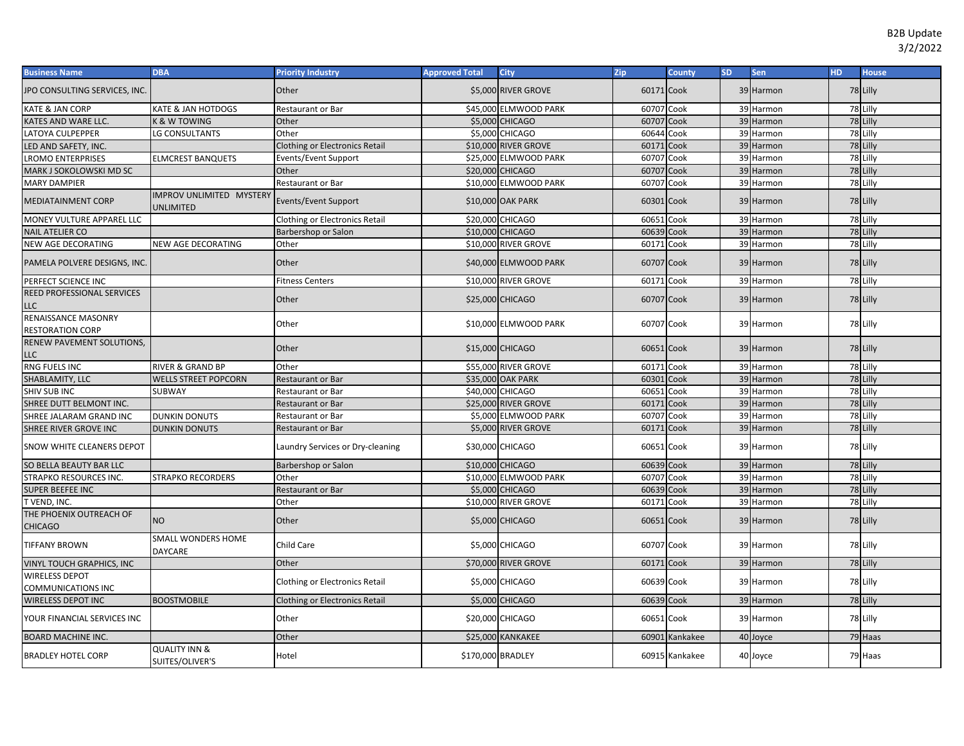| <b>Business Name</b>                           | <b>DBA</b>                                   | <b>Priority Industry</b>              | <b>Approved Total</b> | <b>City</b>           | Zip        | County         | <b>SD</b> | Sen       | <b>HD</b> | <b>House</b> |
|------------------------------------------------|----------------------------------------------|---------------------------------------|-----------------------|-----------------------|------------|----------------|-----------|-----------|-----------|--------------|
| JPO CONSULTING SERVICES, INC.                  |                                              | Other                                 |                       | \$5,000 RIVER GROVE   | 60171 Cook |                |           | 39 Harmon |           | 78 Lilly     |
| KATE & JAN CORP                                | KATE & JAN HOTDOGS                           | Restaurant or Bar                     |                       | \$45,000 ELMWOOD PARK | 60707      | Cook           |           | 39 Harmon |           | 78 Lilly     |
| KATES AND WARE LLC.                            | <b>K &amp; W TOWING</b>                      | Other                                 |                       | \$5,000 CHICAGO       | 60707      | Cook           |           | 39 Harmon |           | 78 Lilly     |
| LATOYA CULPEPPER                               | LG CONSULTANTS                               | Other                                 | \$5,000               | <b>CHICAGO</b>        | 60644      | Cook           |           | 39 Harmon |           | 78 Lilly     |
| LED AND SAFETY, INC.                           |                                              | <b>Clothing or Electronics Retail</b> |                       | \$10,000 RIVER GROVE  | 60171      | Cook           |           | 39 Harmon |           | 78 Lilly     |
| LROMO ENTERPRISES                              | <b>ELMCREST BANQUETS</b>                     | Events/Event Support                  | \$25,000              | <b>ELMWOOD PARK</b>   | 60707      | Cook           |           | 39 Harmon |           | 78 Lilly     |
| MARK J SOKOLOWSKI MD SC                        |                                              | Other                                 |                       | \$20,000 CHICAGO      | 60707      | Cook           |           | 39 Harmon |           | 78 Lilly     |
| <b>MARY DAMPIER</b>                            |                                              | Restaurant or Bar                     |                       | \$10,000 ELMWOOD PARK | 60707      | Cook           |           | 39 Harmon |           | 78 Lilly     |
| <b>MEDIATAINMENT CORP</b>                      | <b>IMPROV UNLIMITED MYSTERY</b><br>UNLIMITED | Events/Event Support                  |                       | \$10,000 OAK PARK     | 60301 Cook |                |           | 39 Harmon |           | 78 Lilly     |
| MONEY VULTURE APPAREL LLC                      |                                              | <b>Clothing or Electronics Retail</b> |                       | \$20,000 CHICAGO      | 60651 Cook |                |           | 39 Harmon |           | 78 Lilly     |
| <b>NAIL ATELIER CO</b>                         |                                              | Barbershop or Salon                   |                       | \$10,000 CHICAGO      | 60639      | Cook           |           | 39 Harmon |           | 78 Lilly     |
| <b>NEW AGE DECORATING</b>                      | NEW AGE DECORATING                           | Other                                 |                       | \$10,000 RIVER GROVE  | 60171 Cook |                |           | 39 Harmon |           | 78 Lilly     |
| PAMELA POLVERE DESIGNS, INC.                   |                                              | Other                                 |                       | \$40,000 ELMWOOD PARK | 60707 Cook |                |           | 39 Harmon |           | 78 Lilly     |
| PERFECT SCIENCE INC                            |                                              | <b>Fitness Centers</b>                |                       | \$10,000 RIVER GROVE  | 60171 Cook |                |           | 39 Harmon |           | 78 Lilly     |
| REED PROFESSIONAL SERVICES<br>LLC              |                                              | Other                                 |                       | \$25,000 CHICAGO      | 60707 Cook |                |           | 39 Harmon |           | 78 Lilly     |
| RENAISSANCE MASONRY<br><b>RESTORATION CORP</b> |                                              | Other                                 |                       | \$10,000 ELMWOOD PARK | 60707 Cook |                |           | 39 Harmon |           | 78 Lilly     |
| RENEW PAVEMENT SOLUTIONS,<br>LLC               |                                              | Other                                 |                       | \$15,000 CHICAGO      | 60651 Cook |                |           | 39 Harmon |           | 78 Lilly     |
| RNG FUELS INC                                  | RIVER & GRAND BP                             | Other                                 |                       | \$55,000 RIVER GROVE  | 60171      | Cook           |           | 39 Harmon |           | 78 Lilly     |
| SHABLAMITY, LLC                                | <b>WELLS STREET POPCORN</b>                  | Restaurant or Bar                     |                       | \$35,000 OAK PARK     | 60301 Cook |                |           | 39 Harmon |           | 78 Lilly     |
| <b>SHIV SUB INC</b>                            | SUBWAY                                       | Restaurant or Bar                     |                       | \$40,000 CHICAGO      | 60651      | Cook           |           | 39 Harmon |           | 78 Lilly     |
| SHREE DUTT BELMONT INC.                        |                                              | <b>Restaurant or Bar</b>              |                       | \$25,000 RIVER GROVE  | 60171      | Cook           |           | 39 Harmon |           | 78 Lilly     |
| SHREE JALARAM GRAND INC                        | <b>DUNKIN DONUTS</b>                         | <b>Restaurant or Bar</b>              |                       | \$5,000 ELMWOOD PARK  | 60707      | Cook           |           | 39 Harmon |           | 78 Lilly     |
| SHREE RIVER GROVE INC                          | <b>DUNKIN DONUTS</b>                         | Restaurant or Bar                     |                       | \$5,000 RIVER GROVE   | 60171      | Cook           |           | 39 Harmon |           | 78 Lilly     |
| SNOW WHITE CLEANERS DEPOT                      |                                              | Laundry Services or Dry-cleaning      |                       | \$30,000 CHICAGO      | 60651 Cook |                |           | 39 Harmon |           | 78 Lilly     |
| SO BELLA BEAUTY BAR LLC                        |                                              | Barbershop or Salon                   |                       | \$10,000 CHICAGO      | 60639      | Cook           |           | 39 Harmon |           | 78 Lilly     |
| <b>STRAPKO RESOURCES INC.</b>                  | <b>STRAPKO RECORDERS</b>                     | Other                                 |                       | \$10,000 ELMWOOD PARK | 60707      | Cook           |           | 39 Harmon |           | 78 Lilly     |
| SUPER BEEFEE INC                               |                                              | Restaurant or Bar                     | \$5,000               | <b>CHICAGO</b>        | 60639      | Cook           |           | 39 Harmon |           | 78 Lilly     |
| T VEND, INC.                                   |                                              | Other                                 |                       | \$10,000 RIVER GROVE  | 60171      | Cook           |           | 39 Harmon |           | 78 Lilly     |
| THE PHOENIX OUTREACH OF<br><b>CHICAGO</b>      | NO.                                          | Other                                 |                       | \$5,000 CHICAGO       | 60651 Cook |                |           | 39 Harmon |           | 78 Lilly     |
| <b>TIFFANY BROWN</b>                           | SMALL WONDERS HOME<br>DAYCARE                | Child Care                            |                       | \$5,000 CHICAGO       | 60707 Cook |                |           | 39 Harmon |           | 78 Lilly     |
| VINYL TOUCH GRAPHICS, INC                      |                                              | Other                                 |                       | \$70,000 RIVER GROVE  | 60171 Cook |                |           | 39 Harmon |           | 78 Lilly     |
| WIRELESS DEPOT<br>COMMUNICATIONS INC           |                                              | <b>Clothing or Electronics Retail</b> |                       | \$5,000 CHICAGO       | 60639 Cook |                |           | 39 Harmon |           | 78 Lilly     |
| WIRELESS DEPOT INC                             | <b>BOOSTMOBILE</b>                           | <b>Clothing or Electronics Retail</b> |                       | \$5,000 CHICAGO       | 60639 Cook |                |           | 39 Harmon |           | 78 Lilly     |
| YOUR FINANCIAL SERVICES INC                    |                                              | Other                                 |                       | \$20,000 CHICAGO      | 60651 Cook |                |           | 39 Harmon |           | 78 Lilly     |
| <b>BOARD MACHINE INC.</b>                      |                                              | Other                                 |                       | \$25,000 KANKAKEE     |            | 60901 Kankakee |           | 40 Joyce  |           | 79 Haas      |
| <b>BRADLEY HOTEL CORP</b>                      | <b>QUALITY INN &amp;</b><br>SUITES/OLIVER'S  | Hotel                                 | \$170,000 BRADLEY     |                       |            | 60915 Kankakee |           | 40 Joyce  |           | 79 Haas      |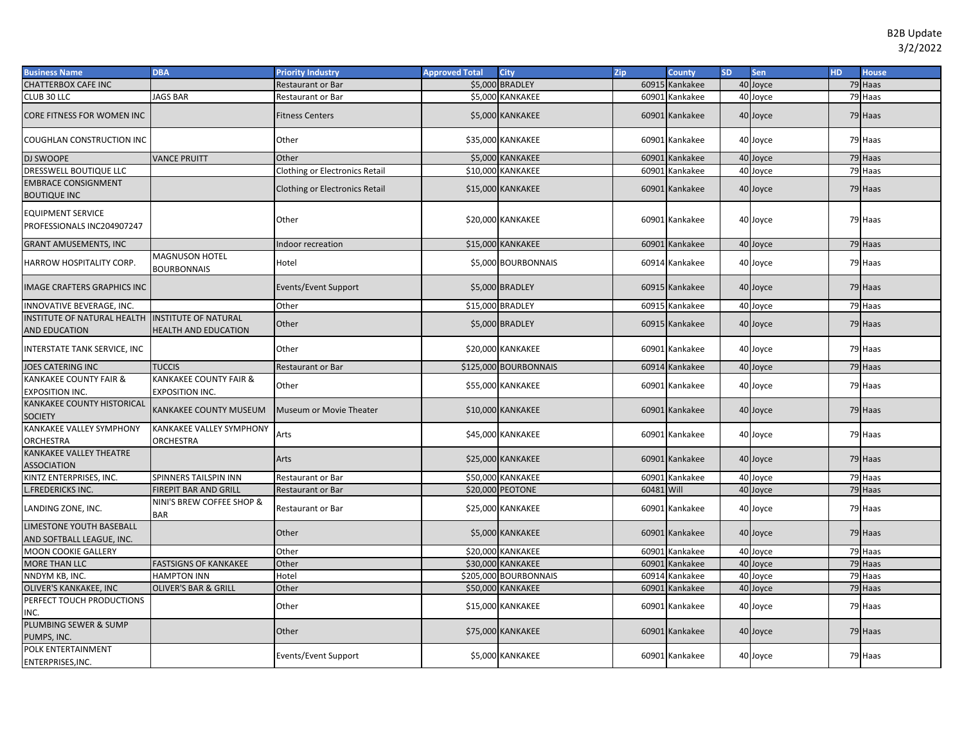| <b>Business Name</b>                                   | <b>DBA</b>                                       | <b>Priority Industry</b>              | <b>Approved Total</b> | <b>City</b>              | Zip        | <b>County</b>  | <b>SD</b> | Sen      | <b>HD</b> | <b>House</b> |
|--------------------------------------------------------|--------------------------------------------------|---------------------------------------|-----------------------|--------------------------|------------|----------------|-----------|----------|-----------|--------------|
| <b>CHATTERBOX CAFE INC</b>                             |                                                  | <b>Restaurant or Bar</b>              |                       | \$5,000 BRADLEY          |            | 60915 Kankakee |           | 40 Joyce |           | 79 Haas      |
| CLUB 30 LLC                                            | <b>JAGS BAR</b>                                  | Restaurant or Bar                     |                       | \$5,000 KANKAKEE         |            | 60901 Kankakee |           | 40 Joyce |           | 79 Haas      |
| CORE FITNESS FOR WOMEN INC                             |                                                  | <b>Fitness Centers</b>                |                       | \$5,000 KANKAKEE         |            | 60901 Kankakee |           | 40 Joyce |           | 79 Haas      |
| COUGHLAN CONSTRUCTION INC                              |                                                  | Other                                 |                       | \$35,000 KANKAKEE        |            | 60901 Kankakee |           | 40 Joyce |           | 79 Haas      |
| DJ SWOOPE                                              | <b>VANCE PRUITT</b>                              | Other                                 |                       | \$5,000 KANKAKEE         |            | 60901 Kankakee |           | 40 Joyce |           | 79 Haas      |
| DRESSWELL BOUTIQUE LLC                                 |                                                  | <b>Clothing or Electronics Retail</b> |                       | \$10,000 KANKAKEE        |            | 60901 Kankakee |           | 40 Joyce |           | 79 Haas      |
| <b>EMBRACE CONSIGNMENT</b><br><b>BOUTIQUE INC</b>      |                                                  | Clothing or Electronics Retail        |                       | \$15,000 KANKAKEE        |            | 60901 Kankakee |           | 40 Joyce |           | 79 Haas      |
| <b>EQUIPMENT SERVICE</b><br>PROFESSIONALS INC204907247 |                                                  | Other                                 |                       | \$20,000 KANKAKEE        |            | 60901 Kankakee |           | 40 Joyce |           | 79 Haas      |
| <b>GRANT AMUSEMENTS, INC</b>                           |                                                  | Indoor recreation                     |                       | \$15,000 KANKAKEE        |            | 60901 Kankakee |           | 40 Joyce |           | 79 Haas      |
| HARROW HOSPITALITY CORP.                               | <b>MAGNUSON HOTEL</b><br><b>BOURBONNAIS</b>      | Hotel                                 |                       | \$5,000 BOURBONNAIS      |            | 60914 Kankakee |           | 40 Joyce |           | 79 Haas      |
| <b>IMAGE CRAFTERS GRAPHICS INC</b>                     |                                                  | Events/Event Support                  |                       | \$5,000 BRADLEY          |            | 60915 Kankakee |           | 40 Joyce |           | 79 Haas      |
| INNOVATIVE BEVERAGE, INC.                              |                                                  | Other                                 |                       | \$15,000 BRADLEY         |            | 60915 Kankakee |           | 40 Joyce |           | 79 Haas      |
| INSTITUTE OF NATURAL HEALTH                            | <b>INSTITUTE OF NATURAL</b>                      | Other                                 |                       | \$5,000 BRADLEY          |            |                |           | 40 Joyce |           | 79 Haas      |
| AND EDUCATION                                          | <b>HEALTH AND EDUCATION</b>                      |                                       |                       |                          |            | 60915 Kankakee |           |          |           |              |
| INTERSTATE TANK SERVICE, INC                           |                                                  | Other                                 |                       | \$20,000 KANKAKEE        |            | 60901 Kankakee |           | 40 Joyce |           | 79 Haas      |
| JOES CATERING INC                                      | <b>TUCCIS</b>                                    | <b>Restaurant or Bar</b>              |                       | \$125,000 BOURBONNAIS    |            | 60914 Kankakee |           | 40 Joyce |           | 79 Haas      |
| KANKAKEE COUNTY FAIR &<br><b>EXPOSITION INC.</b>       | KANKAKEE COUNTY FAIR &<br><b>EXPOSITION INC.</b> | Other                                 |                       | \$55,000 KANKAKEE        |            | 60901 Kankakee |           | 40 Joyce |           | 79 Haas      |
| KANKAKEE COUNTY HISTORICAL<br><b>SOCIETY</b>           | KANKAKEE COUNTY MUSEUM                           | Museum or Movie Theater               |                       | \$10,000 KANKAKEE        |            | 60901 Kankakee |           | 40 Joyce |           | 79 Haas      |
| <b>KANKAKEE VALLEY SYMPHONY</b><br><b>ORCHESTRA</b>    | KANKAKEE VALLEY SYMPHONY<br>ORCHESTRA            | Arts                                  |                       | \$45,000 KANKAKEE        |            | 60901 Kankakee |           | 40 Joyce |           | 79 Haas      |
| <b>KANKAKEE VALLEY THEATRE</b><br><b>ASSOCIATION</b>   |                                                  | Arts                                  |                       | \$25,000 KANKAKEE        |            | 60901 Kankakee |           | 40 Joyce |           | 79 Haas      |
| KINTZ ENTERPRISES, INC.                                | SPINNERS TAILSPIN INN                            | Restaurant or Bar                     |                       | \$50,000 KANKAKEE        |            | 60901 Kankakee |           | 40 Joyce |           | 79 Haas      |
| .FREDERICKS INC.                                       | <b>FIREPIT BAR AND GRILL</b>                     | Restaurant or Bar                     |                       | \$20,000 PEOTONE         | 60481 Will |                |           | 40 Joyce |           | 79 Haas      |
| LANDING ZONE, INC.                                     | NINI'S BREW COFFEE SHOP &<br><b>BAR</b>          | Restaurant or Bar                     |                       | \$25,000 KANKAKEE        |            | 60901 Kankakee |           | 40 Joyce |           | 79 Haas      |
| LIMESTONE YOUTH BASEBALL<br>AND SOFTBALL LEAGUE, INC.  |                                                  | Other                                 |                       | \$5,000 KANKAKEE         |            | 60901 Kankakee |           | 40 Joyce |           | 79 Haas      |
| <b>MOON COOKIE GALLERY</b>                             |                                                  | Other                                 |                       | <b>\$20,000 KANKAKEE</b> | 60901      | Kankakee       |           | 40 Joyce |           | 79 Haas      |
| <b>MORE THAN LLC</b>                                   | <b>FASTSIGNS OF KANKAKEE</b>                     | Other                                 |                       | <b>\$30,000 KANKAKEE</b> |            | 60901 Kankakee |           | 40 Joyce |           | 79 Haas      |
| NNDYM KB, INC.                                         | <b>HAMPTON INN</b>                               | Hotel                                 |                       | \$205,000 BOURBONNAIS    |            | 60914 Kankakee |           | 40 Joyce |           | 79 Haas      |
| OLIVER'S KANKAKEE, INC                                 | <b>OLIVER'S BAR &amp; GRILL</b>                  | Other                                 |                       | \$50,000 KANKAKEE        |            | 60901 Kankakee |           | 40 Joyce |           | 79 Haas      |
| PERFECT TOUCH PRODUCTIONS<br>INC.                      |                                                  | Other                                 |                       | \$15,000 KANKAKEE        |            | 60901 Kankakee |           | 40 Joyce |           | 79 Haas      |
| PLUMBING SEWER & SUMP<br>PUMPS, INC.                   |                                                  | Other                                 |                       | \$75,000 KANKAKEE        |            | 60901 Kankakee |           | 40 Joyce |           | 79 Haas      |
| POLK ENTERTAINMENT<br>ENTERPRISES, INC.                |                                                  | Events/Event Support                  |                       | \$5,000 KANKAKEE         |            | 60901 Kankakee |           | 40 Joyce |           | 79 Haas      |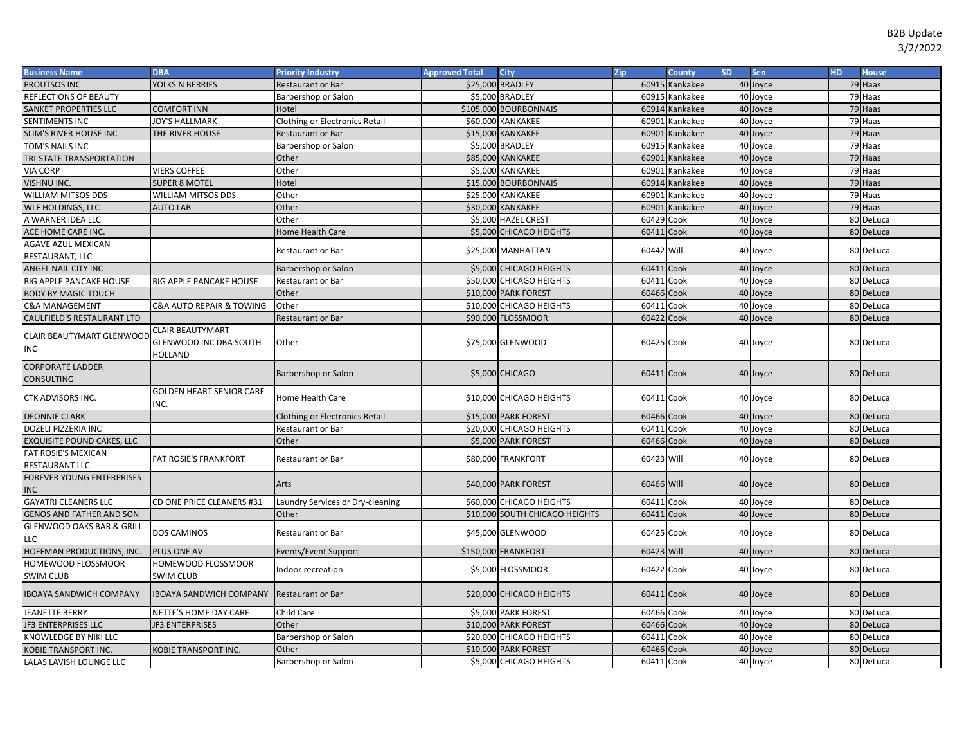| Zip<br><b>Business Name</b><br><b>DBA</b><br><b>Priority Industry</b><br><b>Approved Total</b><br><b>City</b>            | <b>County</b>  | SD. | <b>Sen</b>           | HD. | <b>House</b> |
|--------------------------------------------------------------------------------------------------------------------------|----------------|-----|----------------------|-----|--------------|
| PROUTSOS INC<br>\$25,000 BRADLEY<br>YOLKS N BERRIES<br><b>Restaurant or Bar</b>                                          | 60915 Kankakee |     | 40 Joyce             |     | 79 Haas      |
| \$5,000 BRADLEY<br>REFLECTIONS OF BEAUTY<br>Barbershop or Salon                                                          | 60915 Kankakee |     | 40 Joyce             |     | 79 Haas      |
| \$105,000 BOURBONNAIS<br>SANKET PROPERTIES LLC<br><b>COMFORT INN</b><br>Hotel                                            | 60914 Kankakee |     | 40 Joyce             |     | 79 Haas      |
| JOY'S HALLMARK<br><b>Clothing or Electronics Retail</b><br>\$60,000 KANKAKEE<br>SENTIMENTS INC                           | 60901 Kankakee |     | 40 Joyce             |     | 79 Haas      |
| \$15,000 KANKAKEE<br>SLIM'S RIVER HOUSE INC<br>THE RIVER HOUSE<br><b>Restaurant or Bar</b><br>60901                      | Kankakee       |     | 40 Joyce             |     | 79 Haas      |
| \$5,000 BRADLEY<br>Barbershop or Salon<br>TOM'S NAILS INC                                                                | 60915 Kankakee |     | 40 Joyce             |     | 79 Haas      |
| <b>\$85,000 KANKAKEE</b><br>Other<br>60901<br>TRI-STATE TRANSPORTATION                                                   | Kankakee       |     | 40 Joyce             |     | 79 Haas      |
| <b>VIERS COFFEE</b><br>Other<br>\$5,000 KANKAKEE<br>VIA CORP                                                             | 60901 Kankakee |     | 40 Joyce             |     | 79 Haas      |
| VISHNU INC.<br><b>SUPER 8 MOTEL</b><br>Hotel<br>\$15,000 BOURBONNAIS                                                     | 60914 Kankakee |     | 40 Joyce             |     | 79 Haas      |
| WILLIAM MITSOS DDS<br>Other<br>WILLIAM MITSOS DDS<br>\$25,000 KANKAKEE                                                   | 60901 Kankakee |     | 40 Joyce             |     | 79 Haas      |
| Other<br><b>\$30,000 KANKAKEE</b><br>60901<br>WLF HOLDINGS, LLC<br><b>AUTO LAB</b>                                       | Kankakee       |     | 40 Joyce             |     | 79 Haas      |
| A WARNER IDEA LLC<br>Other<br>\$5,000 HAZEL CREST                                                                        | 60429 Cook     |     | 40 Joyce             |     | 80 DeLuca    |
| ACE HOME CARE INC.<br>\$5,000 CHICAGO HEIGHTS<br>Home Health Care                                                        | 60411 Cook     |     | 40 Joyce             |     | 80 DeLuca    |
| <b>AGAVE AZUL MEXICAN</b><br>\$25,000 MANHATTAN<br>Restaurant or Bar                                                     | 60442 Will     |     |                      |     | 80 DeLuca    |
| RESTAURANT, LLC                                                                                                          |                |     | 40 Joyce             |     |              |
| \$5,000 CHICAGO HEIGHTS<br>ANGEL NAIL CITY INC<br>Barbershop or Salon                                                    | 60411 Cook     |     | 40 Joyce             |     | 80 DeLuca    |
| <b>BIG APPLE PANCAKE HOUSE</b><br><b>BIG APPLE PANCAKE HOUSE</b><br>\$50,000 CHICAGO HEIGHTS<br>Restaurant or Bar        | 60411 Cook     | 40  | Joyce                |     | 80 DeLuca    |
| <b>BODY BY MAGIC TOUCH</b><br>\$10,000 PARK FOREST<br>Other                                                              | 60466 Cook     |     | 40 Joyce             |     | 80 DeLuca    |
| <b>C&amp;A MANAGEMENT</b><br>C&A AUTO REPAIR & TOWING<br>Other<br>\$10,000 CHICAGO HEIGHTS                               | 60411 Cook     |     | 40 Joyce             |     | 80 DeLuca    |
| CAULFIELD'S RESTAURANT LTD<br>\$90,000 FLOSSMOOR<br>Restaurant or Bar                                                    | 60422 Cook     |     | 40 Joyce             |     | 80 DeLuca    |
| <b>CLAIR BEAUTYMART</b><br>CLAIR BEAUTYMART GLENWOOD                                                                     |                |     |                      |     |              |
| \$75,000 GLENWOOD<br><b>GLENWOOD INC DBA SOUTH</b><br>Other                                                              | 60425 Cook     |     | 40 Joyce             |     | 80 DeLuca    |
| INC<br>HOLLAND                                                                                                           |                |     |                      |     |              |
| <b>CORPORATE LADDER</b>                                                                                                  | 60411 Cook     |     |                      |     | 80 DeLuca    |
| Barbershop or Salon<br>\$5,000 CHICAGO<br>CONSULTING                                                                     |                |     | 40 Joyce             |     |              |
| <b>GOLDEN HEART SENIOR CARE</b><br>CTK ADVISORS INC.<br>Home Health Care                                                 | 60411 Cook     |     |                      |     | 80 DeLuca    |
| \$10,000 CHICAGO HEIGHTS<br>INC.                                                                                         |                |     | 40 Joyce             |     |              |
| \$15,000 PARK FOREST<br><b>DEONNIE CLARK</b><br><b>Clothing or Electronics Retail</b>                                    | 60466 Cook     |     | 40 Joyce             |     | 80 DeLuca    |
| DOZELI PIZZERIA INC<br>\$20,000 CHICAGO HEIGHTS<br>Restaurant or Bar                                                     | 60411 Cook     |     | 40 Joyce             |     | 80 DeLuca    |
| \$5,000 PARK FOREST<br><b>EXQUISITE POUND CAKES, LLC</b><br>Other                                                        | 60466 Cook     |     | 40 Joyce             |     | 80 DeLuca    |
| FAT ROSIE'S MEXICAN<br><b>FAT ROSIE'S FRANKFORT</b><br>\$80,000 FRANKFORT<br><b>Restaurant or Bar</b>                    | 60423 Will     |     | 40 Joyce             |     | 80 DeLuca    |
| RESTAURANT LLC                                                                                                           |                |     |                      |     |              |
| FOREVER YOUNG ENTERPRISES<br>\$40,000 PARK FOREST<br>Arts                                                                | 60466 Will     |     | 40 Joyce             |     | 80 DeLuca    |
| <b>INC</b>                                                                                                               |                |     |                      |     |              |
| <b>GAYATRI CLEANERS LLC</b><br>CD ONE PRICE CLEANERS #31<br>Laundry Services or Dry-cleaning<br>\$60,000 CHICAGO HEIGHTS | 60411 Cook     |     | 40 Joyce             |     | 80 DeLuca    |
| <b>GENOS AND FATHER AND SON</b><br>Other<br>\$10,000 SOUTH CHICAGO HEIGHTS<br>60411                                      | Cook           |     | 40 Joyce             |     | 80 DeLuca    |
| GLENWOOD OAKS BAR & GRILL<br>DOS CAMINOS<br>\$45,000 GLENWOOD<br>Restaurant or Bar                                       | 60425 Cook     |     | 40 Joyce             |     | 80 DeLuca    |
| LLC                                                                                                                      |                |     |                      |     |              |
| HOFFMAN PRODUCTIONS, INC.<br>\$150,000 FRANKFORT<br>PLUS ONE AV<br>Events/Event Support                                  | 60423 Will     |     | 40 Joyce             |     | 80 DeLuca    |
| HOMEWOOD FLOSSMOOR<br>HOMEWOOD FLOSSMOOR<br>\$5,000 FLOSSMOOR<br>Indoor recreation                                       | 60422 Cook     |     | 40 Joyce             |     | 80 DeLuca    |
| <b>SWIM CLUB</b><br>SWIM CLUB                                                                                            |                |     |                      |     |              |
| <b>IBOAYA SANDWICH COMPANY</b><br><b>IBOAYA SANDWICH COMPANY</b><br>\$20,000 CHICAGO HEIGHTS<br><b>Restaurant or Bar</b> | 60411 Cook     |     | 40 Joyce             |     | 80 DeLuca    |
| \$5,000 PARK FOREST<br><b>JEANETTE BERRY</b><br>NETTE'S HOME DAY CARE<br>Child Care                                      | 60466 Cook     |     | 40 Joyce             |     | 80 DeLuca    |
| JF3 ENTERPRISES LLC<br><b>JF3 ENTERPRISES</b><br>Other<br>\$10,000 PARK FOREST<br>60466                                  |                |     |                      |     |              |
|                                                                                                                          | Cook           |     | 40 Joyce             |     | 80 DeLuca    |
| \$20,000 CHICAGO HEIGHTS<br>60411<br>KNOWLEDGE BY NIKI LLC<br>Barbershop or Salon                                        | Cook           |     |                      |     | 80 DeLuca    |
| KOBIE TRANSPORT INC.<br><b>COBIE TRANSPORT INC.</b><br>Other<br>\$10,000 PARK FOREST                                     | 60466 Cook     |     | 40 Joyce<br>40 Joyce |     | 80 DeLuca    |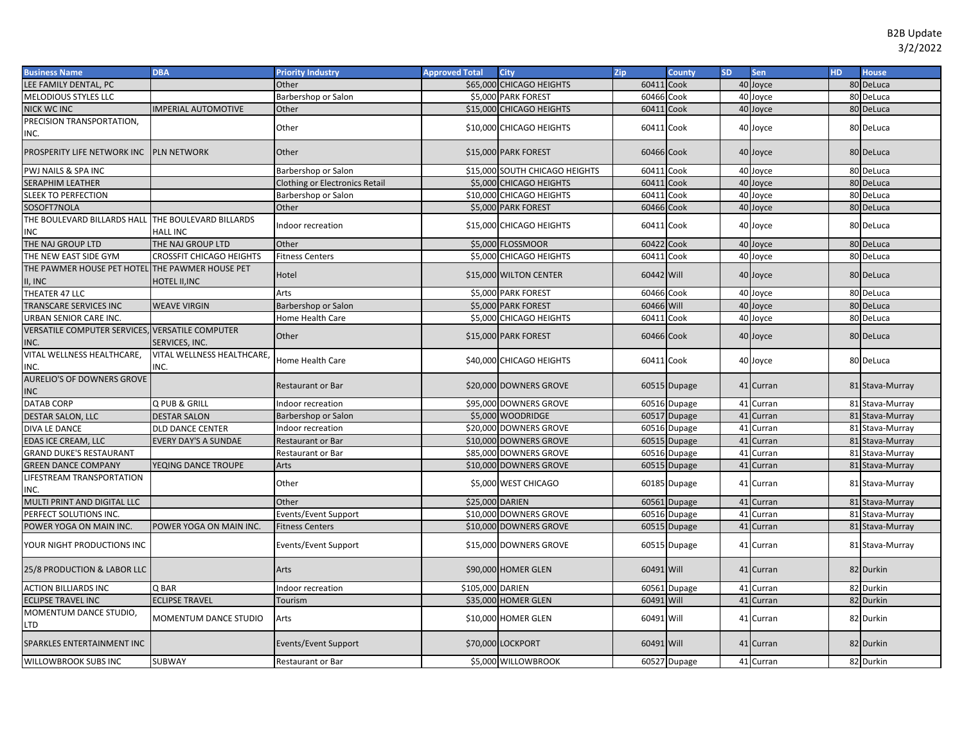| <b>Business Name</b>                                       | <b>DBA</b>                         | <b>Priority Industry</b>              | <b>Approved Total</b> | City                           | Zip        | <b>County</b> | <b>SD</b> | Sen       | HD. | <b>House</b>    |
|------------------------------------------------------------|------------------------------------|---------------------------------------|-----------------------|--------------------------------|------------|---------------|-----------|-----------|-----|-----------------|
| LEE FAMILY DENTAL, PC                                      |                                    | Other                                 |                       | \$65,000 CHICAGO HEIGHTS       | 60411      | Cook          |           | 40 Joyce  |     | 80 DeLuca       |
| MELODIOUS STYLES LLC                                       |                                    | Barbershop or Salon                   |                       | \$5,000 PARK FOREST            | 60466 Cook |               |           | 40 Joyce  |     | 80 DeLuca       |
| <b>NICK WC INC</b>                                         | <b>MPERIAL AUTOMOTIVE</b>          | Other                                 |                       | \$15,000 CHICAGO HEIGHTS       | 60411 Cook |               |           | 40 Joyce  |     | 80 DeLuca       |
| PRECISION TRANSPORTATION,<br>INC.                          |                                    | Other                                 |                       | \$10,000 CHICAGO HEIGHTS       | 60411 Cook |               |           | 40 Joyce  |     | 80 DeLuca       |
| PROSPERITY LIFE NETWORK INC PLN NETWORK                    |                                    | Other                                 |                       | \$15,000 PARK FOREST           | 60466 Cook |               |           | 40 Joyce  |     | 80 DeLuca       |
| PWJ NAILS & SPA INC                                        |                                    | Barbershop or Salon                   |                       | \$15,000 SOUTH CHICAGO HEIGHTS | 60411 Cook |               |           | 40 Joyce  |     | 80 DeLuca       |
| SERAPHIM LEATHER                                           |                                    | <b>Clothing or Electronics Retail</b> |                       | \$5,000 CHICAGO HEIGHTS        | 60411      | Cook          |           | 40 Joyce  |     | 80 DeLuca       |
| <b>SLEEK TO PERFECTION</b>                                 |                                    | Barbershop or Salon                   |                       | \$10,000 CHICAGO HEIGHTS       | 60411      | Cook          |           | 40 Joyce  |     | 80 DeLuca       |
| SOSOFT7NOLA                                                |                                    | Other                                 |                       | \$5,000 PARK FOREST            | 60466 Cook |               |           | 40 Joyce  |     | 80 DeLuca       |
| THE BOULEVARD BILLARDS HALL THE BOULEVARD BILLARDS<br>INC  | <b>HALL INC</b>                    | Indoor recreation                     |                       | \$15,000 CHICAGO HEIGHTS       | 60411 Cook |               |           | 40 Joyce  |     | 80 DeLuca       |
| THE NAJ GROUP LTD                                          | THE NAJ GROUP LTD                  | Other                                 |                       | \$5,000 FLOSSMOOR              | 60422 Cook |               |           | 40 Joyce  |     | 80 DeLuca       |
| THE NEW EAST SIDE GYM                                      | <b>CROSSFIT CHICAGO HEIGHTS</b>    | <b>Fitness Centers</b>                |                       | \$5,000 CHICAGO HEIGHTS        | 60411 Cook |               |           | 40 Joyce  |     | 80 DeLuca       |
| THE PAWMER HOUSE PET HOTEL THE PAWMER HOUSE PET<br>II, INC | <b>HOTEL II, INC</b>               | Hotel                                 |                       | \$15,000 WILTON CENTER         | 60442 Will |               |           | 40 Joyce  |     | 80 DeLuca       |
| THEATER 47 LLC                                             |                                    | Arts                                  |                       | \$5,000 PARK FOREST            | 60466 Cook |               |           | 40 Joyce  |     | 80 DeLuca       |
| TRANSCARE SERVICES INC                                     | <b>WEAVE VIRGIN</b>                | Barbershop or Salon                   |                       | \$5,000 PARK FOREST            | 60466 Will |               |           | 40 Joyce  |     | 80 DeLuca       |
| URBAN SENIOR CARE INC.                                     |                                    | Home Health Care                      |                       | \$5,000 CHICAGO HEIGHTS        | 60411      | Cook          |           | 40 Joyce  |     | 80 DeLuca       |
| VERSATILE COMPUTER SERVICES, VERSATILE COMPUTER<br>INC.    | SERVICES, INC.                     | Other                                 |                       | \$15,000 PARK FOREST           | 60466 Cook |               |           | 40 Joyce  |     | 80 DeLuca       |
| VITAL WELLNESS HEALTHCARE,<br>INC.                         | VITAL WELLNESS HEALTHCARE,<br>INC. | Home Health Care                      |                       | \$40,000 CHICAGO HEIGHTS       | 60411 Cook |               |           | 40 Joyce  |     | 80 DeLuca       |
| <b>AURELIO'S OF DOWNERS GROVE</b><br><b>INC</b>            |                                    | <b>Restaurant or Bar</b>              |                       | \$20,000 DOWNERS GROVE         |            | 60515 Dupage  |           | 41 Curran |     | 81 Stava-Murray |
| <b>DATAB CORP</b>                                          | Q PUB & GRILL                      | Indoor recreation                     |                       | \$95,000 DOWNERS GROVE         |            | 60516 Dupage  |           | 41 Curran |     | 81 Stava-Murray |
| DESTAR SALON, LLC                                          | <b>DESTAR SALON</b>                | Barbershop or Salon                   |                       | \$5,000 WOODRIDGE              |            | 60517 Dupage  | 41        | Curran    |     | 81 Stava-Murray |
| <b>DIVA LE DANCE</b>                                       | <b>DLD DANCE CENTER</b>            | Indoor recreation                     |                       | \$20,000 DOWNERS GROVE         |            | 60516 Dupage  | 41        | Curran    |     | 81 Stava-Murray |
| EDAS ICE CREAM, LLC                                        | <b>EVERY DAY'S A SUNDAE</b>        | <b>Restaurant or Bar</b>              |                       | \$10,000 DOWNERS GROVE         |            | 60515 Dupage  | 41        | Curran    |     | 81 Stava-Murray |
| <b>GRAND DUKE'S RESTAURANT</b>                             |                                    | Restaurant or Bar                     |                       | \$85,000 DOWNERS GROVE         |            | 60516 Dupage  | 41        | Curran    |     | 81 Stava-Murray |
| <b>GREEN DANCE COMPANY</b>                                 | YEQING DANCE TROUPE                | Arts                                  |                       | \$10,000 DOWNERS GROVE         |            | 60515 Dupage  | 41        | Curran    |     | 81 Stava-Murray |
| LIFESTREAM TRANSPORTATION<br>INC.                          |                                    | Other                                 |                       | \$5,000 WEST CHICAGO           |            | 60185 Dupage  |           | 41 Curran |     | 81 Stava-Murray |
| MULTI PRINT AND DIGITAL LLC                                |                                    | Other                                 | \$25,000 DARIEN       |                                |            | 60561 Dupage  |           | 41 Curran |     | 81 Stava-Murray |
| PERFECT SOLUTIONS INC.                                     |                                    | Events/Event Support                  |                       | \$10,000 DOWNERS GROVE         |            | 60516 Dupage  | 41        | Curran    |     | 81 Stava-Murray |
| POWER YOGA ON MAIN INC.                                    | POWER YOGA ON MAIN INC.            | <b>Fitness Centers</b>                |                       | \$10,000 DOWNERS GROVE         |            | 60515 Dupage  | 41        | Curran    |     | 81 Stava-Murray |
| YOUR NIGHT PRODUCTIONS INC                                 |                                    | Events/Event Support                  |                       | \$15,000 DOWNERS GROVE         |            | 60515 Dupage  | 41        | Curran    |     | 81 Stava-Murray |
| 25/8 PRODUCTION & LABOR LLC                                |                                    | Arts                                  |                       | \$90,000 HOMER GLEN            | 60491 Will |               |           | 41 Curran |     | 82 Durkin       |
| <b>ACTION BILLIARDS INC</b>                                | Q BAR                              | ndoor recreation                      | \$105,000 DARIEN      |                                |            | 60561 Dupage  | 41        | Curran    |     | 82 Durkin       |
| <b>ECLIPSE TRAVEL INC</b>                                  | <b>ECLIPSE TRAVEL</b>              | Tourism                               |                       | \$35,000 HOMER GLEN            | 60491 Will |               | 41        | Curran    |     | 82 Durkin       |
| MOMENTUM DANCE STUDIO,<br>LTD                              | MOMENTUM DANCE STUDIO              | Arts                                  |                       | \$10,000 HOMER GLEN            | 60491 Will |               |           | 41 Curran |     | 82 Durkin       |
| SPARKLES ENTERTAINMENT INC                                 |                                    | Events/Event Support                  |                       | \$70,000 LOCKPORT              | 60491 Will |               |           | 41 Curran |     | 82 Durkin       |
| <b>WILLOWBROOK SUBS INC</b>                                | SUBWAY                             | Restaurant or Bar                     |                       | \$5,000 WILLOWBROOK            |            | 60527 Dupage  |           | 41 Curran |     | 82 Durkin       |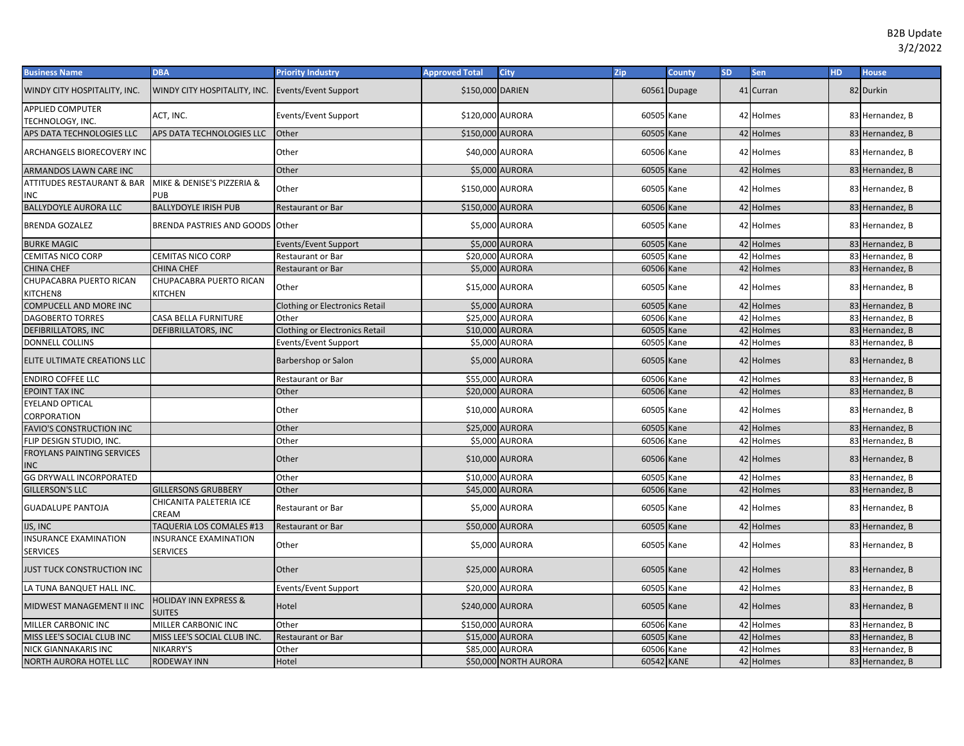| <b>Business Name</b>                            | <b>DBA</b>                                        | <b>Priority Industry</b>              | <b>Approved Total</b> | <b>City</b>           | Zip        | <b>County</b> | <b>SD</b> | <b>Sen</b> | <b>HD</b> | <b>House</b>    |
|-------------------------------------------------|---------------------------------------------------|---------------------------------------|-----------------------|-----------------------|------------|---------------|-----------|------------|-----------|-----------------|
| WINDY CITY HOSPITALITY, INC.                    | WINDY CITY HOSPITALITY, INC.                      | <b>Events/Event Support</b>           | \$150,000 DARIEN      |                       |            | 60561 Dupage  |           | 41 Curran  |           | 82 Durkin       |
| <b>APPLIED COMPUTER</b><br>TECHNOLOGY, INC.     | ACT, INC.                                         | Events/Event Support                  | \$120,000 AURORA      |                       | 60505 Kane |               |           | 42 Holmes  |           | 83 Hernandez, B |
| APS DATA TECHNOLOGIES LLC                       | APS DATA TECHNOLOGIES LLC                         | Other                                 | \$150,000 AURORA      |                       | 60505 Kane |               |           | 42 Holmes  |           | 83 Hernandez, B |
| ARCHANGELS BIORECOVERY INC                      |                                                   | Other                                 | \$40,000 AURORA       |                       | 60506 Kane |               |           | 42 Holmes  |           | 83 Hernandez, B |
| ARMANDOS LAWN CARE INC                          |                                                   | Other                                 |                       | \$5,000 AURORA        | 60505 Kane |               |           | 42 Holmes  |           | 83 Hernandez, B |
| ATTITUDES RESTAURANT & BAR<br>INC.              | MIKE & DENISE'S PIZZERIA &<br>PUB                 | Other                                 | \$150,000 AURORA      |                       | 60505      | Kane          |           | 42 Holmes  |           | 83 Hernandez, B |
| <b>BALLYDOYLE AURORA LLC</b>                    | <b>BALLYDOYLE IRISH PUB</b>                       | <b>Restaurant or Bar</b>              | \$150,000 AURORA      |                       | 60506      | Kane          |           | 42 Holmes  |           | 83 Hernandez, B |
| <b>BRENDA GOZALEZ</b>                           | <b>BRENDA PASTRIES AND GOODS Other</b>            |                                       |                       | \$5,000 AURORA        | 60505 Kane |               |           | 42 Holmes  |           | 83 Hernandez, B |
| <b>BURKE MAGIC</b>                              |                                                   | Events/Event Support                  |                       | \$5,000 AURORA        | 60505      | Kane          |           | 42 Holmes  |           | 83 Hernandez, B |
| CEMITAS NICO CORP                               | CEMITAS NICO CORP                                 | Restaurant or Bar                     |                       | \$20,000 AURORA       | 60505      | Kane          |           | 42 Holmes  |           | 83 Hernandez, B |
| <b>CHINA CHEF</b>                               | <b>CHINA CHEF</b>                                 | Restaurant or Bar                     |                       | \$5,000 AURORA        | 60506      | Kane          |           | 42 Holmes  |           | 83 Hernandez, B |
| CHUPACABRA PUERTO RICAN<br>KITCHEN8             | CHUPACABRA PUERTO RICAN<br>KITCHEN                | Other                                 |                       | \$15,000 AURORA       | 60505 Kane |               |           | 42 Holmes  |           | 83 Hernandez, B |
| <b>COMPUCELL AND MORE INC</b>                   |                                                   | <b>Clothing or Electronics Retail</b> |                       | \$5,000 AURORA        | 60505 Kane |               |           | 42 Holmes  |           | 83 Hernandez, B |
| <b>DAGOBERTO TORRES</b>                         | CASA BELLA FURNITURE                              | Other                                 | \$25,000 AURORA       |                       | 60506      | Kane          |           | 42 Holmes  |           | 83 Hernandez, B |
| <b>DEFIBRILLATORS, INC</b>                      | DEFIBRILLATORS, INC                               | <b>Clothing or Electronics Retail</b> | \$10,000 AURORA       |                       | 60505      | Kane          |           | 42 Holmes  |           | 83 Hernandez, B |
| <b>DONNELL COLLINS</b>                          |                                                   | <b>Events/Event Support</b>           |                       | \$5,000 AURORA        | 60505      | Kane          |           | 42 Holmes  |           | 83 Hernandez, B |
| ELITE ULTIMATE CREATIONS LLC                    |                                                   | Barbershop or Salon                   |                       | \$5,000 AURORA        | 60505 Kane |               |           | 42 Holmes  |           | 83 Hernandez, B |
| <b>ENDIRO COFFEE LLC</b>                        |                                                   | Restaurant or Bar                     | \$55,000 AURORA       |                       | 60506      | Kane          |           | 42 Holmes  |           | 83 Hernandez, B |
| <b>EPOINT TAX INC</b>                           |                                                   | Other                                 |                       | \$20,000 AURORA       | 60506      | Kane          |           | 42 Holmes  |           | 83 Hernandez, B |
| <b>EYELAND OPTICAL</b><br>CORPORATION           |                                                   | Other                                 | \$10,000 AURORA       |                       | 60505 Kane |               |           | 42 Holmes  |           | 83 Hernandez, B |
| <b>FAVIO'S CONSTRUCTION INC</b>                 |                                                   | Other                                 | \$25,000 AURORA       |                       | 60505 Kane |               |           | 42 Holmes  |           | 83 Hernandez, B |
| FLIP DESIGN STUDIO, INC.                        |                                                   | Other                                 |                       | \$5,000 AURORA        | 60506      | Kane          |           | 42 Holmes  |           | 83 Hernandez, B |
| <b>FROYLANS PAINTING SERVICES</b><br><b>INC</b> |                                                   | Other                                 |                       | \$10,000 AURORA       | 60506 Kane |               |           | 42 Holmes  |           | 83 Hernandez, B |
| <b>GG DRYWALL INCORPORATED</b>                  |                                                   | Other                                 | \$10,000 AURORA       |                       | 60505 Kane |               |           | 42 Holmes  |           | 83 Hernandez, B |
| <b>GILLERSON'S LLC</b>                          | <b>GILLERSONS GRUBBERY</b>                        | Other                                 |                       | \$45,000 AURORA       | 60506 Kane |               |           | 42 Holmes  |           | 83 Hernandez, B |
| <b>GUADALUPE PANTOJA</b>                        | CHICANITA PALETERIA ICE<br>CREAM                  | <b>Restaurant or Bar</b>              |                       | \$5,000 AURORA        | 60505 Kane |               |           | 42 Holmes  |           | 83 Hernandez, B |
| IJS, INC                                        | TAQUERIA LOS COMALES #13                          | <b>Restaurant or Bar</b>              | \$50,000 AURORA       |                       | 60505 Kane |               |           | 42 Holmes  |           | 83 Hernandez, B |
| <b>INSURANCE EXAMINATION</b><br><b>SERVICES</b> | <b>INSURANCE EXAMINATION</b><br><b>SERVICES</b>   | Other                                 |                       | \$5,000 AURORA        | 60505 Kane |               |           | 42 Holmes  |           | 83 Hernandez, B |
| JUST TUCK CONSTRUCTION INC                      |                                                   | Other                                 | \$25,000 AURORA       |                       | 60505 Kane |               |           | 42 Holmes  |           | 83 Hernandez, B |
| LA TUNA BANQUET HALL INC.                       |                                                   | Events/Event Support                  | \$20,000 AURORA       |                       | 60505      | Kane          |           | 42 Holmes  |           | 83 Hernandez, B |
| MIDWEST MANAGEMENT II INC                       | <b>HOLIDAY INN EXPRESS &amp;</b><br><b>SUITES</b> | Hotel                                 | \$240,000 AURORA      |                       | 60505 Kane |               |           | 42 Holmes  |           | 83 Hernandez, B |
| MILLER CARBONIC INC                             | MILLER CARBONIC INC                               | Other                                 | \$150,000 AURORA      |                       | 60506 Kane |               |           | 42 Holmes  |           | 83 Hernandez, B |
| MISS LEE'S SOCIAL CLUB INC                      | MISS LEE'S SOCIAL CLUB INC.                       | <b>Restaurant or Bar</b>              | \$15,000 AURORA       |                       | 60505      | Kane          |           | 42 Holmes  |           | 83 Hernandez, B |
| NICK GIANNAKARIS INC                            | NIKARRY'S                                         | Other                                 | \$85,000 AURORA       |                       | 60506      | Kane          |           | 42 Holmes  |           | 83 Hernandez, B |
| <b>NORTH AURORA HOTEL LLC</b>                   | <b>RODEWAY INN</b>                                | Hotel                                 |                       | \$50,000 NORTH AURORA | 60542 KANE |               |           | 42 Holmes  |           | 83 Hernandez, B |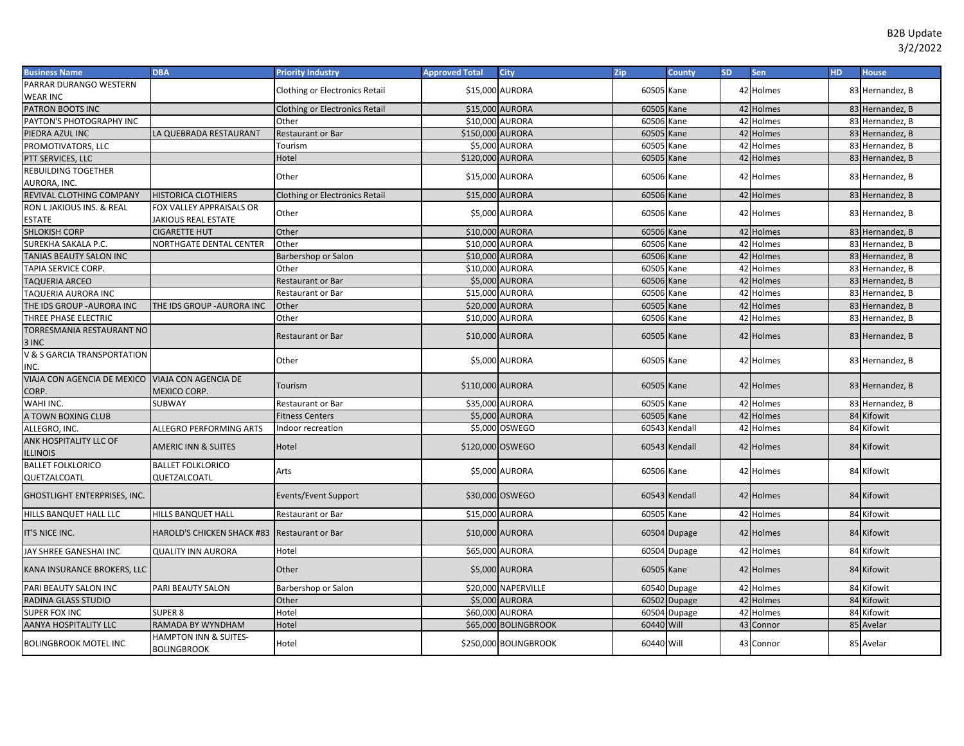| <b>Business Name</b>                             | <b>DBA</b>                                  | <b>Priority Industry</b>              | <b>Approved Total</b> | City                  | Zip        | <b>County</b> | <b>SD</b> | Sen       | <b>HD</b> | <b>House</b>    |
|--------------------------------------------------|---------------------------------------------|---------------------------------------|-----------------------|-----------------------|------------|---------------|-----------|-----------|-----------|-----------------|
| PARRAR DURANGO WESTERN                           |                                             | <b>Clothing or Electronics Retail</b> | \$15,000 AURORA       |                       | 60505 Kane |               |           | 42 Holmes |           | 83 Hernandez, B |
| WEAR INC                                         |                                             |                                       |                       |                       |            |               |           |           |           |                 |
| PATRON BOOTS INC                                 |                                             | <b>Clothing or Electronics Retail</b> | \$15,000 AURORA       |                       | 60505 Kane |               |           | 42 Holmes |           | 83 Hernandez, B |
| PAYTON'S PHOTOGRAPHY INC                         |                                             | Other                                 | \$10,000 AURORA       |                       | 60506 Kane |               |           | 42 Holmes |           | 83 Hernandez, B |
| PIEDRA AZUL INC                                  | LA QUEBRADA RESTAURANT                      | Restaurant or Bar                     | \$150,000 AURORA      |                       | 60505      | Kane          |           | 42 Holmes |           | 83 Hernandez, B |
| PROMOTIVATORS, LLC                               |                                             | Tourism                               |                       | \$5,000 AURORA        | 60505      | Kane          |           | 42 Holmes |           | 83 Hernandez, B |
| PTT SERVICES, LLC                                |                                             | Hotel                                 | \$120,000 AURORA      |                       | 60505 Kane |               |           | 42 Holmes |           | 83 Hernandez, B |
| REBUILDING TOGETHER                              |                                             | Other                                 | \$15,000 AURORA       |                       | 60506 Kane |               |           | 42 Holmes |           | 83 Hernandez, B |
| AURORA, INC.                                     |                                             |                                       |                       |                       |            |               |           |           |           |                 |
| REVIVAL CLOTHING COMPANY                         | <b>HISTORICA CLOTHIERS</b>                  | <b>Clothing or Electronics Retail</b> | \$15,000 AURORA       |                       | 60506      | Kane          |           | 42 Holmes |           | 83 Hernandez, B |
| RON L JAKIOUS INS. & REAL                        | FOX VALLEY APPRAISALS OR                    | Other                                 |                       | \$5,000 AURORA        | 60506 Kane |               |           | 42 Holmes |           | 83 Hernandez, B |
| ESTATE                                           | <b>JAKIOUS REAL ESTATE</b>                  |                                       |                       |                       |            |               |           |           |           |                 |
| <b>SHLOKISH CORP</b>                             | <b>CIGARETTE HUT</b>                        | Other                                 | \$10,000 AURORA       |                       | 60506 Kane |               |           | 42 Holmes |           | 83 Hernandez, B |
| SUREKHA SAKALA P.C.                              | NORTHGATE DENTAL CENTER                     | Other                                 | \$10,000 AURORA       |                       | 60506      | Kane          |           | 42 Holmes |           | 83 Hernandez, B |
| TANIAS BEAUTY SALON INC                          |                                             | Barbershop or Salon                   | \$10,000 AURORA       |                       | 60506 Kane |               |           | 42 Holmes |           | 83 Hernandez, B |
| TAPIA SERVICE CORP.                              |                                             | Other                                 | \$10,000 AURORA       |                       | 60505      | Kane          |           | 42 Holmes |           | 83 Hernandez, B |
| TAQUERIA ARCEO                                   |                                             | <b>Restaurant or Bar</b>              |                       | \$5,000 AURORA        | 60506 Kane |               |           | 42 Holmes |           | 83 Hernandez, B |
| TAQUERIA AURORA INC                              |                                             | Restaurant or Bar                     | \$15,000 AURORA       |                       | 60506      | Kane          |           | 42 Holmes |           | 83 Hernandez, B |
| THE IDS GROUP - AURORA INC                       | THE IDS GROUP - AURORA INC                  | Other                                 | \$20,000 AURORA       |                       | 60505      | Kane          |           | 42 Holmes |           | 83 Hernandez, B |
| <b>THREE PHASE ELECTRIC</b>                      |                                             | Other                                 | \$10,000 AURORA       |                       | 60506      | Kane          |           | 42 Holmes |           | 83 Hernandez, B |
| TORRESMANIA RESTAURANT NO                        |                                             | Restaurant or Bar                     | \$10,000 AURORA       |                       | 60505 Kane |               |           | 42 Holmes |           | 83 Hernandez, B |
| 3 INC                                            |                                             |                                       |                       |                       |            |               |           |           |           |                 |
| <b>V &amp; S GARCIA TRANSPORTATION</b>           |                                             | Other                                 |                       | \$5,000 AURORA        | 60505 Kane |               |           | 42 Holmes |           | 83 Hernandez, B |
| INC.                                             |                                             |                                       |                       |                       |            |               |           |           |           |                 |
| VIAJA CON AGENCIA DE MEXICO VIAJA CON AGENCIA DE |                                             | Tourism                               | \$110,000 AURORA      |                       | 60505 Kane |               |           | 42 Holmes |           | 83 Hernandez, B |
| CORP.                                            | <b>MEXICO CORP.</b>                         |                                       |                       |                       |            |               |           |           |           |                 |
| WAHI INC.                                        | SUBWAY                                      | Restaurant or Bar                     | \$35,000 AURORA       |                       | 60505 Kane |               |           | 42 Holmes |           | 83 Hernandez, B |
| A TOWN BOXING CLUB                               |                                             | <b>Fitness Centers</b>                |                       | \$5,000 AURORA        | 60505      | Kane          |           | 42 Holmes |           | 84 Kifowit      |
| ALLEGRO. INC.                                    | ALLEGRO PERFORMING ARTS                     | ndoor recreation                      |                       | \$5,000 OSWEGO        |            | 60543 Kendall |           | 42 Holmes |           | 84 Kifowit      |
| ANK HOSPITALITY LLC OF                           | <b>AMERIC INN &amp; SUITES</b>              | Hotel                                 | \$120,000 OSWEGO      |                       |            | 60543 Kendall |           | 42 Holmes |           | 84 Kifowit      |
| <b>ILLINOIS</b>                                  |                                             |                                       |                       |                       |            |               |           |           |           |                 |
| <b>BALLET FOLKLORICO</b>                         | <b>BALLET FOLKLORICO</b>                    | Arts                                  |                       | \$5,000 AURORA        | 60506 Kane |               |           | 42 Holmes |           | 84 Kifowit      |
| QUETZALCOATL                                     | QUETZALCOATL                                |                                       |                       |                       |            |               |           |           |           |                 |
| GHOSTLIGHT ENTERPRISES, INC.                     |                                             | Events/Event Support                  |                       | \$30,000 OSWEGO       |            | 60543 Kendall |           | 42 Holmes |           | 84 Kifowit      |
|                                                  |                                             |                                       |                       |                       |            |               |           |           |           |                 |
| HILLS BANQUET HALL LLC                           | <b>HILLS BANQUET HALL</b>                   | <b>Restaurant or Bar</b>              | \$15,000 AURORA       |                       | 60505 Kane |               |           | 42 Holmes |           | 84 Kifowit      |
| IT'S NICE INC.                                   | <b>HAROLD'S CHICKEN SHACK #83</b>           | <b>Restaurant or Bar</b>              | \$10,000 AURORA       |                       |            | 60504 Dupage  |           | 42 Holmes |           | 84 Kifowit      |
|                                                  |                                             |                                       |                       |                       |            |               |           |           |           |                 |
| JAY SHREE GANESHAI INC                           | <b>QUALITY INN AURORA</b>                   | Hotel                                 | \$65,000 AURORA       |                       |            | 60504 Dupage  |           | 42 Holmes |           | 84 Kifowit      |
| KANA INSURANCE BROKERS, LLC                      |                                             | Other                                 |                       | \$5,000 AURORA        | 60505 Kane |               |           | 42 Holmes |           | 84 Kifowit      |
|                                                  |                                             |                                       |                       |                       |            |               |           |           |           |                 |
| PARI BEAUTY SALON INC                            | PARI BEAUTY SALON                           | Barbershop or Salon                   |                       | \$20,000 NAPERVILLE   |            | 60540 Dupage  |           | 42 Holmes |           | 84 Kifowit      |
| RADINA GLASS STUDIO                              |                                             | Other                                 |                       | \$5,000 AURORA        |            | 60502 Dupage  |           | 42 Holmes |           | 84 Kifowit      |
| SUPER FOX INC                                    | <b>SUPER 8</b>                              | Hotel                                 | \$60,000 AURORA       |                       |            | 60504 Dupage  |           | 42 Holmes |           | 84 Kifowit      |
| AANYA HOSPITALITY LLC                            | RAMADA BY WYNDHAM                           | Hotel                                 |                       | \$65,000 BOLINGBROOK  | 60440 Will |               |           | 43 Connor |           | 85 Avelar       |
| <b>BOLINGBROOK MOTEL INC</b>                     | HAMPTON INN & SUITES-<br><b>BOLINGBROOK</b> | Hotel                                 |                       | \$250,000 BOLINGBROOK | 60440 Will |               |           | 43 Connor |           | 85 Avelar       |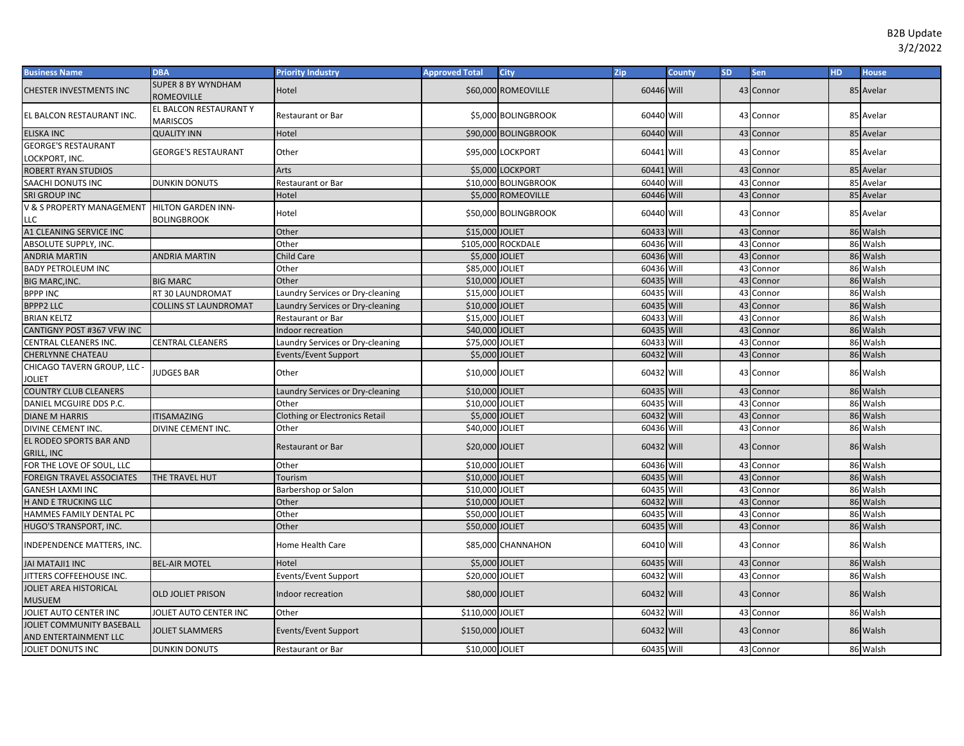| <b>Business Name</b>                                | <b>DBA</b>                                | <b>Priority Industry</b>         | <b>Approved Total</b> | <b>City</b>          | Zip        | <b>County</b> | <b>SD</b> | Sen       | HD | <b>House</b> |
|-----------------------------------------------------|-------------------------------------------|----------------------------------|-----------------------|----------------------|------------|---------------|-----------|-----------|----|--------------|
| CHESTER INVESTMENTS INC                             | <b>SUPER 8 BY WYNDHAM</b><br>ROMEOVILLE   | Hotel                            |                       | \$60,000 ROMEOVILLE  | 60446 Will |               |           | 43 Connor |    | 85 Avelar    |
| EL BALCON RESTAURANT INC.                           | EL BALCON RESTAURANT Y<br><b>MARISCOS</b> | <b>Restaurant or Bar</b>         |                       | \$5,000 BOLINGBROOK  | 60440 Will |               | 43        | Connor    |    | 85 Avelar    |
| <b>ELISKA INC</b>                                   | <b>QUALITY INN</b>                        | Hotel                            |                       | \$90,000 BOLINGBROOK | 60440 Will |               |           | 43 Connor |    | 85 Avelar    |
| <b>GEORGE'S RESTAURANT</b><br>LOCKPORT, INC.        | <b>GEORGE'S RESTAURANT</b>                | Other                            |                       | \$95,000 LOCKPORT    | 60441 Will |               |           | 43 Connor |    | 85 Avelar    |
| <b>ROBERT RYAN STUDIOS</b>                          |                                           | Arts                             |                       | \$5,000 LOCKPORT     | 60441 Will |               |           | 43 Connor |    | 85 Avelar    |
| SAACHI DONUTS INC                                   | DUNKIN DONUTS                             | Restaurant or Bar                |                       | \$10,000 BOLINGBROOK | 60440 Will |               | 43        | Connor    | 85 | Avelar       |
| SRI GROUP INC                                       |                                           | Hotel                            |                       | \$5,000 ROMEOVILLE   | 60446 Will |               |           | 43 Connor |    | 85 Avelar    |
| V & S PROPERTY MANAGEMENT HILTON GARDEN INN-<br>LLC | <b>BOLINGBROOK</b>                        | Hotel                            |                       | \$50,000 BOLINGBROOK | 60440 Will |               |           | 43 Connor | 85 | Avelar       |
| A1 CLEANING SERVICE INC                             |                                           | Other                            | \$15,000 JOLIET       |                      | 60433 Will |               |           | 43 Connor |    | 86 Walsh     |
| ABSOLUTE SUPPLY, INC.                               |                                           | Other                            |                       | \$105.000 ROCKDALE   | 60436 Will |               | 43        | Connor    |    | 86 Walsh     |
| <b>ANDRIA MARTIN</b>                                | <b>ANDRIA MARTIN</b>                      | Child Care                       | \$5,000 JOLIET        |                      | 60436 Will |               | 43        | Connor    | 86 | Walsh        |
| <b>BADY PETROLEUM INC</b>                           |                                           | Other                            | \$85,000 JOLIET       |                      | 60436 Will |               | 43        | Connor    |    | 86 Walsh     |
| <b>BIG MARC, INC.</b>                               | <b>BIG MARC</b>                           | Other                            | \$10,000              | JOLIET               | 60435 Will |               | 43        | Connor    |    | 86 Walsh     |
| <b>BPPP INC</b>                                     | RT 30 LAUNDROMAT                          | Laundry Services or Dry-cleaning | \$15,000 JOLIET       |                      | 60435 Will |               | 43        | Connor    |    | 86 Walsh     |
| <b>BPPP2 LLC</b>                                    | <b>COLLINS ST LAUNDROMAT</b>              | Laundry Services or Dry-cleaning | \$10,000 JOLIET       |                      | 60435 Will |               | 43        | Connor    |    | 86 Walsh     |
| <b>BRIAN KELTZ</b>                                  |                                           | Restaurant or Bar                | \$15,000 JOLIET       |                      | 60433 Will |               | 43        | Connor    |    | 86 Walsh     |
| CANTIGNY POST #367 VFW INC                          |                                           | Indoor recreation                | \$40,000 JOLIET       |                      | 60435 Will |               | 43        | Connor    |    | 86 Walsh     |
| CENTRAL CLEANERS INC.                               | <b>CENTRAL CLEANERS</b>                   | Laundry Services or Dry-cleaning | \$75,000 JOLIET       |                      | 60433 Will |               | 43        | Connor    |    | 86 Walsh     |
| CHERLYNNE CHATEAU                                   |                                           | <b>Events/Event Support</b>      | \$5.000 JOLIET        |                      | 60432 Will |               | 43        | Connor    |    | 86 Walsh     |
| CHICAGO TAVERN GROUP, LLC -<br>Joliet               | <b>JUDGES BAR</b>                         | Other                            | \$10,000 JOLIET       |                      | 60432 Will |               |           | 43 Connor |    | 86 Walsh     |
| <b>COUNTRY CLUB CLEANERS</b>                        |                                           | Laundry Services or Dry-cleaning | \$10,000 JOLIET       |                      | 60435 Will |               |           | 43 Connor |    | 86 Walsh     |
| DANIEL MCGUIRE DDS P.C.                             |                                           | Other                            | \$10,000 JOLIET       |                      | 60435 Will |               | 43        | Connor    |    | 86 Walsh     |
| <b>DIANE M HARRIS</b>                               | <b>ITISAMAZING</b>                        | Clothing or Electronics Retail   | \$5,000 JOLIET        |                      | 60432 Will |               | 43        | Connor    |    | 86 Walsh     |
| DIVINE CEMENT INC.                                  | <b>DIVINE CEMENT INC.</b>                 | Other                            | \$40,000 JOLIET       |                      | 60436 Will |               | 43        | Connor    |    | 86 Walsh     |
| EL RODEO SPORTS BAR AND<br><b>GRILL, INC</b>        |                                           | Restaurant or Bar                | \$20,000 JOLIET       |                      | 60432 Will |               |           | 43 Connor |    | 86 Walsh     |
| FOR THE LOVE OF SOUL, LLC                           |                                           | Other                            | \$10,000 JOLIET       |                      | 60436 Will |               |           | 43 Connor |    | 86 Walsh     |
| <b>FOREIGN TRAVEL ASSOCIATES</b>                    | THE TRAVEL HUT                            | Tourism                          | \$10,000 JOLIET       |                      | 60435 Will |               |           | 43 Connor |    | 86 Walsh     |
| <b>GANESH LAXMI INC</b>                             |                                           | Barbershop or Salon              | \$10,000 JOLIET       |                      | 60435 Will |               | 43        | Connor    |    | 86 Walsh     |
| H AND E TRUCKING LLC                                |                                           | Other                            | \$10,000 JOLIET       |                      | 60432 Will |               | 43        | Connor    |    | 86 Walsh     |
| HAMMES FAMILY DENTAL PC                             |                                           | Other                            | \$50,000              | <b>JOLIET</b>        | 60435 Will |               | 43        | Connor    |    | 86 Walsh     |
| HUGO'S TRANSPORT, INC.                              |                                           | Other                            | \$50,000 JOLIET       |                      | 60435 Will |               | 43        | Connor    |    | 86 Walsh     |
| INDEPENDENCE MATTERS, INC.                          |                                           | Home Health Care                 |                       | \$85,000 CHANNAHON   | 60410 Will |               |           | 43 Connor |    | 86 Walsh     |
| JAI MATAJI1 INC                                     | <b>BEL-AIR MOTEL</b>                      | Hotel                            | \$5,000 JOLIET        |                      | 60435 Will |               |           | 43 Connor |    | 86 Walsh     |
| JITTERS COFFEEHOUSE INC.                            |                                           | Events/Event Support             | \$20,000 JOLIET       |                      | 60432 Will |               | 43        | Connor    |    | 86 Walsh     |
| JOLIET AREA HISTORICAL<br><b>MUSUEM</b>             | <b>OLD JOLIET PRISON</b>                  | Indoor recreation                | \$80,000 JOLIET       |                      | 60432 Will |               |           | 43 Connor |    | 86 Walsh     |
| JOLIET AUTO CENTER INC                              | JOLIET AUTO CENTER INC                    | Other                            | \$110,000 JOLIET      |                      | 60432 Will |               | 43        | Connor    |    | 86 Walsh     |
| JOLIET COMMUNITY BASEBALL<br>AND ENTERTAINMENT LLC  | <b>JOLIET SLAMMERS</b>                    | Events/Event Support             | \$150,000 JOLIET      |                      | 60432 Will |               |           | 43 Connor |    | 86 Walsh     |
| JOLIET DONUTS INC                                   | <b>DUNKIN DONUTS</b>                      | Restaurant or Bar                | \$10,000 JOLIET       |                      | 60435 Will |               |           | 43 Connor |    | 86 Walsh     |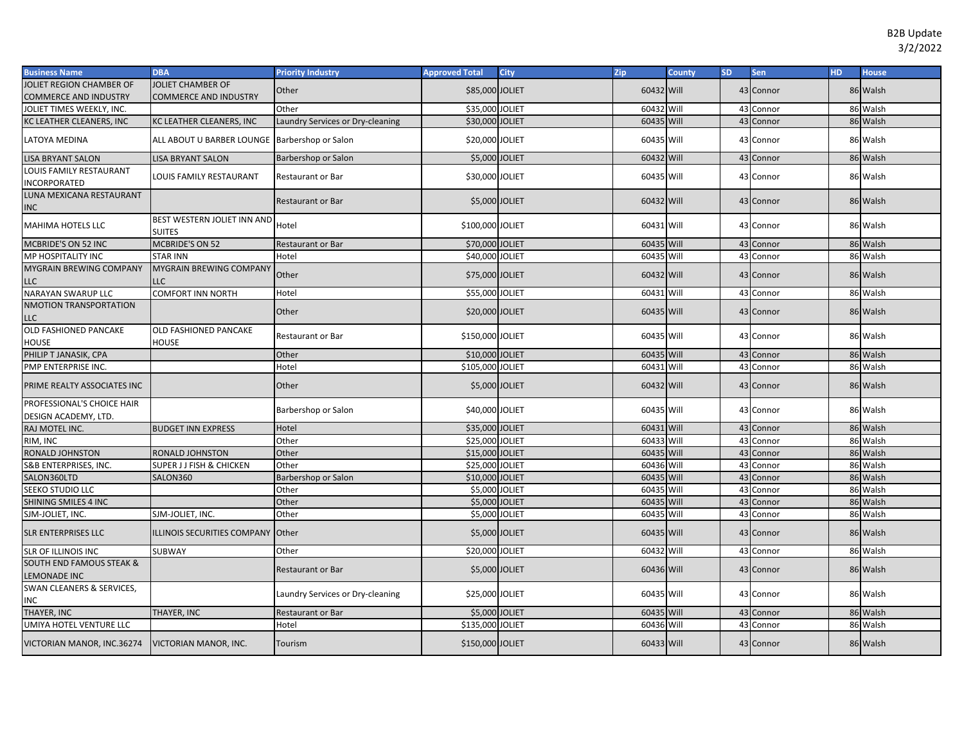| <b>Business Name</b>                                       | <b>DBA</b>                                    | <b>Priority Industry</b>         | <b>Approved Total</b> | <b>City</b> | Zip        | County | <b>SD</b> | Sen       | HD. | <b>House</b> |
|------------------------------------------------------------|-----------------------------------------------|----------------------------------|-----------------------|-------------|------------|--------|-----------|-----------|-----|--------------|
| JOLIET REGION CHAMBER OF                                   | JOLIET CHAMBER OF                             | Other                            | \$85,000 JOLIET       |             | 60432 Will |        |           | 43 Connor |     | 86 Walsh     |
| <b>COMMERCE AND INDUSTRY</b>                               | <b>COMMERCE AND INDUSTRY</b>                  |                                  |                       |             |            |        |           |           |     |              |
| JOLIET TIMES WEEKLY, INC.                                  |                                               | Other                            | \$35,000 JOLIET       |             | 60432 Will |        |           | 43 Connor |     | 86 Walsh     |
| KC LEATHER CLEANERS, INC                                   | KC LEATHER CLEANERS, INC                      | Laundry Services or Dry-cleaning | \$30,000 JOLIET       |             | 60435 Will |        |           | 43 Connor |     | 86 Walsh     |
| LATOYA MEDINA                                              | ALL ABOUT U BARBER LOUNGE Barbershop or Salon |                                  | \$20,000 JOLIET       |             | 60435 Will |        |           | 43 Connor |     | 86 Walsh     |
| <b>LISA BRYANT SALON</b>                                   | <b>LISA BRYANT SALON</b>                      | Barbershop or Salon              | \$5,000 JOLIET        |             | 60432 Will |        |           | 43 Connor |     | 86 Walsh     |
| LOUIS FAMILY RESTAURANT<br><b>INCORPORATED</b>             | LOUIS FAMILY RESTAURANT                       | Restaurant or Bar                | \$30,000 JOLIET       |             | 60435 Will |        |           | 43 Connor |     | 86 Walsh     |
| LUNA MEXICANA RESTAURANT<br><b>INC</b>                     |                                               | <b>Restaurant or Bar</b>         | \$5,000 JOLIET        |             | 60432 Will |        |           | 43 Connor |     | 86 Walsh     |
| MAHIMA HOTELS LLC                                          | BEST WESTERN JOLIET INN AND<br><b>SUITES</b>  | Hotel                            | \$100,000 JOLIET      |             | 60431 Will |        |           | 43 Connor |     | 86 Walsh     |
| MCBRIDE'S ON 52 INC                                        | MCBRIDE'S ON 52                               | Restaurant or Bar                | \$70,000 JOLIET       |             | 60435 Will |        |           | 43 Connor |     | 86 Walsh     |
| MP HOSPITALITY INC                                         | <b>STAR INN</b>                               | Hotel                            | \$40,000 JOLIET       |             | 60435 Will |        |           | 43 Connor |     | 86 Walsh     |
| MYGRAIN BREWING COMPANY<br><b>LLC</b>                      | MYGRAIN BREWING COMPANY<br>LLC                | Other                            | \$75,000 JOLIET       |             | 60432 Will |        |           | 43 Connor |     | 86 Walsh     |
| NARAYAN SWARUP LLC                                         | COMFORT INN NORTH                             | Hotel                            | \$55,000 JOLIET       |             | 60431 Will |        |           | 43 Connor |     | 86 Walsh     |
| <b>NMOTION TRANSPORTATION</b>                              |                                               |                                  |                       |             |            |        |           |           |     |              |
| LLC                                                        |                                               | Other                            | \$20,000 JOLIET       |             | 60435 Will |        |           | 43 Connor |     | 86 Walsh     |
| OLD FASHIONED PANCAKE                                      | OLD FASHIONED PANCAKE                         |                                  |                       |             | 60435 Will |        |           | 43 Connor |     | 86 Walsh     |
| <b>HOUSE</b>                                               | HOUSE                                         | Restaurant or Bar                | \$150,000 JOLIET      |             |            |        |           |           |     |              |
| PHILIP T JANASIK, CPA                                      |                                               | Other                            | \$10,000 JOLIET       |             | 60435 Will |        |           | 43 Connor |     | 86 Walsh     |
| PMP ENTERPRISE INC.                                        |                                               | Hotel                            | \$105,000 JOLIET      |             | 60431 Will |        |           | 43 Connor |     | 86 Walsh     |
| PRIME REALTY ASSOCIATES INC                                |                                               | Other                            | \$5,000 JOLIET        |             | 60432 Will |        |           | 43 Connor |     | 86 Walsh     |
| PROFESSIONAL'S CHOICE HAIR                                 |                                               |                                  |                       |             | 60435 Will |        |           |           |     | 86 Walsh     |
| DESIGN ACADEMY, LTD.                                       |                                               | Barbershop or Salon              | \$40,000 JOLIET       |             |            |        |           | 43 Connor |     |              |
| RAJ MOTEL INC.                                             | <b>BUDGET INN EXPRESS</b>                     | Hotel                            | \$35,000 JOLIET       |             | 60431 Will |        |           | 43 Connor |     | 86 Walsh     |
| RIM, INC                                                   |                                               | Other                            | \$25,000 JOLIET       |             | 60433 Will |        |           | 43 Connor |     | 86 Walsh     |
| RONALD JOHNSTON                                            | RONALD JOHNSTON                               | Other                            | \$15,000 JOLIET       |             | 60435 Will |        |           | 43 Connor |     | 86 Walsh     |
| S&B ENTERPRISES, INC.                                      | SUPER J J FISH & CHICKEN                      | Other                            | \$25,000 JOLIET       |             | 60436 Will |        |           | 43 Connor |     | 86 Walsh     |
| SALON360LTD                                                | SALON360                                      | Barbershop or Salon              | \$10,000 JOLIET       |             | 60435 Will |        |           | 43 Connor |     | 86 Walsh     |
| SEEKO STUDIO LLC                                           |                                               | Other                            | \$5,000 JOLIET        |             | 60435 Will |        |           | 43 Connor |     | 86 Walsh     |
| SHINING SMILES 4 INC                                       |                                               | Other                            | \$5,000 JOLIET        |             | 60435 Will |        |           | 43 Connor |     | 86 Walsh     |
| SJM-JOLIET, INC.                                           | SJM-JOLIET, INC.                              | Other                            | \$5,000 JOLIET        |             | 60435 Will |        |           | 43 Connor |     | 86 Walsh     |
| <b>SLR ENTERPRISES LLC</b>                                 | LLINOIS SECURITIES COMPANY Other              |                                  | \$5,000 JOLIET        |             | 60435 Will |        |           | 43 Connor |     | 86 Walsh     |
| <b>SLR OF ILLINOIS INC</b>                                 | SUBWAY                                        | Other                            | \$20,000 JOLIET       |             | 60432 Will |        |           | 43 Connor |     | 86 Walsh     |
| <b>SOUTH END FAMOUS STEAK &amp;</b><br><b>LEMONADE INC</b> |                                               | <b>Restaurant or Bar</b>         | \$5,000 JOLIET        |             | 60436 Will |        |           | 43 Connor |     | 86 Walsh     |
| SWAN CLEANERS & SERVICES,<br>INC                           |                                               | Laundry Services or Dry-cleaning | \$25,000 JOLIET       |             | 60435 Will |        |           | 43 Connor |     | 86 Walsh     |
| THAYER, INC                                                | THAYER, INC                                   | <b>Restaurant or Bar</b>         | \$5,000 JOLIET        |             | 60435 Will |        |           | 43 Connor |     | 86 Walsh     |
| UMIYA HOTEL VENTURE LLC                                    |                                               | Hotel                            | \$135,000 JOLIET      |             | 60436 Will |        |           | 43 Connor |     | 86 Walsh     |
| VICTORIAN MANOR, INC.36274                                 | VICTORIAN MANOR, INC.                         | Tourism                          | \$150,000 JOLIET      |             | 60433 Will |        |           | 43 Connor |     | 86 Walsh     |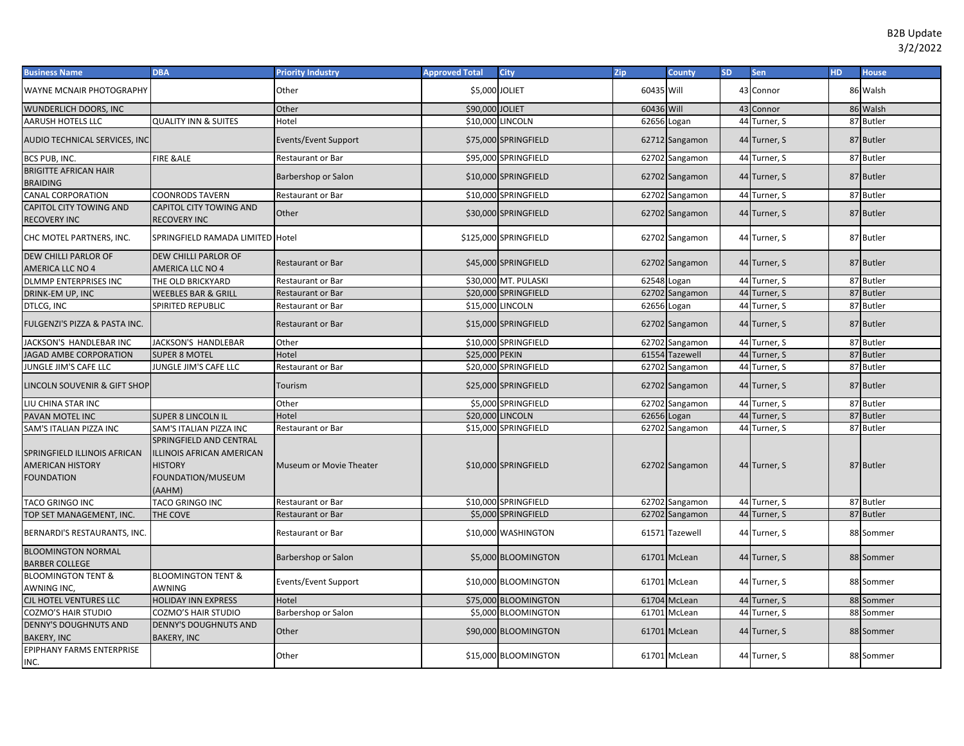| <b>Business Name</b>                                                         | <b>DBA</b>                                                                                                   | <b>Priority Industry</b> | <b>Approved Total</b> | <b>City</b>           | Zip         | <b>County</b>  | <b>SD</b> | <b>Sen</b>   | HD. | <b>House</b> |
|------------------------------------------------------------------------------|--------------------------------------------------------------------------------------------------------------|--------------------------|-----------------------|-----------------------|-------------|----------------|-----------|--------------|-----|--------------|
| WAYNE MCNAIR PHOTOGRAPHY                                                     |                                                                                                              | Other                    | \$5,000 JOLIET        |                       | 60435 Will  |                |           | 43 Connor    |     | 86 Walsh     |
| WUNDERLICH DOORS, INC                                                        |                                                                                                              | Other                    | \$90,000 JOLIET       |                       | 60436 Will  |                |           | 43 Connor    |     | 86 Walsh     |
| AARUSH HOTELS LLC                                                            | <b>QUALITY INN &amp; SUITES</b>                                                                              | Hotel                    |                       | \$10,000 LINCOLN      | 62656 Logan |                |           | 44 Turner, S |     | 87 Butler    |
| AUDIO TECHNICAL SERVICES, INC                                                |                                                                                                              | Events/Event Support     |                       | \$75,000 SPRINGFIELD  |             | 62712 Sangamon |           | 44 Turner, S |     | 87 Butler    |
| BCS PUB, INC.                                                                | <b>FIRE &amp;ALE</b>                                                                                         | Restaurant or Bar        |                       | \$95,000 SPRINGFIELD  |             | 62702 Sangamon |           | 44 Turner, S |     | 87 Butler    |
| <b>BRIGITTE AFRICAN HAIR</b><br><b>BRAIDING</b>                              |                                                                                                              | Barbershop or Salon      |                       | \$10,000 SPRINGFIELD  |             | 62702 Sangamon |           | 44 Turner, S |     | 87 Butler    |
| <b>CANAL CORPORATION</b>                                                     | <b>COONRODS TAVERN</b>                                                                                       | Restaurant or Bar        |                       | \$10,000 SPRINGFIELD  |             | 62702 Sangamon |           | 44 Turner, S |     | 87 Butler    |
| CAPITOL CITY TOWING AND<br>RECOVERY INC                                      | CAPITOL CITY TOWING AND<br><b>RECOVERY INC</b>                                                               | Other                    |                       | \$30,000 SPRINGFIELD  |             | 62702 Sangamon |           | 44 Turner, S |     | 87 Butler    |
| CHC MOTEL PARTNERS, INC.                                                     | SPRINGFIELD RAMADA LIMITED Hotel                                                                             |                          |                       | \$125,000 SPRINGFIELD |             | 62702 Sangamon |           | 44 Turner, S |     | 87 Butler    |
| DEW CHILLI PARLOR OF<br>AMERICA LLC NO 4                                     | DEW CHILLI PARLOR OF<br>AMERICA LLC NO 4                                                                     | <b>Restaurant or Bar</b> |                       | \$45,000 SPRINGFIELD  |             | 62702 Sangamon |           | 44 Turner, S |     | 87 Butler    |
| DLMMP ENTERPRISES INC                                                        | THE OLD BRICKYARD                                                                                            | <b>Restaurant or Bar</b> |                       | \$30,000 MT. PULASKI  | 62548 Logan |                |           | 44 Turner, S |     | 87 Butler    |
| DRINK-EM UP, INC                                                             | WEEBLES BAR & GRILL                                                                                          | <b>Restaurant or Bar</b> |                       | \$20,000 SPRINGFIELD  |             | 62702 Sangamon |           | 44 Turner, S |     | 87 Butler    |
| DTLCG, INC                                                                   | SPIRITED REPUBLIC                                                                                            | Restaurant or Bar        | \$15,000 LINCOLN      |                       | 62656 Logan |                |           | 44 Turner, S |     | 87 Butler    |
| FULGENZI'S PIZZA & PASTA INC.                                                |                                                                                                              | <b>Restaurant or Bar</b> |                       | \$15,000 SPRINGFIELD  |             | 62702 Sangamon |           | 44 Turner, S |     | 87 Butler    |
| JACKSON'S HANDLEBAR INC                                                      | JACKSON'S HANDLEBAR                                                                                          | Other                    |                       | \$10,000 SPRINGFIELD  |             | 62702 Sangamon |           | 44 Turner, S |     | 87 Butler    |
| <b>IAGAD AMBE CORPORATION</b>                                                | <b>SUPER 8 MOTEL</b>                                                                                         | Hotel                    | \$25,000 PEKIN        |                       |             | 61554 Tazewell | 44        | Turner, S    |     | 87 Butler    |
| JUNGLE JIM'S CAFE LLC                                                        | JUNGLE JIM'S CAFE LLC                                                                                        | Restaurant or Bar        |                       | \$20,000 SPRINGFIELD  |             | 62702 Sangamon |           | 44 Turner, S |     | 87 Butler    |
| LINCOLN SOUVENIR & GIFT SHOP                                                 |                                                                                                              | Tourism                  |                       | \$25,000 SPRINGFIELD  |             | 62702 Sangamon |           | 44 Turner, S |     | 87 Butler    |
| LIU CHINA STAR INC                                                           |                                                                                                              | Other                    |                       | \$5,000 SPRINGFIELD   |             | 62702 Sangamon |           | 44 Turner, S |     | 87 Butler    |
| PAVAN MOTEL INC                                                              | <b>SUPER 8 LINCOLN IL</b>                                                                                    | Hotel                    | \$20,000 LINCOLN      |                       | 62656 Logan |                |           | 44 Turner, S |     | 87 Butler    |
| SAM'S ITALIAN PIZZA INC                                                      | SAM'S ITALIAN PIZZA INC                                                                                      | <b>Restaurant or Bar</b> |                       | \$15,000 SPRINGFIELD  |             | 62702 Sangamon |           | 44 Turner, S |     | 87 Butler    |
| SPRINGFIELD ILLINOIS AFRICAN<br><b>AMERICAN HISTORY</b><br><b>FOUNDATION</b> | SPRINGFIELD AND CENTRAL<br><b>ILLINOIS AFRICAN AMERICAN</b><br><b>HISTORY</b><br>FOUNDATION/MUSEUM<br>(AAHM) | Museum or Movie Theater  |                       | \$10,000 SPRINGFIELD  |             | 62702 Sangamon |           | 44 Turner, S |     | 87 Butler    |
| TACO GRINGO INC                                                              | TACO GRINGO INC                                                                                              | Restaurant or Bar        |                       | \$10,000 SPRINGFIELD  |             | 62702 Sangamon |           | 44 Turner, S |     | 87 Butler    |
| TOP SET MANAGEMENT, INC.                                                     | THE COVE                                                                                                     | <b>Restaurant or Bar</b> |                       | \$5,000 SPRINGFIELD   |             | 62702 Sangamon |           | 44 Turner, S |     | 87 Butler    |
| BERNARDI'S RESTAURANTS, INC.                                                 |                                                                                                              | Restaurant or Bar        |                       | \$10,000 WASHINGTON   |             | 61571 Tazewell |           | 44 Turner, S |     | 88 Sommer    |
| <b>BLOOMINGTON NORMAL</b><br><b>BARBER COLLEGE</b>                           |                                                                                                              | Barbershop or Salon      |                       | \$5,000 BLOOMINGTON   |             | 61701 McLean   |           | 44 Turner, S |     | 88 Sommer    |
| <b>BLOOMINGTON TENT &amp;</b><br>AWNING INC,                                 | <b>BLOOMINGTON TENT &amp;</b><br>AWNING                                                                      | Events/Event Support     |                       | \$10,000 BLOOMINGTON  |             | 61701 McLean   |           | 44 Turner, S |     | 88 Sommer    |
| CJL HOTEL VENTURES LLC                                                       | <b>HOLIDAY INN EXPRESS</b>                                                                                   | Hotel                    |                       | \$75,000 BLOOMINGTON  |             | 61704 McLean   |           | 44 Turner, S |     | 88 Sommer    |
| COZMO'S HAIR STUDIO                                                          | COZMO'S HAIR STUDIO                                                                                          | Barbershop or Salon      |                       | \$5,000 BLOOMINGTON   |             | 61701 McLean   |           | 44 Turner, S |     | 88 Sommer    |
| <b>DENNY'S DOUGHNUTS AND</b><br><b>BAKERY, INC</b>                           | <b>DENNY'S DOUGHNUTS AND</b><br><b>BAKERY, INC</b>                                                           | Other                    |                       | \$90,000 BLOOMINGTON  |             | 61701 McLean   |           | 44 Turner, S |     | 88 Sommer    |
| EPIPHANY FARMS ENTERPRISE<br>INC.                                            |                                                                                                              | Other                    |                       | \$15,000 BLOOMINGTON  |             | 61701 McLean   |           | 44 Turner, S |     | 88 Sommer    |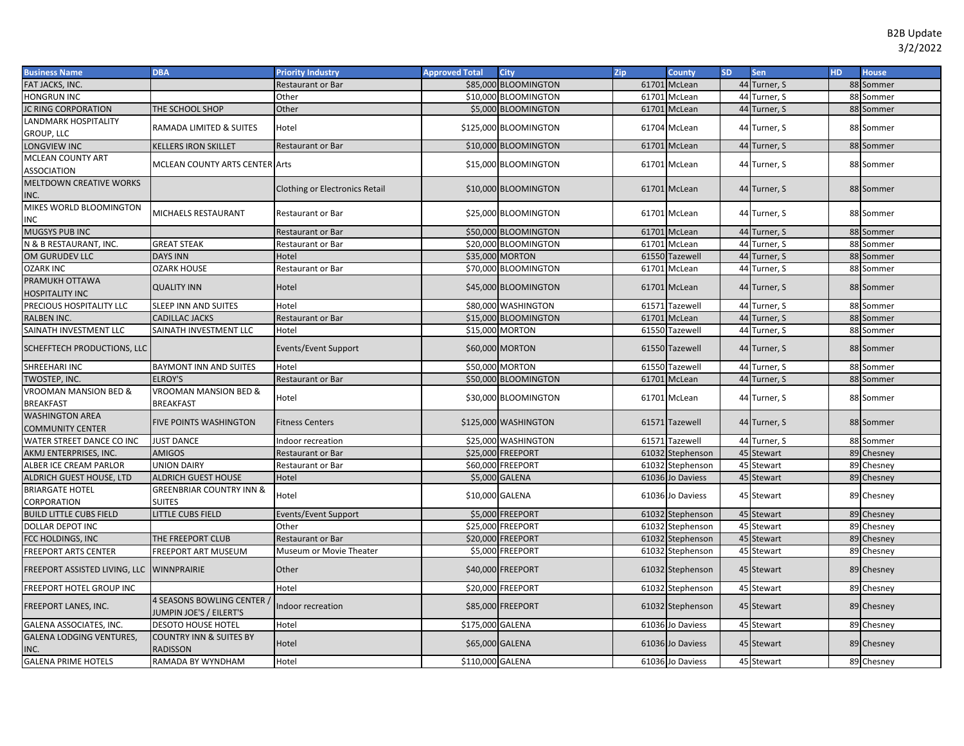| <b>Business Name</b>                      | <b>DBA</b>                                            | <b>Priority Industry</b>       | <b>Approved Total</b> | City                  | Zip   | <b>County</b>    | <b>SD</b> | Sen          | <b>HD</b> | <b>House</b> |
|-------------------------------------------|-------------------------------------------------------|--------------------------------|-----------------------|-----------------------|-------|------------------|-----------|--------------|-----------|--------------|
| FAT JACKS, INC.                           |                                                       | Restaurant or Bar              |                       | \$85,000 BLOOMINGTON  |       | 61701 McLean     |           | 44 Turner, S |           | 88 Sommer    |
| <b>HONGRUN INC</b>                        |                                                       | Other                          |                       | \$10,000 BLOOMINGTON  |       | 61701 McLean     |           | 44 Turner, S |           | 88 Sommer    |
| IC RING CORPORATION                       | THE SCHOOL SHOP                                       | Other                          |                       | \$5,000 BLOOMINGTON   |       | 61701 McLean     |           | 44 Turner, S |           | 88 Sommer    |
| LANDMARK HOSPITALITY                      | RAMADA LIMITED & SUITES                               | Hotel                          |                       | \$125,000 BLOOMINGTON |       | 61704 McLean     |           | 44 Turner, S |           | 88 Sommer    |
| GROUP, LLC                                |                                                       |                                |                       |                       |       |                  |           |              |           |              |
| LONGVIEW INC                              | <b>KELLERS IRON SKILLET</b>                           | Restaurant or Bar              |                       | \$10,000 BLOOMINGTON  |       | 61701 McLean     |           | 44 Turner, S |           | 88 Sommer    |
| <b>MCLEAN COUNTY ART</b>                  | MCLEAN COUNTY ARTS CENTER Arts                        |                                |                       | \$15,000 BLOOMINGTON  |       | 61701 McLean     |           | 44 Turner, S |           | 88 Sommer    |
| ASSOCIATION                               |                                                       |                                |                       |                       |       |                  |           |              |           |              |
| <b>MELTDOWN CREATIVE WORKS</b>            |                                                       | Clothing or Electronics Retail |                       | \$10,000 BLOOMINGTON  |       | 61701 McLean     |           | 44 Turner, S |           | 88 Sommer    |
| INC.                                      |                                                       |                                |                       |                       |       |                  |           |              |           |              |
| MIKES WORLD BLOOMINGTON                   | <b>MICHAELS RESTAURANT</b>                            | Restaurant or Bar              |                       | \$25,000 BLOOMINGTON  |       | 61701 McLean     |           | 44 Turner, S |           | 88 Sommer    |
| INC                                       |                                                       |                                |                       |                       |       |                  |           |              |           |              |
| MUGSYS PUB INC                            |                                                       | <b>Restaurant or Bar</b>       |                       | \$50,000 BLOOMINGTON  |       | 61701 McLean     |           | 44 Turner, S |           | 88 Sommer    |
| N & B RESTAURANT, INC.                    | <b>GREAT STEAK</b>                                    | Restaurant or Bar              |                       | \$20,000 BLOOMINGTON  |       | 61701 McLean     |           | 44 Turner, S |           | 88 Sommer    |
| OM GURUDEV LLC                            | <b>DAYS INN</b>                                       | Hotel                          |                       | \$35,000 MORTON       |       | 61550 Tazewell   |           | 44 Turner, S |           | 88 Sommer    |
| <b>OZARK INC</b>                          | <b>OZARK HOUSE</b>                                    | Restaurant or Bar              |                       | \$70,000 BLOOMINGTON  | 61701 | McLean           |           | 44 Turner, S |           | 88 Sommer    |
| PRAMUKH OTTAWA<br><b>HOSPITALITY INC</b>  | <b>QUALITY INN</b>                                    | Hotel                          |                       | \$45,000 BLOOMINGTON  |       | 61701 McLean     |           | 44 Turner, S |           | 88 Sommer    |
| PRECIOUS HOSPITALITY LLC                  | <b>SLEEP INN AND SUITES</b>                           | Hotel                          |                       | \$80,000 WASHINGTON   |       | 61571 Tazewel    |           | 44 Turner, S |           | 88 Sommer    |
| RALBEN INC.                               | CADILLAC JACKS                                        | Restaurant or Bar              |                       | \$15,000 BLOOMINGTON  |       | 61701 McLean     |           | 44 Turner, S |           | 88 Sommer    |
| SAINATH INVESTMENT LLC                    | SAINATH INVESTMENT LLC                                | Hotel                          |                       | \$15,000 MORTON       |       | 61550 Tazewell   |           | 44 Turner, S |           | 88 Sommer    |
| SCHEFFTECH PRODUCTIONS, LLC               |                                                       | Events/Event Support           |                       | \$60,000 MORTON       |       | 61550 Tazewell   |           | 44 Turner, S |           | 88 Sommer    |
| SHREEHARI INC                             | <b>BAYMONT INN AND SUITES</b>                         | Hotel                          |                       | \$50,000 MORTON       |       | 61550 Tazewell   |           | 44 Turner, S |           | 88 Sommer    |
| <b>TWOSTEP, INC.</b>                      | <b>ELROY'S</b>                                        | Restaurant or Bar              |                       | \$50,000 BLOOMINGTON  |       | 61701 McLean     |           | 44 Turner, S |           | 88 Sommer    |
| <b>VROOMAN MANSION BED &amp;</b>          | VROOMAN MANSION BED &                                 |                                |                       |                       |       |                  |           |              |           |              |
| <b>BREAKFAST</b>                          | <b>BREAKFAST</b>                                      | Hotel                          |                       | \$30,000 BLOOMINGTON  |       | 61701 McLean     |           | 44 Turner, S |           | 88 Sommer    |
| <b>WASHINGTON AREA</b>                    | <b>FIVE POINTS WASHINGTON</b>                         | <b>Fitness Centers</b>         |                       | \$125,000 WASHINGTON  |       | 61571 Tazewell   |           | 44 Turner, S |           | 88 Sommer    |
| COMMUNITY CENTER                          |                                                       |                                |                       |                       |       |                  |           |              |           |              |
| WATER STREET DANCE CO INC                 | <b>JUST DANCE</b>                                     | ndoor recreation               |                       | \$25,000 WASHINGTON   | 61571 | Tazewell         |           | 44 Turner, S |           | 88 Sommer    |
| AKMJ ENTERPRISES, INC.                    | <b>AMIGOS</b>                                         | Restaurant or Bar              |                       | \$25,000 FREEPORT     |       | 61032 Stephenson |           | 45 Stewart   |           | 89 Chesney   |
| ALBER ICE CREAM PARLOR                    | <b>UNION DAIRY</b>                                    | Restaurant or Bar              |                       | \$60,000 FREEPORT     |       | 61032 Stephenson |           | 45 Stewart   |           | 89 Chesney   |
| ALDRICH GUEST HOUSE, LTD                  | <b>ALDRICH GUEST HOUSE</b>                            | Hotel                          |                       | \$5,000 GALENA        |       | 61036 Jo Daviess |           | 45 Stewart   |           | 89 Chesney   |
| <b>BRIARGATE HOTEL</b>                    | <b>GREENBRIAR COUNTRY INN &amp;</b>                   | Hotel                          | \$10,000 GALENA       |                       |       | 61036 Jo Daviess |           | 45 Stewart   |           | 89 Chesney   |
| CORPORATION                               | <b>SUITES</b>                                         |                                |                       |                       |       |                  |           |              |           |              |
| <b>BUILD LITTLE CUBS FIELD</b>            | LITTLE CUBS FIELD                                     | Events/Event Support           |                       | \$5,000 FREEPORT      |       | 61032 Stephenson |           | 45 Stewart   |           | 89 Chesney   |
| DOLLAR DEPOT INC                          |                                                       | Other                          |                       | \$25,000 FREEPORT     | 61032 | Stephenson       |           | 45 Stewart   |           | 89 Chesney   |
| FCC HOLDINGS, INC                         | THE FREEPORT CLUB                                     | <b>Restaurant or Bar</b>       |                       | \$20,000 FREEPORT     |       | 61032 Stephenson |           | 45 Stewart   |           | 89 Chesney   |
| FREEPORT ARTS CENTER                      | FREEPORT ART MUSEUM                                   | Museum or Movie Theater        |                       | \$5,000 FREEPORT      |       | 61032 Stephenson |           | 45 Stewart   |           | 89 Chesney   |
| FREEPORT ASSISTED LIVING, LLC WINNPRAIRIE |                                                       | Other                          |                       | \$40,000 FREEPORT     |       | 61032 Stephenson |           | 45 Stewart   |           | 89 Chesney   |
| FREEPORT HOTEL GROUP INC                  |                                                       | Hotel                          |                       | \$20,000 FREEPORT     |       | 61032 Stephenson |           | 45 Stewart   |           | 89 Chesney   |
| FREEPORT LANES, INC.                      | 4 SEASONS BOWLING CENTER /<br>JUMPIN JOE'S / EILERT'S | ndoor recreation               |                       | \$85,000 FREEPORT     |       | 61032 Stephenson |           | 45 Stewart   |           | 89 Chesney   |
| GALENA ASSOCIATES, INC.                   | <b>DESOTO HOUSE HOTEL</b>                             | Hotel                          | \$175,000 GALENA      |                       | 61036 | Jo Daviess       |           | 45 Stewart   |           | 89 Chesney   |
| GALENA LODGING VENTURES,<br>INC.          | <b>COUNTRY INN &amp; SUITES BY</b><br><b>RADISSON</b> | Hotel                          | \$65,000 GALENA       |                       |       | 61036 Jo Daviess |           | 45 Stewart   |           | 89 Chesney   |
| <b>GALENA PRIME HOTELS</b>                | RAMADA BY WYNDHAM                                     | Hotel                          | \$110,000 GALENA      |                       |       | 61036 Jo Daviess |           | 45 Stewart   |           | 89 Chesney   |
|                                           |                                                       |                                |                       |                       |       |                  |           |              |           |              |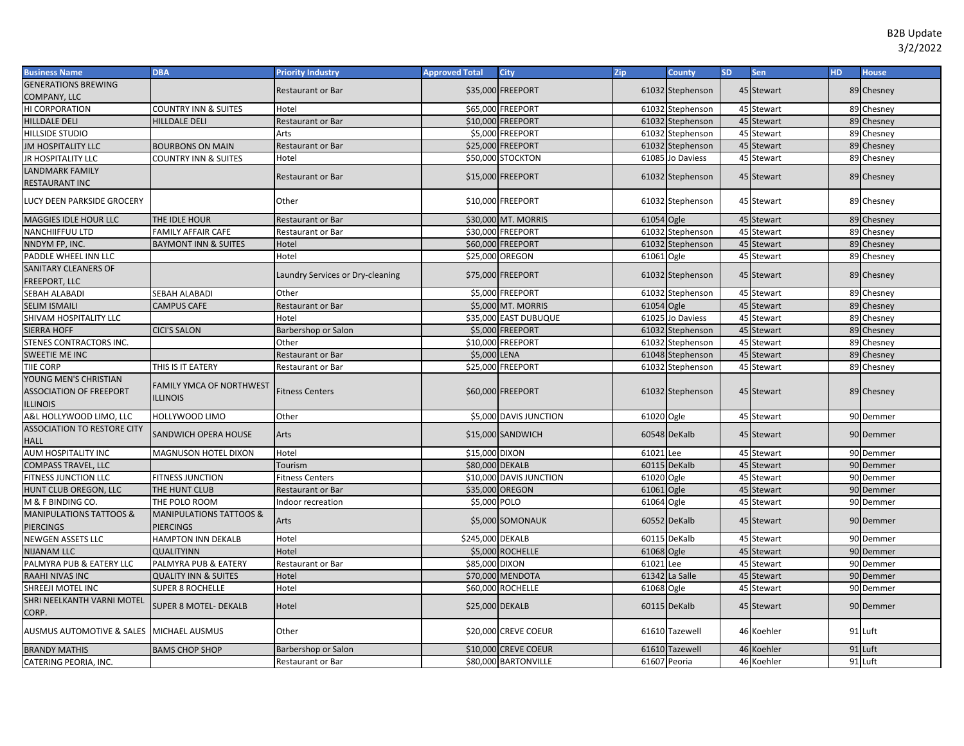| <b>Business Name</b>                                                       | <b>DBA</b>                                         | <b>Priority Industry</b>         | <b>Approved Total</b> | <b>City</b>             | Zip          | <b>County</b>    | <b>SD</b> | Sen        | HD. | <b>House</b> |
|----------------------------------------------------------------------------|----------------------------------------------------|----------------------------------|-----------------------|-------------------------|--------------|------------------|-----------|------------|-----|--------------|
| <b>GENERATIONS BREWING</b>                                                 |                                                    | Restaurant or Bar                |                       | \$35,000 FREEPORT       |              |                  |           |            |     |              |
| COMPANY, LLC                                                               |                                                    |                                  |                       |                         |              | 61032 Stephenson |           | 45 Stewart |     | 89 Chesney   |
| HI CORPORATION                                                             | <b>COUNTRY INN &amp; SUITES</b>                    | Hotel                            |                       | \$65,000 FREEPORT       |              | 61032 Stephenson |           | 45 Stewart |     | 89 Chesney   |
| HILLDALE DELI                                                              | <b>HILLDALE DELI</b>                               | <b>Restaurant or Bar</b>         |                       | \$10,000 FREEPORT       |              | 61032 Stephenson |           | 45 Stewart |     | 89 Chesney   |
| <b>HILLSIDE STUDIO</b>                                                     |                                                    | Arts                             |                       | \$5,000 FREEPORT        |              | 61032 Stephenson |           | 45 Stewart |     | 89 Chesney   |
| <b>JM HOSPITALITY LLC</b>                                                  | <b>BOURBONS ON MAIN</b>                            | <b>Restaurant or Bar</b>         |                       | \$25,000 FREEPORT       |              | 61032 Stephenson |           | 45 Stewart |     | 89 Chesney   |
| JR HOSPITALITY LLC                                                         | <b>COUNTRY INN &amp; SUITES</b>                    | Hotel                            |                       | \$50,000 STOCKTON       |              | 61085 Jo Daviess |           | 45 Stewart |     | 89 Chesney   |
| LANDMARK FAMILY                                                            |                                                    |                                  |                       |                         |              |                  |           |            |     |              |
| RESTAURANT INC                                                             |                                                    | <b>Restaurant or Bar</b>         |                       | \$15,000 FREEPORT       |              | 61032 Stephenson |           | 45 Stewart |     | 89 Chesney   |
| LUCY DEEN PARKSIDE GROCERY                                                 |                                                    | Other                            |                       | \$10,000 FREEPORT       |              | 61032 Stephenson |           | 45 Stewart |     | 89 Chesney   |
| MAGGIES IDLE HOUR LLC                                                      | THE IDLE HOUR                                      | Restaurant or Bar                |                       | \$30,000 MT. MORRIS     | 61054 Ogle   |                  |           | 45 Stewart |     | 89 Chesney   |
| NANCHIIFFUU LTD                                                            | <b>FAMILY AFFAIR CAFE</b>                          | Restaurant or Bar                |                       | \$30,000 FREEPORT       | 61032        | Stephenson       |           | 45 Stewart |     | 89 Chesney   |
| NNDYM FP, INC.                                                             | <b>BAYMONT INN &amp; SUITES</b>                    | Hotel                            |                       | \$60,000 FREEPORT       |              | 61032 Stephenson |           | 45 Stewart |     | 89 Chesney   |
| PADDLE WHEEL INN LLC                                                       |                                                    | Hotel                            | \$25,000 OREGON       |                         | 61061 Ogle   |                  |           | 45 Stewart |     | 89 Chesney   |
| SANITARY CLEANERS OF                                                       |                                                    |                                  |                       |                         |              |                  |           |            |     |              |
| FREEPORT, LLC                                                              |                                                    | Laundry Services or Dry-cleaning |                       | \$75,000 FREEPORT       |              | 61032 Stephenson |           | 45 Stewart |     | 89 Chesney   |
| SEBAH ALABADI                                                              | <b>SEBAH ALABADI</b>                               | Other                            |                       | \$5,000 FREEPORT        |              | 61032 Stephenson |           | 45 Stewart |     | 89 Chesney   |
| <b>SELIM ISMAILI</b>                                                       | <b>CAMPUS CAFE</b>                                 | Restaurant or Bar                |                       | \$5,000 MT. MORRIS      | 61054 Ogle   |                  |           | 45 Stewart |     | 89 Chesney   |
| SHIVAM HOSPITALITY LLC                                                     |                                                    | Hotel                            |                       | \$35,000 EAST DUBUQUE   | 61025        | Jo Daviess       |           | 45 Stewart |     | 89 Chesney   |
| <b>SIERRA HOFF</b>                                                         | <b>CICI'S SALON</b>                                | Barbershop or Salon              |                       | \$5,000 FREEPORT        | 61032        | Stephenson       |           | 45 Stewart |     | 89 Chesney   |
| STENES CONTRACTORS INC.                                                    |                                                    | Other                            |                       | \$10,000 FREEPORT       |              | 61032 Stephenson |           | 45 Stewart |     | 89 Chesney   |
| SWEETIE ME INC                                                             |                                                    | <b>Restaurant or Bar</b>         | \$5,000 LENA          |                         |              | 61048 Stephenson |           | 45 Stewart |     | 89 Chesney   |
| TIIE CORP                                                                  | THIS IS IT EATERY                                  | Restaurant or Bar                |                       | \$25,000 FREEPORT       |              | 61032 Stephenson |           | 45 Stewart |     | 89 Chesney   |
| YOUNG MEN'S CHRISTIAN<br><b>ASSOCIATION OF FREEPORT</b><br><b>ILLINOIS</b> | <b>FAMILY YMCA OF NORTHWEST</b><br><b>ILLINOIS</b> | <b>Fitness Centers</b>           |                       | \$60,000 FREEPORT       |              | 61032 Stephenson |           | 45 Stewart |     | 89 Chesney   |
| A&L HOLLYWOOD LIMO, LLC                                                    | HOLLYWOOD LIMO                                     | Other                            |                       | \$5,000 DAVIS JUNCTION  | 61020 Ogle   |                  |           | 45 Stewart |     | 90 Demmer    |
| <b>ASSOCIATION TO RESTORE CITY</b><br><b>HALL</b>                          | <b>SANDWICH OPERA HOUSE</b>                        | Arts                             |                       | \$15,000 SANDWICH       |              | 60548 DeKalb     |           | 45 Stewart |     | 90 Demmer    |
| AUM HOSPITALITY INC                                                        | <b>MAGNUSON HOTEL DIXON</b>                        | Hotel                            | \$15,000 DIXON        |                         | 61021 Lee    |                  |           | 45 Stewart |     | 90 Demmer    |
| COMPASS TRAVEL, LLC                                                        |                                                    | Tourism                          | \$80,000 DEKALB       |                         |              | 60115 DeKalb     |           | 45 Stewart |     | 90 Demmer    |
| FITNESS JUNCTION LLC                                                       | <b>FITNESS JUNCTION</b>                            | Fitness Centers                  |                       | \$10,000 DAVIS JUNCTION | 61020 Ogle   |                  |           | 45 Stewart |     | 90 Demmer    |
| HUNT CLUB OREGON, LLC                                                      | THE HUNT CLUB                                      | <b>Restaurant or Bar</b>         | \$35,000 OREGON       |                         | 61061 Ogle   |                  |           | 45 Stewart |     | 90 Demmer    |
| M & F BINDING CO.                                                          | THE POLO ROOM                                      | Indoor recreation                | \$5,000 POLO          |                         | 61064 Ogle   |                  |           | 45 Stewart |     | 90 Demmer    |
| <b>MANIPULATIONS TATTOOS &amp;</b>                                         | <b>MANIPULATIONS TATTOOS &amp;</b>                 | Arts                             |                       | \$5,000 SOMONAUK        |              | 60552 DeKalb     |           | 45 Stewart |     | 90 Demmer    |
| <b>PIERCINGS</b>                                                           | <b>PIERCINGS</b>                                   |                                  |                       |                         |              |                  |           |            |     |              |
| NEWGEN ASSETS LLC                                                          | <b>HAMPTON INN DEKALB</b>                          | Hotel                            | \$245,000 DEKALB      |                         |              | 60115 DeKalb     |           | 45 Stewart |     | 90 Demmer    |
| <b>NIJANAM LLC</b>                                                         | <b>QUALITYINN</b>                                  | Hotel                            |                       | \$5,000 ROCHELLE        | 61068 Ogle   |                  |           | 45 Stewart |     | 90 Demmer    |
| PALMYRA PUB & EATERY LLC                                                   | PALMYRA PUB & EATERY                               | Restaurant or Bar                | \$85,000 DIXON        |                         | 61021        | Lee              |           | 45 Stewart |     | 90 Demmer    |
| RAAHI NIVAS INC                                                            | <b>QUALITY INN &amp; SUITES</b>                    | Hotel                            |                       | \$70,000 MENDOTA        |              | 61342 La Salle   |           | 45 Stewart |     | 90 Demmer    |
| SHREEJI MOTEL INC                                                          | <b>SUPER 8 ROCHELLE</b>                            | Hotel                            |                       | \$60,000 ROCHELLE       | 61068 Ogle   |                  |           | 45 Stewart |     | 90 Demmer    |
| SHRI NEELKANTH VARNI MOTEL<br>CORP.                                        | <b>SUPER 8 MOTEL- DEKALB</b>                       | Hotel                            | \$25,000 DEKALB       |                         |              | 60115 DeKalb     |           | 45 Stewart |     | 90 Demmer    |
| AUSMUS AUTOMOTIVE & SALES MICHAEL AUSMUS                                   |                                                    | Other                            |                       | \$20,000 CREVE COEUR    |              | 61610 Tazewell   |           | 46 Koehler |     | 91 Luft      |
| <b>BRANDY MATHIS</b>                                                       | <b>BAMS CHOP SHOP</b>                              | Barbershop or Salon              |                       | \$10,000 CREVE COEUR    |              | 61610 Tazewell   |           | 46 Koehler |     | 91 Luft      |
| CATERING PEORIA, INC.                                                      |                                                    | Restaurant or Bar                |                       | \$80,000 BARTONVILLE    | 61607 Peoria |                  |           | 46 Koehler |     | 91 Luft      |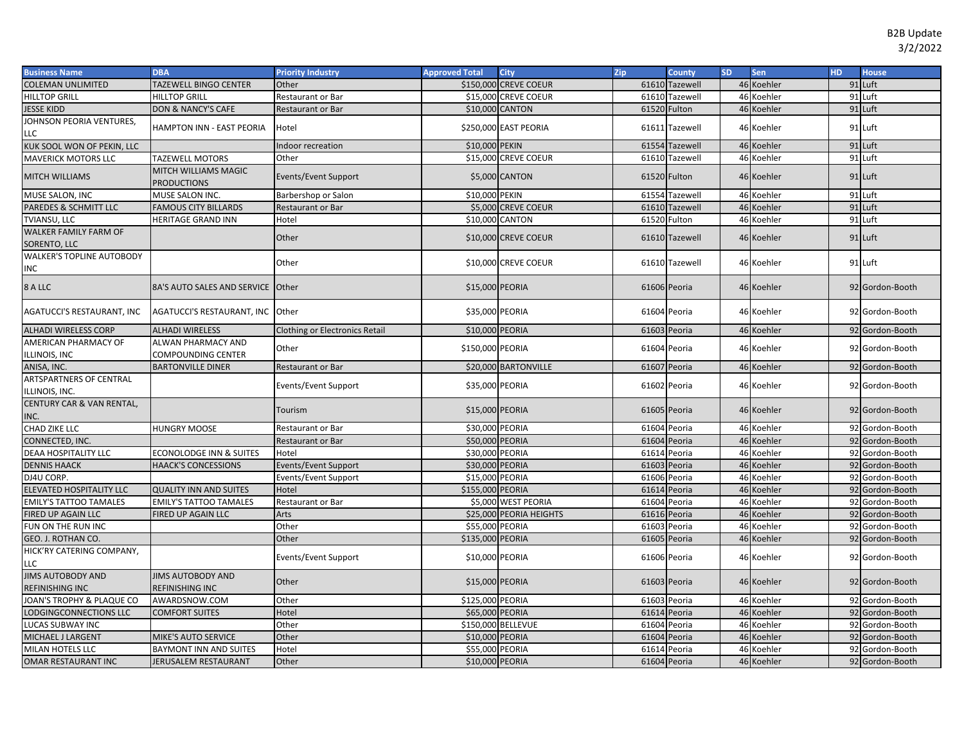| <b>Business Name</b>                        | <b>DBA</b>                                  | <b>Priority Industry</b>              | <b>Approved Total</b> | <b>City</b>             | Zip          | <b>County</b>  | <b>SD</b> | <b>Sen</b> | HD. | <b>House</b>    |
|---------------------------------------------|---------------------------------------------|---------------------------------------|-----------------------|-------------------------|--------------|----------------|-----------|------------|-----|-----------------|
| <b>COLEMAN UNLIMITED</b>                    | TAZEWELL BINGO CENTER                       | Other                                 |                       | \$150,000 CREVE COEUR   |              | 61610 Tazewell |           | 46 Koehler |     | 91 Luft         |
| <b>HILLTOP GRILL</b>                        | <b>HILLTOP GRILL</b>                        | Restaurant or Bar                     |                       | \$15,000 CREVE COEUR    |              | 61610 Tazewell |           | 46 Koehler |     | 91 Luft         |
| JESSE KIDD                                  | <b>DON &amp; NANCY'S CAFE</b>               | Restaurant or Bar                     | \$10,000 CANTON       |                         | 61520 Fulton |                |           | 46 Koehler |     | 91 Luft         |
| JOHNSON PEORIA VENTURES,<br>LLC             | <b>HAMPTON INN - EAST PEORIA</b>            | Hotel                                 |                       | \$250,000 EAST PEORIA   |              | 61611 Tazewell |           | 46 Koehler |     | 91 Luft         |
| KUK SOOL WON OF PEKIN, LLC                  |                                             | ndoor recreation                      | \$10,000 PEKIN        |                         |              | 61554 Tazewell |           | 46 Koehler |     | 91 Luft         |
| <b>MAVERICK MOTORS LLC</b>                  | <b>TAZEWELL MOTORS</b>                      | Other                                 |                       | \$15,000 CREVE COEUR    |              | 61610 Tazewell |           | 46 Koehler |     | 91 Luft         |
| MITCH WILLIAMS                              | MITCH WILLIAMS MAGIC<br><b>PRODUCTIONS</b>  | Events/Event Support                  |                       | \$5,000 CANTON          |              | 61520 Fulton   |           | 46 Koehler |     | $91$ Luft       |
| MUSE SALON, INC                             | MUSE SALON INC.                             | Barbershop or Salon                   | \$10,000 PEKIN        |                         |              | 61554 Tazewell |           | 46 Koehler |     | 91 Luft         |
| PAREDES & SCHMITT LLC                       | <b>FAMOUS CITY BILLARDS</b>                 | Restaurant or Bar                     |                       | \$5,000 CREVE COEUR     |              | 61610 Tazewell | 46        | Koehler    |     | 91 Luft         |
| TVIANSU, LLC                                | <b>HERITAGE GRAND INN</b>                   | Hotel                                 | \$10,000 CANTON       |                         | 61520 Fulton |                | 46        | Koehler    |     | 91 Luft         |
| WALKER FAMILY FARM OF<br>SORENTO, LLC       |                                             | Other                                 |                       | \$10,000 CREVE COEUR    |              | 61610 Tazewell |           | 46 Koehler |     | 91 Luft         |
| WALKER'S TOPLINE AUTOBODY<br>INC            |                                             | Other                                 |                       | \$10,000 CREVE COEUR    |              | 61610 Tazewell |           | 46 Koehler |     | 91 Luft         |
| 8 A LLC                                     | 8A'S AUTO SALES AND SERVICE Other           |                                       | \$15,000 PEORIA       |                         | 61606 Peoria |                |           | 46 Koehler |     | 92 Gordon-Booth |
| <b>AGATUCCI'S RESTAURANT, INC</b>           | AGATUCCI'S RESTAURANT, INC                  | Other                                 | \$35,000 PEORIA       |                         | 61604 Peoria |                |           | 46 Koehler |     | 92 Gordon-Booth |
| <b>ALHADI WIRELESS CORP</b>                 | <b>ALHADI WIRELESS</b>                      | <b>Clothing or Electronics Retail</b> | \$10,000 PEORIA       |                         | 61603 Peoria |                |           | 46 Koehler |     | 92 Gordon-Booth |
| <b>AMERICAN PHARMACY OF</b>                 | ALWAN PHARMACY AND                          | Other                                 | \$150,000 PEORIA      |                         | 61604 Peoria |                |           | 46 Koehler |     | 92 Gordon-Booth |
| ILLINOIS, INC                               | COMPOUNDING CENTER                          |                                       |                       |                         |              |                |           |            |     |                 |
| ANISA, INC.                                 | <b>BARTONVILLE DINER</b>                    | Restaurant or Bar                     |                       | \$20,000 BARTONVILLE    | 61607 Peoria |                |           | 46 Koehler |     | 92 Gordon-Booth |
| ARTSPARTNERS OF CENTRAL<br>ILLINOIS, INC.   |                                             | Events/Event Support                  | \$35,000 PEORIA       |                         | 61602 Peoria |                |           | 46 Koehler |     | 92 Gordon-Booth |
| CENTURY CAR & VAN RENTAL,<br>INC.           |                                             | Tourism                               | \$15,000 PEORIA       |                         | 61605 Peoria |                |           | 46 Koehler |     | 92 Gordon-Booth |
| CHAD ZIKE LLC                               | <b>HUNGRY MOOSE</b>                         | Restaurant or Bar                     | \$30,000 PEORIA       |                         | 61604 Peoria |                |           | 46 Koehler |     | 92 Gordon-Booth |
| CONNECTED, INC.                             |                                             | Restaurant or Bar                     | \$50,000 PEORIA       |                         | 61604 Peoria |                |           | 46 Koehler |     | 92 Gordon-Booth |
| <b>DEAA HOSPITALITY LLC</b>                 | <b>ECONOLODGE INN &amp; SUITES</b>          | Hotel                                 | \$30,000 PEORIA       |                         | 61614 Peoria |                |           | 46 Koehler |     | 92 Gordon-Booth |
| <b>DENNIS HAACK</b>                         | <b>HAACK'S CONCESSIONS</b>                  | Events/Event Support                  | \$30,000 PEORIA       |                         | 61603 Peoria |                |           | 46 Koehler |     | 92 Gordon-Booth |
| DJ4U CORP.                                  |                                             | Events/Event Support                  | \$15,000 PEORIA       |                         | 61606 Peoria |                |           | 46 Koehler |     | 92 Gordon-Booth |
| ELEVATED HOSPITALITY LLC                    | <b>QUALITY INN AND SUITES</b>               | Hotel                                 | \$155,000 PEORIA      |                         | 61614 Peoria |                |           | 46 Koehler |     | 92 Gordon-Booth |
| <b>EMILY'S TATTOO TAMALES</b>               | <b>EMILY'S TATTOO TAMALES</b>               | Restaurant or Bar                     |                       | \$5,000 WEST PEORIA     | 61604 Peoria |                |           | 46 Koehler |     | 92 Gordon-Booth |
| FIRED UP AGAIN LLC                          | FIRED UP AGAIN LLC                          | Arts                                  |                       | \$25,000 PEORIA HEIGHTS | 61616 Peoria |                |           | 46 Koehler |     | 92 Gordon-Booth |
| FUN ON THE RUN INC                          |                                             | Other                                 | \$55,000 PEORIA       |                         | 61603 Peoria |                |           | 46 Koehler |     | 92 Gordon-Booth |
| <b>GEO. J. ROTHAN CO.</b>                   |                                             | Other                                 | \$135,000 PEORIA      |                         | 61605 Peoria |                |           | 46 Koehler |     | 92 Gordon-Booth |
| HICK'RY CATERING COMPANY,<br>LLC            |                                             | Events/Event Support                  | \$10,000 PEORIA       |                         | 61606 Peoria |                |           | 46 Koehler |     | 92 Gordon-Booth |
| <b>JIMS AUTOBODY AND</b><br>REFINISHING INC | <b>JIMS AUTOBODY AND</b><br>REFINISHING INC | Other                                 | \$15,000 PEORIA       |                         | 61603 Peoria |                |           | 46 Koehler |     | 92 Gordon-Booth |
| JOAN'S TROPHY & PLAQUE CO                   | AWARDSNOW.COM                               | Other                                 | \$125,000 PEORIA      |                         | 61603 Peoria |                |           | 46 Koehler |     | 92 Gordon-Booth |
| LODGINGCONNECTIONS LLC                      | <b>COMFORT SUITES</b>                       | Hotel                                 | \$65,000 PEORIA       |                         | 61614 Peoria |                | 46        | Koehler    |     | 92 Gordon-Booth |
| LUCAS SUBWAY INC                            |                                             | Other                                 |                       | \$150,000 BELLEVUE      | 61604 Peoria |                | 46        | Koehler    |     | 92 Gordon-Booth |
| MICHAEL J LARGENT                           | <b>MIKE'S AUTO SERVICE</b>                  | Other                                 | \$10,000 PEORIA       |                         | 61604 Peoria |                | 46        | Koehler    |     | 92 Gordon-Booth |
| MILAN HOTELS LLC                            | <b>BAYMONT INN AND SUITES</b>               | Hotel                                 | \$55,000 PEORIA       |                         | 61614        | Peoria         | 46        | Koehler    |     | 92 Gordon-Booth |
| OMAR RESTAURANT INC                         | JERUSALEM RESTAURANT                        | Other                                 | \$10,000 PEORIA       |                         | 61604 Peoria |                |           | 46 Koehler |     | 92 Gordon-Booth |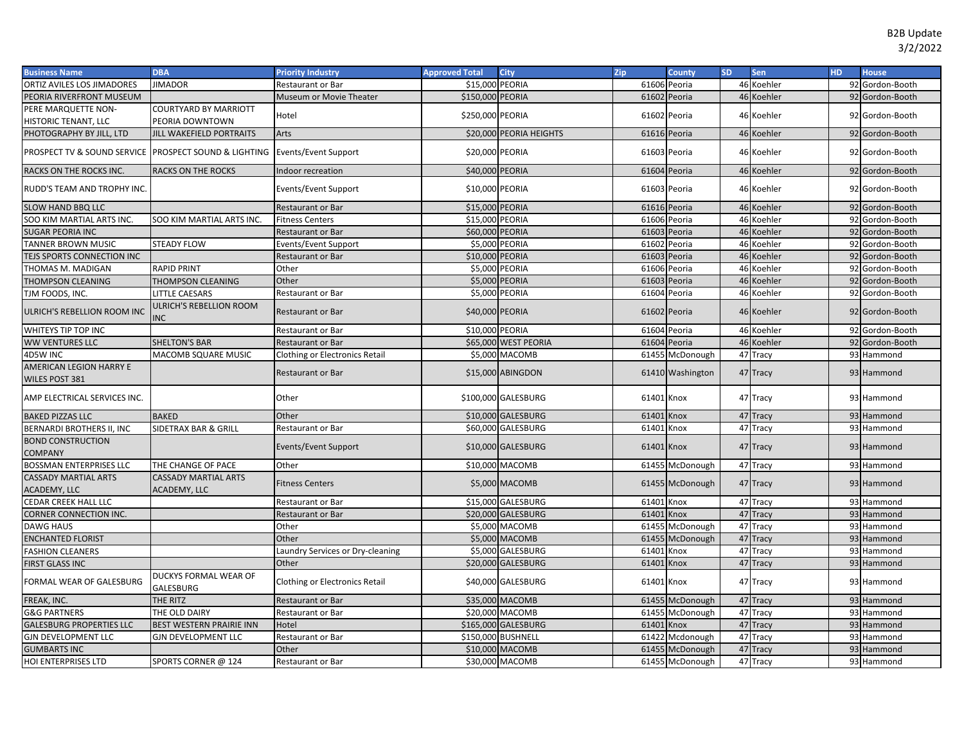| <b>Business Name</b>                                  | <b>DBA</b>                                  | <b>Priority Industry</b>              | <b>Approved Total</b> | <b>City</b>             | Zip          | County           | <b>SD</b> | Sen        | <b>HD</b> | <b>House</b>    |
|-------------------------------------------------------|---------------------------------------------|---------------------------------------|-----------------------|-------------------------|--------------|------------------|-----------|------------|-----------|-----------------|
| <b>ORTIZ AVILES LOS JIMADORES</b>                     | <b>JIMADOR</b>                              | Restaurant or Bar                     | \$15,000 PEORIA       |                         |              | 61606 Peoria     |           | 46 Koehler |           | 92 Gordon-Booth |
| PEORIA RIVERFRONT MUSEUM                              |                                             | Museum or Movie Theater               | \$150,000 PEORIA      |                         |              | 61602 Peoria     |           | 46 Koehler |           | 92 Gordon-Booth |
| PERE MARQUETTE NON-                                   | COURTYARD BY MARRIOTT                       | Hotel                                 | \$250,000 PEORIA      |                         |              | 61602 Peoria     |           | 46 Koehler |           | 92 Gordon-Booth |
| HISTORIC TENANT, LLC                                  | PEORIA DOWNTOWN                             |                                       |                       |                         |              |                  |           |            |           |                 |
| PHOTOGRAPHY BY JILL, LTD                              | JILL WAKEFIELD PORTRAITS                    | Arts                                  |                       | \$20,000 PEORIA HEIGHTS | 61616 Peoria |                  |           | 46 Koehler |           | 92 Gordon-Booth |
| PROSPECT TV & SOUND SERVICE PROSPECT SOUND & LIGHTING |                                             | Events/Event Support                  | \$20,000 PEORIA       |                         |              | 61603 Peoria     |           | 46 Koehler |           | 92 Gordon-Booth |
| RACKS ON THE ROCKS INC.                               | RACKS ON THE ROCKS                          | Indoor recreation                     | \$40,000 PEORIA       |                         | 61604 Peoria |                  |           | 46 Koehler |           | 92 Gordon-Booth |
| RUDD'S TEAM AND TROPHY INC                            |                                             | Events/Event Support                  | \$10,000 PEORIA       |                         |              | 61603 Peoria     |           | 46 Koehler |           | 92 Gordon-Booth |
| SLOW HAND BBQ LLC                                     |                                             | <b>Restaurant or Bar</b>              | \$15,000 PEORIA       |                         | 61616 Peoria |                  |           | 46 Koehler |           | 92 Gordon-Booth |
| SOO KIM MARTIAL ARTS INC.                             | SOO KIM MARTIAL ARTS INC.                   | <b>Fitness Centers</b>                | \$15,000 PEORIA       |                         | 61606 Peoria |                  | 46        | Koehler    |           | 92 Gordon-Booth |
| <b>SUGAR PEORIA INC</b>                               |                                             | <b>Restaurant or Bar</b>              | \$60,000 PEORIA       |                         | 61603        | Peoria           | 46        | Koehler    |           | 92 Gordon-Booth |
| TANNER BROWN MUSIC                                    | <b>STEADY FLOW</b>                          | Events/Event Support                  |                       | \$5,000 PEORIA          | 61602        | Peoria           | 46        | Koehler    |           | 92 Gordon-Booth |
| TEJS SPORTS CONNECTION INC                            |                                             | <b>Restaurant or Bar</b>              | \$10,000              | <b>PEORIA</b>           | 61603        | Peoria           | 46        | Koehler    |           | 92 Gordon-Booth |
| THOMAS M. MADIGAN                                     | <b>RAPID PRINT</b>                          | Other                                 | \$5,000               | <b>PEORIA</b>           | 61606        | Peoria           | 46        | Koehler    |           | 92 Gordon-Booth |
| THOMPSON CLEANING                                     | THOMPSON CLEANING                           | Other                                 |                       | \$5,000 PEORIA          | 61603        | Peoria           | 46        | Koehler    |           | 92 Gordon-Booth |
| TJM FOODS, INC.                                       | <b>LITTLE CAESARS</b>                       | Restaurant or Bar                     |                       | \$5,000 PEORIA          |              | 61604 Peoria     | 46        | Koehler    |           | 92 Gordon-Booth |
| ULRICH'S REBELLION ROOM INC                           | ULRICH'S REBELLION ROOM<br><b>NC</b>        | <b>Restaurant or Bar</b>              | \$40,000 PEORIA       |                         | 61602 Peoria |                  |           | 46 Koehler |           | 92 Gordon-Booth |
| WHITEYS TIP TOP INC                                   |                                             | <b>Restaurant or Bar</b>              | \$10,000 PEORIA       |                         | 61604 Peoria |                  |           | 46 Koehler |           | 92 Gordon-Booth |
| <b>WW VENTURES LLC</b>                                | <b>SHELTON'S BAR</b>                        | <b>Restaurant or Bar</b>              |                       | \$65,000 WEST PEORIA    | 61604        | Peoria           |           | 46 Koehler |           | 92 Gordon-Booth |
| 4D5W INC                                              | <b>MACOMB SQUARE MUSIC</b>                  | <b>Clothing or Electronics Retail</b> |                       | \$5,000 MACOMB          |              | 61455 McDonough  |           | 47 Tracy   |           | 93 Hammond      |
| AMERICAN LEGION HARRY E<br>WILES POST 381             |                                             | <b>Restaurant or Bar</b>              |                       | \$15,000 ABINGDON       |              | 61410 Washington |           | 47 Tracy   |           | 93 Hammond      |
| AMP ELECTRICAL SERVICES INC.                          |                                             | Other                                 |                       | \$100,000 GALESBURG     | 61401 Knox   |                  |           | 47 Tracy   |           | 93 Hammond      |
| <b>BAKED PIZZAS LLC</b>                               | <b>BAKED</b>                                | Other                                 |                       | \$10,000 GALESBURG      | 61401 Knox   |                  |           | 47 Tracy   |           | 93 Hammond      |
| <b>BERNARDI BROTHERS II, INC</b>                      | SIDETRAX BAR & GRILL                        | Restaurant or Bar                     |                       | \$60,000 GALESBURG      | 61401 Knox   |                  |           | 47 Tracy   |           | 93 Hammond      |
| <b>BOND CONSTRUCTION</b><br><b>COMPANY</b>            |                                             | Events/Event Support                  |                       | \$10,000 GALESBURG      | 61401 Knox   |                  |           | 47 Tracy   |           | 93 Hammond      |
| <b>BOSSMAN ENTERPRISES LLC</b>                        | THE CHANGE OF PACE                          | Other                                 |                       | \$10,000 MACOMB         |              | 61455 McDonough  |           | 47 Tracy   |           | 93 Hammond      |
| <b>CASSADY MARTIAL ARTS</b><br>ACADEMY, LLC           | CASSADY MARTIAL ARTS<br><b>ACADEMY, LLC</b> | <b>Fitness Centers</b>                |                       | \$5,000 MACOMB          |              | 61455 McDonough  |           | 47 Tracy   |           | 93 Hammond      |
| CEDAR CREEK HALL LLC                                  |                                             | Restaurant or Bar                     |                       | \$15,000 GALESBURG      | 61401 Knox   |                  |           | 47 Tracy   |           | 93 Hammond      |
| <b>CORNER CONNECTION INC.</b>                         |                                             | <b>Restaurant or Bar</b>              |                       | \$20,000 GALESBURG      | 61401        | Knox             |           | 47 Tracy   |           | 93 Hammond      |
| DAWG HAUS                                             |                                             | Other                                 |                       | \$5,000 MACOMB          |              | 61455 McDonough  |           | 47 Tracy   |           | 93 Hammond      |
| <b>ENCHANTED FLORIST</b>                              |                                             | Other                                 |                       | \$5,000 MACOMB          |              | 61455 McDonough  |           | 47 Tracy   |           | 93 Hammond      |
| <b>FASHION CLEANERS</b>                               |                                             | Laundry Services or Dry-cleaning      |                       | \$5,000 GALESBURG       | 61401 Knox   |                  |           | 47 Tracy   |           | 93 Hammond      |
| FIRST GLASS INC                                       |                                             | Other                                 |                       | \$20,000 GALESBURG      | 61401        | Knox             |           | 47 Tracy   |           | 93 Hammond      |
| FORMAL WEAR OF GALESBURG                              | DUCKYS FORMAL WEAR OF<br>GALESBURG          | <b>Clothing or Electronics Retail</b> |                       | \$40,000 GALESBURG      | 61401 Knox   |                  |           | 47 Tracy   |           | 93 Hammond      |
| FREAK, INC.                                           | THE RITZ                                    | <b>Restaurant or Bar</b>              |                       | \$35,000 MACOMB         |              | 61455 McDonough  |           | 47 Tracy   |           | 93 Hammond      |
| <b>G&amp;G PARTNERS</b>                               | THE OLD DAIRY                               | Restaurant or Bar                     |                       | \$20,000 MACOMB         |              | 61455 McDonough  |           | 47 Tracy   |           | 93 Hammond      |
| <b>GALESBURG PROPERTIES LLC</b>                       | BEST WESTERN PRAIRIE INN                    | Hotel                                 |                       | \$165,000 GALESBURG     | 61401        | Knox             |           | 47 Tracy   |           | 93 Hammond      |
| <b>GJN DEVELOPMENT LLC</b>                            | <b>GJN DEVELOPMENT LLC</b>                  | Restaurant or Bar                     |                       | \$150,000 BUSHNELL      |              | 61422 Mcdonough  |           | 47 Tracy   |           | 93 Hammond      |
| <b>GUMBARTS INC</b>                                   |                                             | Other                                 |                       | \$10,000 MACOMB         |              | 61455 McDonough  |           | 47 Tracy   |           | 93 Hammond      |
| HOI ENTERPRISES LTD                                   | SPORTS CORNER @ 124                         | Restaurant or Bar                     |                       | \$30,000 MACOMB         |              | 61455 McDonough  |           | 47 Tracy   |           | 93 Hammond      |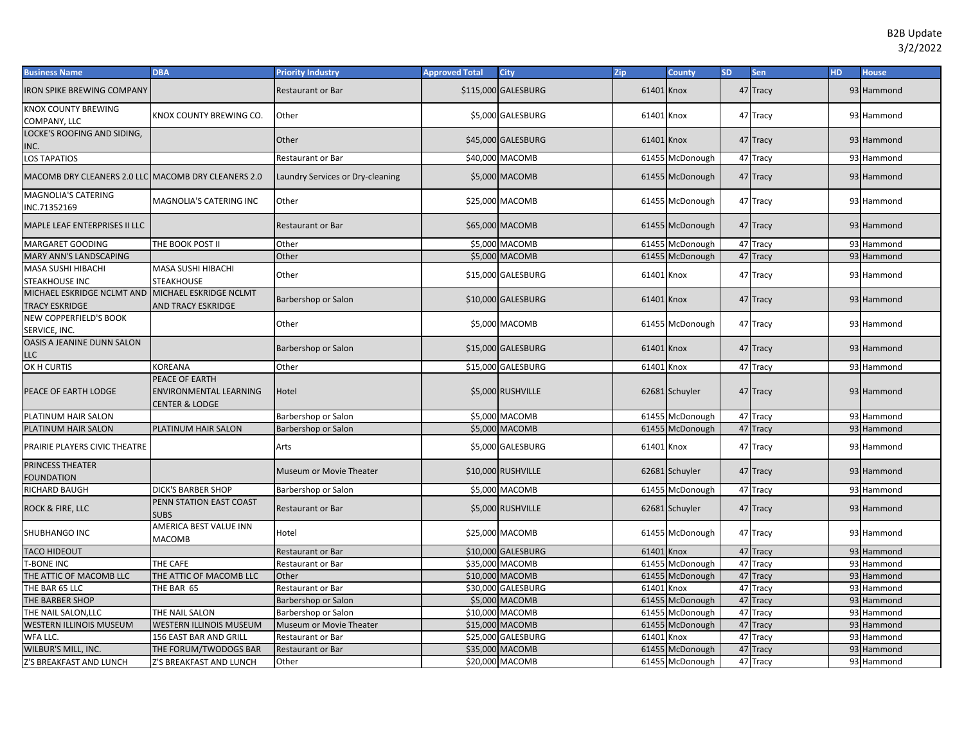| <b>Business Name</b>                                | <b>DBA</b>                                                        | <b>Priority Industry</b>         | <b>Approved Total</b> | <b>City</b>         | Zip        | <b>County</b>   | <b>SD</b> | Sen      | <b>HD</b> | <b>House</b> |
|-----------------------------------------------------|-------------------------------------------------------------------|----------------------------------|-----------------------|---------------------|------------|-----------------|-----------|----------|-----------|--------------|
| <b>RON SPIKE BREWING COMPANY</b>                    |                                                                   | Restaurant or Bar                |                       | \$115,000 GALESBURG | 61401 Knox |                 |           | 47 Tracy |           | 93 Hammond   |
| KNOX COUNTY BREWING<br>COMPANY, LLC                 | KNOX COUNTY BREWING CO.                                           | Other                            |                       | \$5,000 GALESBURG   | 61401 Knox |                 |           | 47 Tracy |           | 93 Hammond   |
| LOCKE'S ROOFING AND SIDING,<br>INC.                 |                                                                   | Other                            |                       | \$45,000 GALESBURG  | 61401 Knox |                 |           | 47 Tracy |           | 93 Hammond   |
| LOS TAPATIOS                                        |                                                                   | Restaurant or Bar                |                       | \$40,000 MACOMB     |            | 61455 McDonough |           | 47 Tracy |           | 93 Hammond   |
| MACOMB DRY CLEANERS 2.0 LLC MACOMB DRY CLEANERS 2.0 |                                                                   | Laundry Services or Dry-cleaning |                       | \$5,000 MACOMB      |            | 61455 McDonough |           | 47 Tracy |           | 93 Hammond   |
| MAGNOLIA'S CATERING<br>INC.71352169                 | MAGNOLIA'S CATERING INC                                           | Other                            |                       | \$25,000 MACOMB     |            | 61455 McDonough |           | 47 Tracy |           | 93 Hammond   |
| MAPLE LEAF ENTERPRISES II LLC                       |                                                                   | <b>Restaurant or Bar</b>         |                       | \$65,000 MACOMB     |            | 61455 McDonough |           | 47 Tracy |           | 93 Hammond   |
| MARGARET GOODING                                    | THE BOOK POST II                                                  | Other                            |                       | \$5,000 MACOMB      |            | 61455 McDonough |           | 47 Tracy |           | 93 Hammond   |
| MARY ANN'S LANDSCAPING                              |                                                                   | Other                            |                       | \$5,000 MACOMB      |            | 61455 McDonough |           | 47 Tracy |           | 93 Hammond   |
| MASA SUSHI HIBACHI<br>STEAKHOUSE INC                | MASA SUSHI HIBACHI<br><b>STEAKHOUSE</b>                           | Other                            |                       | \$15,000 GALESBURG  | 61401 Knox |                 |           | 47 Tracy |           | 93 Hammond   |
| MICHAEL ESKRIDGE NCLMT AND<br>TRACY ESKRIDGE        | MICHAEL ESKRIDGE NCLMT<br><b>AND TRACY ESKRIDGE</b>               | Barbershop or Salon              |                       | \$10,000 GALESBURG  | 61401 Knox |                 |           | 47 Tracy |           | 93 Hammond   |
| NEW COPPERFIELD'S BOOK<br>SERVICE, INC.             |                                                                   | Other                            |                       | \$5,000 MACOMB      |            | 61455 McDonough |           | 47 Tracy |           | 93 Hammond   |
| OASIS A JEANINE DUNN SALON<br>LLC                   |                                                                   | Barbershop or Salon              |                       | \$15,000 GALESBURG  | 61401 Knox |                 |           | 47 Tracy |           | 93 Hammond   |
| OK H CURTIS                                         | KOREANA                                                           | Other                            |                       | \$15,000 GALESBURG  | 61401      | Knox            |           | 47 Tracy |           | 93 Hammond   |
| PEACE OF EARTH LODGE                                | PEACE OF EARTH<br><b>ENVIRONMENTAL LEARNING</b><br>CENTER & LODGE | Hotel                            |                       | \$5,000 RUSHVILLE   |            | 62681 Schuyler  |           | 47 Tracy |           | 93 Hammond   |
| PLATINUM HAIR SALON                                 |                                                                   | Barbershop or Salon              |                       | \$5,000 MACOMB      |            | 61455 McDonough |           | 47 Tracy |           | 93 Hammond   |
| PLATINUM HAIR SALON                                 | PLATINUM HAIR SALON                                               | Barbershop or Salon              |                       | \$5,000 MACOMB      |            | 61455 McDonough |           | 47 Tracy |           | 93 Hammond   |
| PRAIRIE PLAYERS CIVIC THEATRE                       |                                                                   | Arts                             |                       | \$5,000 GALESBURG   | 61401 Knox |                 |           | 47 Tracy |           | 93 Hammond   |
| PRINCESS THEATER<br><b>FOUNDATION</b>               |                                                                   | Museum or Movie Theater          |                       | \$10,000 RUSHVILLE  |            | 62681 Schuyler  |           | 47 Tracy |           | 93 Hammond   |
| RICHARD BAUGH                                       | <b>DICK'S BARBER SHOP</b>                                         | Barbershop or Salon              |                       | \$5,000 MACOMB      |            | 61455 McDonough |           | 47 Tracy |           | 93 Hammond   |
| ROCK & FIRE, LLC                                    | PENN STATION EAST COAST<br><b>SUBS</b>                            | <b>Restaurant or Bar</b>         |                       | \$5,000 RUSHVILLE   |            | 62681 Schuyler  |           | 47 Tracy |           | 93 Hammond   |
| SHUBHANGO INC                                       | AMERICA BEST VALUE INN<br>MACOMB                                  | Hotel                            |                       | \$25,000 MACOMB     |            | 61455 McDonough |           | 47 Tracy |           | 93 Hammond   |
| <b>TACO HIDEOUT</b>                                 |                                                                   | Restaurant or Bar                |                       | \$10,000 GALESBURG  | 61401 Knox |                 |           | 47 Tracy |           | 93 Hammond   |
| <b>F-BONE INC</b>                                   | THE CAFE                                                          | Restaurant or Bar                |                       | \$35,000 MACOMB     | 61455      | McDonough       |           | 47 Tracy |           | 93 Hammond   |
| THE ATTIC OF MACOMB LLC                             | THE ATTIC OF MACOMB LLC                                           | Other                            |                       | \$10,000 MACOMB     |            | 61455 McDonough |           | 47 Tracy |           | 93 Hammond   |
| THE BAR 65 LLC                                      | THE BAR 65                                                        | Restaurant or Bar                |                       | \$30,000 GALESBURG  | 61401      | Knox            |           | 47 Tracy |           | 93 Hammond   |
| THE BARBER SHOP                                     |                                                                   | Barbershop or Salon              |                       | \$5,000 MACOMB      |            | 61455 McDonough |           | 47 Tracy |           | 93 Hammond   |
| THE NAIL SALON,LLC                                  | THE NAIL SALON                                                    | Barbershop or Salon              |                       | \$10,000 MACOMB     |            | 61455 McDonough |           | 47 Tracy |           | 93 Hammond   |
| WESTERN ILLINOIS MUSEUM                             | WESTERN ILLINOIS MUSEUM                                           | Museum or Movie Theater          |                       | \$15,000 MACOMB     |            | 61455 McDonough |           | 47 Tracy |           | 93 Hammond   |
| WFA LLC.                                            | 156 EAST BAR AND GRILL                                            | Restaurant or Bar                |                       | \$25,000 GALESBURG  | 61401      | Knox            |           | 47 Tracy |           | 93 Hammond   |
| WILBUR'S MILL, INC.                                 | THE FORUM/TWODOGS BAR                                             | <b>Restaurant or Bar</b>         |                       | \$35,000 MACOMB     |            | 61455 McDonough |           | 47 Tracy |           | 93 Hammond   |
| Z'S BREAKFAST AND LUNCH                             | Z'S BREAKFAST AND LUNCH                                           | Other                            |                       | \$20,000 MACOMB     |            | 61455 McDonough |           | 47 Tracy |           | 93 Hammond   |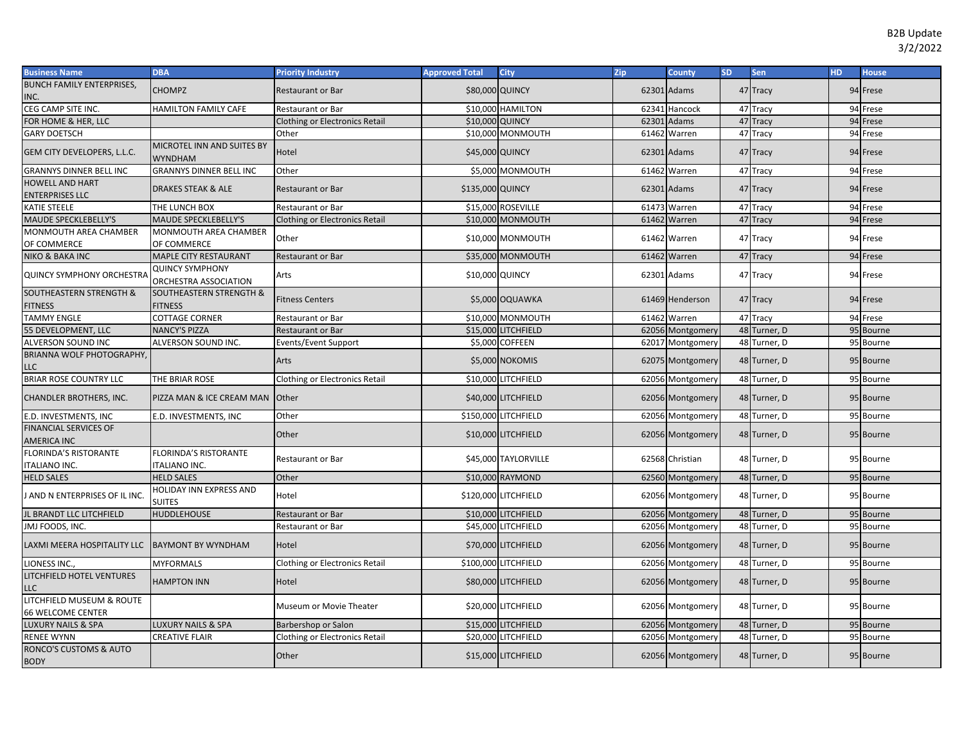| <b>Business Name</b>                                  | <b>DBA</b>                                      | <b>Priority Industry</b>              | <b>Approved Total</b> | <b>City</b>          | Zip | County           | <b>SD</b> | Sen          | <b>HD</b> | <b>House</b> |
|-------------------------------------------------------|-------------------------------------------------|---------------------------------------|-----------------------|----------------------|-----|------------------|-----------|--------------|-----------|--------------|
| <b>BUNCH FAMILY ENTERPRISES,</b>                      | <b>CHOMPZ</b>                                   | <b>Restaurant or Bar</b>              | \$80,000 QUINCY       |                      |     | 62301 Adams      |           | 47 Tracy     |           | 94 Frese     |
| NC.                                                   |                                                 |                                       |                       |                      |     |                  |           |              |           |              |
| CEG CAMP SITE INC.                                    | <b>HAMILTON FAMILY CAFE</b>                     | Restaurant or Bar                     |                       | \$10,000 HAMILTON    |     | 62341 Hancock    |           | 47 Tracy     |           | 94 Frese     |
| FOR HOME & HER, LLC                                   |                                                 | <b>Clothing or Electronics Retail</b> | \$10,000 QUINCY       |                      |     | 62301 Adams      |           | 47 Tracy     |           | 94 Frese     |
| <b>GARY DOETSCH</b>                                   |                                                 | Other                                 |                       | \$10,000 MONMOUTH    |     | 61462 Warren     |           | 47 Tracy     |           | 94 Frese     |
| GEM CITY DEVELOPERS, L.L.C.                           | MICROTEL INN AND SUITES BY<br><b>WYNDHAM</b>    | Hotel                                 | \$45,000 QUINCY       |                      |     | 62301 Adams      |           | 47 Tracy     |           | 94 Frese     |
| <b>GRANNYS DINNER BELL INC</b>                        | <b>GRANNYS DINNER BELL INC</b>                  | Other                                 |                       | \$5,000 MONMOUTH     |     | 61462 Warren     |           | 47 Tracy     |           | 94 Frese     |
| <b>HOWELL AND HART</b><br><b>ENTERPRISES LLC</b>      | <b>DRAKES STEAK &amp; ALE</b>                   | <b>Restaurant or Bar</b>              | \$135,000 QUINCY      |                      |     | 62301 Adams      |           | 47 Tracy     |           | 94 Frese     |
| KATIE STEELE                                          | THE LUNCH BOX                                   | Restaurant or Bar                     |                       | \$15,000 ROSEVILLE   |     | 61473 Warren     |           | 47 Tracy     |           | 94 Frese     |
| MAUDE SPECKLEBELLY'S                                  | <b>MAUDE SPECKLEBELLY'S</b>                     | Clothing or Electronics Retail        |                       | \$10,000 MONMOUTH    |     | 61462 Warren     |           | 47 Tracy     |           | 94 Frese     |
| MONMOUTH AREA CHAMBER<br>OF COMMERCE                  | MONMOUTH AREA CHAMBER<br>OF COMMERCE            | Other                                 |                       | \$10,000 MONMOUTH    |     | 61462 Warren     |           | 47 Tracy     |           | 94 Frese     |
| NIKO & BAKA INC                                       | MAPLE CITY RESTAURANT                           | <b>Restaurant or Bar</b>              |                       | \$35,000 MONMOUTH    |     | 61462 Warren     |           | 47 Tracy     |           | 94 Frese     |
| <b>QUINCY SYMPHONY ORCHESTRA</b>                      | <b>QUINCY SYMPHONY</b><br>ORCHESTRA ASSOCIATION | Arts                                  | \$10,000 QUINCY       |                      |     | 62301 Adams      |           | 47 Tracy     |           | 94 Frese     |
| SOUTHEASTERN STRENGTH &<br><b>FITNESS</b>             | SOUTHEASTERN STRENGTH &<br><b>FITNESS</b>       | <b>Fitness Centers</b>                |                       | \$5,000 OQUAWKA      |     | 61469 Henderson  |           | 47 Tracy     |           | 94 Frese     |
| <b>TAMMY ENGLE</b>                                    | COTTAGE CORNER                                  | Restaurant or Bar                     |                       | \$10,000 MONMOUTH    |     | 61462 Warren     |           | 47 Tracy     |           | 94 Frese     |
| 55 DEVELOPMENT, LLC                                   | <b>NANCY'S PIZZA</b>                            | <b>Restaurant or Bar</b>              |                       | \$15,000 LITCHFIELD  |     | 62056 Montgomery |           | 48 Turner, D |           | 95 Bourne    |
| ALVERSON SOUND INC                                    | ALVERSON SOUND INC.                             | Events/Event Support                  |                       | \$5,000 COFFEEN      |     | 62017 Montgomery |           | 48 Turner, D |           | 95 Bourne    |
| BRIANNA WOLF PHOTOGRAPHY,<br>LLC                      |                                                 | Arts                                  |                       | \$5,000 NOKOMIS      |     | 62075 Montgomery |           | 48 Turner, D |           | 95 Bourne    |
| BRIAR ROSE COUNTRY LLC                                | THE BRIAR ROSE                                  | <b>Clothing or Electronics Retail</b> |                       | \$10,000 LITCHFIELD  |     | 62056 Montgomery |           | 48 Turner, D |           | 95 Bourne    |
| CHANDLER BROTHERS, INC.                               | PIZZA MAN & ICE CREAM MAN                       | Other                                 |                       | \$40,000 LITCHFIELD  |     | 62056 Montgomery |           | 48 Turner, D |           | 95 Bourne    |
| E.D. INVESTMENTS, INC                                 | E.D. INVESTMENTS, INC                           | Other                                 |                       | \$150,000 LITCHFIELD |     | 62056 Montgomery |           | 48 Turner, D |           | 95 Bourne    |
| <b>FINANCIAL SERVICES OF</b><br><b>AMERICA INC</b>    |                                                 | Other                                 |                       | \$10,000 LITCHFIELD  |     | 62056 Montgomery |           | 48 Turner, D |           | 95 Bourne    |
| FLORINDA'S RISTORANTE<br><b>ITALIANO INC.</b>         | FLORINDA'S RISTORANTE<br><b>ITALIANO INC.</b>   | Restaurant or Bar                     |                       | \$45,000 TAYLORVILLE |     | 62568 Christian  |           | 48 Turner, D |           | 95 Bourne    |
| <b>HELD SALES</b>                                     | <b>HELD SALES</b>                               | Other                                 |                       | \$10,000 RAYMOND     |     | 62560 Montgomery |           | 48 Turner, D |           | 95 Bourne    |
| AND N ENTERPRISES OF IL INC.                          | <b>HOLIDAY INN EXPRESS AND</b><br>SUITES        | Hotel                                 |                       | \$120,000 LITCHFIELD |     | 62056 Montgomery |           | 48 Turner, D |           | 95 Bourne    |
| IL BRANDT LLC LITCHFIELD                              | <b>HUDDLEHOUSE</b>                              | <b>Restaurant or Bar</b>              |                       | \$10,000 LITCHFIELD  |     | 62056 Montgomery |           | 48 Turner, D |           | 95 Bourne    |
| JMJ FOODS, INC.                                       |                                                 | Restaurant or Bar                     |                       | \$45,000 LITCHFIELD  |     | 62056 Montgomery |           | 48 Turner, D |           | 95 Bourne    |
| LAXMI MEERA HOSPITALITY LLC BAYMONT BY WYNDHAM        |                                                 | Hotel                                 |                       | \$70,000 LITCHFIELD  |     | 62056 Montgomery |           | 48 Turner, D |           | 95 Bourne    |
| LIONESS INC.,                                         | <b>MYFORMALS</b>                                | Clothing or Electronics Retail        |                       | \$100,000 LITCHFIELD |     | 62056 Montgomery |           | 48 Turner, D |           | 95 Bourne    |
| LITCHFIELD HOTEL VENTURES<br>LLC                      | <b>HAMPTON INN</b>                              | Hotel                                 |                       | \$80,000 LITCHFIELD  |     | 62056 Montgomery |           | 48 Turner, D |           | 95 Bourne    |
| LITCHFIELD MUSEUM & ROUTE<br><b>66 WELCOME CENTER</b> |                                                 | Museum or Movie Theater               |                       | \$20,000 LITCHFIELD  |     | 62056 Montgomery |           | 48 Turner, D |           | 95 Bourne    |
| <b>LUXURY NAILS &amp; SPA</b>                         | LUXURY NAILS & SPA                              | Barbershop or Salon                   |                       | \$15,000 LITCHFIELD  |     | 62056 Montgomery |           | 48 Turner, D |           | 95 Bourne    |
| <b>RENEE WYNN</b>                                     | CREATIVE FLAIR                                  | <b>Clothing or Electronics Retail</b> |                       | \$20,000 LITCHFIELD  |     | 62056 Montgomery |           | 48 Turner, D |           | 95 Bourne    |
| RONCO'S CUSTOMS & AUTO<br><b>BODY</b>                 |                                                 | Other                                 |                       | \$15,000 LITCHFIELD  |     | 62056 Montgomery |           | 48 Turner, D |           | 95 Bourne    |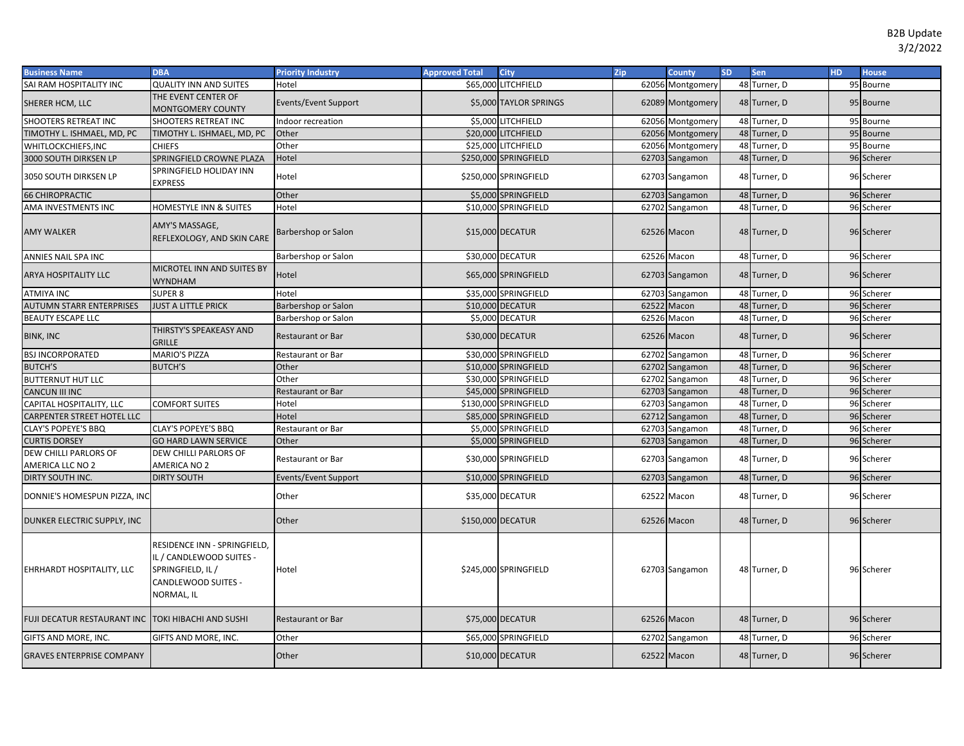| <b>Business Name</b>                               | <b>DBA</b>                                                                                                         | <b>Priority Industry</b>   | <b>Approved Total</b> | <b>City</b>            | Zip | <b>County</b>    | <b>SD</b> | <b>Sen</b>   | HD. | <b>House</b> |
|----------------------------------------------------|--------------------------------------------------------------------------------------------------------------------|----------------------------|-----------------------|------------------------|-----|------------------|-----------|--------------|-----|--------------|
| SAI RAM HOSPITALITY INC                            | <b>QUALITY INN AND SUITES</b>                                                                                      | Hotel                      |                       | \$65,000 LITCHFIELD    |     | 62056 Montgomery |           | 48 Turner, D |     | 95 Bourne    |
| SHERER HCM, LLC                                    | THE EVENT CENTER OF<br><b>MONTGOMERY COUNTY</b>                                                                    | Events/Event Support       |                       | \$5,000 TAYLOR SPRINGS |     | 62089 Montgomery |           | 48 Turner, D |     | 95 Bourne    |
| SHOOTERS RETREAT INC                               | <b>SHOOTERS RETREAT INC</b>                                                                                        | Indoor recreation          |                       | \$5,000 LITCHFIELD     |     | 62056 Montgomery |           | 48 Turner, D |     | 95 Bourne    |
| TIMOTHY L. ISHMAEL, MD, PC                         | TIMOTHY L. ISHMAEL, MD, PC                                                                                         | Other                      |                       | \$20,000 LITCHFIELD    |     | 62056 Montgomery |           | 48 Turner, D |     | 95 Bourne    |
| WHITLOCKCHIEFS, INC                                | <b>CHIEFS</b>                                                                                                      | Other                      |                       | \$25,000 LITCHFIELD    |     | 62056 Montgomery |           | 48 Turner, D |     | 95 Bourne    |
| 3000 SOUTH DIRKSEN LP                              | SPRINGFIELD CROWNE PLAZA                                                                                           | Hotel                      |                       | \$250,000 SPRINGFIELD  |     | 62703 Sangamon   |           | 48 Turner, D |     | 96 Scherer   |
| 3050 SOUTH DIRKSEN LP                              | SPRINGFIELD HOLIDAY INN<br><b>EXPRESS</b>                                                                          | Hotel                      |                       | \$250,000 SPRINGFIELD  |     | 62703 Sangamon   |           | 48 Turner, D |     | 96 Scherer   |
| <b>66 CHIROPRACTIC</b>                             |                                                                                                                    | Other                      |                       | \$5,000 SPRINGFIELD    |     | 62703 Sangamon   |           | 48 Turner, D |     | 96 Scherer   |
| AMA INVESTMENTS INC                                | <b>HOMESTYLE INN &amp; SUITES</b>                                                                                  | Hotel                      |                       | \$10,000 SPRINGFIELD   |     | 62702 Sangamon   |           | 48 Turner, D |     | 96 Scherer   |
| <b>AMY WALKER</b>                                  | AMY'S MASSAGE,<br>REFLEXOLOGY, AND SKIN CARE                                                                       | <b>Barbershop or Salon</b> |                       | \$15,000 DECATUR       |     | 62526 Macon      |           | 48 Turner, D |     | 96 Scherer   |
| ANNIES NAIL SPA INC                                |                                                                                                                    | Barbershop or Salon        |                       | \$30,000 DECATUR       |     | 62526 Macon      |           | 48 Turner, D |     | 96 Scherer   |
| <b>ARYA HOSPITALITY LLC</b>                        | MICROTEL INN AND SUITES BY<br><b>WYNDHAM</b>                                                                       | Hotel                      |                       | \$65,000 SPRINGFIELD   |     | 62703 Sangamon   |           | 48 Turner, D |     | 96 Scherer   |
| <b>ATMIYA INC</b>                                  | <b>SUPER 8</b>                                                                                                     | Hotel                      |                       | \$35,000 SPRINGFIELD   |     | 62703 Sangamon   |           | 48 Turner, D |     | 96 Scherer   |
| <b>AUTUMN STARR ENTERPRISES</b>                    | <b>JUST A LITTLE PRICK</b>                                                                                         | Barbershop or Salon        |                       | \$10,000 DECATUR       |     | 62522 Macon      |           | 48 Turner, D |     | 96 Scherer   |
| BEAUTY ESCAPE LLC                                  |                                                                                                                    | Barbershop or Salon        |                       | \$5,000 DECATUR        |     | 62526 Macon      |           | 48 Turner, D |     | 96 Scherer   |
| <b>BINK, INC</b>                                   | THIRSTY'S SPEAKEASY AND<br><b>GRILLE</b>                                                                           | <b>Restaurant or Bar</b>   |                       | \$30,000 DECATUR       |     | 62526 Macon      |           | 48 Turner, D |     | 96 Scherer   |
| <b>BSJ INCORPORATED</b>                            | <b>MARIO'S PIZZA</b>                                                                                               | Restaurant or Bar          |                       | \$30,000 SPRINGFIELD   |     | 62702 Sangamon   |           | 48 Turner, D |     | 96 Scherer   |
| <b>BUTCH'S</b>                                     | <b>BUTCH'S</b>                                                                                                     | Other                      |                       | \$10,000 SPRINGFIELD   |     | 62702 Sangamon   |           | 48 Turner, D |     | 96 Scherer   |
| <b>BUTTERNUT HUT LLC</b>                           |                                                                                                                    | Other                      |                       | \$30,000 SPRINGFIELD   |     | 62702 Sangamon   |           | 48 Turner, D |     | 96 Scherer   |
| <b>CANCUN III INC</b>                              |                                                                                                                    | <b>Restaurant or Bar</b>   |                       | \$45,000 SPRINGFIELD   |     | 62703 Sangamon   |           | 48 Turner, D |     | 96 Scherer   |
| CAPITAL HOSPITALITY, LLC                           | <b>COMFORT SUITES</b>                                                                                              | Hotel                      |                       | \$130,000 SPRINGFIELD  |     | 62703 Sangamon   |           | 48 Turner, D |     | 96 Scherer   |
| CARPENTER STREET HOTEL LLC                         |                                                                                                                    | Hotel                      |                       | \$85,000 SPRINGFIELD   |     | 62712 Sangamon   |           | 48 Turner, D |     | 96 Scherer   |
| <b>CLAY'S POPEYE'S BBQ</b>                         | <b>CLAY'S POPEYE'S BBQ</b>                                                                                         | Restaurant or Bar          |                       | \$5,000 SPRINGFIELD    |     | 62703 Sangamon   |           | 48 Turner, D |     | 96 Scherer   |
| <b>CURTIS DORSEY</b>                               | <b>GO HARD LAWN SERVICE</b>                                                                                        | Other                      |                       | \$5,000 SPRINGFIELD    |     | 62703 Sangamon   |           | 48 Turner, D |     | 96 Scherer   |
| DEW CHILLI PARLORS OF                              | DEW CHILLI PARLORS OF                                                                                              |                            |                       |                        |     |                  |           |              |     |              |
| AMERICA LLC NO 2                                   | AMERICA NO 2                                                                                                       | Restaurant or Bar          |                       | \$30,000 SPRINGFIELD   |     | 62703 Sangamon   |           | 48 Turner, D |     | 96 Scherer   |
| DIRTY SOUTH INC.                                   | <b>DIRTY SOUTH</b>                                                                                                 | Events/Event Support       |                       | \$10,000 SPRINGFIELD   |     | 62703 Sangamon   |           | 48 Turner, D |     | 96 Scherer   |
| DONNIE'S HOMESPUN PIZZA, INC                       |                                                                                                                    | Other                      |                       | \$35,000 DECATUR       |     | 62522 Macon      |           | 48 Turner, D |     | 96 Scherer   |
| DUNKER ELECTRIC SUPPLY, INC                        |                                                                                                                    | Other                      |                       | \$150,000 DECATUR      |     | 62526 Macon      |           | 48 Turner, D |     | 96 Scherer   |
| EHRHARDT HOSPITALITY, LLC                          | RESIDENCE INN - SPRINGFIELD,<br>IL / CANDLEWOOD SUITES -<br>SPRINGFIELD, IL /<br>CANDLEWOOD SUITES -<br>NORMAL, IL | Hotel                      |                       | \$245,000 SPRINGFIELD  |     | 62703 Sangamon   |           | 48 Turner, D |     | 96 Scherer   |
| FUJI DECATUR RESTAURANT INC TOKI HIBACHI AND SUSHI |                                                                                                                    | <b>Restaurant or Bar</b>   |                       | \$75,000 DECATUR       |     | 62526 Macon      |           | 48 Turner, D |     | 96 Scherer   |
| GIFTS AND MORE, INC.                               | GIFTS AND MORE, INC.                                                                                               | Other                      |                       | \$65,000 SPRINGFIELD   |     | 62702 Sangamon   |           | 48 Turner, D |     | 96 Scherer   |
| <b>GRAVES ENTERPRISE COMPANY</b>                   |                                                                                                                    | Other                      |                       | \$10,000 DECATUR       |     | 62522 Macon      |           | 48 Turner, D |     | 96 Scherer   |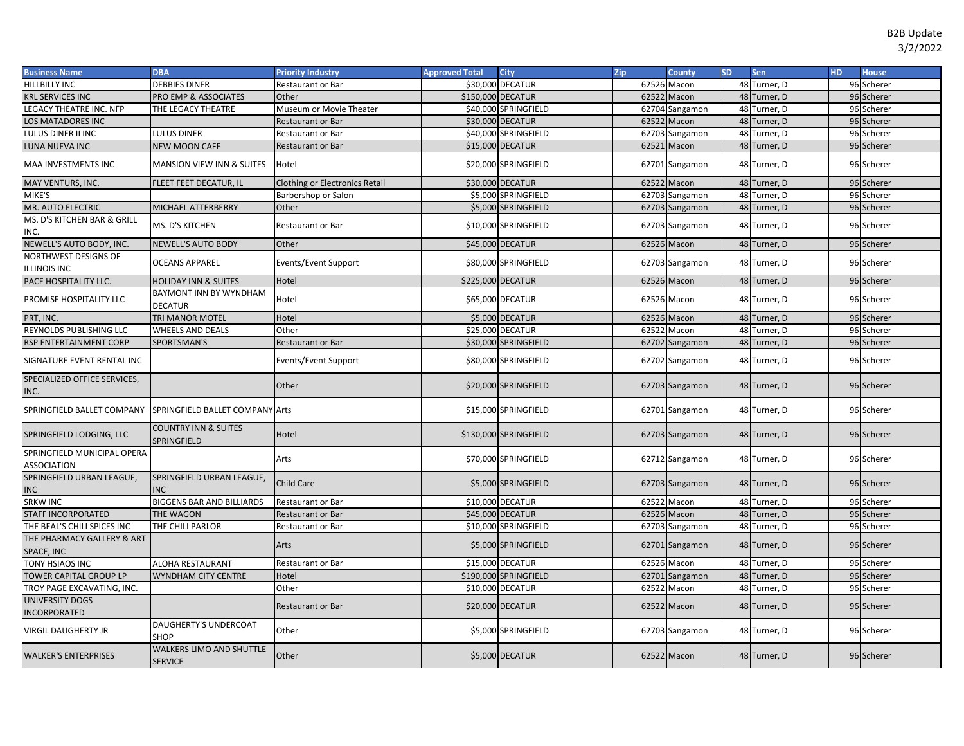| <b>Business Name</b>                            | <b>DBA</b>                                        | <b>Priority Industry</b>              | <b>Approved Total</b> | <b>City</b>           | Zip   | <b>County</b>  | SD. | Sen          | <b>HD</b> | <b>House</b> |
|-------------------------------------------------|---------------------------------------------------|---------------------------------------|-----------------------|-----------------------|-------|----------------|-----|--------------|-----------|--------------|
| HILLBILLY INC                                   | <b>DEBBIES DINER</b>                              | Restaurant or Bar                     |                       | \$30,000 DECATUR      | 62526 | Macon          |     | 48 Turner, D |           | 96 Scherer   |
| <b>KRL SERVICES INC</b>                         | <b>PRO EMP &amp; ASSOCIATES</b>                   | Other                                 | \$150,000 DECATUR     |                       |       | 62522 Macon    |     | 48 Turner, D |           | 96 Scherer   |
| LEGACY THEATRE INC. NFP                         | THE LEGACY THEATRE                                | Museum or Movie Theater               |                       | \$40,000 SPRINGFIELD  | 62704 | Sangamon       |     | 48 Turner, D |           | 96 Scherer   |
| LOS MATADORES INC                               |                                                   | Restaurant or Bar                     |                       | \$30,000 DECATUR      |       | 62522 Macon    |     | 48 Turner, D |           | 96 Scherer   |
| LULUS DINER II INC                              | <b>LULUS DINER</b>                                | Restaurant or Bar                     |                       | \$40,000 SPRINGFIELD  | 62703 | Sangamon       |     | 48 Turner, D |           | 96 Scherer   |
| LUNA NUEVA INC                                  | <b>NEW MOON CAFE</b>                              | Restaurant or Bar                     |                       | \$15,000 DECATUR      |       | 62521 Macon    |     | 48 Turner, D |           | 96 Scherer   |
| MAA INVESTMENTS INC                             | <b>MANSION VIEW INN &amp; SUITES</b>              | Hotel                                 |                       | \$20,000 SPRINGFIELD  |       | 62701 Sangamon |     | 48 Turner, D |           | 96 Scherer   |
| MAY VENTURS, INC.                               | FLEET FEET DECATUR, IL                            | <b>Clothing or Electronics Retail</b> |                       | \$30,000 DECATUR      |       | 62522 Macon    |     | 48 Turner, D |           | 96 Scherer   |
| MIKE'S                                          |                                                   | Barbershop or Salon                   |                       | \$5,000 SPRINGFIELD   |       | 62703 Sangamon |     | 48 Turner, D |           | 96 Scherer   |
| MR. AUTO ELECTRIC                               | <b>MICHAEL ATTERBERRY</b>                         | Other                                 |                       | \$5,000 SPRINGFIELD   |       | 62703 Sangamon |     | 48 Turner, D |           | 96 Scherer   |
| MS. D'S KITCHEN BAR & GRILL<br>INC.             | MS. D'S KITCHEN                                   | Restaurant or Bar                     |                       | \$10,000 SPRINGFIELD  |       | 62703 Sangamon |     | 48 Turner, D |           | 96 Scherer   |
| NEWELL'S AUTO BODY, INC.                        | NEWELL'S AUTO BODY                                | Other                                 |                       | \$45,000 DECATUR      |       | 62526 Macon    |     | 48 Turner, D |           | 96 Scherer   |
| NORTHWEST DESIGNS OF<br><b>ILLINOIS INC</b>     | <b>OCEANS APPAREL</b>                             | Events/Event Support                  |                       | \$80,000 SPRINGFIELD  |       | 62703 Sangamon |     | 48 Turner, D |           | 96 Scherer   |
| PACE HOSPITALITY LLC.                           | <b>HOLIDAY INN &amp; SUITES</b>                   | Hotel                                 | \$225,000 DECATUR     |                       |       | 62526 Macon    |     | 48 Turner, D |           | 96 Scherer   |
| PROMISE HOSPITALITY LLC                         | BAYMONT INN BY WYNDHAM<br><b>DECATUR</b>          | Hotel                                 |                       | \$65,000 DECATUR      |       | 62526 Macon    |     | 48 Turner, D |           | 96 Scherer   |
| PRT, INC.                                       | TRI MANOR MOTEL                                   | Hotel                                 |                       | \$5,000 DECATUR       |       | 62526 Macon    |     | 48 Turner, D |           | 96 Scherer   |
| REYNOLDS PUBLISHING LLC                         | <b>WHEELS AND DEALS</b>                           | Other                                 |                       | \$25,000 DECATUR      |       | 62522 Macon    |     | 48 Turner, D |           | 96 Scherer   |
| RSP ENTERTAINMENT CORP                          | SPORTSMAN'S                                       | Restaurant or Bar                     |                       | \$30,000 SPRINGFIELD  |       | 62702 Sangamon |     | 48 Turner, D |           | 96 Scherer   |
| SIGNATURE EVENT RENTAL INC                      |                                                   | <b>Events/Event Support</b>           |                       | \$80,000 SPRINGFIELD  |       | 62702 Sangamon |     | 48 Turner, D |           | 96 Scherer   |
| SPECIALIZED OFFICE SERVICES,<br>INC.            |                                                   | Other                                 |                       | \$20,000 SPRINGFIELD  |       | 62703 Sangamon |     | 48 Turner, D |           | 96 Scherer   |
| SPRINGFIELD BALLET COMPANY                      | SPRINGFIELD BALLET COMPANY                        | Arts                                  |                       | \$15,000 SPRINGFIELD  |       | 62701 Sangamon |     | 48 Turner, D |           | 96 Scherer   |
| SPRINGFIELD LODGING, LLC                        | <b>COUNTRY INN &amp; SUITES</b><br>SPRINGFIELD    | Hotel                                 |                       | \$130,000 SPRINGFIELD |       | 62703 Sangamon |     | 48 Turner, D |           | 96 Scherer   |
| SPRINGFIELD MUNICIPAL OPERA<br>ASSOCIATION      |                                                   | Arts                                  |                       | \$70,000 SPRINGFIELD  |       | 62712 Sangamon |     | 48 Turner, D |           | 96 Scherer   |
| SPRINGFIELD URBAN LEAGUE,<br><b>INC</b>         | SPRINGFIELD URBAN LEAGUE,<br><b>INC</b>           | Child Care                            |                       | \$5,000 SPRINGFIELD   |       | 62703 Sangamon |     | 48 Turner, D |           | 96 Scherer   |
| <b>SRKW INC</b>                                 | <b>BIGGENS BAR AND BILLIARDS</b>                  | Restaurant or Bar                     |                       | \$10,000 DECATUR      | 62522 | Macon          |     | 48 Turner, D |           | 96 Scherer   |
| STAFF INCORPORATED                              | THE WAGON                                         | <b>Restaurant or Bar</b>              |                       | \$45,000 DECATUR      |       | 62526 Macon    |     | 48 Turner, D |           | 96 Scherer   |
| THE BEAL'S CHILI SPICES INC                     | THE CHILI PARLOR                                  | Restaurant or Bar                     |                       | \$10,000 SPRINGFIELD  |       | 62703 Sangamon |     | 48 Turner, D |           | 96 Scherer   |
| THE PHARMACY GALLERY & ART<br><b>SPACE, INC</b> |                                                   | <b>Arts</b>                           |                       | \$5,000 SPRINGFIELD   |       | 62701 Sangamon |     | 48 Turner, D |           | 96 Scherer   |
| TONY HSIAOS INC                                 | ALOHA RESTAURANT                                  | Restaurant or Bar                     |                       | \$15,000 DECATUR      |       | 62526 Macon    |     | 48 Turner, D |           | 96 Scherer   |
| TOWER CAPITAL GROUP LP                          | WYNDHAM CITY CENTRE                               | Hotel                                 |                       | \$190,000 SPRINGFIELD |       | 62701 Sangamon |     | 48 Turner, D |           | 96 Scherer   |
| TROY PAGE EXCAVATING, INC.                      |                                                   | Other                                 |                       | \$10,000 DECATUR      |       | 62522 Macon    |     | 48 Turner, D |           | 96 Scherer   |
| UNIVERSITY DOGS<br>INCORPORATED                 |                                                   | Restaurant or Bar                     |                       | \$20,000 DECATUR      |       | 62522 Macon    |     | 48 Turner, D |           | 96 Scherer   |
| VIRGIL DAUGHERTY JR                             | <b>DAUGHERTY'S UNDERCOAT</b><br><b>SHOP</b>       | Other                                 |                       | \$5,000 SPRINGFIELD   |       | 62703 Sangamon |     | 48 Turner, D |           | 96 Scherer   |
| <b>WALKER'S ENTERPRISES</b>                     | <b>WALKERS LIMO AND SHUTTLE</b><br><b>SERVICE</b> | Other                                 |                       | \$5,000 DECATUR       |       | 62522 Macon    |     | 48 Turner, D |           | 96 Scherer   |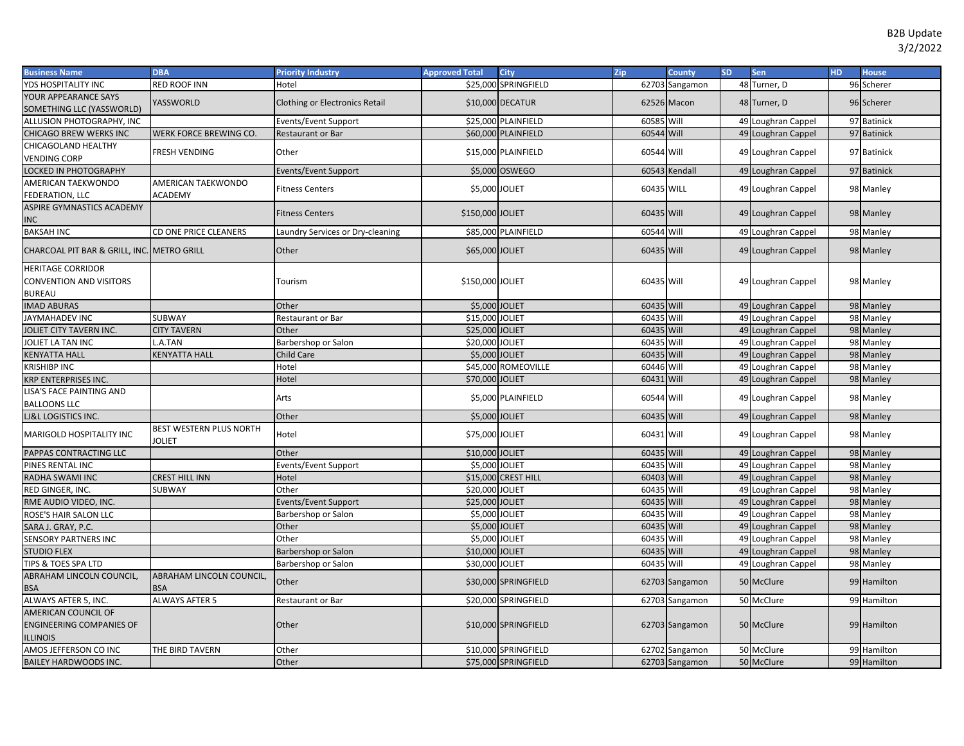| <b>Business Name</b>                       | <b>DBA</b>                               | <b>Priority Industry</b>         | <b>Approved Total</b> | <b>City</b>          | Zip        | County         | <b>SD</b> | Sen                | <b>HD</b> | <b>House</b> |
|--------------------------------------------|------------------------------------------|----------------------------------|-----------------------|----------------------|------------|----------------|-----------|--------------------|-----------|--------------|
| YDS HOSPITALITY INC                        | RED ROOF INN                             | Hotel                            |                       | \$25,000 SPRINGFIELD |            | 62703 Sangamon |           | 48 Turner, D       |           | 96 Scherer   |
| YOUR APPEARANCE SAYS                       | YASSWORLD                                | Clothing or Electronics Retail   |                       | \$10,000 DECATUR     |            | 62526 Macon    |           | 48 Turner, D       |           | 96 Scherer   |
| SOMETHING LLC (YASSWORLD)                  |                                          |                                  |                       |                      |            |                |           |                    |           |              |
| ALLUSION PHOTOGRAPHY, INC                  |                                          | Events/Event Support             |                       | \$25,000 PLAINFIELD  | 60585 Will |                |           | 49 Loughran Cappel |           | 97 Batinick  |
| CHICAGO BREW WERKS INC                     | WERK FORCE BREWING CO.                   | Restaurant or Bar                |                       | \$60,000 PLAINFIELD  | 60544 Will |                |           | 49 Loughran Cappel |           | 97 Batinick  |
| CHICAGOLAND HEALTHY                        | FRESH VENDING                            | Other                            |                       | \$15,000 PLAINFIELD  | 60544 Will |                |           | 49 Loughran Cappel |           | 97 Batinick  |
| <b>VENDING CORP</b>                        |                                          |                                  |                       |                      |            |                |           |                    |           |              |
| LOCKED IN PHOTOGRAPHY                      |                                          | <b>Events/Event Support</b>      |                       | \$5,000 OSWEGO       |            | 60543 Kendall  |           | 49 Loughran Cappel |           | 97 Batinick  |
| AMERICAN TAEKWONDO                         | AMERICAN TAEKWONDO                       | <b>Fitness Centers</b>           | \$5,000 JOLIET        |                      | 60435 WILL |                |           | 49 Loughran Cappel |           | 98 Manley    |
| FEDERATION, LLC                            | <b>ACADEMY</b>                           |                                  |                       |                      |            |                |           |                    |           |              |
| ASPIRE GYMNASTICS ACADEMY                  |                                          | <b>Fitness Centers</b>           | \$150,000 JOLIET      |                      | 60435 Will |                |           | 49 Loughran Cappel |           | 98 Manley    |
| INC                                        |                                          |                                  |                       |                      |            |                |           |                    |           |              |
| <b>BAKSAH INC</b>                          | CD ONE PRICE CLEANERS                    | Laundry Services or Dry-cleaning |                       | \$85,000 PLAINFIELD  | 60544      | Will           |           | 49 Loughran Cappel |           | 98 Manley    |
| CHARCOAL PIT BAR & GRILL, INC. METRO GRILL |                                          | Other                            | \$65,000 JOLIET       |                      | 60435 Will |                |           | 49 Loughran Cappel |           | 98 Manley    |
| <b>HERITAGE CORRIDOR</b>                   |                                          |                                  |                       |                      |            |                |           |                    |           |              |
| CONVENTION AND VISITORS                    |                                          | Tourism                          | \$150,000 JOLIET      |                      | 60435 Will |                |           | 49 Loughran Cappel |           | 98 Manley    |
| <b>BUREAU</b>                              |                                          |                                  |                       |                      |            |                |           |                    |           |              |
| <b>IMAD ABURAS</b>                         |                                          | Other                            | \$5,000 JOLIET        |                      | 60435 Will |                |           | 49 Loughran Cappel |           | 98 Manley    |
| JAYMAHADEV INC                             | SUBWAY                                   | Restaurant or Bar                | \$15,000 JOLIET       |                      | 60435      | Will           |           | 49 Loughran Cappel |           | 98 Manley    |
| JOLIET CITY TAVERN INC.                    | <b>CITY TAVERN</b>                       | Other                            | \$25,000 JOLIET       |                      | 60435 Will |                |           | 49 Loughran Cappel |           | 98 Manley    |
| JOLIET LA TAN INC                          | A.TAN                                    | Barbershop or Salon              | \$20,000 JOLIET       |                      | 60435 Will |                |           | 49 Loughran Cappel |           | 98 Manley    |
| <b>KENYATTA HALL</b>                       | <b>KENYATTA HALL</b>                     | Child Care                       | \$5,000 JOLIET        |                      | 60435 Will |                |           | 49 Loughran Cappel |           | 98 Manley    |
| KRISHIBP INC                               |                                          | Hotel                            |                       | \$45,000 ROMEOVILLE  | 60446      | Will           |           | 49 Loughran Cappel |           | 98 Manley    |
| KRP ENTERPRISES INC.                       |                                          | Hotel                            | \$70,000 JOLIET       |                      | 60431 Will |                |           | 49 Loughran Cappel |           | 98 Manley    |
| LISA'S FACE PAINTING AND                   |                                          | Arts                             |                       | \$5,000 PLAINFIELD   | 60544 Will |                |           | 49 Loughran Cappel |           | 98 Manley    |
| <b>BALLOONS LLC</b>                        |                                          |                                  |                       |                      |            |                |           |                    |           |              |
| LJ&L LOGISTICS INC.                        |                                          | Other                            | \$5,000 JOLIET        |                      | 60435 Will |                |           | 49 Loughran Cappel |           | 98 Manley    |
| MARIGOLD HOSPITALITY INC                   | BEST WESTERN PLUS NORTH<br><b>JOLIET</b> | Hotel                            | \$75,000 JOLIET       |                      | 60431 Will |                |           | 49 Loughran Cappel |           | 98 Manley    |
| PAPPAS CONTRACTING LLC                     |                                          | Other                            | \$10,000 JOLIET       |                      | 60435 Will |                |           | 49 Loughran Cappel |           | 98 Manley    |
| PINES RENTAL INC                           |                                          | Events/Event Support             | \$5,000 JOLIET        |                      | 60435 Will |                |           | 49 Loughran Cappel |           | 98 Manley    |
| RADHA SWAMI INC                            | CREST HILL INN                           | Hotel                            |                       | \$15,000 CREST HILL  | 60403 Will |                |           | 49 Loughran Cappel |           | 98 Manley    |
| RED GINGER, INC.                           | SUBWAY                                   | Other                            | \$20,000 JOLIET       |                      | 60435 Will |                |           | 49 Loughran Cappel |           | 98 Manley    |
| RME AUDIO VIDEO, INC.                      |                                          | Events/Event Support             | \$25,000 JOLIET       |                      | 60435 Will |                |           | 49 Loughran Cappel |           | 98 Manley    |
| ROSE'S HAIR SALON LLC                      |                                          | Barbershop or Salon              | \$5,000               | <b>JOLIET</b>        | 60435 Will |                |           | 49 Loughran Cappel |           | 98 Manley    |
| SARA J. GRAY, P.C.                         |                                          | Other                            | \$5,000 JOLIET        |                      | 60435 Will |                |           | 49 Loughran Cappel |           | 98 Manley    |
| <b>SENSORY PARTNERS INC</b>                |                                          | Other                            | \$5,000               | <b>JOLIET</b>        | 60435 Will |                |           | 49 Loughran Cappel |           | 98 Manley    |
| <b>STUDIO FLEX</b>                         |                                          | Barbershop or Salon              | \$10,000 JOLIET       |                      | 60435 Will |                |           | 49 Loughran Cappel |           | 98 Manley    |
| TIPS & TOES SPA LTD                        |                                          | Barbershop or Salon              | \$30,000 JOLIET       |                      | 60435 Will |                |           | 49 Loughran Cappel |           | 98 Manley    |
| ABRAHAM LINCOLN COUNCIL,                   | ABRAHAM LINCOLN COUNCIL,                 | Other                            |                       | \$30,000 SPRINGFIELD |            | 62703 Sangamon |           | 50 McClure         |           | 99 Hamilton  |
| BSA                                        | <b>BSA</b>                               |                                  |                       |                      |            |                |           |                    |           |              |
| ALWAYS AFTER 5, INC.                       | <b>ALWAYS AFTER 5</b>                    | Restaurant or Bar                |                       | \$20,000 SPRINGFIELD |            | 62703 Sangamon |           | 50 McClure         |           | 99 Hamilton  |
| <b>AMERICAN COUNCIL OF</b>                 |                                          |                                  |                       |                      |            |                |           |                    |           |              |
| <b>ENGINEERING COMPANIES OF</b>            |                                          | Other                            |                       | \$10,000 SPRINGFIELD |            | 62703 Sangamon |           | 50 McClure         |           | 99 Hamilton  |
| <b>LLINOIS</b>                             |                                          |                                  |                       |                      |            |                |           |                    |           |              |
| AMOS JEFFERSON CO INC                      | THE BIRD TAVERN                          | Other                            |                       | \$10,000 SPRINGFIELD |            | 62702 Sangamon |           | 50 McClure         |           | 99 Hamilton  |
| BAILEY HARDWOODS INC.                      |                                          | Other                            |                       | \$75,000 SPRINGFIELD |            | 62703 Sangamon |           | 50 McClure         |           | 99 Hamilton  |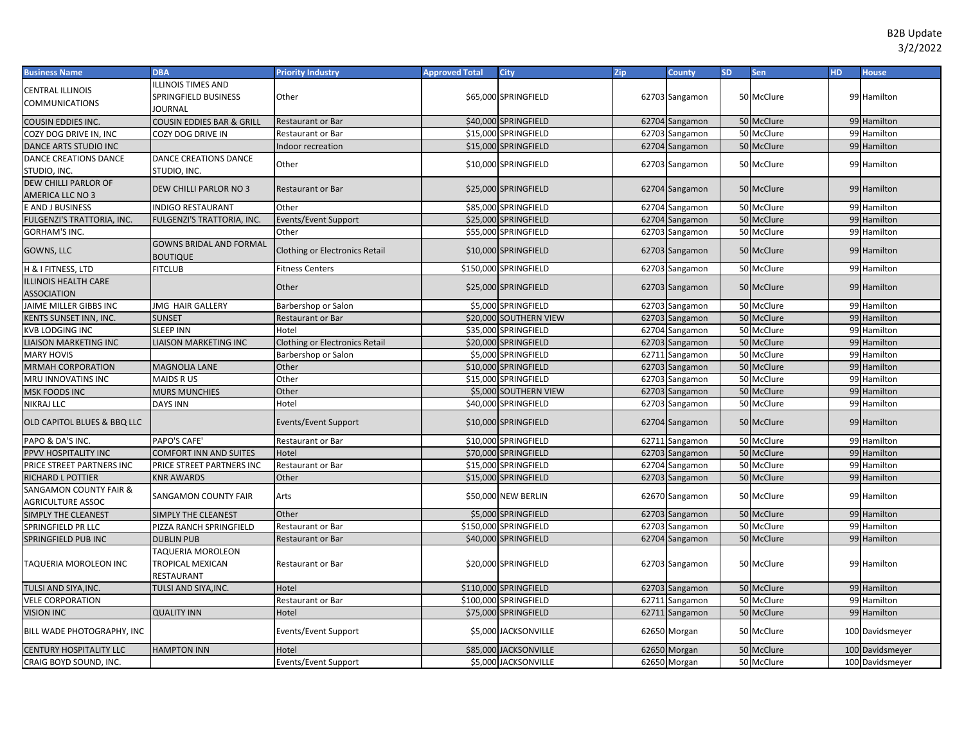| <b>Business Name</b>                               | <b>DBA</b>                                                   | <b>Priority Industry</b>              | <b>Approved Total</b> | <b>City</b>            | Zip | County         | <b>SD</b> | Sen        | <b>HD</b> | <b>House</b>    |
|----------------------------------------------------|--------------------------------------------------------------|---------------------------------------|-----------------------|------------------------|-----|----------------|-----------|------------|-----------|-----------------|
| CENTRAL ILLINOIS<br>COMMUNICATIONS                 | <b>ILLINOIS TIMES AND</b><br>SPRINGFIELD BUSINESS<br>JOURNAL | Other                                 |                       | \$65,000 SPRINGFIELD   |     | 62703 Sangamon |           | 50 McClure |           | 99 Hamilton     |
| COUSIN EDDIES INC.                                 | COUSIN EDDIES BAR & GRILL                                    | <b>Restaurant or Bar</b>              |                       | \$40,000 SPRINGFIELD   |     | 62704 Sangamon |           | 50 McClure |           | 99 Hamilton     |
| COZY DOG DRIVE IN, INC                             | COZY DOG DRIVE IN                                            | Restaurant or Bar                     |                       | \$15,000 SPRINGFIELD   |     | 62703 Sangamon |           | 50 McClure |           | 99 Hamilton     |
| DANCE ARTS STUDIO INC                              |                                                              | Indoor recreation                     |                       | \$15,000 SPRINGFIELD   |     | 62704 Sangamon |           | 50 McClure |           | 99 Hamilton     |
| DANCE CREATIONS DANCE                              | <b>DANCE CREATIONS DANCE</b>                                 |                                       |                       |                        |     |                |           |            |           |                 |
| STUDIO, INC.                                       | STUDIO, INC.                                                 | Other                                 |                       | \$10,000 SPRINGFIELD   |     | 62703 Sangamon |           | 50 McClure |           | 99 Hamilton     |
| DEW CHILLI PARLOR OF<br>AMERICA LLC NO 3           | <b>DEW CHILLI PARLOR NO 3</b>                                | <b>Restaurant or Bar</b>              |                       | \$25,000 SPRINGFIELD   |     | 62704 Sangamon |           | 50 McClure |           | 99 Hamilton     |
| E AND J BUSINESS                                   | <b>INDIGO RESTAURANT</b>                                     | Other                                 |                       | \$85,000 SPRINGFIELD   |     | 62704 Sangamon |           | 50 McClure |           | 99 Hamilton     |
| FULGENZI'S TRATTORIA, INC.                         | FULGENZI'S TRATTORIA, INC.                                   | <b>Events/Event Support</b>           |                       | \$25,000 SPRINGFIELD   |     | 62704 Sangamon |           | 50 McClure |           | 99 Hamilton     |
| <b>GORHAM'S INC.</b>                               |                                                              | Other                                 |                       | \$55,000 SPRINGFIELD   |     | 62703 Sangamon |           | 50 McClure |           | 99 Hamilton     |
| GOWNS, LLC                                         | <b>GOWNS BRIDAL AND FORMAL</b><br><b>BOUTIQUE</b>            | <b>Clothing or Electronics Retail</b> |                       | \$10,000 SPRINGFIELD   |     | 62703 Sangamon |           | 50 McClure |           | 99 Hamilton     |
| H & I FITNESS, LTD                                 | <b>FITCLUB</b>                                               | <b>Fitness Centers</b>                |                       | \$150,000 SPRINGFIELD  |     | 62703 Sangamon |           | 50 McClure |           | 99 Hamilton     |
| <b>ILLINOIS HEALTH CARE</b><br><b>ASSOCIATION</b>  |                                                              | Other                                 |                       | \$25,000 SPRINGFIELD   |     | 62703 Sangamon |           | 50 McClure |           | 99 Hamilton     |
| JAIME MILLER GIBBS INC                             | <b>JMG HAIR GALLERY</b>                                      | Barbershop or Salon                   |                       | \$5,000 SPRINGFIELD    |     | 62703 Sangamon |           | 50 McClure |           | 99 Hamilton     |
| KENTS SUNSET INN, INC.                             | <b>SUNSET</b>                                                | <b>Restaurant or Bar</b>              |                       | \$20,000 SOUTHERN VIEW |     | 62703 Sangamon |           | 50 McClure |           | 99 Hamilton     |
| KVB LODGING INC                                    | <b>SLEEP INN</b>                                             | Hotel                                 |                       | \$35,000 SPRINGFIELD   |     | 62704 Sangamon |           | 50 McClure |           | 99 Hamilton     |
| <b>LIAISON MARKETING INC</b>                       | <b>LIAISON MARKETING INC</b>                                 | <b>Clothing or Electronics Retail</b> |                       | \$20,000 SPRINGFIELD   |     | 62703 Sangamon |           | 50 McClure |           | 99 Hamilton     |
| <b>MARY HOVIS</b>                                  |                                                              | Barbershop or Salon                   |                       | \$5,000 SPRINGFIELD    |     | 62711 Sangamon |           | 50 McClure |           | 99 Hamilton     |
| <b>MRMAH CORPORATION</b>                           | <b>MAGNOLIA LANE</b>                                         | Other                                 |                       | \$10,000 SPRINGFIELD   |     | 62703 Sangamon |           | 50 McClure |           | 99 Hamilton     |
| MRU INNOVATINS INC                                 | <b>MAIDS RUS</b>                                             | Other                                 |                       | \$15,000 SPRINGFIELD   |     | 62703 Sangamon |           | 50 McClure |           | 99 Hamilton     |
| MSK FOODS INC                                      | <b>MURS MUNCHIES</b>                                         | Other                                 |                       | \$5,000 SOUTHERN VIEW  |     | 62703 Sangamon |           | 50 McClure |           | 99 Hamilton     |
| NIKRAJ LLC                                         | <b>DAYS INN</b>                                              | Hotel                                 |                       | \$40,000 SPRINGFIELD   |     | 62703 Sangamon |           | 50 McClure |           | 99 Hamilton     |
| OLD CAPITOL BLUES & BBQ LLC                        |                                                              | Events/Event Support                  |                       | \$10,000 SPRINGFIELD   |     | 62704 Sangamon |           | 50 McClure |           | 99 Hamilton     |
| PAPO & DA'S INC.                                   | PAPO'S CAFE'                                                 | Restaurant or Bar                     |                       | \$10,000 SPRINGFIELD   |     | 62711 Sangamon |           | 50 McClure |           | 99 Hamilton     |
| PPVV HOSPITALITY INC                               | <b>COMFORT INN AND SUITES</b>                                | Hotel                                 |                       | \$70,000 SPRINGFIELD   |     | 62703 Sangamon |           | 50 McClure |           | 99 Hamilton     |
| PRICE STREET PARTNERS INC                          | PRICE STREET PARTNERS INC                                    | Restaurant or Bar                     |                       | \$15,000 SPRINGFIELD   |     | 62704 Sangamon |           | 50 McClure |           | 99 Hamilton     |
| RICHARD L POTTIER                                  | <b>KNR AWARDS</b>                                            | Other                                 |                       | \$15,000 SPRINGFIELD   |     | 62703 Sangamon |           | 50 McClure |           | 99 Hamilton     |
| SANGAMON COUNTY FAIR &<br><b>AGRICULTURE ASSOC</b> | <b>SANGAMON COUNTY FAIR</b>                                  | Arts                                  |                       | \$50,000 NEW BERLIN    |     | 62670 Sangamon |           | 50 McClure |           | 99 Hamilton     |
| SIMPLY THE CLEANEST                                | <b>SIMPLY THE CLEANEST</b>                                   | Other                                 |                       | \$5,000 SPRINGFIELD    |     | 62703 Sangamon |           | 50 McClure |           | 99 Hamilton     |
| SPRINGFIELD PR LLC                                 | PIZZA RANCH SPRINGFIELD                                      | Restaurant or Bar                     |                       | \$150,000 SPRINGFIELD  |     | 62703 Sangamon |           | 50 McClure |           | 99 Hamilton     |
| SPRINGFIELD PUB INC                                | <b>DUBLIN PUB</b>                                            | <b>Restaurant or Bar</b>              |                       | \$40,000 SPRINGFIELD   |     | 62704 Sangamon |           | 50 McClure |           | 99 Hamilton     |
| TAQUERIA MOROLEON INC                              | TAQUERIA MOROLEON<br>TROPICAL MEXICAN<br>RESTAURANT          | Restaurant or Bar                     |                       | \$20,000 SPRINGFIELD   |     | 62703 Sangamon |           | 50 McClure |           | 99 Hamilton     |
| TULSI AND SIYA, INC.                               | TULSI AND SIYA, INC.                                         | Hotel                                 |                       | \$110,000 SPRINGFIELD  |     | 62703 Sangamon |           | 50 McClure |           | 99 Hamilton     |
| <b>VELE CORPORATION</b>                            |                                                              | Restaurant or Bar                     |                       | \$100,000 SPRINGFIELD  |     | 62711 Sangamon |           | 50 McClure |           | 99 Hamilton     |
| <b>VISION INC</b>                                  | <b>QUALITY INN</b>                                           | Hotel                                 |                       | \$75,000 SPRINGFIELD   |     | 62711 Sangamon |           | 50 McClure |           | 99 Hamilton     |
| BILL WADE PHOTOGRAPHY, INC                         |                                                              | <b>Events/Event Support</b>           |                       | \$5,000 JACKSONVILLE   |     | 62650 Morgan   |           | 50 McClure |           | 100 Davidsmeyer |
| <b>CENTURY HOSPITALITY LLC</b>                     | <b>HAMPTON INN</b>                                           | Hotel                                 |                       | \$85,000 JACKSONVILLE  |     | 62650 Morgan   |           | 50 McClure |           | 100 Davidsmeyer |
| CRAIG BOYD SOUND, INC.                             |                                                              | <b>Events/Event Support</b>           |                       | \$5,000 JACKSONVILLE   |     | 62650 Morgan   |           | 50 McClure |           | 100 Davidsmeyer |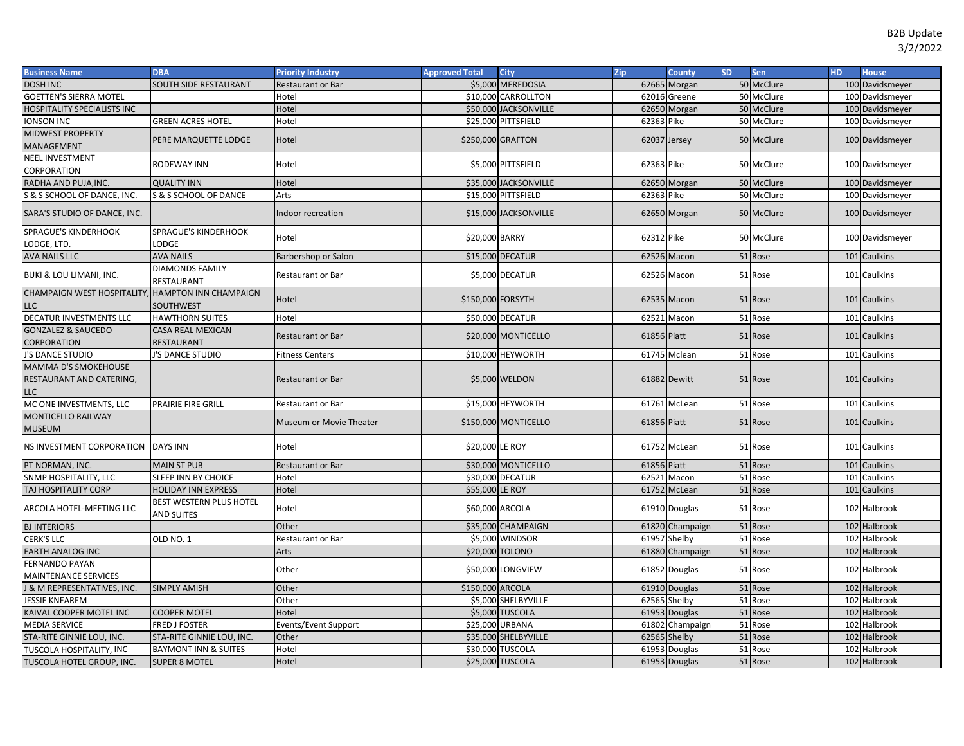| <b>Business Name</b>                                           | <b>DBA</b>                                    | <b>Priority Industry</b> | <b>Approved Total</b> | <b>City</b>           | Zip          | <b>County</b>   | <b>SD</b> | Sen        | <b>HD</b> | <b>House</b>    |
|----------------------------------------------------------------|-----------------------------------------------|--------------------------|-----------------------|-----------------------|--------------|-----------------|-----------|------------|-----------|-----------------|
| <b>DOSH INC</b>                                                | SOUTH SIDE RESTAURANT                         | Restaurant or Bar        |                       | \$5,000 MEREDOSIA     |              | 62665 Morgan    |           | 50 McClure |           | 100 Davidsmeyer |
| GOETTEN'S SIERRA MOTEL                                         |                                               | Hotel                    |                       | \$10,000 CARROLLTON   |              | 62016 Greene    |           | 50 McClure |           | 100 Davidsmeyer |
| <b>HOSPITALITY SPECIALISTS INC</b>                             |                                               | Hotel                    |                       | \$50,000 JACKSONVILLE |              | 62650 Morgan    |           | 50 McClure |           | 100 Davidsmeyer |
| <b>IONSON INC</b>                                              | <b>GREEN ACRES HOTEL</b>                      | Hotel                    |                       | \$25,000 PITTSFIELD   | 62363 Pike   |                 |           | 50 McClure |           | 100 Davidsmeyer |
| <b>MIDWEST PROPERTY</b><br>MANAGEMENT                          | PERE MARQUETTE LODGE                          | Hotel                    |                       | \$250,000 GRAFTON     | 62037 Jersey |                 |           | 50 McClure |           | 100 Davidsmeyer |
| <b>NEEL INVESTMENT</b><br>CORPORATION                          | <b>RODEWAY INN</b>                            | Hotel                    |                       | \$5,000 PITTSFIELD    | 62363 Pike   |                 |           | 50 McClure |           | 100 Davidsmeyer |
| RADHA AND PUJA, INC.                                           | <b>QUALITY INN</b>                            | Hotel                    |                       | \$35,000 JACKSONVILLE |              | 62650 Morgan    |           | 50 McClure |           | 100 Davidsmeyer |
| S & S SCHOOL OF DANCE, INC.                                    | S & S SCHOOL OF DANCE                         | Arts                     |                       | \$15,000 PITTSFIELD   | 62363 Pike   |                 |           | 50 McClure |           | 100 Davidsmeyer |
| SARA'S STUDIO OF DANCE, INC.                                   |                                               | Indoor recreation        |                       | \$15,000 JACKSONVILLE |              | 62650 Morgan    |           | 50 McClure |           | 100 Davidsmeyer |
| <b>SPRAGUE'S KINDERHOOK</b><br>LODGE, LTD.                     | <b>SPRAGUE'S KINDERHOOK</b><br>LODGE          | Hotel                    | \$20,000 BARRY        |                       | 62312 Pike   |                 |           | 50 McClure |           | 100 Davidsmeyer |
| <b>AVA NAILS LLC</b>                                           | <b>AVA NAILS</b>                              | Barbershop or Salon      |                       | \$15,000 DECATUR      |              | 62526 Macon     |           | 51 Rose    |           | 101 Caulkins    |
| BUKI & LOU LIMANI, INC.                                        | <b>DIAMONDS FAMILY</b><br>RESTAURANT          | Restaurant or Bar        |                       | \$5,000 DECATUR       |              | 62526 Macon     |           | 51 Rose    |           | 101 Caulkins    |
| CHAMPAIGN WEST HOSPITALITY, HAMPTON INN CHAMPAIGN<br>LLC       | SOUTHWEST                                     | Hotel                    | \$150,000 FORSYTH     |                       |              | 62535 Macon     |           | 51 Rose    |           | 101 Caulkins    |
| DECATUR INVESTMENTS LLC                                        | <b>HAWTHORN SUITES</b>                        | Hotel                    |                       | \$50,000 DECATUR      | 62521        | Macon           |           | 51 Rose    |           | 101 Caulkins    |
| <b>GONZALEZ &amp; SAUCEDO</b><br>CORPORATION                   | <b>CASA REAL MEXICAN</b><br><b>RESTAURANT</b> | Restaurant or Bar        |                       | \$20,000 MONTICELLO   | 61856 Piatt  |                 |           | 51 Rose    |           | 101 Caulkins    |
| J'S DANCE STUDIO                                               | J'S DANCE STUDIO                              | <b>Fitness Centers</b>   |                       | \$10,000 HEYWORTH     |              | 61745 Mclean    |           | 51 Rose    |           | 101 Caulkins    |
| <b>MAMMA D'S SMOKEHOUSE</b><br>RESTAURANT AND CATERING,<br>LLC |                                               | <b>Restaurant or Bar</b> |                       | \$5,000 WELDON        |              | 61882 Dewitt    |           | 51 Rose    |           | 101 Caulkins    |
| MC ONE INVESTMENTS, LLC                                        | PRAIRIE FIRE GRILL                            | Restaurant or Bar        |                       | \$15,000 HEYWORTH     | 61761        | McLean          |           | 51 Rose    |           | 101 Caulkins    |
| <b>MONTICELLO RAILWAY</b><br>MUSEUM                            |                                               | Museum or Movie Theater  |                       | \$150,000 MONTICELLO  | 61856 Piatt  |                 |           | 51 Rose    |           | 101 Caulkins    |
| NS INVESTMENT CORPORATION                                      | <b>DAYS INN</b>                               | Hotel                    | \$20,000 LE ROY       |                       |              | 61752 McLean    |           | 51 Rose    |           | 101 Caulkins    |
| PT NORMAN, INC.                                                | <b>MAIN ST PUB</b>                            | Restaurant or Bar        |                       | \$30,000 MONTICELLO   | 61856 Piatt  |                 |           | 51 Rose    |           | 101 Caulkins    |
| SNMP HOSPITALITY, LLC                                          | SLEEP INN BY CHOICE                           | Hotel                    |                       | \$30,000 DECATUR      | 62521        | Macon           |           | 51 Rose    |           | 101 Caulkins    |
| TAJ HOSPITALITY CORP                                           | <b>HOLIDAY INN EXPRESS</b>                    | Hotel                    | \$55,000 LE ROY       |                       |              | 61752 McLean    |           | 51 Rose    |           | 101 Caulkins    |
| ARCOLA HOTEL-MEETING LLC                                       | BEST WESTERN PLUS HOTEL<br><b>AND SUITES</b>  | Hotel                    | \$60,000 ARCOLA       |                       |              | 61910 Douglas   |           | 51 Rose    |           | 102 Halbrook    |
| <b>BJ INTERIORS</b>                                            |                                               | Other                    |                       | \$35,000 CHAMPAIGN    |              | 61820 Champaign |           | 51 Rose    |           | 102 Halbrook    |
| CERK'S LLC                                                     | OLD NO. 1                                     | Restaurant or Bar        |                       | \$5,000 WINDSOR       | 61957        | Shelby          |           | 51 Rose    |           | 102 Halbrook    |
| <b>EARTH ANALOG INC</b>                                        |                                               | Arts                     | \$20,000 TOLONO       |                       |              | 61880 Champaign |           | 51 Rose    |           | 102 Halbrook    |
| FERNANDO PAYAN                                                 |                                               | Other                    |                       | \$50,000 LONGVIEW     |              | 61852 Douglas   |           | 51 Rose    |           | 102 Halbrook    |
| <b>MAINTENANCE SERVICES</b>                                    |                                               |                          |                       |                       |              |                 |           |            |           |                 |
| <b>&amp; M REPRESENTATIVES, INC.</b>                           | <b>SIMPLY AMISH</b>                           | Other                    | \$150,000 ARCOLA      |                       |              | 61910 Douglas   |           | 51 Rose    |           | 102 Halbrook    |
| <b>JESSIE KNEAREM</b>                                          |                                               | Other                    |                       | \$5,000 SHELBYVILLE   |              | 62565 Shelby    |           | 51 Rose    |           | 102 Halbrook    |
| KAIVAL COOPER MOTEL INC                                        | <b>COOPER MOTEL</b>                           | Hotel                    |                       | \$5,000 TUSCOLA       | 61953        | Douglas         |           | 51 Rose    |           | 102 Halbrook    |
| <b>MEDIA SERVICE</b>                                           | <b>FRED J FOSTER</b>                          | Events/Event Support     | \$25,000 URBANA       |                       | 61802        | Champaign       |           | 51 Rose    |           | 102 Halbrook    |
| STA-RITE GINNIE LOU, INC.                                      | STA-RITE GINNIE LOU, INC.                     | Other                    |                       | \$35,000 SHELBYVILLE  |              | 62565 Shelby    |           | 51 Rose    |           | 102 Halbrook    |
| TUSCOLA HOSPITALITY, INC                                       | <b>BAYMONT INN &amp; SUITES</b>               | Hotel                    |                       | \$30,000 TUSCOLA      |              | 61953 Douglas   |           | 51 Rose    |           | 102 Halbrook    |
| TUSCOLA HOTEL GROUP, INC.                                      | <b>SUPER 8 MOTEL</b>                          | Hotel                    |                       | \$25,000 TUSCOLA      |              | 61953 Douglas   |           | 51 Rose    |           | 102 Halbrook    |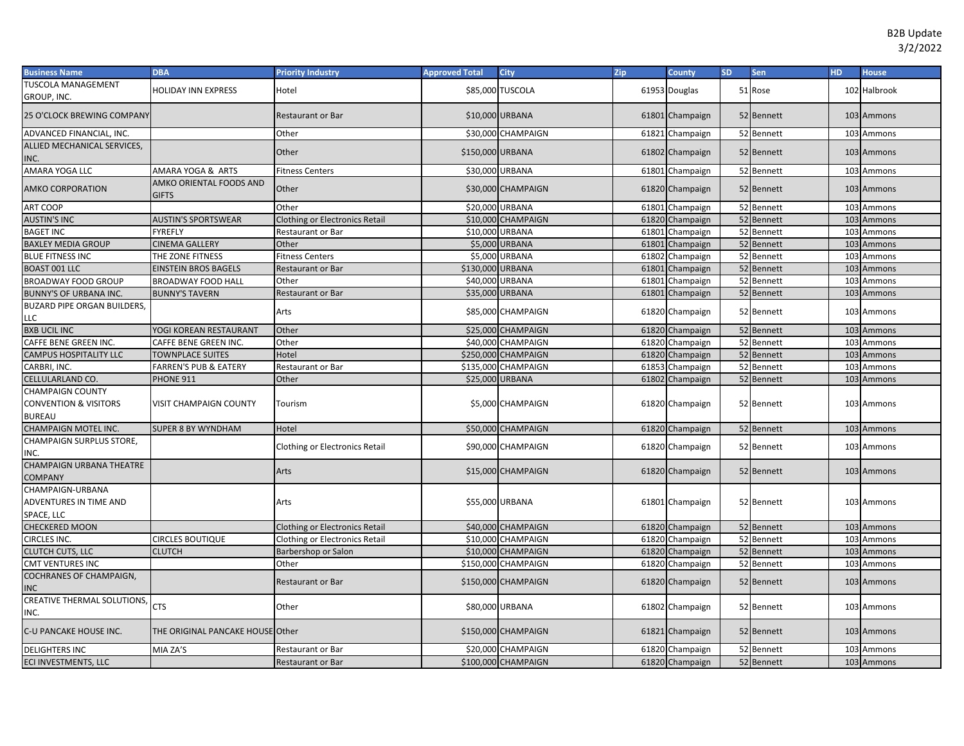| <b>Business Name</b>                                     | <b>DBA</b>                              | <b>Priority Industry</b>              | <b>Approved Total</b> | City                | Zip | County          | <b>SD</b> | Sen        | <b>HD</b> | <b>House</b> |
|----------------------------------------------------------|-----------------------------------------|---------------------------------------|-----------------------|---------------------|-----|-----------------|-----------|------------|-----------|--------------|
| TUSCOLA MANAGEMENT<br>GROUP, INC.                        | <b>HOLIDAY INN EXPRESS</b>              | Hotel                                 |                       | \$85,000 TUSCOLA    |     | 61953 Douglas   |           | 51 Rose    |           | 102 Halbrook |
| <b>25 O'CLOCK BREWING COMPANY</b>                        |                                         | <b>Restaurant or Bar</b>              | \$10,000 URBANA       |                     |     | 61801 Champaign |           | 52 Bennett |           | 103 Ammons   |
| ADVANCED FINANCIAL, INC.                                 |                                         | Other                                 |                       | \$30,000 CHAMPAIGN  |     | 61821 Champaign |           | 52 Bennett |           | 103 Ammons   |
| ALLIED MECHANICAL SERVICES,                              |                                         |                                       |                       |                     |     |                 |           |            |           |              |
| INC.                                                     |                                         | Other                                 | \$150,000 URBANA      |                     |     | 61802 Champaign |           | 52 Bennett |           | 103 Ammons   |
| AMARA YOGA LLC                                           | AMARA YOGA & ARTS                       | <b>Fitness Centers</b>                | \$30,000 URBANA       |                     |     | 61801 Champaign |           | 52 Bennett |           | 103 Ammons   |
| <b>AMKO CORPORATION</b>                                  | AMKO ORIENTAL FOODS AND<br><b>GIFTS</b> | Other                                 |                       | \$30,000 CHAMPAIGN  |     | 61820 Champaign |           | 52 Bennett |           | 103 Ammons   |
| <b>ART COOP</b>                                          |                                         | Other                                 | \$20,000 URBANA       |                     |     | 61801 Champaign |           | 52 Bennett |           | 103 Ammons   |
| <b>AUSTIN'S INC</b>                                      | <b>AUSTIN'S SPORTSWEAR</b>              | <b>Clothing or Electronics Retail</b> |                       | \$10,000 CHAMPAIGN  |     | 61820 Champaign |           | 52 Bennett |           | 103 Ammons   |
| <b>BAGET INC</b>                                         | <b>FYREFLY</b>                          | Restaurant or Bar                     | \$10,000              | <b>URBANA</b>       |     | 61801 Champaign |           | 52 Bennett |           | 103 Ammons   |
| <b>BAXLEY MEDIA GROUP</b>                                | CINEMA GALLERY                          | Other                                 | \$5,000               | <b>URBANA</b>       |     | 61801 Champaign |           | 52 Bennett |           | 103 Ammons   |
| <b>BLUE FITNESS INC</b>                                  | THE ZONE FITNESS                        | <b>Fitness Centers</b>                | \$5,000               | URBANA              |     | 61802 Champaign |           | 52 Bennett |           | 103 Ammons   |
| <b>BOAST 001 LLC</b>                                     | EINSTEIN BROS BAGELS                    | <b>Restaurant or Bar</b>              | \$130,000             | URBANA              |     | 61801 Champaign |           | 52 Bennett |           | 103 Ammons   |
| <b>BROADWAY FOOD GROUP</b>                               | <b>BROADWAY FOOD HALL</b>               | Other                                 | \$40,000              | URBANA              |     | 61801 Champaign |           | 52 Bennett |           | 103 Ammons   |
| <b>BUNNY'S OF URBANA INC.</b>                            | <b>BUNNY'S TAVERN</b>                   | <b>Restaurant or Bar</b>              | \$35,000 URBANA       |                     |     | 61801 Champaign |           | 52 Bennett |           | 103 Ammons   |
| <b>BUZARD PIPE ORGAN BUILDERS,</b><br>LLC                |                                         | Arts                                  |                       | \$85,000 CHAMPAIGN  |     | 61820 Champaign |           | 52 Bennett |           | 103 Ammons   |
| <b>BXB UCIL INC</b>                                      | YOGI KOREAN RESTAURANT                  | Other                                 |                       | \$25,000 CHAMPAIGN  |     | 61820 Champaign |           | 52 Bennett |           | 103 Ammons   |
| CAFFE BENE GREEN INC.                                    | CAFFE BENE GREEN INC.                   | Other                                 |                       | \$40,000 CHAMPAIGN  |     | 61820 Champaign |           | 52 Bennett |           | 103 Ammons   |
| <b>CAMPUS HOSPITALITY LLC</b>                            | <b>TOWNPLACE SUITES</b>                 | Hotel                                 |                       | \$250,000 CHAMPAIGN |     | 61820 Champaign |           | 52 Bennett |           | 103 Ammons   |
| CARBRI, INC.                                             | <b>FARREN'S PUB &amp; EATERY</b>        | Restaurant or Bar                     |                       | \$135,000 CHAMPAIGN |     | 61853 Champaign |           | 52 Bennett |           | 103 Ammons   |
| CELLULARLAND CO.                                         | PHONE 911                               | Other                                 | \$25,000 URBANA       |                     |     | 61802 Champaign |           | 52 Bennett |           | 103 Ammons   |
| <b>CHAMPAIGN COUNTY</b><br>CONVENTION & VISITORS         | <b>VISIT CHAMPAIGN COUNTY</b>           | Tourism                               |                       | \$5,000 CHAMPAIGN   |     | 61820 Champaign |           | 52 Bennett |           | 103 Ammons   |
| <b>BUREAU</b>                                            |                                         |                                       |                       |                     |     |                 |           |            |           |              |
| CHAMPAIGN MOTEL INC.                                     | SUPER 8 BY WYNDHAM                      | Hotel                                 |                       | \$50,000 CHAMPAIGN  |     | 61820 Champaign |           | 52 Bennett |           | 103 Ammons   |
| CHAMPAIGN SURPLUS STORE,<br>INC.                         |                                         | <b>Clothing or Electronics Retail</b> |                       | \$90,000 CHAMPAIGN  |     | 61820 Champaign |           | 52 Bennett |           | 103 Ammons   |
| <b>CHAMPAIGN URBANA THEATRE</b><br><b>COMPANY</b>        |                                         | Arts                                  |                       | \$15,000 CHAMPAIGN  |     | 61820 Champaign |           | 52 Bennett |           | 103 Ammons   |
| CHAMPAIGN-URBANA<br>ADVENTURES IN TIME AND<br>SPACE, LLC |                                         | Arts                                  | \$55,000 URBANA       |                     |     | 61801 Champaign |           | 52 Bennett |           | 103 Ammons   |
| <b>CHECKERED MOON</b>                                    |                                         | <b>Clothing or Electronics Retail</b> |                       | \$40,000 CHAMPAIGN  |     | 61820 Champaign |           | 52 Bennett |           | 103 Ammons   |
| CIRCLES INC.                                             | <b>CIRCLES BOUTIQUE</b>                 | <b>Clothing or Electronics Retail</b> |                       | \$10,000 CHAMPAIGN  |     | 61820 Champaign |           | 52 Bennett |           | 103 Ammons   |
| CLUTCH CUTS, LLC                                         | <b>CLUTCH</b>                           | Barbershop or Salon                   |                       | \$10,000 CHAMPAIGN  |     | 61820 Champaign |           | 52 Bennett |           | 103 Ammons   |
| <b>CMT VENTURES INC</b>                                  |                                         | Other                                 |                       | \$150,000 CHAMPAIGN |     | 61820 Champaign |           | 52 Bennett |           | 103 Ammons   |
| COCHRANES OF CHAMPAIGN,<br><b>INC</b>                    |                                         | <b>Restaurant or Bar</b>              |                       | \$150,000 CHAMPAIGN |     | 61820 Champaign |           | 52 Bennett |           | 103 Ammons   |
| CREATIVE THERMAL SOLUTIONS,<br>NC.                       | <b>CTS</b>                              | Other                                 | \$80,000 URBANA       |                     |     | 61802 Champaign |           | 52 Bennett |           | 103 Ammons   |
| C-U PANCAKE HOUSE INC.                                   | THE ORIGINAL PANCAKE HOUSE Other        |                                       |                       | \$150,000 CHAMPAIGN |     | 61821 Champaign |           | 52 Bennett |           | 103 Ammons   |
| <b>DELIGHTERS INC</b>                                    | MIA ZA'S                                | Restaurant or Bar                     |                       | \$20,000 CHAMPAIGN  |     | 61820 Champaign |           | 52 Bennett |           | 103 Ammons   |
| ECI INVESTMENTS, LLC                                     |                                         | <b>Restaurant or Bar</b>              |                       | \$100,000 CHAMPAIGN |     | 61820 Champaign |           | 52 Bennett |           | 103 Ammons   |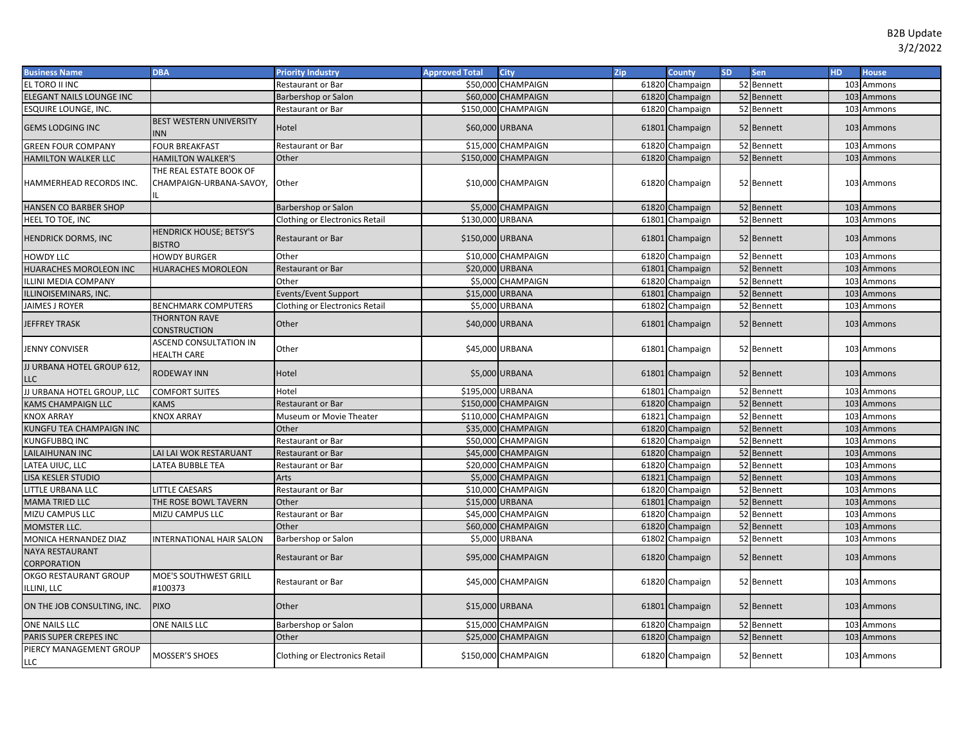| <b>Business Name</b>                       | <b>DBA</b>                                          | <b>Priority Industry</b>              | <b>Approved Total</b> | <b>City</b>         | Zip | <b>County</b>   | <b>SD</b> | <b>Sen</b> | <b>HD</b> | <b>House</b> |
|--------------------------------------------|-----------------------------------------------------|---------------------------------------|-----------------------|---------------------|-----|-----------------|-----------|------------|-----------|--------------|
| EL TORO II INC                             |                                                     | Restaurant or Bar                     | \$50,000              | <b>CHAMPAIGN</b>    |     | 61820 Champaign |           | 52 Bennett |           | 103 Ammons   |
| ELEGANT NAILS LOUNGE INC                   |                                                     | Barbershop or Salon                   |                       | \$60,000 CHAMPAIGN  |     | 61820 Champaign |           | 52 Bennett |           | 103 Ammons   |
| ESQUIRE LOUNGE, INC.                       |                                                     | Restaurant or Bar                     |                       | \$150,000 CHAMPAIGN |     | 61820 Champaign |           | 52 Bennett |           | 103 Ammons   |
| <b>GEMS LODGING INC</b>                    | BEST WESTERN UNIVERSITY<br><b>INN</b>               | Hotel                                 | \$60,000 URBANA       |                     |     | 61801 Champaign |           | 52 Bennett |           | 103 Ammons   |
| <b>GREEN FOUR COMPANY</b>                  | <b>FOUR BREAKFAST</b>                               | Restaurant or Bar                     |                       | \$15,000 CHAMPAIGN  |     | 61820 Champaign |           | 52 Bennett |           | 103 Ammons   |
| HAMILTON WALKER LLC                        | <b>HAMILTON WALKER'S</b>                            | Other                                 |                       | \$150,000 CHAMPAIGN |     | 61820 Champaign |           | 52 Bennett |           | 103 Ammons   |
| HAMMERHEAD RECORDS INC.                    | THE REAL ESTATE BOOK OF<br>CHAMPAIGN-URBANA-SAVOY,  | Other                                 |                       | \$10,000 CHAMPAIGN  |     | 61820 Champaign |           | 52 Bennett |           | 103 Ammons   |
| HANSEN CO BARBER SHOP                      |                                                     | Barbershop or Salon                   |                       | \$5,000 CHAMPAIGN   |     | 61820 Champaign |           | 52 Bennett |           | 103 Ammons   |
| HEEL TO TOE, INC                           |                                                     | <b>Clothing or Electronics Retail</b> | \$130,000 URBANA      |                     |     | 61801 Champaign |           | 52 Bennett |           | 103 Ammons   |
| <b>HENDRICK DORMS, INC</b>                 | <b>HENDRICK HOUSE; BETSY'S</b><br><b>BISTRO</b>     | Restaurant or Bar                     | \$150,000 URBANA      |                     |     | 61801 Champaign |           | 52 Bennett |           | 103 Ammons   |
| <b>HOWDY LLC</b>                           | <b>HOWDY BURGER</b>                                 | Other                                 |                       | \$10,000 CHAMPAIGN  |     | 61820 Champaign |           | 52 Bennett |           | 103 Ammons   |
| HUARACHES MOROLEON INC                     | <b>HUARACHES MOROLEON</b>                           | <b>Restaurant or Bar</b>              | \$20,000 URBANA       |                     |     | 61801 Champaign |           | 52 Bennett |           | 103 Ammons   |
| ILLINI MEDIA COMPANY                       |                                                     | Other                                 |                       | \$5,000 CHAMPAIGN   |     | 61820 Champaign |           | 52 Bennett |           | 103 Ammons   |
| ILLINOISEMINARS, INC.                      |                                                     | <b>Events/Event Support</b>           | \$15,000 URBANA       |                     |     | 61801 Champaign |           | 52 Bennett |           | 103 Ammons   |
| JAIMES J ROYER                             | <b>BENCHMARK COMPUTERS</b>                          | <b>Clothing or Electronics Retail</b> |                       | \$5,000 URBANA      |     | 61802 Champaign |           | 52 Bennett |           | 103 Ammons   |
| <b>JEFFREY TRASK</b>                       | <b>THORNTON RAVE</b><br><b>CONSTRUCTION</b>         | Other                                 |                       | \$40,000 URBANA     |     | 61801 Champaign |           | 52 Bennett |           | 103 Ammons   |
| JENNY CONVISER                             | <b>ASCEND CONSULTATION IN</b><br><b>HEALTH CARE</b> | Other                                 |                       | \$45,000 URBANA     |     | 61801 Champaign |           | 52 Bennett |           | 103 Ammons   |
| JJ URBANA HOTEL GROUP 612,<br>LLC          | RODEWAY INN                                         | Hotel                                 |                       | \$5,000 URBANA      |     | 61801 Champaign |           | 52 Bennett |           | 103 Ammons   |
| JJ URBANA HOTEL GROUP, LLC                 | <b>COMFORT SUITES</b>                               | Hotel                                 | \$195,000 URBANA      |                     |     | 61801 Champaign |           | 52 Bennett |           | 103 Ammons   |
| KAMS CHAMPAIGN LLC                         | KAMS                                                | Restaurant or Bar                     |                       | \$150,000 CHAMPAIGN |     | 61820 Champaign |           | 52 Bennett |           | 103 Ammons   |
| KNOX ARRAY                                 | <b>KNOX ARRAY</b>                                   | Museum or Movie Theater               |                       | \$110,000 CHAMPAIGN |     | 61821 Champaign |           | 52 Bennett |           | 103 Ammons   |
| KUNGFU TEA CHAMPAIGN INC                   |                                                     | Other                                 |                       | \$35,000 CHAMPAIGN  |     | 61820 Champaign |           | 52 Bennett |           | 103 Ammons   |
| KUNGFUBBQ INC                              |                                                     | Restaurant or Bar                     |                       | \$50,000 CHAMPAIGN  |     | 61820 Champaign |           | 52 Bennett |           | 103 Ammons   |
| LAILAIHUNAN INC                            | LAI LAI WOK RESTARUANT                              | <b>Restaurant or Bar</b>              |                       | \$45,000 CHAMPAIGN  |     | 61820 Champaign |           | 52 Bennett |           | 103 Ammons   |
| LATEA UIUC, LLC                            | LATEA BUBBLE TEA                                    | Restaurant or Bar                     |                       | \$20,000 CHAMPAIGN  |     | 61820 Champaign |           | 52 Bennett |           | 103 Ammons   |
| LISA KESLER STUDIO                         |                                                     | Arts                                  |                       | \$5,000 CHAMPAIGN   |     | 61821 Champaign |           | 52 Bennett |           | 103 Ammons   |
| LITTLE URBANA LLC                          | <b>LITTLE CAESARS</b>                               | Restaurant or Bar                     | \$10,000              | CHAMPAIGN           |     | 61820 Champaign |           | 52 Bennett |           | 103 Ammons   |
| <b>MAMA TRIED LLC</b>                      | THE ROSE BOWL TAVERN                                | Other                                 | \$15,000              | <b>URBANA</b>       |     | 61801 Champaign |           | 52 Bennett |           | 103 Ammons   |
| MIZU CAMPUS LLC                            | MIZU CAMPUS LLC                                     | Restaurant or Bar                     | \$45,000              | CHAMPAIGN           |     | 61820 Champaign |           | 52 Bennett |           | 103 Ammons   |
| MOMSTER LLC.                               |                                                     | Other                                 |                       | \$60,000 CHAMPAIGN  |     | 61820 Champaign |           | 52 Bennett |           | 103 Ammons   |
| MONICA HERNANDEZ DIAZ                      | INTERNATIONAL HAIR SALON                            | Barbershop or Salon                   |                       | \$5,000 URBANA      |     | 61802 Champaign |           | 52 Bennett |           | 103 Ammons   |
| <b>NAYA RESTAURANT</b><br>CORPORATION      |                                                     | <b>Restaurant or Bar</b>              |                       | \$95,000 CHAMPAIGN  |     | 61820 Champaign |           | 52 Bennett |           | 103 Ammons   |
| OKGO RESTAURANT GROUP<br><b>LLINI, LLC</b> | MOE'S SOUTHWEST GRILL<br>#100373                    | Restaurant or Bar                     |                       | \$45,000 CHAMPAIGN  |     | 61820 Champaign |           | 52 Bennett |           | 103 Ammons   |
| ON THE JOB CONSULTING, INC.                | <b>PIXO</b>                                         | Other                                 | \$15,000 URBANA       |                     |     | 61801 Champaign |           | 52 Bennett |           | 103 Ammons   |
| ONE NAILS LLC                              | ONE NAILS LLC                                       | Barbershop or Salon                   | \$15,000              | <b>CHAMPAIGN</b>    |     | 61820 Champaign |           | 52 Bennett |           | 103 Ammons   |
| PARIS SUPER CREPES INC                     |                                                     | Other                                 |                       | \$25,000 CHAMPAIGN  |     | 61820 Champaign |           | 52 Bennett |           | 103 Ammons   |
| PIERCY MANAGEMENT GROUP<br>LLC             | MOSSER'S SHOES                                      | Clothing or Electronics Retail        |                       | \$150,000 CHAMPAIGN |     | 61820 Champaign |           | 52 Bennett |           | 103 Ammons   |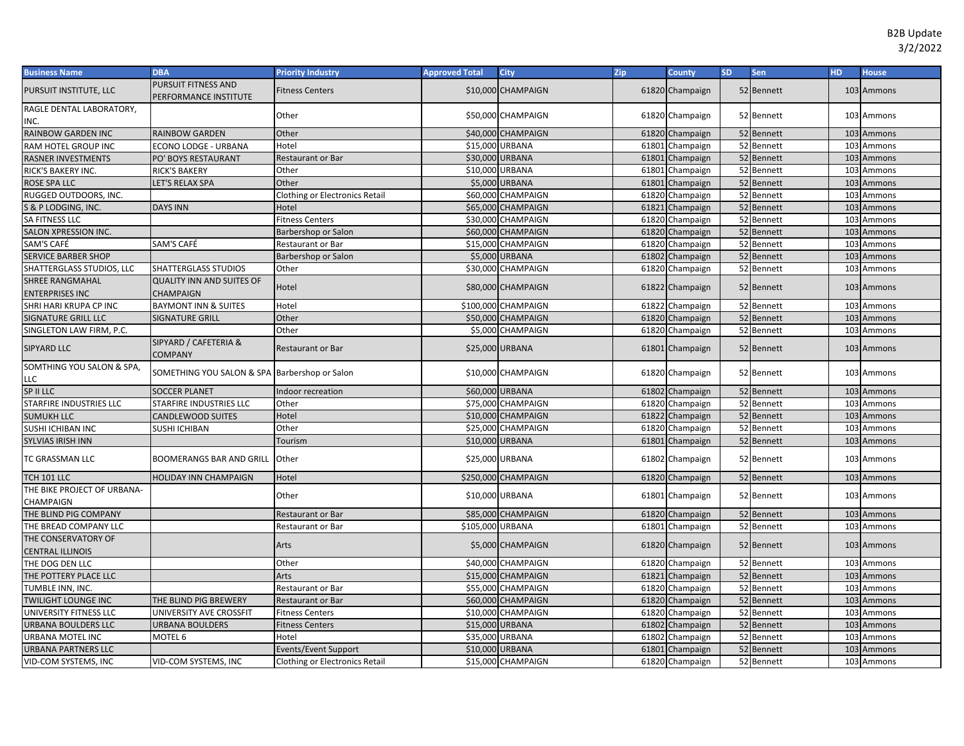| <b>Business Name</b>                             | <b>DBA</b>                                           | <b>Priority Industry</b>              | <b>Approved Total</b> | City                | Zip   | <b>County</b>   | <b>SD</b> | Sen        | <b>HD</b> | <b>House</b> |
|--------------------------------------------------|------------------------------------------------------|---------------------------------------|-----------------------|---------------------|-------|-----------------|-----------|------------|-----------|--------------|
| PURSUIT INSTITUTE, LLC                           | PURSUIT FITNESS AND<br>PERFORMANCE INSTITUTE         | <b>Fitness Centers</b>                |                       | \$10,000 CHAMPAIGN  |       | 61820 Champaign |           | 52 Bennett |           | 103 Ammons   |
| RAGLE DENTAL LABORATORY,                         |                                                      | Other                                 |                       | \$50,000 CHAMPAIGN  |       |                 |           |            |           | 103 Ammons   |
| INC.                                             |                                                      |                                       |                       |                     |       | 61820 Champaign |           | 52 Bennett |           |              |
| RAINBOW GARDEN INC                               | <b>RAINBOW GARDEN</b>                                | Other                                 |                       | \$40,000 CHAMPAIGN  |       | 61820 Champaign |           | 52 Bennett |           | 103 Ammons   |
| RAM HOTEL GROUP INC                              | ECONO LODGE - URBANA                                 | Hotel                                 | \$15,000 URBANA       |                     |       | 61801 Champaign |           | 52 Bennett |           | 103 Ammons   |
| <b>RASNER INVESTMENTS</b>                        | PO' BOYS RESTAURANT                                  | Restaurant or Bar                     | \$30,000 URBANA       |                     |       | 61801 Champaign |           | 52 Bennett |           | 103 Ammons   |
| RICK'S BAKERY INC.                               | <b>RICK'S BAKERY</b>                                 | Other                                 | \$10,000 URBANA       |                     |       | 61801 Champaign |           | 52 Bennett |           | 103 Ammons   |
| <b>ROSE SPA LLC</b>                              | LET'S RELAX SPA                                      | Other                                 |                       | \$5,000 URBANA      |       | 61801 Champaign |           | 52 Bennett |           | 103 Ammons   |
| RUGGED OUTDOORS, INC.                            |                                                      | Clothing or Electronics Retail        |                       | \$60,000 CHAMPAIGN  |       | 61820 Champaign |           | 52 Bennett |           | 103 Ammons   |
| S & P LODGING, INC.                              | <b>DAYS INN</b>                                      | Hotel                                 |                       | \$65,000 CHAMPAIGN  |       | 61821 Champaign |           | 52 Bennett |           | 103 Ammons   |
| <b>SA FITNESS LLC</b>                            |                                                      | <b>Fitness Centers</b>                |                       | \$30,000 CHAMPAIGN  |       | 61820 Champaign |           | 52 Bennett |           | 103 Ammons   |
| SALON XPRESSION INC.                             |                                                      | Barbershop or Salon                   |                       | \$60,000 CHAMPAIGN  |       | 61820 Champaign |           | 52 Bennett |           | 103 Ammons   |
| SAM'S CAFÉ                                       | SAM'S CAFÉ                                           | Restaurant or Bar                     |                       | \$15,000 CHAMPAIGN  |       | 61820 Champaign |           | 52 Bennett |           | 103 Ammons   |
| <b>SERVICE BARBER SHOP</b>                       |                                                      | Barbershop or Salon                   |                       | \$5,000 URBANA      | 61802 | Champaign       |           | 52 Bennett |           | 103 Ammons   |
| SHATTERGLASS STUDIOS, LLC                        | <b>SHATTERGLASS STUDIOS</b>                          | Other                                 |                       | \$30,000 CHAMPAIGN  |       | 61820 Champaign |           | 52 Bennett |           | 103 Ammons   |
| <b>SHREE RANGMAHAL</b><br><b>ENTERPRISES INC</b> | <b>QUALITY INN AND SUITES OF</b><br><b>CHAMPAIGN</b> | Hotel                                 |                       | \$80,000 CHAMPAIGN  |       | 61822 Champaign |           | 52 Bennett |           | 103 Ammons   |
| SHRI HARI KRUPA CP INC                           | <b>BAYMONT INN &amp; SUITES</b>                      | Hotel                                 |                       | \$100,000 CHAMPAIGN |       | 61822 Champaign |           | 52 Bennett |           | 103 Ammons   |
| <b>SIGNATURE GRILL LLC</b>                       | <b>SIGNATURE GRILL</b>                               | Other                                 |                       | \$50,000 CHAMPAIGN  |       | 61820 Champaign |           | 52 Bennett |           | 103 Ammons   |
| SINGLETON LAW FIRM, P.C.                         |                                                      | Other                                 |                       | \$5,000 CHAMPAIGN   |       | 61820 Champaign |           | 52 Bennett |           | 103 Ammons   |
| <b>SIPYARD LLC</b>                               | SIPYARD / CAFETERIA &<br><b>COMPANY</b>              | Restaurant or Bar                     | \$25,000 URBANA       |                     |       | 61801 Champaign |           | 52 Bennett |           | 103 Ammons   |
| SOMTHING YOU SALON & SPA,<br>LLC                 | SOMETHING YOU SALON & SPA Barbershop or Salon        |                                       |                       | \$10,000 CHAMPAIGN  |       | 61820 Champaign |           | 52 Bennett |           | 103 Ammons   |
| <b>SP II LLC</b>                                 | <b>SOCCER PLANET</b>                                 | Indoor recreation                     | \$60,000 URBANA       |                     |       | 61802 Champaign |           | 52 Bennett |           | 103 Ammons   |
| STARFIRE INDUSTRIES LLC                          | STARFIRE INDUSTRIES LLC                              | Other                                 |                       | \$75,000 CHAMPAIGN  |       | 61820 Champaign |           | 52 Bennett |           | 103 Ammons   |
| <b>SUMUKH LLC</b>                                | <b>CANDLEWOOD SUITES</b>                             | Hotel                                 |                       | \$10,000 CHAMPAIGN  |       | 61822 Champaign |           | 52 Bennett |           | 103 Ammons   |
| SUSHI ICHIBAN INC                                | <b>SUSHI ICHIBAN</b>                                 | Other                                 |                       | \$25,000 CHAMPAIGN  |       | 61820 Champaign |           | 52 Bennett |           | 103 Ammons   |
| <b>SYLVIAS IRISH INN</b>                         |                                                      | Tourism                               | \$10,000 URBANA       |                     |       | 61801 Champaign |           | 52 Bennett |           | 103 Ammons   |
| TC GRASSMAN LLC                                  | <b>BOOMERANGS BAR AND GRILL</b>                      | Other                                 | \$25,000 URBANA       |                     |       | 61802 Champaign |           | 52 Bennett |           | 103 Ammons   |
| <b>TCH 101 LLC</b>                               | <b>HOLIDAY INN CHAMPAIGN</b>                         | Hotel                                 |                       | \$250,000 CHAMPAIGN |       | 61820 Champaign |           | 52 Bennett |           | 103 Ammons   |
| THE BIKE PROJECT OF URBANA-<br><b>CHAMPAIGN</b>  |                                                      | Other                                 | \$10,000 URBANA       |                     |       | 61801 Champaign |           | 52 Bennett |           | 103 Ammons   |
| THE BLIND PIG COMPANY                            |                                                      | <b>Restaurant or Bar</b>              |                       | \$85,000 CHAMPAIGN  |       | 61820 Champaign |           | 52 Bennett |           | 103 Ammons   |
| THE BREAD COMPANY LLC                            |                                                      | Restaurant or Bar                     | \$105,000 URBANA      |                     |       | 61801 Champaign |           | 52 Bennett |           | 103 Ammons   |
| THE CONSERVATORY OF                              |                                                      |                                       |                       |                     |       |                 |           |            |           |              |
| <b>CENTRAL ILLINOIS</b>                          |                                                      | Arts                                  |                       | \$5,000 CHAMPAIGN   |       | 61820 Champaign |           | 52 Bennett |           | 103 Ammons   |
| THE DOG DEN LLC                                  |                                                      | Other                                 |                       | \$40,000 CHAMPAIGN  |       | 61820 Champaign |           | 52 Bennett |           | 103 Ammons   |
| THE POTTERY PLACE LLC                            |                                                      | <b>Arts</b>                           |                       | \$15,000 CHAMPAIGN  |       | 61821 Champaign |           | 52 Bennett |           | 103 Ammons   |
| TUMBLE INN, INC.                                 |                                                      | Restaurant or Bar                     |                       | \$55,000 CHAMPAIGN  |       | 61820 Champaign |           | 52 Bennett |           | 103 Ammons   |
| <b>TWILIGHT LOUNGE INC</b>                       | THE BLIND PIG BREWERY                                | <b>Restaurant or Bar</b>              |                       | \$60,000 CHAMPAIGN  |       | 61820 Champaign |           | 52 Bennett |           | 103 Ammons   |
| UNIVERSITY FITNESS LLC                           | UNIVERSITY AVE CROSSFIT                              | <b>Fitness Centers</b>                |                       | \$10,000 CHAMPAIGN  |       | 61820 Champaign |           | 52 Bennett |           | 103 Ammons   |
| <b>URBANA BOULDERS LLC</b>                       | <b>URBANA BOULDERS</b>                               | <b>Fitness Centers</b>                | \$15,000 URBANA       |                     |       | 61802 Champaign |           | 52 Bennett |           | 103 Ammons   |
| <b>URBANA MOTEL INC</b>                          | MOTEL 6                                              | Hotel                                 | \$35,000 URBANA       |                     |       | 61802 Champaign |           | 52 Bennett |           | 103 Ammons   |
| <b>URBANA PARTNERS LLC</b>                       |                                                      | Events/Event Support                  | \$10,000 URBANA       |                     |       | 61801 Champaign |           | 52 Bennett |           | 103 Ammons   |
| VID-COM SYSTEMS, INC                             | VID-COM SYSTEMS, INC                                 | <b>Clothing or Electronics Retail</b> |                       | \$15,000 CHAMPAIGN  |       | 61820 Champaign |           | 52 Bennett |           | 103 Ammons   |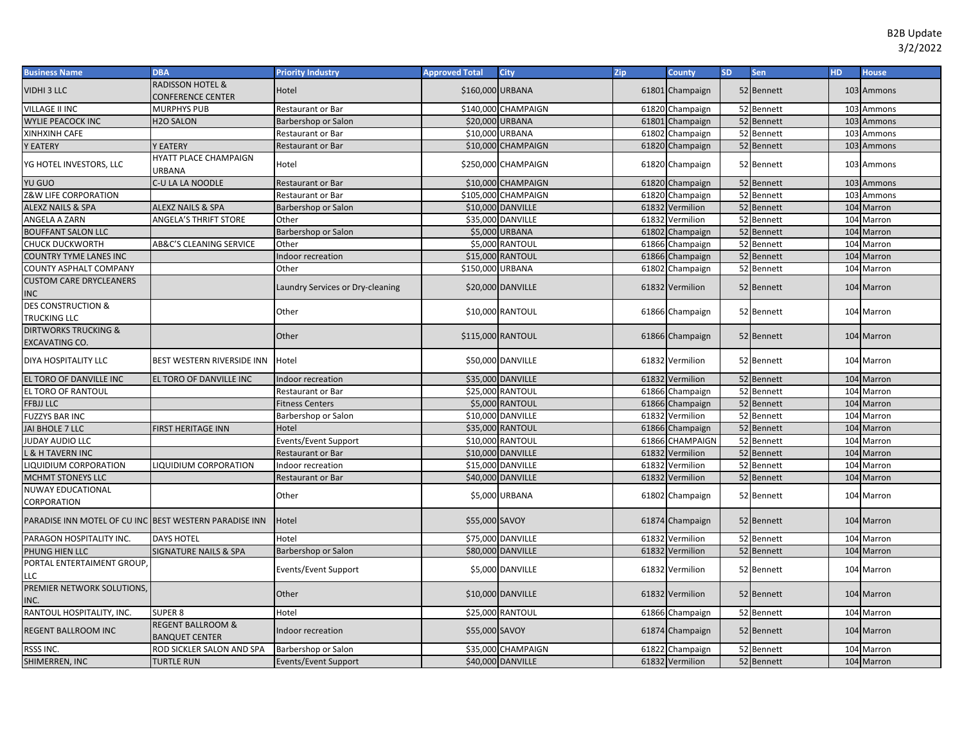| <b>Business Name</b>                                     | <b>DBA</b>                                            | <b>Priority Industry</b>         | <b>Approved Total</b> | City                    | <b>Zip</b> | <b>County</b>   | <b>SD</b> | Sen        | <b>HD</b> | <b>House</b> |
|----------------------------------------------------------|-------------------------------------------------------|----------------------------------|-----------------------|-------------------------|------------|-----------------|-----------|------------|-----------|--------------|
| VIDHI 3 LLC                                              | <b>RADISSON HOTEL &amp;</b><br>CONFERENCE CENTER      | Hotel                            | \$160,000 URBANA      |                         |            | 61801 Champaign |           | 52 Bennett |           | 103 Ammons   |
| VILLAGE II INC                                           | <b>MURPHYS PUB</b>                                    | Restaurant or Bar                | \$140,000             | CHAMPAIGN               |            | 61820 Champaign |           | 52 Bennett |           | 103 Ammons   |
| <b>WYLIE PEACOCK INC</b>                                 | H <sub>2</sub> O SALON                                | Barbershop or Salon              | \$20,000 URBANA       |                         |            | 61801 Champaign |           | 52 Bennett |           | 103 Ammons   |
| XINHXINH CAFE                                            |                                                       | Restaurant or Bar                | \$10,000 URBANA       |                         |            | 61802 Champaign |           | 52 Bennett |           | 103 Ammons   |
| <b>Y EATERY</b>                                          | Y EATERY                                              | <b>Restaurant or Bar</b>         |                       | \$10,000 CHAMPAIGN      |            | 61820 Champaign |           | 52 Bennett |           | 103 Ammons   |
| YG HOTEL INVESTORS, LLC                                  | HYATT PLACE CHAMPAIGN<br>URBANA                       | Hotel                            |                       | \$250,000 CHAMPAIGN     |            | 61820 Champaign |           | 52 Bennett |           | 103 Ammons   |
| YU GUO                                                   | C-U LA LA NOODLE                                      | <b>Restaurant or Bar</b>         |                       | \$10,000 CHAMPAIGN      |            | 61820 Champaign |           | 52 Bennett |           | 103 Ammons   |
| <b>Z&amp;W LIFE CORPORATION</b>                          |                                                       | <b>Restaurant or Bar</b>         | \$105,000             | <b>CHAMPAIGN</b>        |            | 61820 Champaign |           | 52 Bennett |           | 103 Ammons   |
| <b>ALEXZ NAILS &amp; SPA</b>                             | <b>ALEXZ NAILS &amp; SPA</b>                          | Barbershop or Salon              |                       | \$10,000 DANVILLE       |            | 61832 Vermilion |           | 52 Bennett |           | 104 Marron   |
| ANGELA A ZARN                                            | ANGELA'S THRIFT STORE                                 | Other                            |                       | \$35,000 DANVILLE       |            | 61832 Vermilion |           | 52 Bennett |           | 104 Marron   |
| <b>BOUFFANT SALON LLC</b>                                |                                                       | Barbershop or Salon              |                       | \$5,000 URBANA          |            | 61802 Champaign |           | 52 Bennett |           | 104 Marron   |
| <b>CHUCK DUCKWORTH</b>                                   | AB&C'S CLEANING SERVICE                               | Other                            |                       | \$5,000 RANTOUL         |            | 61866 Champaign |           | 52 Bennett |           | 104 Marron   |
| <b>COUNTRY TYME LANES INC</b>                            |                                                       | Indoor recreation                |                       | <b>\$15,000 RANTOUL</b> |            | 61866 Champaign |           | 52 Bennett |           | 104 Marron   |
| COUNTY ASPHALT COMPANY                                   |                                                       | Other                            | \$150,000             | <b>URBANA</b>           |            | 61802 Champaign |           | 52 Bennett |           | 104 Marron   |
| <b>CUSTOM CARE DRYCLEANERS</b><br><b>INC</b>             |                                                       | Laundry Services or Dry-cleaning |                       | \$20,000 DANVILLE       |            | 61832 Vermilion |           | 52 Bennett |           | 104 Marron   |
| <b>DES CONSTRUCTION &amp;</b><br><b>TRUCKING LLC</b>     |                                                       | Other                            |                       | \$10,000 RANTOUL        |            | 61866 Champaign |           | 52 Bennett |           | 104 Marron   |
| <b>DIRTWORKS TRUCKING &amp;</b><br><b>EXCAVATING CO.</b> |                                                       | Other                            | \$115,000 RANTOUL     |                         |            | 61866 Champaign |           | 52 Bennett |           | 104 Marron   |
| DIYA HOSPITALITY LLC                                     | BEST WESTERN RIVERSIDE INN                            | Hotel                            |                       | \$50,000 DANVILLE       |            | 61832 Vermilion |           | 52 Bennett |           | 104 Marron   |
| EL TORO OF DANVILLE INC                                  | EL TORO OF DANVILLE INC                               | Indoor recreation                |                       | \$35,000 DANVILLE       |            | 61832 Vermilion |           | 52 Bennett |           | 104 Marron   |
| EL TORO OF RANTOUL                                       |                                                       | <b>Restaurant or Bar</b>         |                       | \$25,000 RANTOUL        |            | 61866 Champaign |           | 52 Bennett |           | 104 Marron   |
| <b>FFBJJ LLC</b>                                         |                                                       | <b>Fitness Centers</b>           |                       | \$5,000 RANTOUL         |            | 61866 Champaign |           | 52 Bennett |           | 104 Marron   |
| <b>FUZZYS BAR INC</b>                                    |                                                       | Barbershop or Salon              |                       | \$10,000 DANVILLE       |            | 61832 Vermilion |           | 52 Bennett |           | 104 Marron   |
| JAI BHOLE 7 LLC                                          | <b>FIRST HERITAGE INN</b>                             | Hotel                            |                       | \$35,000 RANTOUL        |            | 61866 Champaign |           | 52 Bennett |           | 104 Marron   |
| JUDAY AUDIO LLC                                          |                                                       | Events/Event Support             |                       | \$10,000 RANTOUL        |            | 61866 CHAMPAIGN |           | 52 Bennett |           | 104 Marron   |
| <b>L &amp; H TAVERN INC</b>                              |                                                       | <b>Restaurant or Bar</b>         |                       | \$10,000 DANVILLE       |            | 61832 Vermilion |           | 52 Bennett |           | 104 Marron   |
| LIQUIDIUM CORPORATION                                    | LIQUIDIUM CORPORATION                                 | Indoor recreation                |                       | \$15,000 DANVILLE       |            | 61832 Vermilion |           | 52 Bennett |           | 104 Marron   |
| MCHMT STONEYS LLC                                        |                                                       | <b>Restaurant or Bar</b>         |                       | \$40,000 DANVILLE       |            | 61832 Vermilion |           | 52 Bennett |           | 104 Marron   |
| <b>NUWAY EDUCATIONAL</b><br>CORPORATION                  |                                                       | Other                            |                       | \$5,000 URBANA          |            | 61802 Champaign |           | 52 Bennett |           | 104 Marron   |
| PARADISE INN MOTEL OF CU INC BEST WESTERN PARADISE INN   |                                                       | Hotel                            | \$55,000 SAVOY        |                         |            | 61874 Champaign |           | 52 Bennett |           | 104 Marron   |
| PARAGON HOSPITALITY INC.                                 | <b>DAYS HOTEL</b>                                     | Hotel                            |                       | \$75,000 DANVILLE       |            | 61832 Vermilion |           | 52 Bennett |           | 104 Marron   |
| PHUNG HIEN LLC                                           | <b>SIGNATURE NAILS &amp; SPA</b>                      | Barbershop or Salon              |                       | \$80,000 DANVILLE       |            | 61832 Vermilion |           | 52 Bennett |           | 104 Marron   |
| PORTAL ENTERTAIMENT GROUP.<br>LLC                        |                                                       | Events/Event Support             |                       | \$5,000 DANVILLE        |            | 61832 Vermilion |           | 52 Bennett |           | 104 Marron   |
| PREMIER NETWORK SOLUTIONS,<br>INC.                       |                                                       | Other                            |                       | \$10,000 DANVILLE       |            | 61832 Vermilion |           | 52 Bennett |           | 104 Marron   |
| RANTOUL HOSPITALITY, INC.                                | <b>SUPER 8</b>                                        | Hotel                            |                       | \$25,000 RANTOUL        |            | 61866 Champaign |           | 52 Bennett |           | 104 Marron   |
| <b>REGENT BALLROOM INC</b>                               | <b>REGENT BALLROOM &amp;</b><br><b>BANQUET CENTER</b> | Indoor recreation                | \$55,000 SAVOY        |                         |            | 61874 Champaign |           | 52 Bennett |           | 104 Marron   |
| RSSS INC.                                                | ROD SICKLER SALON AND SPA                             | Barbershop or Salon              |                       | \$35,000 CHAMPAIGN      |            | 61822 Champaign |           | 52 Bennett |           | 104 Marron   |
| SHIMERREN, INC                                           | <b>TURTLE RUN</b>                                     | Events/Event Support             |                       | \$40,000 DANVILLE       |            | 61832 Vermilion |           | 52 Bennett |           | 104 Marron   |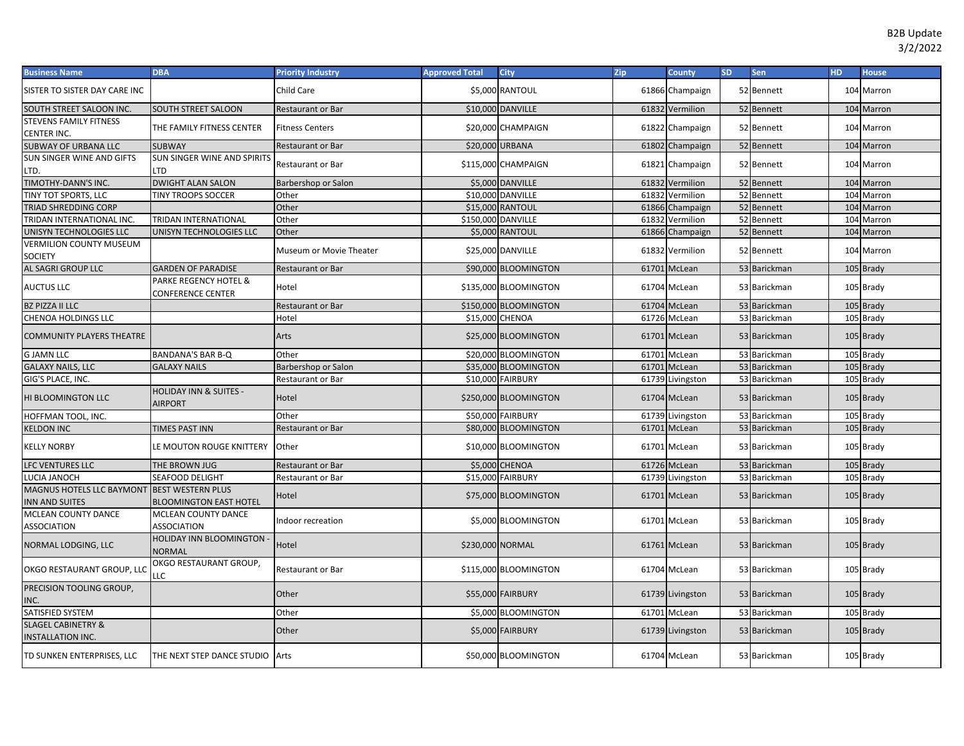| <b>Business Name</b>                                      | <b>DBA</b>                                                | <b>Priority Industry</b> | <b>Approved Total</b> | City                  | Zip | <b>County</b>    | <b>SD</b> | Sen          | HD. | <b>House</b> |
|-----------------------------------------------------------|-----------------------------------------------------------|--------------------------|-----------------------|-----------------------|-----|------------------|-----------|--------------|-----|--------------|
| SISTER TO SISTER DAY CARE INC                             |                                                           | Child Care               |                       | \$5,000 RANTOUL       |     | 61866 Champaign  |           | 52 Bennett   |     | 104 Marron   |
| SOUTH STREET SALOON INC.                                  | SOUTH STREET SALOON                                       | Restaurant or Bar        |                       | \$10,000 DANVILLE     |     | 61832 Vermilion  |           | 52 Bennett   |     | 104 Marron   |
| <b>STEVENS FAMILY FITNESS</b><br>CENTER INC.              | THE FAMILY FITNESS CENTER                                 | <b>Fitness Centers</b>   |                       | \$20,000 CHAMPAIGN    |     | 61822 Champaign  |           | 52 Bennett   |     | 104 Marron   |
| SUBWAY OF URBANA LLC                                      | <b>SUBWAY</b>                                             | Restaurant or Bar        | \$20,000 URBANA       |                       |     | 61802 Champaign  |           | 52 Bennett   |     | 104 Marron   |
| SUN SINGER WINE AND GIFTS<br>LTD.                         | SUN SINGER WINE AND SPIRITS<br>TD.                        | Restaurant or Bar        |                       | \$115,000 CHAMPAIGN   |     | 61821 Champaign  |           | 52 Bennett   |     | 104 Marron   |
| TIMOTHY-DANN'S INC.                                       | <b>DWIGHT ALAN SALON</b>                                  | Barbershop or Salon      |                       | \$5,000 DANVILLE      |     | 61832 Vermilion  |           | 52 Bennett   |     | 104 Marron   |
| TINY TOT SPORTS, LLC                                      | TINY TROOPS SOCCER                                        | Other                    |                       | \$10,000 DANVILLE     |     | 61832 Vermilion  |           | 52 Bennett   |     | 104 Marron   |
| TRIAD SHREDDING CORP                                      |                                                           | Other                    |                       | \$15,000 RANTOUL      |     | 61866 Champaign  |           | 52 Bennett   | 104 | Marron       |
| TRIDAN INTERNATIONAL INC.                                 | <b>TRIDAN INTERNATIONAL</b>                               | Other                    |                       | \$150,000 DANVILLE    |     | 61832 Vermilion  |           | 52 Bennett   |     | 104 Marron   |
| UNISYN TECHNOLOGIES LLC                                   | UNISYN TECHNOLOGIES LLC                                   | Other                    |                       | \$5,000 RANTOUL       |     | 61866 Champaign  |           | 52 Bennett   |     | 104 Marron   |
| <b>VERMILION COUNTY MUSEUM</b><br><b>SOCIETY</b>          |                                                           | Museum or Movie Theater  |                       | \$25,000 DANVILLE     |     | 61832 Vermilion  |           | 52 Bennett   |     | 104 Marron   |
| AL SAGRI GROUP LLC                                        | <b>GARDEN OF PARADISE</b>                                 | <b>Restaurant or Bar</b> |                       | \$90,000 BLOOMINGTON  |     | 61701 McLean     |           | 53 Barickman |     | 105 Brady    |
| <b>AUCTUS LLC</b>                                         | PARKE REGENCY HOTEL &<br>CONFERENCE CENTER                | Hotel                    |                       | \$135,000 BLOOMINGTON |     | 61704 McLean     |           | 53 Barickman |     | 105 Brady    |
| <b>BZ PIZZA II LLC</b>                                    |                                                           | Restaurant or Bar        |                       | \$150,000 BLOOMINGTON |     | 61704 McLean     |           | 53 Barickman |     | 105 Brady    |
| CHENOA HOLDINGS LLC                                       |                                                           | Hotel                    | \$15,000 CHENOA       |                       |     | 61726 McLean     |           | 53 Barickman |     | 105 Brady    |
| COMMUNITY PLAYERS THEATRE                                 |                                                           | Arts                     |                       | \$25,000 BLOOMINGTON  |     | 61701 McLean     |           | 53 Barickman |     | 105 Brady    |
| <b>G JAMN LLC</b>                                         | <b>BANDANA'S BAR B-Q</b>                                  | Other                    |                       | \$20,000 BLOOMINGTON  |     | 61701 McLean     |           | 53 Barickman |     | 105 Brady    |
| <b>GALAXY NAILS, LLC</b>                                  | <b>GALAXY NAILS</b>                                       | Barbershop or Salon      |                       | \$35,000 BLOOMINGTON  |     | 61701 McLean     |           | 53 Barickman |     | 105 Brady    |
| GIG'S PLACE, INC.                                         |                                                           | Restaurant or Bar        |                       | \$10,000 FAIRBURY     |     | 61739 Livingston |           | 53 Barickman |     | 105 Brady    |
| HI BLOOMINGTON LLC                                        | <b>HOLIDAY INN &amp; SUITES -</b><br><b>AIRPORT</b>       | Hotel                    |                       | \$250,000 BLOOMINGTON |     | 61704 McLean     |           | 53 Barickman |     | 105 Brady    |
| HOFFMAN TOOL, INC.                                        |                                                           | Other                    |                       | \$50,000 FAIRBURY     |     | 61739 Livingston |           | 53 Barickman |     | 105 Brady    |
| <b>KELDON INC</b>                                         | <b>TIMES PAST INN</b>                                     | Restaurant or Bar        |                       | \$80,000 BLOOMINGTON  |     | 61701 McLean     |           | 53 Barickman |     | 105 Brady    |
| <b>KELLY NORBY</b>                                        | LE MOUTON ROUGE KNITTERY                                  | Other                    |                       | \$10,000 BLOOMINGTON  |     | 61701 McLean     |           | 53 Barickman |     | 105 Brady    |
| LFC VENTURES LLC                                          | THE BROWN JUG                                             | Restaurant or Bar        |                       | \$5,000 CHENOA        |     | 61726 McLean     |           | 53 Barickman |     | 105 Brady    |
| LUCIA JANOCH                                              | <b>SEAFOOD DELIGHT</b>                                    | Restaurant or Bar        |                       | \$15,000 FAIRBURY     |     | 61739 Livingston |           | 53 Barickman |     | 105 Brady    |
| MAGNUS HOTELS LLC BAYMONT<br>INN AND SUITES               | <b>BEST WESTERN PLUS</b><br><b>BLOOMINGTON EAST HOTEL</b> | Hotel                    |                       | \$75,000 BLOOMINGTON  |     | 61701 McLean     |           | 53 Barickman |     | 105 Brady    |
| MCLEAN COUNTY DANCE<br><b>ASSOCIATION</b>                 | <b>MCLEAN COUNTY DANCE</b><br><b>ASSOCIATION</b>          | ndoor recreation         |                       | \$5,000 BLOOMINGTON   |     | 61701 McLean     |           | 53 Barickman |     | 105 Brady    |
| NORMAL LODGING, LLC                                       | HOLIDAY INN BLOOMINGTON<br><b>NORMAL</b>                  | Hotel                    | \$230,000 NORMAL      |                       |     | 61761 McLean     |           | 53 Barickman |     | 105 Brady    |
| OKGO RESTAURANT GROUP, LLC                                | OKGO RESTAURANT GROUP,<br>LLC                             | Restaurant or Bar        |                       | \$115,000 BLOOMINGTON |     | 61704 McLean     |           | 53 Barickman |     | 105 Brady    |
| PRECISION TOOLING GROUP,<br>INC.                          |                                                           | Other                    |                       | \$55,000 FAIRBURY     |     | 61739 Livingston |           | 53 Barickman |     | 105 Brady    |
| SATISFIED SYSTEM                                          |                                                           | Other                    |                       | \$5,000 BLOOMINGTON   |     | 61701 McLean     |           | 53 Barickman |     | 105 Brady    |
| <b>SLAGEL CABINETRY &amp;</b><br><b>INSTALLATION INC.</b> |                                                           | Other                    |                       | \$5,000 FAIRBURY      |     | 61739 Livingston |           | 53 Barickman |     | 105 Brady    |
| TD SUNKEN ENTERPRISES, LLC                                | THE NEXT STEP DANCE STUDIO Arts                           |                          |                       | \$50,000 BLOOMINGTON  |     | 61704 McLean     |           | 53 Barickman |     | 105 Brady    |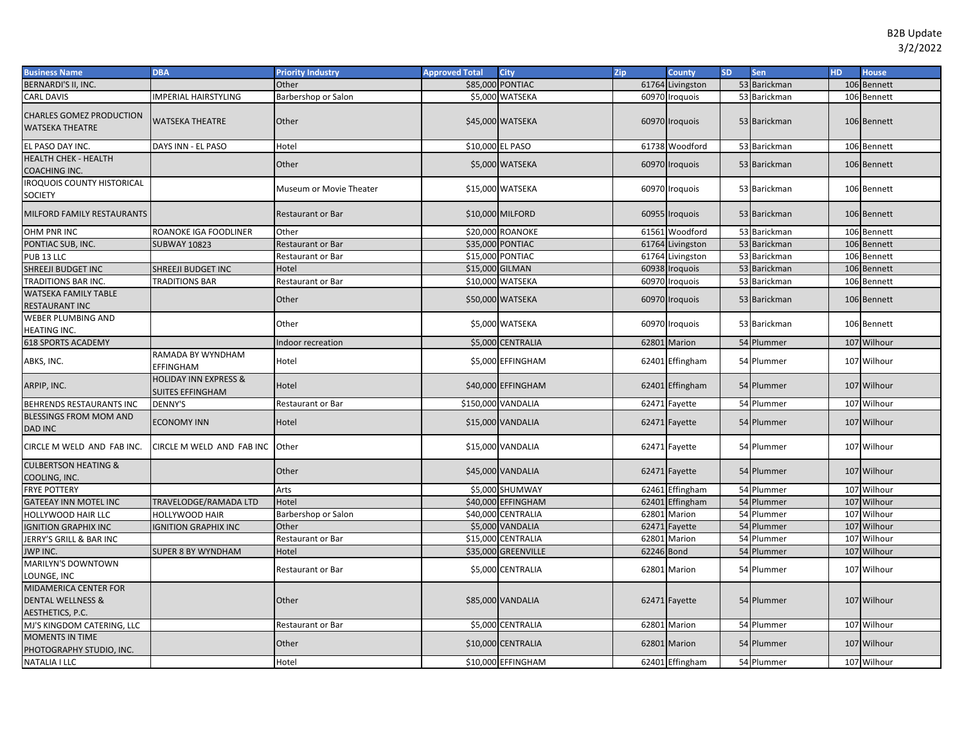| <b>Business Name</b>                                      | <b>DBA</b>                                                  | <b>Priority Industry</b> | <b>Approved Total</b> | <b>City</b>         | Zip        | <b>County</b>    | <b>SD</b> | <b>Sen</b>   | HD. | <b>House</b>   |
|-----------------------------------------------------------|-------------------------------------------------------------|--------------------------|-----------------------|---------------------|------------|------------------|-----------|--------------|-----|----------------|
| <b>BERNARDI'S II, INC.</b>                                |                                                             | Other                    |                       | \$85,000 PONTIAC    |            | 61764 Livingston |           | 53 Barickman |     | 106 Bennett    |
| <b>CARL DAVIS</b>                                         | MPERIAL HAIRSTYLING                                         | Barbershop or Salon      |                       | \$5,000 WATSEKA     |            | 60970 Iroquois   |           | 53 Barickman |     | 106 Bennett    |
| <b>CHARLES GOMEZ PRODUCTION</b><br><b>WATSEKA THEATRE</b> | <b>WATSEKA THEATRE</b>                                      | Other                    |                       | \$45,000 WATSEKA    |            | 60970 Iroquois   |           | 53 Barickman |     | 106 Bennett    |
| EL PASO DAY INC.                                          | DAYS INN - EL PASO                                          | Hotel                    |                       | \$10,000 EL PASO    |            | 61738 Woodford   |           | 53 Barickman |     | 106 Bennett    |
| <b>HEALTH CHEK - HEALTH</b>                               |                                                             | Other                    |                       | \$5,000 WATSEKA     |            | 60970 Iroquois   |           | 53 Barickman |     | 106 Bennett    |
| COACHING INC.                                             |                                                             |                          |                       |                     |            |                  |           |              |     |                |
| <b>IROQUOIS COUNTY HISTORICAL</b>                         |                                                             | Museum or Movie Theater  |                       | \$15,000 WATSEKA    |            | 60970 Iroquois   |           | 53 Barickman |     | 106 Bennett    |
| <b>SOCIETY</b>                                            |                                                             |                          |                       |                     |            |                  |           |              |     |                |
| MILFORD FAMILY RESTAURANTS                                |                                                             | <b>Restaurant or Bar</b> |                       | \$10,000 MILFORD    |            | 60955 Iroquois   |           | 53 Barickman |     | 106 Bennett    |
| OHM PNR INC                                               | ROANOKE IGA FOODLINER                                       | Other                    |                       | \$20,000 ROANOKE    |            | 61561 Woodford   |           | 53 Barickman |     | 106 Bennett    |
| PONTIAC SUB, INC.                                         | <b>SUBWAY 10823</b>                                         | <b>Restaurant or Bar</b> |                       | \$35,000 PONTIAC    |            | 61764 Livingston |           | 53 Barickman |     | 106 Bennett    |
| PUB <sub>13</sub> LLC                                     |                                                             | Restaurant or Bar        |                       | \$15,000 PONTIAC    |            | 61764 Livingston |           | 53 Barickman |     | 106 Bennett    |
| SHREEJI BUDGET INC                                        | SHREEJI BUDGET INC                                          | Hotel                    |                       | \$15,000 GILMAN     |            | 60938 Iroquois   |           | 53 Barickman | 106 | <b>Bennett</b> |
| <b>TRADITIONS BAR INC</b>                                 | <b>TRADITIONS BAR</b>                                       | Restaurant or Bar        |                       | \$10,000 WATSEKA    |            | 60970 Iroquois   |           | 53 Barickman |     | 106 Bennett    |
| <b>WATSEKA FAMILY TABLE</b>                               |                                                             |                          |                       |                     |            |                  |           |              |     |                |
| <b>RESTAURANT INC</b>                                     |                                                             | Other                    |                       | \$50,000 WATSEKA    |            | 60970 Iroquois   |           | 53 Barickman |     | 106 Bennett    |
| WEBER PLUMBING AND<br>HEATING INC.                        |                                                             | Other                    |                       | \$5,000 WATSEKA     |            | 60970 Iroquois   |           | 53 Barickman |     | 106 Bennett    |
| <b>618 SPORTS ACADEMY</b>                                 |                                                             | Indoor recreation        |                       | \$5,000 CENTRALIA   |            | 62801 Marion     |           | 54 Plummer   |     | 107 Wilhour    |
| ABKS, INC.                                                | RAMADA BY WYNDHAM<br>EFFINGHAM                              | Hotel                    |                       | \$5,000 EFFINGHAM   |            | 62401 Effingham  |           | 54 Plummer   |     | 107 Wilhour    |
| ARPIP, INC.                                               | <b>HOLIDAY INN EXPRESS &amp;</b><br><b>SUITES EFFINGHAM</b> | Hotel                    |                       | \$40,000 EFFINGHAM  |            | 62401 Effingham  |           | 54 Plummer   |     | 107 Wilhour    |
| BEHRENDS RESTAURANTS INC                                  | DENNY'S                                                     | Restaurant or Bar        |                       | \$150,000 VANDALIA  |            | 62471 Fayette    |           | 54 Plummer   |     | 107 Wilhour    |
| BLESSINGS FROM MOM AND<br>DAD INC                         | <b>ECONOMY INN</b>                                          | Hotel                    |                       | \$15,000 VANDALIA   |            | 62471 Fayette    |           | 54 Plummer   |     | 107 Wilhour    |
| CIRCLE M WELD AND FAB INC.                                | CIRCLE M WELD AND FAB INC Other                             |                          |                       | \$15,000 VANDALIA   |            | 62471 Fayette    |           | 54 Plummer   |     | 107 Wilhour    |
| <b>CULBERTSON HEATING &amp;</b><br>COOLING, INC.          |                                                             | Other                    |                       | \$45,000 VANDALIA   |            | 62471 Fayette    |           | 54 Plummer   |     | 107 Wilhour    |
| <b>FRYE POTTERY</b>                                       |                                                             | Arts                     |                       | \$5,000 SHUMWAY     |            | 62461 Effingham  |           | 54 Plummer   |     | 107 Wilhour    |
| <b>GATEEAY INN MOTEL INC</b>                              | TRAVELODGE/RAMADA LTD                                       | Hotel                    |                       | \$40,000 EFFINGHAM  |            | 62401 Effingham  |           | 54 Plummer   |     | 107 Wilhour    |
| HOLLYWOOD HAIR LLC                                        | HOLLYWOOD HAIR                                              | Barbershop or Salon      | \$40,000              | <b>CENTRALIA</b>    |            | 62801 Marion     |           | 54 Plummer   | 107 | Wilhour        |
| <b>IGNITION GRAPHIX INC</b>                               | <b>GNITION GRAPHIX INC</b>                                  | Other                    |                       | \$5,000 VANDALIA    |            | 62471 Fayette    |           | 54 Plummer   | 107 | Wilhour        |
| JERRY'S GRILL & BAR INC                                   |                                                             | Restaurant or Bar        |                       | \$15,000 CENTRALIA  |            | 62801 Marion     |           | 54 Plummer   | 107 | Wilhour        |
| JWP INC.                                                  | SUPER 8 BY WYNDHAM                                          | Hotel                    |                       | \$35,000 GREENVILLE | 62246 Bond |                  |           | 54 Plummer   | 107 | Wilhour        |
| MARILYN'S DOWNTOWN                                        |                                                             | <b>Restaurant or Bar</b> |                       | \$5,000 CENTRALIA   |            | 62801 Marion     |           | 54 Plummer   |     | 107 Wilhour    |
| LOUNGE, INC                                               |                                                             |                          |                       |                     |            |                  |           |              |     |                |
| MIDAMERICA CENTER FOR<br><b>DENTAL WELLNESS &amp;</b>     |                                                             | Other                    |                       | \$85,000 VANDALIA   |            |                  |           | 54 Plummer   |     | 107 Wilhour    |
| AESTHETICS, P.C.                                          |                                                             |                          |                       |                     |            | 62471 Fayette    |           |              |     |                |
| MJ'S KINGDOM CATERING, LLC                                |                                                             | Restaurant or Bar        |                       | \$5,000 CENTRALIA   |            | 62801 Marion     |           | 54 Plummer   |     | 107 Wilhour    |
| <b>MOMENTS IN TIME</b>                                    |                                                             |                          |                       |                     |            |                  |           |              |     |                |
| PHOTOGRAPHY STUDIO, INC.                                  |                                                             | Other                    |                       | \$10,000 CENTRALIA  |            | 62801 Marion     |           | 54 Plummer   |     | 107 Wilhour    |
| <b>NATALIA I LLC</b>                                      |                                                             | Hotel                    |                       | \$10,000 EFFINGHAM  |            | 62401 Effingham  |           | 54 Plummer   |     | 107 Wilhour    |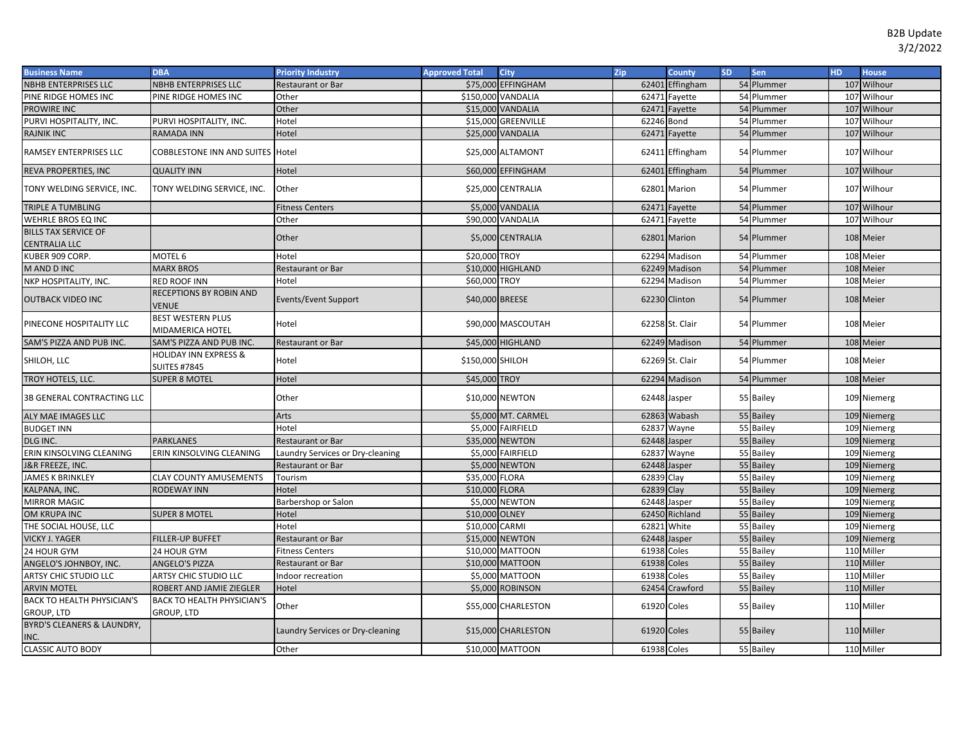| <b>Business Name</b>               | <b>DBA</b>                                              | <b>Priority Industry</b>         | <b>Approved Total</b> | <b>City</b>         | Zip         | County          | <b>SD</b> | Sen        | HD. | <b>House</b> |
|------------------------------------|---------------------------------------------------------|----------------------------------|-----------------------|---------------------|-------------|-----------------|-----------|------------|-----|--------------|
| NBHB ENTERPRISES LLC               | NBHB ENTERPRISES LLC                                    | Restaurant or Bar                |                       | \$75,000 EFFINGHAM  |             | 62401 Effingham |           | 54 Plummer |     | 107 Wilhour  |
| PINE RIDGE HOMES INC               | PINE RIDGE HOMES INC                                    | Other                            |                       | \$150,000 VANDALIA  |             | 62471 Fayette   |           | 54 Plummer |     | 107 Wilhour  |
| PROWIRE INC                        |                                                         | Other                            |                       | \$15,000 VANDALIA   | 62471       | Fayette         |           | 54 Plummer |     | 107 Wilhour  |
| PURVI HOSPITALITY, INC.            | PURVI HOSPITALITY, INC.                                 | Hotel                            | \$15,000              | <b>GREENVILLE</b>   | 62246 Bond  |                 |           | 54 Plummer |     | 107 Wilhour  |
| <b>RAJNIK INC</b>                  | <b>RAMADA INN</b>                                       | Hotel                            |                       | \$25,000 VANDALIA   |             | 62471 Fayette   |           | 54 Plummer |     | 107 Wilhour  |
| RAMSEY ENTERPRISES LLC             | COBBLESTONE INN AND SUITES Hotel                        |                                  |                       | \$25,000 ALTAMONT   |             | 62411 Effingham |           | 54 Plummer |     | 107 Wilhour  |
| REVA PROPERTIES, INC               | <b>QUALITY INN</b>                                      | Hotel                            |                       | \$60,000 EFFINGHAM  |             | 62401 Effingham |           | 54 Plummer |     | 107 Wilhour  |
| TONY WELDING SERVICE, INC.         | TONY WELDING SERVICE, INC.                              | Other                            |                       | \$25,000 CENTRALIA  |             | 62801 Marion    |           | 54 Plummer |     | 107 Wilhour  |
| TRIPLE A TUMBLING                  |                                                         | <b>Fitness Centers</b>           |                       | \$5,000 VANDALIA    |             | 62471 Fayette   |           | 54 Plummer |     | 107 Wilhour  |
| WEHRLE BROS EQ INC                 |                                                         | Other                            |                       | \$90,000 VANDALIA   |             | 62471 Fayette   |           | 54 Plummer |     | 107 Wilhour  |
| <b>BILLS TAX SERVICE OF</b>        |                                                         | Other                            |                       | \$5,000 CENTRALIA   |             | 62801 Marion    |           | 54 Plummer |     | 108 Meier    |
| CENTRALIA LLC                      |                                                         |                                  |                       |                     |             |                 |           |            |     |              |
| KUBER 909 CORP.                    | MOTEL 6                                                 | Hotel                            | \$20,000 TROY         |                     |             | 62294 Madison   |           | 54 Plummer |     | 108 Meier    |
| M AND D INC                        | <b>MARX BROS</b>                                        | Restaurant or Bar                |                       | \$10,000 HIGHLAND   | 62249       | Madison         |           | 54 Plummer |     | 108 Meier    |
| NKP HOSPITALITY, INC.              | <b>RED ROOF INN</b>                                     | Hotel                            | \$60,000 TROY         |                     | 62294       | Madison         |           | 54 Plummer |     | 108 Meier    |
| <b>OUTBACK VIDEO INC</b>           | RECEPTIONS BY ROBIN AND<br>VENUE                        | Events/Event Support             | \$40,000 BREESE       |                     |             | 62230 Clinton   |           | 54 Plummer |     | 108 Meier    |
| PINECONE HOSPITALITY LLC           | BEST WESTERN PLUS<br>MIDAMERICA HOTEL                   | Hotel                            |                       | \$90,000 MASCOUTAH  |             | 62258 St. Clair |           | 54 Plummer |     | 108 Meier    |
| SAM'S PIZZA AND PUB INC.           | SAM'S PIZZA AND PUB INC.                                | Restaurant or Bar                |                       | \$45,000 HIGHLAND   |             | 62249 Madison   |           | 54 Plummer |     | 108 Meier    |
| SHILOH, LLC                        | <b>HOLIDAY INN EXPRESS &amp;</b><br><b>SUITES #7845</b> | Hotel                            | \$150,000 SHILOH      |                     |             | 62269 St. Clair |           | 54 Plummer |     | 108 Meier    |
| TROY HOTELS, LLC.                  | <b>SUPER 8 MOTEL</b>                                    | Hotel                            | \$45,000 TROY         |                     |             | 62294 Madison   |           | 54 Plummer |     | 108 Meier    |
| 3B GENERAL CONTRACTING LLC         |                                                         | Other                            |                       | \$10,000 NEWTON     |             | 62448 Jasper    |           | 55 Bailey  |     | 109 Niemerg  |
| ALY MAE IMAGES LLC                 |                                                         | Arts                             |                       | \$5,000 MT. CARMEL  |             | 62863 Wabash    |           | 55 Bailey  |     | 109 Niemerg  |
| <b>BUDGET INN</b>                  |                                                         | Hotel                            |                       | \$5,000 FAIRFIELD   |             | 62837 Wayne     |           | 55 Bailey  |     | 109 Niemerg  |
| DLG INC.                           | <b>PARKLANES</b>                                        | Restaurant or Bar                |                       | \$35,000 NEWTON     |             | 62448 Jasper    |           | 55 Bailey  |     | 109 Niemerg  |
| ERIN KINSOLVING CLEANING           | ERIN KINSOLVING CLEANING                                | Laundry Services or Dry-cleaning |                       | \$5,000 FAIRFIELD   |             | 62837 Wayne     |           | 55 Bailey  |     | 109 Niemerg  |
| J&R FREEZE, INC.                   |                                                         | <b>Restaurant or Bar</b>         |                       | \$5,000 NEWTON      | 62448       | Jasper          |           | 55 Bailey  |     | 109 Niemerg  |
| JAMES K BRINKLEY                   | <b>CLAY COUNTY AMUSEMENTS</b>                           | Tourism                          | \$35,000 FLORA        |                     | 62839 Clay  |                 |           | 55 Bailey  |     | 109 Niemerg  |
| KALPANA, INC.                      | <b>RODEWAY INN</b>                                      | Hotel                            | \$10,000 FLORA        |                     | 62839       | Clay            |           | 55 Bailey  |     | 109 Niemerg  |
| <b>MIRROR MAGIC</b>                |                                                         | Barbershop or Salon              |                       | \$5,000 NEWTON      |             | 62448 Jasper    |           | 55 Bailey  |     | 109 Niemerg  |
| OM KRUPA INC                       | <b>SUPER 8 MOTEL</b>                                    | Hotel                            | \$10,000 OLNEY        |                     | 62450       | Richland        |           | 55 Bailey  |     | 109 Niemerg  |
| THE SOCIAL HOUSE, LLC              |                                                         | Hotel                            | \$10,000 CARMI        |                     | 62821       | White           |           | 55 Bailey  |     | 109 Niemerg  |
| <b>VICKY J. YAGER</b>              | <b>FILLER-UP BUFFET</b>                                 | Restaurant or Bar                |                       | \$15,000 NEWTON     | 62448       | Jasper          |           | 55 Bailey  |     | 109 Niemerg  |
| 24 HOUR GYM                        | 24 HOUR GYM                                             | <b>Fitness Centers</b>           |                       | \$10,000 MATTOON    | 61938       | Coles           |           | 55 Bailey  |     | 110 Miller   |
| ANGELO'S JOHNBOY, INC.             | <b>ANGELO'S PIZZA</b>                                   | <b>Restaurant or Bar</b>         |                       | \$10,000 MATTOON    | 61938 Coles |                 |           | 55 Bailey  |     | 110 Miller   |
| ARTSY CHIC STUDIO LLC              | ARTSY CHIC STUDIO LLC                                   | Indoor recreation                |                       | \$5,000 MATTOON     | 61938       | Coles           |           | 55 Bailey  |     | 110 Miller   |
| <b>ARVIN MOTEL</b>                 | ROBERT AND JAMIE ZIEGLER                                | Hotel                            |                       | \$5,000 ROBINSON    | 62454       | Crawford        |           | 55 Bailey  |     | 110 Miller   |
| BACK TO HEALTH PHYSICIAN'S         | <b>BACK TO HEALTH PHYSICIAN'S</b>                       |                                  |                       |                     |             |                 |           |            |     |              |
| GROUP, LTD                         | GROUP, LTD                                              | Other                            |                       | \$55,000 CHARLESTON | 61920 Coles |                 |           | 55 Bailey  |     | 110 Miller   |
| BYRD'S CLEANERS & LAUNDRY,<br>INC. |                                                         | Laundry Services or Dry-cleaning |                       | \$15,000 CHARLESTON | 61920 Coles |                 |           | 55 Bailey  |     | 110 Miller   |
| <b>CLASSIC AUTO BODY</b>           |                                                         | Other                            |                       | \$10,000 MATTOON    | 61938 Coles |                 |           | 55 Bailey  |     | 110 Miller   |
|                                    |                                                         |                                  |                       |                     |             |                 |           |            |     |              |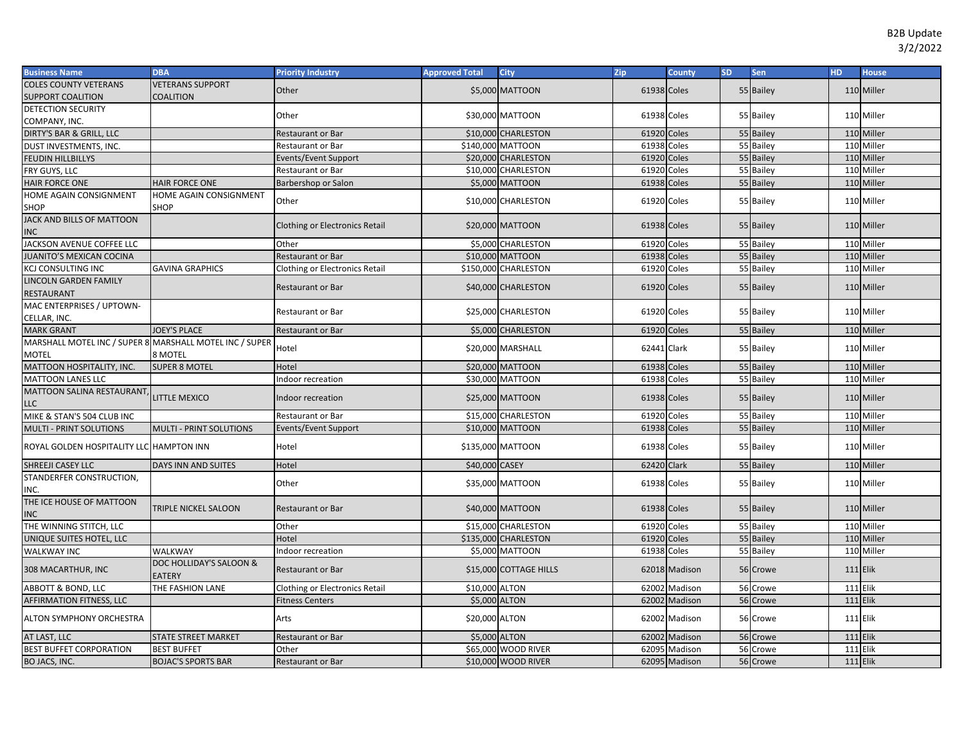| <b>Business Name</b>                                    | <b>DBA</b>                               | <b>Priority Industry</b>              | <b>Approved Total</b> | <b>City</b>            | Zip         | County        | <b>SD</b> | Sen       | <b>HD</b> | <b>House</b>    |
|---------------------------------------------------------|------------------------------------------|---------------------------------------|-----------------------|------------------------|-------------|---------------|-----------|-----------|-----------|-----------------|
| <b>COLES COUNTY VETERANS</b>                            | <b>VETERANS SUPPORT</b>                  | Other                                 |                       | \$5,000 MATTOON        | 61938 Coles |               |           | 55 Bailey |           | 110 Miller      |
| SUPPORT COALITION                                       | COALITION                                |                                       |                       |                        |             |               |           |           |           |                 |
| DETECTION SECURITY                                      |                                          | Other                                 |                       | \$30,000 MATTOON       | 61938 Coles |               |           | 55 Bailey |           | 110 Miller      |
| COMPANY, INC.                                           |                                          |                                       |                       |                        |             |               |           |           |           |                 |
| DIRTY'S BAR & GRILL, LLC                                |                                          | Restaurant or Bar                     |                       | \$10,000 CHARLESTON    | 61920 Coles |               |           | 55 Bailey |           | 110 Miller      |
| DUST INVESTMENTS, INC.                                  |                                          | Restaurant or Bar                     |                       | \$140,000 MATTOON      | 61938 Coles |               |           | 55 Bailey |           | 110 Miller      |
| <b>FEUDIN HILLBILLYS</b>                                |                                          | Events/Event Support                  |                       | \$20,000 CHARLESTON    | 61920 Coles |               |           | 55 Bailey |           | 110 Miller      |
| FRY GUYS, LLC                                           |                                          | Restaurant or Bar                     |                       | \$10,000 CHARLESTON    | 61920 Coles |               |           | 55 Bailey |           | 110 Miller      |
| HAIR FORCE ONE                                          | <b>HAIR FORCE ONE</b>                    | Barbershop or Salon                   |                       | \$5,000 MATTOON        | 61938 Coles |               |           | 55 Bailey |           | 110 Miller      |
| HOME AGAIN CONSIGNMENT                                  | HOME AGAIN CONSIGNMENT                   | Other                                 |                       | \$10,000 CHARLESTON    | 61920 Coles |               |           | 55 Bailey |           | 110 Miller      |
| SHOP                                                    | SHOP                                     |                                       |                       |                        |             |               |           |           |           |                 |
| JACK AND BILLS OF MATTOON<br><b>NC</b>                  |                                          | <b>Clothing or Electronics Retail</b> |                       | \$20,000 MATTOON       | 61938 Coles |               |           | 55 Bailey |           | 110 Miller      |
| JACKSON AVENUE COFFEE LLC                               |                                          | Other                                 |                       | \$5,000 CHARLESTON     | 61920 Coles |               |           | 55 Bailey |           | 110 Miller      |
| <b>IUANITO'S MEXICAN COCINA</b>                         |                                          | Restaurant or Bar                     |                       | \$10,000 MATTOON       | 61938 Coles |               |           | 55 Bailey |           | 110 Miller      |
| <b>KCJ CONSULTING INC</b>                               | <b>GAVINA GRAPHICS</b>                   | Clothing or Electronics Retail        |                       | \$150,000 CHARLESTON   | 61920       | Coles         |           | 55 Bailey |           | 110 Miller      |
| LINCOLN GARDEN FAMILY<br>RESTAURANT                     |                                          | <b>Restaurant or Bar</b>              |                       | \$40,000 CHARLESTON    | 61920 Coles |               |           | 55 Bailey |           | 110 Miller      |
| MAC ENTERPRISES / UPTOWN-<br>CELLAR, INC.               |                                          | <b>Restaurant or Bar</b>              |                       | \$25,000 CHARLESTON    | 61920 Coles |               |           | 55 Bailey |           | 110 Miller      |
| <b>MARK GRANT</b>                                       | <b>JOEY'S PLACE</b>                      | <b>Restaurant or Bar</b>              |                       | \$5,000 CHARLESTON     | 61920 Coles |               |           | 55 Bailey |           | 110 Miller      |
| MARSHALL MOTEL INC / SUPER 8 MARSHALL MOTEL INC / SUPER |                                          | Hotel                                 |                       | \$20,000 MARSHALL      | 62441 Clark |               |           | 55 Bailey |           | 110 Miller      |
| MOTEL                                                   | 8 MOTEL                                  |                                       |                       |                        |             |               |           |           |           |                 |
| MATTOON HOSPITALITY, INC.                               | <b>SUPER 8 MOTEL</b>                     | Hotel                                 |                       | \$20,000 MATTOON       | 61938 Coles |               |           | 55 Bailey |           | 110 Miller      |
| <b>MATTOON LANES LLC</b>                                |                                          | Indoor recreation                     |                       | \$30,000 MATTOON       | 61938 Coles |               |           | 55 Bailey |           | 110 Miller      |
| MATTOON SALINA RESTAURANT,<br>LLC                       | <b>LITTLE MEXICO</b>                     | Indoor recreation                     |                       | \$25,000 MATTOON       | 61938 Coles |               |           | 55 Bailey |           | 110 Miller      |
| MIKE & STAN'S 504 CLUB INC                              |                                          | Restaurant or Bar                     |                       | \$15,000 CHARLESTON    | 61920       | Coles         |           | 55 Bailey |           | 110 Miller      |
| MULTI - PRINT SOLUTIONS                                 | MULTI - PRINT SOLUTIONS                  | Events/Event Support                  |                       | \$10,000 MATTOON       | 61938 Coles |               |           | 55 Bailey |           | 110 Miller      |
| ROYAL GOLDEN HOSPITALITY LLC HAMPTON INN                |                                          | Hotel                                 |                       | \$135,000 MATTOON      | 61938 Coles |               |           | 55 Bailey |           | 110 Miller      |
| SHREEJI CASEY LLC                                       | DAYS INN AND SUITES                      | Hotel                                 | \$40,000 CASEY        |                        | 62420 Clark |               |           | 55 Bailey |           | 110 Miller      |
| STANDERFER CONSTRUCTION,<br>INC.                        |                                          | Other                                 |                       | \$35,000 MATTOON       | 61938 Coles |               |           | 55 Bailey |           | 110 Miller      |
| THE ICE HOUSE OF MATTOON<br><b>NC</b>                   | TRIPLE NICKEL SALOON                     | <b>Restaurant or Bar</b>              |                       | \$40,000 MATTOON       | 61938 Coles |               |           | 55 Bailey |           | 110 Miller      |
| THE WINNING STITCH, LLC                                 |                                          | Other                                 |                       | \$15,000 CHARLESTON    | 61920 Coles |               |           | 55 Bailey |           | 110 Miller      |
| UNIQUE SUITES HOTEL, LLC                                |                                          | Hotel                                 |                       | \$135,000 CHARLESTON   | 61920       | Coles         |           | 55 Bailey |           | 110 Miller      |
| <b>WALKWAY INC</b>                                      | WALKWAY                                  | Indoor recreation                     |                       | \$5,000 MATTOON        | 61938 Coles |               |           | 55 Bailey |           | 110 Miller      |
| 308 MACARTHUR, INC                                      | DOC HOLLIDAY'S SALOON &<br><b>EATERY</b> | <b>Restaurant or Bar</b>              |                       | \$15,000 COTTAGE HILLS |             | 62018 Madison |           | 56 Crowe  |           | $111$ Elik      |
| <b>ABBOTT &amp; BOND, LLC</b>                           | THE FASHION LANE                         | Clothing or Electronics Retail        | \$10,000 ALTON        |                        | 62002       | Madison       |           | 56 Crowe  |           | 111 Elik        |
| AFFIRMATION FITNESS, LLC                                |                                          | <b>Fitness Centers</b>                | \$5,000 ALTON         |                        | 62002       | Madison       |           | 56 Crowe  |           | 111 Elik        |
| ALTON SYMPHONY ORCHESTRA                                |                                          | Arts                                  | \$20,000 ALTON        |                        |             | 62002 Madison |           | 56 Crowe  |           | <b>111 Elik</b> |
| AT LAST, LLC                                            | <b>STATE STREET MARKET</b>               | Restaurant or Bar                     | \$5,000 ALTON         |                        |             | 62002 Madison |           | 56 Crowe  |           | <b>111 Elik</b> |
| <b>BEST BUFFET CORPORATION</b>                          | <b>BEST BUFFET</b>                       | Other                                 |                       | \$65,000 WOOD RIVER    |             | 62095 Madison |           | 56 Crowe  |           | <b>111 Elik</b> |
| BO JACS, INC.                                           | <b>BOJAC'S SPORTS BAR</b>                | <b>Restaurant or Bar</b>              |                       | \$10,000 WOOD RIVER    |             | 62095 Madison |           | 56 Crowe  |           | <b>111</b> Elik |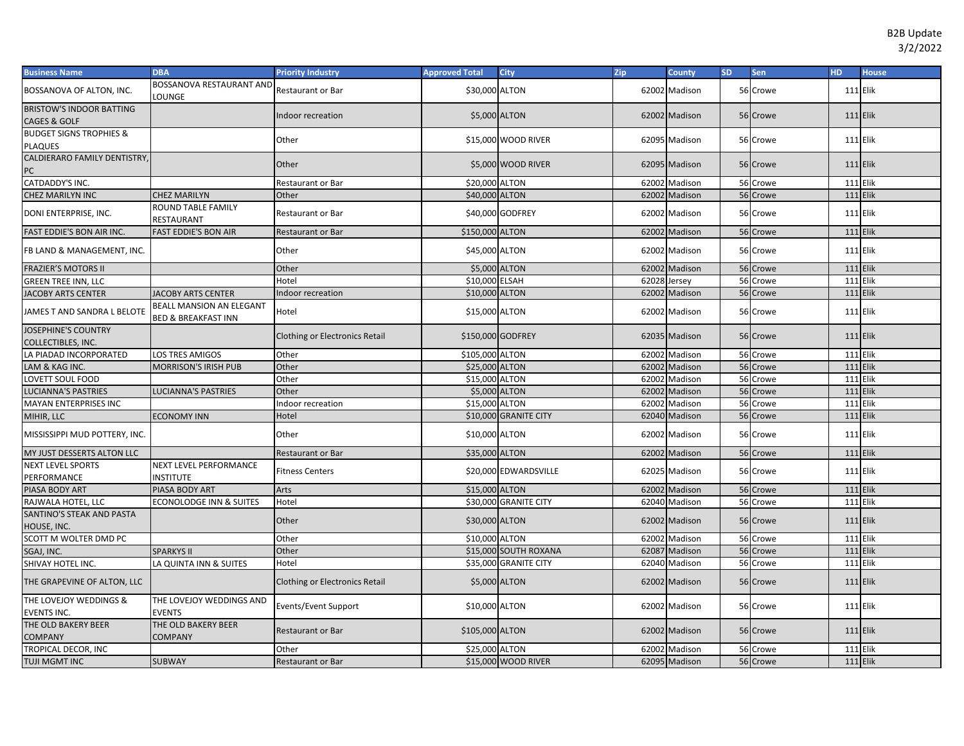| <b>Business Name</b>                                       | <b>DBA</b>                                                 | <b>Priority Industry</b>              | <b>Approved Total</b> | <b>City</b>           | Zip          | <b>County</b> | <b>SD</b> | Sen      | <b>HD</b>       | <b>House</b> |
|------------------------------------------------------------|------------------------------------------------------------|---------------------------------------|-----------------------|-----------------------|--------------|---------------|-----------|----------|-----------------|--------------|
| BOSSANOVA OF ALTON, INC.                                   | BOSSANOVA RESTAURANT AND<br>LOUNGE                         | Restaurant or Bar                     | \$30,000 ALTON        |                       |              | 62002 Madison |           | 56 Crowe | 111 Elik        |              |
| <b>BRISTOW'S INDOOR BATTING</b><br><b>CAGES &amp; GOLF</b> |                                                            | Indoor recreation                     |                       | \$5,000 ALTON         |              | 62002 Madison |           | 56 Crowe | <b>111 Elik</b> |              |
| <b>BUDGET SIGNS TROPHIES &amp;</b><br><b>PLAQUES</b>       |                                                            | Other                                 |                       | \$15,000 WOOD RIVER   |              | 62095 Madison |           | 56 Crowe | 111 Elik        |              |
| <b>CALDIERARO FAMILY DENTISTRY</b>                         |                                                            |                                       |                       |                       |              |               |           |          |                 |              |
| PC                                                         |                                                            | Other                                 |                       | \$5,000 WOOD RIVER    |              | 62095 Madison |           | 56 Crowe | <b>111 Elik</b> |              |
| CATDADDY'S INC.                                            |                                                            | Restaurant or Bar                     | \$20,000 ALTON        |                       | 62002        | Madison       |           | 56 Crowe | <b>111 Elik</b> |              |
| <b>CHEZ MARILYN INC</b>                                    | <b>CHEZ MARILYN</b>                                        | Other                                 | \$40,000 ALTON        |                       | 62002        | Madison       |           | 56 Crowe | $111$ Elik      |              |
| DONI ENTERPRISE, INC.                                      | ROUND TABLE FAMILY<br>RESTAURANT                           | Restaurant or Bar                     |                       | \$40,000 GODFREY      |              | 62002 Madison |           | 56 Crowe | <b>111 Elik</b> |              |
| FAST EDDIE'S BON AIR INC.                                  | <b>FAST EDDIE'S BON AIR</b>                                | <b>Restaurant or Bar</b>              | \$150,000 ALTON       |                       |              | 62002 Madison |           | 56 Crowe | $111$ Elik      |              |
| FB LAND & MANAGEMENT, INC.                                 |                                                            | Other                                 | \$45,000 ALTON        |                       |              | 62002 Madison |           | 56 Crowe | <b>111 Elik</b> |              |
| <b>FRAZIER'S MOTORS II</b>                                 |                                                            | Other                                 | \$5,000 ALTON         |                       | 62002        | Madison       |           | 56 Crowe | 111 Elik        |              |
| <b>GREEN TREE INN, LLC</b>                                 |                                                            | Hotel                                 | \$10,000 ELSAH        |                       | 62028 Jersey |               |           | 56 Crowe | $111$ Elik      |              |
| <b>JACOBY ARTS CENTER</b>                                  | <b>JACOBY ARTS CENTER</b>                                  | Indoor recreation                     | \$10,000 ALTON        |                       | 62002        | Madison       |           | 56 Crowe | $111$ Elik      |              |
| JAMES T AND SANDRA L BELOTE                                | BEALL MANSION AN ELEGANT<br><b>BED &amp; BREAKFAST INN</b> | Hotel                                 | \$15,000 ALTON        |                       |              | 62002 Madison |           | 56 Crowe | <b>111 Elik</b> |              |
| <b>JOSEPHINE'S COUNTRY</b><br>COLLECTIBLES, INC.           |                                                            | <b>Clothing or Electronics Retail</b> |                       | \$150,000 GODFREY     |              | 62035 Madison |           | 56 Crowe | <b>111 Elik</b> |              |
| LA PIADAD INCORPORATED                                     | LOS TRES AMIGOS                                            | Other                                 | \$105,000 ALTON       |                       | 62002        | Madison       |           | 56 Crowe | 111 Elik        |              |
| LAM & KAG INC.                                             | <b>MORRISON'S IRISH PUB</b>                                | Other                                 | \$25,000 ALTON        |                       | 62002        | Madison       |           | 56 Crowe | $111$ Elik      |              |
| LOVETT SOUL FOOD                                           |                                                            | Other                                 | \$15,000 ALTON        |                       |              | 62002 Madison |           | 56 Crowe | 111 Elik        |              |
| <b>LUCIANNA'S PASTRIES</b>                                 | LUCIANNA'S PASTRIES                                        | Other                                 | \$5,000 ALTON         |                       |              | 62002 Madison |           | 56 Crowe | $111$ Elik      |              |
| MAYAN ENTERPRISES INC                                      |                                                            | Indoor recreation                     | \$15,000 ALTON        |                       |              | 62002 Madison |           | 56 Crowe | <b>111 Elik</b> |              |
| MIHIR, LLC                                                 | <b>ECONOMY INN</b>                                         | Hotel                                 |                       | \$10,000 GRANITE CITY |              | 62040 Madison |           | 56 Crowe | $111$ Elik      |              |
| MISSISSIPPI MUD POTTERY, INC.                              |                                                            | Other                                 | \$10,000 ALTON        |                       |              | 62002 Madison |           | 56 Crowe | <b>111 Elik</b> |              |
| MY JUST DESSERTS ALTON LLC                                 |                                                            | Restaurant or Bar                     | \$35,000 ALTON        |                       |              | 62002 Madison |           | 56 Crowe | <b>111 Elik</b> |              |
| <b>NEXT LEVEL SPORTS</b><br>PERFORMANCE                    | <b>NEXT LEVEL PERFORMANCE</b><br><b>NSTITUTE</b>           | Fitness Centers                       |                       | \$20,000 EDWARDSVILLE |              | 62025 Madison |           | 56 Crowe | 111 Elik        |              |
| PIASA BODY ART                                             | PIASA BODY ART                                             | Arts                                  | \$15,000 ALTON        |                       | 62002        | Madison       |           | 56 Crowe | <b>111 Elik</b> |              |
| RAJWALA HOTEL, LLC                                         | <b>ECONOLODGE INN &amp; SUITES</b>                         | Hotel                                 |                       | \$30,000 GRANITE CITY |              | 62040 Madison |           | 56 Crowe | <b>111 Elik</b> |              |
| SANTINO'S STEAK AND PASTA<br>HOUSE, INC.                   |                                                            | Other                                 | \$30,000 ALTON        |                       |              | 62002 Madison |           | 56 Crowe | <b>111 Elik</b> |              |
| SCOTT M WOLTER DMD PC                                      |                                                            | Other                                 | \$10,000 ALTON        |                       | 62002        | Madison       |           | 56 Crowe | 111 Elik        |              |
| SGAJ, INC.                                                 | <b>SPARKYS II</b>                                          | Other                                 |                       | \$15,000 SOUTH ROXANA | 62087        | Madison       |           | 56 Crowe | 111 Elik        |              |
| SHIVAY HOTEL INC.                                          | LA QUINTA INN & SUITES                                     | Hotel                                 |                       | \$35,000 GRANITE CITY |              | 62040 Madison |           | 56 Crowe | <b>111 Elik</b> |              |
| THE GRAPEVINE OF ALTON, LLC                                |                                                            | <b>Clothing or Electronics Retail</b> |                       | \$5,000 ALTON         |              | 62002 Madison |           | 56 Crowe | <b>111 Elik</b> |              |
| THE LOVEJOY WEDDINGS &<br>EVENTS INC.                      | THE LOVEJOY WEDDINGS AND<br><b>EVENTS</b>                  | Events/Event Support                  | \$10,000 ALTON        |                       |              | 62002 Madison |           | 56 Crowe | <b>111 Elik</b> |              |
| THE OLD BAKERY BEER<br><b>COMPANY</b>                      | THE OLD BAKERY BEER<br><b>COMPANY</b>                      | <b>Restaurant or Bar</b>              | \$105,000 ALTON       |                       |              | 62002 Madison |           | 56 Crowe | 111 Elik        |              |
| TROPICAL DECOR, INC                                        |                                                            | Other                                 | \$25,000 ALTON        |                       | 62002        | Madison       |           | 56 Crowe | <b>111 Elik</b> |              |
| TUJI MGMT INC                                              | <b>SUBWAY</b>                                              | Restaurant or Bar                     |                       | \$15,000 WOOD RIVER   |              | 62095 Madison |           | 56 Crowe | <b>111 Elik</b> |              |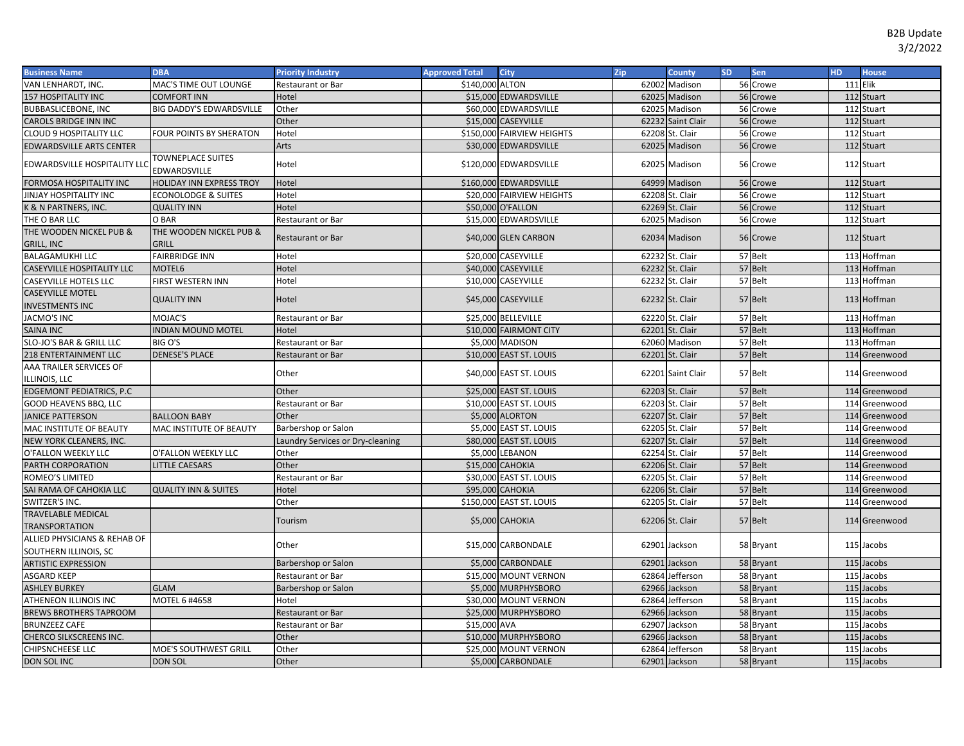| <b>Business Name</b>                                      | <b>DBA</b>                               | <b>Priority Industry</b>         | <b>Approved Total</b> | <b>City</b>                | Zip   | <b>County</b>     | <b>SD</b> | <b>Sen</b> | HD.             | <b>House</b>  |
|-----------------------------------------------------------|------------------------------------------|----------------------------------|-----------------------|----------------------------|-------|-------------------|-----------|------------|-----------------|---------------|
| VAN LENHARDT, INC.                                        | MAC'S TIME OUT LOUNGE                    | Restaurant or Bar                | \$140,000 ALTON       |                            |       | 62002 Madison     |           | 56 Crowe   | <b>111 Elik</b> |               |
| <b>157 HOSPITALITY INC</b>                                | <b>COMFORT INN</b>                       | Hotel                            |                       | \$15,000 EDWARDSVILLE      |       | 62025 Madison     |           | 56 Crowe   |                 | 112 Stuart    |
| <b>BUBBASLICEBONE, INC</b>                                | BIG DADDY'S EDWARDSVILLE                 | Other                            |                       | \$60,000 EDWARDSVILLE      |       | 62025 Madison     |           | 56 Crowe   |                 | 112 Stuart    |
| CAROLS BRIDGE INN INC                                     |                                          | Other                            |                       | \$15,000 CASEYVILLE        |       | 62232 Saint Clair |           | 56 Crowe   |                 | 112 Stuart    |
| <b>CLOUD 9 HOSPITALITY LLC</b>                            | FOUR POINTS BY SHERATON                  | Hotel                            |                       | \$150,000 FAIRVIEW HEIGHTS |       | 62208 St. Clair   |           | 56 Crowe   |                 | 112 Stuart    |
| <b>EDWARDSVILLE ARTS CENTER</b>                           |                                          | Arts                             |                       | \$30,000 EDWARDSVILLE      |       | 62025 Madison     |           | 56 Crowe   |                 | 112 Stuart    |
| EDWARDSVILLE HOSPITALITY LLC                              | <b>TOWNEPLACE SUITES</b><br>EDWARDSVILLE | Hotel                            |                       | \$120,000 EDWARDSVILLE     |       | 62025 Madison     |           | 56 Crowe   |                 | 112 Stuart    |
| FORMOSA HOSPITALITY INC                                   | HOLIDAY INN EXPRESS TROY                 | Hotel                            |                       | \$160,000 EDWARDSVILLE     |       | 64999 Madison     |           | 56 Crowe   |                 | 112 Stuart    |
| JINJAY HOSPITALITY INC                                    | <b>ECONOLODGE &amp; SUITES</b>           | Hotel                            |                       | \$20,000 FAIRVIEW HEIGHTS  |       | 62208 St. Clair   |           | 56 Crowe   |                 | 112 Stuart    |
| K & N PARTNERS, INC.                                      | <b>QUALITY INN</b>                       | Hotel                            |                       | \$50,000 O'FALLON          |       | 62269 St. Clair   | 56        | Crowe      |                 | 112 Stuart    |
| THE O BAR LLC                                             | O BAR                                    | Restaurant or Bar                |                       | \$15,000 EDWARDSVILLE      |       | 62025 Madison     | 56        | Crowe      |                 | 112 Stuart    |
| THE WOODEN NICKEL PUB &<br>GRILL, INC                     | THE WOODEN NICKEL PUB &<br><b>GRILL</b>  | <b>Restaurant or Bar</b>         |                       | \$40,000 GLEN CARBON       |       | 62034 Madison     |           | 56 Crowe   |                 | 112 Stuart    |
| <b>BALAGAMUKHI LLC</b>                                    | <b>FAIRBRIDGE INN</b>                    | Hotel                            |                       | \$20,000 CASEYVILLE        |       | 62232 St. Clair   |           | 57 Belt    |                 | 113 Hoffman   |
| CASEYVILLE HOSPITALITY LLC                                | MOTEL6                                   | Hotel                            |                       | \$40,000 CASEYVILLE        |       | 62232 St. Clair   |           | 57 Belt    |                 | 113 Hoffman   |
| <b>CASEYVILLE HOTELS LLC</b>                              | FIRST WESTERN INN                        | Hotel                            |                       | \$10,000 CASEYVILLE        |       | 62232 St. Clair   |           | 57 Belt    |                 | 113 Hoffman   |
| <b>CASEYVILLE MOTEL</b><br><b>INVESTMENTS INC</b>         | <b>QUALITY INN</b>                       | Hotel                            |                       | \$45,000 CASEYVILLE        |       | 62232 St. Clair   |           | 57 Belt    |                 | 113 Hoffman   |
| <b>JACMO'S INC</b>                                        | MOJAC'S                                  | <b>Restaurant or Bar</b>         |                       | \$25,000 BELLEVILLE        |       | 62220 St. Clair   |           | 57 Belt    |                 | 113 Hoffman   |
| SAINA INC                                                 | <b>NDIAN MOUND MOTEL</b>                 | Hotel                            |                       | \$10,000 FAIRMONT CITY     |       | 62201 St. Clair   |           | 57 Belt    |                 | 113 Hoffman   |
| SLO-JO'S BAR & GRILL LLC                                  | BIG O'S                                  | Restaurant or Bar                |                       | \$5,000 MADISON            |       | 62060 Madison     |           | 57 Belt    |                 | 113 Hoffman   |
| 218 ENTERTAINMENT LLC                                     | <b>DENESE'S PLACE</b>                    | Restaurant or Bar                |                       | \$10,000 EAST ST. LOUIS    |       | 62201 St. Clair   |           | 57 Belt    |                 | 114 Greenwood |
| AAA TRAILER SERVICES OF<br><b>LLINOIS, LLC</b>            |                                          | Other                            |                       | \$40,000 EAST ST. LOUIS    |       | 62201 Saint Clair |           | 57 Belt    |                 | 114 Greenwood |
| EDGEMONT PEDIATRICS, P.C                                  |                                          | Other                            |                       | \$25,000 EAST ST. LOUIS    |       | 62203 St. Clair   |           | 57 Belt    |                 | 114 Greenwood |
| GOOD HEAVENS BBQ, LLC                                     |                                          | Restaurant or Bar                |                       | \$10,000 EAST ST. LOUIS    |       | 62203 St. Clair   |           | 57 Belt    |                 | 114 Greenwood |
| <b>JANICE PATTERSON</b>                                   | <b>BALLOON BABY</b>                      | Other                            |                       | \$5,000 ALORTON            |       | 62207 St. Clair   |           | 57 Belt    |                 | 114 Greenwood |
| MAC INSTITUTE OF BEAUTY                                   | MAC INSTITUTE OF BEAUTY                  | Barbershop or Salon              |                       | \$5,000 EAST ST. LOUIS     |       | 62205 St. Clair   |           | 57 Belt    |                 | 114 Greenwood |
| NEW YORK CLEANERS, INC.                                   |                                          | Laundry Services or Dry-cleaning |                       | \$80,000 EAST ST. LOUIS    |       | 62207 St. Clair   |           | 57 Belt    |                 | 114 Greenwood |
| O'FALLON WEEKLY LLC                                       | O'FALLON WEEKLY LLC                      | Other                            |                       | \$5,000 LEBANON            |       | 62254 St. Clair   |           | 57 Belt    |                 | 114 Greenwood |
| PARTH CORPORATION                                         | <b>LITTLE CAESARS</b>                    | Other                            |                       | \$15,000 CAHOKIA           |       | 62206 St. Clair   |           | 57 Belt    |                 | 114 Greenwood |
| ROMEO'S LIMITED                                           |                                          | Restaurant or Bar                |                       | \$30,000 EAST ST. LOUIS    |       | 62205 St. Clair   |           | 57 Belt    |                 | 114 Greenwood |
| SAI RAMA OF CAHOKIA LLC                                   | <b>QUALITY INN &amp; SUITES</b>          | Hotel                            |                       | \$95,000 CAHOKIA           |       | 62206 St. Clair   |           | 57 Belt    |                 | 114 Greenwood |
| SWITZER'S INC.                                            |                                          | Other                            |                       | \$150,000 EAST ST. LOUIS   |       | 62205 St. Clair   |           | 57 Belt    |                 | 114 Greenwood |
| TRAVELABLE MEDICAL                                        |                                          | Tourism                          |                       | \$5,000 CAHOKIA            |       | 62206 St. Clair   |           | 57 Belt    |                 | 114 Greenwood |
| TRANSPORTATION<br><b>ALLIED PHYSICIANS &amp; REHAB OF</b> |                                          | Other                            |                       | \$15,000 CARBONDALE        |       | 62901 Jackson     |           | 58 Bryant  |                 | 115 Jacobs    |
| SOUTHERN ILLINOIS, SC                                     |                                          |                                  |                       |                            |       |                   |           |            |                 |               |
| <b>ARTISTIC EXPRESSION</b>                                |                                          | Barbershop or Salon              |                       | \$5,000 CARBONDALE         |       | 62901 Jackson     |           | 58 Bryant  |                 | 115 Jacobs    |
| ASGARD KEEP                                               |                                          | <b>Restaurant or Bar</b>         |                       | \$15,000 MOUNT VERNON      |       | 62864 Jefferson   |           | 58 Bryant  |                 | 115 Jacobs    |
| <b>ASHLEY BURKEY</b>                                      | <b>GLAM</b>                              | Barbershop or Salon              |                       | \$5,000 MURPHYSBORO        |       | 62966 Jackson     |           | 58 Bryant  |                 | 115 Jacobs    |
| ATHENEON ILLINOIS INC                                     | MOTEL 6 #4658                            | Hotel                            |                       | \$30,000 MOUNT VERNON      |       | 62864 Jefferson   |           | 58 Bryant  |                 | 115 Jacobs    |
| <b>BREWS BROTHERS TAPROOM</b>                             |                                          | Restaurant or Bar                |                       | \$25,000 MURPHYSBORO       |       | 62966 Jackson     |           | 58 Bryant  | 115             | Jacobs        |
| <b>BRUNZEEZ CAFE</b>                                      |                                          | Restaurant or Bar                | \$15,000 AVA          |                            | 62907 | Jackson           |           | 58 Bryant  | <b>115</b>      | Jacobs        |
| CHERCO SILKSCREENS INC.                                   |                                          | Other                            |                       | \$10,000 MURPHYSBORO       |       | 62966 Jackson     |           | 58 Bryant  | 115             | Jacobs        |
| CHIPSNCHEESE LLC                                          | MOE'S SOUTHWEST GRILL                    | Other                            |                       | \$25,000 MOUNT VERNON      |       | 62864 Jefferson   |           | 58 Bryant  |                 | 115 Jacobs    |
| DON SOL INC                                               | <b>DON SOL</b>                           | Other                            |                       | \$5,000 CARBONDALE         |       | 62901 Jackson     |           | 58 Bryant  |                 | 115 Jacobs    |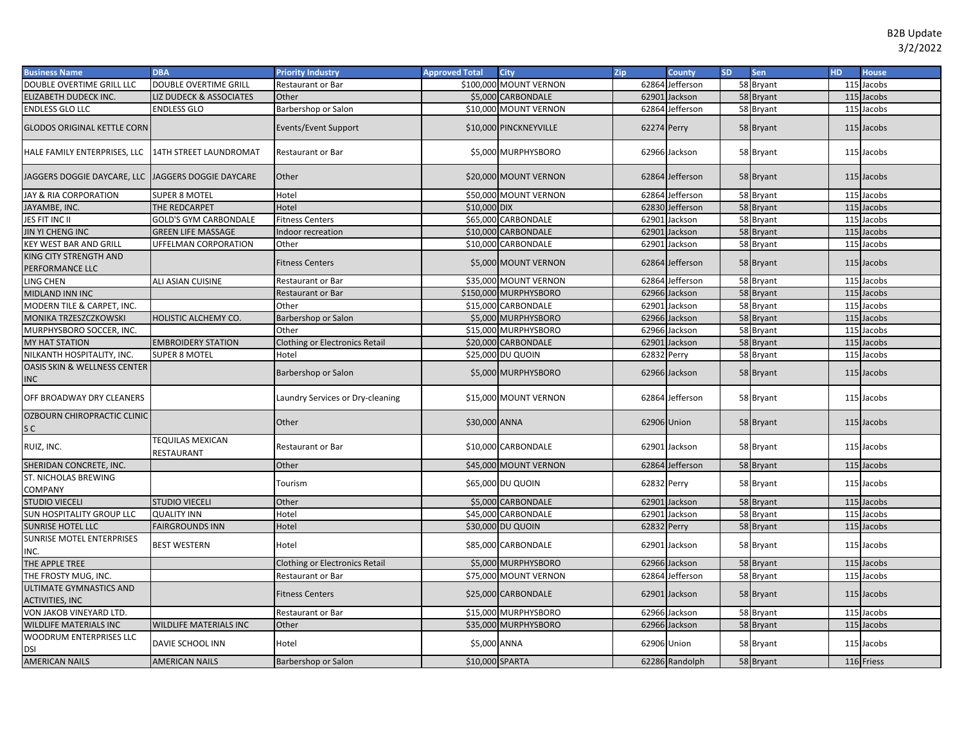| <b>Business Name</b>                                       | <b>DBA</b>                            | <b>Priority Industry</b>              | <b>Approved Total</b> | <b>City</b>            | Zip         | County          | <b>SD</b> | Sen       | <b>HD</b> | <b>House</b> |
|------------------------------------------------------------|---------------------------------------|---------------------------------------|-----------------------|------------------------|-------------|-----------------|-----------|-----------|-----------|--------------|
| DOUBLE OVERTIME GRILL LLC                                  | DOUBLE OVERTIME GRILL                 | Restaurant or Bar                     | \$100,000             | <b>MOUNT VERNON</b>    | 62864       | Jefferson       |           | 58 Bryant |           | 115 Jacobs   |
| ELIZABETH DUDECK INC.                                      | <b>LIZ DUDECK &amp; ASSOCIATES</b>    | Other                                 |                       | \$5,000 CARBONDALE     | 62901       | Jackson         |           | 58 Bryant |           | 115 Jacobs   |
| ENDLESS GLO LLC                                            | <b>ENDLESS GLO</b>                    | Barbershop or Salon                   |                       | \$10,000 MOUNT VERNON  | 62864       | Jefferson       |           | 58 Bryant |           | 115 Jacobs   |
| <b>GLODOS ORIGINAL KETTLE CORN</b>                         |                                       | Events/Event Support                  |                       | \$10,000 PINCKNEYVILLE | 62274 Perry |                 |           | 58 Bryant |           | 115 Jacobs   |
| HALE FAMILY ENTERPRISES, LLC 14TH STREET LAUNDROMAT        |                                       | <b>Restaurant or Bar</b>              |                       | \$5,000 MURPHYSBORO    |             | 62966 Jackson   |           | 58 Bryant |           | 115 Jacobs   |
| <b>IAGGERS DOGGIE DAYCARE, LLC JIAGGERS DOGGIE DAYCARE</b> |                                       | Other                                 |                       | \$20,000 MOUNT VERNON  |             | 62864 Jefferson |           | 58 Bryant |           | 115 Jacobs   |
| JAY & RIA CORPORATION                                      | <b>SUPER 8 MOTEL</b>                  | Hotel                                 |                       | \$50,000 MOUNT VERNON  |             | 62864 Jefferson |           | 58 Bryant |           | 115 Jacobs   |
| JAYAMBE, INC.                                              | THE REDCARPET                         | Hotel                                 | \$10,000 DIX          |                        | 62830       | Jefferson       |           | 58 Bryant |           | 115 Jacobs   |
| JES FIT INC II                                             | <b>GOLD'S GYM CARBONDALE</b>          | <b>Fitness Centers</b>                |                       | \$65,000 CARBONDALE    | 62901       | Jackson         |           | 58 Bryant |           | 115 Jacobs   |
| JIN YI CHENG INC                                           | <b>GREEN LIFE MASSAGE</b>             | Indoor recreation                     |                       | \$10,000 CARBONDALE    | 62901       | Jackson         |           | 58 Bryant |           | 115 Jacobs   |
| <b>KEY WEST BAR AND GRILL</b>                              | UFFELMAN CORPORATION                  | Other                                 |                       | \$10,000 CARBONDALE    | 62901       | Jackson         |           | 58 Bryant |           | 115 Jacobs   |
| KING CITY STRENGTH AND<br>PERFORMANCE LLC                  |                                       | <b>Fitness Centers</b>                |                       | \$5,000 MOUNT VERNON   |             | 62864 Jefferson |           | 58 Bryant |           | 115 Jacobs   |
| LING CHEN                                                  | ALI ASIAN CUISINE                     | Restaurant or Bar                     |                       | \$35,000 MOUNT VERNON  | 62864       | Jefferson       |           | 58 Bryant |           | 115 Jacobs   |
| MIDLAND INN INC                                            |                                       | Restaurant or Bar                     |                       | \$150,000 MURPHYSBORO  |             | 62966 Jackson   |           | 58 Bryant |           | 115 Jacobs   |
| MODERN TILE & CARPET, INC.                                 |                                       | Other                                 |                       | \$15,000 CARBONDALE    |             | 62901 Jackson   |           | 58 Bryant |           | 115 Jacobs   |
| MONIKA TRZESZCZKOWSKI                                      | HOLISTIC ALCHEMY CO.                  | Barbershop or Salon                   |                       | \$5,000 MURPHYSBORO    |             | 62966 Jackson   |           | 58 Bryant |           | 115 Jacobs   |
| MURPHYSBORO SOCCER, INC.                                   |                                       | Other                                 |                       | \$15,000 MURPHYSBORO   |             | 62966 Jackson   |           | 58 Bryant |           | 115 Jacobs   |
| MY HAT STATION                                             | <b>EMBROIDERY STATION</b>             | <b>Clothing or Electronics Retail</b> |                       | \$20,000 CARBONDALE    | 62901       | Jackson         |           | 58 Bryant |           | 115 Jacobs   |
| NILKANTH HOSPITALITY, INC.                                 | <b>SUPER 8 MOTEL</b>                  | Hotel                                 |                       | \$25,000 DU QUOIN      | 62832 Perry |                 |           | 58 Bryant |           | 115 Jacobs   |
| OASIS SKIN & WELLNESS CENTER<br>INC                        |                                       | Barbershop or Salon                   |                       | \$5,000 MURPHYSBORO    |             | 62966 Jackson   |           | 58 Bryant |           | 115 Jacobs   |
| OFF BROADWAY DRY CLEANERS                                  |                                       | Laundry Services or Dry-cleaning      |                       | \$15,000 MOUNT VERNON  |             | 62864 Jefferson |           | 58 Bryant |           | 115 Jacobs   |
| OZBOURN CHIROPRACTIC CLINIC<br>S C                         |                                       | Other                                 | \$30,000 ANNA         |                        |             | 62906 Union     |           | 58 Bryant |           | 115 Jacobs   |
| RUIZ, INC.                                                 | <b>TEQUILAS MEXICAN</b><br>RESTAURANT | Restaurant or Bar                     |                       | \$10,000 CARBONDALE    |             | 62901 Jackson   |           | 58 Bryant |           | 115 Jacobs   |
| SHERIDAN CONCRETE, INC.                                    |                                       | Other                                 |                       | \$45,000 MOUNT VERNON  |             | 62864 Jefferson |           | 58 Bryant |           | 115 Jacobs   |
| ST. NICHOLAS BREWING<br><b>COMPANY</b>                     |                                       | Tourism                               |                       | \$65,000 DU QUOIN      | 62832 Perry |                 |           | 58 Bryant |           | 115 Jacobs   |
| <b>STUDIO VIECELI</b>                                      | <b>STUDIO VIECELI</b>                 | Other                                 |                       | \$5,000 CARBONDALE     |             | 62901 Jackson   |           | 58 Bryant |           | 115 Jacobs   |
| SUN HOSPITALITY GROUP LLC                                  | <b>QUALITY INN</b>                    | Hotel                                 |                       | \$45,000 CARBONDALE    |             | 62901 Jackson   |           | 58 Bryant |           | 115 Jacobs   |
| <b>SUNRISE HOTEL LLC</b>                                   | <b>FAIRGROUNDS INN</b>                | Hotel                                 |                       | \$30,000 DU QUOIN      | 62832       | Perry           |           | 58 Bryant |           | 115 Jacobs   |
| SUNRISE MOTEL ENTERPRISES<br>INC.                          | <b>BEST WESTERN</b>                   | Hotel                                 |                       | \$85,000 CARBONDALE    |             | 62901 Jackson   |           | 58 Bryant |           | 115 Jacobs   |
| THE APPLE TREE                                             |                                       | <b>Clothing or Electronics Retail</b> |                       | \$5,000 MURPHYSBORO    |             | 62966 Jackson   |           | 58 Bryant |           | 115 Jacobs   |
| THE FROSTY MUG, INC.                                       |                                       | Restaurant or Bar                     |                       | \$75,000 MOUNT VERNON  | 62864       | Jefferson       |           | 58 Bryant |           | 115 Jacobs   |
| ULTIMATE GYMNASTICS AND<br><b>ACTIVITIES, INC</b>          |                                       | <b>Fitness Centers</b>                |                       | \$25,000 CARBONDALE    |             | 62901 Jackson   |           | 58 Bryant |           | 115 Jacobs   |
| VON JAKOB VINEYARD LTD.                                    |                                       | Restaurant or Bar                     |                       | \$15,000 MURPHYSBORO   |             | 62966 Jackson   |           | 58 Bryant |           | 115 Jacobs   |
| WILDLIFE MATERIALS INC                                     | WILDLIFE MATERIALS INC                | Other                                 |                       | \$35,000 MURPHYSBORO   |             | 62966 Jackson   |           | 58 Bryant |           | 115 Jacobs   |
| WOODRUM ENTERPRISES LLC<br>DSI                             | DAVIE SCHOOL INN                      | Hotel                                 | \$5,000 ANNA          |                        | 62906 Union |                 |           | 58 Bryant |           | 115 Jacobs   |
| <b>AMERICAN NAILS</b>                                      | <b>AMERICAN NAILS</b>                 | Barbershop or Salon                   | \$10,000 SPARTA       |                        |             | 62286 Randolph  |           | 58 Bryant |           | 116 Friess   |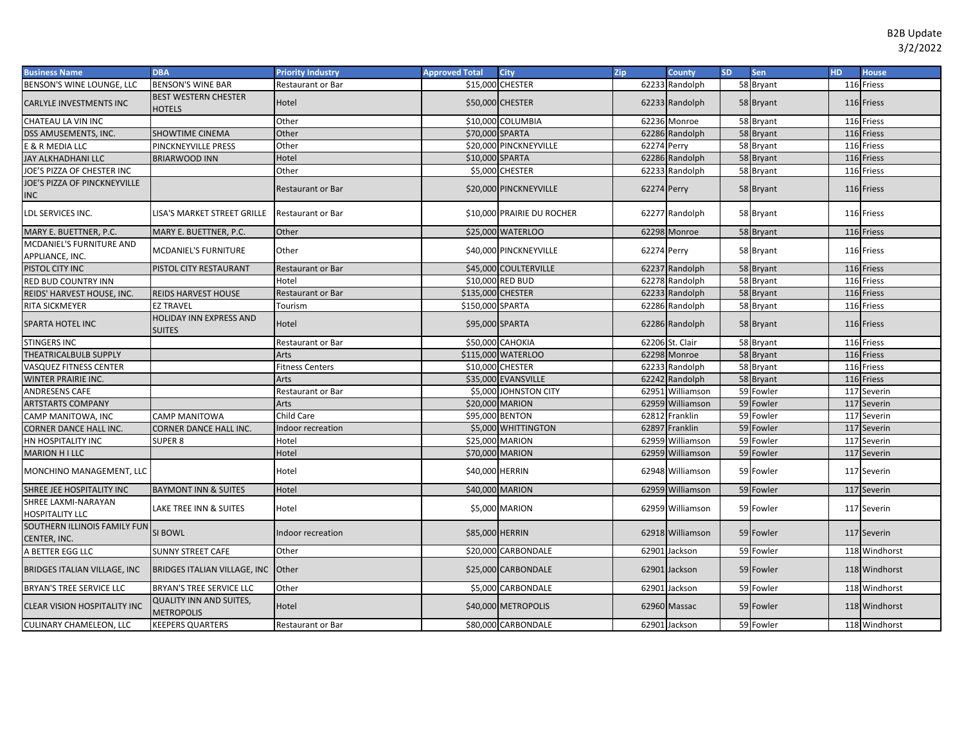| <b>Business Name</b>                               | <b>DBA</b>                                          | <b>Priority Industry</b> | <b>Approved Total</b> | <b>City</b>                | Zip         | <b>County</b>    | <b>SD</b> | Sen       | HD | <b>House</b>  |
|----------------------------------------------------|-----------------------------------------------------|--------------------------|-----------------------|----------------------------|-------------|------------------|-----------|-----------|----|---------------|
| BENSON'S WINE LOUNGE, LLC                          | <b>BENSON'S WINE BAR</b>                            | Restaurant or Bar        |                       | \$15,000 CHESTER           |             | 62233 Randolph   |           | 58 Bryant |    | 116 Friess    |
| CARLYLE INVESTMENTS INC                            | <b>BEST WESTERN CHESTER</b><br>HOTELS               | Hotel                    |                       | \$50,000 CHESTER           |             | 62233 Randolph   |           | 58 Bryant |    | 116 Friess    |
| CHATEAU LA VIN INC                                 |                                                     | Other                    |                       | \$10,000 COLUMBIA          |             | 62236 Monroe     |           | 58 Bryant |    | 116 Friess    |
| DSS AMUSEMENTS, INC.                               | SHOWTIME CINEMA                                     | Other                    | \$70,000 SPARTA       |                            |             | 62286 Randolph   |           | 58 Bryant |    | 116 Friess    |
| E & R MEDIA LLC                                    | PINCKNEYVILLE PRESS                                 | Other                    |                       | \$20,000 PINCKNEYVILLE     | 62274 Perry |                  |           | 58 Bryant |    | 116 Friess    |
| JAY ALKHADHANI LLC                                 | <b>BRIARWOOD INN</b>                                | Hotel                    | \$10,000 SPARTA       |                            |             | 62286 Randolph   |           | 58 Bryant |    | 116 Friess    |
| JOE'S PIZZA OF CHESTER INC                         |                                                     | Other                    |                       | \$5,000 CHESTER            |             | 62233 Randolph   |           | 58 Bryant |    | 116 Friess    |
| JOE'S PIZZA OF PINCKNEYVILLE<br><b>INC</b>         |                                                     | Restaurant or Bar        |                       | \$20,000 PINCKNEYVILLE     | 62274 Perry |                  |           | 58 Bryant |    | 116 Friess    |
| LDL SERVICES INC.                                  | LISA'S MARKET STREET GRILLE                         | <b>Restaurant or Bar</b> |                       | \$10,000 PRAIRIE DU ROCHER |             | 62277 Randolph   |           | 58 Bryant |    | 116 Friess    |
| MARY E. BUETTNER, P.C.                             | MARY E. BUETTNER, P.C.                              | Other                    |                       | \$25,000 WATERLOO          |             | 62298 Monroe     |           | 58 Bryant |    | 116 Friess    |
| <b>MCDANIEL'S FURNITURE AND</b><br>APPLIANCE, INC. | <b>MCDANIEL'S FURNITURE</b>                         | Other                    |                       | \$40,000 PINCKNEYVILLE     | 62274 Perry |                  |           | 58 Bryant |    | 116 Friess    |
| PISTOL CITY INC                                    | PISTOL CITY RESTAURANT                              | <b>Restaurant or Bar</b> |                       | \$45,000 COULTERVILLE      |             | 62237 Randolph   |           | 58 Bryant |    | 116 Friess    |
| RED BUD COUNTRY INN                                |                                                     | Hotel                    |                       | \$10,000 RED BUD           |             | 62278 Randolph   |           | 58 Bryant |    | 116 Friess    |
| REIDS' HARVEST HOUSE, INC.                         | <b>REIDS HARVEST HOUSE</b>                          | <b>Restaurant or Bar</b> | \$135,000 CHESTER     |                            |             | 62233 Randolph   |           | 58 Bryant |    | 116 Friess    |
| RITA SICKMEYER                                     | <b>EZ TRAVEL</b>                                    | Tourism                  | \$150,000 SPARTA      |                            |             | 62286 Randolph   |           | 58 Bryant |    | 116 Friess    |
| SPARTA HOTEL INC                                   | <b>HOLIDAY INN EXPRESS AND</b><br><b>SUITES</b>     | Hotel                    | \$95,000 SPARTA       |                            |             | 62286 Randolph   |           | 58 Bryant |    | 116 Friess    |
| <b>STINGERS INC</b>                                |                                                     | Restaurant or Bar        |                       | \$50,000 CAHOKIA           |             | 62206 St. Clair  |           | 58 Bryant |    | 116 Friess    |
| THEATRICALBULB SUPPLY                              |                                                     | Arts                     |                       | \$115,000 WATERLOO         |             | 62298 Monroe     |           | 58 Bryant |    | 116 Friess    |
| VASQUEZ FITNESS CENTER                             |                                                     | <b>Fitness Centers</b>   |                       | \$10,000 CHESTER           |             | 62233 Randolph   |           | 58 Bryant |    | 116 Friess    |
| <b>WINTER PRAIRIE INC.</b>                         |                                                     | Arts                     |                       | \$35,000 EVANSVILLE        |             | 62242 Randolph   |           | 58 Bryant |    | 116 Friess    |
| ANDRESENS CAFE                                     |                                                     | Restaurant or Bar        |                       | \$5,000 JOHNSTON CITY      |             | 62951 Williamson |           | 59 Fowler |    | 117 Severin   |
| <b>ARTSTARTS COMPANY</b>                           |                                                     | <b>Arts</b>              |                       | \$20,000 MARION            |             | 62959 Williamson |           | 59 Fowler |    | 117 Severin   |
| CAMP MANITOWA, INC                                 | CAMP MANITOWA                                       | Child Care               | \$95,000 BENTON       |                            |             | 62812 Franklin   |           | 59 Fowler |    | 117 Severin   |
| <b>CORNER DANCE HALL INC.</b>                      | CORNER DANCE HALL INC.                              | Indoor recreation        |                       | \$5,000 WHITTINGTON        |             | 62897 Franklin   |           | 59 Fowler |    | 117 Severin   |
| HN HOSPITALITY INC                                 | <b>SUPER 8</b>                                      | Hotel                    | \$25,000 MARION       |                            |             | 62959 Williamson |           | 59 Fowler |    | 117 Severin   |
| <b>MARION HILLC</b>                                |                                                     | Hotel                    |                       | \$70,000 MARION            |             | 62959 Williamson |           | 59 Fowler |    | 117 Severin   |
| MONCHINO MANAGEMENT, LLC                           |                                                     | Hotel                    | \$40,000 HERRIN       |                            |             | 62948 Williamson |           | 59 Fowler |    | 117 Severin   |
| SHREE JEE HOSPITALITY INC                          | <b>BAYMONT INN &amp; SUITES</b>                     | Hotel                    | \$40,000 MARION       |                            |             | 62959 Williamson |           | 59 Fowler |    | 117 Severin   |
| SHREE LAXMI-NARAYAN<br><b>HOSPITALITY LLC</b>      | LAKE TREE INN & SUITES                              | Hotel                    |                       | \$5,000 MARION             |             | 62959 Williamson |           | 59 Fowler |    | 117 Severin   |
| SOUTHERN ILLINOIS FAMILY FUN<br>CENTER, INC.       | SI BOWL                                             | Indoor recreation        | \$85,000 HERRIN       |                            |             | 62918 Williamson |           | 59 Fowler |    | 117 Severin   |
| A BETTER EGG LLC                                   | <b>SUNNY STREET CAFE</b>                            | Other                    |                       | \$20,000 CARBONDALE        |             | 62901 Jackson    |           | 59 Fowler |    | 118 Windhorst |
| <b>BRIDGES ITALIAN VILLAGE, INC</b>                | BRIDGES ITALIAN VILLAGE, INC Other                  |                          |                       | \$25,000 CARBONDALE        |             | 62901 Jackson    |           | 59 Fowler |    | 118 Windhorst |
| <b>BRYAN'S TREE SERVICE LLC</b>                    | BRYAN'S TREE SERVICE LLC                            | Other                    |                       | \$5,000 CARBONDALE         |             | 62901 Jackson    |           | 59 Fowler |    | 118 Windhorst |
| CLEAR VISION HOSPITALITY INC                       | <b>QUALITY INN AND SUITES,</b><br><b>METROPOLIS</b> | Hotel                    |                       | \$40,000 METROPOLIS        |             | 62960 Massac     |           | 59 Fowler |    | 118 Windhorst |
| <b>CULINARY CHAMELEON, LLC</b>                     | KEEPERS QUARTERS                                    | <b>Restaurant or Bar</b> |                       | \$80,000 CARBONDALE        |             | 62901 Jackson    |           | 59 Fowler |    | 118 Windhorst |